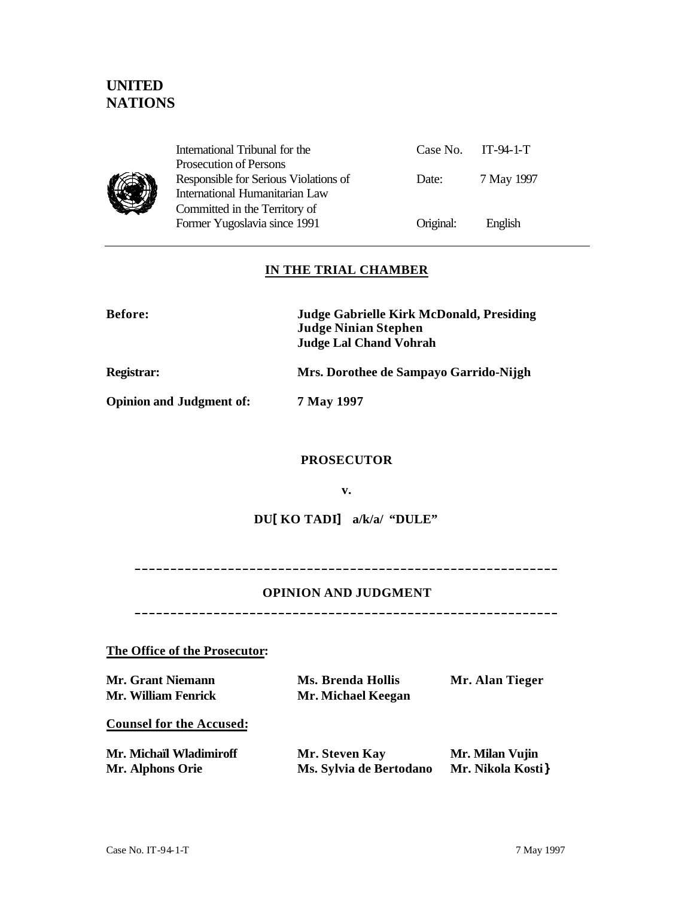# **UNITED NATIONS**



International Tribunal for the Prosecution of Persons Responsible for Serious Violations of International Humanitarian Law Committed in the Territory of Former Yugoslavia since 1991

|           | Case No. $IT-94-1-T$ |
|-----------|----------------------|
| Date:     | 7 May 1997           |
| Original: | English              |

## **IN THE TRIAL CHAMBER**

| <b>Before:</b>                  | Judge Gabrielle Kirk McDonald, Presiding<br><b>Judge Ninian Stephen</b><br><b>Judge Lal Chand Vohrah</b> |
|---------------------------------|----------------------------------------------------------------------------------------------------------|
| <b>Registrar:</b>               | Mrs. Dorothee de Sampayo Garrido-Nijgh                                                                   |
| <b>Opinion and Judgment of:</b> | 7 May 1997                                                                                               |

## **PROSECUTOR**

**v.**

## **DU[KO TADI] a/k/a/ "DULE"**

**\_\_\_\_\_\_\_\_\_\_\_\_\_\_\_\_\_\_\_\_\_\_\_\_\_\_\_\_\_\_\_\_\_\_\_\_\_\_\_\_\_\_\_\_\_\_\_\_\_\_\_\_\_\_\_\_\_\_\_**

## **OPINION AND JUDGMENT \_\_\_\_\_\_\_\_\_\_\_\_\_\_\_\_\_\_\_\_\_\_\_\_\_\_\_\_\_\_\_\_\_\_\_\_\_\_\_\_\_\_\_\_\_\_\_\_\_\_\_\_\_\_\_\_\_\_\_**

### **The Office of the Prosecutor:**

**Mr. Grant Niemann Ms. Brenda Hollis Mr. Alan Tieger Mr. William Fenrick Mr. Michael Keegan**

**Counsel for the Accused:**

|                  | Mr. Michaïl Wladimiroff |
|------------------|-------------------------|
| Mr. Alphons Orie |                         |

**Mr. Steven Kay Mr. Milan Vujin Mr. Alphons Orie Ms. Sylvia de Bertodano Mr. Nikola Kosti}**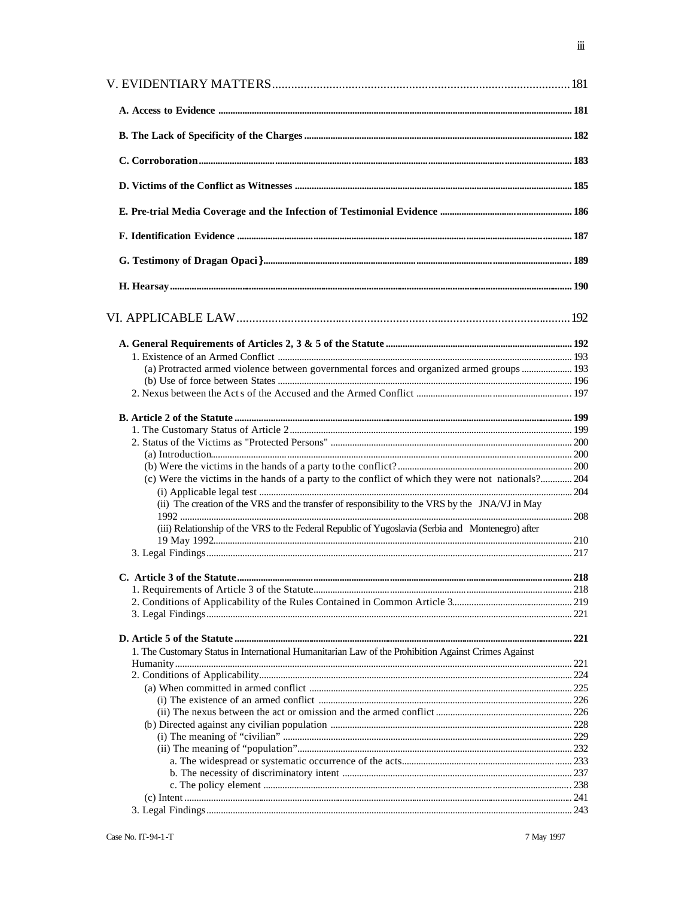| (a) Protracted armed violence between governmental forces and organized armed groups  193           |     |
|-----------------------------------------------------------------------------------------------------|-----|
|                                                                                                     |     |
|                                                                                                     |     |
|                                                                                                     |     |
|                                                                                                     |     |
|                                                                                                     |     |
|                                                                                                     |     |
| (c) Were the victims in the hands of a party to the conflict of which they were not nationals? 204  |     |
|                                                                                                     |     |
| (ii) The creation of the VRS and the transfer of responsibility to the VRS by the JNA/VJ in May     |     |
| (iii) Relationship of the VRS to the Federal Republic of Yugoslavia (Serbia and Montenegro) after   |     |
|                                                                                                     |     |
|                                                                                                     |     |
| C. Article 3 of the Statute.                                                                        | 218 |
|                                                                                                     |     |
|                                                                                                     |     |
|                                                                                                     |     |
| 1. The Customary Status in International Humanitarian Law of the Prohibition Against Crimes Against |     |
|                                                                                                     |     |
|                                                                                                     |     |
|                                                                                                     |     |
|                                                                                                     |     |
|                                                                                                     |     |
|                                                                                                     |     |
|                                                                                                     |     |
|                                                                                                     |     |
|                                                                                                     |     |
|                                                                                                     |     |
|                                                                                                     |     |
|                                                                                                     |     |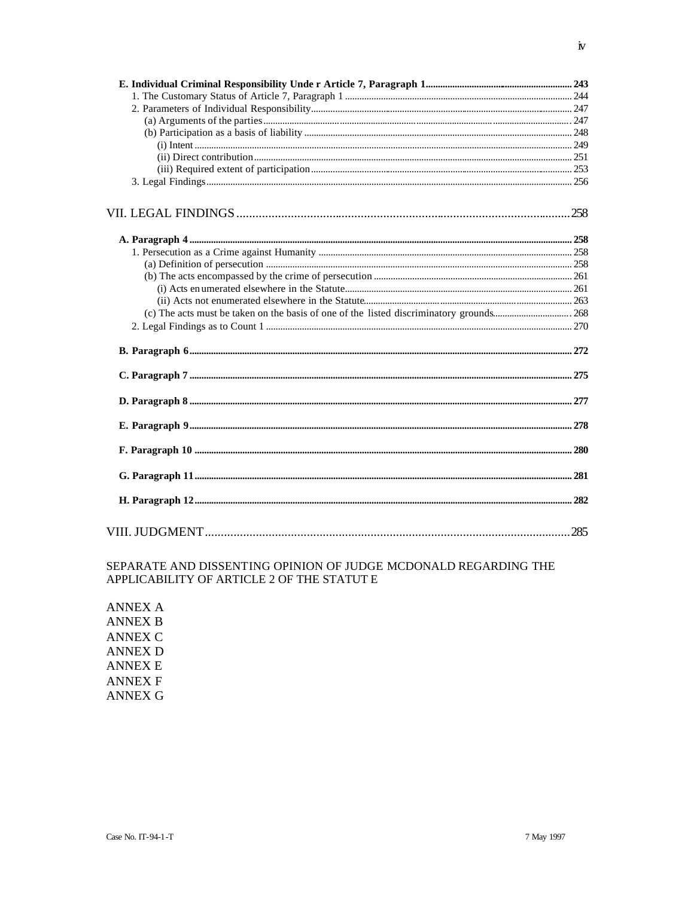## SEPARATE AND DISSENTING OPINION OF JUDGE MCDONALD REGARDING THE APPLICABILITY OF ARTICLE 2 OF THE STATUT E

**ANNEX A ANNEX B ANNEX C ANNEX D**  $\operatorname{ANNEX}$  E **ANNEX F ANNEX G**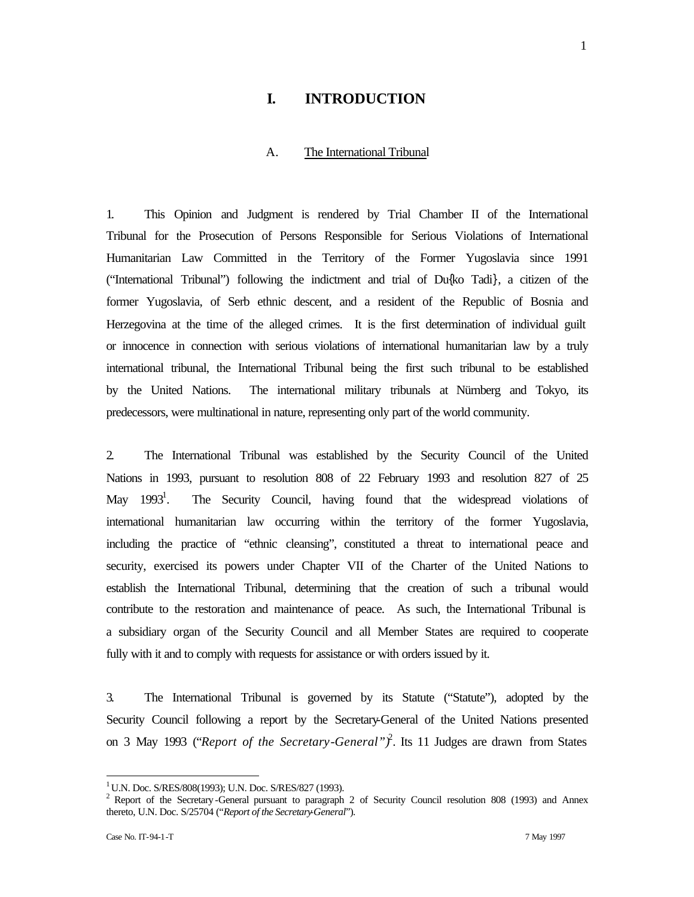## **I. INTRODUCTION**

#### A. The International Tribunal

1. This Opinion and Judgment is rendered by Trial Chamber II of the International Tribunal for the Prosecution of Persons Responsible for Serious Violations of International Humanitarian Law Committed in the Territory of the Former Yugoslavia since 1991 ("International Tribunal") following the indictment and trial of Du{ko Tadi}, a citizen of the former Yugoslavia, of Serb ethnic descent, and a resident of the Republic of Bosnia and Herzegovina at the time of the alleged crimes. It is the first determination of individual guilt or innocence in connection with serious violations of international humanitarian law by a truly international tribunal, the International Tribunal being the first such tribunal to be established by the United Nations. The international military tribunals at Nürnberg and Tokyo, its predecessors, were multinational in nature, representing only part of the world community.

2. The International Tribunal was established by the Security Council of the United Nations in 1993, pursuant to resolution 808 of 22 February 1993 and resolution 827 of 25 May  $1993<sup>1</sup>$ . . The Security Council, having found that the widespread violations of international humanitarian law occurring within the territory of the former Yugoslavia, including the practice of "ethnic cleansing", constituted a threat to international peace and security, exercised its powers under Chapter VII of the Charter of the United Nations to establish the International Tribunal, determining that the creation of such a tribunal would contribute to the restoration and maintenance of peace. As such, the International Tribunal is a subsidiary organ of the Security Council and all Member States are required to cooperate fully with it and to comply with requests for assistance or with orders issued by it.

3. The International Tribunal is governed by its Statute ("Statute"), adopted by the Security Council following a report by the Secretary-General of the United Nations presented on 3 May 1993 ("*Report of the Secretary-General")*<sup>2</sup> . Its 11 Judges are drawn from States

 $\overline{a}$ 

<sup>&</sup>lt;sup>1</sup> U.N. Doc. S/RES/808(1993); U.N. Doc. S/RES/827 (1993).

 $2^2$  Report of the Secretary -General pursuant to paragraph 2 of Security Council resolution 808 (1993) and Annex thereto, U.N. Doc. S/25704 ("*Report of the Secretary-General*").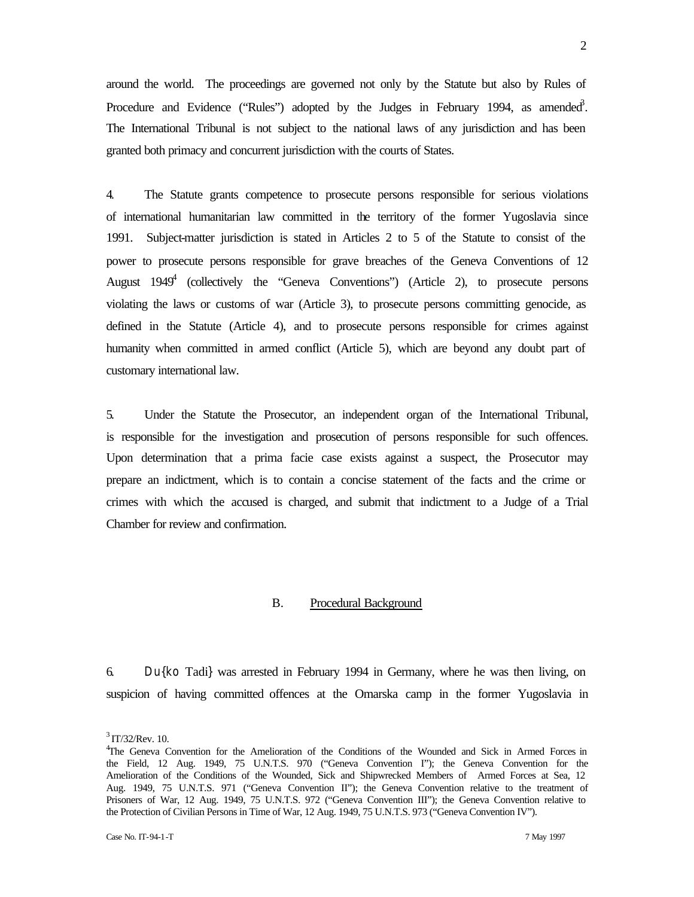around the world. The proceedings are governed not only by the Statute but also by Rules of Procedure and Evidence ("Rules") adopted by the Judges in February 1994, as amended<sup>3</sup>. The International Tribunal is not subject to the national laws of any jurisdiction and has been granted both primacy and concurrent jurisdiction with the courts of States.

4. The Statute grants competence to prosecute persons responsible for serious violations of international humanitarian law committed in the territory of the former Yugoslavia since 1991. Subject-matter jurisdiction is stated in Articles 2 to 5 of the Statute to consist of the power to prosecute persons responsible for grave breaches of the Geneva Conventions of 12 August  $1949<sup>4</sup>$  (collectively the "Geneva Conventions") (Article 2), to prosecute persons violating the laws or customs of war (Article 3), to prosecute persons committing genocide, as defined in the Statute (Article 4), and to prosecute persons responsible for crimes against humanity when committed in armed conflict (Article 5), which are beyond any doubt part of customary international law.

5. Under the Statute the Prosecutor, an independent organ of the International Tribunal, is responsible for the investigation and prosecution of persons responsible for such offences. Upon determination that a prima facie case exists against a suspect, the Prosecutor may prepare an indictment, which is to contain a concise statement of the facts and the crime or crimes with which the accused is charged, and submit that indictment to a Judge of a Trial Chamber for review and confirmation.

#### B. Procedural Background

6. Du{ko Tadi} was arrested in February 1994 in Germany, where he was then living, on suspicion of having committed offences at the Omarska camp in the former Yugoslavia in

 $3$  IT/32/Rev. 10.

<sup>&</sup>lt;sup>4</sup>The Geneva Convention for the Amelioration of the Conditions of the Wounded and Sick in Armed Forces in the Field, 12 Aug. 1949, 75 U.N.T.S. 970 ("Geneva Convention I"); the Geneva Convention for the Amelioration of the Conditions of the Wounded, Sick and Shipwrecked Members of Armed Forces at Sea, 12 Aug. 1949, 75 U.N.T.S. 971 ("Geneva Convention II"); the Geneva Convention relative to the treatment of Prisoners of War, 12 Aug. 1949, 75 U.N.T.S. 972 ("Geneva Convention III"); the Geneva Convention relative to the Protection of Civilian Persons in Time of War, 12 Aug. 1949, 75 U.N.T.S. 973 ("Geneva Convention IV").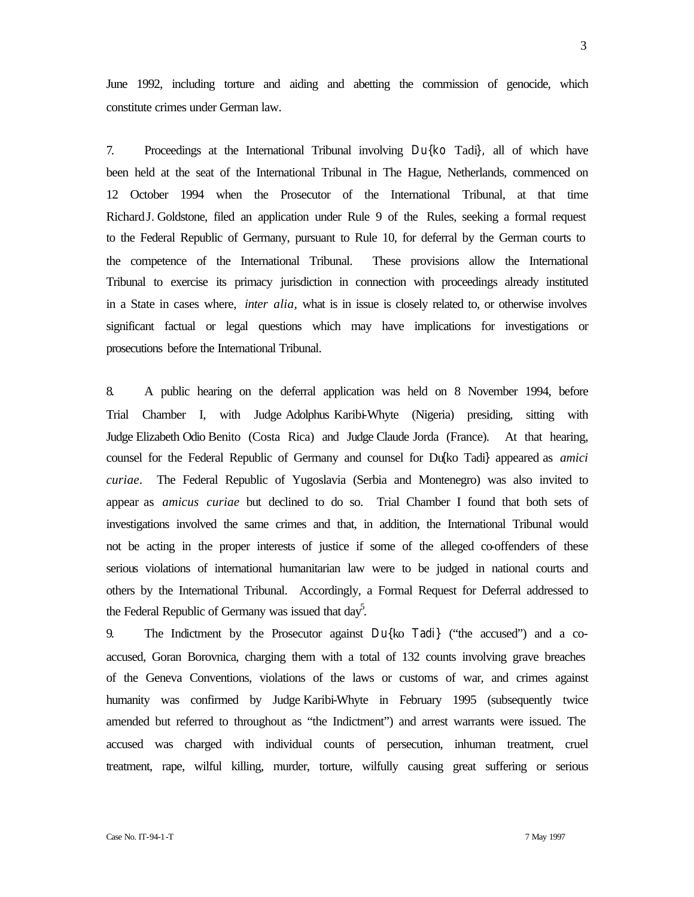June 1992, including torture and aiding and abetting the commission of genocide, which constitute crimes under German law.

7. Proceedings at the International Tribunal involving Du{ko Tadi}, all of which have been held at the seat of the International Tribunal in The Hague, Netherlands, commenced on 12 October 1994 when the Prosecutor of the International Tribunal, at that time RichardJ. Goldstone, filed an application under Rule 9 of the Rules, seeking a formal request to the Federal Republic of Germany, pursuant to Rule 10, for deferral by the German courts to the competence of the International Tribunal. These provisions allow the International Tribunal to exercise its primacy jurisdiction in connection with proceedings already instituted in a State in cases where, *inter alia,* what is in issue is closely related to, or otherwise involves significant factual or legal questions which may have implications for investigations or prosecutions before the International Tribunal.

8. A public hearing on the deferral application was held on 8 November 1994, before Trial Chamber I, with Judge Adolphus Karibi-Whyte (Nigeria) presiding, sitting with Judge Elizabeth Odio Benito (Costa Rica) and Judge Claude Jorda (France). At that hearing, counsel for the Federal Republic of Germany and counsel for Du{ko Tadi} appeared as *amici curiae*. The Federal Republic of Yugoslavia (Serbia and Montenegro) was also invited to appear as *amicus curiae* but declined to do so. Trial Chamber I found that both sets of investigations involved the same crimes and that, in addition, the International Tribunal would not be acting in the proper interests of justice if some of the alleged co-offenders of these serious violations of international humanitarian law were to be judged in national courts and others by the International Tribunal. Accordingly, a Formal Request for Deferral addressed to the Federal Republic of Germany was issued that  $day^5$ .

9. The Indictment by the Prosecutor against Du{ko Tadi} ("the accused") and a coaccused, Goran Borovnica, charging them with a total of 132 counts involving grave breaches of the Geneva Conventions, violations of the laws or customs of war, and crimes against humanity was confirmed by Judge Karibi-Whyte in February 1995 (subsequently twice amended but referred to throughout as "the Indictment") and arrest warrants were issued. The accused was charged with individual counts of persecution, inhuman treatment, cruel treatment, rape, wilful killing, murder, torture, wilfully causing great suffering or serious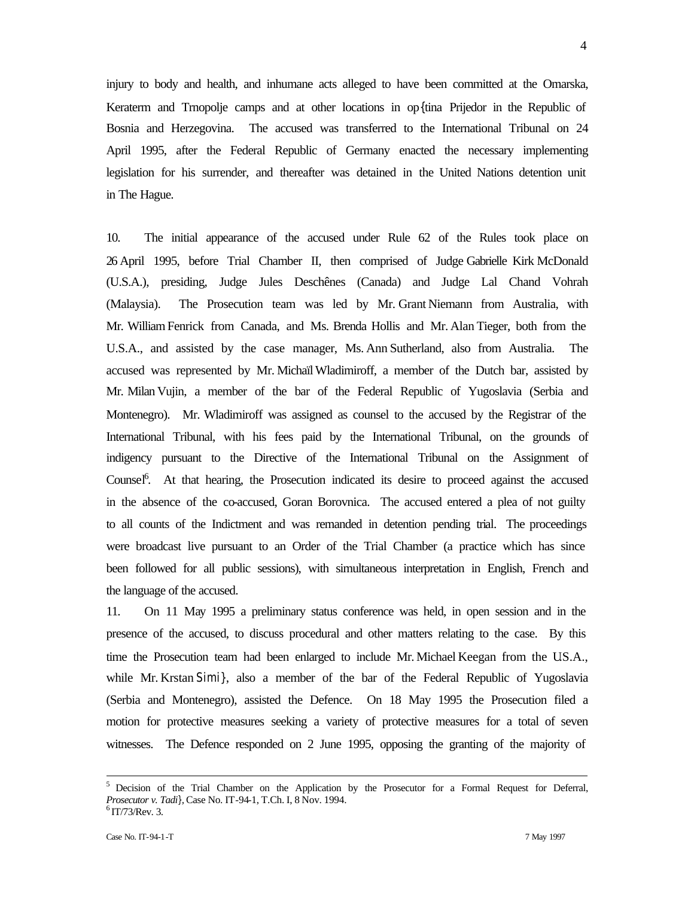injury to body and health, and inhumane acts alleged to have been committed at the Omarska, Keraterm and Trnopolje camps and at other locations in op{tina Prijedor in the Republic of Bosnia and Herzegovina. The accused was transferred to the International Tribunal on 24 April 1995, after the Federal Republic of Germany enacted the necessary implementing legislation for his surrender, and thereafter was detained in the United Nations detention unit in The Hague.

10. The initial appearance of the accused under Rule 62 of the Rules took place on 26 April 1995, before Trial Chamber II, then comprised of Judge Gabrielle Kirk McDonald (U.S.A.), presiding, Judge Jules Deschênes (Canada) and Judge Lal Chand Vohrah (Malaysia). The Prosecution team was led by Mr. Grant Niemann from Australia, with Mr. WilliamFenrick from Canada, and Ms. Brenda Hollis and Mr. Alan Tieger, both from the U.S.A., and assisted by the case manager, Ms. Ann Sutherland, also from Australia. The accused was represented by Mr. MichaïlWladimiroff, a member of the Dutch bar, assisted by Mr. Milan Vujin, a member of the bar of the Federal Republic of Yugoslavia (Serbia and Montenegro). Mr. Wladimiroff was assigned as counsel to the accused by the Registrar of the International Tribunal, with his fees paid by the International Tribunal, on the grounds of indigency pursuant to the Directive of the International Tribunal on the Assignment of Counsel<sup>6</sup>. At that hearing, the Prosecution indicated its desire to proceed against the accused in the absence of the co-accused, Goran Borovnica. The accused entered a plea of not guilty to all counts of the Indictment and was remanded in detention pending trial. The proceedings were broadcast live pursuant to an Order of the Trial Chamber (a practice which has since been followed for all public sessions), with simultaneous interpretation in English, French and the language of the accused.

11. On 11 May 1995 a preliminary status conference was held, in open session and in the presence of the accused, to discuss procedural and other matters relating to the case. By this time the Prosecution team had been enlarged to include Mr. Michael Keegan from the U.S.A., while Mr. Krstan Simi}, also a member of the bar of the Federal Republic of Yugoslavia (Serbia and Montenegro), assisted the Defence. On 18 May 1995 the Prosecution filed a motion for protective measures seeking a variety of protective measures for a total of seven witnesses. The Defence responded on 2 June 1995, opposing the granting of the majority of

 $\overline{a}$ 

<sup>&</sup>lt;sup>5</sup> Decision of the Trial Chamber on the Application by the Prosecutor for a Formal Request for Deferral, *Prosecutor v. Tadi},* Case No. IT-94-1, T.Ch. I, 8 Nov. 1994.  $^{6}$  IT/73/Rev. 3.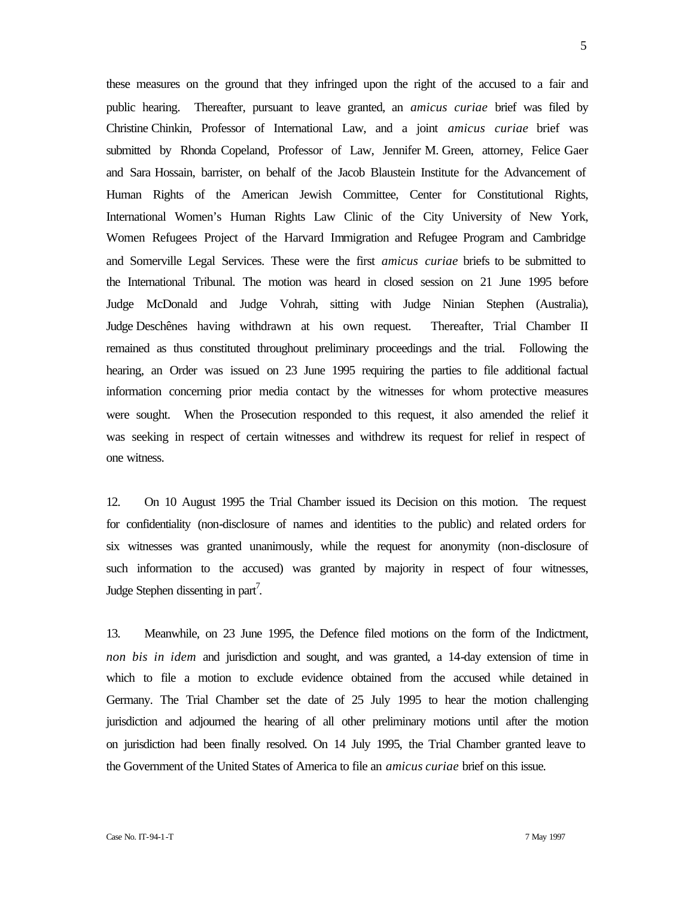these measures on the ground that they infringed upon the right of the accused to a fair and public hearing. Thereafter, pursuant to leave granted, an *amicus curiae* brief was filed by Christine Chinkin, Professor of International Law, and a joint *amicus curiae* brief was submitted by Rhonda Copeland, Professor of Law, Jennifer M. Green, attorney, Felice Gaer and Sara Hossain, barrister, on behalf of the Jacob Blaustein Institute for the Advancement of Human Rights of the American Jewish Committee, Center for Constitutional Rights, International Women's Human Rights Law Clinic of the City University of New York, Women Refugees Project of the Harvard Immigration and Refugee Program and Cambridge and Somerville Legal Services. These were the first *amicus curiae* briefs to be submitted to the International Tribunal. The motion was heard in closed session on 21 June 1995 before Judge McDonald and Judge Vohrah, sitting with Judge Ninian Stephen (Australia), Judge Deschênes having withdrawn at his own request. Thereafter, Trial Chamber II remained as thus constituted throughout preliminary proceedings and the trial. Following the hearing, an Order was issued on 23 June 1995 requiring the parties to file additional factual information concerning prior media contact by the witnesses for whom protective measures were sought. When the Prosecution responded to this request, it also amended the relief it was seeking in respect of certain witnesses and withdrew its request for relief in respect of one witness.

12. On 10 August 1995 the Trial Chamber issued its Decision on this motion. The request for confidentiality (non-disclosure of names and identities to the public) and related orders for six witnesses was granted unanimously, while the request for anonymity (non-disclosure of such information to the accused) was granted by majority in respect of four witnesses, Judge Stephen dissenting in part<sup>7</sup>.

13. Meanwhile, on 23 June 1995, the Defence filed motions on the form of the Indictment, *non bis in idem* and jurisdiction and sought, and was granted, a 14-day extension of time in which to file a motion to exclude evidence obtained from the accused while detained in Germany. The Trial Chamber set the date of 25 July 1995 to hear the motion challenging jurisdiction and adjourned the hearing of all other preliminary motions until after the motion on jurisdiction had been finally resolved. On 14 July 1995, the Trial Chamber granted leave to the Government of the United States of America to file an *amicus curiae* brief on this issue.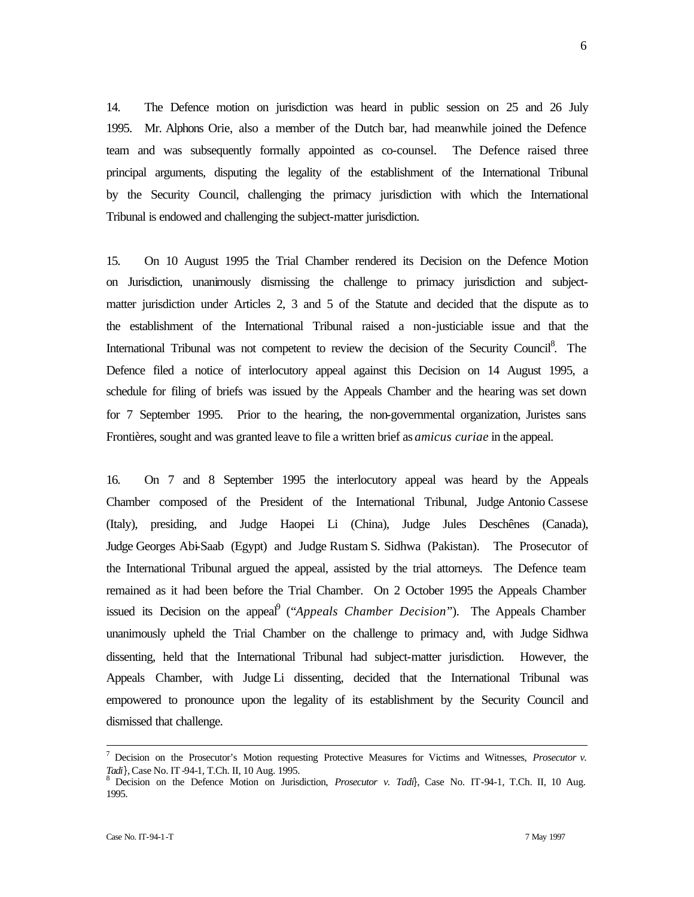14. The Defence motion on jurisdiction was heard in public session on 25 and 26 July 1995. Mr. Alphons Orie, also a member of the Dutch bar, had meanwhile joined the Defence team and was subsequently formally appointed as co-counsel. The Defence raised three principal arguments, disputing the legality of the establishment of the International Tribunal by the Security Council, challenging the primacy jurisdiction with which the International Tribunal is endowed and challenging the subject-matter jurisdiction.

15. On 10 August 1995 the Trial Chamber rendered its Decision on the Defence Motion on Jurisdiction, unanimously dismissing the challenge to primacy jurisdiction and subjectmatter jurisdiction under Articles 2, 3 and 5 of the Statute and decided that the dispute as to the establishment of the International Tribunal raised a non-justiciable issue and that the International Tribunal was not competent to review the decision of the Security Council<sup>8</sup>. The Defence filed a notice of interlocutory appeal against this Decision on 14 August 1995, a schedule for filing of briefs was issued by the Appeals Chamber and the hearing was set down for 7 September 1995. Prior to the hearing, the non-governmental organization, Juristes sans Frontières, sought and was granted leave to file a written brief as *amicus curiae* in the appeal.

16. On 7 and 8 September 1995 the interlocutory appeal was heard by the Appeals Chamber composed of the President of the International Tribunal, Judge Antonio Cassese (Italy), presiding, and Judge Haopei Li (China), Judge Jules Deschênes (Canada), Judge Georges Abi-Saab (Egypt) and Judge Rustam S. Sidhwa (Pakistan). The Prosecutor of the International Tribunal argued the appeal, assisted by the trial attorneys. The Defence team remained as it had been before the Trial Chamber. On 2 October 1995 the Appeals Chamber issued its Decision on the appeal<sup>9</sup> ("*Appeals Chamber Decision*"). The Appeals Chamber unanimously upheld the Trial Chamber on the challenge to primacy and, with Judge Sidhwa dissenting, held that the International Tribunal had subject-matter jurisdiction. However, the Appeals Chamber, with Judge Li dissenting, decided that the International Tribunal was empowered to pronounce upon the legality of its establishment by the Security Council and dismissed that challenge.

 7 Decision on the Prosecutor's Motion requesting Protective Measures for Victims and Witnesses, *Prosecutor v. Tadi},* Case No. IT -94-1, T.Ch. II, 10 Aug. 1995.

<sup>8</sup> Decision on the Defence Motion on Jurisdiction, *Prosecutor v. Tadi},* Case No. IT-94-1, T.Ch. II, 10 Aug. 1995.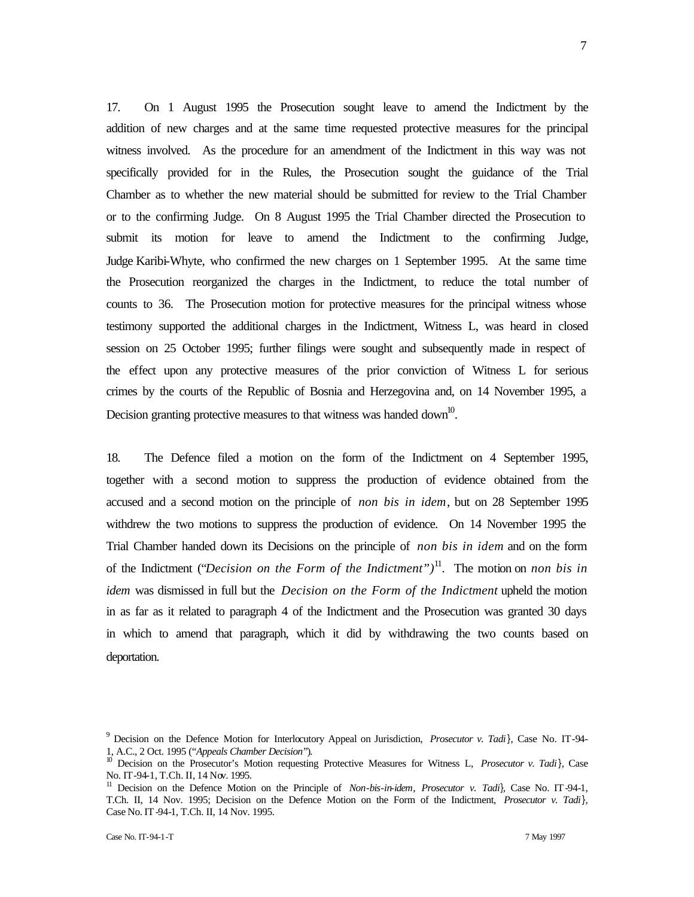17. On 1 August 1995 the Prosecution sought leave to amend the Indictment by the addition of new charges and at the same time requested protective measures for the principal witness involved. As the procedure for an amendment of the Indictment in this way was not specifically provided for in the Rules, the Prosecution sought the guidance of the Trial Chamber as to whether the new material should be submitted for review to the Trial Chamber or to the confirming Judge. On 8 August 1995 the Trial Chamber directed the Prosecution to submit its motion for leave to amend the Indictment to the confirming Judge, Judge Karibi-Whyte, who confirmed the new charges on 1 September 1995. At the same time the Prosecution reorganized the charges in the Indictment, to reduce the total number of counts to 36. The Prosecution motion for protective measures for the principal witness whose testimony supported the additional charges in the Indictment, Witness L, was heard in closed session on 25 October 1995; further filings were sought and subsequently made in respect of the effect upon any protective measures of the prior conviction of Witness L for serious crimes by the courts of the Republic of Bosnia and Herzegovina and, on 14 November 1995, a Decision granting protective measures to that witness was handed down<sup>10</sup>.

18. The Defence filed a motion on the form of the Indictment on 4 September 1995, together with a second motion to suppress the production of evidence obtained from the accused and a second motion on the principle of *non bis in idem*, but on 28 September 1995 withdrew the two motions to suppress the production of evidence. On 14 November 1995 the Trial Chamber handed down its Decisions on the principle of *non bis in idem* and on the form of the Indictment ("*Decision on the Form of the Indictment")*<sup>11</sup>. The motion on *non bis in idem* was dismissed in full but the *Decision on the Form of the Indictment* upheld the motion in as far as it related to paragraph 4 of the Indictment and the Prosecution was granted 30 days in which to amend that paragraph, which it did by withdrawing the two counts based on deportation.

<sup>9</sup> Decision on the Defence Motion for Interlocutory Appeal on Jurisdiction, *Prosecutor v. Tadi},* Case No. IT-94- 1, A.C., 2 Oct. 1995 ("*Appeals Chamber Decision*").

<sup>10</sup> Decision on the Prosecutor's Motion requesting Protective Measures for Witness L, *Prosecutor v. Tadi},* Case No. IT-94-1, T.Ch. II, 14 Nov. 1995.

<sup>&</sup>lt;sup>11</sup> Decision on the Defence Motion on the Principle of *Non-bis-in-idem*, *Prosecutor v. Tadi*<sub>*k*</sub> Case No. IT-94-1, T.Ch. II, 14 Nov. 1995; Decision on the Defence Motion on the Form of the Indictment, *Prosecutor v. Tadi},*  Case No. IT-94-1, T.Ch. II, 14 Nov. 1995.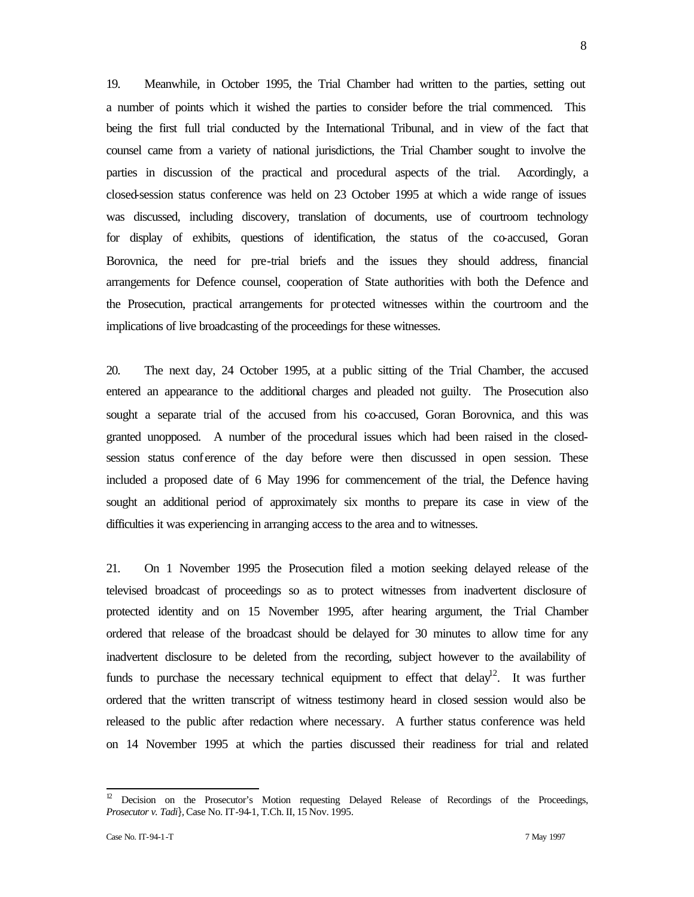19. Meanwhile, in October 1995, the Trial Chamber had written to the parties, setting out a number of points which it wished the parties to consider before the trial commenced. This being the first full trial conducted by the International Tribunal, and in view of the fact that counsel came from a variety of national jurisdictions, the Trial Chamber sought to involve the parties in discussion of the practical and procedural aspects of the trial. Accordingly, a closed-session status conference was held on 23 October 1995 at which a wide range of issues was discussed, including discovery, translation of documents, use of courtroom technology for display of exhibits, questions of identification, the status of the co-accused, Goran Borovnica, the need for pre-trial briefs and the issues they should address, financial arrangements for Defence counsel, cooperation of State authorities with both the Defence and the Prosecution, practical arrangements for protected witnesses within the courtroom and the implications of live broadcasting of the proceedings for these witnesses.

20. The next day, 24 October 1995, at a public sitting of the Trial Chamber, the accused entered an appearance to the additional charges and pleaded not guilty. The Prosecution also sought a separate trial of the accused from his co-accused, Goran Borovnica, and this was granted unopposed. A number of the procedural issues which had been raised in the closedsession status conference of the day before were then discussed in open session. These included a proposed date of 6 May 1996 for commencement of the trial, the Defence having sought an additional period of approximately six months to prepare its case in view of the difficulties it was experiencing in arranging access to the area and to witnesses.

21. On 1 November 1995 the Prosecution filed a motion seeking delayed release of the televised broadcast of proceedings so as to protect witnesses from inadvertent disclosure of protected identity and on 15 November 1995, after hearing argument, the Trial Chamber ordered that release of the broadcast should be delayed for 30 minutes to allow time for any inadvertent disclosure to be deleted from the recording, subject however to the availability of funds to purchase the necessary technical equipment to effect that delay<sup>12</sup>. It was further ordered that the written transcript of witness testimony heard in closed session would also be released to the public after redaction where necessary. A further status conference was held on 14 November 1995 at which the parties discussed their readiness for trial and related

 $12$ <sup>12</sup> Decision on the Prosecutor's Motion requesting Delayed Release of Recordings of the Proceedings, *Prosecutor v. Tadi},* Case No. IT-94-1, T.Ch. II, 15 Nov. 1995.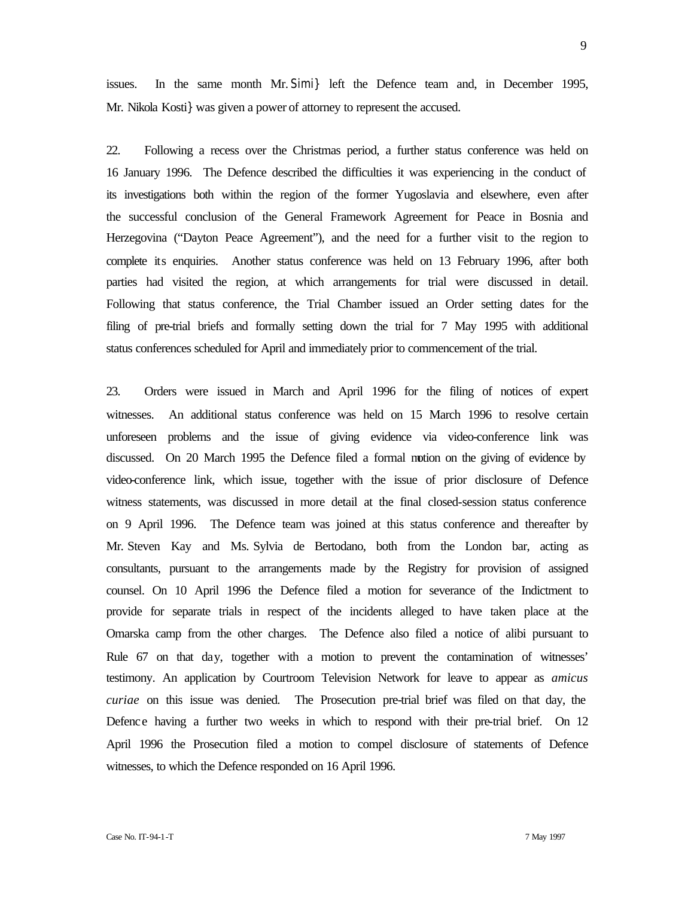issues. In the same month Mr. Simi} left the Defence team and, in December 1995, Mr. Nikola Kosti} was given a power of attorney to represent the accused.

22. Following a recess over the Christmas period, a further status conference was held on 16 January 1996. The Defence described the difficulties it was experiencing in the conduct of its investigations both within the region of the former Yugoslavia and elsewhere, even after the successful conclusion of the General Framework Agreement for Peace in Bosnia and Herzegovina ("Dayton Peace Agreement"), and the need for a further visit to the region to complete its enquiries. Another status conference was held on 13 February 1996, after both parties had visited the region, at which arrangements for trial were discussed in detail. Following that status conference, the Trial Chamber issued an Order setting dates for the filing of pre-trial briefs and formally setting down the trial for 7 May 1995 with additional status conferences scheduled for April and immediately prior to commencement of the trial.

23. Orders were issued in March and April 1996 for the filing of notices of expert witnesses. An additional status conference was held on 15 March 1996 to resolve certain unforeseen problems and the issue of giving evidence via video-conference link was discussed. On 20 March 1995 the Defence filed a formal motion on the giving of evidence by video-conference link, which issue, together with the issue of prior disclosure of Defence witness statements, was discussed in more detail at the final closed-session status conference on 9 April 1996. The Defence team was joined at this status conference and thereafter by Mr. Steven Kay and Ms. Sylvia de Bertodano, both from the London bar, acting as consultants, pursuant to the arrangements made by the Registry for provision of assigned counsel. On 10 April 1996 the Defence filed a motion for severance of the Indictment to provide for separate trials in respect of the incidents alleged to have taken place at the Omarska camp from the other charges. The Defence also filed a notice of alibi pursuant to Rule 67 on that day, together with a motion to prevent the contamination of witnesses' testimony. An application by Courtroom Television Network for leave to appear as *amicus curiae* on this issue was denied. The Prosecution pre-trial brief was filed on that day, the Defence having a further two weeks in which to respond with their pre-trial brief. On 12 April 1996 the Prosecution filed a motion to compel disclosure of statements of Defence witnesses, to which the Defence responded on 16 April 1996.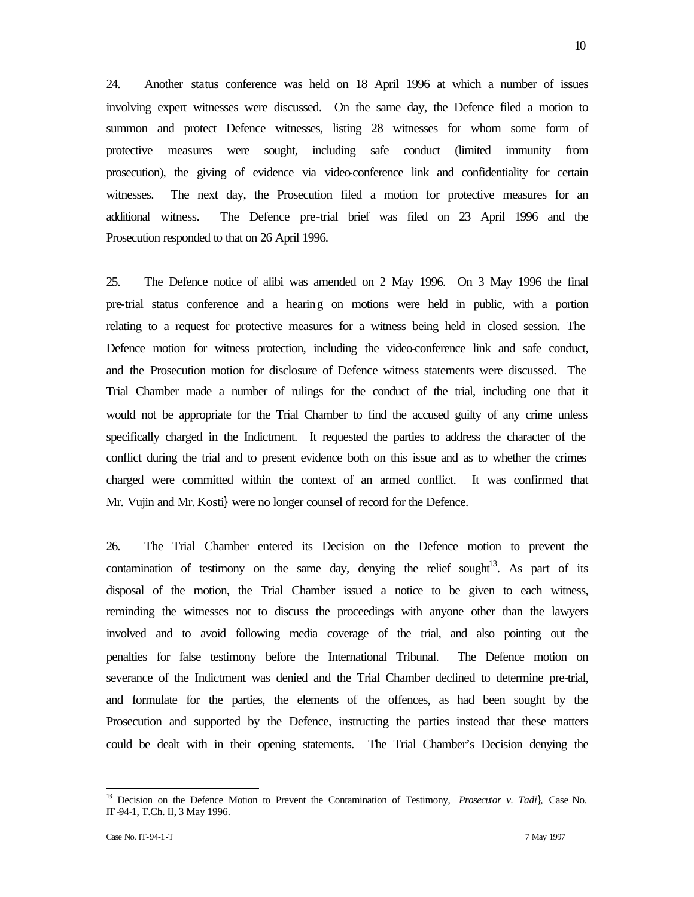24. Another status conference was held on 18 April 1996 at which a number of issues involving expert witnesses were discussed. On the same day, the Defence filed a motion to summon and protect Defence witnesses, listing 28 witnesses for whom some form of protective measures were sought, including safe conduct (limited immunity from prosecution), the giving of evidence via video-conference link and confidentiality for certain witnesses. The next day, the Prosecution filed a motion for protective measures for an additional witness. The Defence pre-trial brief was filed on 23 April 1996 and the Prosecution responded to that on 26 April 1996.

25. The Defence notice of alibi was amended on 2 May 1996. On 3 May 1996 the final pre-trial status conference and a hearing on motions were held in public, with a portion relating to a request for protective measures for a witness being held in closed session. The Defence motion for witness protection, including the video-conference link and safe conduct, and the Prosecution motion for disclosure of Defence witness statements were discussed. The Trial Chamber made a number of rulings for the conduct of the trial, including one that it would not be appropriate for the Trial Chamber to find the accused guilty of any crime unless specifically charged in the Indictment. It requested the parties to address the character of the conflict during the trial and to present evidence both on this issue and as to whether the crimes charged were committed within the context of an armed conflict. It was confirmed that Mr. Vujin and Mr. Kosti} were no longer counsel of record for the Defence.

26. The Trial Chamber entered its Decision on the Defence motion to prevent the contamination of testimony on the same day, denying the relief sought<sup>13</sup>. As part of its disposal of the motion, the Trial Chamber issued a notice to be given to each witness, reminding the witnesses not to discuss the proceedings with anyone other than the lawyers involved and to avoid following media coverage of the trial, and also pointing out the penalties for false testimony before the International Tribunal. The Defence motion on severance of the Indictment was denied and the Trial Chamber declined to determine pre-trial, and formulate for the parties, the elements of the offences, as had been sought by the Prosecution and supported by the Defence, instructing the parties instead that these matters could be dealt with in their opening statements. The Trial Chamber's Decision denying the

 $\overline{a}$ 

<sup>&</sup>lt;sup>13</sup> Decision on the Defence Motion to Prevent the Contamination of Testimony, *Prosecutor v. Tadi*<sup>*}*</sup>, Case No. IT-94-1, T.Ch. II, 3 May 1996.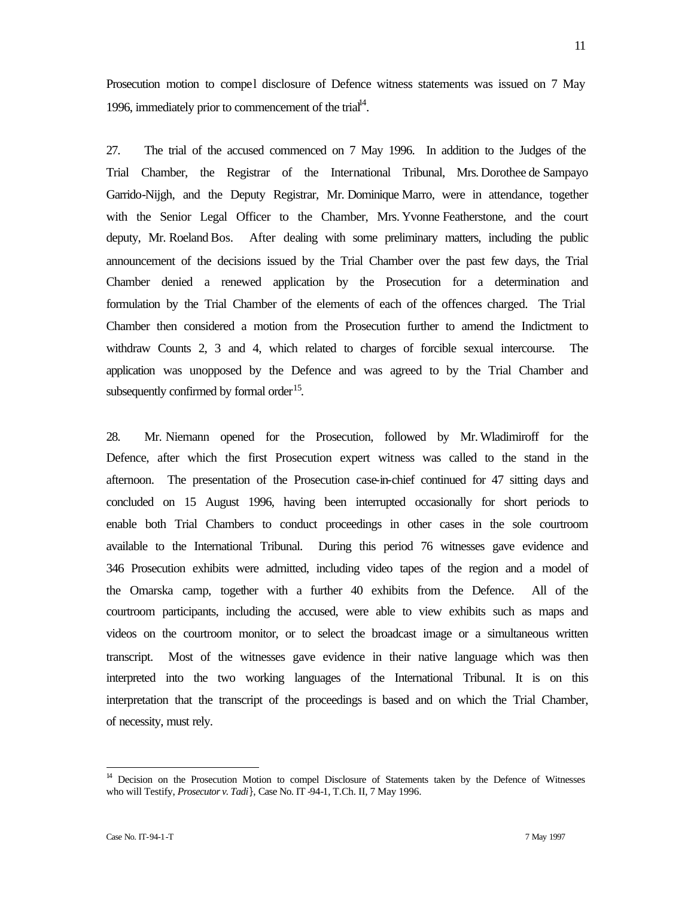Prosecution motion to compel disclosure of Defence witness statements was issued on 7 May 1996, immediately prior to commencement of the trial $14$ .

27. The trial of the accused commenced on 7 May 1996. In addition to the Judges of the Trial Chamber, the Registrar of the International Tribunal, Mrs. Dorothee de Sampayo Garrido-Nijgh, and the Deputy Registrar, Mr. Dominique Marro, were in attendance, together with the Senior Legal Officer to the Chamber, Mrs. Yvonne Featherstone, and the court deputy, Mr. Roeland Bos. After dealing with some preliminary matters, including the public announcement of the decisions issued by the Trial Chamber over the past few days, the Trial Chamber denied a renewed application by the Prosecution for a determination and formulation by the Trial Chamber of the elements of each of the offences charged. The Trial Chamber then considered a motion from the Prosecution further to amend the Indictment to withdraw Counts 2, 3 and 4, which related to charges of forcible sexual intercourse. The application was unopposed by the Defence and was agreed to by the Trial Chamber and subsequently confirmed by formal order<sup>15</sup>.

28. Mr. Niemann opened for the Prosecution, followed by Mr. Wladimiroff for the Defence, after which the first Prosecution expert witness was called to the stand in the afternoon. The presentation of the Prosecution case-in-chief continued for 47 sitting days and concluded on 15 August 1996, having been interrupted occasionally for short periods to enable both Trial Chambers to conduct proceedings in other cases in the sole courtroom available to the International Tribunal. During this period 76 witnesses gave evidence and 346 Prosecution exhibits were admitted, including video tapes of the region and a model of the Omarska camp, together with a further 40 exhibits from the Defence. All of the courtroom participants, including the accused, were able to view exhibits such as maps and videos on the courtroom monitor, or to select the broadcast image or a simultaneous written transcript. Most of the witnesses gave evidence in their native language which was then interpreted into the two working languages of the International Tribunal. It is on this interpretation that the transcript of the proceedings is based and on which the Trial Chamber, of necessity, must rely.

l

<sup>&</sup>lt;sup>14</sup> Decision on the Prosecution Motion to compel Disclosure of Statements taken by the Defence of Witnesses who will Testify, *Prosecutor v. Tadi},* Case No. IT -94-1, T.Ch. II, 7 May 1996.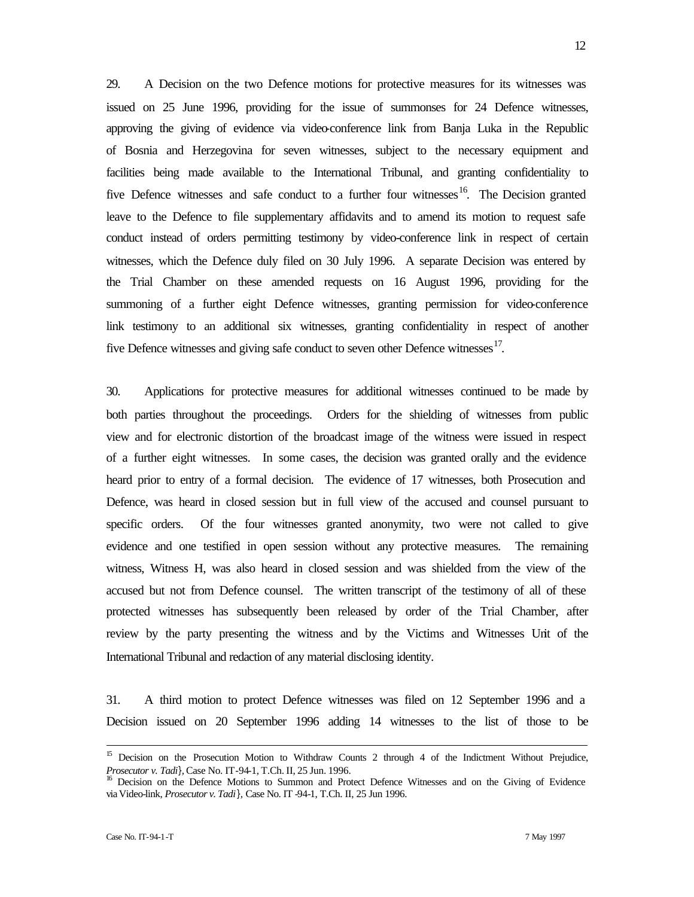29. A Decision on the two Defence motions for protective measures for its witnesses was issued on 25 June 1996, providing for the issue of summonses for 24 Defence witnesses, approving the giving of evidence via video-conference link from Banja Luka in the Republic of Bosnia and Herzegovina for seven witnesses, subject to the necessary equipment and facilities being made available to the International Tribunal, and granting confidentiality to five Defence witnesses and safe conduct to a further four witnesses  $16$ . The Decision granted leave to the Defence to file supplementary affidavits and to amend its motion to request safe conduct instead of orders permitting testimony by video-conference link in respect of certain witnesses, which the Defence duly filed on 30 July 1996. A separate Decision was entered by the Trial Chamber on these amended requests on 16 August 1996, providing for the summoning of a further eight Defence witnesses, granting permission for video-conference link testimony to an additional six witnesses, granting confidentiality in respect of another five Defence witnesses and giving safe conduct to seven other Defence witnesses $17$ .

30. Applications for protective measures for additional witnesses continued to be made by both parties throughout the proceedings. Orders for the shielding of witnesses from public view and for electronic distortion of the broadcast image of the witness were issued in respect of a further eight witnesses. In some cases, the decision was granted orally and the evidence heard prior to entry of a formal decision. The evidence of 17 witnesses, both Prosecution and Defence, was heard in closed session but in full view of the accused and counsel pursuant to specific orders. Of the four witnesses granted anonymity, two were not called to give evidence and one testified in open session without any protective measures. The remaining witness, Witness H, was also heard in closed session and was shielded from the view of the accused but not from Defence counsel. The written transcript of the testimony of all of these protected witnesses has subsequently been released by order of the Trial Chamber, after review by the party presenting the witness and by the Victims and Witnesses Unit of the International Tribunal and redaction of any material disclosing identity.

31. A third motion to protect Defence witnesses was filed on 12 September 1996 and a Decision issued on 20 September 1996 adding 14 witnesses to the list of those to be

l

<sup>&</sup>lt;sup>15</sup> Decision on the Prosecution Motion to Withdraw Counts 2 through 4 of the Indictment Without Prejudice, *Prosecutor v. Tadi},* Case No. IT-94-1, T.Ch. II, 25 Jun. 1996.

<sup>&</sup>lt;sup>16</sup> Decision on the Defence Motions to Summon and Protect Defence Witnesses and on the Giving of Evidence via Video-link, *Prosecutor v. Tadi},* Case No. IT -94-1, T.Ch. II, 25 Jun 1996.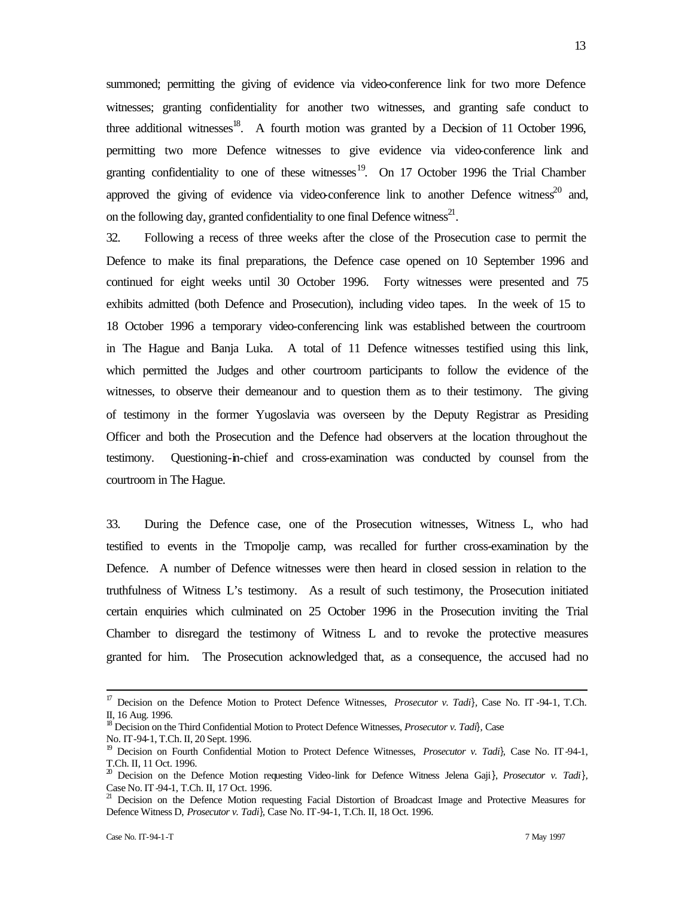summoned; permitting the giving of evidence via video-conference link for two more Defence witnesses; granting confidentiality for another two witnesses, and granting safe conduct to three additional witnesses $^{18}$ . A fourth motion was granted by a Decision of 11 October 1996, permitting two more Defence witnesses to give evidence via video-conference link and granting confidentiality to one of these witnesses<sup>19</sup>. On 17 October 1996 the Trial Chamber approved the giving of evidence via video-conference link to another Defence witness<sup>20</sup> and, on the following day, granted confidentiality to one final Defence witness $^{21}$ .

32. Following a recess of three weeks after the close of the Prosecution case to permit the Defence to make its final preparations, the Defence case opened on 10 September 1996 and continued for eight weeks until 30 October 1996. Forty witnesses were presented and 75 exhibits admitted (both Defence and Prosecution), including video tapes. In the week of 15 to 18 October 1996 a temporary video-conferencing link was established between the courtroom in The Hague and Banja Luka. A total of 11 Defence witnesses testified using this link, which permitted the Judges and other courtroom participants to follow the evidence of the witnesses, to observe their demeanour and to question them as to their testimony. The giving of testimony in the former Yugoslavia was overseen by the Deputy Registrar as Presiding Officer and both the Prosecution and the Defence had observers at the location throughout the testimony. Questioning-in-chief and cross-examination was conducted by counsel from the courtroom in The Hague.

33. During the Defence case, one of the Prosecution witnesses, Witness L, who had testified to events in the Trnopolje camp, was recalled for further cross-examination by the Defence. A number of Defence witnesses were then heard in closed session in relation to the truthfulness of Witness L's testimony. As a result of such testimony, the Prosecution initiated certain enquiries which culminated on 25 October 1996 in the Prosecution inviting the Trial Chamber to disregard the testimony of Witness L and to revoke the protective measures granted for him. The Prosecution acknowledged that, as a consequence, the accused had no

l

<sup>17</sup> Decision on the Defence Motion to Protect Defence Witnesses, *Prosecutor v. Tadi},* Case No. IT -94-1, T.Ch. II, 16 Aug. 1996.

<sup>18</sup> Decision on the Third Confidential Motion to Protect Defence Witnesses, *Prosecutor v. Tadi},* Case No. IT-94-1, T.Ch. II, 20 Sept. 1996.

<sup>&</sup>lt;sup>19</sup> Decision on Fourth Confidential Motion to Protect Defence Witnesses, *Prosecutor v. Tadi*<sup>*}*</sup>, Case No. IT-94-1, T.Ch. II, 11 Oct. 1996.

<sup>20</sup> Decision on the Defence Motion requesting Video-link for Defence Witness Jelena Gaji}, *Prosecutor v. Tadi},*  Case No. IT-94-1, T.Ch. II, 17 Oct. 1996.

<sup>21</sup> Decision on the Defence Motion requesting Facial Distortion of Broadcast Image and Protective Measures for Defence Witness D, *Prosecutor v. Tadi},* Case No. IT-94-1, T.Ch. II, 18 Oct. 1996.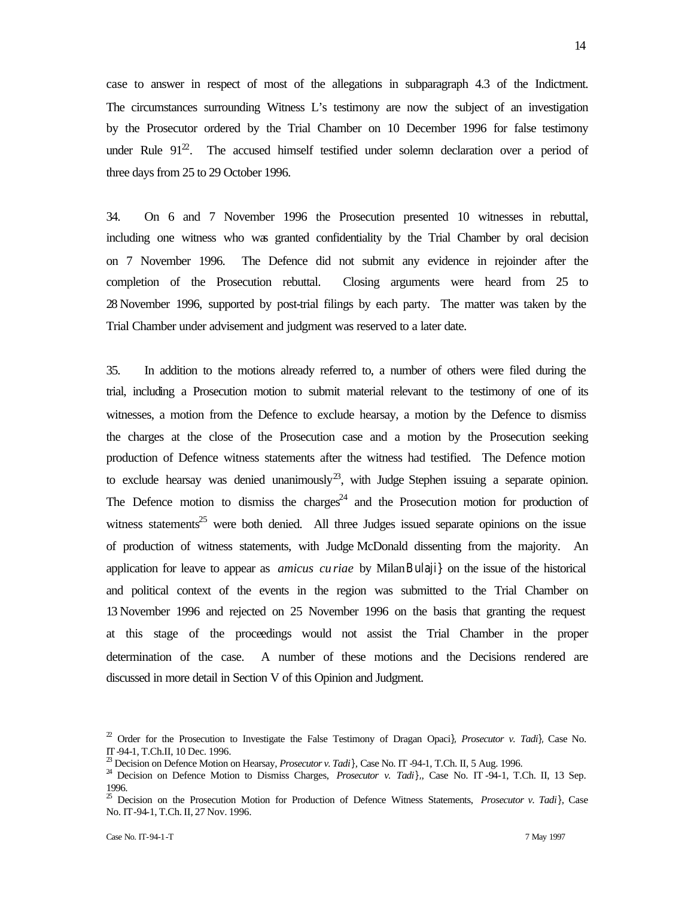case to answer in respect of most of the allegations in subparagraph 4.3 of the Indictment. The circumstances surrounding Witness L's testimony are now the subject of an investigation by the Prosecutor ordered by the Trial Chamber on 10 December 1996 for false testimony under Rule  $91^2$ . The accused himself testified under solemn declaration over a period of three days from 25 to 29 October 1996.

34. On 6 and 7 November 1996 the Prosecution presented 10 witnesses in rebuttal, including one witness who was granted confidentiality by the Trial Chamber by oral decision on 7 November 1996. The Defence did not submit any evidence in rejoinder after the completion of the Prosecution rebuttal. Closing arguments were heard from 25 to 28 November 1996, supported by post-trial filings by each party. The matter was taken by the Trial Chamber under advisement and judgment was reserved to a later date.

35. In addition to the motions already referred to, a number of others were filed during the trial, including a Prosecution motion to submit material relevant to the testimony of one of its witnesses, a motion from the Defence to exclude hearsay, a motion by the Defence to dismiss the charges at the close of the Prosecution case and a motion by the Prosecution seeking production of Defence witness statements after the witness had testified. The Defence motion to exclude hearsay was denied unanimously<sup>23</sup>, with Judge Stephen issuing a separate opinion. The Defence motion to dismiss the charges<sup>24</sup> and the Prosecution motion for production of witness statements<sup>25</sup> were both denied. All three Judges issued separate opinions on the issue of production of witness statements, with Judge McDonald dissenting from the majority. An application for leave to appear as *amicus cu riae* by MilanBulaji} on the issue of the historical and political context of the events in the region was submitted to the Trial Chamber on 13 November 1996 and rejected on 25 November 1996 on the basis that granting the request at this stage of the proceedings would not assist the Trial Chamber in the proper determination of the case. A number of these motions and the Decisions rendered are discussed in more detail in Section V of this Opinion and Judgment.

<sup>&</sup>lt;sup>22</sup> Order for the Prosecution to Investigate the False Testimony of Dragan Opaci<sub>*f, Prosecutor v. Tadi*<sub>*l*</sub>, Case No.</sub> IT-94-1, T.Ch.II, 10 Dec. 1996.

<sup>23</sup> Decision on Defence Motion on Hearsay, *Prosecutor v. Tadi},* Case No. IT -94-1, T.Ch. II, 5 Aug. 1996.

<sup>&</sup>lt;sup>24</sup> Decision on Defence Motion to Dismiss Charges, *Prosecutor v. Tadi}<sub>n</sub>* Case No. IT -94-1, T.Ch. II, 13 Sep. 1996.

<sup>25</sup> Decision on the Prosecution Motion for Production of Defence Witness Statements, *Prosecutor v. Tadi},* Case No. IT-94-1, T.Ch. II, 27 Nov. 1996.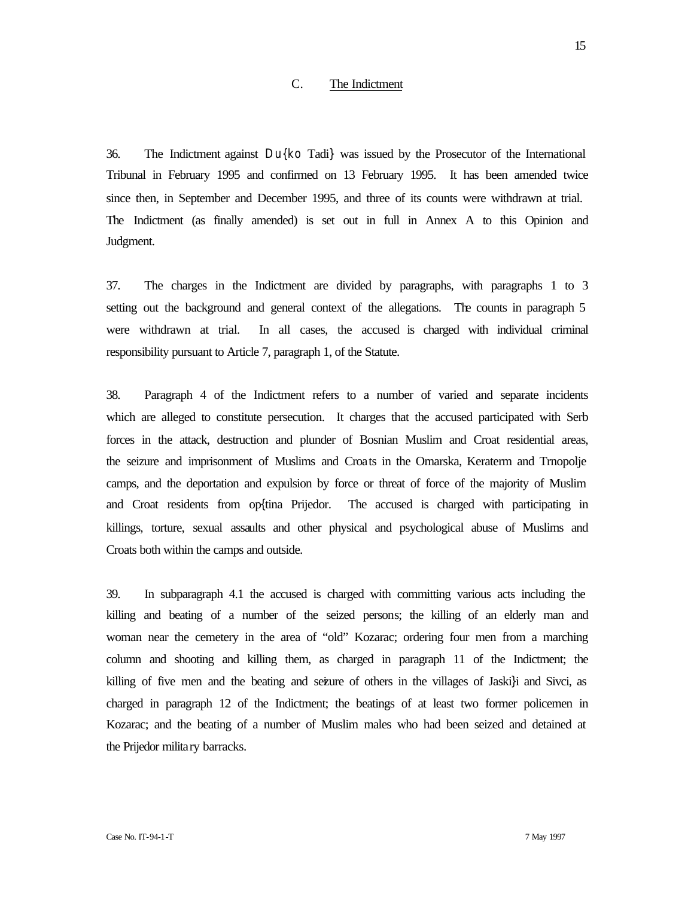#### C. The Indictment

36. The Indictment against Du{ko Tadi} was issued by the Prosecutor of the International Tribunal in February 1995 and confirmed on 13 February 1995. It has been amended twice since then, in September and December 1995, and three of its counts were withdrawn at trial. The Indictment (as finally amended) is set out in full in Annex A to this Opinion and Judgment.

37. The charges in the Indictment are divided by paragraphs, with paragraphs 1 to 3 setting out the background and general context of the allegations. The counts in paragraph 5 were withdrawn at trial. In all cases, the accused is charged with individual criminal responsibility pursuant to Article 7, paragraph 1, of the Statute.

38. Paragraph 4 of the Indictment refers to a number of varied and separate incidents which are alleged to constitute persecution. It charges that the accused participated with Serb forces in the attack, destruction and plunder of Bosnian Muslim and Croat residential areas, the seizure and imprisonment of Muslims and Croats in the Omarska, Keraterm and Trnopolje camps, and the deportation and expulsion by force or threat of force of the majority of Muslim and Croat residents from op{tina Prijedor. The accused is charged with participating in killings, torture, sexual assaults and other physical and psychological abuse of Muslims and Croats both within the camps and outside.

39. In subparagraph 4.1 the accused is charged with committing various acts including the killing and beating of a number of the seized persons; the killing of an elderly man and woman near the cemetery in the area of "old" Kozarac; ordering four men from a marching column and shooting and killing them, as charged in paragraph 11 of the Indictment; the killing of five men and the beating and seizure of others in the villages of Jaskil and Sivci, as charged in paragraph 12 of the Indictment; the beatings of at least two former policemen in Kozarac; and the beating of a number of Muslim males who had been seized and detained at the Prijedor military barracks.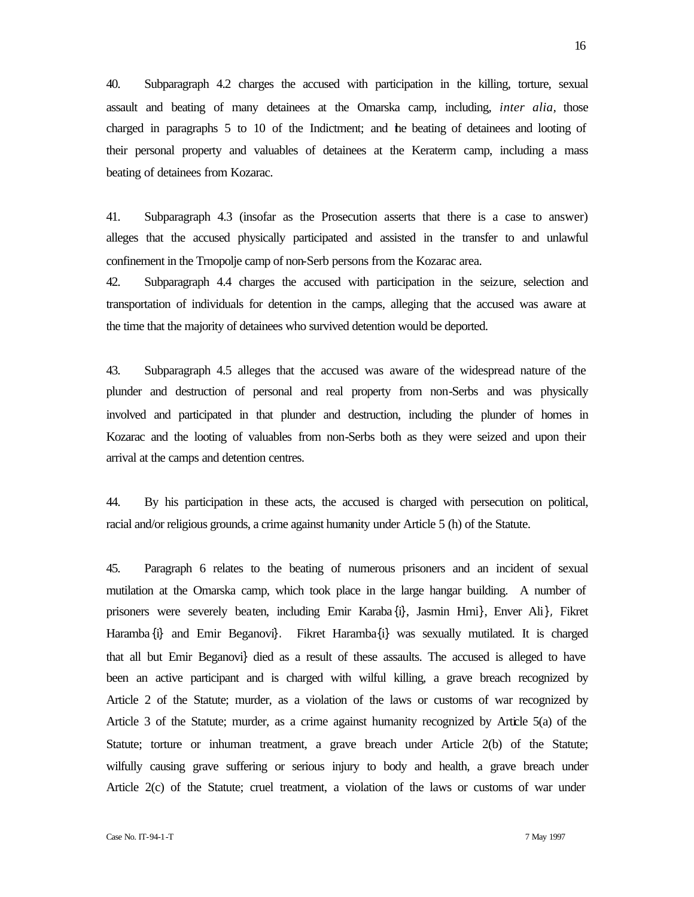40. Subparagraph 4.2 charges the accused with participation in the killing, torture, sexual assault and beating of many detainees at the Omarska camp, including, *inter alia,* those charged in paragraphs 5 to 10 of the Indictment; and the beating of detainees and looting of their personal property and valuables of detainees at the Keraterm camp, including a mass beating of detainees from Kozarac.

41. Subparagraph 4.3 (insofar as the Prosecution asserts that there is a case to answer) alleges that the accused physically participated and assisted in the transfer to and unlawful confinement in the Trnopolje camp of non-Serb persons from the Kozarac area.

42. Subparagraph 4.4 charges the accused with participation in the seizure, selection and transportation of individuals for detention in the camps, alleging that the accused was aware at the time that the majority of detainees who survived detention would be deported.

43. Subparagraph 4.5 alleges that the accused was aware of the widespread nature of the plunder and destruction of personal and real property from non-Serbs and was physically involved and participated in that plunder and destruction, including the plunder of homes in Kozarac and the looting of valuables from non-Serbs both as they were seized and upon their arrival at the camps and detention centres.

44. By his participation in these acts, the accused is charged with persecution on political, racial and/or religious grounds, a crime against humanity under Article 5 (h) of the Statute.

45. Paragraph 6 relates to the beating of numerous prisoners and an incident of sexual mutilation at the Omarska camp, which took place in the large hangar building. A number of prisoners were severely beaten, including Emir Karaba{i}, Jasmin Hrni}, Enver Ali}, Fikret Haramba{i} and Emir Beganovi}. Fikret Haramba{i} was sexually mutilated. It is charged that all but Emir Beganovi} died as a result of these assaults. The accused is alleged to have been an active participant and is charged with wilful killing, a grave breach recognized by Article 2 of the Statute; murder, as a violation of the laws or customs of war recognized by Article 3 of the Statute; murder, as a crime against humanity recognized by Article 5(a) of the Statute; torture or inhuman treatment, a grave breach under Article 2(b) of the Statute; wilfully causing grave suffering or serious injury to body and health, a grave breach under Article 2(c) of the Statute; cruel treatment, a violation of the laws or customs of war under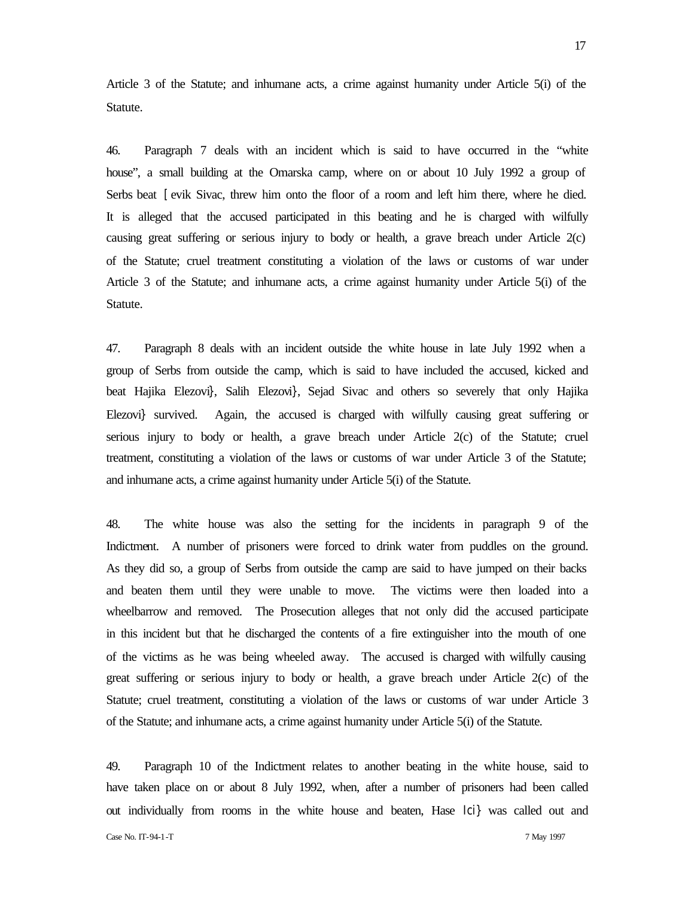Article 3 of the Statute; and inhumane acts, a crime against humanity under Article 5(i) of the Statute.

46. Paragraph 7 deals with an incident which is said to have occurred in the "white house", a small building at the Omarska camp, where on or about 10 July 1992 a group of Serbs beat [evik Sivac, threw him onto the floor of a room and left him there, where he died. It is alleged that the accused participated in this beating and he is charged with wilfully causing great suffering or serious injury to body or health, a grave breach under Article 2(c) of the Statute; cruel treatment constituting a violation of the laws or customs of war under Article 3 of the Statute; and inhumane acts, a crime against humanity under Article 5(i) of the Statute.

47. Paragraph 8 deals with an incident outside the white house in late July 1992 when a group of Serbs from outside the camp, which is said to have included the accused, kicked and beat Hajika Elezovi}, Salih Elezovi}, Sejad Sivac and others so severely that only Hajika Elezovi} survived. Again, the accused is charged with wilfully causing great suffering or serious injury to body or health, a grave breach under Article 2(c) of the Statute; cruel treatment, constituting a violation of the laws or customs of war under Article 3 of the Statute; and inhumane acts, a crime against humanity under Article 5(i) of the Statute.

48. The white house was also the setting for the incidents in paragraph 9 of the Indictment. A number of prisoners were forced to drink water from puddles on the ground. As they did so, a group of Serbs from outside the camp are said to have jumped on their backs and beaten them until they were unable to move. The victims were then loaded into a wheelbarrow and removed. The Prosecution alleges that not only did the accused participate in this incident but that he discharged the contents of a fire extinguisher into the mouth of one of the victims as he was being wheeled away. The accused is charged with wilfully causing great suffering or serious injury to body or health, a grave breach under Article 2(c) of the Statute; cruel treatment, constituting a violation of the laws or customs of war under Article 3 of the Statute; and inhumane acts, a crime against humanity under Article 5(i) of the Statute.

49. Paragraph 10 of the Indictment relates to another beating in the white house, said to have taken place on or about 8 July 1992, when, after a number of prisoners had been called out individually from rooms in the white house and beaten, Hase Ici} was called out and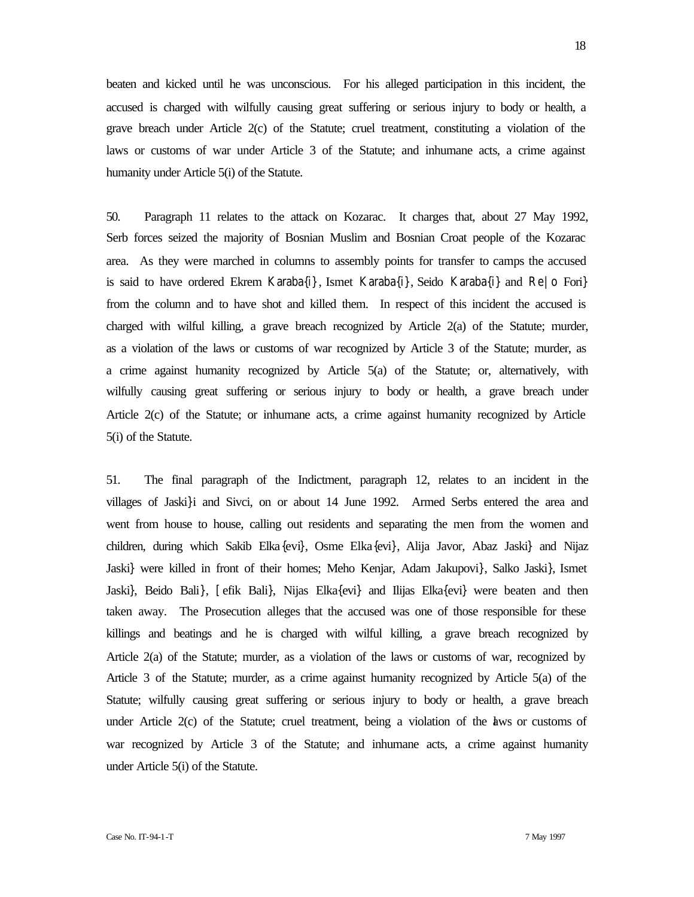beaten and kicked until he was unconscious. For his alleged participation in this incident, the accused is charged with wilfully causing great suffering or serious injury to body or health, a grave breach under Article 2(c) of the Statute; cruel treatment, constituting a violation of the laws or customs of war under Article 3 of the Statute; and inhumane acts, a crime against humanity under Article 5(i) of the Statute.

50. Paragraph 11 relates to the attack on Kozarac. It charges that, about 27 May 1992, Serb forces seized the majority of Bosnian Muslim and Bosnian Croat people of the Kozarac area. As they were marched in columns to assembly points for transfer to camps the accused is said to have ordered Ekrem Karaba{i}, Ismet Karaba{i}, Seido Karaba{i} and Re|o Fori} from the column and to have shot and killed them. In respect of this incident the accused is charged with wilful killing, a grave breach recognized by Article 2(a) of the Statute; murder, as a violation of the laws or customs of war recognized by Article 3 of the Statute; murder, as a crime against humanity recognized by Article 5(a) of the Statute; or, alternatively, with wilfully causing great suffering or serious injury to body or health, a grave breach under Article 2(c) of the Statute; or inhumane acts, a crime against humanity recognized by Article 5(i) of the Statute.

51. The final paragraph of the Indictment, paragraph 12, relates to an incident in the villages of Jaski}i and Sivci, on or about 14 June 1992. Armed Serbs entered the area and went from house to house, calling out residents and separating the men from the women and children, during which Sakib Elka{evi}, Osme Elka{evi}, Alija Javor, Abaz Jaski} and Nijaz Jaski} were killed in front of their homes; Meho Kenjar, Adam Jakupovi}, Salko Jaski}, Ismet Jaski}, Beido Bali}, [efik Bali}, Nijas Elka{evi} and Ilijas Elka{evi} were beaten and then taken away. The Prosecution alleges that the accused was one of those responsible for these killings and beatings and he is charged with wilful killing, a grave breach recognized by Article 2(a) of the Statute; murder, as a violation of the laws or customs of war, recognized by Article 3 of the Statute; murder, as a crime against humanity recognized by Article 5(a) of the Statute; wilfully causing great suffering or serious injury to body or health, a grave breach under Article 2(c) of the Statute; cruel treatment, being a violation of the laws or customs of war recognized by Article 3 of the Statute; and inhumane acts, a crime against humanity under Article 5(i) of the Statute.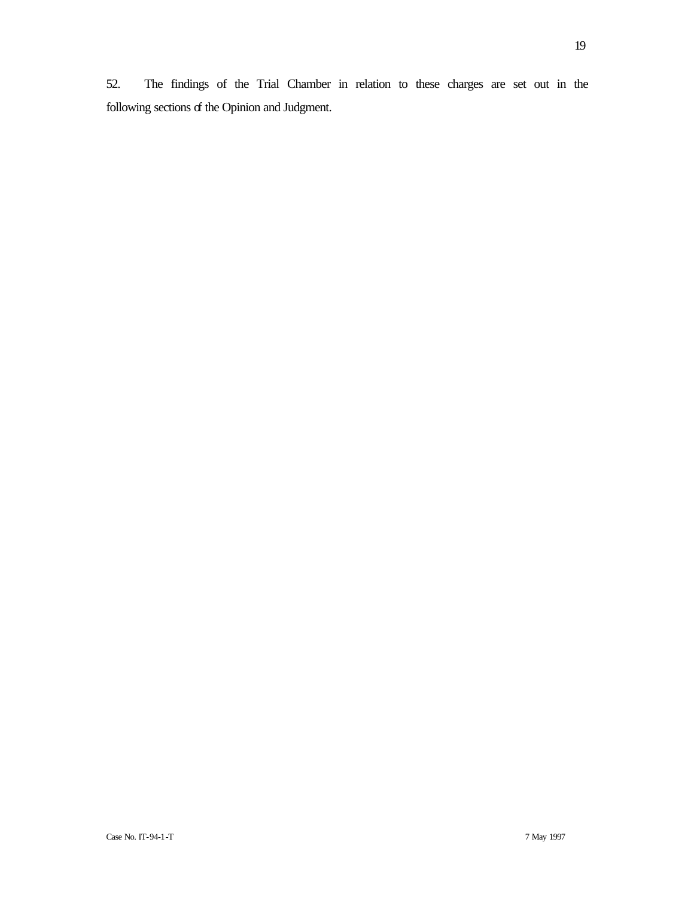52. The findings of the Trial Chamber in relation to these charges are set out in the following sections of the Opinion and Judgment.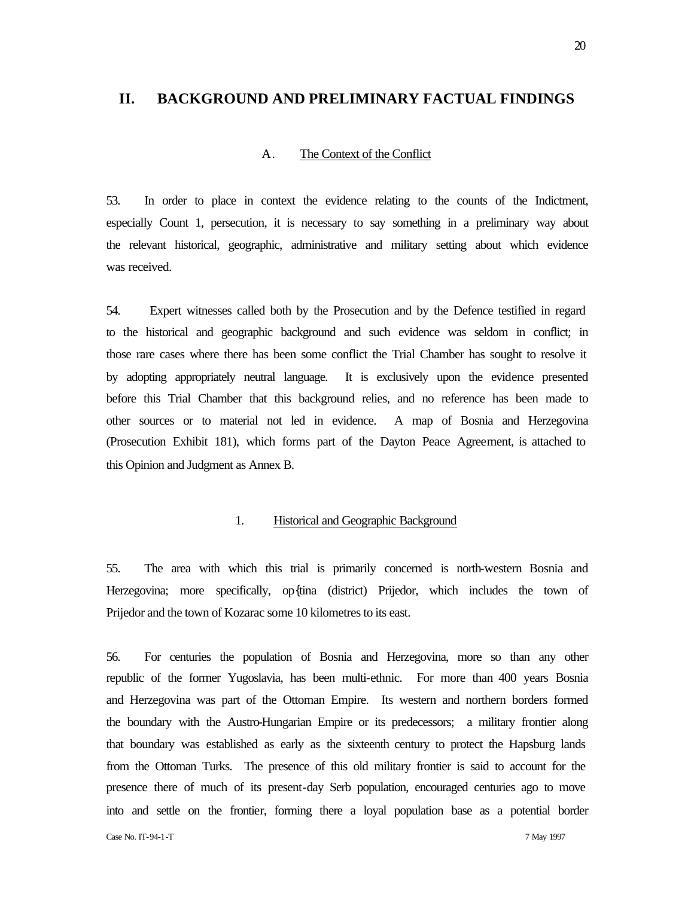## **II. BACKGROUND AND PRELIMINARY FACTUAL FINDINGS**

#### A. The Context of the Conflict

53. In order to place in context the evidence relating to the counts of the Indictment, especially Count 1, persecution, it is necessary to say something in a preliminary way about the relevant historical, geographic, administrative and military setting about which evidence was received.

54. Expert witnesses called both by the Prosecution and by the Defence testified in regard to the historical and geographic background and such evidence was seldom in conflict; in those rare cases where there has been some conflict the Trial Chamber has sought to resolve it by adopting appropriately neutral language. It is exclusively upon the evidence presented before this Trial Chamber that this background relies, and no reference has been made to other sources or to material not led in evidence. A map of Bosnia and Herzegovina (Prosecution Exhibit 181), which forms part of the Dayton Peace Agreement, is attached to this Opinion and Judgment as Annex B.

#### 1. Historical and Geographic Background

55. The area with which this trial is primarily concerned is north-western Bosnia and Herzegovina; more specifically, op{tina (district) Prijedor, which includes the town of Prijedor and the town of Kozarac some 10 kilometres to its east.

56. For centuries the population of Bosnia and Herzegovina, more so than any other republic of the former Yugoslavia, has been multi-ethnic. For more than 400 years Bosnia and Herzegovina was part of the Ottoman Empire. Its western and northern borders formed the boundary with the Austro-Hungarian Empire or its predecessors; a military frontier along that boundary was established as early as the sixteenth century to protect the Hapsburg lands from the Ottoman Turks. The presence of this old military frontier is said to account for the presence there of much of its present-day Serb population, encouraged centuries ago to move into and settle on the frontier, forming there a loyal population base as a potential border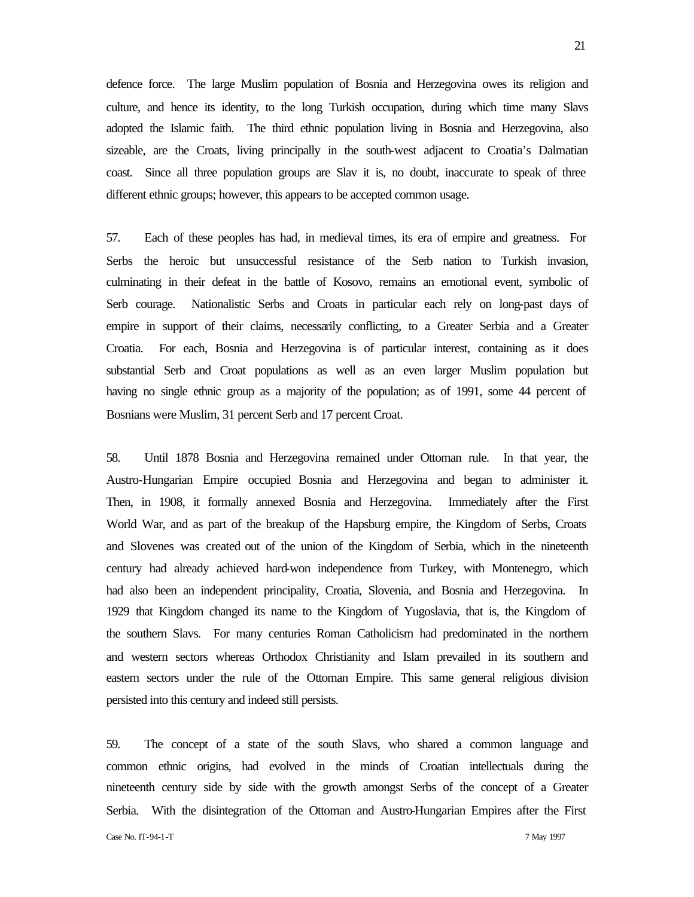defence force. The large Muslim population of Bosnia and Herzegovina owes its religion and culture, and hence its identity, to the long Turkish occupation, during which time many Slavs adopted the Islamic faith. The third ethnic population living in Bosnia and Herzegovina, also sizeable, are the Croats, living principally in the south-west adjacent to Croatia's Dalmatian coast. Since all three population groups are Slav it is, no doubt, inaccurate to speak of three different ethnic groups; however, this appears to be accepted common usage.

57. Each of these peoples has had, in medieval times, its era of empire and greatness. For Serbs the heroic but unsuccessful resistance of the Serb nation to Turkish invasion, culminating in their defeat in the battle of Kosovo, remains an emotional event, symbolic of Serb courage. Nationalistic Serbs and Croats in particular each rely on long-past days of empire in support of their claims, necessarily conflicting, to a Greater Serbia and a Greater Croatia. For each, Bosnia and Herzegovina is of particular interest, containing as it does substantial Serb and Croat populations as well as an even larger Muslim population but having no single ethnic group as a majority of the population; as of 1991, some 44 percent of Bosnians were Muslim, 31 percent Serb and 17 percent Croat.

58. Until 1878 Bosnia and Herzegovina remained under Ottoman rule. In that year, the Austro-Hungarian Empire occupied Bosnia and Herzegovina and began to administer it. Then, in 1908, it formally annexed Bosnia and Herzegovina. Immediately after the First World War, and as part of the breakup of the Hapsburg empire, the Kingdom of Serbs, Croats and Slovenes was created out of the union of the Kingdom of Serbia, which in the nineteenth century had already achieved hard-won independence from Turkey, with Montenegro, which had also been an independent principality, Croatia, Slovenia, and Bosnia and Herzegovina. In 1929 that Kingdom changed its name to the Kingdom of Yugoslavia, that is, the Kingdom of the southern Slavs. For many centuries Roman Catholicism had predominated in the northern and western sectors whereas Orthodox Christianity and Islam prevailed in its southern and eastern sectors under the rule of the Ottoman Empire. This same general religious division persisted into this century and indeed still persists.

59. The concept of a state of the south Slavs, who shared a common language and common ethnic origins, had evolved in the minds of Croatian intellectuals during the nineteenth century side by side with the growth amongst Serbs of the concept of a Greater Serbia. With the disintegration of the Ottoman and Austro-Hungarian Empires after the First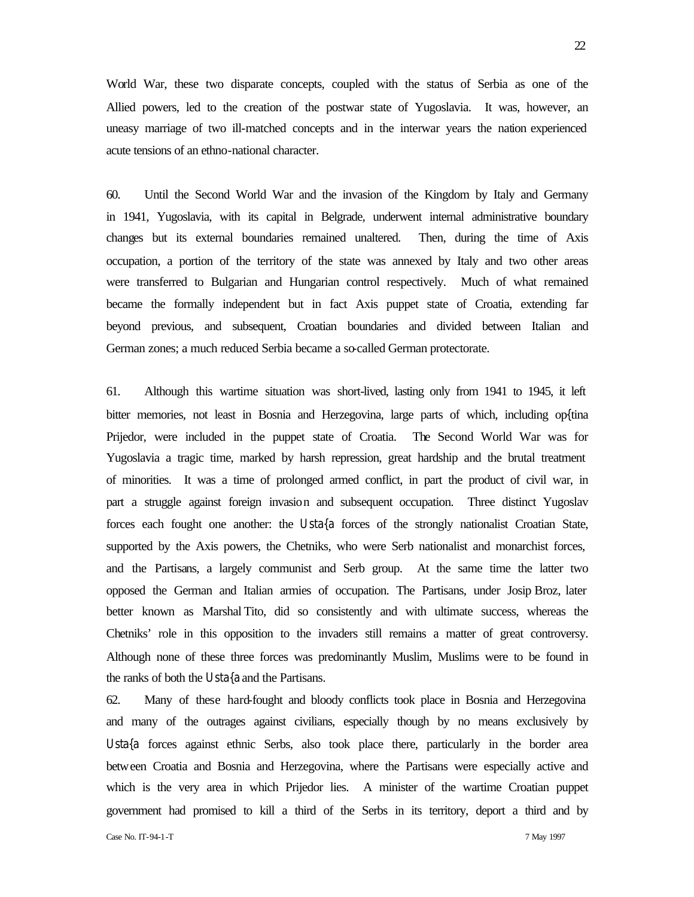World War, these two disparate concepts, coupled with the status of Serbia as one of the Allied powers, led to the creation of the postwar state of Yugoslavia. It was, however, an uneasy marriage of two ill-matched concepts and in the interwar years the nation experienced acute tensions of an ethno-national character.

60. Until the Second World War and the invasion of the Kingdom by Italy and Germany in 1941, Yugoslavia, with its capital in Belgrade, underwent internal administrative boundary changes but its external boundaries remained unaltered. Then, during the time of Axis occupation, a portion of the territory of the state was annexed by Italy and two other areas were transferred to Bulgarian and Hungarian control respectively. Much of what remained became the formally independent but in fact Axis puppet state of Croatia, extending far beyond previous, and subsequent, Croatian boundaries and divided between Italian and German zones; a much reduced Serbia became a so-called German protectorate.

61. Although this wartime situation was short-lived, lasting only from 1941 to 1945, it left bitter memories, not least in Bosnia and Herzegovina, large parts of which, including op{tina Prijedor, were included in the puppet state of Croatia. The Second World War was for Yugoslavia a tragic time, marked by harsh repression, great hardship and the brutal treatment of minorities. It was a time of prolonged armed conflict, in part the product of civil war, in part a struggle against foreign invasion and subsequent occupation. Three distinct Yugoslav forces each fought one another: the Usta{a forces of the strongly nationalist Croatian State, supported by the Axis powers, the Chetniks, who were Serb nationalist and monarchist forces, and the Partisans, a largely communist and Serb group. At the same time the latter two opposed the German and Italian armies of occupation. The Partisans, under Josip Broz, later better known as Marshal Tito, did so consistently and with ultimate success, whereas the Chetniks' role in this opposition to the invaders still remains a matter of great controversy. Although none of these three forces was predominantly Muslim, Muslims were to be found in the ranks of both the Usta{a and the Partisans.

62. Many of these hard-fought and bloody conflicts took place in Bosnia and Herzegovina and many of the outrages against civilians, especially though by no means exclusively by Usta{a forces against ethnic Serbs, also took place there, particularly in the border area between Croatia and Bosnia and Herzegovina, where the Partisans were especially active and which is the very area in which Prijedor lies. A minister of the wartime Croatian puppet government had promised to kill a third of the Serbs in its territory, deport a third and by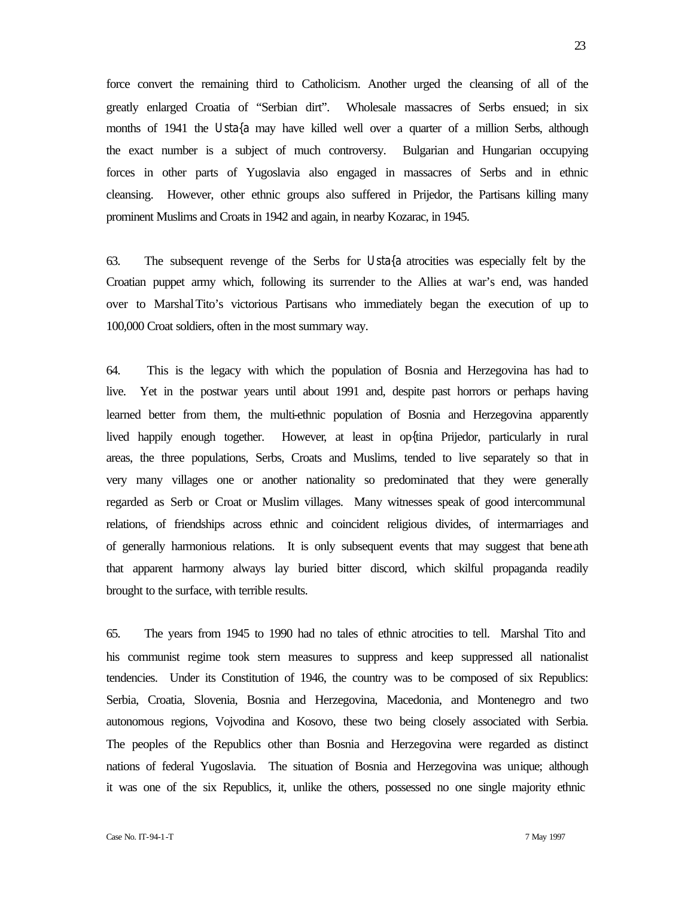force convert the remaining third to Catholicism. Another urged the cleansing of all of the greatly enlarged Croatia of "Serbian dirt". Wholesale massacres of Serbs ensued; in six months of 1941 the Usta{a may have killed well over a quarter of a million Serbs, although the exact number is a subject of much controversy. Bulgarian and Hungarian occupying forces in other parts of Yugoslavia also engaged in massacres of Serbs and in ethnic cleansing. However, other ethnic groups also suffered in Prijedor, the Partisans killing many prominent Muslims and Croats in 1942 and again, in nearby Kozarac, in 1945.

63. The subsequent revenge of the Serbs for Usta{a atrocities was especially felt by the Croatian puppet army which, following its surrender to the Allies at war's end, was handed over to MarshalTito's victorious Partisans who immediately began the execution of up to 100,000 Croat soldiers, often in the most summary way.

64. This is the legacy with which the population of Bosnia and Herzegovina has had to live. Yet in the postwar years until about 1991 and, despite past horrors or perhaps having learned better from them, the multi-ethnic population of Bosnia and Herzegovina apparently lived happily enough together. However, at least in op{tina Prijedor, particularly in rural areas, the three populations, Serbs, Croats and Muslims, tended to live separately so that in very many villages one or another nationality so predominated that they were generally regarded as Serb or Croat or Muslim villages. Many witnesses speak of good intercommunal relations, of friendships across ethnic and coincident religious divides, of intermarriages and of generally harmonious relations. It is only subsequent events that may suggest that beneath that apparent harmony always lay buried bitter discord, which skilful propaganda readily brought to the surface, with terrible results.

65. The years from 1945 to 1990 had no tales of ethnic atrocities to tell. Marshal Tito and his communist regime took stern measures to suppress and keep suppressed all nationalist tendencies. Under its Constitution of 1946, the country was to be composed of six Republics: Serbia, Croatia, Slovenia, Bosnia and Herzegovina, Macedonia, and Montenegro and two autonomous regions, Vojvodina and Kosovo, these two being closely associated with Serbia. The peoples of the Republics other than Bosnia and Herzegovina were regarded as distinct nations of federal Yugoslavia. The situation of Bosnia and Herzegovina was unique; although it was one of the six Republics, it, unlike the others, possessed no one single majority ethnic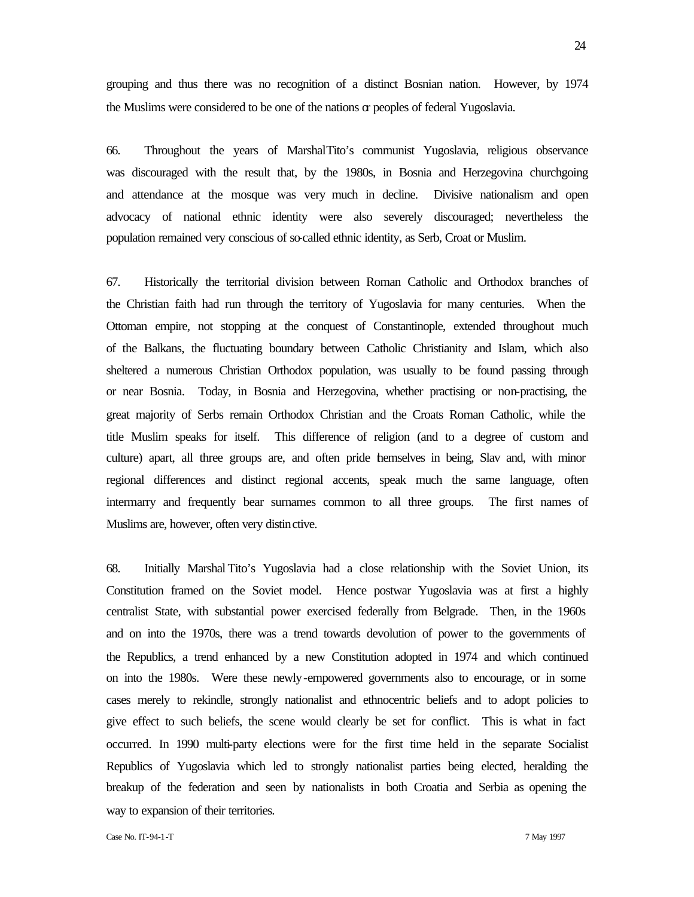grouping and thus there was no recognition of a distinct Bosnian nation. However, by 1974 the Muslims were considered to be one of the nations  $\alpha$  peoples of federal Yugoslavia.

66. Throughout the years of MarshalTito's communist Yugoslavia, religious observance was discouraged with the result that, by the 1980s, in Bosnia and Herzegovina churchgoing and attendance at the mosque was very much in decline. Divisive nationalism and open advocacy of national ethnic identity were also severely discouraged; nevertheless the population remained very conscious of so-called ethnic identity, as Serb, Croat or Muslim.

67. Historically the territorial division between Roman Catholic and Orthodox branches of the Christian faith had run through the territory of Yugoslavia for many centuries. When the Ottoman empire, not stopping at the conquest of Constantinople, extended throughout much of the Balkans, the fluctuating boundary between Catholic Christianity and Islam, which also sheltered a numerous Christian Orthodox population, was usually to be found passing through or near Bosnia. Today, in Bosnia and Herzegovina, whether practising or non-practising, the great majority of Serbs remain Orthodox Christian and the Croats Roman Catholic, while the title Muslim speaks for itself. This difference of religion (and to a degree of custom and culture) apart, all three groups are, and often pride themselves in being, Slav and, with minor regional differences and distinct regional accents, speak much the same language, often intermarry and frequently bear surnames common to all three groups. The first names of Muslims are, however, often very distinctive.

68. Initially Marshal Tito's Yugoslavia had a close relationship with the Soviet Union, its Constitution framed on the Soviet model. Hence postwar Yugoslavia was at first a highly centralist State, with substantial power exercised federally from Belgrade. Then, in the 1960s and on into the 1970s, there was a trend towards devolution of power to the governments of the Republics, a trend enhanced by a new Constitution adopted in 1974 and which continued on into the 1980s. Were these newly-empowered governments also to encourage, or in some cases merely to rekindle, strongly nationalist and ethnocentric beliefs and to adopt policies to give effect to such beliefs, the scene would clearly be set for conflict. This is what in fact occurred. In 1990 multi-party elections were for the first time held in the separate Socialist Republics of Yugoslavia which led to strongly nationalist parties being elected, heralding the breakup of the federation and seen by nationalists in both Croatia and Serbia as opening the way to expansion of their territories.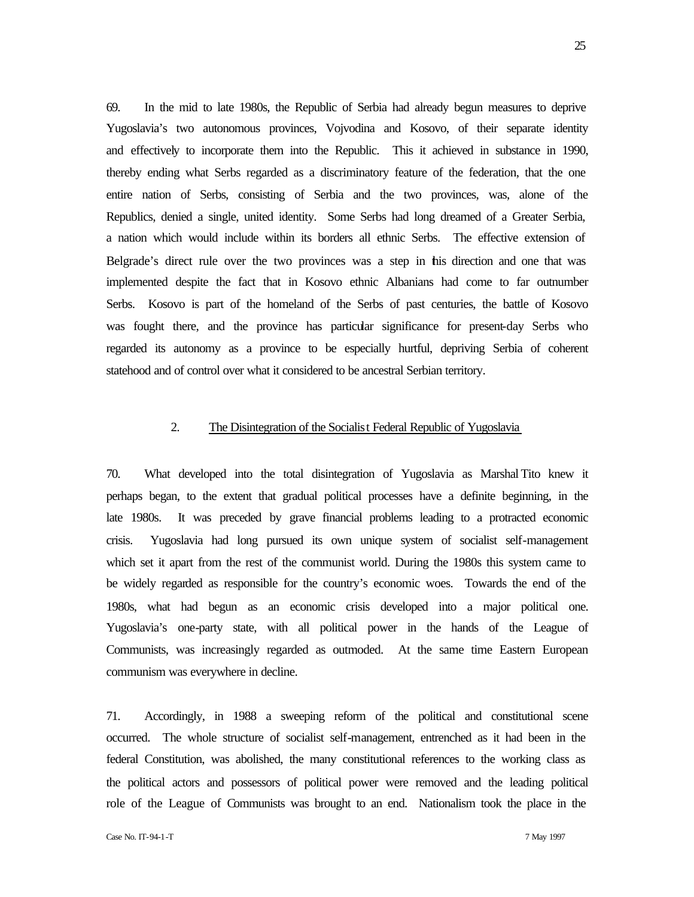69. In the mid to late 1980s, the Republic of Serbia had already begun measures to deprive Yugoslavia's two autonomous provinces, Vojvodina and Kosovo, of their separate identity and effectively to incorporate them into the Republic. This it achieved in substance in 1990, thereby ending what Serbs regarded as a discriminatory feature of the federation, that the one entire nation of Serbs, consisting of Serbia and the two provinces, was, alone of the Republics, denied a single, united identity. Some Serbs had long dreamed of a Greater Serbia, a nation which would include within its borders all ethnic Serbs. The effective extension of Belgrade's direct rule over the two provinces was a step in this direction and one that was implemented despite the fact that in Kosovo ethnic Albanians had come to far outnumber Serbs. Kosovo is part of the homeland of the Serbs of past centuries, the battle of Kosovo was fought there, and the province has particular significance for present-day Serbs who regarded its autonomy as a province to be especially hurtful, depriving Serbia of coherent statehood and of control over what it considered to be ancestral Serbian territory.

#### 2. The Disintegration of the Socialist Federal Republic of Yugoslavia

70. What developed into the total disintegration of Yugoslavia as Marshal Tito knew it perhaps began, to the extent that gradual political processes have a definite beginning, in the late 1980s. It was preceded by grave financial problems leading to a protracted economic crisis. Yugoslavia had long pursued its own unique system of socialist self-management which set it apart from the rest of the communist world. During the 1980s this system came to be widely regarded as responsible for the country's economic woes. Towards the end of the 1980s, what had begun as an economic crisis developed into a major political one. Yugoslavia's one-party state, with all political power in the hands of the League of Communists, was increasingly regarded as outmoded. At the same time Eastern European communism was everywhere in decline.

71. Accordingly, in 1988 a sweeping reform of the political and constitutional scene occurred. The whole structure of socialist self-management, entrenched as it had been in the federal Constitution, was abolished, the many constitutional references to the working class as the political actors and possessors of political power were removed and the leading political role of the League of Communists was brought to an end. Nationalism took the place in the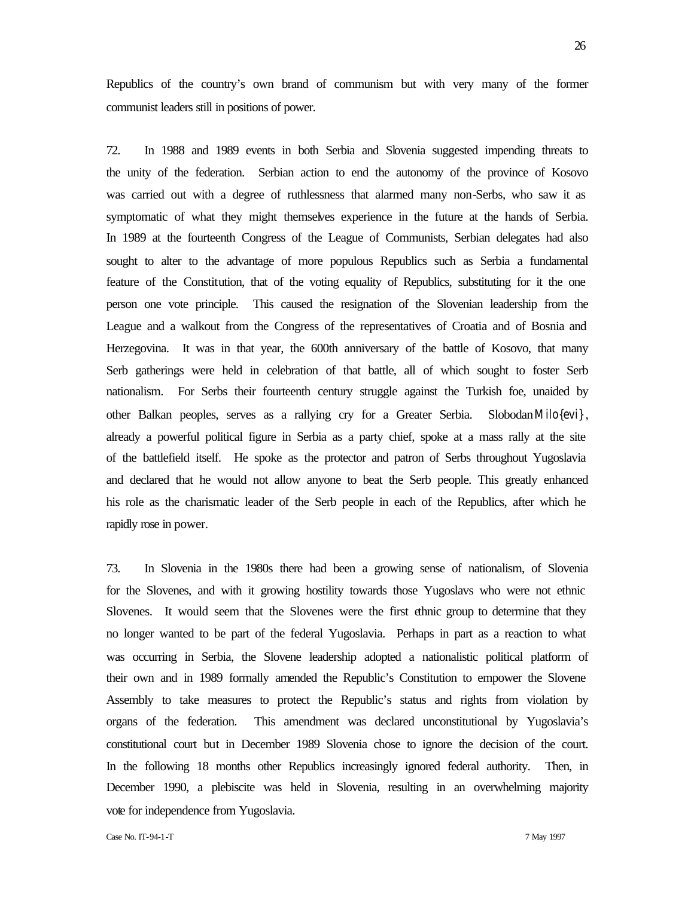72. In 1988 and 1989 events in both Serbia and Slovenia suggested impending threats to the unity of the federation. Serbian action to end the autonomy of the province of Kosovo was carried out with a degree of ruthlessness that alarmed many non-Serbs, who saw it as symptomatic of what they might themselves experience in the future at the hands of Serbia. In 1989 at the fourteenth Congress of the League of Communists, Serbian delegates had also sought to alter to the advantage of more populous Republics such as Serbia a fundamental feature of the Constitution, that of the voting equality of Republics, substituting for it the one person one vote principle. This caused the resignation of the Slovenian leadership from the League and a walkout from the Congress of the representatives of Croatia and of Bosnia and Herzegovina. It was in that year, the 600th anniversary of the battle of Kosovo, that many Serb gatherings were held in celebration of that battle, all of which sought to foster Serb nationalism. For Serbs their fourteenth century struggle against the Turkish foe, unaided by other Balkan peoples, serves as a rallying cry for a Greater Serbia. SlobodanMilo{evi} , already a powerful political figure in Serbia as a party chief, spoke at a mass rally at the site of the battlefield itself. He spoke as the protector and patron of Serbs throughout Yugoslavia and declared that he would not allow anyone to beat the Serb people. This greatly enhanced his role as the charismatic leader of the Serb people in each of the Republics, after which he rapidly rose in power.

73. In Slovenia in the 1980s there had been a growing sense of nationalism, of Slovenia for the Slovenes, and with it growing hostility towards those Yugoslavs who were not ethnic Slovenes. It would seem that the Slovenes were the first ethnic group to determine that they no longer wanted to be part of the federal Yugoslavia. Perhaps in part as a reaction to what was occurring in Serbia, the Slovene leadership adopted a nationalistic political platform of their own and in 1989 formally amended the Republic's Constitution to empower the Slovene Assembly to take measures to protect the Republic's status and rights from violation by organs of the federation. This amendment was declared unconstitutional by Yugoslavia's constitutional court but in December 1989 Slovenia chose to ignore the decision of the court. In the following 18 months other Republics increasingly ignored federal authority. Then, in December 1990, a plebiscite was held in Slovenia, resulting in an overwhelming majority vote for independence from Yugoslavia.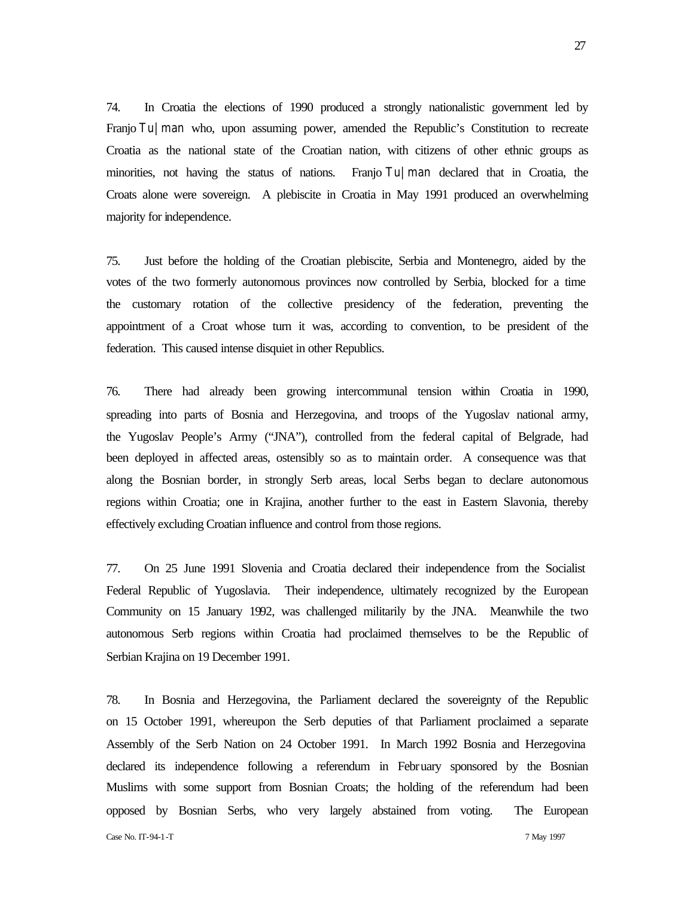74. In Croatia the elections of 1990 produced a strongly nationalistic government led by Franjo Tu | man who, upon assuming power, amended the Republic's Constitution to recreate Croatia as the national state of the Croatian nation, with citizens of other ethnic groups as minorities, not having the status of nations. Franjo Tu|man declared that in Croatia, the Croats alone were sovereign. A plebiscite in Croatia in May 1991 produced an overwhelming majority for independence.

75. Just before the holding of the Croatian plebiscite, Serbia and Montenegro, aided by the votes of the two formerly autonomous provinces now controlled by Serbia, blocked for a time the customary rotation of the collective presidency of the federation, preventing the appointment of a Croat whose turn it was, according to convention, to be president of the federation. This caused intense disquiet in other Republics.

76. There had already been growing intercommunal tension within Croatia in 1990, spreading into parts of Bosnia and Herzegovina, and troops of the Yugoslav national army, the Yugoslav People's Army ("JNA"), controlled from the federal capital of Belgrade, had been deployed in affected areas, ostensibly so as to maintain order. A consequence was that along the Bosnian border, in strongly Serb areas, local Serbs began to declare autonomous regions within Croatia; one in Krajina, another further to the east in Eastern Slavonia, thereby effectively excluding Croatian influence and control from those regions.

77. On 25 June 1991 Slovenia and Croatia declared their independence from the Socialist Federal Republic of Yugoslavia. Their independence, ultimately recognized by the European Community on 15 January 1992, was challenged militarily by the JNA. Meanwhile the two autonomous Serb regions within Croatia had proclaimed themselves to be the Republic of Serbian Krajina on 19 December 1991.

78. In Bosnia and Herzegovina, the Parliament declared the sovereignty of the Republic on 15 October 1991, whereupon the Serb deputies of that Parliament proclaimed a separate Assembly of the Serb Nation on 24 October 1991. In March 1992 Bosnia and Herzegovina declared its independence following a referendum in February sponsored by the Bosnian Muslims with some support from Bosnian Croats; the holding of the referendum had been opposed by Bosnian Serbs, who very largely abstained from voting. The European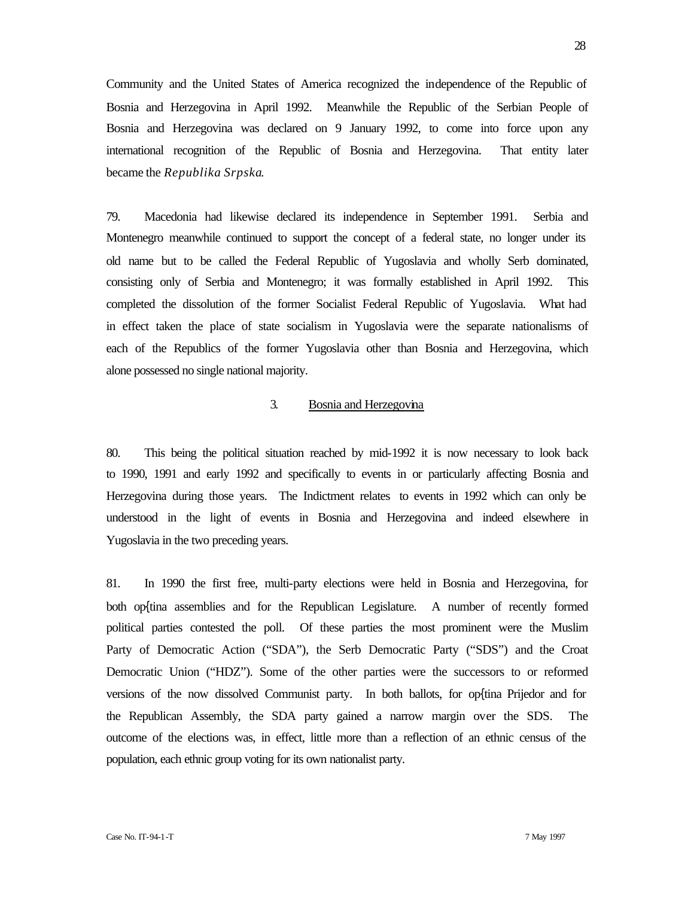Community and the United States of America recognized the independence of the Republic of Bosnia and Herzegovina in April 1992. Meanwhile the Republic of the Serbian People of Bosnia and Herzegovina was declared on 9 January 1992, to come into force upon any international recognition of the Republic of Bosnia and Herzegovina. That entity later became the *Republika Srpska*.

79. Macedonia had likewise declared its independence in September 1991. Serbia and Montenegro meanwhile continued to support the concept of a federal state, no longer under its old name but to be called the Federal Republic of Yugoslavia and wholly Serb dominated, consisting only of Serbia and Montenegro; it was formally established in April 1992. This completed the dissolution of the former Socialist Federal Republic of Yugoslavia. What had in effect taken the place of state socialism in Yugoslavia were the separate nationalisms of each of the Republics of the former Yugoslavia other than Bosnia and Herzegovina, which alone possessed no single national majority.

#### 3. Bosnia and Herzegovina

80. This being the political situation reached by mid-1992 it is now necessary to look back to 1990, 1991 and early 1992 and specifically to events in or particularly affecting Bosnia and Herzegovina during those years. The Indictment relates to events in 1992 which can only be understood in the light of events in Bosnia and Herzegovina and indeed elsewhere in Yugoslavia in the two preceding years.

81. In 1990 the first free, multi-party elections were held in Bosnia and Herzegovina, for both op{tina assemblies and for the Republican Legislature. A number of recently formed political parties contested the poll. Of these parties the most prominent were the Muslim Party of Democratic Action ("SDA"), the Serb Democratic Party ("SDS") and the Croat Democratic Union ("HDZ"). Some of the other parties were the successors to or reformed versions of the now dissolved Communist party. In both ballots, for op{tina Prijedor and for the Republican Assembly, the SDA party gained a narrow margin over the SDS. The outcome of the elections was, in effect, little more than a reflection of an ethnic census of the population, each ethnic group voting for its own nationalist party.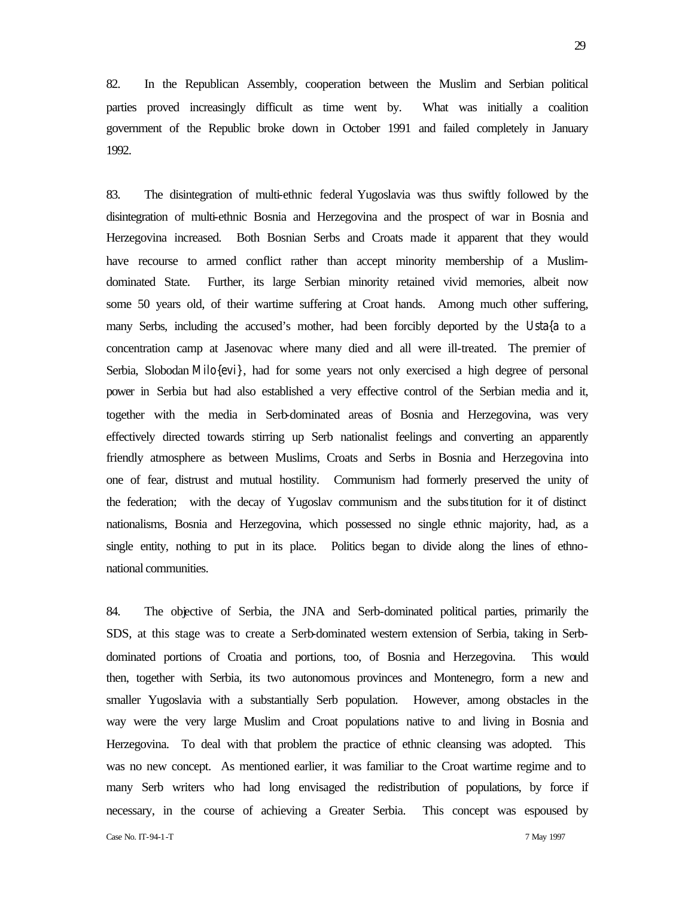82. In the Republican Assembly, cooperation between the Muslim and Serbian political parties proved increasingly difficult as time went by. What was initially a coalition government of the Republic broke down in October 1991 and failed completely in January 1992.

83. The disintegration of multi-ethnic federal Yugoslavia was thus swiftly followed by the disintegration of multi-ethnic Bosnia and Herzegovina and the prospect of war in Bosnia and Herzegovina increased. Both Bosnian Serbs and Croats made it apparent that they would have recourse to armed conflict rather than accept minority membership of a Muslimdominated State. Further, its large Serbian minority retained vivid memories, albeit now some 50 years old, of their wartime suffering at Croat hands. Among much other suffering, many Serbs, including the accused's mother, had been forcibly deported by the Usta{a to a concentration camp at Jasenovac where many died and all were ill-treated. The premier of Serbia, Slobodan Milo{evi}, had for some years not only exercised a high degree of personal power in Serbia but had also established a very effective control of the Serbian media and it, together with the media in Serb-dominated areas of Bosnia and Herzegovina, was very effectively directed towards stirring up Serb nationalist feelings and converting an apparently friendly atmosphere as between Muslims, Croats and Serbs in Bosnia and Herzegovina into one of fear, distrust and mutual hostility. Communism had formerly preserved the unity of the federation; with the decay of Yugoslav communism and the substitution for it of distinct nationalisms, Bosnia and Herzegovina, which possessed no single ethnic majority, had, as a single entity, nothing to put in its place. Politics began to divide along the lines of ethnonational communities.

84. The objective of Serbia, the JNA and Serb-dominated political parties, primarily the SDS, at this stage was to create a Serb-dominated western extension of Serbia, taking in Serbdominated portions of Croatia and portions, too, of Bosnia and Herzegovina. This would then, together with Serbia, its two autonomous provinces and Montenegro, form a new and smaller Yugoslavia with a substantially Serb population. However, among obstacles in the way were the very large Muslim and Croat populations native to and living in Bosnia and Herzegovina. To deal with that problem the practice of ethnic cleansing was adopted. This was no new concept. As mentioned earlier, it was familiar to the Croat wartime regime and to many Serb writers who had long envisaged the redistribution of populations, by force if necessary, in the course of achieving a Greater Serbia. This concept was espoused by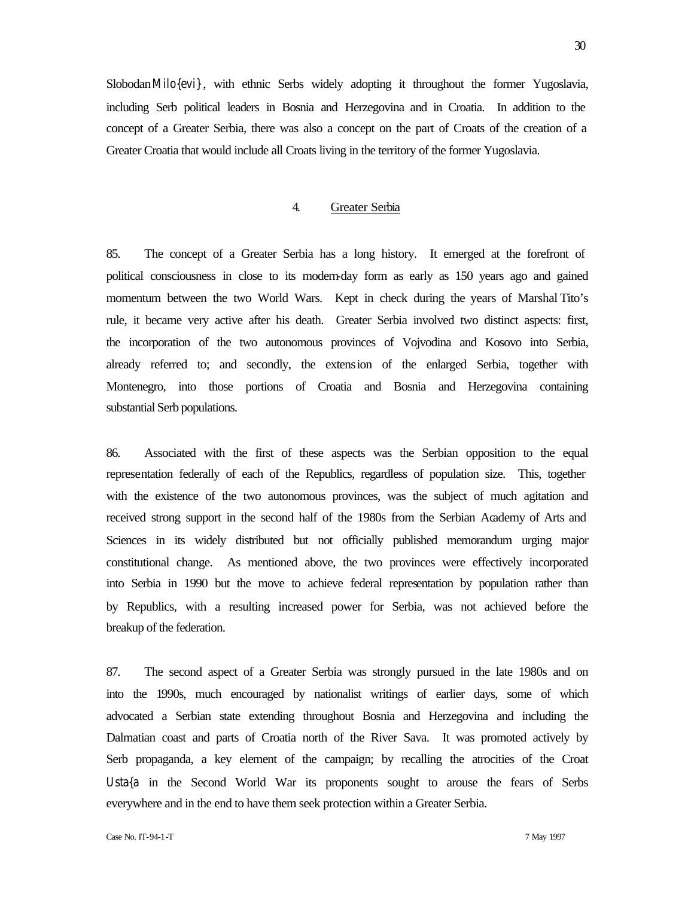SlobodanMilo{evi} , with ethnic Serbs widely adopting it throughout the former Yugoslavia, including Serb political leaders in Bosnia and Herzegovina and in Croatia. In addition to the concept of a Greater Serbia, there was also a concept on the part of Croats of the creation of a Greater Croatia that would include all Croats living in the territory of the former Yugoslavia.

#### 4. Greater Serbia

85. The concept of a Greater Serbia has a long history. It emerged at the forefront of political consciousness in close to its modern-day form as early as 150 years ago and gained momentum between the two World Wars. Kept in check during the years of Marshal Tito's rule, it became very active after his death. Greater Serbia involved two distinct aspects: first, the incorporation of the two autonomous provinces of Vojvodina and Kosovo into Serbia, already referred to; and secondly, the extension of the enlarged Serbia, together with Montenegro, into those portions of Croatia and Bosnia and Herzegovina containing substantial Serb populations.

86. Associated with the first of these aspects was the Serbian opposition to the equal representation federally of each of the Republics, regardless of population size. This, together with the existence of the two autonomous provinces, was the subject of much agitation and received strong support in the second half of the 1980s from the Serbian Academy of Arts and Sciences in its widely distributed but not officially published memorandum urging major constitutional change. As mentioned above, the two provinces were effectively incorporated into Serbia in 1990 but the move to achieve federal representation by population rather than by Republics, with a resulting increased power for Serbia, was not achieved before the breakup of the federation.

87. The second aspect of a Greater Serbia was strongly pursued in the late 1980s and on into the 1990s, much encouraged by nationalist writings of earlier days, some of which advocated a Serbian state extending throughout Bosnia and Herzegovina and including the Dalmatian coast and parts of Croatia north of the River Sava. It was promoted actively by Serb propaganda, a key element of the campaign; by recalling the atrocities of the Croat Usta{a in the Second World War its proponents sought to arouse the fears of Serbs everywhere and in the end to have them seek protection within a Greater Serbia.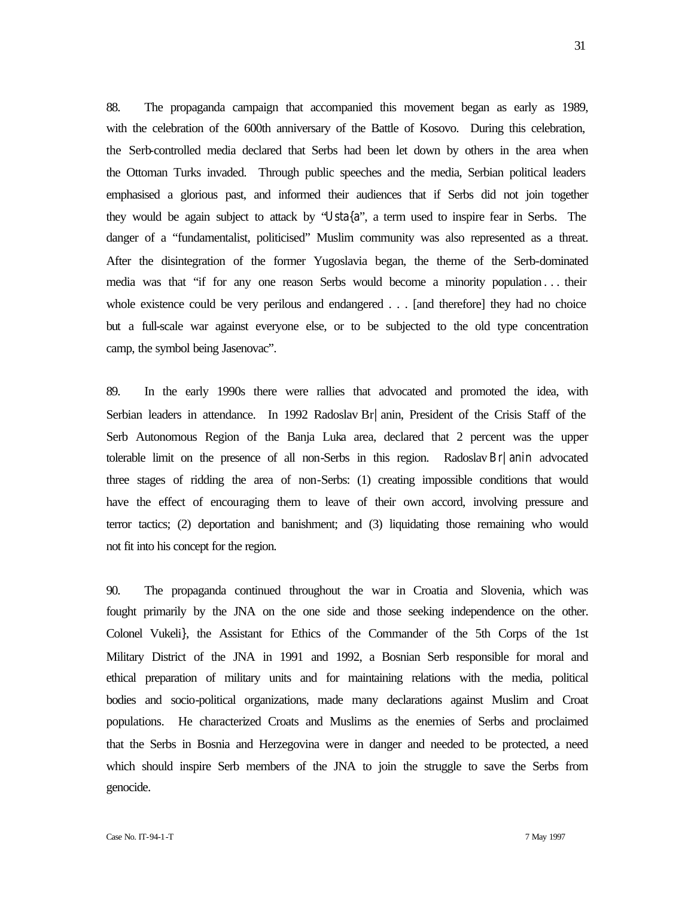88. The propaganda campaign that accompanied this movement began as early as 1989, with the celebration of the 600th anniversary of the Battle of Kosovo. During this celebration, the Serb-controlled media declared that Serbs had been let down by others in the area when the Ottoman Turks invaded. Through public speeches and the media, Serbian political leaders emphasised a glorious past, and informed their audiences that if Serbs did not join together they would be again subject to attack by "Usta{a", a term used to inspire fear in Serbs. The danger of a "fundamentalist, politicised" Muslim community was also represented as a threat. After the disintegration of the former Yugoslavia began, the theme of the Serb-dominated media was that "if for any one reason Serbs would become a minority population . . . their whole existence could be very perilous and endangered . . . [and therefore] they had no choice but a full-scale war against everyone else, or to be subjected to the old type concentration camp, the symbol being Jasenovac".

89. In the early 1990s there were rallies that advocated and promoted the idea, with Serbian leaders in attendance. In 1992 Radoslav Br anin, President of the Crisis Staff of the Serb Autonomous Region of the Banja Luka area, declared that 2 percent was the upper tolerable limit on the presence of all non-Serbs in this region. Radoslav  $Br |<sub>a</sub>$  and non-serbs in this region. three stages of ridding the area of non-Serbs: (1) creating impossible conditions that would have the effect of encouraging them to leave of their own accord, involving pressure and terror tactics; (2) deportation and banishment; and (3) liquidating those remaining who would not fit into his concept for the region.

90. The propaganda continued throughout the war in Croatia and Slovenia, which was fought primarily by the JNA on the one side and those seeking independence on the other. Colonel Vukeli}, the Assistant for Ethics of the Commander of the 5th Corps of the 1st Military District of the JNA in 1991 and 1992, a Bosnian Serb responsible for moral and ethical preparation of military units and for maintaining relations with the media, political bodies and socio-political organizations, made many declarations against Muslim and Croat populations. He characterized Croats and Muslims as the enemies of Serbs and proclaimed that the Serbs in Bosnia and Herzegovina were in danger and needed to be protected, a need which should inspire Serb members of the JNA to join the struggle to save the Serbs from genocide.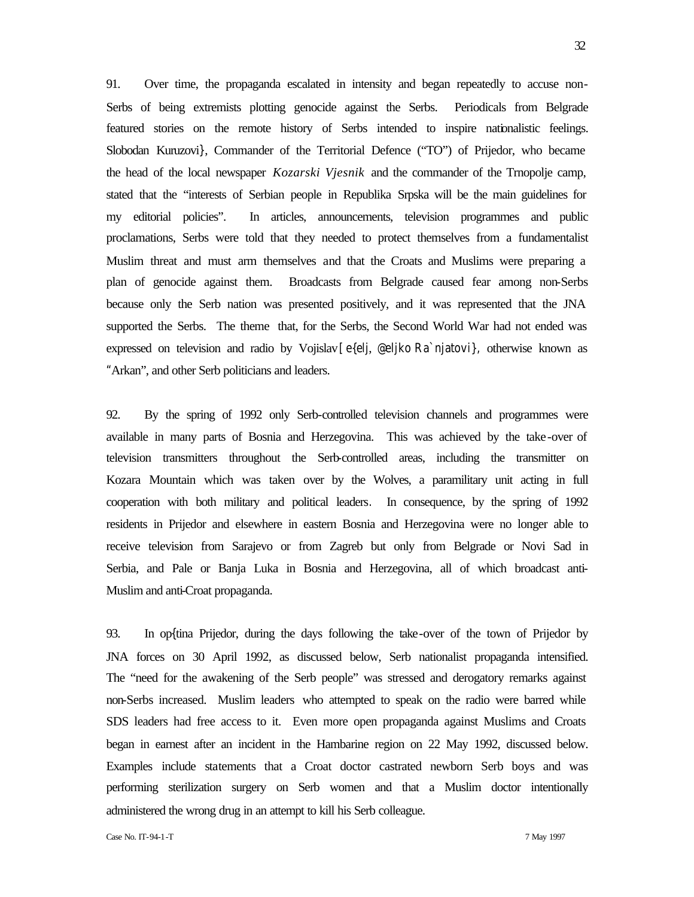91. Over time, the propaganda escalated in intensity and began repeatedly to accuse non-Serbs of being extremists plotting genocide against the Serbs. Periodicals from Belgrade featured stories on the remote history of Serbs intended to inspire nationalistic feelings. Slobodan Kuruzovi}, Commander of the Territorial Defence ("TO") of Prijedor, who became the head of the local newspaper *Kozarski Vjesnik* and the commander of the Trnopolje camp, stated that the "interests of Serbian people in Republika Srpska will be the main guidelines for my editorial policies". In articles, announcements, television programmes and public proclamations, Serbs were told that they needed to protect themselves from a fundamentalist Muslim threat and must arm themselves and that the Croats and Muslims were preparing a plan of genocide against them. Broadcasts from Belgrade caused fear among non-Serbs because only the Serb nation was presented positively, and it was represented that the JNA supported the Serbs. The theme that, for the Serbs, the Second World War had not ended was expressed on television and radio by Vojislav[e{elj, @eljko Ra`njatovi}, otherwise known as "Arkan", and other Serb politicians and leaders.

92. By the spring of 1992 only Serb-controlled television channels and programmes were available in many parts of Bosnia and Herzegovina. This was achieved by the take-over of television transmitters throughout the Serb-controlled areas, including the transmitter on Kozara Mountain which was taken over by the Wolves, a paramilitary unit acting in full cooperation with both military and political leaders. In consequence, by the spring of 1992 residents in Prijedor and elsewhere in eastern Bosnia and Herzegovina were no longer able to receive television from Sarajevo or from Zagreb but only from Belgrade or Novi Sad in Serbia, and Pale or Banja Luka in Bosnia and Herzegovina, all of which broadcast anti-Muslim and anti-Croat propaganda.

93. In op{tina Prijedor, during the days following the take-over of the town of Prijedor by JNA forces on 30 April 1992, as discussed below, Serb nationalist propaganda intensified. The "need for the awakening of the Serb people" was stressed and derogatory remarks against non-Serbs increased. Muslim leaders who attempted to speak on the radio were barred while SDS leaders had free access to it. Even more open propaganda against Muslims and Croats began in earnest after an incident in the Hambarine region on 22 May 1992, discussed below. Examples include statements that a Croat doctor castrated newborn Serb boys and was performing sterilization surgery on Serb women and that a Muslim doctor intentionally administered the wrong drug in an attempt to kill his Serb colleague.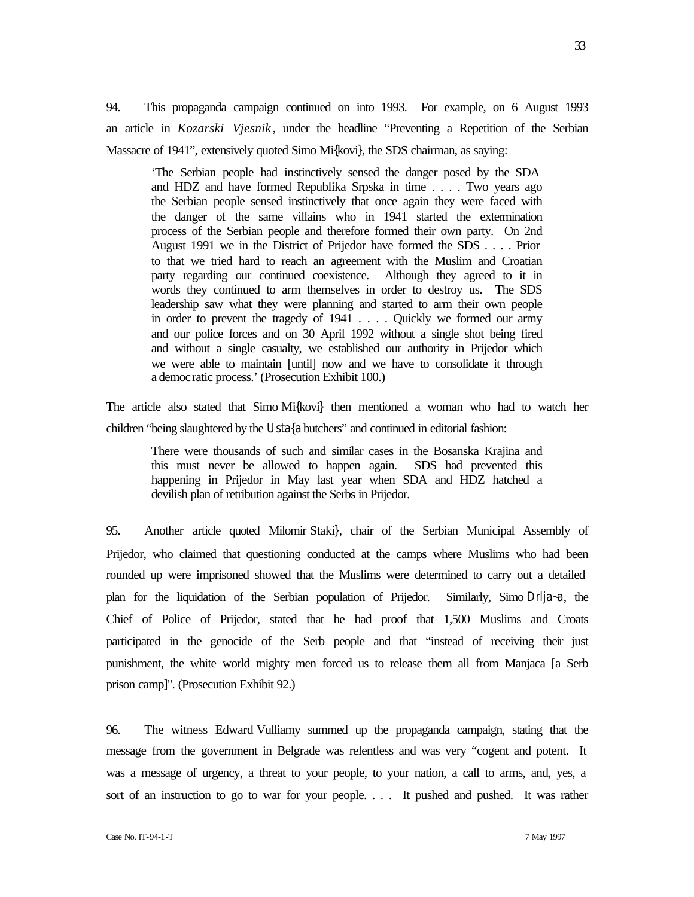94. This propaganda campaign continued on into 1993. For example, on 6 August 1993 an article in *Kozarski Vjesnik* , under the headline "Preventing a Repetition of the Serbian Massacre of 1941", extensively quoted Simo Mi{kovi}, the SDS chairman, as saying:

'The Serbian people had instinctively sensed the danger posed by the SDA and HDZ and have formed Republika Srpska in time . . . . Two years ago the Serbian people sensed instinctively that once again they were faced with the danger of the same villains who in 1941 started the extermination process of the Serbian people and therefore formed their own party. On 2nd August 1991 we in the District of Prijedor have formed the SDS . . . . Prior to that we tried hard to reach an agreement with the Muslim and Croatian party regarding our continued coexistence. Although they agreed to it in words they continued to arm themselves in order to destroy us. The SDS leadership saw what they were planning and started to arm their own people in order to prevent the tragedy of 1941 . . . . Quickly we formed our army and our police forces and on 30 April 1992 without a single shot being fired and without a single casualty, we established our authority in Prijedor which we were able to maintain [until] now and we have to consolidate it through a democratic process.' (Prosecution Exhibit 100.)

The article also stated that Simo Mi{kovi} then mentioned a woman who had to watch her children "being slaughtered by the Usta{a butchers" and continued in editorial fashion:

There were thousands of such and similar cases in the Bosanska Krajina and this must never be allowed to happen again. SDS had prevented this happening in Prijedor in May last year when SDA and HDZ hatched a devilish plan of retribution against the Serbs in Prijedor.

95. Another article quoted Milomir Staki}, chair of the Serbian Municipal Assembly of Prijedor, who claimed that questioning conducted at the camps where Muslims who had been rounded up were imprisoned showed that the Muslims were determined to carry out a detailed plan for the liquidation of the Serbian population of Prijedor. Similarly, Simo Drlja~a, the Chief of Police of Prijedor, stated that he had proof that 1,500 Muslims and Croats participated in the genocide of the Serb people and that "instead of receiving their just punishment, the white world mighty men forced us to release them all from Manjaca [a Serb prison camp]". (Prosecution Exhibit 92.)

96. The witness Edward Vulliamy summed up the propaganda campaign, stating that the message from the government in Belgrade was relentless and was very "cogent and potent. It was a message of urgency, a threat to your people, to your nation, a call to arms, and, yes, a sort of an instruction to go to war for your people. . . . It pushed and pushed. It was rather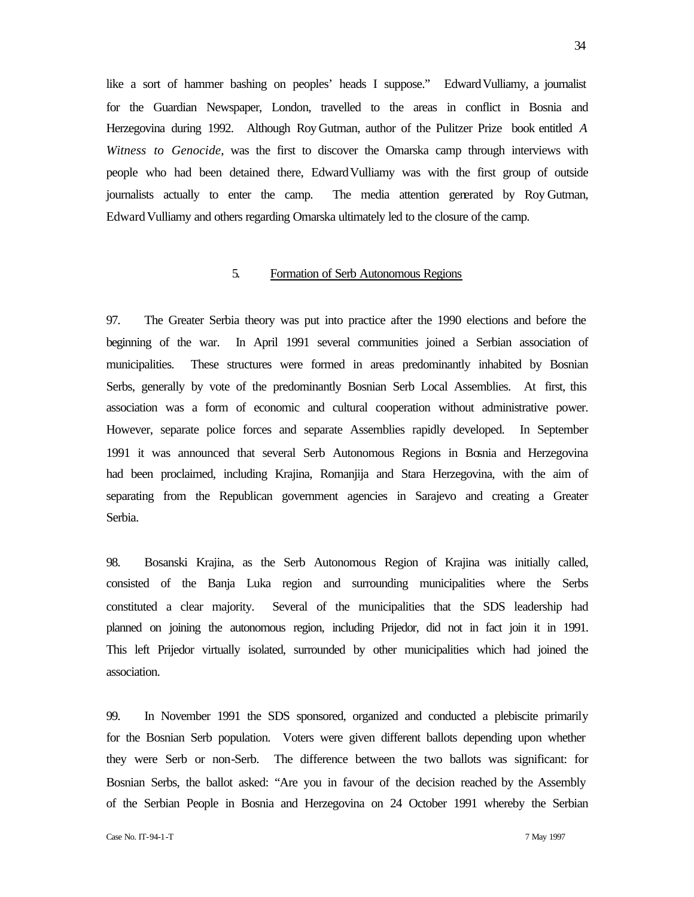like a sort of hammer bashing on peoples' heads I suppose." Edward Vulliamy, a journalist for the Guardian Newspaper, London, travelled to the areas in conflict in Bosnia and Herzegovina during 1992. Although Roy Gutman, author of the Pulitzer Prize book entitled *A Witness to Genocide*, was the first to discover the Omarska camp through interviews with people who had been detained there, EdwardVulliamy was with the first group of outside journalists actually to enter the camp. The media attention generated by Roy Gutman, Edward Vulliamy and others regarding Omarska ultimately led to the closure of the camp.

# 5. Formation of Serb Autonomous Regions

97. The Greater Serbia theory was put into practice after the 1990 elections and before the beginning of the war. In April 1991 several communities joined a Serbian association of municipalities. These structures were formed in areas predominantly inhabited by Bosnian Serbs, generally by vote of the predominantly Bosnian Serb Local Assemblies. At first, this association was a form of economic and cultural cooperation without administrative power. However, separate police forces and separate Assemblies rapidly developed. In September 1991 it was announced that several Serb Autonomous Regions in Bosnia and Herzegovina had been proclaimed, including Krajina, Romanjija and Stara Herzegovina, with the aim of separating from the Republican government agencies in Sarajevo and creating a Greater Serbia.

98. Bosanski Krajina, as the Serb Autonomous Region of Krajina was initially called, consisted of the Banja Luka region and surrounding municipalities where the Serbs constituted a clear majority. Several of the municipalities that the SDS leadership had planned on joining the autonomous region, including Prijedor, did not in fact join it in 1991. This left Prijedor virtually isolated, surrounded by other municipalities which had joined the association.

99. In November 1991 the SDS sponsored, organized and conducted a plebiscite primarily for the Bosnian Serb population. Voters were given different ballots depending upon whether they were Serb or non-Serb. The difference between the two ballots was significant: for Bosnian Serbs, the ballot asked: "Are you in favour of the decision reached by the Assembly of the Serbian People in Bosnia and Herzegovina on 24 October 1991 whereby the Serbian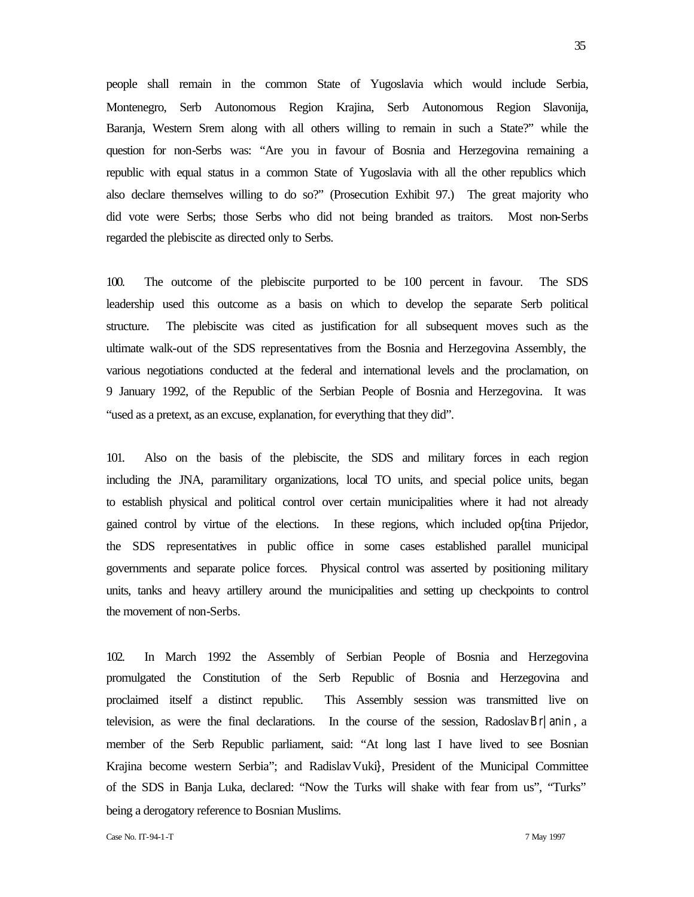people shall remain in the common State of Yugoslavia which would include Serbia, Montenegro, Serb Autonomous Region Krajina, Serb Autonomous Region Slavonija, Baranja, Western Srem along with all others willing to remain in such a State?" while the question for non-Serbs was: "Are you in favour of Bosnia and Herzegovina remaining a republic with equal status in a common State of Yugoslavia with all the other republics which also declare themselves willing to do so?" (Prosecution Exhibit 97.) The great majority who did vote were Serbs; those Serbs who did not being branded as traitors. Most non-Serbs regarded the plebiscite as directed only to Serbs.

100. The outcome of the plebiscite purported to be 100 percent in favour. The SDS leadership used this outcome as a basis on which to develop the separate Serb political structure. The plebiscite was cited as justification for all subsequent moves such as the ultimate walk-out of the SDS representatives from the Bosnia and Herzegovina Assembly, the various negotiations conducted at the federal and international levels and the proclamation, on 9 January 1992, of the Republic of the Serbian People of Bosnia and Herzegovina. It was "used as a pretext, as an excuse, explanation, for everything that they did".

101. Also on the basis of the plebiscite, the SDS and military forces in each region including the JNA, paramilitary organizations, local TO units, and special police units, began to establish physical and political control over certain municipalities where it had not already gained control by virtue of the elections. In these regions, which included op{tina Prijedor, the SDS representatives in public office in some cases established parallel municipal governments and separate police forces. Physical control was asserted by positioning military units, tanks and heavy artillery around the municipalities and setting up checkpoints to control the movement of non-Serbs.

102. In March 1992 the Assembly of Serbian People of Bosnia and Herzegovina promulgated the Constitution of the Serb Republic of Bosnia and Herzegovina and proclaimed itself a distinct republic. This Assembly session was transmitted live on television, as were the final declarations. In the course of the session, Radoslav Br anin, a member of the Serb Republic parliament, said: "At long last I have lived to see Bosnian Krajina become western Serbia"; and Radislav Vuki}, President of the Municipal Committee of the SDS in Banja Luka, declared: "Now the Turks will shake with fear from us", "Turks" being a derogatory reference to Bosnian Muslims.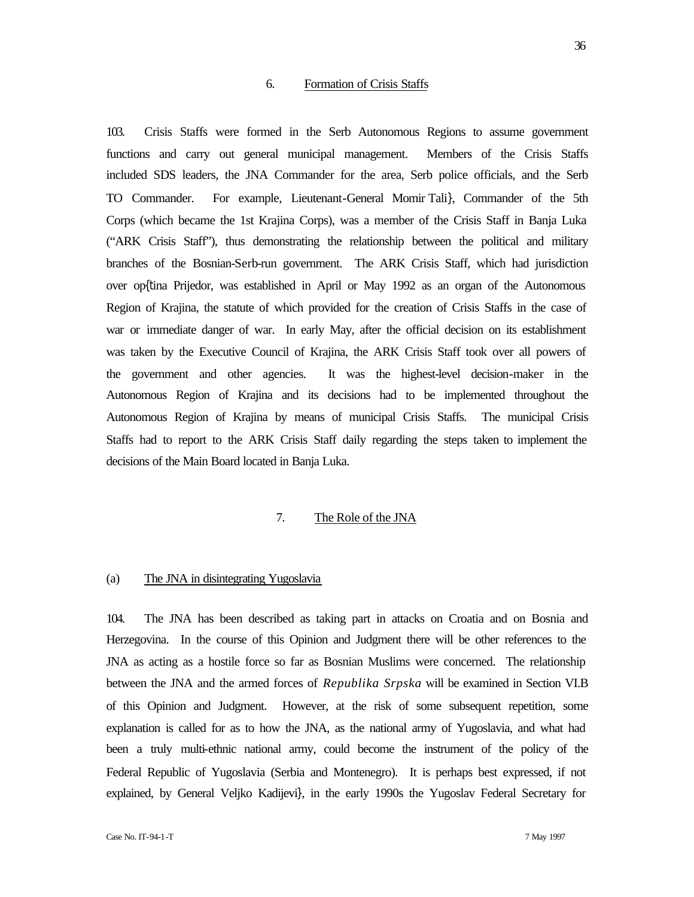#### 6. Formation of Crisis Staffs

103. Crisis Staffs were formed in the Serb Autonomous Regions to assume government functions and carry out general municipal management. Members of the Crisis Staffs included SDS leaders, the JNA Commander for the area, Serb police officials, and the Serb TO Commander. For example, Lieutenant-General Momir Tali}, Commander of the 5th Corps (which became the 1st Krajina Corps), was a member of the Crisis Staff in Banja Luka ("ARK Crisis Staff"), thus demonstrating the relationship between the political and military branches of the Bosnian-Serb-run government. The ARK Crisis Staff, which had jurisdiction over op{tina Prijedor, was established in April or May 1992 as an organ of the Autonomous Region of Krajina, the statute of which provided for the creation of Crisis Staffs in the case of war or immediate danger of war. In early May, after the official decision on its establishment was taken by the Executive Council of Krajina, the ARK Crisis Staff took over all powers of the government and other agencies. It was the highest-level decision-maker in the Autonomous Region of Krajina and its decisions had to be implemented throughout the Autonomous Region of Krajina by means of municipal Crisis Staffs. The municipal Crisis Staffs had to report to the ARK Crisis Staff daily regarding the steps taken to implement the decisions of the Main Board located in Banja Luka.

### 7. The Role of the JNA

# (a) The JNA in disintegrating Yugoslavia

104. The JNA has been described as taking part in attacks on Croatia and on Bosnia and Herzegovina. In the course of this Opinion and Judgment there will be other references to the JNA as acting as a hostile force so far as Bosnian Muslims were concerned. The relationship between the JNA and the armed forces of *Republika Srpska* will be examined in Section VI.B of this Opinion and Judgment. However, at the risk of some subsequent repetition, some explanation is called for as to how the JNA, as the national army of Yugoslavia, and what had been a truly multi-ethnic national army, could become the instrument of the policy of the Federal Republic of Yugoslavia (Serbia and Montenegro). It is perhaps best expressed, if not explained, by General Veljko Kadijevi}, in the early 1990s the Yugoslav Federal Secretary for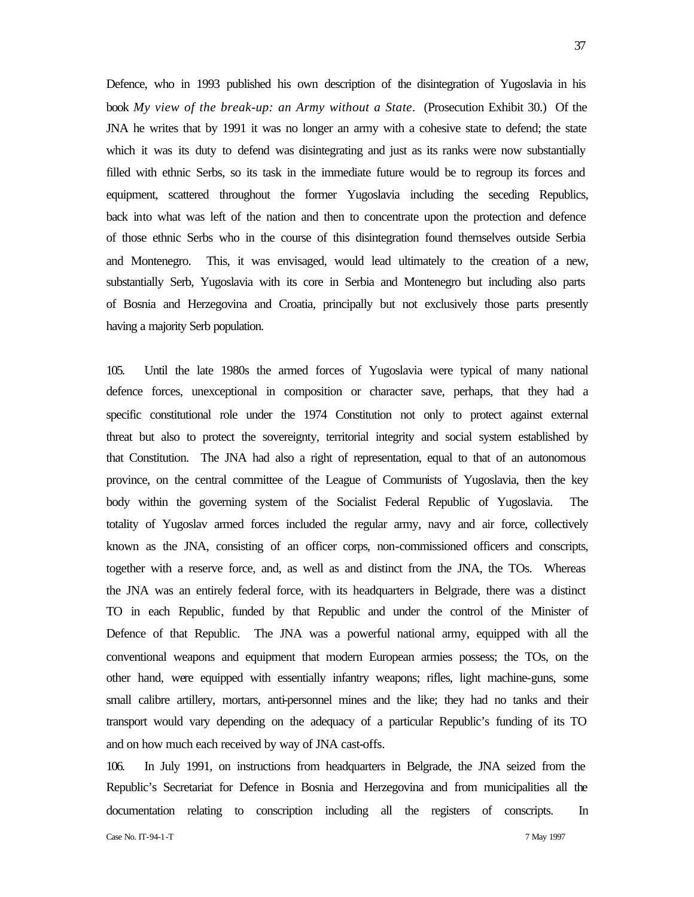Defence, who in 1993 published his own description of the disintegration of Yugoslavia in his book *My view of the break-up: an Army without a State*. (Prosecution Exhibit 30.) Of the JNA he writes that by 1991 it was no longer an army with a cohesive state to defend; the state which it was its duty to defend was disintegrating and just as its ranks were now substantially filled with ethnic Serbs, so its task in the immediate future would be to regroup its forces and equipment, scattered throughout the former Yugoslavia including the seceding Republics, back into what was left of the nation and then to concentrate upon the protection and defence of those ethnic Serbs who in the course of this disintegration found themselves outside Serbia and Montenegro. This, it was envisaged, would lead ultimately to the creation of a new, substantially Serb, Yugoslavia with its core in Serbia and Montenegro but including also parts of Bosnia and Herzegovina and Croatia, principally but not exclusively those parts presently having a majority Serb population.

105. Until the late 1980s the armed forces of Yugoslavia were typical of many national defence forces, unexceptional in composition or character save, perhaps, that they had a specific constitutional role under the 1974 Constitution not only to protect against external threat but also to protect the sovereignty, territorial integrity and social system established by that Constitution. The JNA had also a right of representation, equal to that of an autonomous province, on the central committee of the League of Communists of Yugoslavia, then the key body within the governing system of the Socialist Federal Republic of Yugoslavia. The totality of Yugoslav armed forces included the regular army, navy and air force, collectively known as the JNA, consisting of an officer corps, non-commissioned officers and conscripts, together with a reserve force, and, as well as and distinct from the JNA, the TOs. Whereas the JNA was an entirely federal force, with its headquarters in Belgrade, there was a distinct TO in each Republic, funded by that Republic and under the control of the Minister of Defence of that Republic. The JNA was a powerful national army, equipped with all the conventional weapons and equipment that modern European armies possess; the TOs, on the other hand, were equipped with essentially infantry weapons; rifles, light machine-guns, some small calibre artillery, mortars, anti-personnel mines and the like; they had no tanks and their transport would vary depending on the adequacy of a particular Republic's funding of its TO and on how much each received by way of JNA cast-offs.

106. In July 1991, on instructions from headquarters in Belgrade, the JNA seized from the Republic's Secretariat for Defence in Bosnia and Herzegovina and from municipalities all the documentation relating to conscription including all the registers of conscripts. In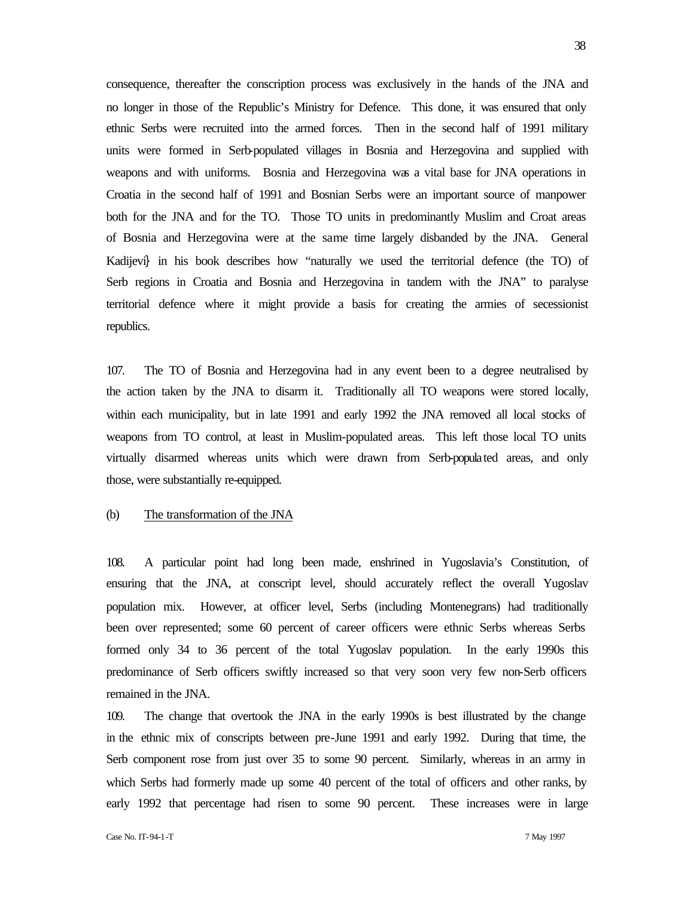consequence, thereafter the conscription process was exclusively in the hands of the JNA and no longer in those of the Republic's Ministry for Defence. This done, it was ensured that only ethnic Serbs were recruited into the armed forces. Then in the second half of 1991 military units were formed in Serb-populated villages in Bosnia and Herzegovina and supplied with weapons and with uniforms. Bosnia and Herzegovina was a vital base for JNA operations in Croatia in the second half of 1991 and Bosnian Serbs were an important source of manpower both for the JNA and for the TO. Those TO units in predominantly Muslim and Croat areas of Bosnia and Herzegovina were at the same time largely disbanded by the JNA. General Kadijevi} in his book describes how "naturally we used the territorial defence (the TO) of Serb regions in Croatia and Bosnia and Herzegovina in tandem with the JNA" to paralyse territorial defence where it might provide a basis for creating the armies of secessionist republics.

107. The TO of Bosnia and Herzegovina had in any event been to a degree neutralised by the action taken by the JNA to disarm it. Traditionally all TO weapons were stored locally, within each municipality, but in late 1991 and early 1992 the JNA removed all local stocks of weapons from TO control, at least in Muslim-populated areas. This left those local TO units virtually disarmed whereas units which were drawn from Serb-popula ted areas, and only those, were substantially re-equipped.

#### (b) The transformation of the JNA

108. A particular point had long been made, enshrined in Yugoslavia's Constitution, of ensuring that the JNA, at conscript level, should accurately reflect the overall Yugoslav population mix. However, at officer level, Serbs (including Montenegrans) had traditionally been over represented; some 60 percent of career officers were ethnic Serbs whereas Serbs formed only 34 to 36 percent of the total Yugoslav population. In the early 1990s this predominance of Serb officers swiftly increased so that very soon very few non-Serb officers remained in the JNA.

109. The change that overtook the JNA in the early 1990s is best illustrated by the change in the ethnic mix of conscripts between pre-June 1991 and early 1992. During that time, the Serb component rose from just over 35 to some 90 percent. Similarly, whereas in an army in which Serbs had formerly made up some 40 percent of the total of officers and other ranks, by early 1992 that percentage had risen to some 90 percent. These increases were in large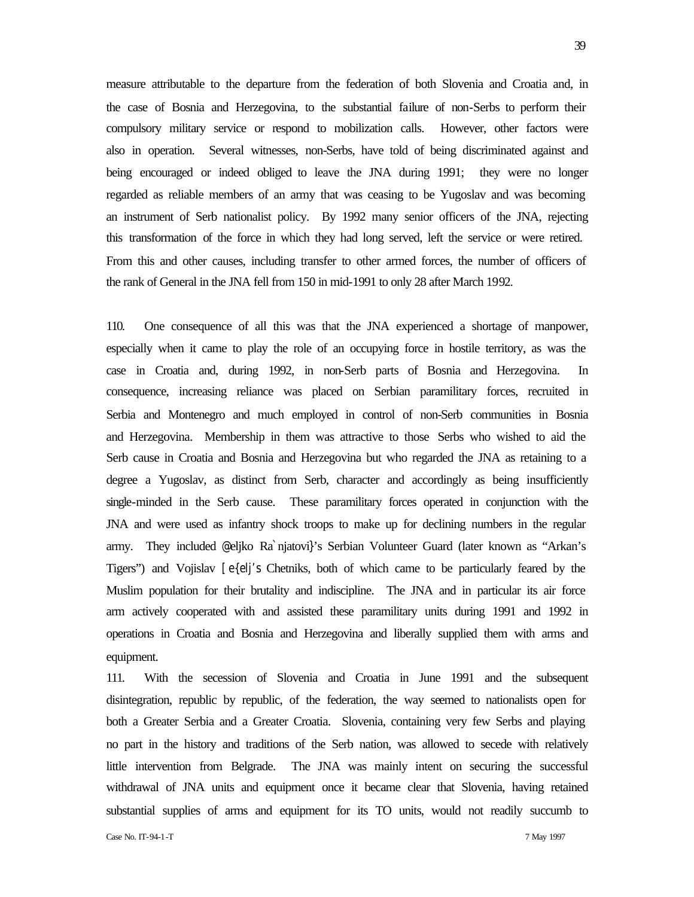measure attributable to the departure from the federation of both Slovenia and Croatia and, in the case of Bosnia and Herzegovina, to the substantial failure of non-Serbs to perform their compulsory military service or respond to mobilization calls. However, other factors were also in operation. Several witnesses, non-Serbs, have told of being discriminated against and being encouraged or indeed obliged to leave the JNA during 1991; they were no longer regarded as reliable members of an army that was ceasing to be Yugoslav and was becoming an instrument of Serb nationalist policy. By 1992 many senior officers of the JNA, rejecting this transformation of the force in which they had long served, left the service or were retired. From this and other causes, including transfer to other armed forces, the number of officers of the rank of General in the JNA fell from 150 in mid-1991 to only 28 after March 1992.

110. One consequence of all this was that the JNA experienced a shortage of manpower, especially when it came to play the role of an occupying force in hostile territory, as was the case in Croatia and, during 1992, in non-Serb parts of Bosnia and Herzegovina. In consequence, increasing reliance was placed on Serbian paramilitary forces, recruited in Serbia and Montenegro and much employed in control of non-Serb communities in Bosnia and Herzegovina. Membership in them was attractive to those Serbs who wished to aid the Serb cause in Croatia and Bosnia and Herzegovina but who regarded the JNA as retaining to a degree a Yugoslav, as distinct from Serb, character and accordingly as being insufficiently single-minded in the Serb cause. These paramilitary forces operated in conjunction with the JNA and were used as infantry shock troops to make up for declining numbers in the regular army. They included @eljko Ra`njatovi}'s Serbian Volunteer Guard (later known as "Arkan's Tigers") and Vojislav [e{elj's Chetniks, both of which came to be particularly feared by the Muslim population for their brutality and indiscipline. The JNA and in particular its air force arm actively cooperated with and assisted these paramilitary units during 1991 and 1992 in operations in Croatia and Bosnia and Herzegovina and liberally supplied them with arms and equipment.

111. With the secession of Slovenia and Croatia in June 1991 and the subsequent disintegration, republic by republic, of the federation, the way seemed to nationalists open for both a Greater Serbia and a Greater Croatia. Slovenia, containing very few Serbs and playing no part in the history and traditions of the Serb nation, was allowed to secede with relatively little intervention from Belgrade. The JNA was mainly intent on securing the successful withdrawal of JNA units and equipment once it became clear that Slovenia, having retained substantial supplies of arms and equipment for its TO units, would not readily succumb to

39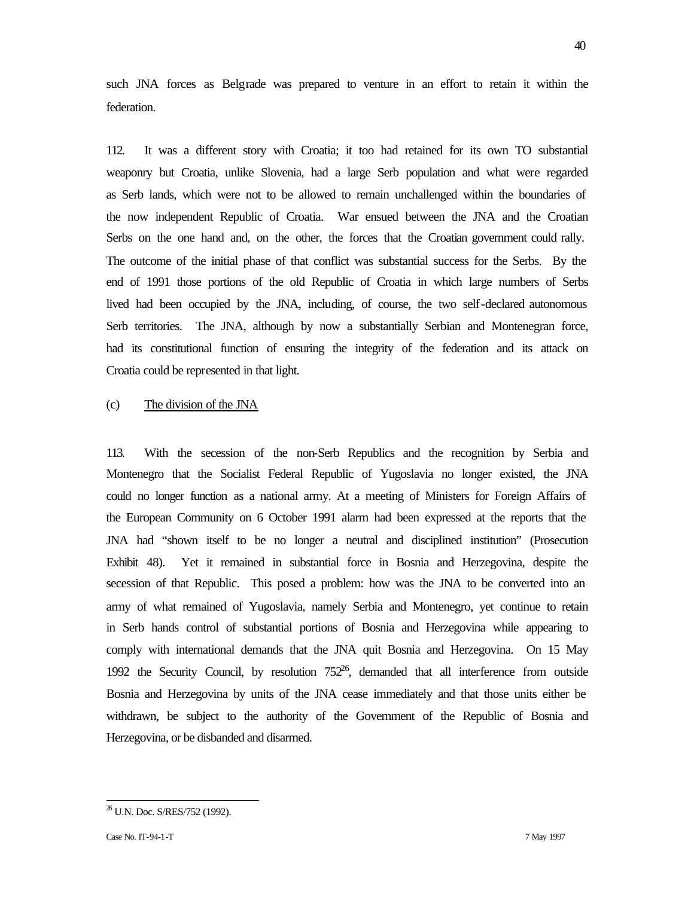such JNA forces as Belgrade was prepared to venture in an effort to retain it within the federation.

112. It was a different story with Croatia; it too had retained for its own TO substantial weaponry but Croatia, unlike Slovenia, had a large Serb population and what were regarded as Serb lands, which were not to be allowed to remain unchallenged within the boundaries of the now independent Republic of Croatia. War ensued between the JNA and the Croatian Serbs on the one hand and, on the other, the forces that the Croatian government could rally. The outcome of the initial phase of that conflict was substantial success for the Serbs. By the end of 1991 those portions of the old Republic of Croatia in which large numbers of Serbs lived had been occupied by the JNA, including, of course, the two self-declared autonomous Serb territories. The JNA, although by now a substantially Serbian and Montenegran force, had its constitutional function of ensuring the integrity of the federation and its attack on Croatia could be represented in that light.

### (c) The division of the JNA

113. With the secession of the non-Serb Republics and the recognition by Serbia and Montenegro that the Socialist Federal Republic of Yugoslavia no longer existed, the JNA could no longer function as a national army. At a meeting of Ministers for Foreign Affairs of the European Community on 6 October 1991 alarm had been expressed at the reports that the JNA had "shown itself to be no longer a neutral and disciplined institution" (Prosecution Exhibit 48). Yet it remained in substantial force in Bosnia and Herzegovina, despite the secession of that Republic. This posed a problem: how was the JNA to be converted into an army of what remained of Yugoslavia, namely Serbia and Montenegro, yet continue to retain in Serb hands control of substantial portions of Bosnia and Herzegovina while appearing to comply with international demands that the JNA quit Bosnia and Herzegovina. On 15 May 1992 the Security Council, by resolution  $752^{26}$ , demanded that all interference from outside Bosnia and Herzegovina by units of the JNA cease immediately and that those units either be withdrawn, be subject to the authority of the Government of the Republic of Bosnia and Herzegovina, or be disbanded and disarmed.

 $\overline{a}$ 

 $^{26}$  U.N. Doc. S/RES/752 (1992).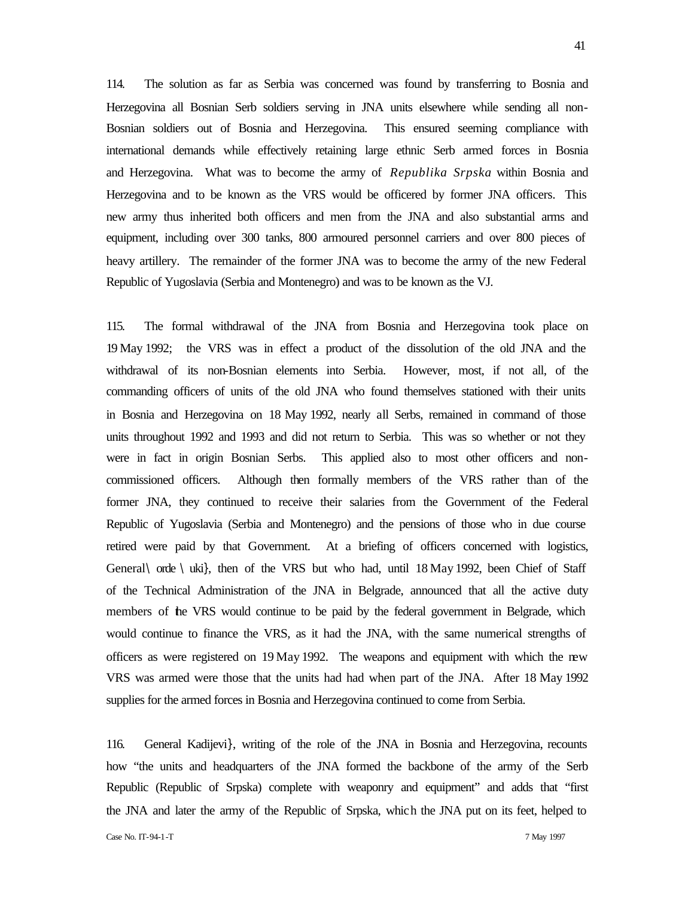114. The solution as far as Serbia was concerned was found by transferring to Bosnia and Herzegovina all Bosnian Serb soldiers serving in JNA units elsewhere while sending all non-Bosnian soldiers out of Bosnia and Herzegovina. This ensured seeming compliance with international demands while effectively retaining large ethnic Serb armed forces in Bosnia and Herzegovina. What was to become the army of *Republika Srpska* within Bosnia and Herzegovina and to be known as the VRS would be officered by former JNA officers. This new army thus inherited both officers and men from the JNA and also substantial arms and equipment, including over 300 tanks, 800 armoured personnel carriers and over 800 pieces of heavy artillery. The remainder of the former JNA was to become the army of the new Federal Republic of Yugoslavia (Serbia and Montenegro) and was to be known as the VJ.

115. The formal withdrawal of the JNA from Bosnia and Herzegovina took place on 19 May 1992; the VRS was in effect a product of the dissolution of the old JNA and the withdrawal of its non-Bosnian elements into Serbia. However, most, if not all, of the commanding officers of units of the old JNA who found themselves stationed with their units in Bosnia and Herzegovina on 18 May 1992, nearly all Serbs, remained in command of those units throughout 1992 and 1993 and did not return to Serbia. This was so whether or not they were in fact in origin Bosnian Serbs. This applied also to most other officers and noncommissioned officers. Although then formally members of the VRS rather than of the former JNA, they continued to receive their salaries from the Government of the Federal Republic of Yugoslavia (Serbia and Montenegro) and the pensions of those who in due course retired were paid by that Government. At a briefing of officers concerned with logistics, General\orde \uki}, then of the VRS but who had, until 18 May 1992, been Chief of Staff of the Technical Administration of the JNA in Belgrade, announced that all the active duty members of the VRS would continue to be paid by the federal government in Belgrade, which would continue to finance the VRS, as it had the JNA, with the same numerical strengths of officers as were registered on 19 May 1992. The weapons and equipment with which the new VRS was armed were those that the units had had when part of the JNA. After 18 May 1992 supplies for the armed forces in Bosnia and Herzegovina continued to come from Serbia.

116. General Kadijevi}, writing of the role of the JNA in Bosnia and Herzegovina, recounts how "the units and headquarters of the JNA formed the backbone of the army of the Serb Republic (Republic of Srpska) complete with weaponry and equipment" and adds that "first the JNA and later the army of the Republic of Srpska, which the JNA put on its feet, helped to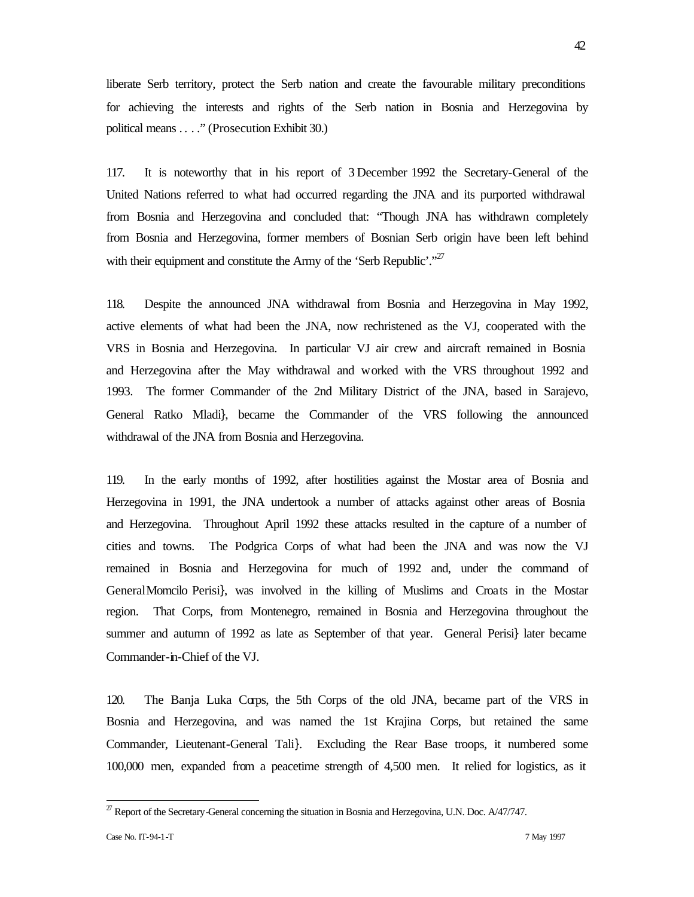liberate Serb territory, protect the Serb nation and create the favourable military preconditions for achieving the interests and rights of the Serb nation in Bosnia and Herzegovina by political means . . . ." (Prosecution Exhibit 30.)

117. It is noteworthy that in his report of 3 December 1992 the Secretary-General of the United Nations referred to what had occurred regarding the JNA and its purported withdrawal from Bosnia and Herzegovina and concluded that: "Though JNA has withdrawn completely from Bosnia and Herzegovina, former members of Bosnian Serb origin have been left behind with their equipment and constitute the Army of the 'Serb Republic'."

118. Despite the announced JNA withdrawal from Bosnia and Herzegovina in May 1992, active elements of what had been the JNA, now rechristened as the VJ, cooperated with the VRS in Bosnia and Herzegovina. In particular VJ air crew and aircraft remained in Bosnia and Herzegovina after the May withdrawal and worked with the VRS throughout 1992 and 1993. The former Commander of the 2nd Military District of the JNA, based in Sarajevo, General Ratko Mladi}, became the Commander of the VRS following the announced withdrawal of the JNA from Bosnia and Herzegovina.

119. In the early months of 1992, after hostilities against the Mostar area of Bosnia and Herzegovina in 1991, the JNA undertook a number of attacks against other areas of Bosnia and Herzegovina. Throughout April 1992 these attacks resulted in the capture of a number of cities and towns. The Podgrica Corps of what had been the JNA and was now the VJ remained in Bosnia and Herzegovina for much of 1992 and, under the command of GeneralMomcilo Perisi}, was involved in the killing of Muslims and Croats in the Mostar region. That Corps, from Montenegro, remained in Bosnia and Herzegovina throughout the summer and autumn of 1992 as late as September of that year. General Perisi} later became Commander-in-Chief of the VJ.

120. The Banja Luka Corps, the 5th Corps of the old JNA, became part of the VRS in Bosnia and Herzegovina, and was named the 1st Krajina Corps, but retained the same Commander, Lieutenant-General Tali}. Excluding the Rear Base troops, it numbered some 100,000 men, expanded from a peacetime strength of 4,500 men. It relied for logistics, as it

 $\overline{a}$ 

 $^{27}$  Report of the Secretary-General concerning the situation in Bosnia and Herzegovina, U.N. Doc. A/47/747.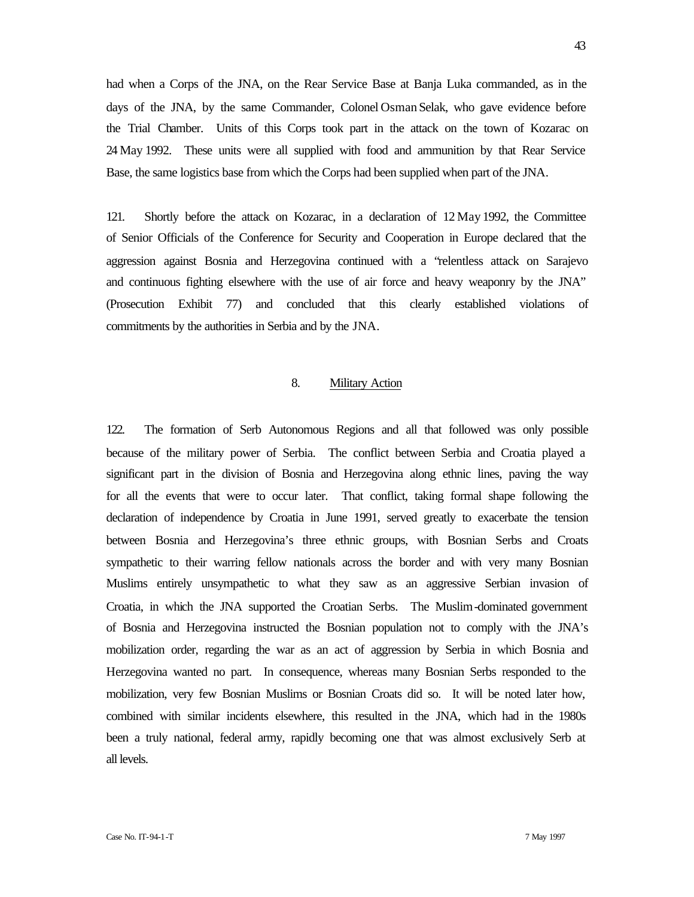had when a Corps of the JNA, on the Rear Service Base at Banja Luka commanded, as in the days of the JNA, by the same Commander, Colonel Osman Selak, who gave evidence before the Trial Chamber. Units of this Corps took part in the attack on the town of Kozarac on 24 May 1992. These units were all supplied with food and ammunition by that Rear Service Base, the same logistics base from which the Corps had been supplied when part of the JNA.

121. Shortly before the attack on Kozarac, in a declaration of 12 May 1992, the Committee of Senior Officials of the Conference for Security and Cooperation in Europe declared that the aggression against Bosnia and Herzegovina continued with a "relentless attack on Sarajevo and continuous fighting elsewhere with the use of air force and heavy weaponry by the JNA" (Prosecution Exhibit 77) and concluded that this clearly established violations of commitments by the authorities in Serbia and by the JNA.

## 8. Military Action

122. The formation of Serb Autonomous Regions and all that followed was only possible because of the military power of Serbia. The conflict between Serbia and Croatia played a significant part in the division of Bosnia and Herzegovina along ethnic lines, paving the way for all the events that were to occur later. That conflict, taking formal shape following the declaration of independence by Croatia in June 1991, served greatly to exacerbate the tension between Bosnia and Herzegovina's three ethnic groups, with Bosnian Serbs and Croats sympathetic to their warring fellow nationals across the border and with very many Bosnian Muslims entirely unsympathetic to what they saw as an aggressive Serbian invasion of Croatia, in which the JNA supported the Croatian Serbs. The Muslim-dominated government of Bosnia and Herzegovina instructed the Bosnian population not to comply with the JNA's mobilization order, regarding the war as an act of aggression by Serbia in which Bosnia and Herzegovina wanted no part. In consequence, whereas many Bosnian Serbs responded to the mobilization, very few Bosnian Muslims or Bosnian Croats did so. It will be noted later how, combined with similar incidents elsewhere, this resulted in the JNA, which had in the 1980s been a truly national, federal army, rapidly becoming one that was almost exclusively Serb at all levels.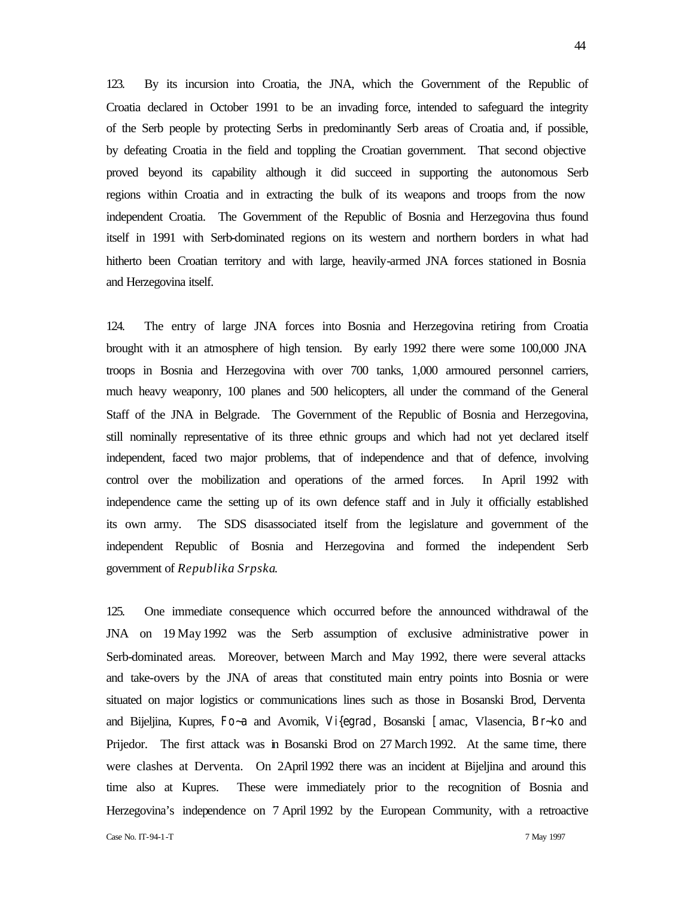123. By its incursion into Croatia, the JNA, which the Government of the Republic of Croatia declared in October 1991 to be an invading force, intended to safeguard the integrity of the Serb people by protecting Serbs in predominantly Serb areas of Croatia and, if possible, by defeating Croatia in the field and toppling the Croatian government. That second objective proved beyond its capability although it did succeed in supporting the autonomous Serb regions within Croatia and in extracting the bulk of its weapons and troops from the now independent Croatia. The Government of the Republic of Bosnia and Herzegovina thus found itself in 1991 with Serb-dominated regions on its western and northern borders in what had hitherto been Croatian territory and with large, heavily-armed JNA forces stationed in Bosnia and Herzegovina itself.

124. The entry of large JNA forces into Bosnia and Herzegovina retiring from Croatia brought with it an atmosphere of high tension. By early 1992 there were some 100,000 JNA troops in Bosnia and Herzegovina with over 700 tanks, 1,000 armoured personnel carriers, much heavy weaponry, 100 planes and 500 helicopters, all under the command of the General Staff of the JNA in Belgrade. The Government of the Republic of Bosnia and Herzegovina, still nominally representative of its three ethnic groups and which had not yet declared itself independent, faced two major problems, that of independence and that of defence, involving control over the mobilization and operations of the armed forces. In April 1992 with independence came the setting up of its own defence staff and in July it officially established its own army. The SDS disassociated itself from the legislature and government of the independent Republic of Bosnia and Herzegovina and formed the independent Serb government of *Republika Srpska*.

125. One immediate consequence which occurred before the announced withdrawal of the JNA on 19 May 1992 was the Serb assumption of exclusive administrative power in Serb-dominated areas. Moreover, between March and May 1992, there were several attacks and take-overs by the JNA of areas that constituted main entry points into Bosnia or were situated on major logistics or communications lines such as those in Bosanski Brod, Derventa and Bijeljina, Kupres, Fo~a and Avornik, Vi{egrad , Bosanski [amac, Vlasencia, Br~ko and Prijedor. The first attack was in Bosanski Brod on 27 March 1992. At the same time, there were clashes at Derventa. On 2April 1992 there was an incident at Bijeljina and around this time also at Kupres. These were immediately prior to the recognition of Bosnia and Herzegovina's independence on 7 April 1992 by the European Community, with a retroactive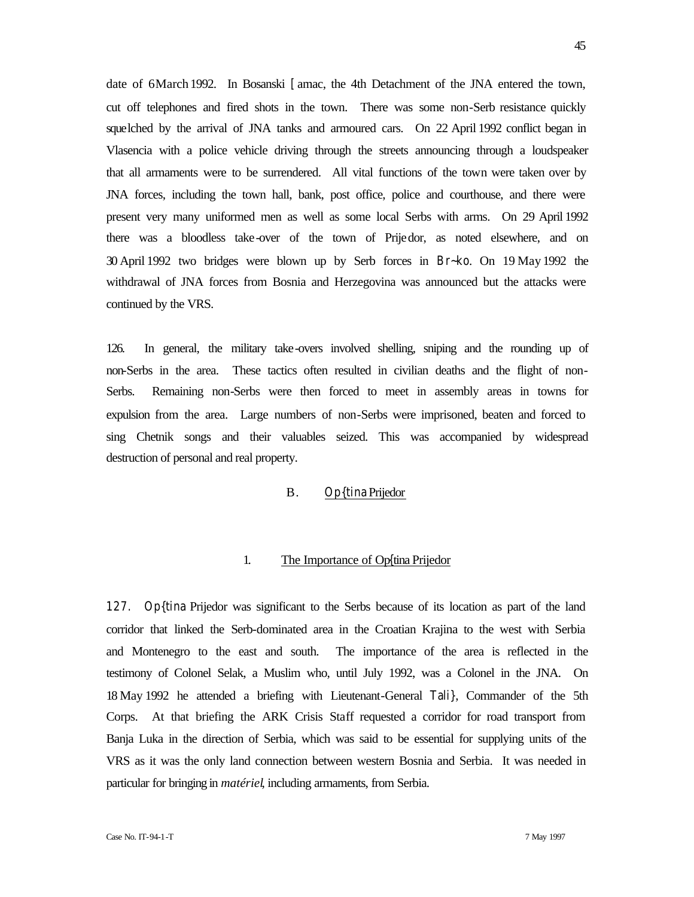date of 6March 1992. In Bosanski [amac, the 4th Detachment of the JNA entered the town, cut off telephones and fired shots in the town. There was some non-Serb resistance quickly squelched by the arrival of JNA tanks and armoured cars. On 22 April 1992 conflict began in Vlasencia with a police vehicle driving through the streets announcing through a loudspeaker that all armaments were to be surrendered. All vital functions of the town were taken over by JNA forces, including the town hall, bank, post office, police and courthouse, and there were present very many uniformed men as well as some local Serbs with arms. On 29 April 1992 there was a bloodless take-over of the town of Prijedor, as noted elsewhere, and on 30 April 1992 two bridges were blown up by Serb forces in Br~ko. On 19 May 1992 the withdrawal of JNA forces from Bosnia and Herzegovina was announced but the attacks were continued by the VRS.

126. In general, the military take-overs involved shelling, sniping and the rounding up of non-Serbs in the area. These tactics often resulted in civilian deaths and the flight of non-Serbs. Remaining non-Serbs were then forced to meet in assembly areas in towns for expulsion from the area. Large numbers of non-Serbs were imprisoned, beaten and forced to sing Chetnik songs and their valuables seized. This was accompanied by widespread destruction of personal and real property.

# B. Op{tina Prijedor

# 1. The Importance of Op{tina Prijedor

127. Op{tina Prijedor was significant to the Serbs because of its location as part of the land corridor that linked the Serb-dominated area in the Croatian Krajina to the west with Serbia and Montenegro to the east and south. The importance of the area is reflected in the testimony of Colonel Selak, a Muslim who, until July 1992, was a Colonel in the JNA. On 18 May 1992 he attended a briefing with Lieutenant-General Tali}, Commander of the 5th Corps. At that briefing the ARK Crisis Staff requested a corridor for road transport from Banja Luka in the direction of Serbia, which was said to be essential for supplying units of the VRS as it was the only land connection between western Bosnia and Serbia. It was needed in particular for bringing in *matériel*, including armaments, from Serbia.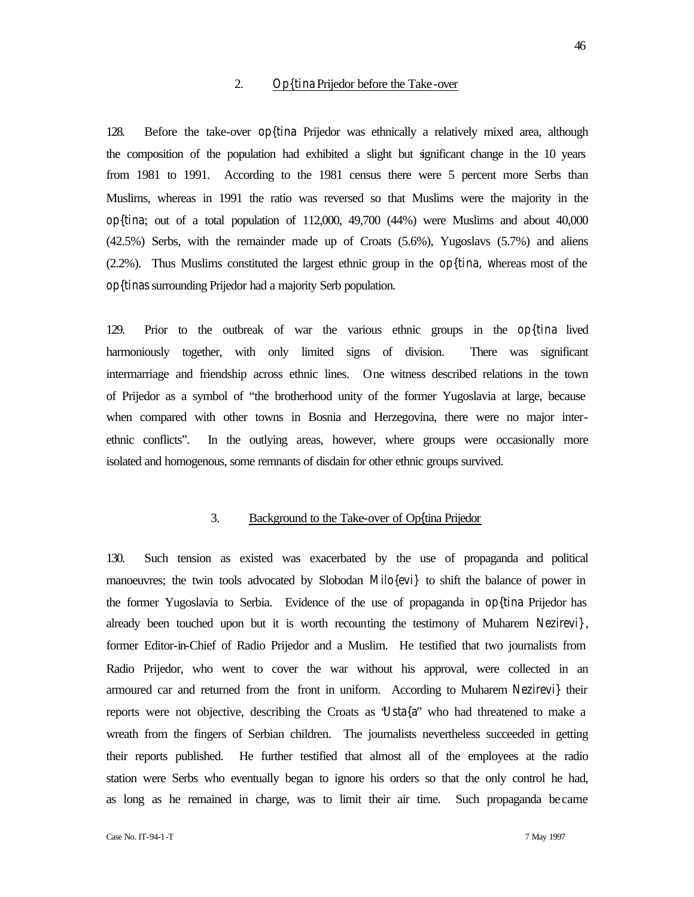#### 2. Op{tina Prijedor before the Take-over

128. Before the take-over op{tina Prijedor was ethnically a relatively mixed area, although the composition of the population had exhibited a slight but significant change in the 10 years from 1981 to 1991. According to the 1981 census there were 5 percent more Serbs than Muslims, whereas in 1991 the ratio was reversed so that Muslims were the majority in the op{tina; out of a total population of 112,000, 49,700 (44%) were Muslims and about 40,000 (42.5%) Serbs, with the remainder made up of Croats (5.6%), Yugoslavs (5.7%) and aliens (2.2%). Thus Muslims constituted the largest ethnic group in the op{tina, whereas most of the op{tinas surrounding Prijedor had a majority Serb population.

129. Prior to the outbreak of war the various ethnic groups in the op{tina lived harmoniously together, with only limited signs of division. There was significant intermarriage and friendship across ethnic lines. One witness described relations in the town of Prijedor as a symbol of "the brotherhood unity of the former Yugoslavia at large, because when compared with other towns in Bosnia and Herzegovina, there were no major interethnic conflicts". In the outlying areas, however, where groups were occasionally more isolated and homogenous, some remnants of disdain for other ethnic groups survived.

### 3. Background to the Take-over of Op{tina Prijedor

130. Such tension as existed was exacerbated by the use of propaganda and political manoeuvres; the twin tools advocated by Slobodan Milo{evi} to shift the balance of power in the former Yugoslavia to Serbia. Evidence of the use of propaganda in op{tina Prijedor has already been touched upon but it is worth recounting the testimony of Muharem Nezirevi} , former Editor-in-Chief of Radio Prijedor and a Muslim. He testified that two journalists from Radio Prijedor, who went to cover the war without his approval, were collected in an armoured car and returned from the front in uniform. According to Muharem Nezirevi} their reports were not objective, describing the Croats as "Usta{a" who had threatened to make a wreath from the fingers of Serbian children. The journalists nevertheless succeeded in getting their reports published. He further testified that almost all of the employees at the radio station were Serbs who eventually began to ignore his orders so that the only control he had, as long as he remained in charge, was to limit their air time. Such propaganda became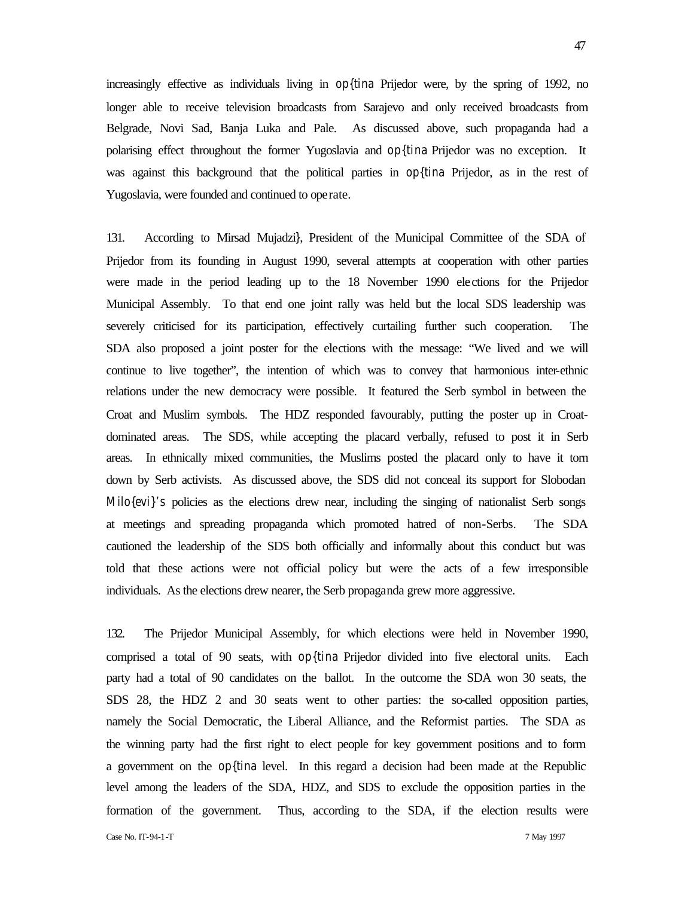increasingly effective as individuals living in op{tina Prijedor were, by the spring of 1992, no longer able to receive television broadcasts from Sarajevo and only received broadcasts from Belgrade, Novi Sad, Banja Luka and Pale. As discussed above, such propaganda had a polarising effect throughout the former Yugoslavia and op{tina Prijedor was no exception. It was against this background that the political parties in op{tina Prijedor, as in the rest of Yugoslavia, were founded and continued to operate.

131. According to Mirsad Mujadzi}, President of the Municipal Committee of the SDA of Prijedor from its founding in August 1990, several attempts at cooperation with other parties were made in the period leading up to the 18 November 1990 elections for the Prijedor Municipal Assembly. To that end one joint rally was held but the local SDS leadership was severely criticised for its participation, effectively curtailing further such cooperation. The SDA also proposed a joint poster for the elections with the message: "We lived and we will continue to live together", the intention of which was to convey that harmonious inter-ethnic relations under the new democracy were possible. It featured the Serb symbol in between the Croat and Muslim symbols. The HDZ responded favourably, putting the poster up in Croatdominated areas. The SDS, while accepting the placard verbally, refused to post it in Serb areas. In ethnically mixed communities, the Muslims posted the placard only to have it torn down by Serb activists. As discussed above, the SDS did not conceal its support for Slobodan Milo{evi}'s policies as the elections drew near, including the singing of nationalist Serb songs at meetings and spreading propaganda which promoted hatred of non-Serbs. The SDA cautioned the leadership of the SDS both officially and informally about this conduct but was told that these actions were not official policy but were the acts of a few irresponsible individuals. As the elections drew nearer, the Serb propaganda grew more aggressive.

132. The Prijedor Municipal Assembly, for which elections were held in November 1990, comprised a total of 90 seats, with op{tina Prijedor divided into five electoral units. Each party had a total of 90 candidates on the ballot. In the outcome the SDA won 30 seats, the SDS 28, the HDZ 2 and 30 seats went to other parties: the so-called opposition parties, namely the Social Democratic, the Liberal Alliance, and the Reformist parties. The SDA as the winning party had the first right to elect people for key government positions and to form a government on the op{tina level. In this regard a decision had been made at the Republic level among the leaders of the SDA, HDZ, and SDS to exclude the opposition parties in the formation of the government. Thus, according to the SDA, if the election results were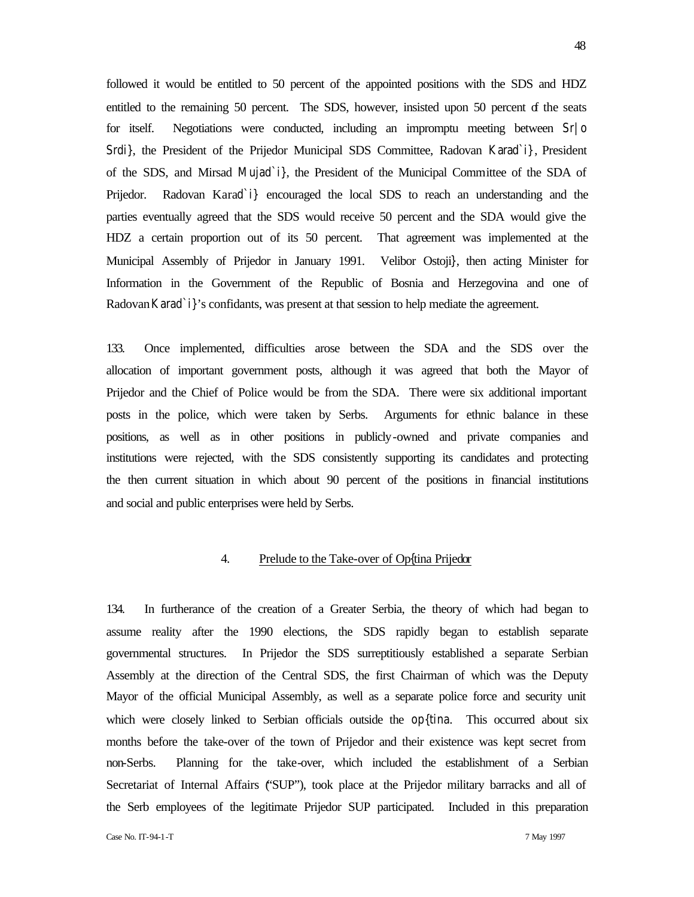followed it would be entitled to 50 percent of the appointed positions with the SDS and HDZ entitled to the remaining  $50$  percent. The SDS, however, insisted upon  $50$  percent of the seats for itself. Negotiations were conducted, including an impromptu meeting between Sr|o Srdi), the President of the Prijedor Municipal SDS Committee, Radovan Karad`i}, President of the SDS, and Mirsad Mujad`i}, the President of the Municipal Committee of the SDA of Prijedor. Radovan Karad`i} encouraged the local SDS to reach an understanding and the parties eventually agreed that the SDS would receive 50 percent and the SDA would give the HDZ a certain proportion out of its 50 percent. That agreement was implemented at the Municipal Assembly of Prijedor in January 1991. Velibor Ostoji}, then acting Minister for Information in the Government of the Republic of Bosnia and Herzegovina and one of Radovan Karad`i}'s confidants, was present at that session to help mediate the agreement.

133. Once implemented, difficulties arose between the SDA and the SDS over the allocation of important government posts, although it was agreed that both the Mayor of Prijedor and the Chief of Police would be from the SDA. There were six additional important posts in the police, which were taken by Serbs. Arguments for ethnic balance in these positions, as well as in other positions in publicly-owned and private companies and institutions were rejected, with the SDS consistently supporting its candidates and protecting the then current situation in which about 90 percent of the positions in financial institutions and social and public enterprises were held by Serbs.

### 4. Prelude to the Take-over of Op{tina Prijedor

134. In furtherance of the creation of a Greater Serbia, the theory of which had began to assume reality after the 1990 elections, the SDS rapidly began to establish separate governmental structures. In Prijedor the SDS surreptitiously established a separate Serbian Assembly at the direction of the Central SDS, the first Chairman of which was the Deputy Mayor of the official Municipal Assembly, as well as a separate police force and security unit which were closely linked to Serbian officials outside the op{tina. This occurred about six months before the take-over of the town of Prijedor and their existence was kept secret from non-Serbs. Planning for the take-over, which included the establishment of a Serbian Secretariat of Internal Affairs ("SUP"), took place at the Prijedor military barracks and all of the Serb employees of the legitimate Prijedor SUP participated. Included in this preparation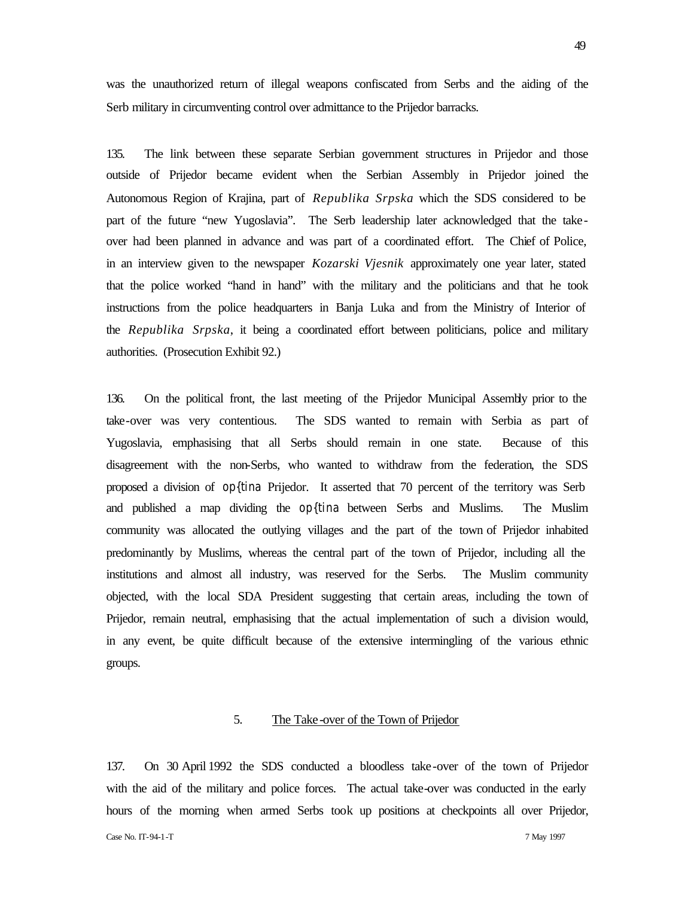was the unauthorized return of illegal weapons confiscated from Serbs and the aiding of the Serb military in circumventing control over admittance to the Prijedor barracks.

135. The link between these separate Serbian government structures in Prijedor and those outside of Prijedor became evident when the Serbian Assembly in Prijedor joined the Autonomous Region of Krajina, part of *Republika Srpska* which the SDS considered to be part of the future "new Yugoslavia". The Serb leadership later acknowledged that the takeover had been planned in advance and was part of a coordinated effort. The Chief of Police, in an interview given to the newspaper *Kozarski Vjesnik* approximately one year later, stated that the police worked "hand in hand" with the military and the politicians and that he took instructions from the police headquarters in Banja Luka and from the Ministry of Interior of the *Republika Srpska*, it being a coordinated effort between politicians, police and military authorities. (Prosecution Exhibit 92.)

136. On the political front, the last meeting of the Prijedor Municipal Assembly prior to the take-over was very contentious. The SDS wanted to remain with Serbia as part of Yugoslavia, emphasising that all Serbs should remain in one state. Because of this disagreement with the non-Serbs, who wanted to withdraw from the federation, the SDS proposed a division of op{tina Prijedor. It asserted that 70 percent of the territory was Serb and published a map dividing the op{tina between Serbs and Muslims. The Muslim community was allocated the outlying villages and the part of the town of Prijedor inhabited predominantly by Muslims, whereas the central part of the town of Prijedor, including all the institutions and almost all industry, was reserved for the Serbs. The Muslim community objected, with the local SDA President suggesting that certain areas, including the town of Prijedor, remain neutral, emphasising that the actual implementation of such a division would, in any event, be quite difficult because of the extensive intermingling of the various ethnic groups.

#### 5. The Take-over of the Town of Prijedor

137. On 30 April 1992 the SDS conducted a bloodless take-over of the town of Prijedor with the aid of the military and police forces. The actual take-over was conducted in the early hours of the morning when armed Serbs took up positions at checkpoints all over Prijedor,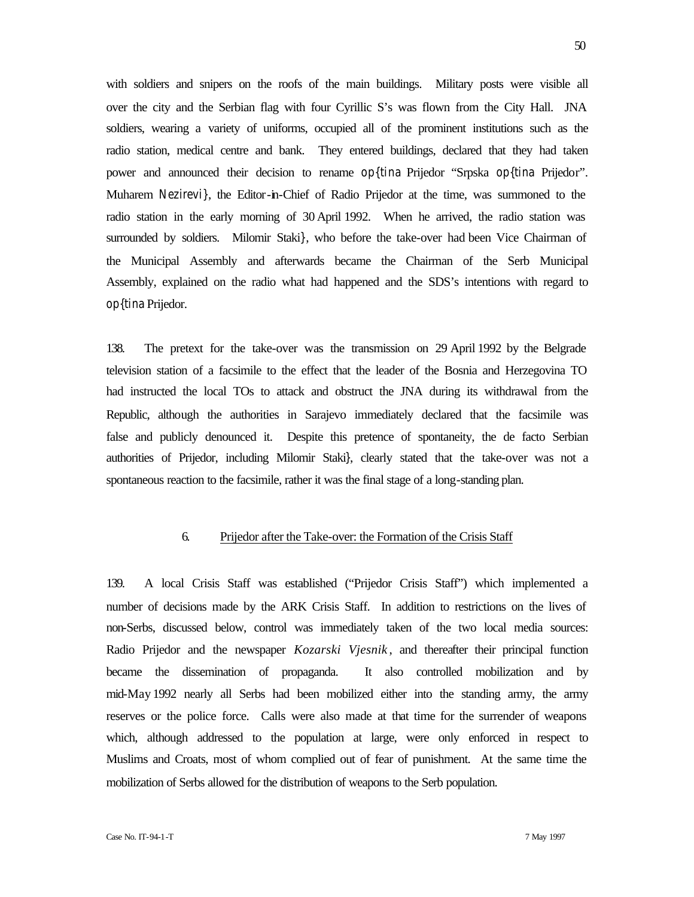with soldiers and snipers on the roofs of the main buildings. Military posts were visible all over the city and the Serbian flag with four Cyrillic S's was flown from the City Hall. JNA soldiers, wearing a variety of uniforms, occupied all of the prominent institutions such as the radio station, medical centre and bank. They entered buildings, declared that they had taken power and announced their decision to rename op{tina Prijedor "Srpska op{tina Prijedor". Muharem Nezirevi}, the Editor-in-Chief of Radio Prijedor at the time, was summoned to the radio station in the early morning of 30 April 1992. When he arrived, the radio station was surrounded by soldiers. Milomir Staki}, who before the take-over had been Vice Chairman of the Municipal Assembly and afterwards became the Chairman of the Serb Municipal Assembly, explained on the radio what had happened and the SDS's intentions with regard to op{tina Prijedor.

138. The pretext for the take-over was the transmission on 29 April 1992 by the Belgrade television station of a facsimile to the effect that the leader of the Bosnia and Herzegovina TO had instructed the local TOs to attack and obstruct the JNA during its withdrawal from the Republic, although the authorities in Sarajevo immediately declared that the facsimile was false and publicly denounced it. Despite this pretence of spontaneity, the de facto Serbian authorities of Prijedor, including Milomir Staki}, clearly stated that the take-over was not a spontaneous reaction to the facsimile, rather it was the final stage of a long-standing plan.

# 6. Prijedor after the Take-over: the Formation of the Crisis Staff

139. A local Crisis Staff was established ("Prijedor Crisis Staff") which implemented a number of decisions made by the ARK Crisis Staff. In addition to restrictions on the lives of non-Serbs, discussed below, control was immediately taken of the two local media sources: Radio Prijedor and the newspaper *Kozarski Vjesnik* , and thereafter their principal function became the dissemination of propaganda. It also controlled mobilization and by mid-May 1992 nearly all Serbs had been mobilized either into the standing army, the army reserves or the police force. Calls were also made at that time for the surrender of weapons which, although addressed to the population at large, were only enforced in respect to Muslims and Croats, most of whom complied out of fear of punishment. At the same time the mobilization of Serbs allowed for the distribution of weapons to the Serb population.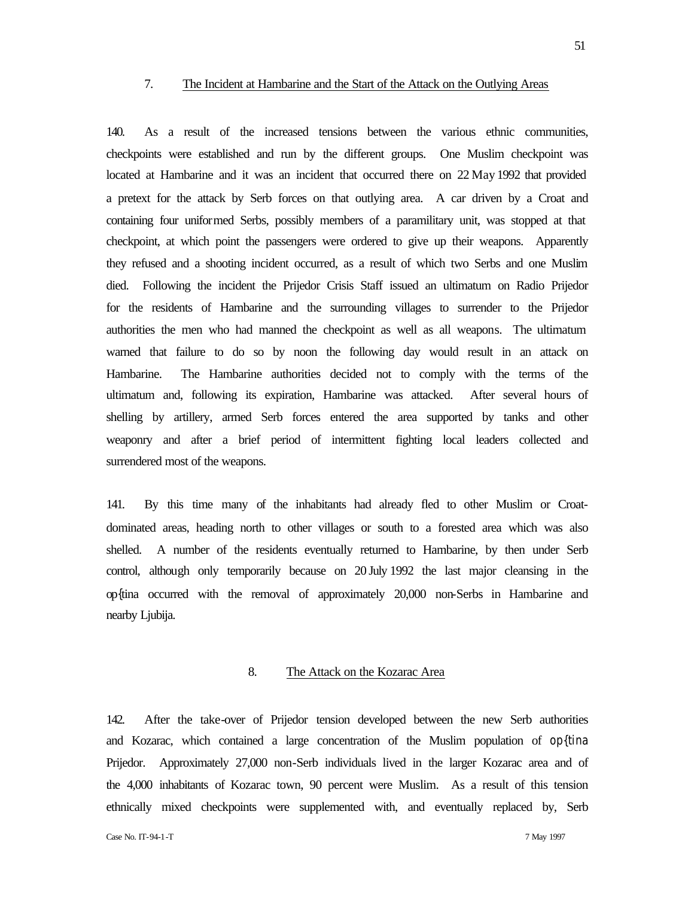140. As a result of the increased tensions between the various ethnic communities, checkpoints were established and run by the different groups. One Muslim checkpoint was located at Hambarine and it was an incident that occurred there on 22 May 1992 that provided a pretext for the attack by Serb forces on that outlying area. A car driven by a Croat and containing four uniformed Serbs, possibly members of a paramilitary unit, was stopped at that checkpoint, at which point the passengers were ordered to give up their weapons. Apparently they refused and a shooting incident occurred, as a result of which two Serbs and one Muslim died. Following the incident the Prijedor Crisis Staff issued an ultimatum on Radio Prijedor for the residents of Hambarine and the surrounding villages to surrender to the Prijedor authorities the men who had manned the checkpoint as well as all weapons. The ultimatum warned that failure to do so by noon the following day would result in an attack on Hambarine. The Hambarine authorities decided not to comply with the terms of the ultimatum and, following its expiration, Hambarine was attacked. After several hours of shelling by artillery, armed Serb forces entered the area supported by tanks and other weaponry and after a brief period of intermittent fighting local leaders collected and surrendered most of the weapons.

141. By this time many of the inhabitants had already fled to other Muslim or Croatdominated areas, heading north to other villages or south to a forested area which was also shelled. A number of the residents eventually returned to Hambarine, by then under Serb control, although only temporarily because on 20 July 1992 the last major cleansing in the op{tina occurred with the removal of approximately 20,000 non-Serbs in Hambarine and nearby Ljubija.

### 8. The Attack on the Kozarac Area

142. After the take-over of Prijedor tension developed between the new Serb authorities and Kozarac, which contained a large concentration of the Muslim population of op{tina Prijedor. Approximately 27,000 non-Serb individuals lived in the larger Kozarac area and of the 4,000 inhabitants of Kozarac town, 90 percent were Muslim. As a result of this tension ethnically mixed checkpoints were supplemented with, and eventually replaced by, Serb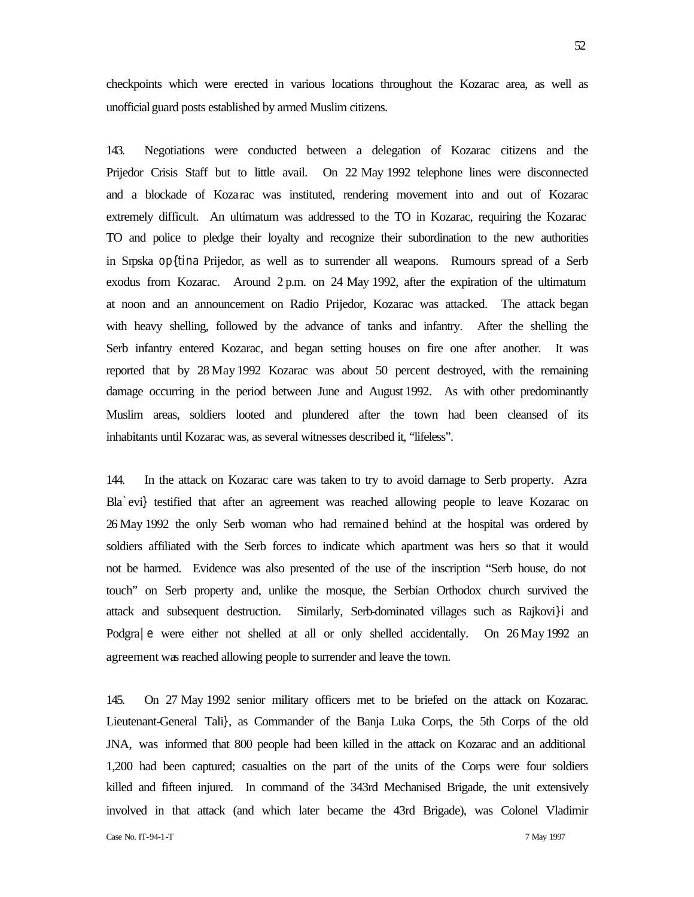checkpoints which were erected in various locations throughout the Kozarac area, as well as unofficial guard posts established by armed Muslim citizens.

143. Negotiations were conducted between a delegation of Kozarac citizens and the Prijedor Crisis Staff but to little avail. On 22 May 1992 telephone lines were disconnected and a blockade of Kozarac was instituted, rendering movement into and out of Kozarac extremely difficult. An ultimatum was addressed to the TO in Kozarac, requiring the Kozarac TO and police to pledge their loyalty and recognize their subordination to the new authorities in Srpska op{tina Prijedor, as well as to surrender all weapons. Rumours spread of a Serb exodus from Kozarac. Around 2 p.m. on 24 May 1992, after the expiration of the ultimatum at noon and an announcement on Radio Prijedor, Kozarac was attacked. The attack began with heavy shelling, followed by the advance of tanks and infantry. After the shelling the Serb infantry entered Kozarac, and began setting houses on fire one after another. It was reported that by 28 May 1992 Kozarac was about 50 percent destroyed, with the remaining damage occurring in the period between June and August 1992. As with other predominantly Muslim areas, soldiers looted and plundered after the town had been cleansed of its inhabitants until Kozarac was, as several witnesses described it, "lifeless".

144. In the attack on Kozarac care was taken to try to avoid damage to Serb property. Azra Bla`evi} testified that after an agreement was reached allowing people to leave Kozarac on 26 May 1992 the only Serb woman who had remained behind at the hospital was ordered by soldiers affiliated with the Serb forces to indicate which apartment was hers so that it would not be harmed. Evidence was also presented of the use of the inscription "Serb house, do not touch" on Serb property and, unlike the mosque, the Serbian Orthodox church survived the attack and subsequent destruction. Similarly, Serb-dominated villages such as Rajkovi}i and Podgra|e were either not shelled at all or only shelled accidentally. On 26 May 1992 an agreement was reached allowing people to surrender and leave the town.

145. On 27 May 1992 senior military officers met to be briefed on the attack on Kozarac. Lieutenant-General Tali}, as Commander of the Banja Luka Corps, the 5th Corps of the old JNA, was informed that 800 people had been killed in the attack on Kozarac and an additional 1,200 had been captured; casualties on the part of the units of the Corps were four soldiers killed and fifteen injured. In command of the 343rd Mechanised Brigade, the unit extensively involved in that attack (and which later became the 43rd Brigade), was Colonel Vladimir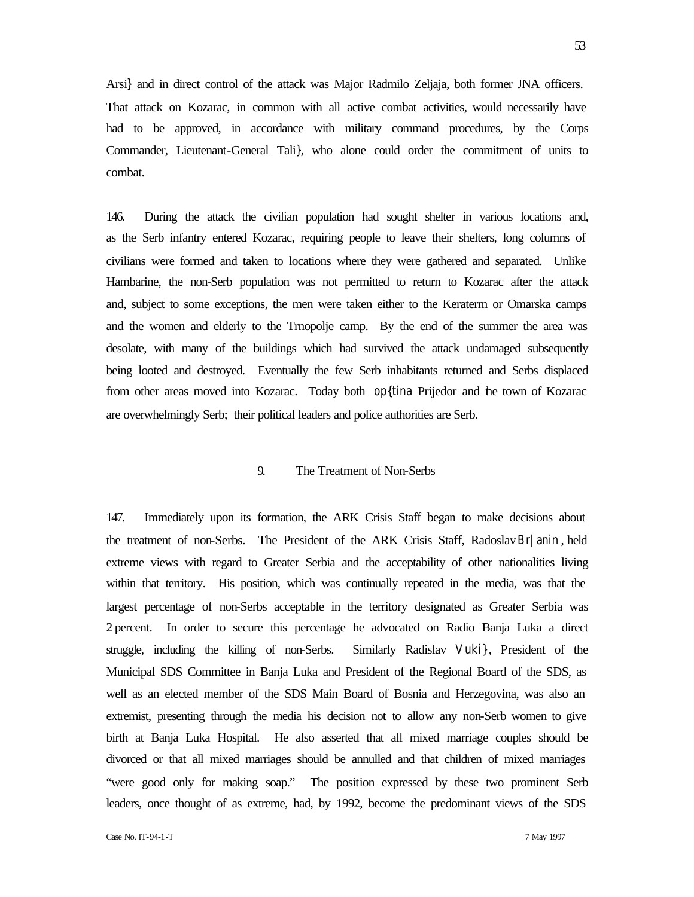Arsi} and in direct control of the attack was Major Radmilo Zeljaja, both former JNA officers. That attack on Kozarac, in common with all active combat activities, would necessarily have had to be approved, in accordance with military command procedures, by the Corps Commander, Lieutenant-General Tali}, who alone could order the commitment of units to combat.

146. During the attack the civilian population had sought shelter in various locations and, as the Serb infantry entered Kozarac, requiring people to leave their shelters, long columns of civilians were formed and taken to locations where they were gathered and separated. Unlike Hambarine, the non-Serb population was not permitted to return to Kozarac after the attack and, subject to some exceptions, the men were taken either to the Keraterm or Omarska camps and the women and elderly to the Trnopolje camp. By the end of the summer the area was desolate, with many of the buildings which had survived the attack undamaged subsequently being looted and destroyed. Eventually the few Serb inhabitants returned and Serbs displaced from other areas moved into Kozarac. Today both op{tina Prijedor and the town of Kozarac are overwhelmingly Serb; their political leaders and police authorities are Serb.

#### 9. The Treatment of Non-Serbs

147. Immediately upon its formation, the ARK Crisis Staff began to make decisions about the treatment of non-Serbs. The President of the ARK Crisis Staff, Radoslav Br  $|$  anin, held extreme views with regard to Greater Serbia and the acceptability of other nationalities living within that territory. His position, which was continually repeated in the media, was that the largest percentage of non-Serbs acceptable in the territory designated as Greater Serbia was 2 percent. In order to secure this percentage he advocated on Radio Banja Luka a direct struggle, including the killing of non-Serbs. Similarly Radislav Vuki}, President of the Municipal SDS Committee in Banja Luka and President of the Regional Board of the SDS, as well as an elected member of the SDS Main Board of Bosnia and Herzegovina, was also an extremist, presenting through the media his decision not to allow any non-Serb women to give birth at Banja Luka Hospital. He also asserted that all mixed marriage couples should be divorced or that all mixed marriages should be annulled and that children of mixed marriages "were good only for making soap." The position expressed by these two prominent Serb leaders, once thought of as extreme, had, by 1992, become the predominant views of the SDS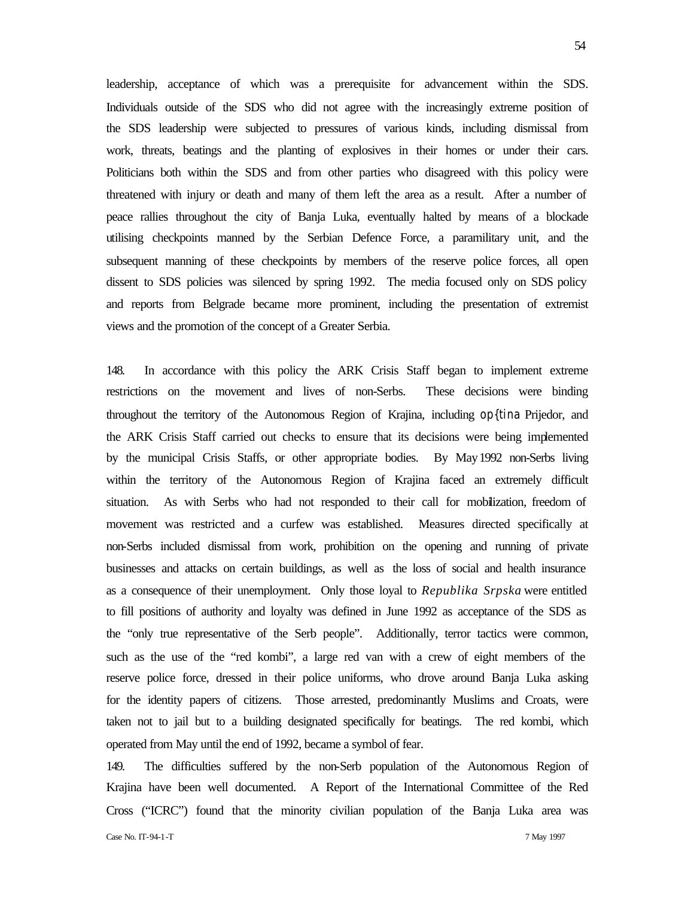leadership, acceptance of which was a prerequisite for advancement within the SDS. Individuals outside of the SDS who did not agree with the increasingly extreme position of the SDS leadership were subjected to pressures of various kinds, including dismissal from work, threats, beatings and the planting of explosives in their homes or under their cars. Politicians both within the SDS and from other parties who disagreed with this policy were threatened with injury or death and many of them left the area as a result. After a number of peace rallies throughout the city of Banja Luka, eventually halted by means of a blockade utilising checkpoints manned by the Serbian Defence Force, a paramilitary unit, and the subsequent manning of these checkpoints by members of the reserve police forces, all open dissent to SDS policies was silenced by spring 1992. The media focused only on SDS policy and reports from Belgrade became more prominent, including the presentation of extremist views and the promotion of the concept of a Greater Serbia.

148. In accordance with this policy the ARK Crisis Staff began to implement extreme restrictions on the movement and lives of non-Serbs. These decisions were binding throughout the territory of the Autonomous Region of Krajina, including op{tina Prijedor, and the ARK Crisis Staff carried out checks to ensure that its decisions were being implemented by the municipal Crisis Staffs, or other appropriate bodies. By May1992 non-Serbs living within the territory of the Autonomous Region of Krajina faced an extremely difficult situation. As with Serbs who had not responded to their call for mobilization, freedom of movement was restricted and a curfew was established. Measures directed specifically at non-Serbs included dismissal from work, prohibition on the opening and running of private businesses and attacks on certain buildings, as well as the loss of social and health insurance as a consequence of their unemployment. Only those loyal to *Republika Srpska* were entitled to fill positions of authority and loyalty was defined in June 1992 as acceptance of the SDS as the "only true representative of the Serb people". Additionally, terror tactics were common, such as the use of the "red kombi", a large red van with a crew of eight members of the reserve police force, dressed in their police uniforms, who drove around Banja Luka asking for the identity papers of citizens. Those arrested, predominantly Muslims and Croats, were taken not to jail but to a building designated specifically for beatings. The red kombi, which operated from May until the end of 1992, became a symbol of fear.

149. The difficulties suffered by the non-Serb population of the Autonomous Region of Krajina have been well documented. A Report of the International Committee of the Red Cross ("ICRC") found that the minority civilian population of the Banja Luka area was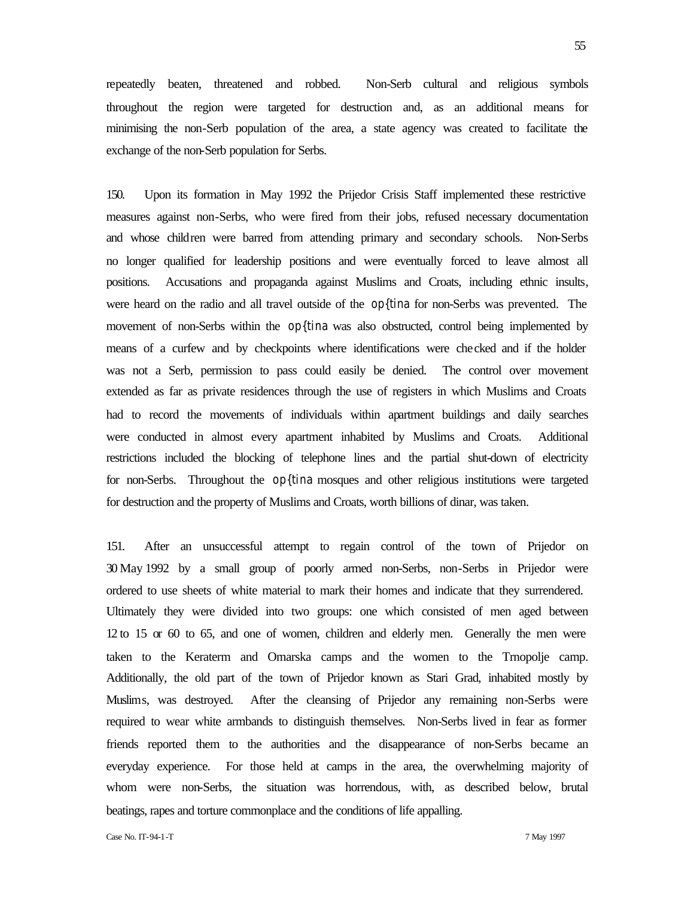repeatedly beaten, threatened and robbed. Non-Serb cultural and religious symbols throughout the region were targeted for destruction and, as an additional means for minimising the non-Serb population of the area, a state agency was created to facilitate the exchange of the non-Serb population for Serbs.

150. Upon its formation in May 1992 the Prijedor Crisis Staff implemented these restrictive measures against non-Serbs, who were fired from their jobs, refused necessary documentation and whose children were barred from attending primary and secondary schools. Non-Serbs no longer qualified for leadership positions and were eventually forced to leave almost all positions. Accusations and propaganda against Muslims and Croats, including ethnic insults, were heard on the radio and all travel outside of the op{tina for non-Serbs was prevented. The movement of non-Serbs within the op{tina was also obstructed, control being implemented by means of a curfew and by checkpoints where identifications were checked and if the holder was not a Serb, permission to pass could easily be denied. The control over movement extended as far as private residences through the use of registers in which Muslims and Croats had to record the movements of individuals within apartment buildings and daily searches were conducted in almost every apartment inhabited by Muslims and Croats. Additional restrictions included the blocking of telephone lines and the partial shut-down of electricity for non-Serbs. Throughout the op{tina mosques and other religious institutions were targeted for destruction and the property of Muslims and Croats, worth billions of dinar, was taken.

151. After an unsuccessful attempt to regain control of the town of Prijedor on 30 May 1992 by a small group of poorly armed non-Serbs, non-Serbs in Prijedor were ordered to use sheets of white material to mark their homes and indicate that they surrendered. Ultimately they were divided into two groups: one which consisted of men aged between 12 to 15 or 60 to 65, and one of women, children and elderly men. Generally the men were taken to the Keraterm and Omarska camps and the women to the Trnopolje camp. Additionally, the old part of the town of Prijedor known as Stari Grad, inhabited mostly by Muslims, was destroyed. After the cleansing of Prijedor any remaining non-Serbs were required to wear white armbands to distinguish themselves. Non-Serbs lived in fear as former friends reported them to the authorities and the disappearance of non-Serbs became an everyday experience. For those held at camps in the area, the overwhelming majority of whom were non-Serbs, the situation was horrendous, with, as described below, brutal beatings, rapes and torture commonplace and the conditions of life appalling.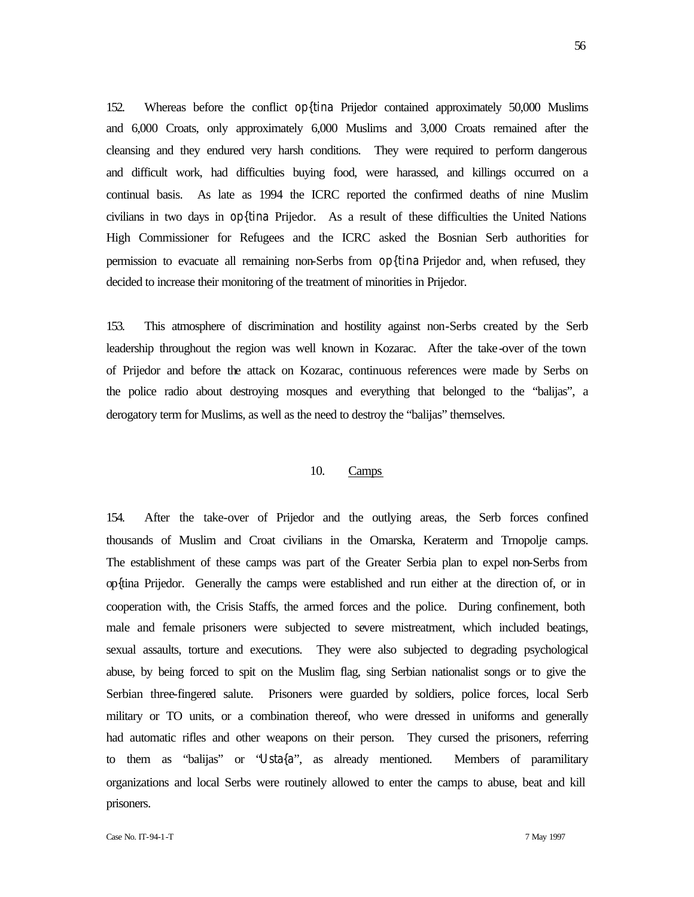152. Whereas before the conflict op{tina Prijedor contained approximately 50,000 Muslims and 6,000 Croats, only approximately 6,000 Muslims and 3,000 Croats remained after the cleansing and they endured very harsh conditions. They were required to perform dangerous and difficult work, had difficulties buying food, were harassed, and killings occurred on a continual basis. As late as 1994 the ICRC reported the confirmed deaths of nine Muslim civilians in two days in op{tina Prijedor. As a result of these difficulties the United Nations High Commissioner for Refugees and the ICRC asked the Bosnian Serb authorities for permission to evacuate all remaining non-Serbs from op{tina Prijedor and, when refused, they decided to increase their monitoring of the treatment of minorities in Prijedor.

153. This atmosphere of discrimination and hostility against non-Serbs created by the Serb leadership throughout the region was well known in Kozarac. After the take-over of the town of Prijedor and before the attack on Kozarac, continuous references were made by Serbs on the police radio about destroying mosques and everything that belonged to the "balijas", a derogatory term for Muslims, as well as the need to destroy the "balijas" themselves.

## 10. Camps

154. After the take-over of Prijedor and the outlying areas, the Serb forces confined thousands of Muslim and Croat civilians in the Omarska, Keraterm and Trnopolje camps. The establishment of these camps was part of the Greater Serbia plan to expel non-Serbs from op{tina Prijedor. Generally the camps were established and run either at the direction of, or in cooperation with, the Crisis Staffs, the armed forces and the police. During confinement, both male and female prisoners were subjected to severe mistreatment, which included beatings, sexual assaults, torture and executions. They were also subjected to degrading psychological abuse, by being forced to spit on the Muslim flag, sing Serbian nationalist songs or to give the Serbian three-fingered salute. Prisoners were guarded by soldiers, police forces, local Serb military or TO units, or a combination thereof, who were dressed in uniforms and generally had automatic rifles and other weapons on their person. They cursed the prisoners, referring to them as "balijas" or "Usta{a", as already mentioned. Members of paramilitary organizations and local Serbs were routinely allowed to enter the camps to abuse, beat and kill prisoners.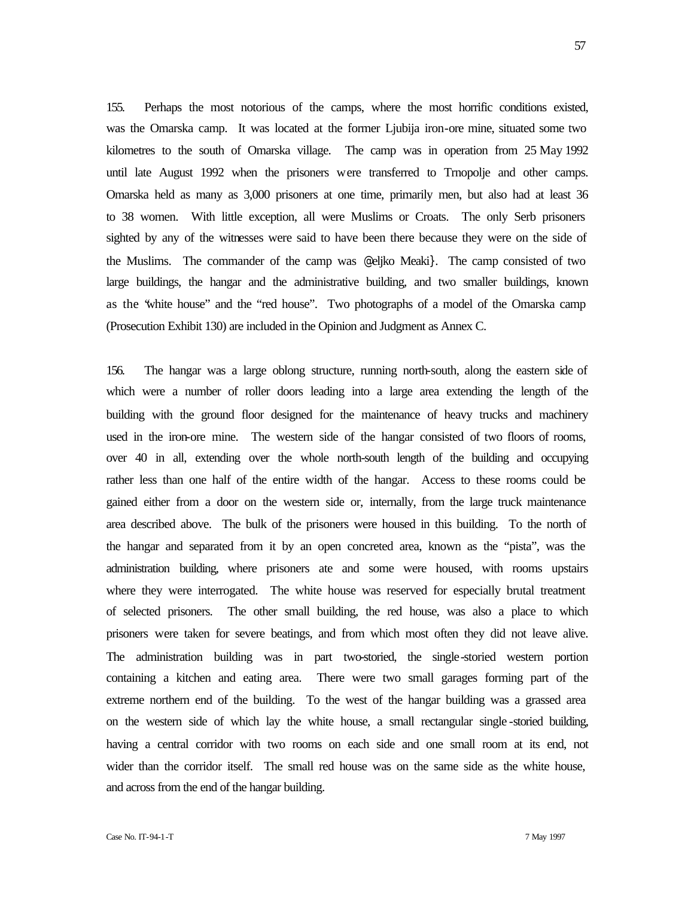155. Perhaps the most notorious of the camps, where the most horrific conditions existed, was the Omarska camp. It was located at the former Ljubija iron-ore mine, situated some two kilometres to the south of Omarska village. The camp was in operation from 25 May 1992 until late August 1992 when the prisoners were transferred to Trnopolje and other camps. Omarska held as many as 3,000 prisoners at one time, primarily men, but also had at least 36 to 38 women. With little exception, all were Muslims or Croats. The only Serb prisoners sighted by any of the witnesses were said to have been there because they were on the side of the Muslims. The commander of the camp was @eljko Meaki}. The camp consisted of two large buildings, the hangar and the administrative building, and two smaller buildings, known as the "white house" and the "red house". Two photographs of a model of the Omarska camp (Prosecution Exhibit 130) are included in the Opinion and Judgment as Annex C.

156. The hangar was a large oblong structure, running north-south, along the eastern side of which were a number of roller doors leading into a large area extending the length of the building with the ground floor designed for the maintenance of heavy trucks and machinery used in the iron-ore mine. The western side of the hangar consisted of two floors of rooms, over 40 in all, extending over the whole north-south length of the building and occupying rather less than one half of the entire width of the hangar. Access to these rooms could be gained either from a door on the western side or, internally, from the large truck maintenance area described above. The bulk of the prisoners were housed in this building. To the north of the hangar and separated from it by an open concreted area, known as the "pista", was the administration building, where prisoners ate and some were housed, with rooms upstairs where they were interrogated. The white house was reserved for especially brutal treatment of selected prisoners. The other small building, the red house, was also a place to which prisoners were taken for severe beatings, and from which most often they did not leave alive. The administration building was in part two-storied, the single-storied western portion containing a kitchen and eating area. There were two small garages forming part of the extreme northern end of the building. To the west of the hangar building was a grassed area on the western side of which lay the white house, a small rectangular single -storied building, having a central corridor with two rooms on each side and one small room at its end, not wider than the corridor itself. The small red house was on the same side as the white house, and across from the end of the hangar building.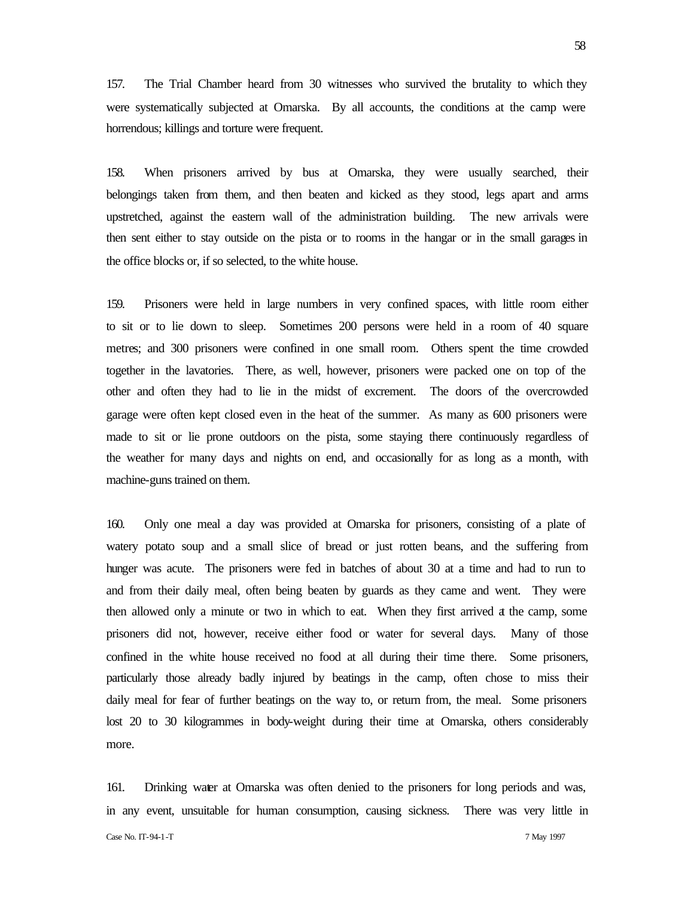157. The Trial Chamber heard from 30 witnesses who survived the brutality to which they were systematically subjected at Omarska. By all accounts, the conditions at the camp were horrendous; killings and torture were frequent.

158. When prisoners arrived by bus at Omarska, they were usually searched, their belongings taken from them, and then beaten and kicked as they stood, legs apart and arms upstretched, against the eastern wall of the administration building. The new arrivals were then sent either to stay outside on the pista or to rooms in the hangar or in the small garages in the office blocks or, if so selected, to the white house.

159. Prisoners were held in large numbers in very confined spaces, with little room either to sit or to lie down to sleep. Sometimes 200 persons were held in a room of 40 square metres; and 300 prisoners were confined in one small room. Others spent the time crowded together in the lavatories. There, as well, however, prisoners were packed one on top of the other and often they had to lie in the midst of excrement. The doors of the overcrowded garage were often kept closed even in the heat of the summer. As many as 600 prisoners were made to sit or lie prone outdoors on the pista, some staying there continuously regardless of the weather for many days and nights on end, and occasionally for as long as a month, with machine-guns trained on them.

160. Only one meal a day was provided at Omarska for prisoners, consisting of a plate of watery potato soup and a small slice of bread or just rotten beans, and the suffering from hunger was acute. The prisoners were fed in batches of about 30 at a time and had to run to and from their daily meal, often being beaten by guards as they came and went. They were then allowed only a minute or two in which to eat. When they first arrived at the camp, some prisoners did not, however, receive either food or water for several days. Many of those confined in the white house received no food at all during their time there. Some prisoners, particularly those already badly injured by beatings in the camp, often chose to miss their daily meal for fear of further beatings on the way to, or return from, the meal. Some prisoners lost 20 to 30 kilogrammes in body-weight during their time at Omarska, others considerably more.

161. Drinking water at Omarska was often denied to the prisoners for long periods and was, in any event, unsuitable for human consumption, causing sickness. There was very little in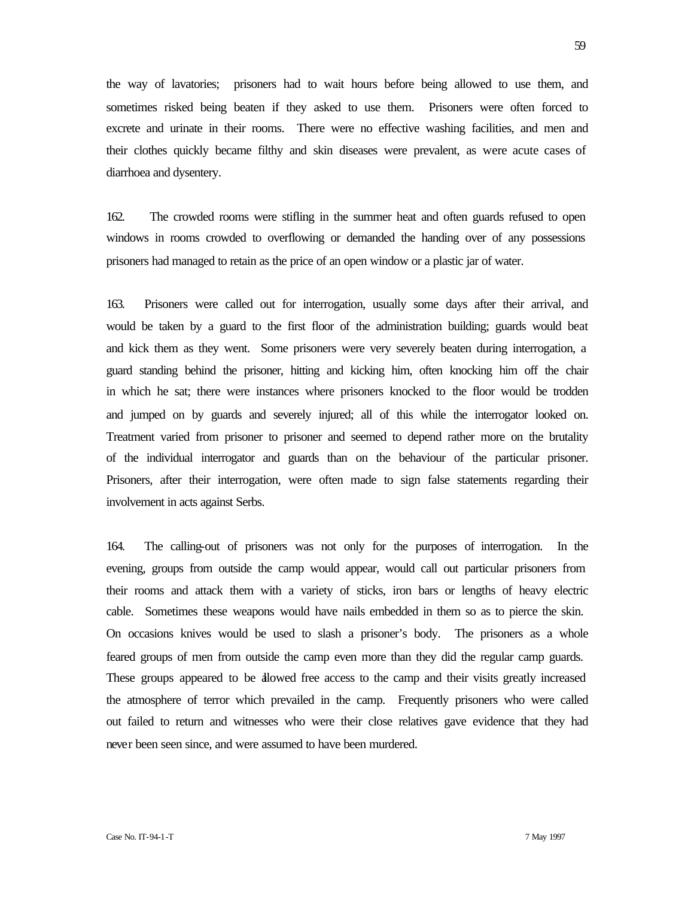the way of lavatories; prisoners had to wait hours before being allowed to use them, and sometimes risked being beaten if they asked to use them. Prisoners were often forced to excrete and urinate in their rooms. There were no effective washing facilities, and men and their clothes quickly became filthy and skin diseases were prevalent, as were acute cases of diarrhoea and dysentery.

162. The crowded rooms were stifling in the summer heat and often guards refused to open windows in rooms crowded to overflowing or demanded the handing over of any possessions prisoners had managed to retain as the price of an open window or a plastic jar of water.

163. Prisoners were called out for interrogation, usually some days after their arrival, and would be taken by a guard to the first floor of the administration building; guards would beat and kick them as they went. Some prisoners were very severely beaten during interrogation, a guard standing behind the prisoner, hitting and kicking him, often knocking him off the chair in which he sat; there were instances where prisoners knocked to the floor would be trodden and jumped on by guards and severely injured; all of this while the interrogator looked on. Treatment varied from prisoner to prisoner and seemed to depend rather more on the brutality of the individual interrogator and guards than on the behaviour of the particular prisoner. Prisoners, after their interrogation, were often made to sign false statements regarding their involvement in acts against Serbs.

164. The calling-out of prisoners was not only for the purposes of interrogation. In the evening, groups from outside the camp would appear, would call out particular prisoners from their rooms and attack them with a variety of sticks, iron bars or lengths of heavy electric cable. Sometimes these weapons would have nails embedded in them so as to pierce the skin. On occasions knives would be used to slash a prisoner's body. The prisoners as a whole feared groups of men from outside the camp even more than they did the regular camp guards. These groups appeared to be allowed free access to the camp and their visits greatly increased the atmosphere of terror which prevailed in the camp. Frequently prisoners who were called out failed to return and witnesses who were their close relatives gave evidence that they had never been seen since, and were assumed to have been murdered.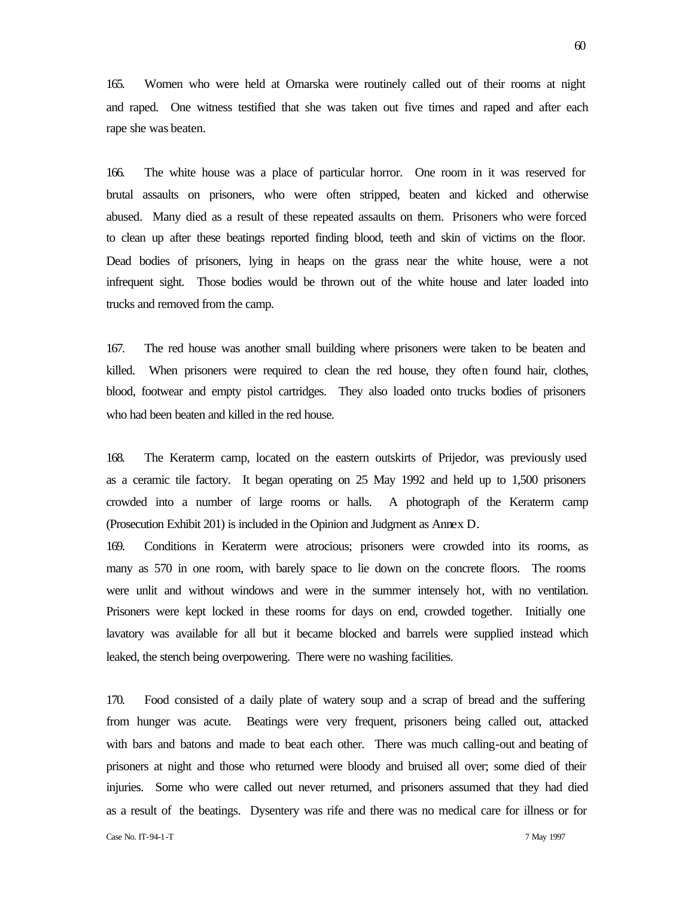165. Women who were held at Omarska were routinely called out of their rooms at night and raped. One witness testified that she was taken out five times and raped and after each rape she was beaten.

166. The white house was a place of particular horror. One room in it was reserved for brutal assaults on prisoners, who were often stripped, beaten and kicked and otherwise abused. Many died as a result of these repeated assaults on them. Prisoners who were forced to clean up after these beatings reported finding blood, teeth and skin of victims on the floor. Dead bodies of prisoners, lying in heaps on the grass near the white house, were a not infrequent sight. Those bodies would be thrown out of the white house and later loaded into trucks and removed from the camp.

167. The red house was another small building where prisoners were taken to be beaten and killed. When prisoners were required to clean the red house, they often found hair, clothes, blood, footwear and empty pistol cartridges. They also loaded onto trucks bodies of prisoners who had been beaten and killed in the red house.

168. The Keraterm camp, located on the eastern outskirts of Prijedor, was previously used as a ceramic tile factory. It began operating on 25 May 1992 and held up to 1,500 prisoners crowded into a number of large rooms or halls. A photograph of the Keraterm camp (Prosecution Exhibit 201) is included in the Opinion and Judgment as Annex D.

169. Conditions in Keraterm were atrocious; prisoners were crowded into its rooms, as many as 570 in one room, with barely space to lie down on the concrete floors. The rooms were unlit and without windows and were in the summer intensely hot, with no ventilation. Prisoners were kept locked in these rooms for days on end, crowded together. Initially one lavatory was available for all but it became blocked and barrels were supplied instead which leaked, the stench being overpowering. There were no washing facilities.

170. Food consisted of a daily plate of watery soup and a scrap of bread and the suffering from hunger was acute. Beatings were very frequent, prisoners being called out, attacked with bars and batons and made to beat each other. There was much calling-out and beating of prisoners at night and those who returned were bloody and bruised all over; some died of their injuries. Some who were called out never returned, and prisoners assumed that they had died as a result of the beatings. Dysentery was rife and there was no medical care for illness or for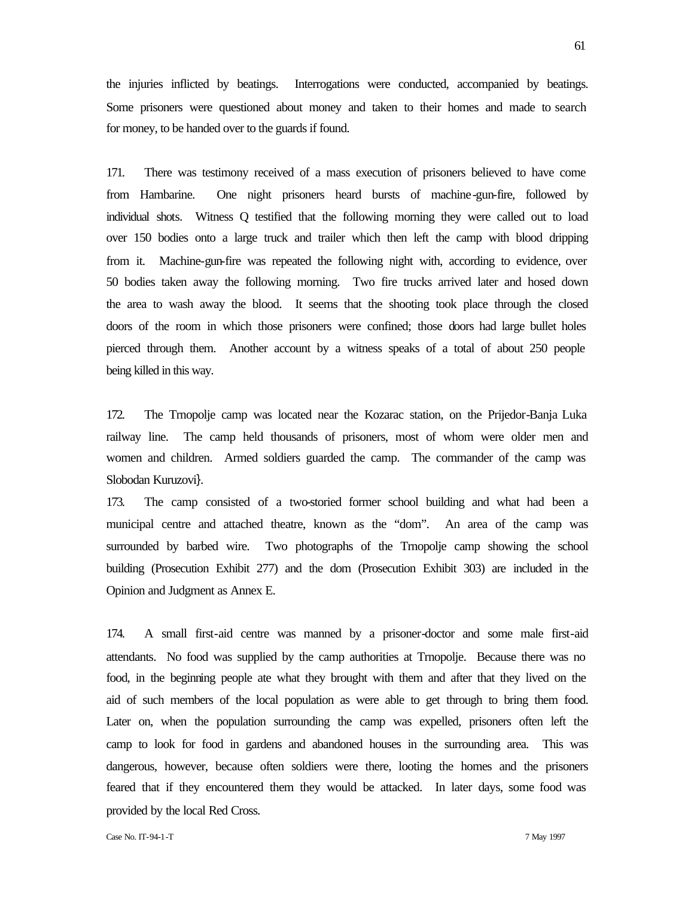the injuries inflicted by beatings. Interrogations were conducted, accompanied by beatings. Some prisoners were questioned about money and taken to their homes and made to search for money, to be handed over to the guards if found.

171. There was testimony received of a mass execution of prisoners believed to have come from Hambarine. One night prisoners heard bursts of machine-gun-fire, followed by individual shots. Witness Q testified that the following morning they were called out to load over 150 bodies onto a large truck and trailer which then left the camp with blood dripping from it. Machine-gun-fire was repeated the following night with, according to evidence, over 50 bodies taken away the following morning. Two fire trucks arrived later and hosed down the area to wash away the blood. It seems that the shooting took place through the closed doors of the room in which those prisoners were confined; those doors had large bullet holes pierced through them. Another account by a witness speaks of a total of about 250 people being killed in this way.

172. The Trnopolje camp was located near the Kozarac station, on the Prijedor-Banja Luka railway line. The camp held thousands of prisoners, most of whom were older men and women and children. Armed soldiers guarded the camp. The commander of the camp was Slobodan Kuruzovi}.

173. The camp consisted of a two-storied former school building and what had been a municipal centre and attached theatre, known as the "dom". An area of the camp was surrounded by barbed wire. Two photographs of the Trnopolje camp showing the school building (Prosecution Exhibit 277) and the dom (Prosecution Exhibit 303) are included in the Opinion and Judgment as Annex E.

174. A small first-aid centre was manned by a prisoner-doctor and some male first-aid attendants. No food was supplied by the camp authorities at Trnopolje. Because there was no food, in the beginning people ate what they brought with them and after that they lived on the aid of such members of the local population as were able to get through to bring them food. Later on, when the population surrounding the camp was expelled, prisoners often left the camp to look for food in gardens and abandoned houses in the surrounding area. This was dangerous, however, because often soldiers were there, looting the homes and the prisoners feared that if they encountered them they would be attacked. In later days, some food was provided by the local Red Cross.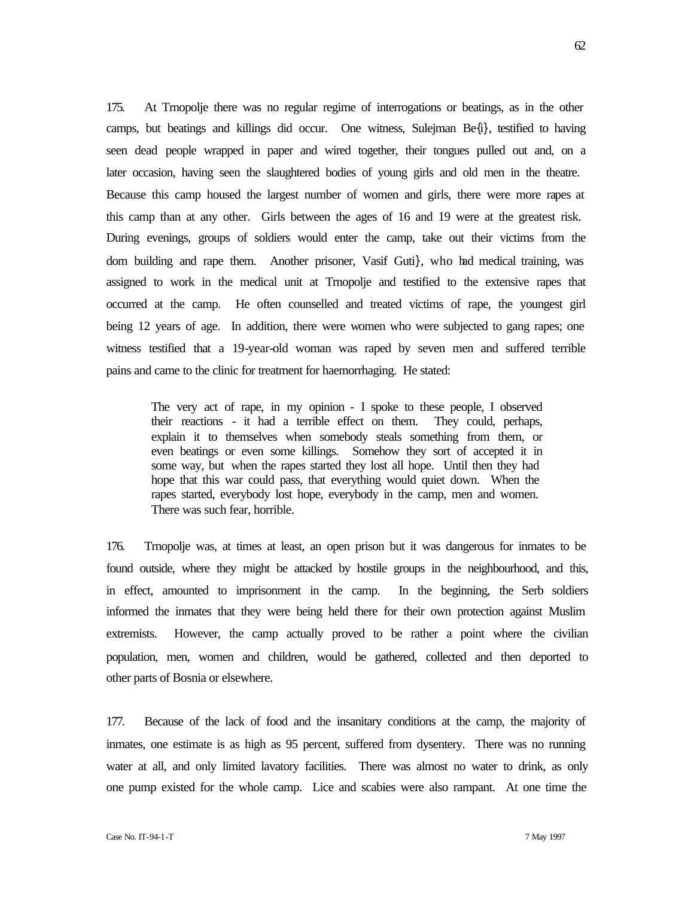175. At Trnopolje there was no regular regime of interrogations or beatings, as in the other camps, but beatings and killings did occur. One witness, Sulejman Be{i}, testified to having seen dead people wrapped in paper and wired together, their tongues pulled out and, on a later occasion, having seen the slaughtered bodies of young girls and old men in the theatre. Because this camp housed the largest number of women and girls, there were more rapes at this camp than at any other. Girls between the ages of 16 and 19 were at the greatest risk. During evenings, groups of soldiers would enter the camp, take out their victims from the dom building and rape them. Another prisoner, Vasif Guti}, who had medical training, was assigned to work in the medical unit at Trnopolje and testified to the extensive rapes that occurred at the camp. He often counselled and treated victims of rape, the youngest girl being 12 years of age. In addition, there were women who were subjected to gang rapes; one witness testified that a 19-year-old woman was raped by seven men and suffered terrible pains and came to the clinic for treatment for haemorrhaging. He stated:

The very act of rape, in my opinion - I spoke to these people, I observed their reactions - it had a terrible effect on them. They could, perhaps, explain it to themselves when somebody steals something from them, or even beatings or even some killings. Somehow they sort of accepted it in some way, but when the rapes started they lost all hope. Until then they had hope that this war could pass, that everything would quiet down. When the rapes started, everybody lost hope, everybody in the camp, men and women. There was such fear, horrible.

176. Trnopolje was, at times at least, an open prison but it was dangerous for inmates to be found outside, where they might be attacked by hostile groups in the neighbourhood, and this, in effect, amounted to imprisonment in the camp. In the beginning, the Serb soldiers informed the inmates that they were being held there for their own protection against Muslim extremists. However, the camp actually proved to be rather a point where the civilian population, men, women and children, would be gathered, collected and then deported to other parts of Bosnia or elsewhere.

177. Because of the lack of food and the insanitary conditions at the camp, the majority of inmates, one estimate is as high as 95 percent, suffered from dysentery. There was no running water at all, and only limited lavatory facilities. There was almost no water to drink, as only one pump existed for the whole camp. Lice and scabies were also rampant. At one time the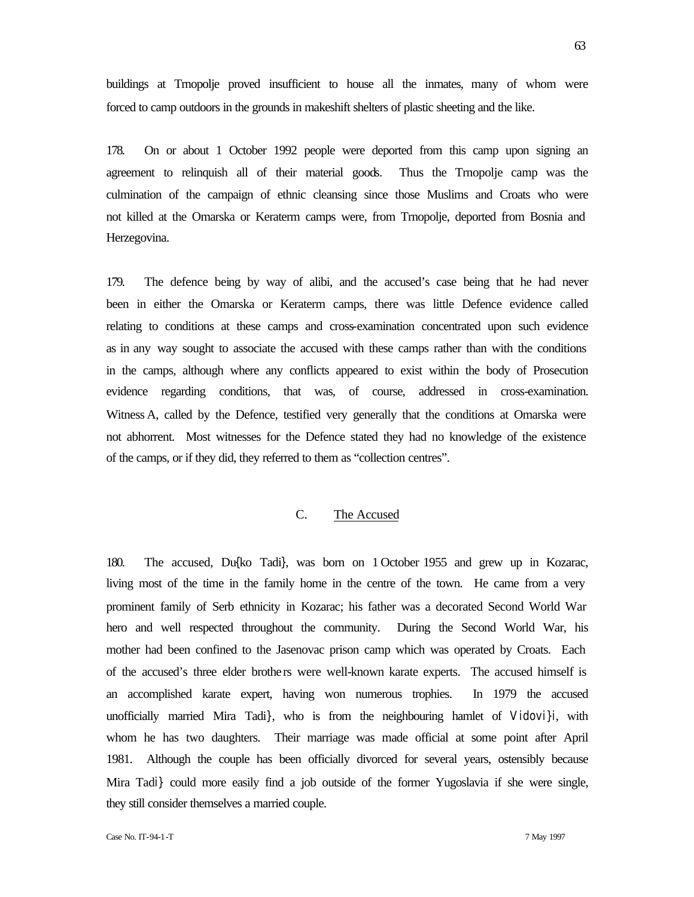buildings at Trnopolje proved insufficient to house all the inmates, many of whom were forced to camp outdoors in the grounds in makeshift shelters of plastic sheeting and the like.

178. On or about 1 October 1992 people were deported from this camp upon signing an agreement to relinquish all of their material goods. Thus the Trnopolje camp was the culmination of the campaign of ethnic cleansing since those Muslims and Croats who were not killed at the Omarska or Keraterm camps were, from Trnopolje, deported from Bosnia and Herzegovina.

179. The defence being by way of alibi, and the accused's case being that he had never been in either the Omarska or Keraterm camps, there was little Defence evidence called relating to conditions at these camps and cross-examination concentrated upon such evidence as in any way sought to associate the accused with these camps rather than with the conditions in the camps, although where any conflicts appeared to exist within the body of Prosecution evidence regarding conditions, that was, of course, addressed in cross-examination. Witness A, called by the Defence, testified very generally that the conditions at Omarska were not abhorrent. Most witnesses for the Defence stated they had no knowledge of the existence of the camps, or if they did, they referred to them as "collection centres".

## C. The Accused

180. The accused, Du{ko Tadi}, was born on 1 October 1955 and grew up in Kozarac, living most of the time in the family home in the centre of the town. He came from a very prominent family of Serb ethnicity in Kozarac; his father was a decorated Second World War hero and well respected throughout the community. During the Second World War, his mother had been confined to the Jasenovac prison camp which was operated by Croats. Each of the accused's three elder brothers were well-known karate experts. The accused himself is an accomplished karate expert, having won numerous trophies. In 1979 the accused unofficially married Mira Tadi}, who is from the neighbouring hamlet of Vidovi}i, with whom he has two daughters. Their marriage was made official at some point after April 1981. Although the couple has been officially divorced for several years, ostensibly because Mira Tadi} could more easily find a job outside of the former Yugoslavia if she were single, they still consider themselves a married couple.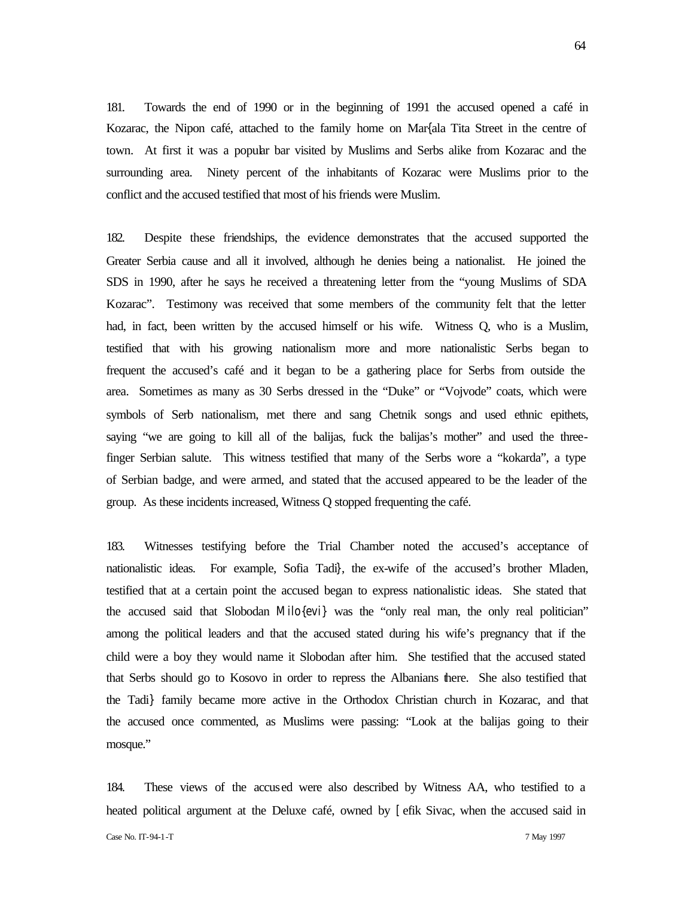181. Towards the end of 1990 or in the beginning of 1991 the accused opened a café in Kozarac, the Nipon café, attached to the family home on Mar{ala Tita Street in the centre of town. At first it was a popular bar visited by Muslims and Serbs alike from Kozarac and the surrounding area. Ninety percent of the inhabitants of Kozarac were Muslims prior to the conflict and the accused testified that most of his friends were Muslim.

182. Despite these friendships, the evidence demonstrates that the accused supported the Greater Serbia cause and all it involved, although he denies being a nationalist. He joined the SDS in 1990, after he says he received a threatening letter from the "young Muslims of SDA Kozarac". Testimony was received that some members of the community felt that the letter had, in fact, been written by the accused himself or his wife. Witness Q, who is a Muslim, testified that with his growing nationalism more and more nationalistic Serbs began to frequent the accused's café and it began to be a gathering place for Serbs from outside the area. Sometimes as many as 30 Serbs dressed in the "Duke" or "Vojvode" coats, which were symbols of Serb nationalism, met there and sang Chetnik songs and used ethnic epithets, saying "we are going to kill all of the balijas, fuck the balijas's mother" and used the threefinger Serbian salute. This witness testified that many of the Serbs wore a "kokarda", a type of Serbian badge, and were armed, and stated that the accused appeared to be the leader of the group. As these incidents increased, Witness Q stopped frequenting the café.

183. Witnesses testifying before the Trial Chamber noted the accused's acceptance of nationalistic ideas. For example, Sofia Tadi}, the ex-wife of the accused's brother Mladen, testified that at a certain point the accused began to express nationalistic ideas. She stated that the accused said that Slobodan Milo{evi} was the "only real man, the only real politician" among the political leaders and that the accused stated during his wife's pregnancy that if the child were a boy they would name it Slobodan after him. She testified that the accused stated that Serbs should go to Kosovo in order to repress the Albanians there. She also testified that the Tadi} family became more active in the Orthodox Christian church in Kozarac, and that the accused once commented, as Muslims were passing: "Look at the balijas going to their mosque."

184. These views of the accused were also described by Witness AA, who testified to a heated political argument at the Deluxe café, owned by [efik Sivac, when the accused said in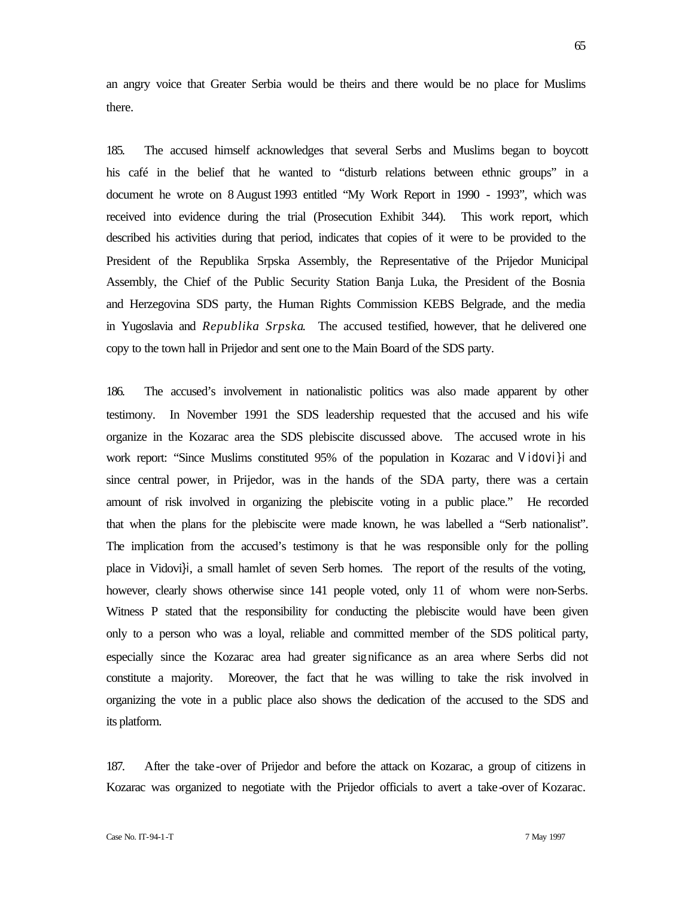an angry voice that Greater Serbia would be theirs and there would be no place for Muslims there.

185. The accused himself acknowledges that several Serbs and Muslims began to boycott his café in the belief that he wanted to "disturb relations between ethnic groups" in a document he wrote on 8 August 1993 entitled "My Work Report in 1990 - 1993", which was received into evidence during the trial (Prosecution Exhibit 344). This work report, which described his activities during that period, indicates that copies of it were to be provided to the President of the Republika Srpska Assembly, the Representative of the Prijedor Municipal Assembly, the Chief of the Public Security Station Banja Luka, the President of the Bosnia and Herzegovina SDS party, the Human Rights Commission KEBS Belgrade, and the media in Yugoslavia and *Republika Srpska*. The accused testified, however, that he delivered one copy to the town hall in Prijedor and sent one to the Main Board of the SDS party.

186. The accused's involvement in nationalistic politics was also made apparent by other testimony. In November 1991 the SDS leadership requested that the accused and his wife organize in the Kozarac area the SDS plebiscite discussed above. The accused wrote in his work report: "Since Muslims constituted 95% of the population in Kozarac and Vidovi}i and since central power, in Prijedor, was in the hands of the SDA party, there was a certain amount of risk involved in organizing the plebiscite voting in a public place." He recorded that when the plans for the plebiscite were made known, he was labelled a "Serb nationalist". The implication from the accused's testimony is that he was responsible only for the polling place in Vidovi}i, a small hamlet of seven Serb homes. The report of the results of the voting, however, clearly shows otherwise since 141 people voted, only 11 of whom were non-Serbs. Witness P stated that the responsibility for conducting the plebiscite would have been given only to a person who was a loyal, reliable and committed member of the SDS political party, especially since the Kozarac area had greater significance as an area where Serbs did not constitute a majority. Moreover, the fact that he was willing to take the risk involved in organizing the vote in a public place also shows the dedication of the accused to the SDS and its platform.

187. After the take-over of Prijedor and before the attack on Kozarac, a group of citizens in Kozarac was organized to negotiate with the Prijedor officials to avert a take-over of Kozarac.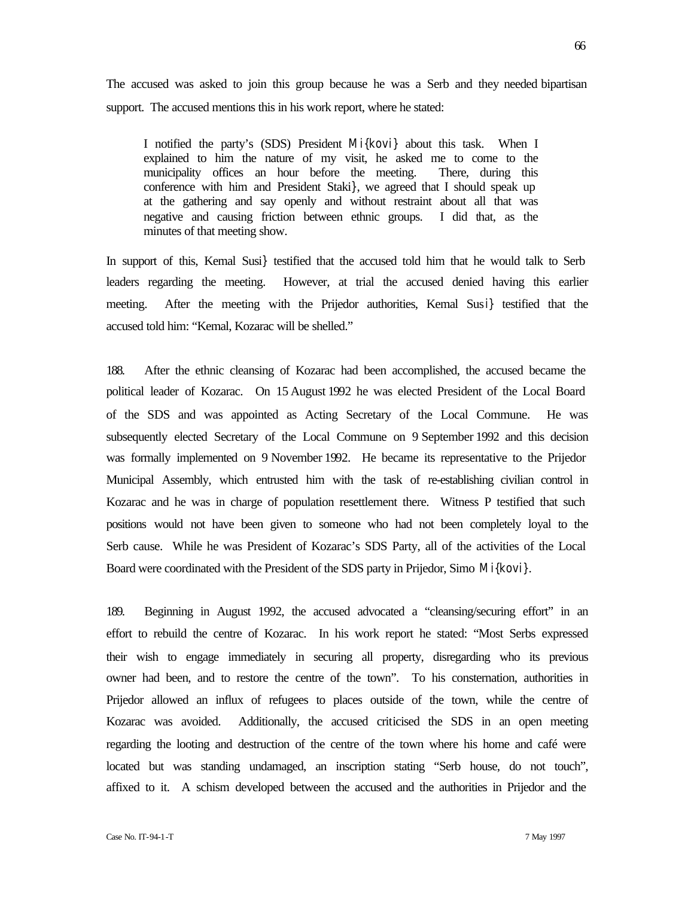The accused was asked to join this group because he was a Serb and they needed bipartisan support. The accused mentions this in his work report, where he stated:

I notified the party's (SDS) President Mi{kovi} about this task. When I explained to him the nature of my visit, he asked me to come to the municipality offices an hour before the meeting. There, during this conference with him and President Staki}, we agreed that I should speak up at the gathering and say openly and without restraint about all that was negative and causing friction between ethnic groups. I did that, as the minutes of that meeting show.

In support of this, Kemal Susi} testified that the accused told him that he would talk to Serb leaders regarding the meeting. However, at trial the accused denied having this earlier meeting. After the meeting with the Prijedor authorities, Kemal Susi} testified that the accused told him: "Kemal, Kozarac will be shelled."

188. After the ethnic cleansing of Kozarac had been accomplished, the accused became the political leader of Kozarac. On 15 August 1992 he was elected President of the Local Board of the SDS and was appointed as Acting Secretary of the Local Commune. He was subsequently elected Secretary of the Local Commune on 9 September 1992 and this decision was formally implemented on 9 November 1992. He became its representative to the Prijedor Municipal Assembly, which entrusted him with the task of re-establishing civilian control in Kozarac and he was in charge of population resettlement there. Witness P testified that such positions would not have been given to someone who had not been completely loyal to the Serb cause. While he was President of Kozarac's SDS Party, all of the activities of the Local Board were coordinated with the President of the SDS party in Prijedor, Simo Mi{kovi}.

189. Beginning in August 1992, the accused advocated a "cleansing/securing effort" in an effort to rebuild the centre of Kozarac. In his work report he stated: "Most Serbs expressed their wish to engage immediately in securing all property, disregarding who its previous owner had been, and to restore the centre of the town". To his consternation, authorities in Prijedor allowed an influx of refugees to places outside of the town, while the centre of Kozarac was avoided. Additionally, the accused criticised the SDS in an open meeting regarding the looting and destruction of the centre of the town where his home and café were located but was standing undamaged, an inscription stating "Serb house, do not touch", affixed to it. A schism developed between the accused and the authorities in Prijedor and the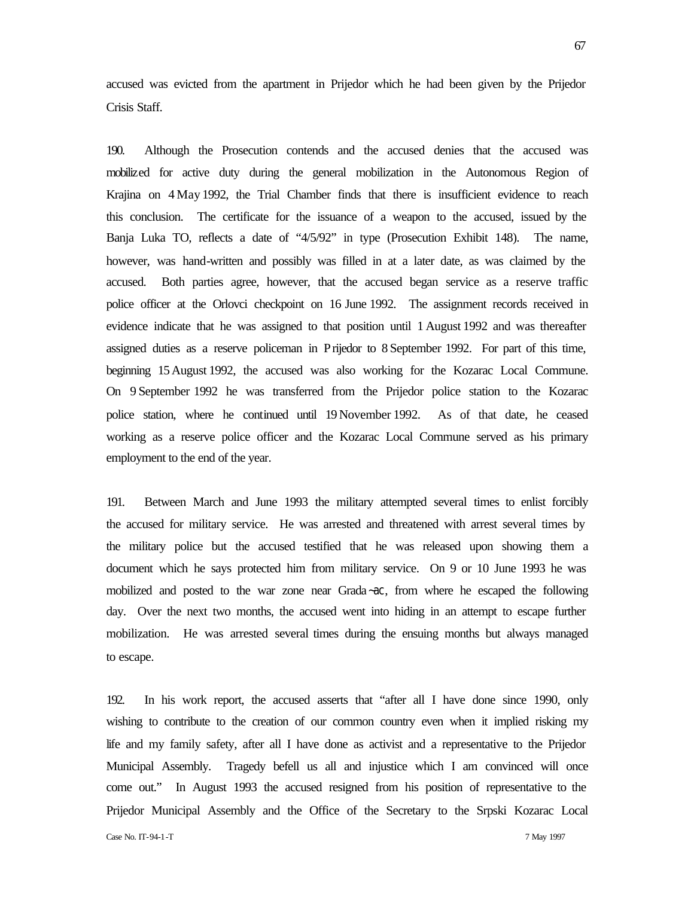accused was evicted from the apartment in Prijedor which he had been given by the Prijedor Crisis Staff.

190. Although the Prosecution contends and the accused denies that the accused was mobilized for active duty during the general mobilization in the Autonomous Region of Krajina on 4 May 1992, the Trial Chamber finds that there is insufficient evidence to reach this conclusion. The certificate for the issuance of a weapon to the accused, issued by the Banja Luka TO, reflects a date of "4/5/92" in type (Prosecution Exhibit 148). The name, however, was hand-written and possibly was filled in at a later date, as was claimed by the accused. Both parties agree, however, that the accused began service as a reserve traffic police officer at the Orlovci checkpoint on 16 June 1992. The assignment records received in evidence indicate that he was assigned to that position until 1 August 1992 and was thereafter assigned duties as a reserve policeman in Prijedor to 8 September 1992. For part of this time, beginning 15August 1992, the accused was also working for the Kozarac Local Commune. On 9 September 1992 he was transferred from the Prijedor police station to the Kozarac police station, where he continued until 19November 1992. As of that date, he ceased working as a reserve police officer and the Kozarac Local Commune served as his primary employment to the end of the year.

191. Between March and June 1993 the military attempted several times to enlist forcibly the accused for military service. He was arrested and threatened with arrest several times by the military police but the accused testified that he was released upon showing them a document which he says protected him from military service. On 9 or 10 June 1993 he was mobilized and posted to the war zone near Grada~ac, from where he escaped the following day. Over the next two months, the accused went into hiding in an attempt to escape further mobilization. He was arrested several times during the ensuing months but always managed to escape.

192. In his work report, the accused asserts that "after all I have done since 1990, only wishing to contribute to the creation of our common country even when it implied risking my life and my family safety, after all I have done as activist and a representative to the Prijedor Municipal Assembly. Tragedy befell us all and injustice which I am convinced will once come out." In August 1993 the accused resigned from his position of representative to the Prijedor Municipal Assembly and the Office of the Secretary to the Srpski Kozarac Local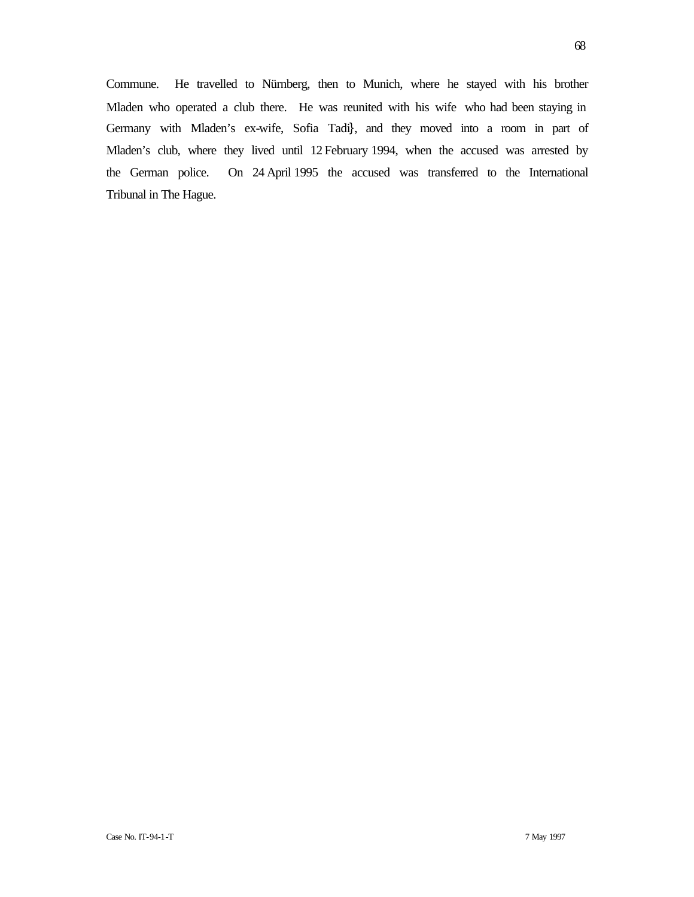Commune. He travelled to Nürnberg, then to Munich, where he stayed with his brother Mladen who operated a club there. He was reunited with his wife who had been staying in Germany with Mladen's ex-wife, Sofia Tadi}, and they moved into a room in part of Mladen's club, where they lived until 12 February 1994, when the accused was arrested by the German police. On 24 April 1995 the accused was transferred to the International Tribunal in The Hague.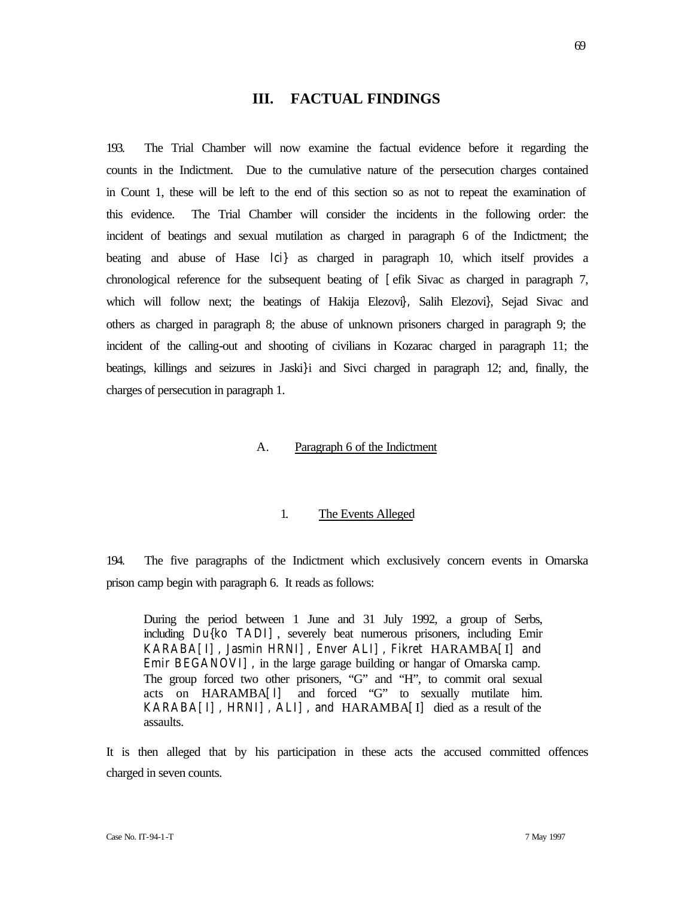# **III. FACTUAL FINDINGS**

193. The Trial Chamber will now examine the factual evidence before it regarding the counts in the Indictment. Due to the cumulative nature of the persecution charges contained in Count 1, these will be left to the end of this section so as not to repeat the examination of this evidence. The Trial Chamber will consider the incidents in the following order: the incident of beatings and sexual mutilation as charged in paragraph 6 of the Indictment; the beating and abuse of Hase Ici} as charged in paragraph 10, which itself provides a chronological reference for the subsequent beating of [efik Sivac as charged in paragraph 7, which will follow next; the beatings of Hakija Elezovi}, Salih Elezovi}, Sejad Sivac and others as charged in paragraph 8; the abuse of unknown prisoners charged in paragraph 9; the incident of the calling-out and shooting of civilians in Kozarac charged in paragraph 11; the beatings, killings and seizures in Jaski}i and Sivci charged in paragraph 12; and, finally, the charges of persecution in paragraph 1.

## A. Paragraph 6 of the Indictment

#### 1. The Events Alleged

194. The five paragraphs of the Indictment which exclusively concern events in Omarska prison camp begin with paragraph 6. It reads as follows:

During the period between 1 June and 31 July 1992, a group of Serbs, including Du{ko TADI], severely beat numerous prisoners, including Emir KARABA[I], Jasmin HRNI], Enver ALI], Fikret HARAMBA[I] and Emir BEGANOVI], in the large garage building or hangar of Omarska camp. The group forced two other prisoners, "G" and "H", to commit oral sexual acts on HARAMBA[I] and forced "G" to sexually mutilate him. KARABA[I], HRNI], ALI], and HARAMBA[I] died as a result of the assaults.

It is then alleged that by his participation in these acts the accused committed offences charged in seven counts.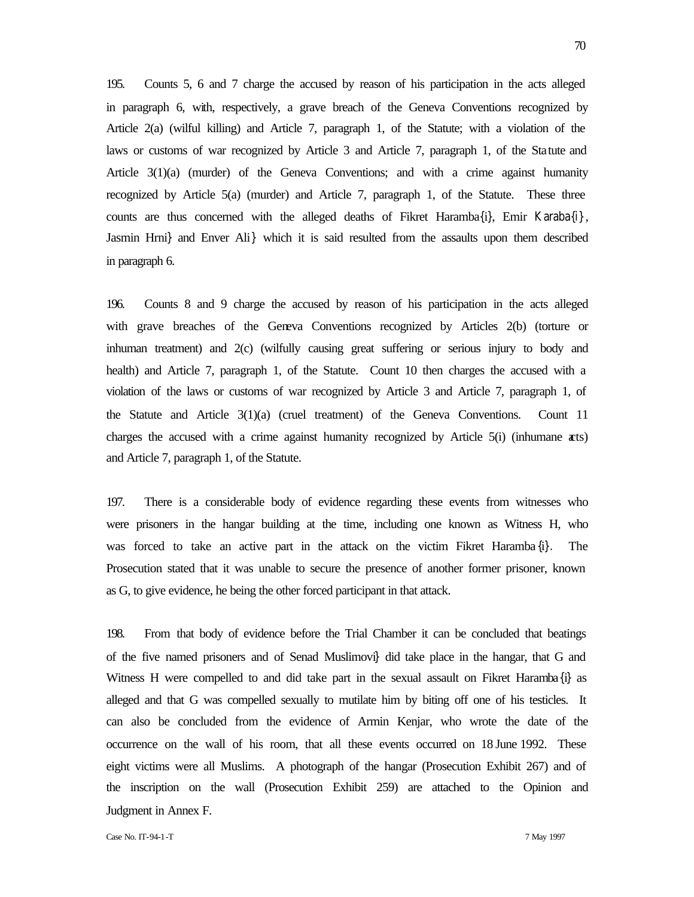195. Counts 5, 6 and 7 charge the accused by reason of his participation in the acts alleged in paragraph 6, with, respectively, a grave breach of the Geneva Conventions recognized by Article 2(a) (wilful killing) and Article 7, paragraph 1, of the Statute; with a violation of the laws or customs of war recognized by Article 3 and Article 7, paragraph 1, of the Statute and Article 3(1)(a) (murder) of the Geneva Conventions; and with a crime against humanity recognized by Article 5(a) (murder) and Article 7, paragraph 1, of the Statute. These three counts are thus concerned with the alleged deaths of Fikret Haramba{i}, Emir Karaba{i}, Jasmin Hrni} and Enver Ali} which it is said resulted from the assaults upon them described in paragraph 6.

196. Counts 8 and 9 charge the accused by reason of his participation in the acts alleged with grave breaches of the Geneva Conventions recognized by Articles 2(b) (torture or inhuman treatment) and 2(c) (wilfully causing great suffering or serious injury to body and health) and Article 7, paragraph 1, of the Statute. Count 10 then charges the accused with a violation of the laws or customs of war recognized by Article 3 and Article 7, paragraph 1, of the Statute and Article 3(1)(a) (cruel treatment) of the Geneva Conventions. Count 11 charges the accused with a crime against humanity recognized by Article 5(i) (inhumane acts) and Article 7, paragraph 1, of the Statute.

197. There is a considerable body of evidence regarding these events from witnesses who were prisoners in the hangar building at the time, including one known as Witness H, who was forced to take an active part in the attack on the victim Fikret Haramba{i}. The Prosecution stated that it was unable to secure the presence of another former prisoner, known as G, to give evidence, he being the other forced participant in that attack.

198. From that body of evidence before the Trial Chamber it can be concluded that beatings of the five named prisoners and of Senad Muslimovi} did take place in the hangar, that G and Witness H were compelled to and did take part in the sexual assault on Fikret Haramba{i} as alleged and that G was compelled sexually to mutilate him by biting off one of his testicles. It can also be concluded from the evidence of Armin Kenjar, who wrote the date of the occurrence on the wall of his room, that all these events occurred on 18 June 1992. These eight victims were all Muslims. A photograph of the hangar (Prosecution Exhibit 267) and of the inscription on the wall (Prosecution Exhibit 259) are attached to the Opinion and Judgment in Annex F.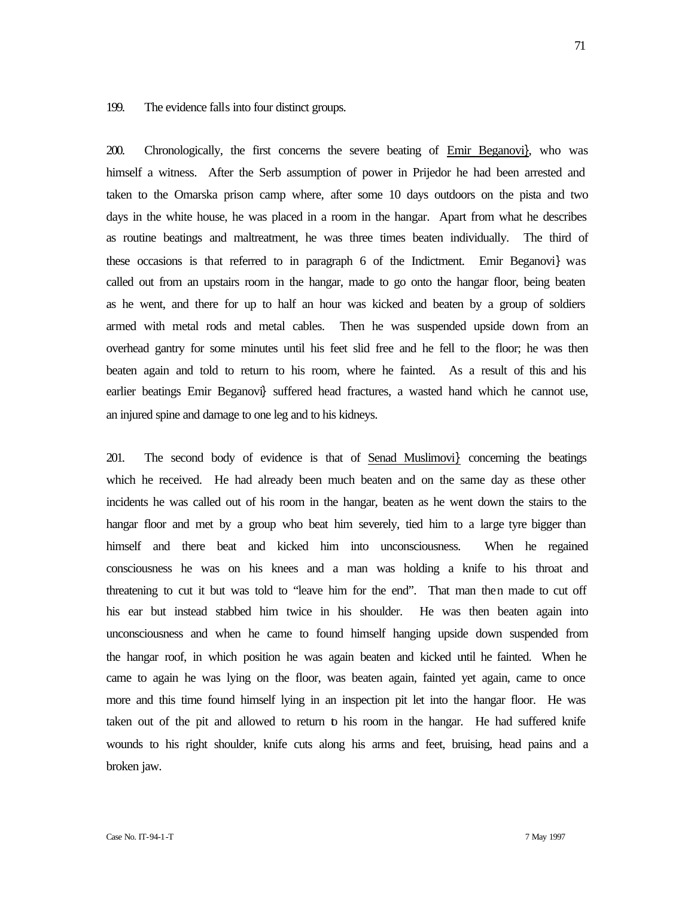200. Chronologically, the first concerns the severe beating of Emir Beganovi}, who was himself a witness. After the Serb assumption of power in Prijedor he had been arrested and taken to the Omarska prison camp where, after some 10 days outdoors on the pista and two days in the white house, he was placed in a room in the hangar. Apart from what he describes as routine beatings and maltreatment, he was three times beaten individually. The third of these occasions is that referred to in paragraph 6 of the Indictment. Emir Beganovi} was called out from an upstairs room in the hangar, made to go onto the hangar floor, being beaten as he went, and there for up to half an hour was kicked and beaten by a group of soldiers armed with metal rods and metal cables. Then he was suspended upside down from an overhead gantry for some minutes until his feet slid free and he fell to the floor; he was then beaten again and told to return to his room, where he fainted. As a result of this and his earlier beatings Emir Beganovi} suffered head fractures, a wasted hand which he cannot use, an injured spine and damage to one leg and to his kidneys.

201. The second body of evidence is that of Senad Muslimovi} concerning the beatings which he received. He had already been much beaten and on the same day as these other incidents he was called out of his room in the hangar, beaten as he went down the stairs to the hangar floor and met by a group who beat him severely, tied him to a large tyre bigger than himself and there beat and kicked him into unconsciousness. When he regained consciousness he was on his knees and a man was holding a knife to his throat and threatening to cut it but was told to "leave him for the end". That man then made to cut off his ear but instead stabbed him twice in his shoulder. He was then beaten again into unconsciousness and when he came to found himself hanging upside down suspended from the hangar roof, in which position he was again beaten and kicked until he fainted. When he came to again he was lying on the floor, was beaten again, fainted yet again, came to once more and this time found himself lying in an inspection pit let into the hangar floor. He was taken out of the pit and allowed to return to his room in the hangar. He had suffered knife wounds to his right shoulder, knife cuts along his arms and feet, bruising, head pains and a broken jaw.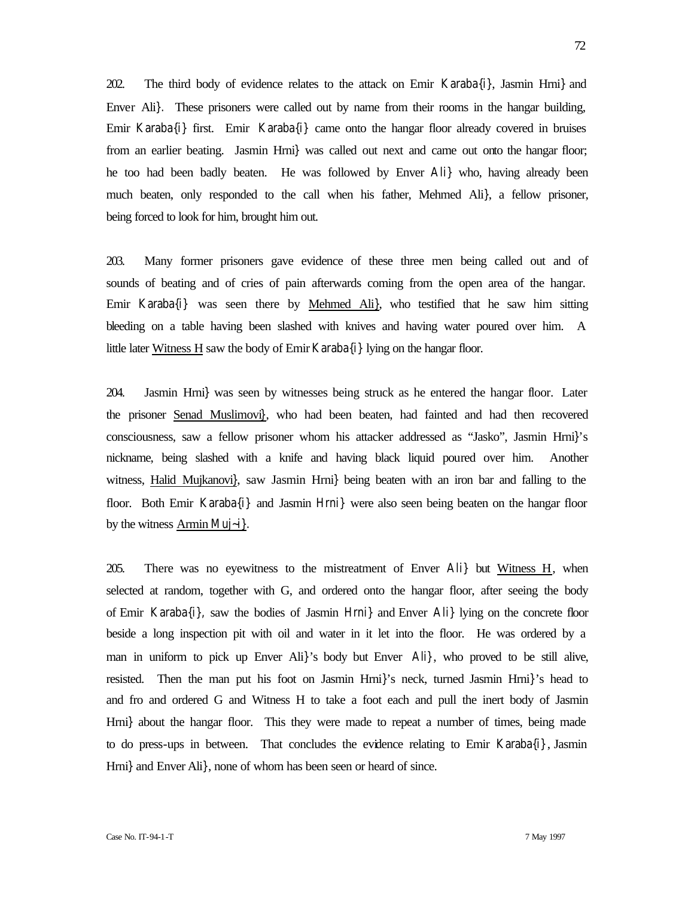202. The third body of evidence relates to the attack on Emir Karaba{i}, Jasmin Hrni} and Enver Ali}. These prisoners were called out by name from their rooms in the hangar building, Emir Karaba{i} first. Emir Karaba{i} came onto the hangar floor already covered in bruises from an earlier beating. Jasmin Hrni} was called out next and came out onto the hangar floor; he too had been badly beaten. He was followed by Enver Ali} who, having already been much beaten, only responded to the call when his father, Mehmed Ali}, a fellow prisoner, being forced to look for him, brought him out.

203. Many former prisoners gave evidence of these three men being called out and of sounds of beating and of cries of pain afterwards coming from the open area of the hangar. Emir Karaba{i} was seen there by Mehmed Ali}, who testified that he saw him sitting bleeding on a table having been slashed with knives and having water poured over him. A little later Witness H saw the body of Emir Karaba{i} lying on the hangar floor.

204. Jasmin Hrni} was seen by witnesses being struck as he entered the hangar floor. Later the prisoner Senad Muslimovi}, who had been beaten, had fainted and had then recovered consciousness, saw a fellow prisoner whom his attacker addressed as "Jasko", Jasmin Hrni}'s nickname, being slashed with a knife and having black liquid poured over him. Another witness, Halid Mujkanovi}, saw Jasmin Hrni} being beaten with an iron bar and falling to the floor. Both Emir Karaba{i} and Jasmin Hrni} were also seen being beaten on the hangar floor by the witness Armin Muj~i}.

205. There was no eyewitness to the mistreatment of Enver Ali} but Witness H, when selected at random, together with G, and ordered onto the hangar floor, after seeing the body of Emir Karaba{i}, saw the bodies of Jasmin Hrni} and Enver Ali} lying on the concrete floor beside a long inspection pit with oil and water in it let into the floor. He was ordered by a man in uniform to pick up Enver Ali}'s body but Enver Ali}, who proved to be still alive, resisted. Then the man put his foot on Jasmin Hrni}'s neck, turned Jasmin Hrni}'s head to and fro and ordered G and Witness H to take a foot each and pull the inert body of Jasmin Hrni} about the hangar floor. This they were made to repeat a number of times, being made to do press-ups in between. That concludes the evidence relating to Emir Karaba{i} , Jasmin Hrni} and Enver Ali}, none of whom has been seen or heard of since.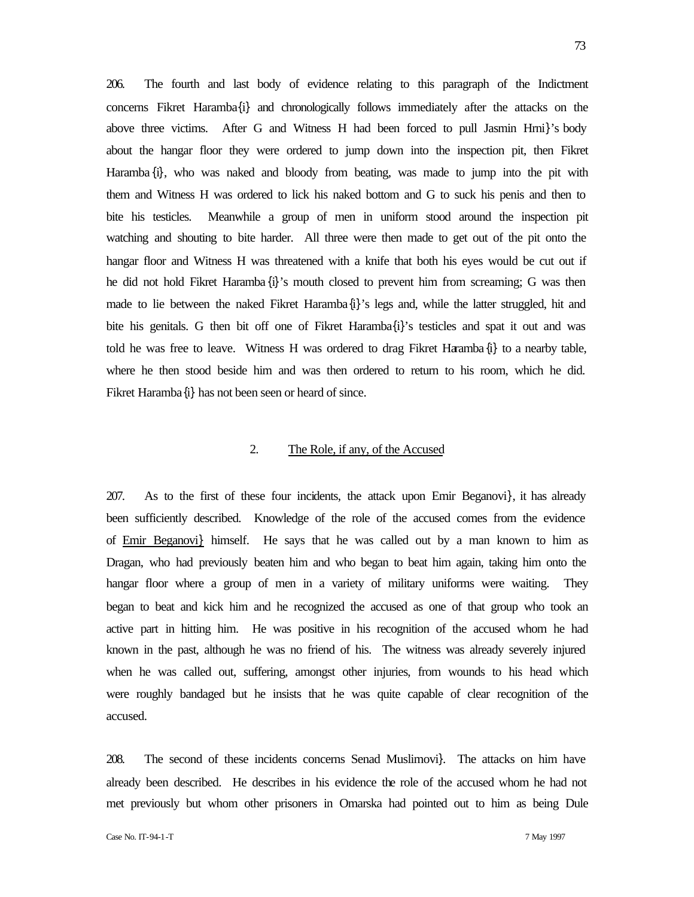206. The fourth and last body of evidence relating to this paragraph of the Indictment concerns Fikret Haramba{i} and chronologically follows immediately after the attacks on the above three victims. After G and Witness H had been forced to pull Jasmin Hrni}'s body about the hangar floor they were ordered to jump down into the inspection pit, then Fikret Haramba{i}, who was naked and bloody from beating, was made to jump into the pit with them and Witness H was ordered to lick his naked bottom and G to suck his penis and then to bite his testicles. Meanwhile a group of men in uniform stood around the inspection pit watching and shouting to bite harder. All three were then made to get out of the pit onto the hangar floor and Witness H was threatened with a knife that both his eyes would be cut out if he did not hold Fikret Haramba{i}'s mouth closed to prevent him from screaming; G was then made to lie between the naked Fikret Haramba{i}'s legs and, while the latter struggled, hit and bite his genitals. G then bit off one of Fikret Haramba{i}'s testicles and spat it out and was told he was free to leave. Witness H was ordered to drag Fikret Haramba{i} to a nearby table, where he then stood beside him and was then ordered to return to his room, which he did. Fikret Haramba{i} has not been seen or heard of since.

# 2. The Role, if any, of the Accused

207. As to the first of these four incidents, the attack upon Emir Beganovi}, it has already been sufficiently described. Knowledge of the role of the accused comes from the evidence of Emir Beganovi} himself. He says that he was called out by a man known to him as Dragan, who had previously beaten him and who began to beat him again, taking him onto the hangar floor where a group of men in a variety of military uniforms were waiting. They began to beat and kick him and he recognized the accused as one of that group who took an active part in hitting him. He was positive in his recognition of the accused whom he had known in the past, although he was no friend of his. The witness was already severely injured when he was called out, suffering, amongst other injuries, from wounds to his head which were roughly bandaged but he insists that he was quite capable of clear recognition of the accused.

208. The second of these incidents concerns Senad Muslimovi}. The attacks on him have already been described. He describes in his evidence the role of the accused whom he had not met previously but whom other prisoners in Omarska had pointed out to him as being Dule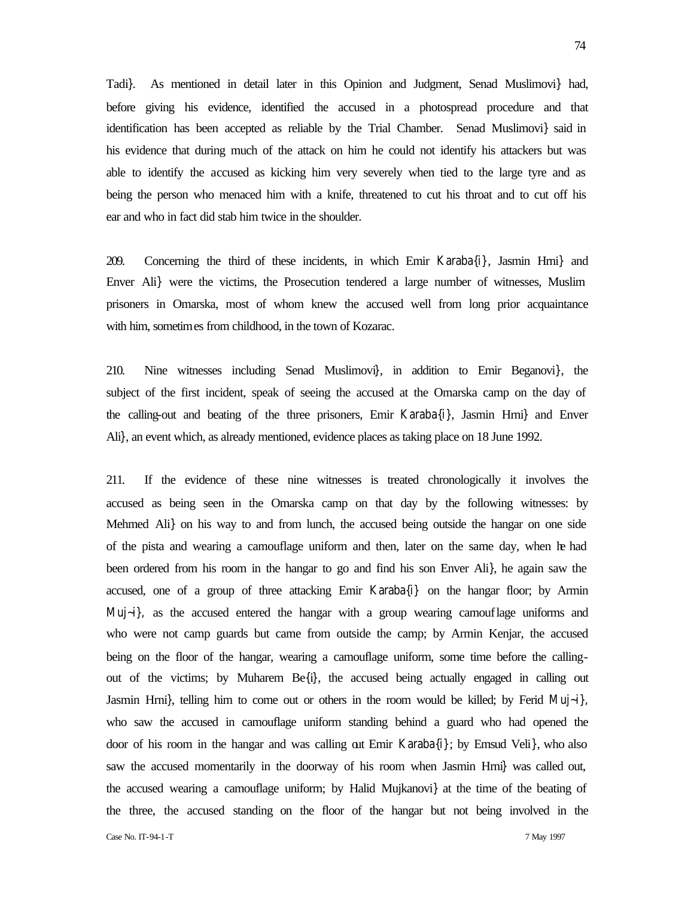Tadi}. As mentioned in detail later in this Opinion and Judgment, Senad Muslimovi} had, before giving his evidence, identified the accused in a photospread procedure and that identification has been accepted as reliable by the Trial Chamber. Senad Muslimovi} said in his evidence that during much of the attack on him he could not identify his attackers but was able to identify the accused as kicking him very severely when tied to the large tyre and as being the person who menaced him with a knife, threatened to cut his throat and to cut off his ear and who in fact did stab him twice in the shoulder.

209. Concerning the third of these incidents, in which Emir Karaba $\{i\}$ , Jasmin Hrni $\}$  and Enver Ali} were the victims, the Prosecution tendered a large number of witnesses, Muslim prisoners in Omarska, most of whom knew the accused well from long prior acquaintance with him, sometimes from childhood, in the town of Kozarac.

210. Nine witnesses including Senad Muslimovi}, in addition to Emir Beganovi}, the subject of the first incident, speak of seeing the accused at the Omarska camp on the day of the calling-out and beating of the three prisoners, Emir Karaba{i}, Jasmin Hrni} and Enver Ali}, an event which, as already mentioned, evidence places as taking place on 18 June 1992.

211. If the evidence of these nine witnesses is treated chronologically it involves the accused as being seen in the Omarska camp on that day by the following witnesses: by Mehmed Ali} on his way to and from lunch, the accused being outside the hangar on one side of the pista and wearing a camouflage uniform and then, later on the same day, when he had been ordered from his room in the hangar to go and find his son Enver Ali}, he again saw the accused, one of a group of three attacking Emir Karaba{i} on the hangar floor; by Armin Muj~i}, as the accused entered the hangar with a group wearing camouflage uniforms and who were not camp guards but came from outside the camp; by Armin Kenjar, the accused being on the floor of the hangar, wearing a camouflage uniform, some time before the callingout of the victims; by Muharem Be{i}, the accused being actually engaged in calling out Jasmin Hrni}, telling him to come out or others in the room would be killed; by Ferid Muj~i}, who saw the accused in camouflage uniform standing behind a guard who had opened the door of his room in the hangar and was calling out Emir Karaba{i}; by Emsud Veli}, who also saw the accused momentarily in the doorway of his room when Jasmin Hrni} was called out, the accused wearing a camouflage uniform; by Halid Mujkanovi} at the time of the beating of the three, the accused standing on the floor of the hangar but not being involved in the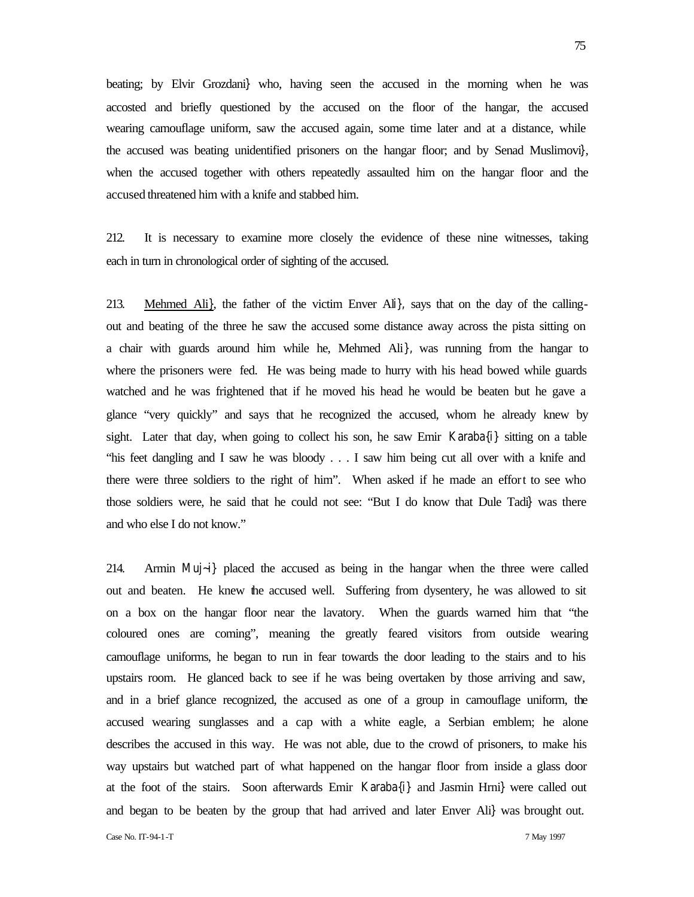beating; by Elvir Grozdani} who, having seen the accused in the morning when he was accosted and briefly questioned by the accused on the floor of the hangar, the accused wearing camouflage uniform, saw the accused again, some time later and at a distance, while the accused was beating unidentified prisoners on the hangar floor; and by Senad Muslimovi}, when the accused together with others repeatedly assaulted him on the hangar floor and the accused threatened him with a knife and stabbed him.

212. It is necessary to examine more closely the evidence of these nine witnesses, taking each in turn in chronological order of sighting of the accused.

213. Mehmed Ali}, the father of the victim Enver Ali}, says that on the day of the callingout and beating of the three he saw the accused some distance away across the pista sitting on a chair with guards around him while he, Mehmed Ali}, was running from the hangar to where the prisoners were fed. He was being made to hurry with his head bowed while guards watched and he was frightened that if he moved his head he would be beaten but he gave a glance "very quickly" and says that he recognized the accused, whom he already knew by sight. Later that day, when going to collect his son, he saw Emir Karaba $\{i\}$  sitting on a table "his feet dangling and I saw he was bloody . . . I saw him being cut all over with a knife and there were three soldiers to the right of him". When asked if he made an effort to see who those soldiers were, he said that he could not see: "But I do know that Dule Tadi} was there and who else I do not know."

214. Armin Muj~i} placed the accused as being in the hangar when the three were called out and beaten. He knew the accused well. Suffering from dysentery, he was allowed to sit on a box on the hangar floor near the lavatory. When the guards warned him that "the coloured ones are coming", meaning the greatly feared visitors from outside wearing camouflage uniforms, he began to run in fear towards the door leading to the stairs and to his upstairs room. He glanced back to see if he was being overtaken by those arriving and saw, and in a brief glance recognized, the accused as one of a group in camouflage uniform, the accused wearing sunglasses and a cap with a white eagle, a Serbian emblem; he alone describes the accused in this way. He was not able, due to the crowd of prisoners, to make his way upstairs but watched part of what happened on the hangar floor from inside a glass door at the foot of the stairs. Soon afterwards Emir Karaba{i} and Jasmin Hrni} were called out and began to be beaten by the group that had arrived and later Enver Ali} was brought out.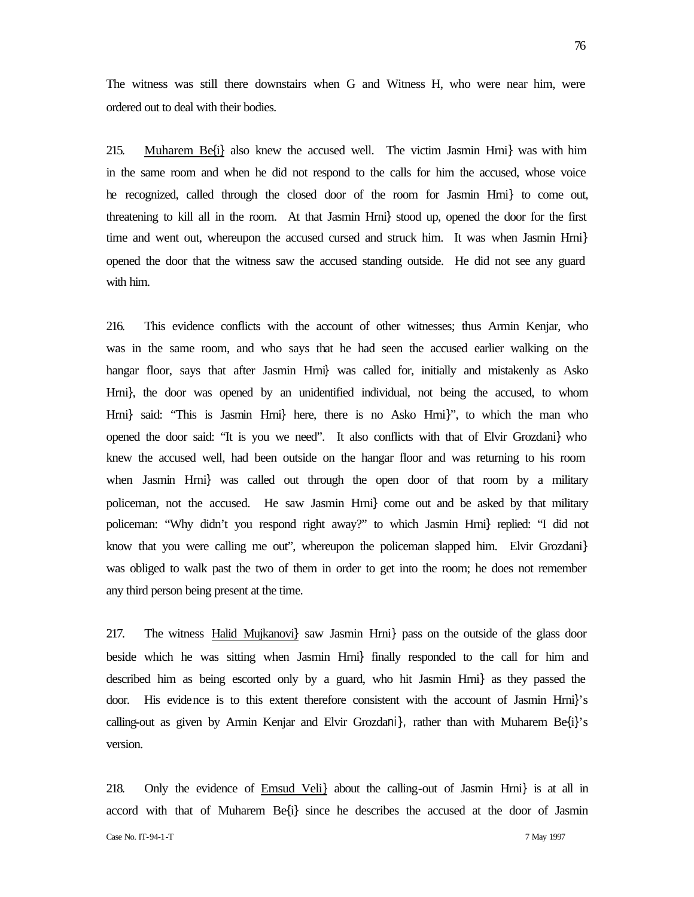The witness was still there downstairs when G and Witness H, who were near him, were ordered out to deal with their bodies.

215. Muharem  $B\epsilon\{i\}$  also knew the accused well. The victim Jasmin Hrni $\}$  was with him in the same room and when he did not respond to the calls for him the accused, whose voice he recognized, called through the closed door of the room for Jasmin Hrni} to come out, threatening to kill all in the room. At that Jasmin Hrni} stood up, opened the door for the first time and went out, whereupon the accused cursed and struck him. It was when Jasmin Hrni} opened the door that the witness saw the accused standing outside. He did not see any guard with him.

216. This evidence conflicts with the account of other witnesses; thus Armin Kenjar, who was in the same room, and who says that he had seen the accused earlier walking on the hangar floor, says that after Jasmin Hrni} was called for, initially and mistakenly as Asko Hrni}, the door was opened by an unidentified individual, not being the accused, to whom Hrni} said: "This is Jasmin Hrni} here, there is no Asko Hrni}", to which the man who opened the door said: "It is you we need". It also conflicts with that of Elvir Grozdani} who knew the accused well, had been outside on the hangar floor and was returning to his room when Jasmin Hrni} was called out through the open door of that room by a military policeman, not the accused. He saw Jasmin Hrni} come out and be asked by that military policeman: "Why didn't you respond right away?" to which Jasmin Hrni} replied: "I did not know that you were calling me out", whereupon the policeman slapped him. Elvir Grozdani} was obliged to walk past the two of them in order to get into the room; he does not remember any third person being present at the time.

217. The witness Halid Mujkanovi} saw Jasmin Hrni} pass on the outside of the glass door beside which he was sitting when Jasmin Hrni} finally responded to the call for him and described him as being escorted only by a guard, who hit Jasmin Hrni} as they passed the door. His evidence is to this extent therefore consistent with the account of Jasmin Hrni}'s calling-out as given by Armin Kenjar and Elvir Grozdani $\}$ , rather than with Muharem Be $\{i\}$ 's version.

218. Only the evidence of Emsud Veli} about the calling-out of Jasmin Hrni} is at all in accord with that of Muharem Be{i} since he describes the accused at the door of Jasmin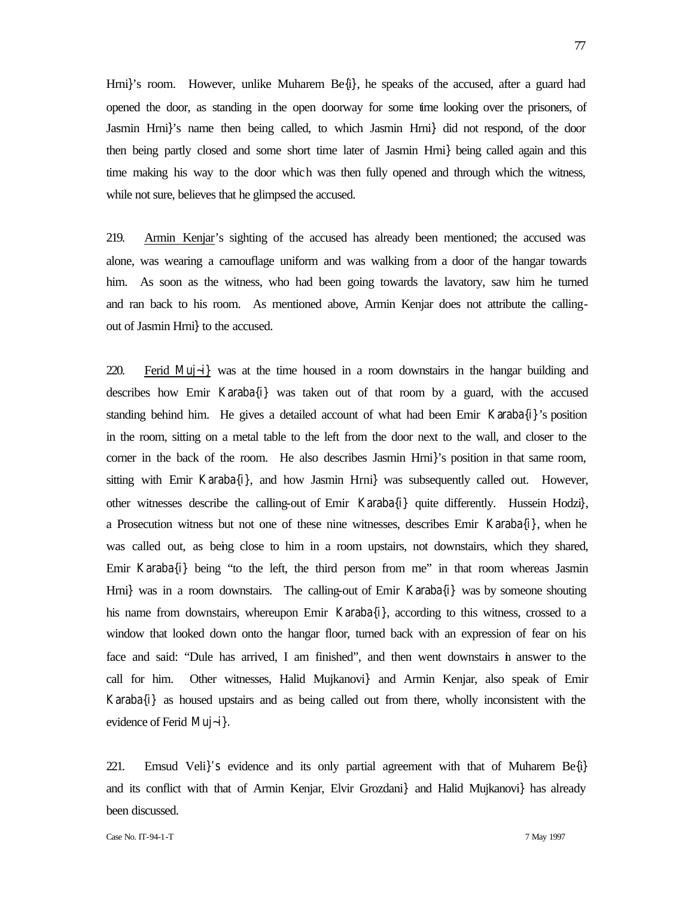Hrni}'s room. However, unlike Muharem Be{i}, he speaks of the accused, after a guard had opened the door, as standing in the open doorway for some time looking over the prisoners, of Jasmin Hrni}'s name then being called, to which Jasmin Hrni} did not respond, of the door then being partly closed and some short time later of Jasmin Hrni} being called again and this time making his way to the door which was then fully opened and through which the witness, while not sure, believes that he glimpsed the accused.

219. Armin Kenjar's sighting of the accused has already been mentioned; the accused was alone, was wearing a camouflage uniform and was walking from a door of the hangar towards him. As soon as the witness, who had been going towards the lavatory, saw him he turned and ran back to his room. As mentioned above, Armin Kenjar does not attribute the callingout of Jasmin Hrni} to the accused.

220. Ferid Muj~i} was at the time housed in a room downstairs in the hangar building and describes how Emir Karaba{i} was taken out of that room by a guard, with the accused standing behind him. He gives a detailed account of what had been Emir Karaba $\{i\}$ 's position in the room, sitting on a metal table to the left from the door next to the wall, and closer to the corner in the back of the room. He also describes Jasmin Hrni}'s position in that same room, sitting with Emir Karaba{i}, and how Jasmin Hrni} was subsequently called out. However, other witnesses describe the calling-out of Emir Karaba{i} quite differently. Hussein Hodzi}, a Prosecution witness but not one of these nine witnesses, describes Emir Karaba{i}, when he was called out, as being close to him in a room upstairs, not downstairs, which they shared, Emir Karaba{i} being "to the left, the third person from me" in that room whereas Jasmin Hrni} was in a room downstairs. The calling-out of Emir Karaba{i} was by someone shouting his name from downstairs, whereupon Emir Karaba{i}, according to this witness, crossed to a window that looked down onto the hangar floor, turned back with an expression of fear on his face and said: "Dule has arrived, I am finished", and then went downstairs in answer to the call for him. Other witnesses, Halid Mujkanovi} and Armin Kenjar, also speak of Emir Karaba{i} as housed upstairs and as being called out from there, wholly inconsistent with the evidence of Ferid Muj~i}.

221. Emsud Veli}'s evidence and its only partial agreement with that of Muharem Be{i} and its conflict with that of Armin Kenjar, Elvir Grozdani} and Halid Mujkanovi} has already been discussed.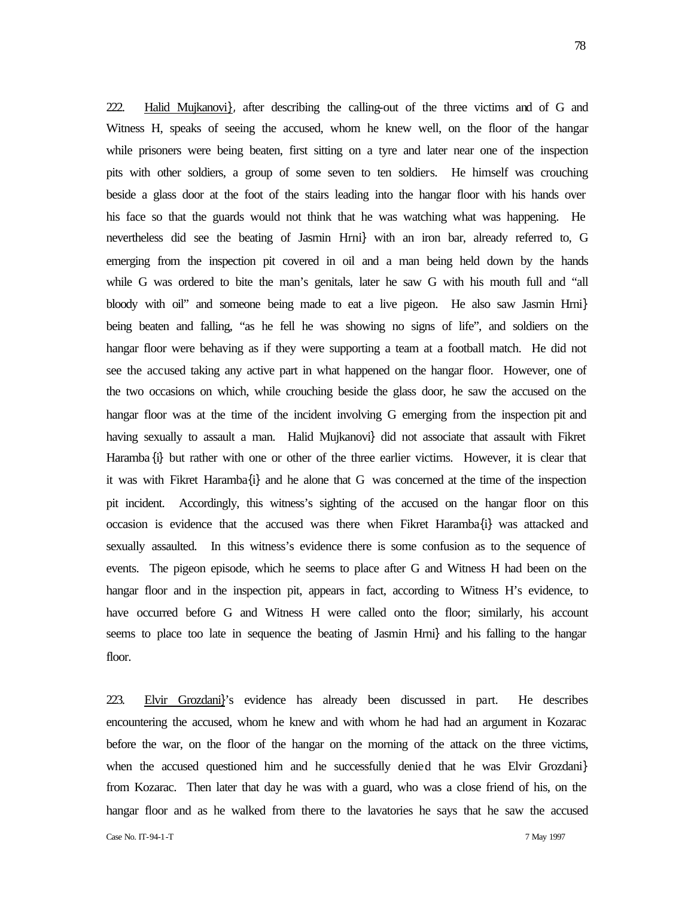222. Halid Mujkanovi}, after describing the calling-out of the three victims and of G and Witness H, speaks of seeing the accused, whom he knew well, on the floor of the hangar while prisoners were being beaten, first sitting on a tyre and later near one of the inspection pits with other soldiers, a group of some seven to ten soldiers. He himself was crouching beside a glass door at the foot of the stairs leading into the hangar floor with his hands over his face so that the guards would not think that he was watching what was happening. He nevertheless did see the beating of Jasmin Hrni} with an iron bar, already referred to, G emerging from the inspection pit covered in oil and a man being held down by the hands while G was ordered to bite the man's genitals, later he saw G with his mouth full and "all bloody with oil" and someone being made to eat a live pigeon. He also saw Jasmin Hrni} being beaten and falling, "as he fell he was showing no signs of life", and soldiers on the hangar floor were behaving as if they were supporting a team at a football match. He did not see the accused taking any active part in what happened on the hangar floor. However, one of the two occasions on which, while crouching beside the glass door, he saw the accused on the hangar floor was at the time of the incident involving G emerging from the inspection pit and having sexually to assault a man. Halid Mujkanovi} did not associate that assault with Fikret Haramba{i} but rather with one or other of the three earlier victims. However, it is clear that it was with Fikret Haramba{i} and he alone that G was concerned at the time of the inspection pit incident. Accordingly, this witness's sighting of the accused on the hangar floor on this occasion is evidence that the accused was there when Fikret Haramba{i} was attacked and sexually assaulted. In this witness's evidence there is some confusion as to the sequence of events. The pigeon episode, which he seems to place after G and Witness H had been on the

hangar floor and in the inspection pit, appears in fact, according to Witness H's evidence, to have occurred before G and Witness H were called onto the floor; similarly, his account seems to place too late in sequence the beating of Jasmin Hrni} and his falling to the hangar floor.

223. Elvir Grozdani}'s evidence has already been discussed in part. He describes encountering the accused, whom he knew and with whom he had had an argument in Kozarac before the war, on the floor of the hangar on the morning of the attack on the three victims, when the accused questioned him and he successfully denied that he was Elvir Grozdani} from Kozarac. Then later that day he was with a guard, who was a close friend of his, on the hangar floor and as he walked from there to the lavatories he says that he saw the accused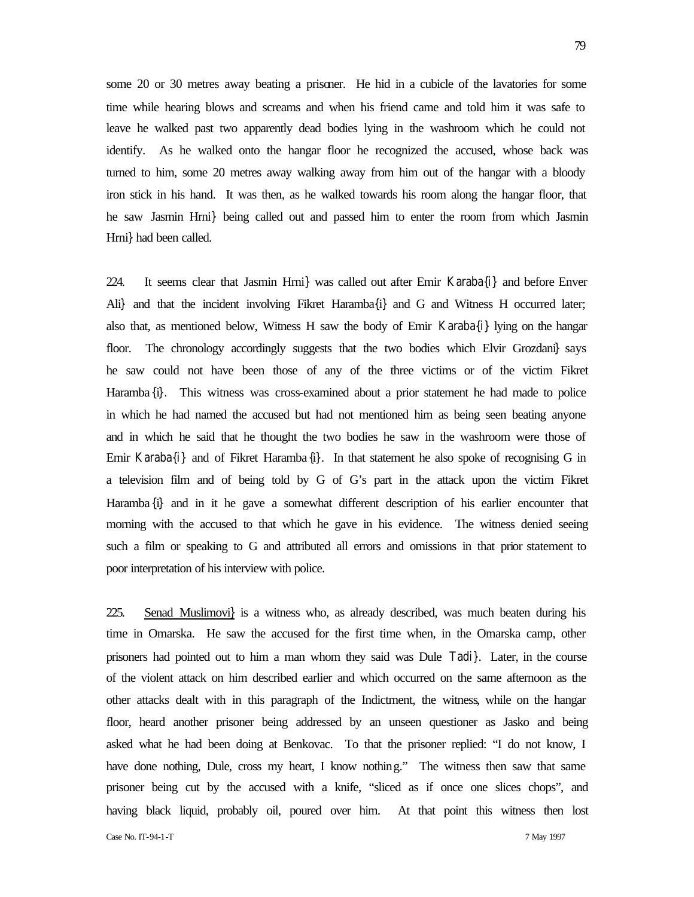some 20 or 30 metres away beating a prisoner. He hid in a cubicle of the lavatories for some time while hearing blows and screams and when his friend came and told him it was safe to leave he walked past two apparently dead bodies lying in the washroom which he could not identify. As he walked onto the hangar floor he recognized the accused, whose back was turned to him, some 20 metres away walking away from him out of the hangar with a bloody iron stick in his hand. It was then, as he walked towards his room along the hangar floor, that he saw Jasmin Hrni} being called out and passed him to enter the room from which Jasmin Hrni} had been called.

224. It seems clear that Jasmin Hrni} was called out after Emir Karaba{i} and before Enver Ali} and that the incident involving Fikret Haramba{i} and G and Witness H occurred later; also that, as mentioned below, Witness H saw the body of Emir Karaba $\{i\}$  lying on the hangar floor. The chronology accordingly suggests that the two bodies which Elvir Grozdani} says he saw could not have been those of any of the three victims or of the victim Fikret Haramba{i}. This witness was cross-examined about a prior statement he had made to police in which he had named the accused but had not mentioned him as being seen beating anyone and in which he said that he thought the two bodies he saw in the washroom were those of Emir Karaba $\{i\}$  and of Fikret Haramba $\{i\}$ . In that statement he also spoke of recognising G in a television film and of being told by G of G's part in the attack upon the victim Fikret Haramba{i} and in it he gave a somewhat different description of his earlier encounter that morning with the accused to that which he gave in his evidence. The witness denied seeing such a film or speaking to G and attributed all errors and omissions in that prior statement to poor interpretation of his interview with police.

225. Senad Muslimovi} is a witness who, as already described, was much beaten during his time in Omarska. He saw the accused for the first time when, in the Omarska camp, other prisoners had pointed out to him a man whom they said was Dule Tadi}. Later, in the course of the violent attack on him described earlier and which occurred on the same afternoon as the other attacks dealt with in this paragraph of the Indictment, the witness, while on the hangar floor, heard another prisoner being addressed by an unseen questioner as Jasko and being asked what he had been doing at Benkovac. To that the prisoner replied: "I do not know, I have done nothing, Dule, cross my heart, I know nothing." The witness then saw that same prisoner being cut by the accused with a knife, "sliced as if once one slices chops", and having black liquid, probably oil, poured over him. At that point this witness then lost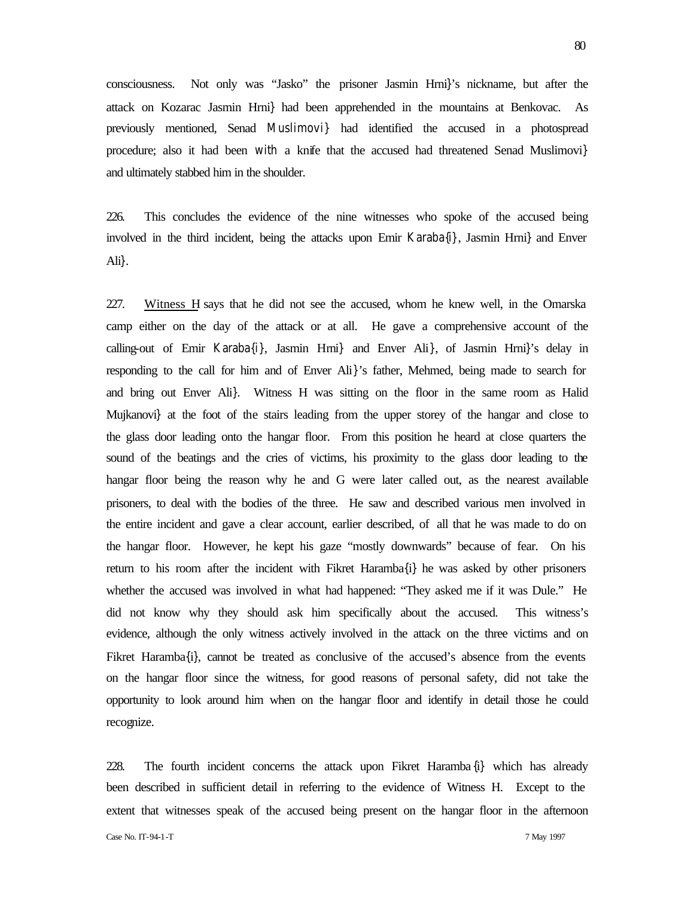consciousness. Not only was "Jasko" the prisoner Jasmin Hrni}'s nickname, but after the attack on Kozarac Jasmin Hrni} had been apprehended in the mountains at Benkovac. As previously mentioned, Senad Muslimovi} had identified the accused in a photospread procedure; also it had been with a knife that the accused had threatened Senad Muslimovi} and ultimately stabbed him in the shoulder.

226. This concludes the evidence of the nine witnesses who spoke of the accused being involved in the third incident, being the attacks upon Emir Karaba{i}, Jasmin Hrni} and Enver Ali}.

227. Witness H says that he did not see the accused, whom he knew well, in the Omarska camp either on the day of the attack or at all. He gave a comprehensive account of the calling-out of Emir Karaba{i}, Jasmin Hrni} and Enver Ali}, of Jasmin Hrni}'s delay in responding to the call for him and of Enver Ali}'s father, Mehmed, being made to search for and bring out Enver Ali}. Witness H was sitting on the floor in the same room as Halid Mujkanovi} at the foot of the stairs leading from the upper storey of the hangar and close to the glass door leading onto the hangar floor. From this position he heard at close quarters the sound of the beatings and the cries of victims, his proximity to the glass door leading to the hangar floor being the reason why he and G were later called out, as the nearest available prisoners, to deal with the bodies of the three. He saw and described various men involved in the entire incident and gave a clear account, earlier described, of all that he was made to do on the hangar floor. However, he kept his gaze "mostly downwards" because of fear. On his return to his room after the incident with Fikret Haramba{i} he was asked by other prisoners whether the accused was involved in what had happened: "They asked me if it was Dule." He did not know why they should ask him specifically about the accused. This witness's evidence, although the only witness actively involved in the attack on the three victims and on Fikret Haramba{i}, cannot be treated as conclusive of the accused's absence from the events on the hangar floor since the witness, for good reasons of personal safety, did not take the opportunity to look around him when on the hangar floor and identify in detail those he could recognize.

228. The fourth incident concerns the attack upon Fikret Haramba{i} which has already been described in sufficient detail in referring to the evidence of Witness H. Except to the extent that witnesses speak of the accused being present on the hangar floor in the afternoon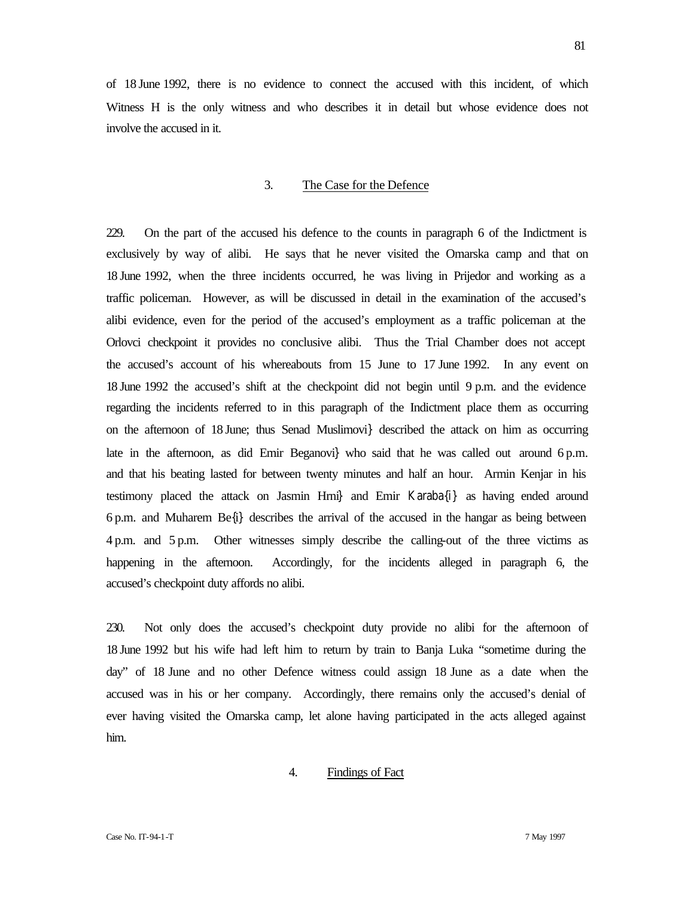of 18 June 1992, there is no evidence to connect the accused with this incident, of which Witness H is the only witness and who describes it in detail but whose evidence does not involve the accused in it.

## 3. The Case for the Defence

229. On the part of the accused his defence to the counts in paragraph 6 of the Indictment is exclusively by way of alibi. He says that he never visited the Omarska camp and that on 18 June 1992, when the three incidents occurred, he was living in Prijedor and working as a traffic policeman. However, as will be discussed in detail in the examination of the accused's alibi evidence, even for the period of the accused's employment as a traffic policeman at the Orlovci checkpoint it provides no conclusive alibi. Thus the Trial Chamber does not accept the accused's account of his whereabouts from 15 June to 17 June 1992. In any event on 18 June 1992 the accused's shift at the checkpoint did not begin until 9 p.m. and the evidence regarding the incidents referred to in this paragraph of the Indictment place them as occurring on the afternoon of 18 June; thus Senad Muslimovi} described the attack on him as occurring late in the afternoon, as did Emir Beganovi} who said that he was called out around 6 p.m. and that his beating lasted for between twenty minutes and half an hour. Armin Kenjar in his testimony placed the attack on Jasmin Hrni} and Emir Karaba{i} as having ended around 6 p.m. and Muharem Be{i} describes the arrival of the accused in the hangar as being between 4 p.m. and 5 p.m. Other witnesses simply describe the calling-out of the three victims as happening in the afternoon. Accordingly, for the incidents alleged in paragraph 6, the accused's checkpoint duty affords no alibi.

230. Not only does the accused's checkpoint duty provide no alibi for the afternoon of 18 June 1992 but his wife had left him to return by train to Banja Luka "sometime during the day" of 18 June and no other Defence witness could assign 18 June as a date when the accused was in his or her company. Accordingly, there remains only the accused's denial of ever having visited the Omarska camp, let alone having participated in the acts alleged against him.

## 4. Findings of Fact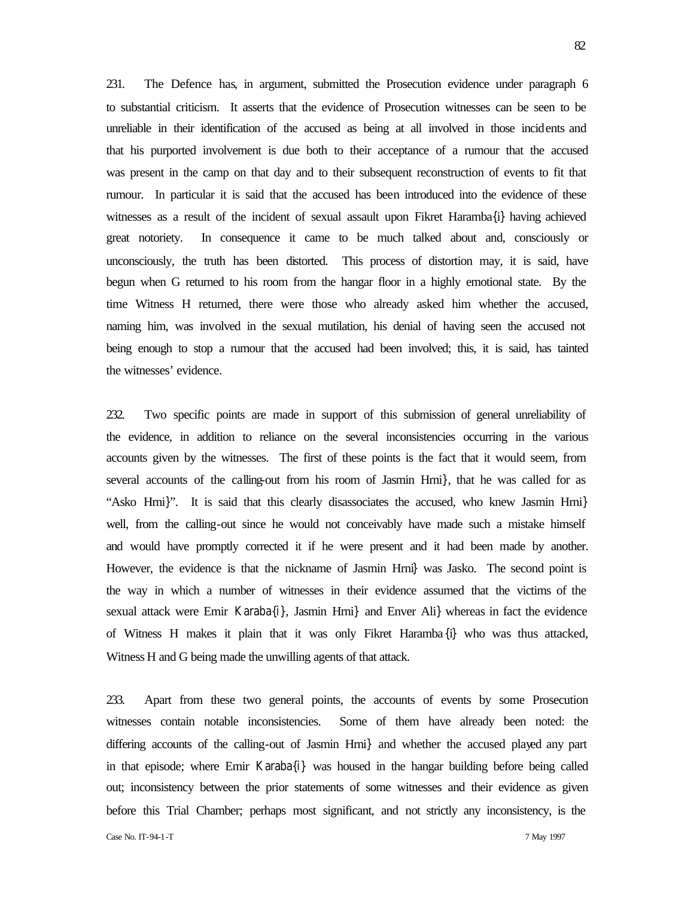231. The Defence has, in argument, submitted the Prosecution evidence under paragraph 6 to substantial criticism. It asserts that the evidence of Prosecution witnesses can be seen to be unreliable in their identification of the accused as being at all involved in those incidents and that his purported involvement is due both to their acceptance of a rumour that the accused was present in the camp on that day and to their subsequent reconstruction of events to fit that rumour. In particular it is said that the accused has been introduced into the evidence of these witnesses as a result of the incident of sexual assault upon Fikret Haramba{i} having achieved great notoriety. In consequence it came to be much talked about and, consciously or unconsciously, the truth has been distorted. This process of distortion may, it is said, have begun when G returned to his room from the hangar floor in a highly emotional state. By the time Witness H returned, there were those who already asked him whether the accused, naming him, was involved in the sexual mutilation, his denial of having seen the accused not being enough to stop a rumour that the accused had been involved; this, it is said, has tainted the witnesses' evidence.

232. Two specific points are made in support of this submission of general unreliability of the evidence, in addition to reliance on the several inconsistencies occurring in the various accounts given by the witnesses. The first of these points is the fact that it would seem, from several accounts of the calling-out from his room of Jasmin Hrni}, that he was called for as "Asko Hrni}". It is said that this clearly disassociates the accused, who knew Jasmin Hrni} well, from the calling-out since he would not conceivably have made such a mistake himself and would have promptly corrected it if he were present and it had been made by another. However, the evidence is that the nickname of Jasmin Hrni} was Jasko. The second point is the way in which a number of witnesses in their evidence assumed that the victims of the sexual attack were Emir Karaba{i}, Jasmin Hrni} and Enver Ali} whereas in fact the evidence of Witness H makes it plain that it was only Fikret Haramba{i} who was thus attacked, Witness H and G being made the unwilling agents of that attack.

233. Apart from these two general points, the accounts of events by some Prosecution witnesses contain notable inconsistencies. Some of them have already been noted: the differing accounts of the calling-out of Jasmin Hrni} and whether the accused played any part in that episode; where Emir Karaba{i} was housed in the hangar building before being called out; inconsistency between the prior statements of some witnesses and their evidence as given before this Trial Chamber; perhaps most significant, and not strictly any inconsistency, is the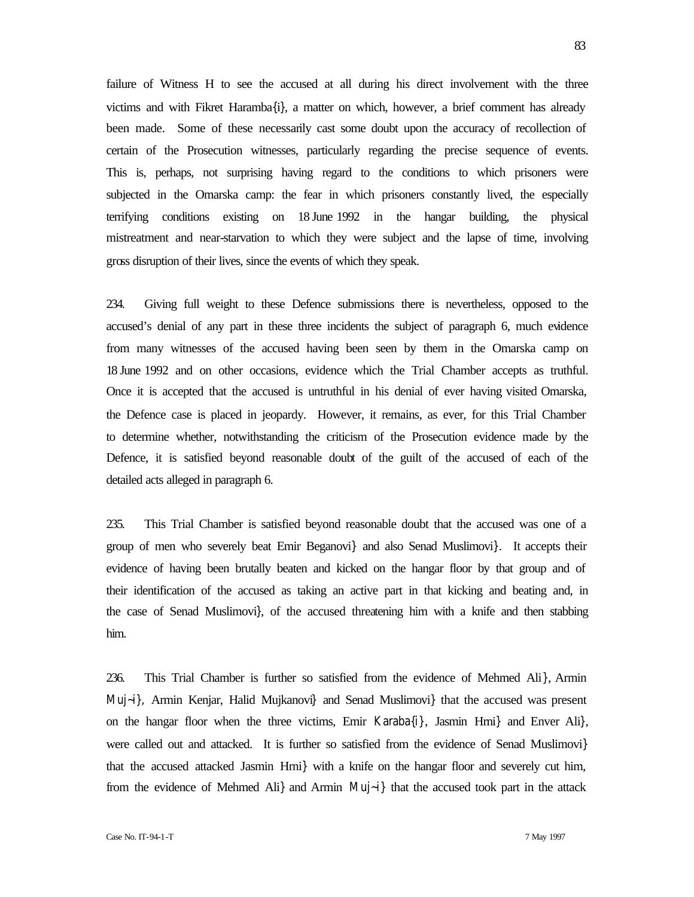failure of Witness H to see the accused at all during his direct involvement with the three victims and with Fikret Haramba{i}, a matter on which, however, a brief comment has already been made. Some of these necessarily cast some doubt upon the accuracy of recollection of certain of the Prosecution witnesses, particularly regarding the precise sequence of events. This is, perhaps, not surprising having regard to the conditions to which prisoners were subjected in the Omarska camp: the fear in which prisoners constantly lived, the especially terrifying conditions existing on 18 June 1992 in the hangar building, the physical mistreatment and near-starvation to which they were subject and the lapse of time, involving gross disruption of their lives, since the events of which they speak.

234. Giving full weight to these Defence submissions there is nevertheless, opposed to the accused's denial of any part in these three incidents the subject of paragraph 6, much evidence from many witnesses of the accused having been seen by them in the Omarska camp on 18 June 1992 and on other occasions, evidence which the Trial Chamber accepts as truthful. Once it is accepted that the accused is untruthful in his denial of ever having visited Omarska, the Defence case is placed in jeopardy. However, it remains, as ever, for this Trial Chamber to determine whether, notwithstanding the criticism of the Prosecution evidence made by the Defence, it is satisfied beyond reasonable doubt of the guilt of the accused of each of the detailed acts alleged in paragraph 6.

235. This Trial Chamber is satisfied beyond reasonable doubt that the accused was one of a group of men who severely beat Emir Beganovi} and also Senad Muslimovi}. It accepts their evidence of having been brutally beaten and kicked on the hangar floor by that group and of their identification of the accused as taking an active part in that kicking and beating and, in the case of Senad Muslimovi}, of the accused threatening him with a knife and then stabbing him.

236. This Trial Chamber is further so satisfied from the evidence of Mehmed Ali}, Armin Muj~i}, Armin Kenjar, Halid Mujkanovi} and Senad Muslimovi} that the accused was present on the hangar floor when the three victims, Emir Karaba{i}, Jasmin Hrni} and Enver Ali}, were called out and attacked. It is further so satisfied from the evidence of Senad Muslimovi} that the accused attacked Jasmin Hrni} with a knife on the hangar floor and severely cut him, from the evidence of Mehmed Ali and Armin Muj~i that the accused took part in the attack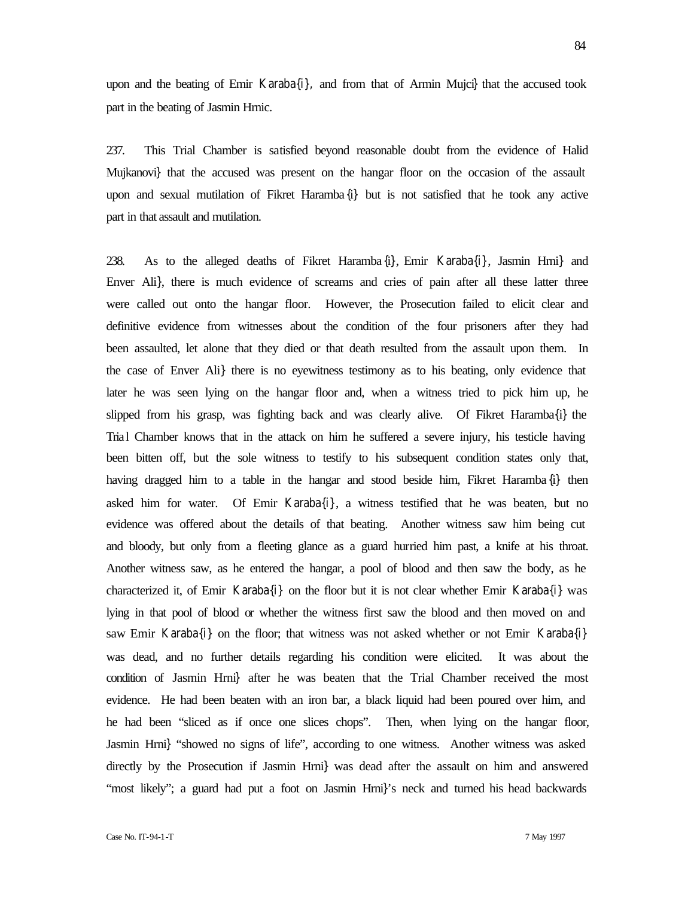upon and the beating of Emir Karaba $\{i\}$ , and from that of Armin Mujci} that the accused took part in the beating of Jasmin Hrnic.

237. This Trial Chamber is satisfied beyond reasonable doubt from the evidence of Halid Mujkanovi} that the accused was present on the hangar floor on the occasion of the assault upon and sexual mutilation of Fikret Haramba{i} but is not satisfied that he took any active part in that assault and mutilation.

238. As to the alleged deaths of Fikret Haramba{i}, Emir Karaba{i}, Jasmin Hrni} and Enver Ali}, there is much evidence of screams and cries of pain after all these latter three were called out onto the hangar floor. However, the Prosecution failed to elicit clear and definitive evidence from witnesses about the condition of the four prisoners after they had been assaulted, let alone that they died or that death resulted from the assault upon them. In the case of Enver Ali} there is no eyewitness testimony as to his beating, only evidence that later he was seen lying on the hangar floor and, when a witness tried to pick him up, he slipped from his grasp, was fighting back and was clearly alive. Of Fikret Haramba $\{i\}$  the Trial Chamber knows that in the attack on him he suffered a severe injury, his testicle having been bitten off, but the sole witness to testify to his subsequent condition states only that, having dragged him to a table in the hangar and stood beside him, Fikret Haramba{i} then asked him for water. Of Emir Karaba{i}, a witness testified that he was beaten, but no evidence was offered about the details of that beating. Another witness saw him being cut and bloody, but only from a fleeting glance as a guard hurried him past, a knife at his throat. Another witness saw, as he entered the hangar, a pool of blood and then saw the body, as he characterized it, of Emir Karaba{i} on the floor but it is not clear whether Emir Karaba{i} was lying in that pool of blood or whether the witness first saw the blood and then moved on and saw Emir Karaba{i} on the floor; that witness was not asked whether or not Emir Karaba{i} was dead, and no further details regarding his condition were elicited. It was about the condition of Jasmin Hrni} after he was beaten that the Trial Chamber received the most evidence. He had been beaten with an iron bar, a black liquid had been poured over him, and he had been "sliced as if once one slices chops". Then, when lying on the hangar floor, Jasmin Hrni} "showed no signs of life", according to one witness. Another witness was asked directly by the Prosecution if Jasmin Hrni} was dead after the assault on him and answered "most likely"; a guard had put a foot on Jasmin Hrni}'s neck and turned his head backwards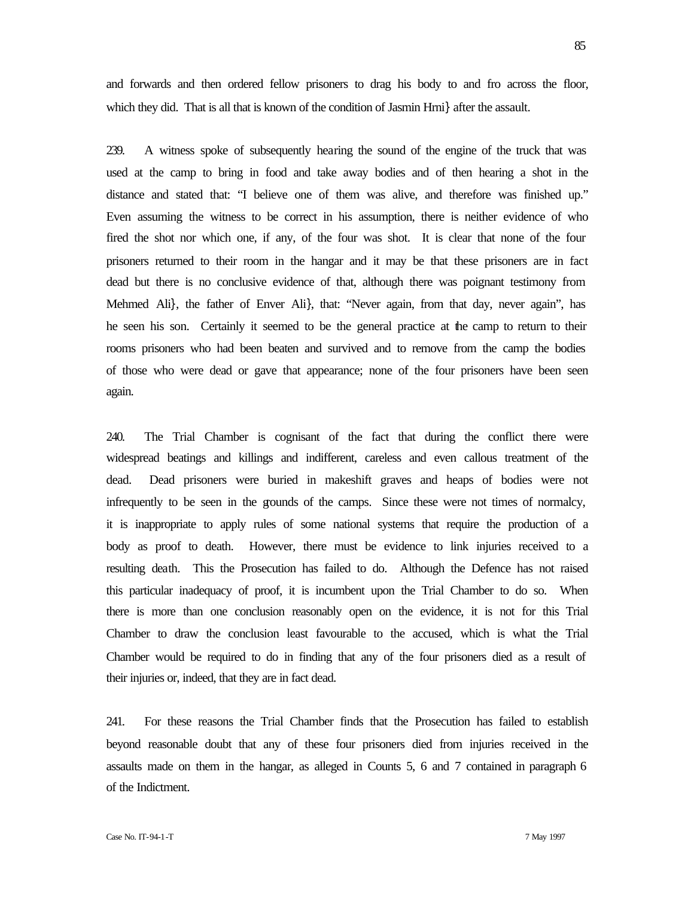and forwards and then ordered fellow prisoners to drag his body to and fro across the floor, which they did. That is all that is known of the condition of Jasmin Hrni after the assault.

239. A witness spoke of subsequently hearing the sound of the engine of the truck that was used at the camp to bring in food and take away bodies and of then hearing a shot in the distance and stated that: "I believe one of them was alive, and therefore was finished up." Even assuming the witness to be correct in his assumption, there is neither evidence of who fired the shot nor which one, if any, of the four was shot. It is clear that none of the four prisoners returned to their room in the hangar and it may be that these prisoners are in fact dead but there is no conclusive evidence of that, although there was poignant testimony from Mehmed Ali}, the father of Enver Ali}, that: "Never again, from that day, never again", has he seen his son. Certainly it seemed to be the general practice at the camp to return to their rooms prisoners who had been beaten and survived and to remove from the camp the bodies of those who were dead or gave that appearance; none of the four prisoners have been seen again.

240. The Trial Chamber is cognisant of the fact that during the conflict there were widespread beatings and killings and indifferent, careless and even callous treatment of the dead. Dead prisoners were buried in makeshift graves and heaps of bodies were not infrequently to be seen in the grounds of the camps. Since these were not times of normalcy, it is inappropriate to apply rules of some national systems that require the production of a body as proof to death. However, there must be evidence to link injuries received to a resulting death. This the Prosecution has failed to do. Although the Defence has not raised this particular inadequacy of proof, it is incumbent upon the Trial Chamber to do so. When there is more than one conclusion reasonably open on the evidence, it is not for this Trial Chamber to draw the conclusion least favourable to the accused, which is what the Trial Chamber would be required to do in finding that any of the four prisoners died as a result of their injuries or, indeed, that they are in fact dead.

241. For these reasons the Trial Chamber finds that the Prosecution has failed to establish beyond reasonable doubt that any of these four prisoners died from injuries received in the assaults made on them in the hangar, as alleged in Counts 5, 6 and 7 contained in paragraph 6 of the Indictment.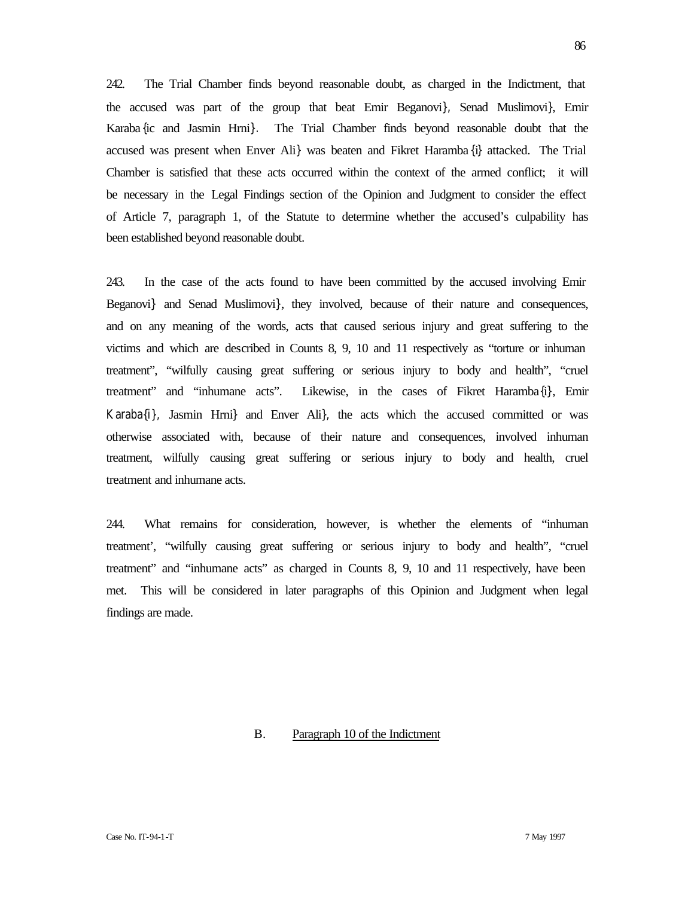242. The Trial Chamber finds beyond reasonable doubt, as charged in the Indictment, that the accused was part of the group that beat Emir Beganovi}, Senad Muslimovi}, Emir Karaba{ic and Jasmin Hrni}. The Trial Chamber finds beyond reasonable doubt that the accused was present when Enver Ali} was beaten and Fikret Haramba{i} attacked. The Trial Chamber is satisfied that these acts occurred within the context of the armed conflict; it will be necessary in the Legal Findings section of the Opinion and Judgment to consider the effect of Article 7, paragraph 1, of the Statute to determine whether the accused's culpability has been established beyond reasonable doubt.

243. In the case of the acts found to have been committed by the accused involving Emir Beganovi} and Senad Muslimovi}, they involved, because of their nature and consequences, and on any meaning of the words, acts that caused serious injury and great suffering to the victims and which are described in Counts 8, 9, 10 and 11 respectively as "torture or inhuman treatment", "wilfully causing great suffering or serious injury to body and health", "cruel treatment" and "inhumane acts". Likewise, in the cases of Fikret Haramba{i}, Emir Karaba $\{i\}$ , Jasmin Hrni $\}$  and Enver Ali $\}$ , the acts which the accused committed or was otherwise associated with, because of their nature and consequences, involved inhuman treatment, wilfully causing great suffering or serious injury to body and health, cruel treatment and inhumane acts.

244. What remains for consideration, however, is whether the elements of "inhuman treatment', "wilfully causing great suffering or serious injury to body and health", "cruel treatment" and "inhumane acts" as charged in Counts 8, 9, 10 and 11 respectively, have been met. This will be considered in later paragraphs of this Opinion and Judgment when legal findings are made.

### B. Paragraph 10 of the Indictment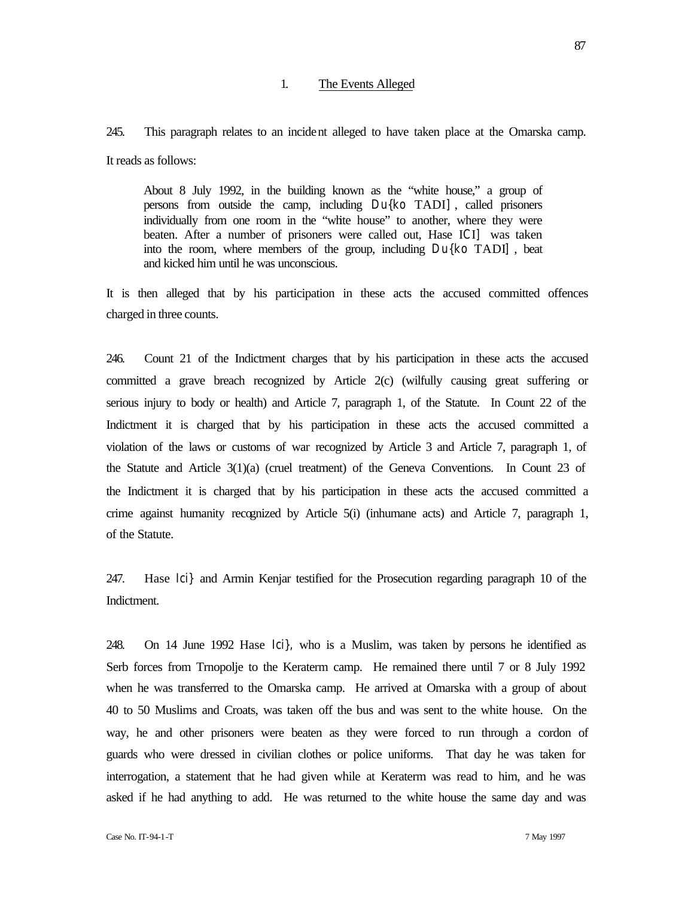## 1. The Events Alleged

245. This paragraph relates to an incident alleged to have taken place at the Omarska camp. It reads as follows:

About 8 July 1992, in the building known as the "white house," a group of persons from outside the camp, including Du{ko TADI], called prisoners individually from one room in the "white house" to another, where they were beaten. After a number of prisoners were called out, Hase ICI] was taken into the room, where members of the group, including Du{ko TADI], beat and kicked him until he was unconscious.

It is then alleged that by his participation in these acts the accused committed offences charged in three counts.

246. Count 21 of the Indictment charges that by his participation in these acts the accused committed a grave breach recognized by Article 2(c) (wilfully causing great suffering or serious injury to body or health) and Article 7, paragraph 1, of the Statute. In Count 22 of the Indictment it is charged that by his participation in these acts the accused committed a violation of the laws or customs of war recognized by Article 3 and Article 7, paragraph 1, of the Statute and Article 3(1)(a) (cruel treatment) of the Geneva Conventions. In Count 23 of the Indictment it is charged that by his participation in these acts the accused committed a crime against humanity recognized by Article 5(i) (inhumane acts) and Article 7, paragraph 1, of the Statute.

247. Hase Ici} and Armin Kenjar testified for the Prosecution regarding paragraph 10 of the Indictment.

248. On 14 June 1992 Hase  $|c_i\rangle$ , who is a Muslim, was taken by persons he identified as Serb forces from Trnopolje to the Keraterm camp. He remained there until 7 or 8 July 1992 when he was transferred to the Omarska camp. He arrived at Omarska with a group of about 40 to 50 Muslims and Croats, was taken off the bus and was sent to the white house. On the way, he and other prisoners were beaten as they were forced to run through a cordon of guards who were dressed in civilian clothes or police uniforms. That day he was taken for interrogation, a statement that he had given while at Keraterm was read to him, and he was asked if he had anything to add. He was returned to the white house the same day and was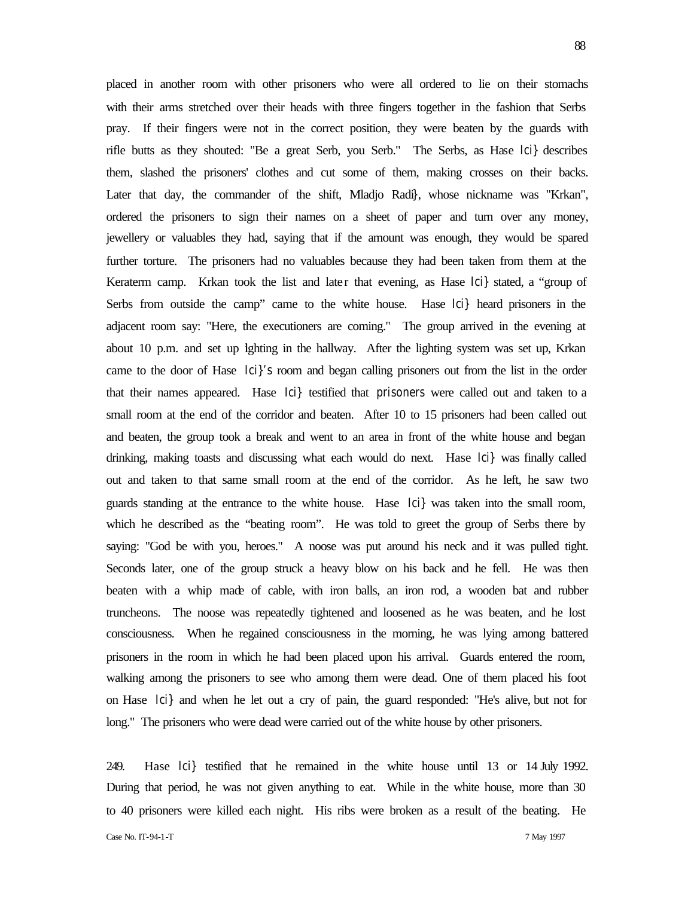placed in another room with other prisoners who were all ordered to lie on their stomachs with their arms stretched over their heads with three fingers together in the fashion that Serbs pray. If their fingers were not in the correct position, they were beaten by the guards with rifle butts as they shouted: "Be a great Serb, you Serb." The Serbs, as Hase Ici} describes them, slashed the prisoners' clothes and cut some of them, making crosses on their backs. Later that day, the commander of the shift, Mladjo Radi}, whose nickname was "Krkan", ordered the prisoners to sign their names on a sheet of paper and turn over any money, jewellery or valuables they had, saying that if the amount was enough, they would be spared further torture. The prisoners had no valuables because they had been taken from them at the Keraterm camp. Krkan took the list and later that evening, as Hase Ici} stated, a "group of Serbs from outside the camp" came to the white house. Hase Ici} heard prisoners in the adjacent room say: "Here, the executioners are coming." The group arrived in the evening at about 10 p.m. and set up lghting in the hallway. After the lighting system was set up, Krkan came to the door of Hase Ici}'s room and began calling prisoners out from the list in the order that their names appeared. Hase Ici} testified that prisoners were called out and taken to a small room at the end of the corridor and beaten. After 10 to 15 prisoners had been called out and beaten, the group took a break and went to an area in front of the white house and began drinking, making toasts and discussing what each would do next. Hase Ici} was finally called out and taken to that same small room at the end of the corridor. As he left, he saw two guards standing at the entrance to the white house. Hase Ici} was taken into the small room, which he described as the "beating room". He was told to greet the group of Serbs there by saying: "God be with you, heroes." A noose was put around his neck and it was pulled tight. Seconds later, one of the group struck a heavy blow on his back and he fell. He was then beaten with a whip made of cable, with iron balls, an iron rod, a wooden bat and rubber truncheons. The noose was repeatedly tightened and loosened as he was beaten, and he lost consciousness. When he regained consciousness in the morning, he was lying among battered prisoners in the room in which he had been placed upon his arrival. Guards entered the room, walking among the prisoners to see who among them were dead. One of them placed his foot on Hase Ici} and when he let out a cry of pain, the guard responded: "He's alive, but not for long." The prisoners who were dead were carried out of the white house by other prisoners.

249. Hase Ici} testified that he remained in the white house until 13 or 14 July 1992. During that period, he was not given anything to eat. While in the white house, more than 30 to 40 prisoners were killed each night. His ribs were broken as a result of the beating. He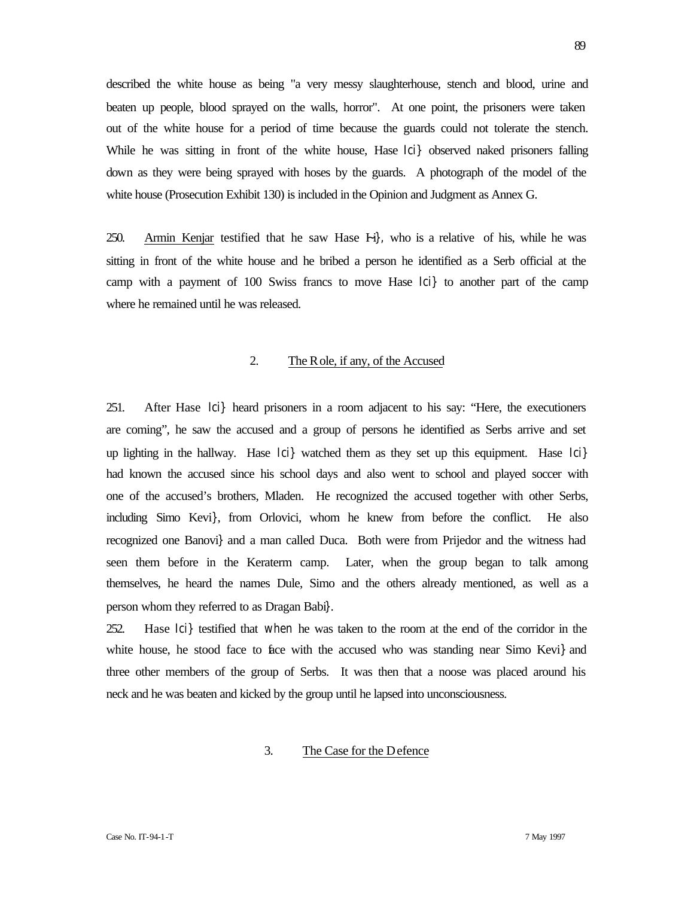described the white house as being "a very messy slaughterhouse, stench and blood, urine and beaten up people, blood sprayed on the walls, horror". At one point, the prisoners were taken out of the white house for a period of time because the guards could not tolerate the stench. While he was sitting in front of the white house, Hase Ici} observed naked prisoners falling down as they were being sprayed with hoses by the guards. A photograph of the model of the white house (Prosecution Exhibit 130) is included in the Opinion and Judgment as Annex G.

250. Armin Kenjar testified that he saw Hase  $[i]$ , who is a relative of his, while he was sitting in front of the white house and he bribed a person he identified as a Serb official at the camp with a payment of 100 Swiss francs to move Hase Ici} to another part of the camp where he remained until he was released.

## 2. The Role, if any, of the Accused

251. After Hase Ici} heard prisoners in a room adjacent to his say: "Here, the executioners are coming", he saw the accused and a group of persons he identified as Serbs arrive and set up lighting in the hallway. Hase Ici} watched them as they set up this equipment. Hase Ici} had known the accused since his school days and also went to school and played soccer with one of the accused's brothers, Mladen. He recognized the accused together with other Serbs, including Simo Kevi}, from Orlovici, whom he knew from before the conflict. He also recognized one Banovi} and a man called Duca. Both were from Prijedor and the witness had seen them before in the Keraterm camp. Later, when the group began to talk among themselves, he heard the names Dule, Simo and the others already mentioned, as well as a person whom they referred to as Dragan Babi}.

252. Hase Ici} testified that when he was taken to the room at the end of the corridor in the white house, he stood face to face with the accused who was standing near Simo Kevi and three other members of the group of Serbs. It was then that a noose was placed around his neck and he was beaten and kicked by the group until he lapsed into unconsciousness.

## 3. The Case for the Defence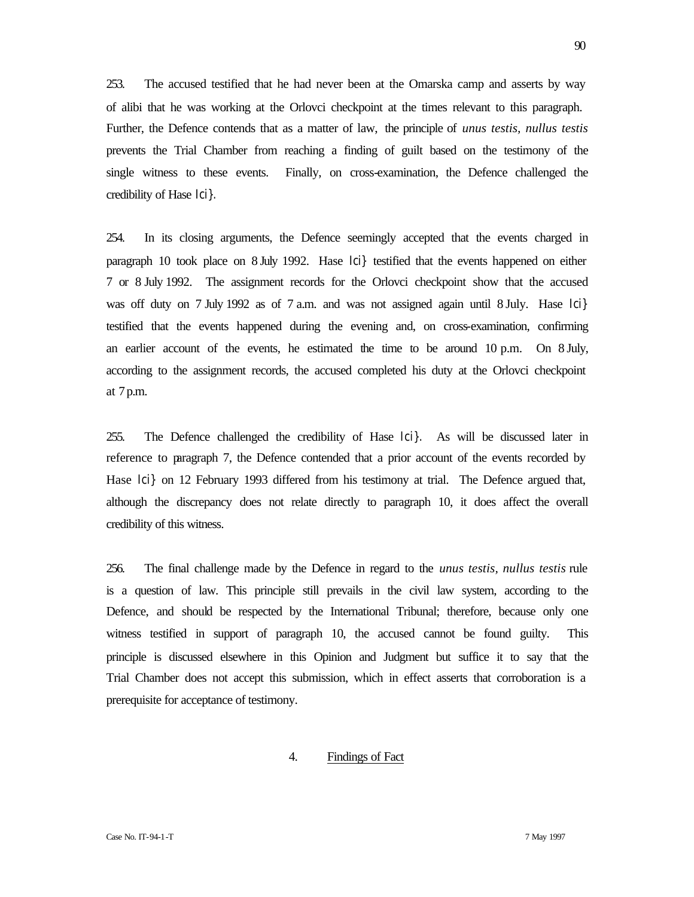253. The accused testified that he had never been at the Omarska camp and asserts by way of alibi that he was working at the Orlovci checkpoint at the times relevant to this paragraph. Further, the Defence contends that as a matter of law, the principle of *unus testis, nullus testis* prevents the Trial Chamber from reaching a finding of guilt based on the testimony of the single witness to these events. Finally, on cross-examination, the Defence challenged the credibility of Hase Ici}.

254. In its closing arguments, the Defence seemingly accepted that the events charged in paragraph 10 took place on 8 July 1992. Hase Ici} testified that the events happened on either 7 or 8 July 1992. The assignment records for the Orlovci checkpoint show that the accused was off duty on 7 July 1992 as of 7 a.m. and was not assigned again until 8 July. Hase Ici} testified that the events happened during the evening and, on cross-examination, confirming an earlier account of the events, he estimated the time to be around 10 p.m. On 8 July, according to the assignment records, the accused completed his duty at the Orlovci checkpoint at 7 p.m.

255. The Defence challenged the credibility of Hase Ici}. As will be discussed later in reference to paragraph 7, the Defence contended that a prior account of the events recorded by Hase Ici} on 12 February 1993 differed from his testimony at trial. The Defence argued that, although the discrepancy does not relate directly to paragraph 10, it does affect the overall credibility of this witness.

256. The final challenge made by the Defence in regard to the *unus testis, nullus testis* rule is a question of law. This principle still prevails in the civil law system, according to the Defence, and should be respected by the International Tribunal; therefore, because only one witness testified in support of paragraph 10, the accused cannot be found guilty. This principle is discussed elsewhere in this Opinion and Judgment but suffice it to say that the Trial Chamber does not accept this submission, which in effect asserts that corroboration is a prerequisite for acceptance of testimony.

#### 4. Findings of Fact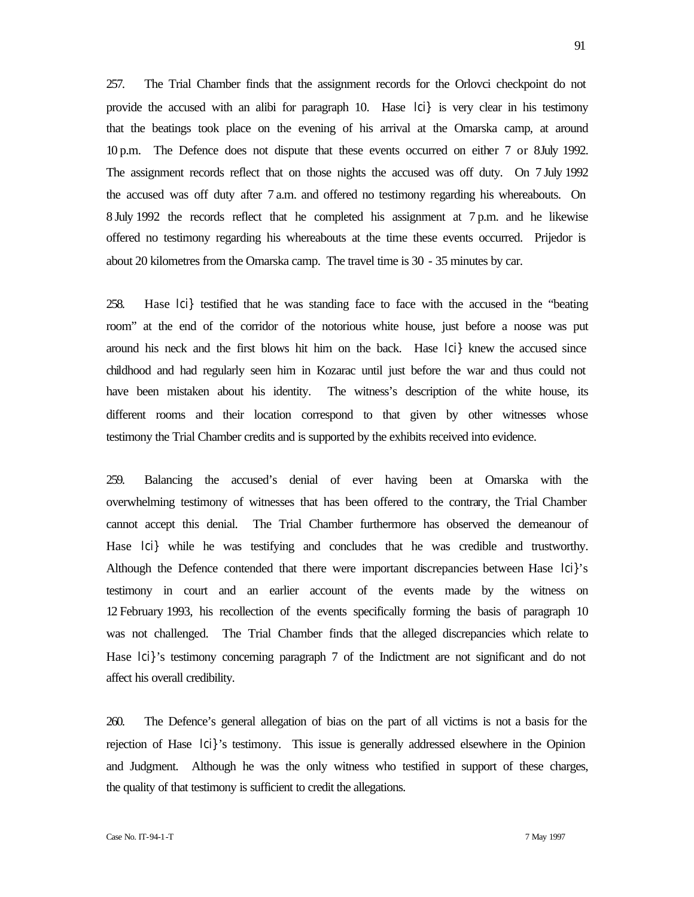257. The Trial Chamber finds that the assignment records for the Orlovci checkpoint do not provide the accused with an alibi for paragraph 10. Hase Ici} is very clear in his testimony that the beatings took place on the evening of his arrival at the Omarska camp, at around 10 p.m. The Defence does not dispute that these events occurred on either 7 or 8July 1992. The assignment records reflect that on those nights the accused was off duty. On 7 July 1992 the accused was off duty after 7 a.m. and offered no testimony regarding his whereabouts. On 8 July 1992 the records reflect that he completed his assignment at 7 p.m. and he likewise offered no testimony regarding his whereabouts at the time these events occurred. Prijedor is about 20 kilometres from the Omarska camp. The travel time is 30 - 35 minutes by car.

258. Hase Ici} testified that he was standing face to face with the accused in the "beating room" at the end of the corridor of the notorious white house, just before a noose was put around his neck and the first blows hit him on the back. Hase Ici} knew the accused since childhood and had regularly seen him in Kozarac until just before the war and thus could not have been mistaken about his identity. The witness's description of the white house, its different rooms and their location correspond to that given by other witnesses whose testimony the Trial Chamber credits and is supported by the exhibits received into evidence.

259. Balancing the accused's denial of ever having been at Omarska with the overwhelming testimony of witnesses that has been offered to the contrary, the Trial Chamber cannot accept this denial. The Trial Chamber furthermore has observed the demeanour of Hase Ici} while he was testifying and concludes that he was credible and trustworthy. Although the Defence contended that there were important discrepancies between Hase Ici}'s testimony in court and an earlier account of the events made by the witness on 12 February 1993, his recollection of the events specifically forming the basis of paragraph 10 was not challenged. The Trial Chamber finds that the alleged discrepancies which relate to Hase Ici}'s testimony concerning paragraph 7 of the Indictment are not significant and do not affect his overall credibility.

260. The Defence's general allegation of bias on the part of all victims is not a basis for the rejection of Hase Ici}'s testimony. This issue is generally addressed elsewhere in the Opinion and Judgment. Although he was the only witness who testified in support of these charges, the quality of that testimony is sufficient to credit the allegations.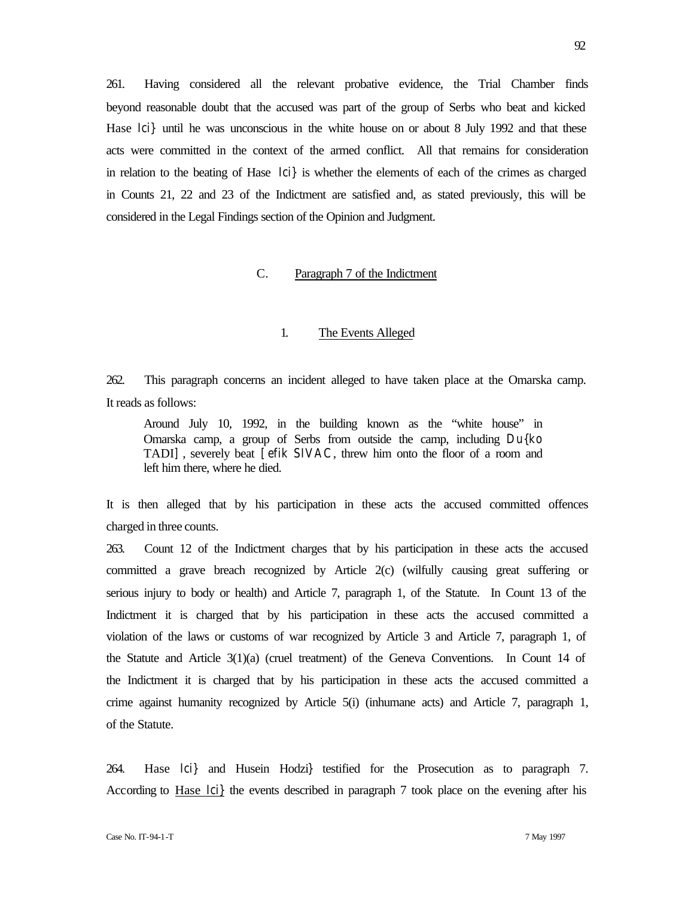261. Having considered all the relevant probative evidence, the Trial Chamber finds beyond reasonable doubt that the accused was part of the group of Serbs who beat and kicked Hase Ici} until he was unconscious in the white house on or about 8 July 1992 and that these acts were committed in the context of the armed conflict. All that remains for consideration in relation to the beating of Hase Ici} is whether the elements of each of the crimes as charged in Counts 21, 22 and 23 of the Indictment are satisfied and, as stated previously, this will be considered in the Legal Findings section of the Opinion and Judgment.

## C. Paragraph 7 of the Indictment

## 1. The Events Alleged

262. This paragraph concerns an incident alleged to have taken place at the Omarska camp. It reads as follows:

Around July 10, 1992, in the building known as the "white house" in Omarska camp, a group of Serbs from outside the camp, including Du{ko TADI], severely beat [efik SIVAC, threw him onto the floor of a room and left him there, where he died.

It is then alleged that by his participation in these acts the accused committed offences charged in three counts.

263. Count 12 of the Indictment charges that by his participation in these acts the accused committed a grave breach recognized by Article 2(c) (wilfully causing great suffering or serious injury to body or health) and Article 7, paragraph 1, of the Statute. In Count 13 of the Indictment it is charged that by his participation in these acts the accused committed a violation of the laws or customs of war recognized by Article 3 and Article 7, paragraph 1, of the Statute and Article 3(1)(a) (cruel treatment) of the Geneva Conventions. In Count 14 of the Indictment it is charged that by his participation in these acts the accused committed a crime against humanity recognized by Article 5(i) (inhumane acts) and Article 7, paragraph 1, of the Statute.

264. Hase Ici} and Husein Hodzi} testified for the Prosecution as to paragraph 7. According to Hase Ici} the events described in paragraph 7 took place on the evening after his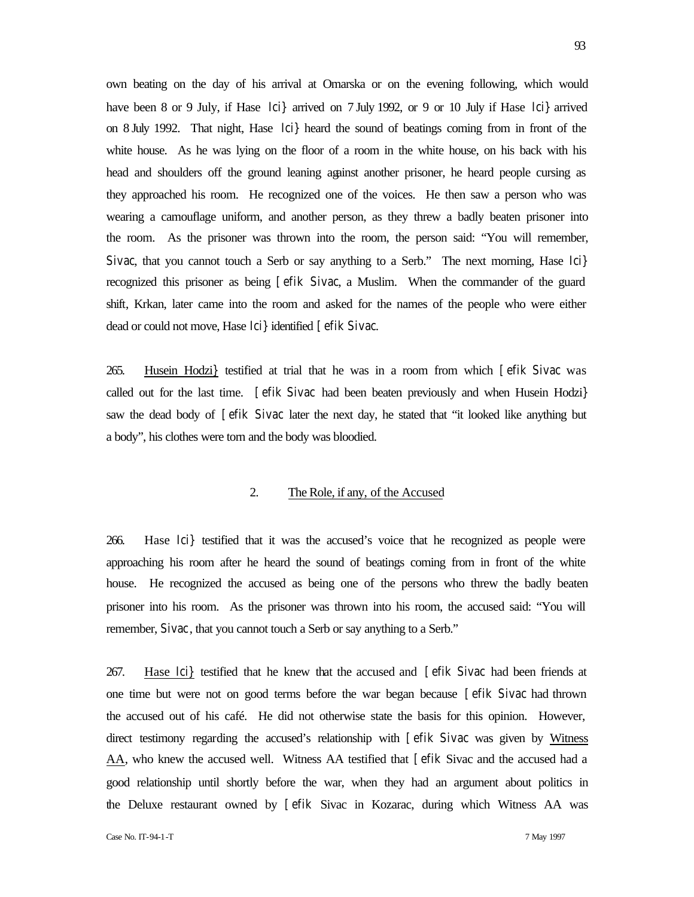own beating on the day of his arrival at Omarska or on the evening following, which would have been 8 or 9 July, if Hase Ici} arrived on 7 July 1992, or 9 or 10 July if Hase Ici} arrived on 8 July 1992. That night, Hase Ici} heard the sound of beatings coming from in front of the white house. As he was lying on the floor of a room in the white house, on his back with his head and shoulders off the ground leaning against another prisoner, he heard people cursing as they approached his room. He recognized one of the voices. He then saw a person who was wearing a camouflage uniform, and another person, as they threw a badly beaten prisoner into the room. As the prisoner was thrown into the room, the person said: "You will remember, Sivac, that you cannot touch a Serb or say anything to a Serb." The next morning, Hase Ici} recognized this prisoner as being [efik Sivac, a Muslim. When the commander of the guard shift, Krkan, later came into the room and asked for the names of the people who were either dead or could not move, Hase Ici} identified [efik Sivac.

265. Husein Hodzi} testified at trial that he was in a room from which [efik Sivac was called out for the last time. [efik Sivac had been beaten previously and when Husein Hodzi} saw the dead body of [efik Sivac later the next day, he stated that "it looked like anything but a body", his clothes were torn and the body was bloodied.

## 2. The Role, if any, of the Accused

266. Hase Ici} testified that it was the accused's voice that he recognized as people were approaching his room after he heard the sound of beatings coming from in front of the white house. He recognized the accused as being one of the persons who threw the badly beaten prisoner into his room. As the prisoner was thrown into his room, the accused said: "You will remember, Sivac, that you cannot touch a Serb or say anything to a Serb."

267. Hase Ici} testified that he knew that the accused and [efik Sivac had been friends at one time but were not on good terms before the war began because [efik Sivac had thrown the accused out of his café. He did not otherwise state the basis for this opinion. However, direct testimony regarding the accused's relationship with [efik Sivac was given by Witness AA, who knew the accused well. Witness AA testified that [efik Sivac and the accused had a good relationship until shortly before the war, when they had an argument about politics in the Deluxe restaurant owned by [efik Sivac in Kozarac, during which Witness AA was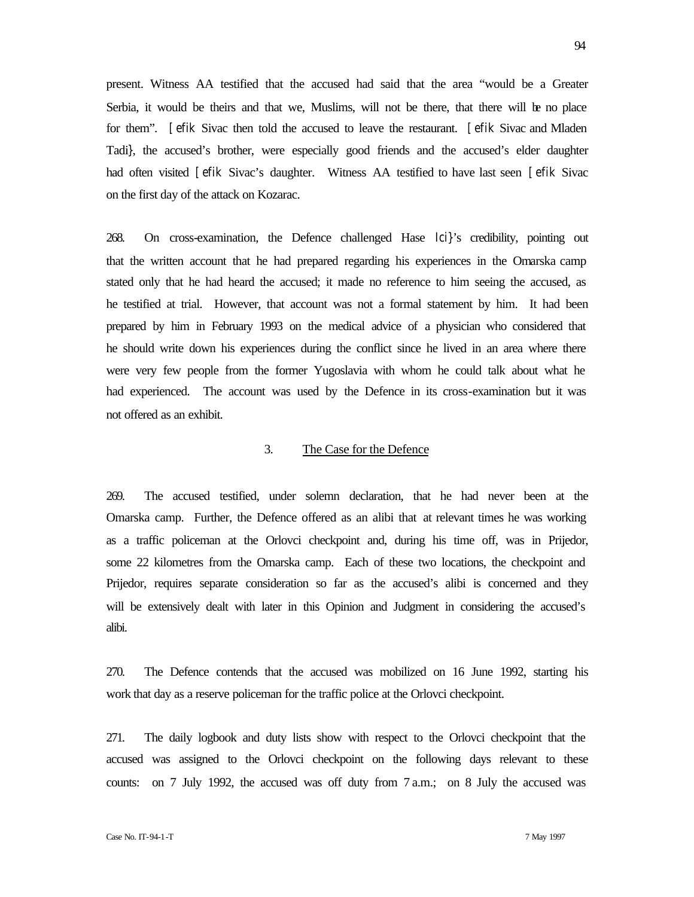present. Witness AA testified that the accused had said that the area "would be a Greater Serbia, it would be theirs and that we, Muslims, will not be there, that there will be no place for them". [efik Sivac then told the accused to leave the restaurant. [efik Sivac and Mladen Tadi}, the accused's brother, were especially good friends and the accused's elder daughter had often visited [efik Sivac's daughter. Witness AA testified to have last seen [efik Sivac on the first day of the attack on Kozarac.

268. On cross-examination, the Defence challenged Hase Ici}'s credibility, pointing out that the written account that he had prepared regarding his experiences in the Omarska camp stated only that he had heard the accused; it made no reference to him seeing the accused, as he testified at trial. However, that account was not a formal statement by him. It had been prepared by him in February 1993 on the medical advice of a physician who considered that he should write down his experiences during the conflict since he lived in an area where there were very few people from the former Yugoslavia with whom he could talk about what he had experienced. The account was used by the Defence in its cross-examination but it was not offered as an exhibit.

#### 3. The Case for the Defence

269. The accused testified, under solemn declaration, that he had never been at the Omarska camp. Further, the Defence offered as an alibi that at relevant times he was working as a traffic policeman at the Orlovci checkpoint and, during his time off, was in Prijedor, some 22 kilometres from the Omarska camp. Each of these two locations, the checkpoint and Prijedor, requires separate consideration so far as the accused's alibi is concerned and they will be extensively dealt with later in this Opinion and Judgment in considering the accused's alibi.

270. The Defence contends that the accused was mobilized on 16 June 1992, starting his work that day as a reserve policeman for the traffic police at the Orlovci checkpoint.

271. The daily logbook and duty lists show with respect to the Orlovci checkpoint that the accused was assigned to the Orlovci checkpoint on the following days relevant to these counts: on 7 July 1992, the accused was off duty from 7 a.m.; on 8 July the accused was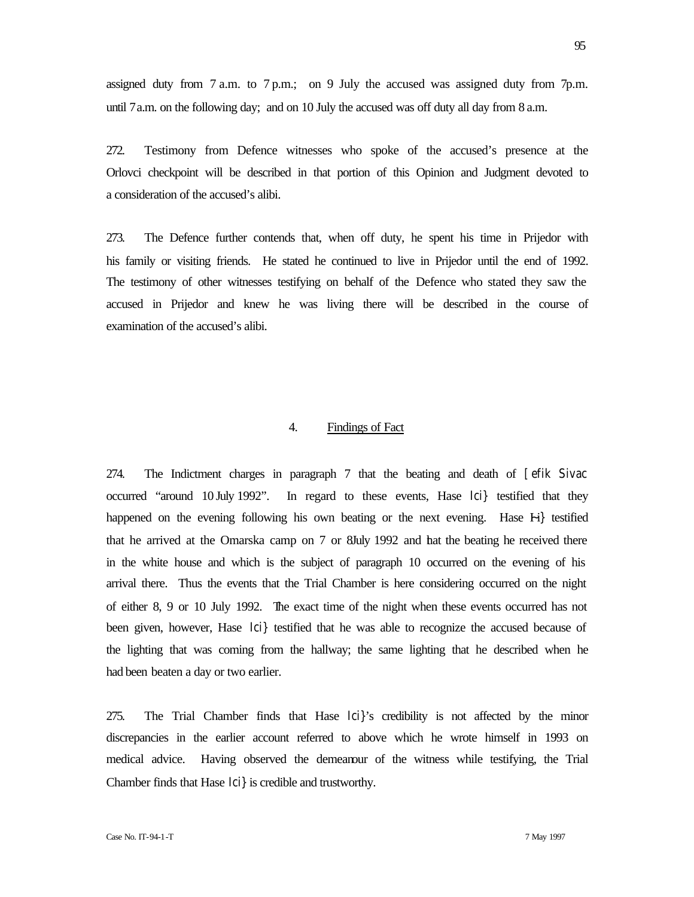assigned duty from 7 a.m. to 7 p.m.; on 9 July the accused was assigned duty from 7p.m. until 7a.m. on the following day; and on 10 July the accused was off duty all day from 8 a.m.

272. Testimony from Defence witnesses who spoke of the accused's presence at the Orlovci checkpoint will be described in that portion of this Opinion and Judgment devoted to a consideration of the accused's alibi.

273. The Defence further contends that, when off duty, he spent his time in Prijedor with his family or visiting friends. He stated he continued to live in Prijedor until the end of 1992. The testimony of other witnesses testifying on behalf of the Defence who stated they saw the accused in Prijedor and knew he was living there will be described in the course of examination of the accused's alibi.

#### 4. Findings of Fact

274. The Indictment charges in paragraph 7 that the beating and death of [efik Sivac occurred "around 10 July 1992". In regard to these events, Hase Ici} testified that they happened on the evening following his own beating or the next evening. Hase Fi} testified that he arrived at the Omarska camp on 7 or 8July 1992 and that the beating he received there in the white house and which is the subject of paragraph 10 occurred on the evening of his arrival there. Thus the events that the Trial Chamber is here considering occurred on the night of either 8, 9 or 10 July 1992. The exact time of the night when these events occurred has not been given, however, Hase Ici} testified that he was able to recognize the accused because of the lighting that was coming from the hallway; the same lighting that he described when he had been beaten a day or two earlier.

275. The Trial Chamber finds that Hase Ici}'s credibility is not affected by the minor discrepancies in the earlier account referred to above which he wrote himself in 1993 on medical advice. Having observed the demeanour of the witness while testifying, the Trial Chamber finds that Hase Ici} is credible and trustworthy.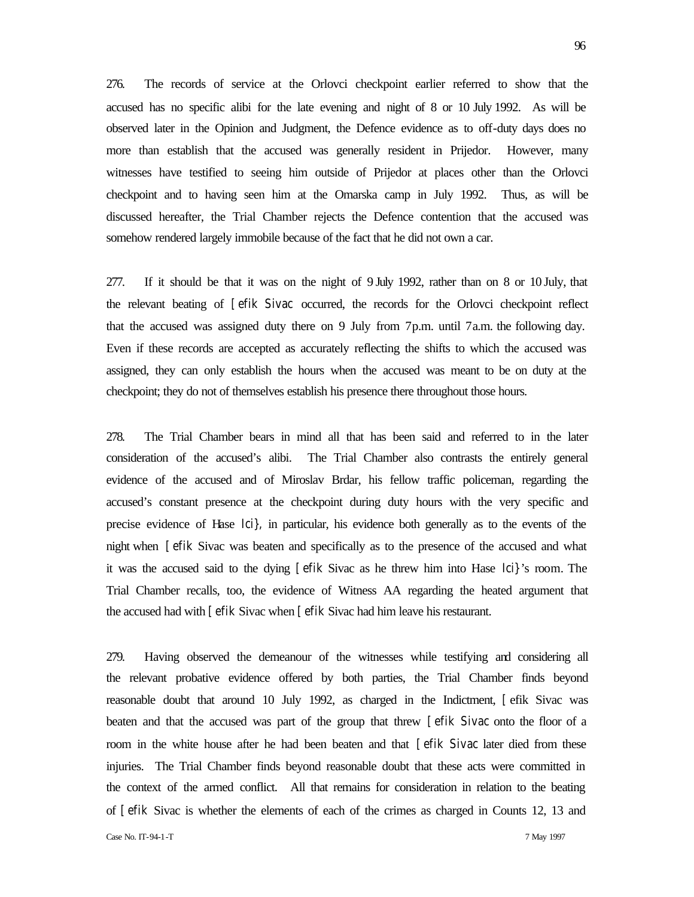276. The records of service at the Orlovci checkpoint earlier referred to show that the accused has no specific alibi for the late evening and night of 8 or 10 July 1992. As will be observed later in the Opinion and Judgment, the Defence evidence as to off-duty days does no more than establish that the accused was generally resident in Prijedor. However, many witnesses have testified to seeing him outside of Prijedor at places other than the Orlovci checkpoint and to having seen him at the Omarska camp in July 1992. Thus, as will be discussed hereafter, the Trial Chamber rejects the Defence contention that the accused was somehow rendered largely immobile because of the fact that he did not own a car.

277. If it should be that it was on the night of 9 July 1992, rather than on 8 or 10 July, that the relevant beating of [efik Sivac occurred, the records for the Orlovci checkpoint reflect that the accused was assigned duty there on 9 July from 7p.m. until 7a.m. the following day. Even if these records are accepted as accurately reflecting the shifts to which the accused was assigned, they can only establish the hours when the accused was meant to be on duty at the checkpoint; they do not of themselves establish his presence there throughout those hours.

278. The Trial Chamber bears in mind all that has been said and referred to in the later consideration of the accused's alibi. The Trial Chamber also contrasts the entirely general evidence of the accused and of Miroslav Brdar, his fellow traffic policeman, regarding the accused's constant presence at the checkpoint during duty hours with the very specific and precise evidence of Hase Ici}, in particular, his evidence both generally as to the events of the night when [efik Sivac was beaten and specifically as to the presence of the accused and what it was the accused said to the dying [efik Sivac as he threw him into Hase Ici}'s room. The Trial Chamber recalls, too, the evidence of Witness AA regarding the heated argument that the accused had with [efik Sivac when [efik Sivac had him leave his restaurant.

279. Having observed the demeanour of the witnesses while testifying and considering all the relevant probative evidence offered by both parties, the Trial Chamber finds beyond reasonable doubt that around 10 July 1992, as charged in the Indictment, [efik Sivac was beaten and that the accused was part of the group that threw [efik Sivac onto the floor of a room in the white house after he had been beaten and that [efik Sivac later died from these injuries. The Trial Chamber finds beyond reasonable doubt that these acts were committed in the context of the armed conflict. All that remains for consideration in relation to the beating of [efik Sivac is whether the elements of each of the crimes as charged in Counts 12, 13 and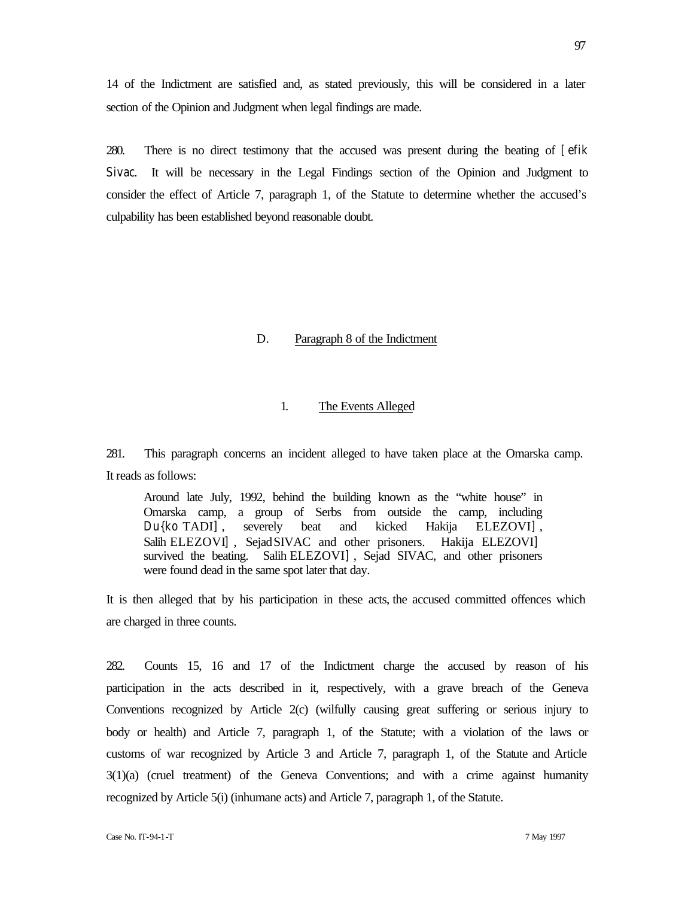14 of the Indictment are satisfied and, as stated previously, this will be considered in a later section of the Opinion and Judgment when legal findings are made.

280. There is no direct testimony that the accused was present during the beating of [efik Sivac. It will be necessary in the Legal Findings section of the Opinion and Judgment to consider the effect of Article 7, paragraph 1, of the Statute to determine whether the accused's culpability has been established beyond reasonable doubt.

## D. Paragraph 8 of the Indictment

## 1. The Events Alleged

281. This paragraph concerns an incident alleged to have taken place at the Omarska camp. It reads as follows:

Around late July, 1992, behind the building known as the "white house" in Omarska camp, a group of Serbs from outside the camp, including Du{ko TADI], severely beat and kicked Hakija ELEZOVI], Salih ELEZOVI], SejadSIVAC and other prisoners. Hakija ELEZOVI] survived the beating. Salih ELEZOVI], Sejad SIVAC, and other prisoners were found dead in the same spot later that day.

It is then alleged that by his participation in these acts, the accused committed offences which are charged in three counts.

282. Counts 15, 16 and 17 of the Indictment charge the accused by reason of his participation in the acts described in it, respectively, with a grave breach of the Geneva Conventions recognized by Article 2(c) (wilfully causing great suffering or serious injury to body or health) and Article 7, paragraph 1, of the Statute; with a violation of the laws or customs of war recognized by Article 3 and Article 7, paragraph 1, of the Statute and Article 3(1)(a) (cruel treatment) of the Geneva Conventions; and with a crime against humanity recognized by Article 5(i) (inhumane acts) and Article 7, paragraph 1, of the Statute.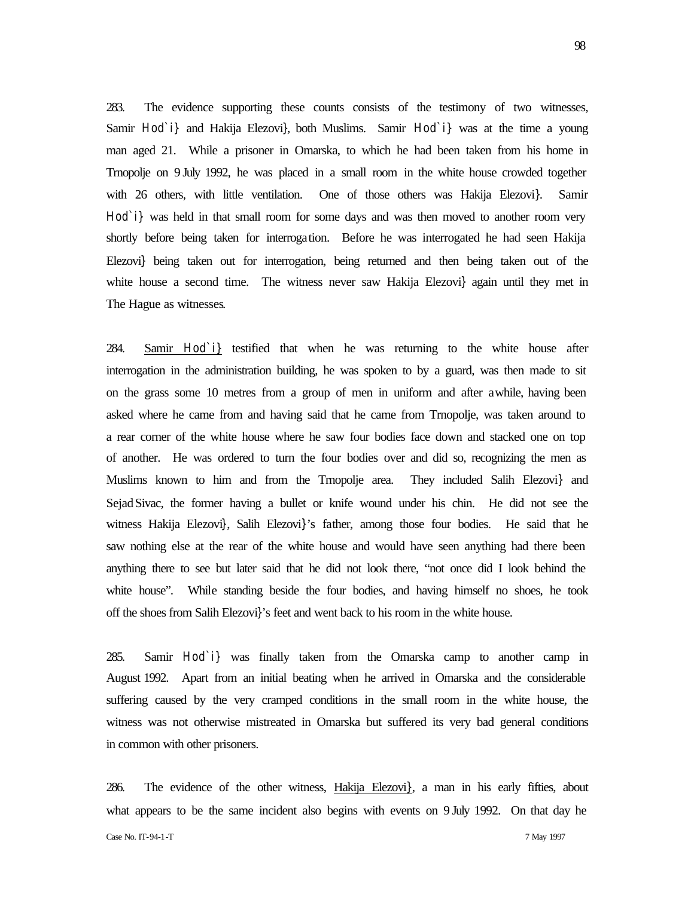283. The evidence supporting these counts consists of the testimony of two witnesses, Samir Hod`i} and Hakija Elezovi}, both Muslims. Samir Hod`i} was at the time a young man aged 21. While a prisoner in Omarska, to which he had been taken from his home in Trnopolje on 9 July 1992, he was placed in a small room in the white house crowded together with 26 others, with little ventilation. One of those others was Hakija Elezovi}. Samir Hod`i} was held in that small room for some days and was then moved to another room very shortly before being taken for interrogation. Before he was interrogated he had seen Hakija Elezovi} being taken out for interrogation, being returned and then being taken out of the white house a second time. The witness never saw Hakija Elezovi} again until they met in The Hague as witnesses.

284. Samir Hod`i} testified that when he was returning to the white house after interrogation in the administration building, he was spoken to by a guard, was then made to sit on the grass some 10 metres from a group of men in uniform and after a while, having been asked where he came from and having said that he came from Trnopolje, was taken around to a rear corner of the white house where he saw four bodies face down and stacked one on top of another. He was ordered to turn the four bodies over and did so, recognizing the men as Muslims known to him and from the Trnopolje area. They included Salih Elezovi} and SejadSivac, the former having a bullet or knife wound under his chin. He did not see the witness Hakija Elezovi}, Salih Elezovi}'s father, among those four bodies. He said that he saw nothing else at the rear of the white house and would have seen anything had there been anything there to see but later said that he did not look there, "not once did I look behind the white house". While standing beside the four bodies, and having himself no shoes, he took off the shoes from Salih Elezovi}'s feet and went back to his room in the white house.

285. Samir Hod`i} was finally taken from the Omarska camp to another camp in August 1992. Apart from an initial beating when he arrived in Omarska and the considerable suffering caused by the very cramped conditions in the small room in the white house, the witness was not otherwise mistreated in Omarska but suffered its very bad general conditions in common with other prisoners.

286. The evidence of the other witness, Hakija Elezovi}, a man in his early fifties, about what appears to be the same incident also begins with events on 9 July 1992. On that day he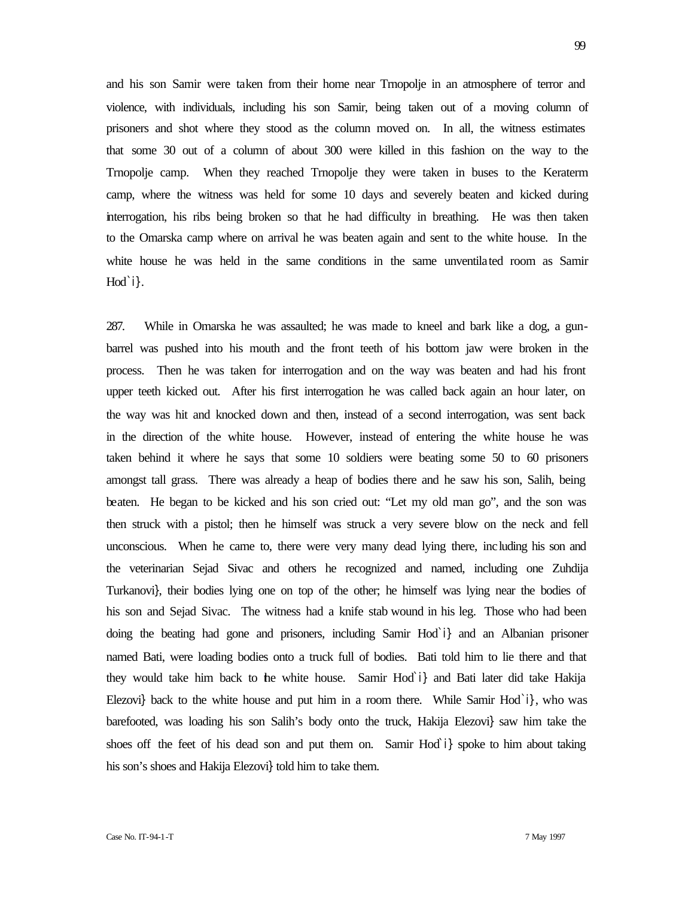and his son Samir were taken from their home near Trnopolje in an atmosphere of terror and violence, with individuals, including his son Samir, being taken out of a moving column of prisoners and shot where they stood as the column moved on. In all, the witness estimates that some 30 out of a column of about 300 were killed in this fashion on the way to the Trnopolje camp. When they reached Trnopolje they were taken in buses to the Keraterm camp, where the witness was held for some 10 days and severely beaten and kicked during interrogation, his ribs being broken so that he had difficulty in breathing. He was then taken to the Omarska camp where on arrival he was beaten again and sent to the white house. In the white house he was held in the same conditions in the same unventilated room as Samir Hod` $i$ .

287. While in Omarska he was assaulted; he was made to kneel and bark like a dog, a gunbarrel was pushed into his mouth and the front teeth of his bottom jaw were broken in the process. Then he was taken for interrogation and on the way was beaten and had his front upper teeth kicked out. After his first interrogation he was called back again an hour later, on the way was hit and knocked down and then, instead of a second interrogation, was sent back in the direction of the white house. However, instead of entering the white house he was taken behind it where he says that some 10 soldiers were beating some 50 to 60 prisoners amongst tall grass. There was already a heap of bodies there and he saw his son, Salih, being beaten. He began to be kicked and his son cried out: "Let my old man go", and the son was then struck with a pistol; then he himself was struck a very severe blow on the neck and fell unconscious. When he came to, there were very many dead lying there, including his son and the veterinarian Sejad Sivac and others he recognized and named, including one Zuhdija Turkanovi}, their bodies lying one on top of the other; he himself was lying near the bodies of his son and Sejad Sivac. The witness had a knife stab wound in his leg. Those who had been doing the beating had gone and prisoners, including Samir Hod`i} and an Albanian prisoner named Bati, were loading bodies onto a truck full of bodies. Bati told him to lie there and that they would take him back to the white house. Samir Hod`i} and Bati later did take Hakija Elezovi} back to the white house and put him in a room there. While Samir Hod`i}, who was barefooted, was loading his son Salih's body onto the truck, Hakija Elezovi} saw him take the shoes off the feet of his dead son and put them on. Samir Hod`i} spoke to him about taking his son's shoes and Hakija Elezovi} told him to take them.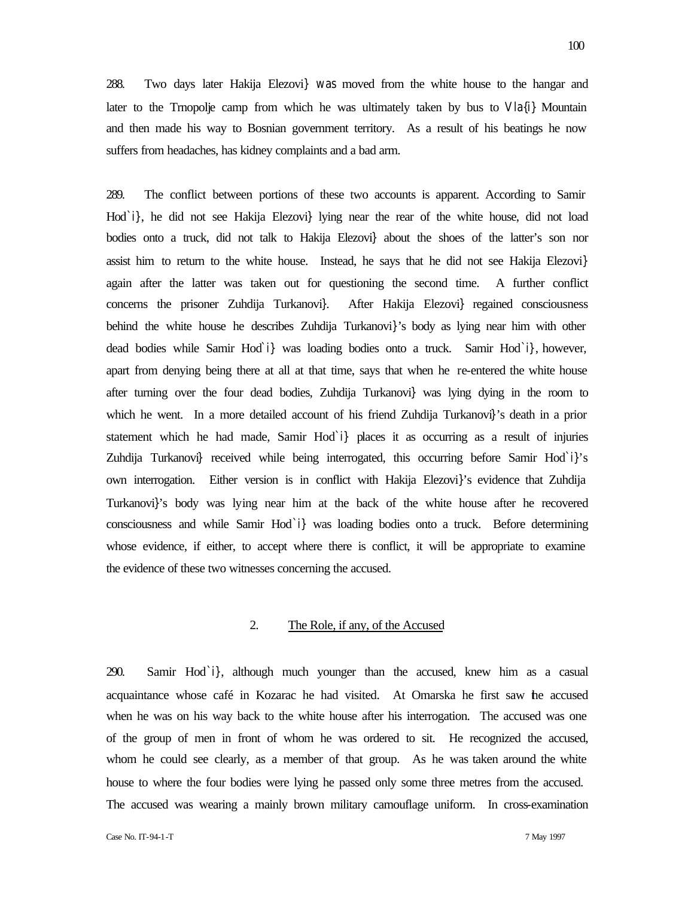288. Two days later Hakija Elezovi} was moved from the white house to the hangar and later to the Trnopolje camp from which he was ultimately taken by bus to  $\text{Val} \{i\}$  Mountain and then made his way to Bosnian government territory. As a result of his beatings he now suffers from headaches, has kidney complaints and a bad arm.

289. The conflict between portions of these two accounts is apparent. According to Samir Hod`i}, he did not see Hakija Elezovi} lying near the rear of the white house, did not load bodies onto a truck, did not talk to Hakija Elezovi} about the shoes of the latter's son nor assist him to return to the white house. Instead, he says that he did not see Hakija Elezovi} again after the latter was taken out for questioning the second time. A further conflict concerns the prisoner Zuhdija Turkanovi}. After Hakija Elezovi} regained consciousness behind the white house he describes Zuhdija Turkanovi}'s body as lying near him with other dead bodies while Samir Hod`i} was loading bodies onto a truck. Samir Hod`i}, however, apart from denying being there at all at that time, says that when he re-entered the white house after turning over the four dead bodies, Zuhdija Turkanovi} was lying dying in the room to which he went. In a more detailed account of his friend Zuhdija Turkanovi}'s death in a prior statement which he had made, Samir Hod`i} places it as occurring as a result of injuries Zuhdija Turkanovi} received while being interrogated, this occurring before Samir Hod`i}'s own interrogation. Either version is in conflict with Hakija Elezovi}'s evidence that Zuhdija Turkanovi}'s body was lying near him at the back of the white house after he recovered consciousness and while Samir Hod`i} was loading bodies onto a truck. Before determining whose evidence, if either, to accept where there is conflict, it will be appropriate to examine the evidence of these two witnesses concerning the accused.

## 2. The Role, if any, of the Accused

290. Samir Hod`i}, although much younger than the accused, knew him as a casual acquaintance whose café in Kozarac he had visited. At Omarska he first saw the accused when he was on his way back to the white house after his interrogation. The accused was one of the group of men in front of whom he was ordered to sit. He recognized the accused, whom he could see clearly, as a member of that group. As he was taken around the white house to where the four bodies were lying he passed only some three metres from the accused. The accused was wearing a mainly brown military camouflage uniform. In cross-examination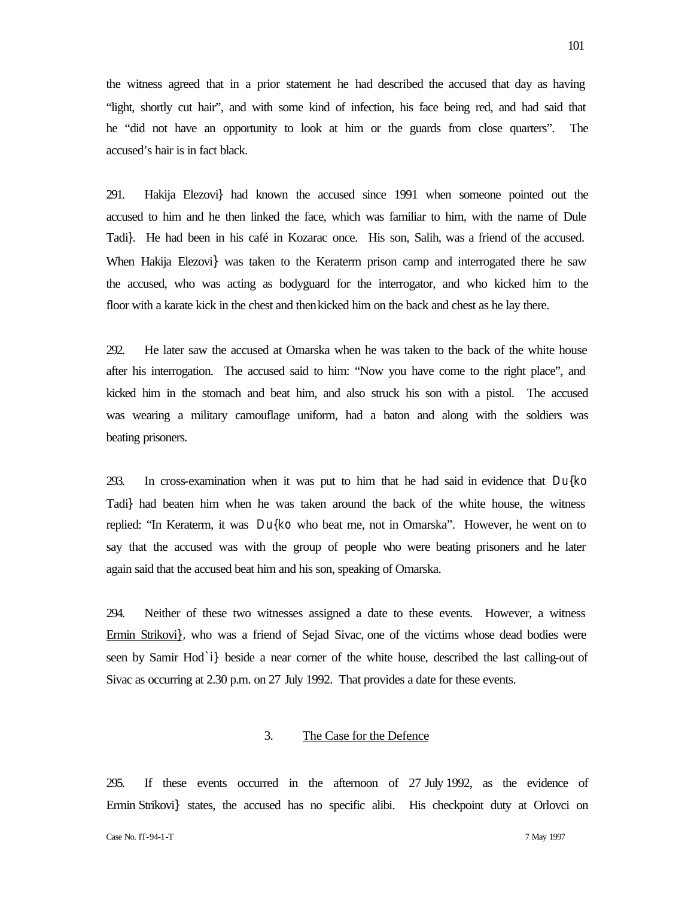the witness agreed that in a prior statement he had described the accused that day as having "light, shortly cut hair", and with some kind of infection, his face being red, and had said that he "did not have an opportunity to look at him or the guards from close quarters". The accused's hair is in fact black.

291. Hakija Elezovi} had known the accused since 1991 when someone pointed out the accused to him and he then linked the face, which was familiar to him, with the name of Dule Tadi}. He had been in his café in Kozarac once. His son, Salih, was a friend of the accused. When Hakija Elezovi} was taken to the Keraterm prison camp and interrogated there he saw the accused, who was acting as bodyguard for the interrogator, and who kicked him to the floor with a karate kick in the chest and then kicked him on the back and chest as he lay there.

292. He later saw the accused at Omarska when he was taken to the back of the white house after his interrogation. The accused said to him: "Now you have come to the right place", and kicked him in the stomach and beat him, and also struck his son with a pistol. The accused was wearing a military camouflage uniform, had a baton and along with the soldiers was beating prisoners.

293. In cross-examination when it was put to him that he had said in evidence that Du{ko Tadi} had beaten him when he was taken around the back of the white house, the witness replied: "In Keraterm, it was Du{ko who beat me, not in Omarska". However, he went on to say that the accused was with the group of people who were beating prisoners and he later again said that the accused beat him and his son, speaking of Omarska.

294. Neither of these two witnesses assigned a date to these events. However, a witness Ermin Strikovi}, who was a friend of Sejad Sivac, one of the victims whose dead bodies were seen by Samir Hod`i} beside a near corner of the white house, described the last calling-out of Sivac as occurring at 2.30 p.m. on 27 July 1992. That provides a date for these events.

## 3. The Case for the Defence

295. If these events occurred in the afternoon of 27 July 1992, as the evidence of Ermin Strikovi} states, the accused has no specific alibi. His checkpoint duty at Orlovci on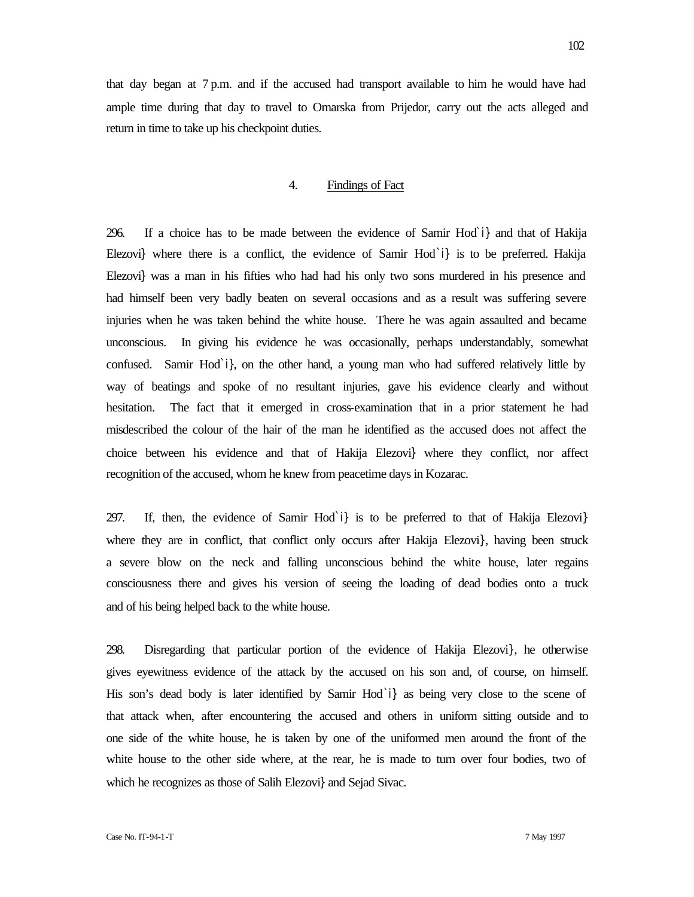that day began at 7 p.m. and if the accused had transport available to him he would have had ample time during that day to travel to Omarska from Prijedor, carry out the acts alleged and return in time to take up his checkpoint duties.

## 4. Findings of Fact

296. If a choice has to be made between the evidence of Samir Hod`i} and that of Hakija Elezovi} where there is a conflict, the evidence of Samir Hod`i} is to be preferred. Hakija Elezovi} was a man in his fifties who had had his only two sons murdered in his presence and had himself been very badly beaten on several occasions and as a result was suffering severe injuries when he was taken behind the white house. There he was again assaulted and became unconscious. In giving his evidence he was occasionally, perhaps understandably, somewhat confused. Samir Hod`i}, on the other hand, a young man who had suffered relatively little by way of beatings and spoke of no resultant injuries, gave his evidence clearly and without hesitation. The fact that it emerged in cross-examination that in a prior statement he had misdescribed the colour of the hair of the man he identified as the accused does not affect the choice between his evidence and that of Hakija Elezovi} where they conflict, nor affect recognition of the accused, whom he knew from peacetime days in Kozarac.

297. If, then, the evidence of Samir Hod`i} is to be preferred to that of Hakija Elezovi} where they are in conflict, that conflict only occurs after Hakija Elezovi}, having been struck a severe blow on the neck and falling unconscious behind the white house, later regains consciousness there and gives his version of seeing the loading of dead bodies onto a truck and of his being helped back to the white house.

298. Disregarding that particular portion of the evidence of Hakija Elezovi}, he otherwise gives eyewitness evidence of the attack by the accused on his son and, of course, on himself. His son's dead body is later identified by Samir Hod`i} as being very close to the scene of that attack when, after encountering the accused and others in uniform sitting outside and to one side of the white house, he is taken by one of the uniformed men around the front of the white house to the other side where, at the rear, he is made to turn over four bodies, two of which he recognizes as those of Salih Elezovi} and Sejad Sivac.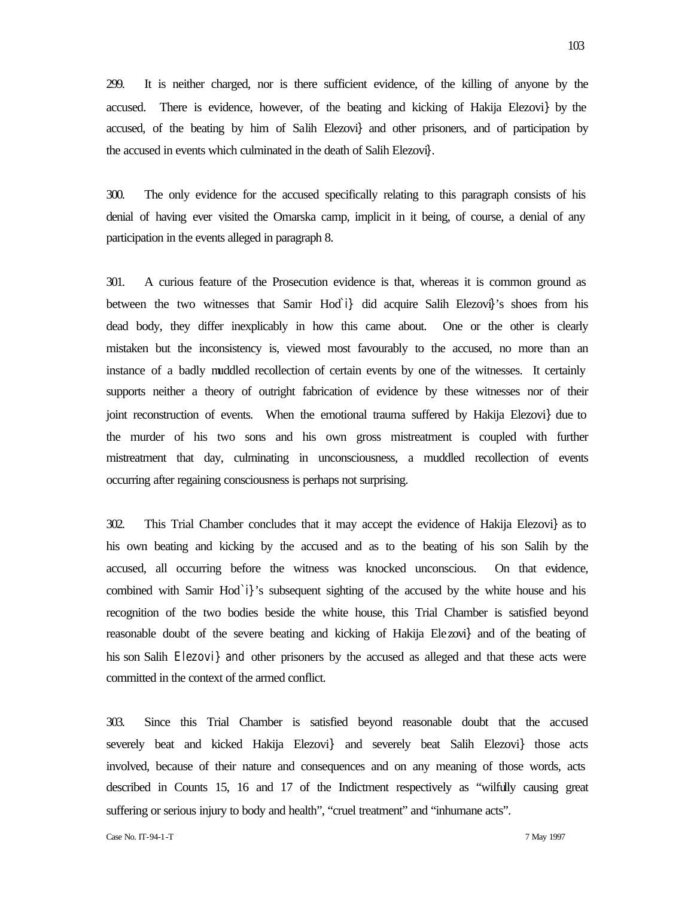299. It is neither charged, nor is there sufficient evidence, of the killing of anyone by the accused. There is evidence, however, of the beating and kicking of Hakija Elezovi} by the accused, of the beating by him of Salih Elezovi} and other prisoners, and of participation by the accused in events which culminated in the death of Salih Elezovi}.

300. The only evidence for the accused specifically relating to this paragraph consists of his denial of having ever visited the Omarska camp, implicit in it being, of course, a denial of any participation in the events alleged in paragraph 8.

301. A curious feature of the Prosecution evidence is that, whereas it is common ground as between the two witnesses that Samir Hod`i} did acquire Salih Elezovi}'s shoes from his dead body, they differ inexplicably in how this came about. One or the other is clearly mistaken but the inconsistency is, viewed most favourably to the accused, no more than an instance of a badly muddled recollection of certain events by one of the witnesses. It certainly supports neither a theory of outright fabrication of evidence by these witnesses nor of their joint reconstruction of events. When the emotional trauma suffered by Hakija Elezovi} due to the murder of his two sons and his own gross mistreatment is coupled with further mistreatment that day, culminating in unconsciousness, a muddled recollection of events occurring after regaining consciousness is perhaps not surprising.

302. This Trial Chamber concludes that it may accept the evidence of Hakija Elezovi} as to his own beating and kicking by the accused and as to the beating of his son Salih by the accused, all occurring before the witness was knocked unconscious. On that evidence, combined with Samir Hod`i}'s subsequent sighting of the accused by the white house and his recognition of the two bodies beside the white house, this Trial Chamber is satisfied beyond reasonable doubt of the severe beating and kicking of Hakija Elezovi} and of the beating of his son Salih Elezovi and other prisoners by the accused as alleged and that these acts were committed in the context of the armed conflict.

303. Since this Trial Chamber is satisfied beyond reasonable doubt that the accused severely beat and kicked Hakija Elezovi} and severely beat Salih Elezovi} those acts involved, because of their nature and consequences and on any meaning of those words, acts described in Counts 15, 16 and 17 of the Indictment respectively as "wilfully causing great suffering or serious injury to body and health", "cruel treatment" and "inhumane acts".

103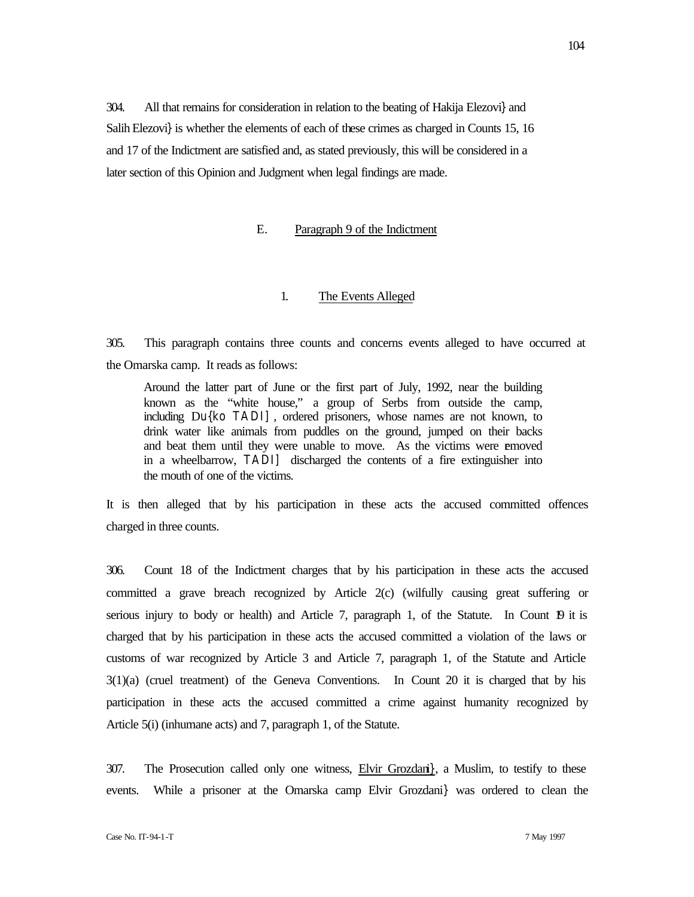304. All that remains for consideration in relation to the beating of Hakija Elezovi} and Salih Elezovi} is whether the elements of each of these crimes as charged in Counts 15, 16 and 17 of the Indictment are satisfied and, as stated previously, this will be considered in a later section of this Opinion and Judgment when legal findings are made.

### E. Paragraph 9 of the Indictment

### 1. The Events Alleged

305. This paragraph contains three counts and concerns events alleged to have occurred at the Omarska camp. It reads as follows:

Around the latter part of June or the first part of July, 1992, near the building known as the "white house," a group of Serbs from outside the camp, including Du{ko TADI], ordered prisoners, whose names are not known, to drink water like animals from puddles on the ground, jumped on their backs and beat them until they were unable to move. As the victims were emoved in a wheelbarrow, TADI] discharged the contents of a fire extinguisher into the mouth of one of the victims.

It is then alleged that by his participation in these acts the accused committed offences charged in three counts.

306. Count 18 of the Indictment charges that by his participation in these acts the accused committed a grave breach recognized by Article 2(c) (wilfully causing great suffering or serious injury to body or health) and Article 7, paragraph 1, of the Statute. In Count 19 it is charged that by his participation in these acts the accused committed a violation of the laws or customs of war recognized by Article 3 and Article 7, paragraph 1, of the Statute and Article 3(1)(a) (cruel treatment) of the Geneva Conventions. In Count 20 it is charged that by his participation in these acts the accused committed a crime against humanity recognized by Article 5(i) (inhumane acts) and 7, paragraph 1, of the Statute.

307. The Prosecution called only one witness, Elvir Grozdani}, a Muslim, to testify to these events. While a prisoner at the Omarska camp Elvir Grozdani} was ordered to clean the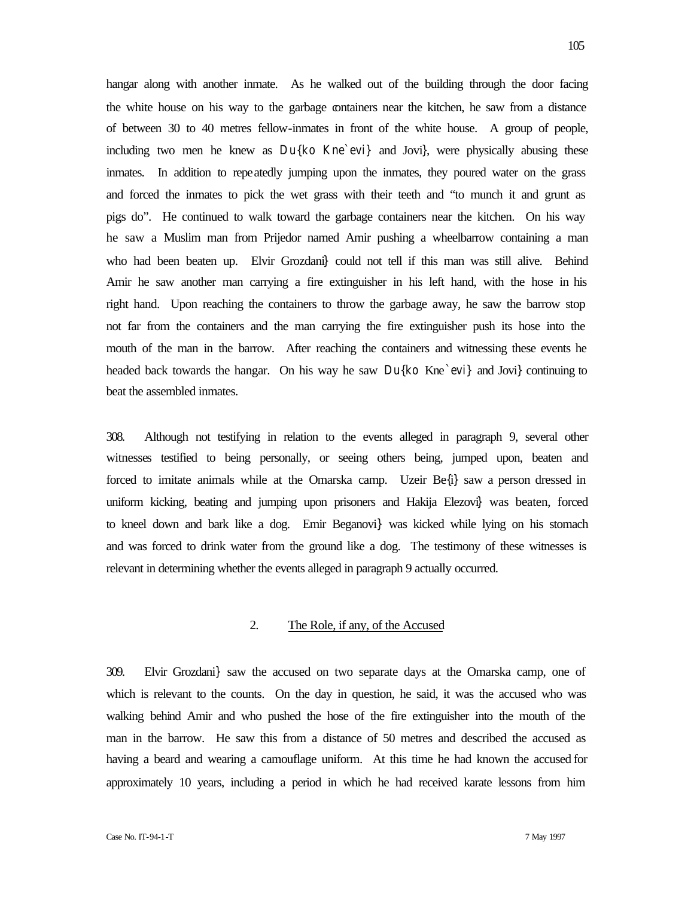hangar along with another inmate. As he walked out of the building through the door facing the white house on his way to the garbage containers near the kitchen, he saw from a distance of between 30 to 40 metres fellow-inmates in front of the white house. A group of people, including two men he knew as  $Du\{ko$  Kne`evi} and Jovi}, were physically abusing these inmates. In addition to repeatedly jumping upon the inmates, they poured water on the grass and forced the inmates to pick the wet grass with their teeth and "to munch it and grunt as pigs do". He continued to walk toward the garbage containers near the kitchen. On his way he saw a Muslim man from Prijedor named Amir pushing a wheelbarrow containing a man who had been beaten up. Elvir Grozdani} could not tell if this man was still alive. Behind Amir he saw another man carrying a fire extinguisher in his left hand, with the hose in his right hand. Upon reaching the containers to throw the garbage away, he saw the barrow stop not far from the containers and the man carrying the fire extinguisher push its hose into the mouth of the man in the barrow. After reaching the containers and witnessing these events he headed back towards the hangar. On his way he saw Du{ko Kne`evi} and Jovi} continuing to beat the assembled inmates.

308. Although not testifying in relation to the events alleged in paragraph 9, several other witnesses testified to being personally, or seeing others being, jumped upon, beaten and forced to imitate animals while at the Omarska camp. Uzeir Be{i} saw a person dressed in uniform kicking, beating and jumping upon prisoners and Hakija Elezovi} was beaten, forced to kneel down and bark like a dog. Emir Beganovi} was kicked while lying on his stomach and was forced to drink water from the ground like a dog. The testimony of these witnesses is relevant in determining whether the events alleged in paragraph 9 actually occurred.

## 2. The Role, if any, of the Accused

309. Elvir Grozdani} saw the accused on two separate days at the Omarska camp, one of which is relevant to the counts. On the day in question, he said, it was the accused who was walking behind Amir and who pushed the hose of the fire extinguisher into the mouth of the man in the barrow. He saw this from a distance of 50 metres and described the accused as having a beard and wearing a camouflage uniform. At this time he had known the accused for approximately 10 years, including a period in which he had received karate lessons from him

105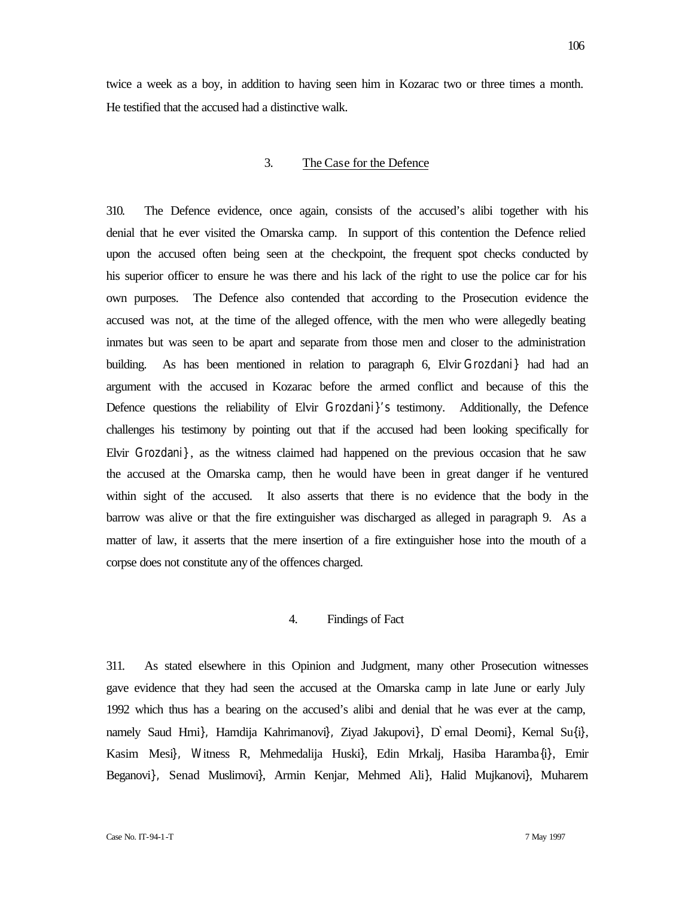twice a week as a boy, in addition to having seen him in Kozarac two or three times a month. He testified that the accused had a distinctive walk.

#### 3. The Case for the Defence

310. The Defence evidence, once again, consists of the accused's alibi together with his denial that he ever visited the Omarska camp. In support of this contention the Defence relied upon the accused often being seen at the checkpoint, the frequent spot checks conducted by his superior officer to ensure he was there and his lack of the right to use the police car for his own purposes. The Defence also contended that according to the Prosecution evidence the accused was not, at the time of the alleged offence, with the men who were allegedly beating inmates but was seen to be apart and separate from those men and closer to the administration building. As has been mentioned in relation to paragraph 6, Elvir Grozdani} had had an argument with the accused in Kozarac before the armed conflict and because of this the Defence questions the reliability of Elvir Grozdani}'s testimony. Additionally, the Defence challenges his testimony by pointing out that if the accused had been looking specifically for Elvir Grozdani} , as the witness claimed had happened on the previous occasion that he saw the accused at the Omarska camp, then he would have been in great danger if he ventured within sight of the accused. It also asserts that there is no evidence that the body in the barrow was alive or that the fire extinguisher was discharged as alleged in paragraph 9. As a matter of law, it asserts that the mere insertion of a fire extinguisher hose into the mouth of a corpse does not constitute any of the offences charged.

## 4. Findings of Fact

311. As stated elsewhere in this Opinion and Judgment, many other Prosecution witnesses gave evidence that they had seen the accused at the Omarska camp in late June or early July 1992 which thus has a bearing on the accused's alibi and denial that he was ever at the camp, namely Saud Hrni}, Hamdija Kahrimanovi}, Ziyad Jakupovi}, D`emal Deomi}, Kemal Su{i}, Kasim Mesi}, Witness R, Mehmedalija Huski}, Edin Mrkalj, Hasiba Haramba{i}, Emir Beganovi}, Senad Muslimovi}, Armin Kenjar, Mehmed Ali}, Halid Mujkanovi}, Muharem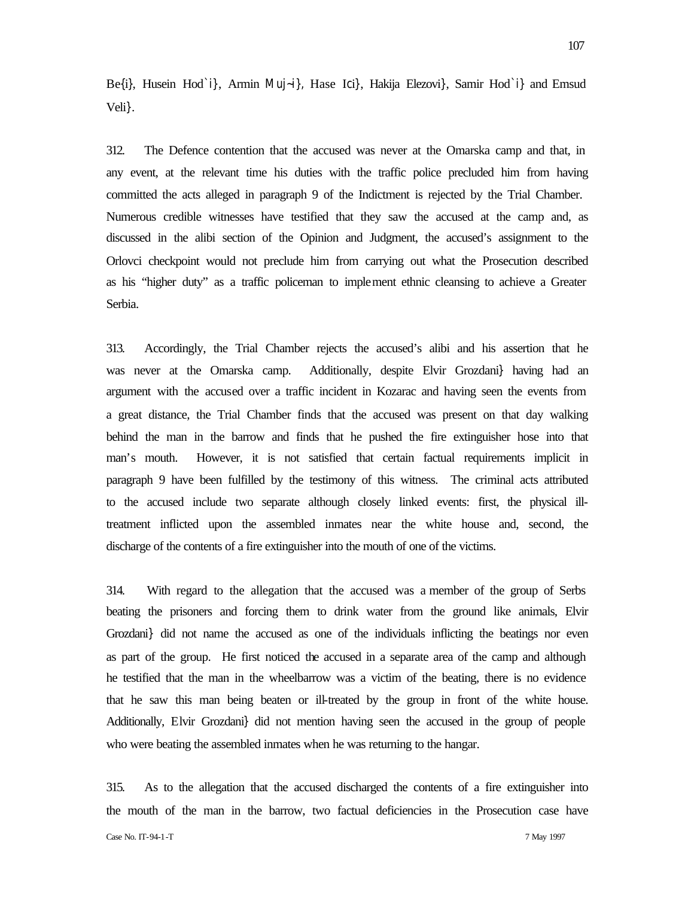Be{i}, Husein Hod`i}, Armin Muj~i}, Hase Ici}, Hakija Elezovi}, Samir Hod`i} and Emsud Veli}.

312. The Defence contention that the accused was never at the Omarska camp and that, in any event, at the relevant time his duties with the traffic police precluded him from having committed the acts alleged in paragraph 9 of the Indictment is rejected by the Trial Chamber. Numerous credible witnesses have testified that they saw the accused at the camp and, as discussed in the alibi section of the Opinion and Judgment, the accused's assignment to the Orlovci checkpoint would not preclude him from carrying out what the Prosecution described as his "higher duty" as a traffic policeman to implement ethnic cleansing to achieve a Greater Serbia.

313. Accordingly, the Trial Chamber rejects the accused's alibi and his assertion that he was never at the Omarska camp. Additionally, despite Elvir Grozdani} having had an argument with the accused over a traffic incident in Kozarac and having seen the events from a great distance, the Trial Chamber finds that the accused was present on that day walking behind the man in the barrow and finds that he pushed the fire extinguisher hose into that man's mouth. However, it is not satisfied that certain factual requirements implicit in paragraph 9 have been fulfilled by the testimony of this witness. The criminal acts attributed to the accused include two separate although closely linked events: first, the physical illtreatment inflicted upon the assembled inmates near the white house and, second, the discharge of the contents of a fire extinguisher into the mouth of one of the victims.

314. With regard to the allegation that the accused was a member of the group of Serbs beating the prisoners and forcing them to drink water from the ground like animals, Elvir Grozdani} did not name the accused as one of the individuals inflicting the beatings nor even as part of the group. He first noticed the accused in a separate area of the camp and although he testified that the man in the wheelbarrow was a victim of the beating, there is no evidence that he saw this man being beaten or ill-treated by the group in front of the white house. Additionally, Elvir Grozdani} did not mention having seen the accused in the group of people who were beating the assembled inmates when he was returning to the hangar.

315. As to the allegation that the accused discharged the contents of a fire extinguisher into the mouth of the man in the barrow, two factual deficiencies in the Prosecution case have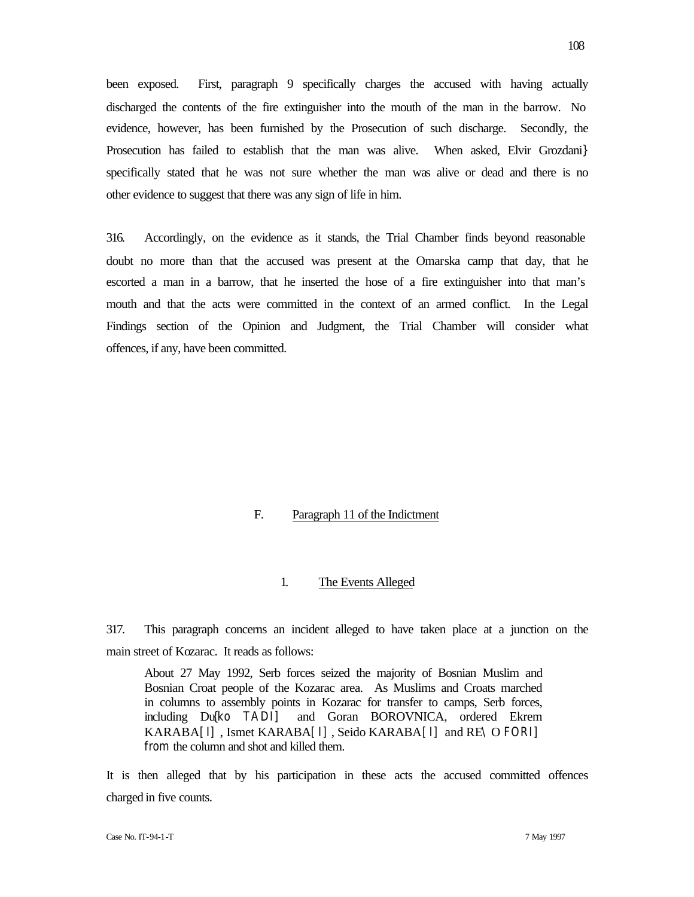been exposed. First, paragraph 9 specifically charges the accused with having actually discharged the contents of the fire extinguisher into the mouth of the man in the barrow. No evidence, however, has been furnished by the Prosecution of such discharge. Secondly, the Prosecution has failed to establish that the man was alive. When asked, Elvir Grozdani specifically stated that he was not sure whether the man was alive or dead and there is no other evidence to suggest that there was any sign of life in him.

316. Accordingly, on the evidence as it stands, the Trial Chamber finds beyond reasonable doubt no more than that the accused was present at the Omarska camp that day, that he escorted a man in a barrow, that he inserted the hose of a fire extinguisher into that man's mouth and that the acts were committed in the context of an armed conflict. In the Legal Findings section of the Opinion and Judgment, the Trial Chamber will consider what offences, if any, have been committed.

#### F. Paragraph 11 of the Indictment

## 1. The Events Alleged

317. This paragraph concerns an incident alleged to have taken place at a junction on the main street of Kozarac. It reads as follows:

About 27 May 1992, Serb forces seized the majority of Bosnian Muslim and Bosnian Croat people of the Kozarac area. As Muslims and Croats marched in columns to assembly points in Kozarac for transfer to camps, Serb forces, including Du{ko TADI] and Goran BOROVNICA, ordered Ekrem KARABA[I], Ismet KARABA[I], Seido KARABA[I] and RE\O FORI] from the column and shot and killed them.

It is then alleged that by his participation in these acts the accused committed offences charged in five counts.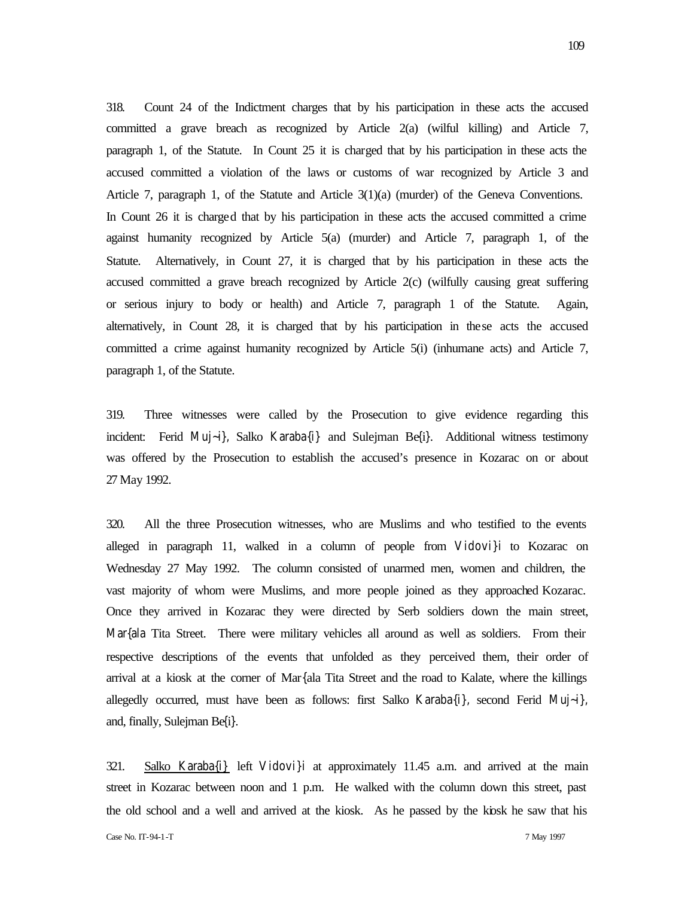318. Count 24 of the Indictment charges that by his participation in these acts the accused committed a grave breach as recognized by Article 2(a) (wilful killing) and Article 7, paragraph 1, of the Statute. In Count 25 it is charged that by his participation in these acts the accused committed a violation of the laws or customs of war recognized by Article 3 and Article 7, paragraph 1, of the Statute and Article 3(1)(a) (murder) of the Geneva Conventions. In Count 26 it is charged that by his participation in these acts the accused committed a crime against humanity recognized by Article 5(a) (murder) and Article 7, paragraph 1, of the Statute. Alternatively, in Count 27, it is charged that by his participation in these acts the accused committed a grave breach recognized by Article 2(c) (wilfully causing great suffering or serious injury to body or health) and Article 7, paragraph 1 of the Statute. Again, alternatively, in Count 28, it is charged that by his participation in these acts the accused committed a crime against humanity recognized by Article 5(i) (inhumane acts) and Article 7, paragraph 1, of the Statute.

319. Three witnesses were called by the Prosecution to give evidence regarding this incident: Ferid Muj~i}, Salko Karaba{i} and Sulejman Be{i}. Additional witness testimony was offered by the Prosecution to establish the accused's presence in Kozarac on or about 27 May 1992.

320. All the three Prosecution witnesses, who are Muslims and who testified to the events alleged in paragraph 11, walked in a column of people from Vidovi}i to Kozarac on Wednesday 27 May 1992. The column consisted of unarmed men, women and children, the vast majority of whom were Muslims, and more people joined as they approached Kozarac. Once they arrived in Kozarac they were directed by Serb soldiers down the main street, Mar{ala Tita Street. There were military vehicles all around as well as soldiers. From their respective descriptions of the events that unfolded as they perceived them, their order of arrival at a kiosk at the corner of Mar{ala Tita Street and the road to Kalate, where the killings allegedly occurred, must have been as follows: first Salko Karaba{i}, second Ferid Muj~i}, and, finally, Sulejman Be{i}.

321. Salko Karaba{i} left Vidovi}i at approximately 11.45 a.m. and arrived at the main street in Kozarac between noon and 1 p.m. He walked with the column down this street, past the old school and a well and arrived at the kiosk. As he passed by the kiosk he saw that his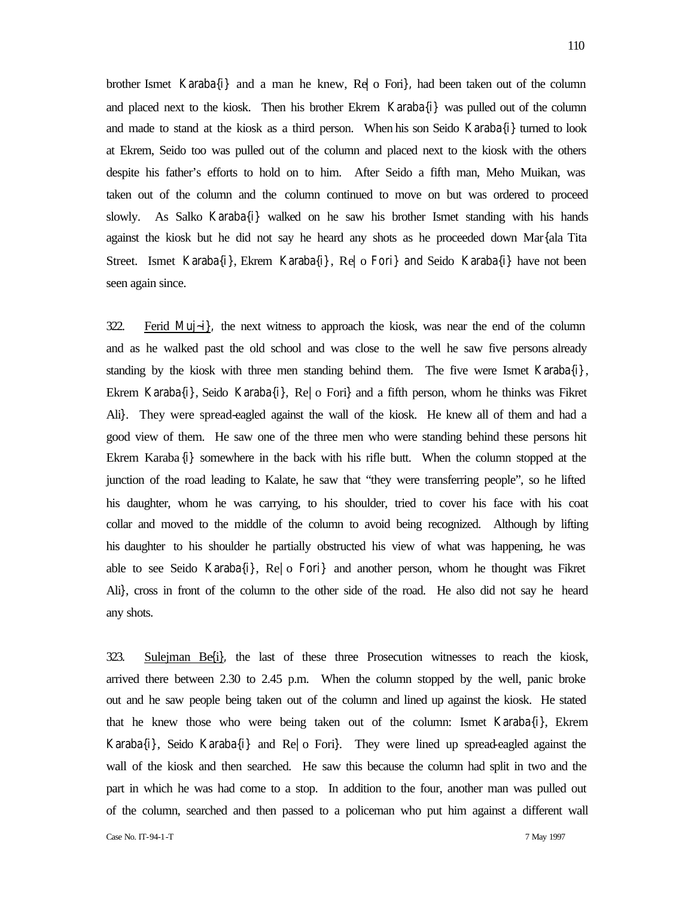brother Ismet Karaba{i} and a man he knew,  $Re$  o Fori}, had been taken out of the column and placed next to the kiosk. Then his brother Ekrem Karaba{i} was pulled out of the column and made to stand at the kiosk as a third person. When his son Seido Karaba{i} turned to look at Ekrem, Seido too was pulled out of the column and placed next to the kiosk with the others despite his father's efforts to hold on to him. After Seido a fifth man, Meho Muikan, was taken out of the column and the column continued to move on but was ordered to proceed slowly. As Salko Karaba{i} walked on he saw his brother Ismet standing with his hands against the kiosk but he did not say he heard any shots as he proceeded down Mar{ala Tita Street. Ismet Karaba{i}, Ekrem Karaba{i}, Re|o Fori} and Seido Karaba{i} have not been seen again since.

 $322.$  Ferid Muj~i}, the next witness to approach the kiosk, was near the end of the column and as he walked past the old school and was close to the well he saw five persons already standing by the kiosk with three men standing behind them. The five were Ismet Karaba{i}, Ekrem Karaba{i}, Seido Karaba{i}, Re|o Fori} and a fifth person, whom he thinks was Fikret Ali}. They were spread-eagled against the wall of the kiosk. He knew all of them and had a good view of them. He saw one of the three men who were standing behind these persons hit Ekrem Karaba{i} somewhere in the back with his rifle butt. When the column stopped at the junction of the road leading to Kalate, he saw that "they were transferring people", so he lifted his daughter, whom he was carrying, to his shoulder, tried to cover his face with his coat collar and moved to the middle of the column to avoid being recognized. Although by lifting his daughter to his shoulder he partially obstructed his view of what was happening, he was able to see Seido Karaba{i}, Re|o Fori} and another person, whom he thought was Fikret Ali}, cross in front of the column to the other side of the road. He also did not say he heard any shots.

323. Sulejman Be{i}, the last of these three Prosecution witnesses to reach the kiosk, arrived there between 2.30 to 2.45 p.m. When the column stopped by the well, panic broke out and he saw people being taken out of the column and lined up against the kiosk. He stated that he knew those who were being taken out of the column: Ismet Karaba{i}, Ekrem Karaba $\{i\}$ , Seido Karaba $\{i\}$  and Re | o Fori $\}$ . They were lined up spread-eagled against the wall of the kiosk and then searched. He saw this because the column had split in two and the part in which he was had come to a stop. In addition to the four, another man was pulled out of the column, searched and then passed to a policeman who put him against a different wall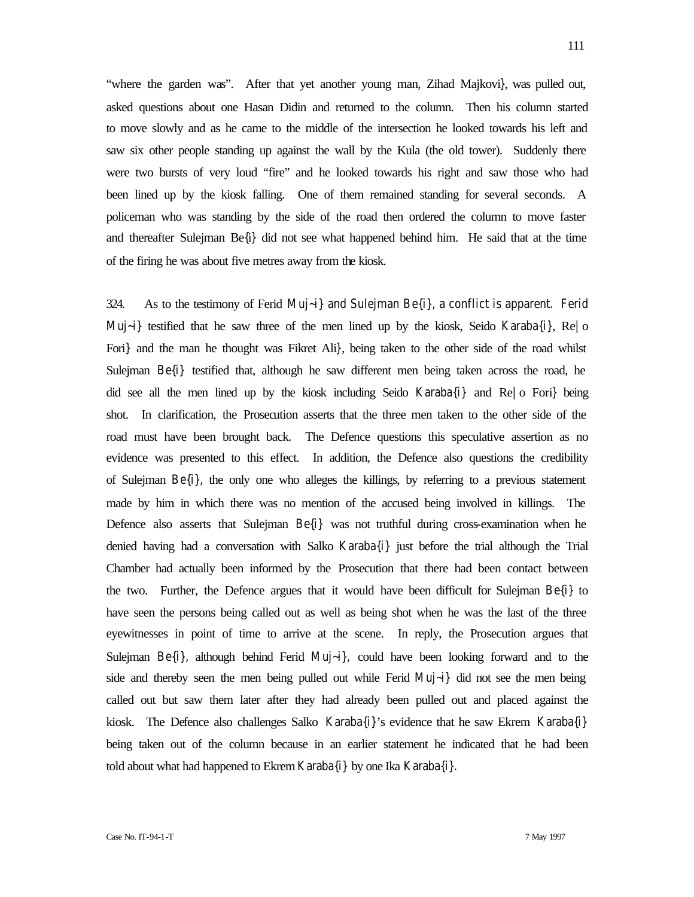"where the garden was". After that yet another young man, Zihad Majkovi}, was pulled out, asked questions about one Hasan Didin and returned to the column. Then his column started to move slowly and as he came to the middle of the intersection he looked towards his left and saw six other people standing up against the wall by the Kula (the old tower). Suddenly there were two bursts of very loud "fire" and he looked towards his right and saw those who had

been lined up by the kiosk falling. One of them remained standing for several seconds. A policeman who was standing by the side of the road then ordered the column to move faster and thereafter Sulejman Be{i} did not see what happened behind him. He said that at the time of the firing he was about five metres away from the kiosk.

324. As to the testimony of Ferid Muj~i and Sulejman Be $\{i\}$ , a conflict is apparent. Ferid Muj~i} testified that he saw three of the men lined up by the kiosk, Seido Karaba{i}, Re|o Fori} and the man he thought was Fikret Ali}, being taken to the other side of the road whilst Sulejman Be{i} testified that, although he saw different men being taken across the road, he did see all the men lined up by the kiosk including Seido Karaba $\{i\}$  and Re o Fori $\}$  being shot. In clarification, the Prosecution asserts that the three men taken to the other side of the road must have been brought back. The Defence questions this speculative assertion as no evidence was presented to this effect. In addition, the Defence also questions the credibility of Sulejman Be{i}, the only one who alleges the killings, by referring to a previous statement made by him in which there was no mention of the accused being involved in killings. The Defence also asserts that Sulejman Be{i} was not truthful during cross-examination when he denied having had a conversation with Salko Karaba{i} just before the trial although the Trial Chamber had actually been informed by the Prosecution that there had been contact between the two. Further, the Defence argues that it would have been difficult for Sulejman  $\text{Be} \{i\}$  to have seen the persons being called out as well as being shot when he was the last of the three eyewitnesses in point of time to arrive at the scene. In reply, the Prosecution argues that Sulejman  $\text{Be}\{i\}$ , although behind Ferid Muj~i $\}$ , could have been looking forward and to the side and thereby seen the men being pulled out while Ferid Muj~i did not see the men being called out but saw them later after they had already been pulled out and placed against the kiosk. The Defence also challenges Salko Karaba{i}'s evidence that he saw Ekrem Karaba{i} being taken out of the column because in an earlier statement he indicated that he had been told about what had happened to Ekrem Karaba{i} by one Ika Karaba{i}.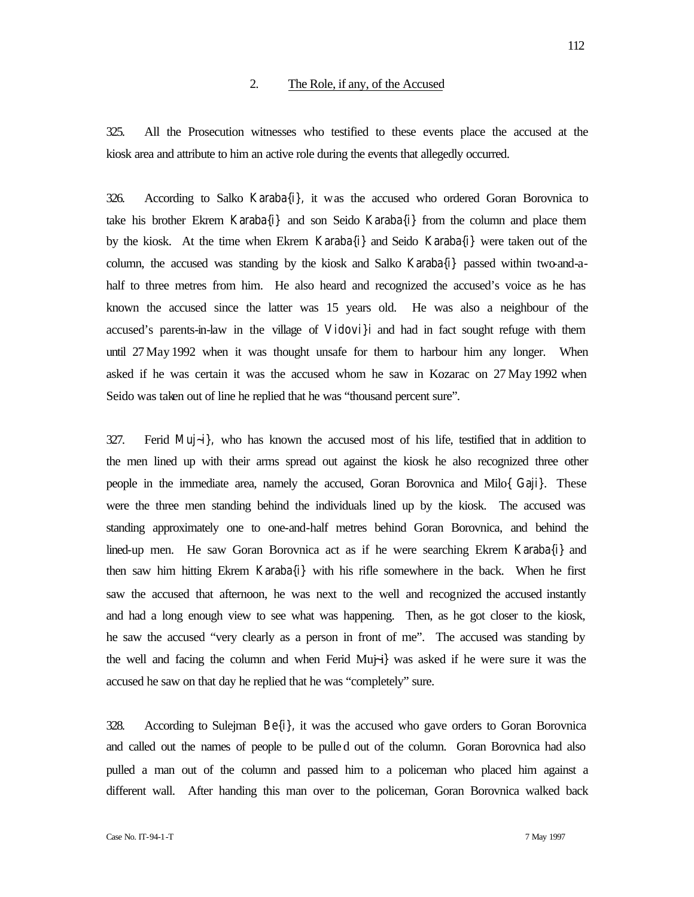### 2. The Role, if any, of the Accused

325. All the Prosecution witnesses who testified to these events place the accused at the kiosk area and attribute to him an active role during the events that allegedly occurred.

326. According to Salko Karaba $\{i\}$ , it was the accused who ordered Goran Borovnica to take his brother Ekrem Karaba{i} and son Seido Karaba{i} from the column and place them by the kiosk. At the time when Ekrem Karaba{i} and Seido Karaba{i} were taken out of the column, the accused was standing by the kiosk and Salko Karaba{i} passed within two-and-ahalf to three metres from him. He also heard and recognized the accused's voice as he has known the accused since the latter was 15 years old. He was also a neighbour of the accused's parents-in-law in the village of Vidovi}i and had in fact sought refuge with them until 27May 1992 when it was thought unsafe for them to harbour him any longer. When asked if he was certain it was the accused whom he saw in Kozarac on 27 May 1992 when Seido was taken out of line he replied that he was "thousand percent sure".

 $327.$  Ferid Muj~i}, who has known the accused most of his life, testified that in addition to the men lined up with their arms spread out against the kiosk he also recognized three other people in the immediate area, namely the accused, Goran Borovnica and Milo{ Gaji}. These were the three men standing behind the individuals lined up by the kiosk. The accused was standing approximately one to one-and-half metres behind Goran Borovnica, and behind the lined-up men. He saw Goran Borovnica act as if he were searching Ekrem Karaba{i} and then saw him hitting Ekrem Karaba{i} with his rifle somewhere in the back. When he first saw the accused that afternoon, he was next to the well and recognized the accused instantly and had a long enough view to see what was happening. Then, as he got closer to the kiosk, he saw the accused "very clearly as a person in front of me". The accused was standing by the well and facing the column and when Ferid Mu<sub>j</sub>-i} was asked if he were sure it was the accused he saw on that day he replied that he was "completely" sure.

328. According to Sulejman Be{i}, it was the accused who gave orders to Goran Borovnica and called out the names of people to be pulle d out of the column. Goran Borovnica had also pulled a man out of the column and passed him to a policeman who placed him against a different wall. After handing this man over to the policeman, Goran Borovnica walked back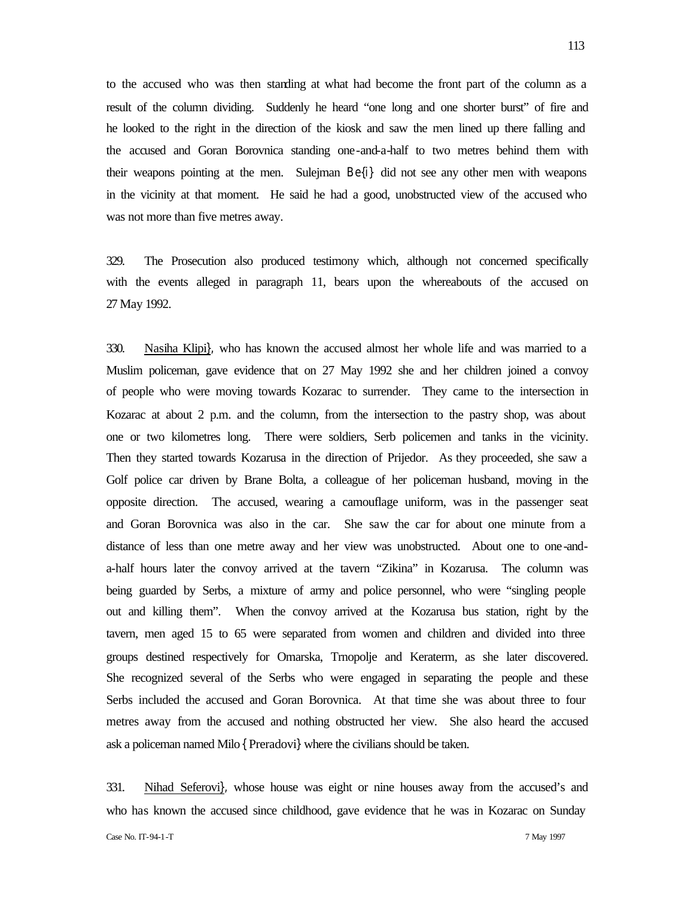to the accused who was then standing at what had become the front part of the column as a result of the column dividing. Suddenly he heard "one long and one shorter burst" of fire and he looked to the right in the direction of the kiosk and saw the men lined up there falling and the accused and Goran Borovnica standing one-and-a-half to two metres behind them with their weapons pointing at the men. Sulejman Be{i} did not see any other men with weapons in the vicinity at that moment. He said he had a good, unobstructed view of the accused who was not more than five metres away.

329. The Prosecution also produced testimony which, although not concerned specifically with the events alleged in paragraph 11, bears upon the whereabouts of the accused on 27 May 1992.

330. Nasiha Klipi}, who has known the accused almost her whole life and was married to a Muslim policeman, gave evidence that on 27 May 1992 she and her children joined a convoy of people who were moving towards Kozarac to surrender. They came to the intersection in Kozarac at about 2 p.m. and the column, from the intersection to the pastry shop, was about one or two kilometres long. There were soldiers, Serb policemen and tanks in the vicinity. Then they started towards Kozarusa in the direction of Prijedor. As they proceeded, she saw a Golf police car driven by Brane Bolta, a colleague of her policeman husband, moving in the opposite direction. The accused, wearing a camouflage uniform, was in the passenger seat and Goran Borovnica was also in the car. She saw the car for about one minute from a distance of less than one metre away and her view was unobstructed. About one to one-anda-half hours later the convoy arrived at the tavern "Zikina" in Kozarusa. The column was being guarded by Serbs, a mixture of army and police personnel, who were "singling people out and killing them". When the convoy arrived at the Kozarusa bus station, right by the tavern, men aged 15 to 65 were separated from women and children and divided into three groups destined respectively for Omarska, Trnopolje and Keraterm, as she later discovered. She recognized several of the Serbs who were engaged in separating the people and these Serbs included the accused and Goran Borovnica. At that time she was about three to four metres away from the accused and nothing obstructed her view. She also heard the accused ask a policeman named Milo{ Preradovi} where the civilians should be taken.

331. Nihad Seferovi}, whose house was eight or nine houses away from the accused's and who has known the accused since childhood, gave evidence that he was in Kozarac on Sunday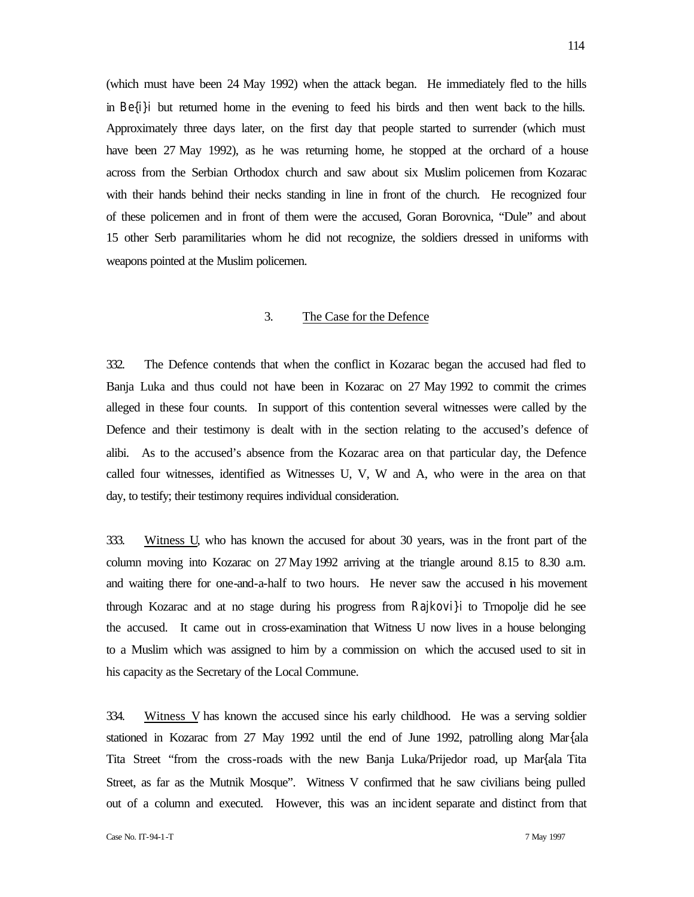(which must have been 24 May 1992) when the attack began. He immediately fled to the hills in Be{i}i but returned home in the evening to feed his birds and then went back to the hills. Approximately three days later, on the first day that people started to surrender (which must have been 27 May 1992), as he was returning home, he stopped at the orchard of a house across from the Serbian Orthodox church and saw about six Muslim policemen from Kozarac with their hands behind their necks standing in line in front of the church. He recognized four of these policemen and in front of them were the accused, Goran Borovnica, "Dule" and about 15 other Serb paramilitaries whom he did not recognize, the soldiers dressed in uniforms with weapons pointed at the Muslim policemen.

### 3. The Case for the Defence

332. The Defence contends that when the conflict in Kozarac began the accused had fled to Banja Luka and thus could not have been in Kozarac on 27 May 1992 to commit the crimes alleged in these four counts. In support of this contention several witnesses were called by the Defence and their testimony is dealt with in the section relating to the accused's defence of alibi. As to the accused's absence from the Kozarac area on that particular day, the Defence called four witnesses, identified as Witnesses U, V, W and A, who were in the area on that day, to testify; their testimony requires individual consideration.

333. Witness U, who has known the accused for about 30 years, was in the front part of the column moving into Kozarac on 27 May 1992 arriving at the triangle around 8.15 to 8.30 a.m. and waiting there for one-and-a-half to two hours. He never saw the accused in his movement through Kozarac and at no stage during his progress from Rajkovi}i to Trnopolje did he see the accused. It came out in cross-examination that Witness U now lives in a house belonging to a Muslim which was assigned to him by a commission on which the accused used to sit in his capacity as the Secretary of the Local Commune.

334. Witness V has known the accused since his early childhood. He was a serving soldier stationed in Kozarac from 27 May 1992 until the end of June 1992, patrolling along Mar{ala Tita Street "from the cross-roads with the new Banja Luka/Prijedor road, up Mar{ala Tita Street, as far as the Mutnik Mosque". Witness V confirmed that he saw civilians being pulled out of a column and executed. However, this was an incident separate and distinct from that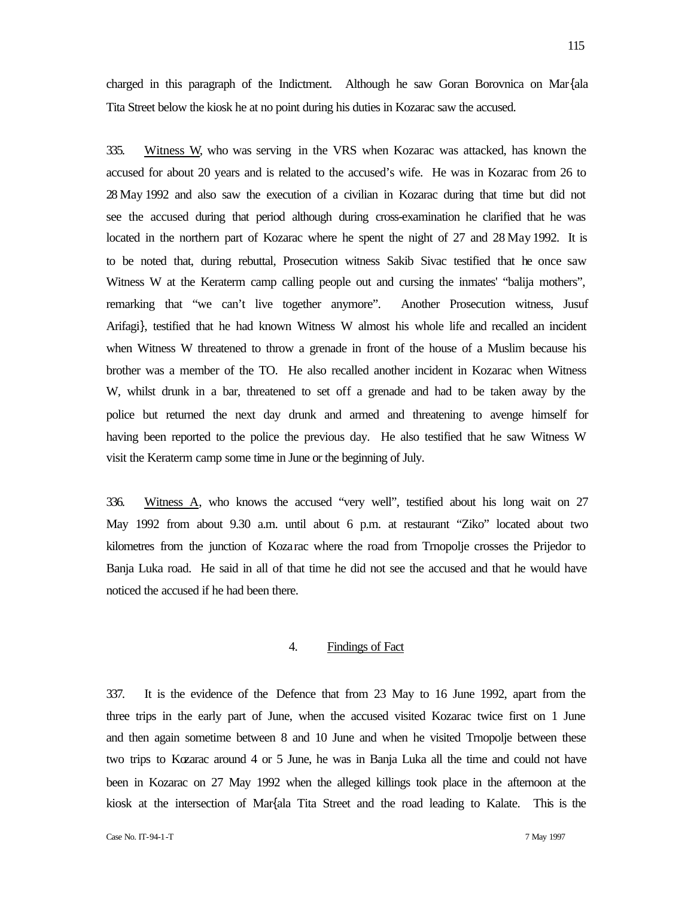charged in this paragraph of the Indictment. Although he saw Goran Borovnica on Mar{ala Tita Street below the kiosk he at no point during his duties in Kozarac saw the accused.

335. Witness W, who was serving in the VRS when Kozarac was attacked, has known the accused for about 20 years and is related to the accused's wife. He was in Kozarac from 26 to 28 May 1992 and also saw the execution of a civilian in Kozarac during that time but did not see the accused during that period although during cross-examination he clarified that he was located in the northern part of Kozarac where he spent the night of 27 and 28 May 1992. It is to be noted that, during rebuttal, Prosecution witness Sakib Sivac testified that he once saw Witness W at the Keraterm camp calling people out and cursing the inmates' "balija mothers", remarking that "we can't live together anymore". Another Prosecution witness, Jusuf Arifagi}, testified that he had known Witness W almost his whole life and recalled an incident when Witness W threatened to throw a grenade in front of the house of a Muslim because his brother was a member of the TO. He also recalled another incident in Kozarac when Witness W, whilst drunk in a bar, threatened to set off a grenade and had to be taken away by the police but returned the next day drunk and armed and threatening to avenge himself for having been reported to the police the previous day. He also testified that he saw Witness W visit the Keraterm camp some time in June or the beginning of July.

336. Witness A, who knows the accused "very well", testified about his long wait on 27 May 1992 from about 9.30 a.m. until about 6 p.m. at restaurant "Ziko" located about two kilometres from the junction of Kozarac where the road from Trnopolje crosses the Prijedor to Banja Luka road. He said in all of that time he did not see the accused and that he would have noticed the accused if he had been there.

### 4. Findings of Fact

337. It is the evidence of the Defence that from 23 May to 16 June 1992, apart from the three trips in the early part of June, when the accused visited Kozarac twice first on 1 June and then again sometime between 8 and 10 June and when he visited Trnopolje between these two trips to Kozarac around 4 or 5 June, he was in Banja Luka all the time and could not have been in Kozarac on 27 May 1992 when the alleged killings took place in the afternoon at the kiosk at the intersection of Mar{ala Tita Street and the road leading to Kalate. This is the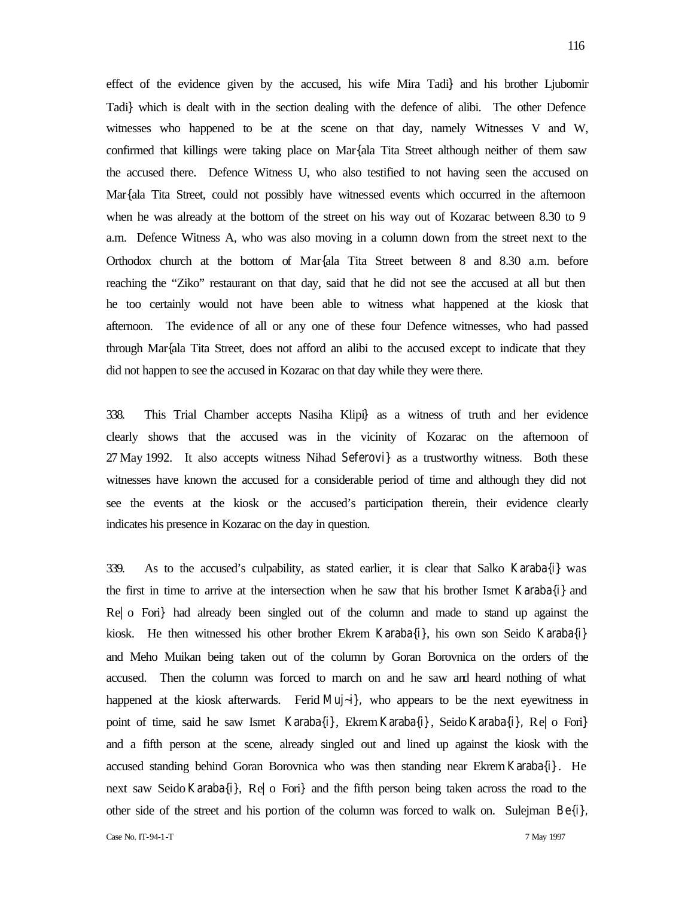effect of the evidence given by the accused, his wife Mira Tadi} and his brother Ljubomir Tadi} which is dealt with in the section dealing with the defence of alibi. The other Defence witnesses who happened to be at the scene on that day, namely Witnesses V and W, confirmed that killings were taking place on Mar{ala Tita Street although neither of them saw the accused there. Defence Witness U, who also testified to not having seen the accused on Mar{ala Tita Street, could not possibly have witnessed events which occurred in the afternoon when he was already at the bottom of the street on his way out of Kozarac between 8.30 to 9 a.m. Defence Witness A, who was also moving in a column down from the street next to the Orthodox church at the bottom of Mar{ala Tita Street between 8 and 8.30 a.m. before reaching the "Ziko" restaurant on that day, said that he did not see the accused at all but then he too certainly would not have been able to witness what happened at the kiosk that afternoon. The evidence of all or any one of these four Defence witnesses, who had passed through Mar{ala Tita Street, does not afford an alibi to the accused except to indicate that they did not happen to see the accused in Kozarac on that day while they were there.

338. This Trial Chamber accepts Nasiha Klipi} as a witness of truth and her evidence clearly shows that the accused was in the vicinity of Kozarac on the afternoon of 27 May 1992. It also accepts witness Nihad Seferovi} as a trustworthy witness. Both these witnesses have known the accused for a considerable period of time and although they did not see the events at the kiosk or the accused's participation therein, their evidence clearly indicates his presence in Kozarac on the day in question.

339. As to the accused's culpability, as stated earlier, it is clear that Salko Karaba{i} was the first in time to arrive at the intersection when he saw that his brother Ismet Karaba{i} and Re|o Fori} had already been singled out of the column and made to stand up against the kiosk. He then witnessed his other brother Ekrem Karaba{i}, his own son Seido Karaba{i} and Meho Muikan being taken out of the column by Goran Borovnica on the orders of the accused. Then the column was forced to march on and he saw and heard nothing of what happened at the kiosk afterwards. Ferid Muj~i}, who appears to be the next eyewitness in point of time, said he saw Ismet Karaba{i}, Ekrem Karaba{i} , Seido Karaba{i}, Re|o Fori} and a fifth person at the scene, already singled out and lined up against the kiosk with the accused standing behind Goran Borovnica who was then standing near Ekrem Karaba{i} . He next saw Seido Karaba{i}, Re|o Fori} and the fifth person being taken across the road to the other side of the street and his portion of the column was forced to walk on. Sulejman  $\text{Be}\{i\}$ ,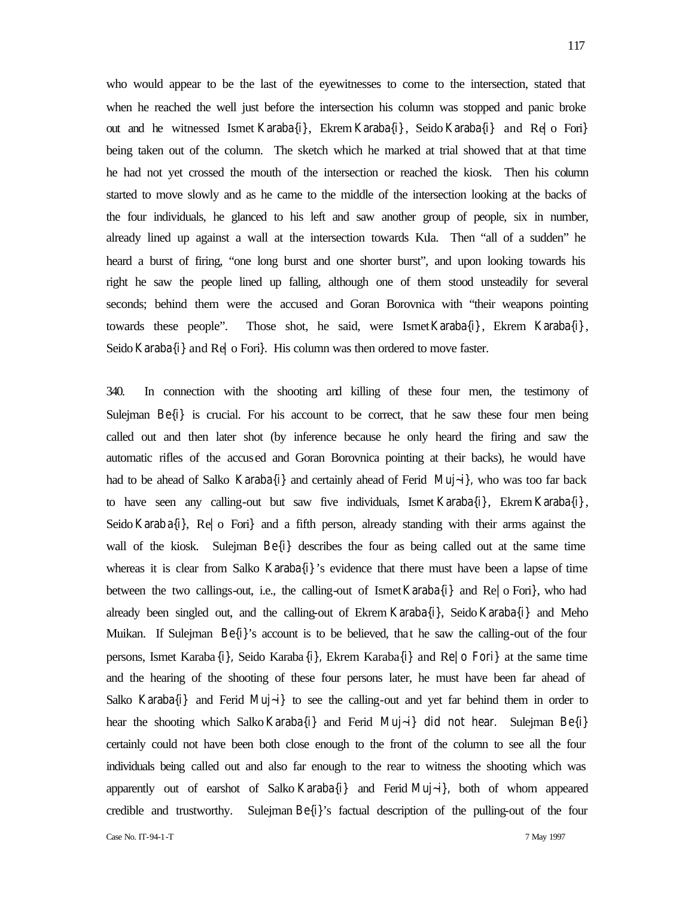who would appear to be the last of the eyewitnesses to come to the intersection, stated that when he reached the well just before the intersection his column was stopped and panic broke out and he witnessed Ismet Karaba{i}, Ekrem Karaba{i} , Seido Karaba{i} and Re|o Fori} being taken out of the column. The sketch which he marked at trial showed that at that time he had not yet crossed the mouth of the intersection or reached the kiosk. Then his column started to move slowly and as he came to the middle of the intersection looking at the backs of the four individuals, he glanced to his left and saw another group of people, six in number, already lined up against a wall at the intersection towards Kula. Then "all of a sudden" he heard a burst of firing, "one long burst and one shorter burst", and upon looking towards his right he saw the people lined up falling, although one of them stood unsteadily for several seconds; behind them were the accused and Goran Borovnica with "their weapons pointing towards these people". Those shot, he said, were Ismet Karaba{i}, Ekrem Karaba{i}, Seido Karaba{i} and Re o Fori}. His column was then ordered to move faster.

340. In connection with the shooting and killing of these four men, the testimony of Sulejman Be{i} is crucial. For his account to be correct, that he saw these four men being called out and then later shot (by inference because he only heard the firing and saw the automatic rifles of the accused and Goran Borovnica pointing at their backs), he would have had to be ahead of Salko Karaba{i} and certainly ahead of Ferid Muj~i}, who was too far back to have seen any calling-out but saw five individuals, Ismet Karaba $\{i\}$ , Ekrem Karaba $\{i\}$ , Seido Karaba{i}, Re o Fori} and a fifth person, already standing with their arms against the wall of the kiosk. Sulejman Be{i} describes the four as being called out at the same time whereas it is clear from Salko Karaba{i} 's evidence that there must have been a lapse of time between the two callings-out, i.e., the calling-out of Ismet Karaba{i} and Re $|o$  Fori}, who had already been singled out, and the calling-out of Ekrem Karaba{i}, Seido Karaba{i} and Meho Muikan. If Sulejman Be{i}'s account is to be believed, that he saw the calling-out of the four persons, Ismet Karaba{i}, Seido Karaba{i}, Ekrem Karaba{i} and Re|o Fori} at the same time and the hearing of the shooting of these four persons later, he must have been far ahead of Salko Karaba $\{i\}$  and Ferid Muj~i to see the calling-out and yet far behind them in order to hear the shooting which Salko Karaba{i} and Ferid Muj~i} did not hear. Sulejman Be{i} certainly could not have been both close enough to the front of the column to see all the four individuals being called out and also far enough to the rear to witness the shooting which was apparently out of earshot of Salko Karaba $\{i\}$  and Ferid Muj~i $\}$ , both of whom appeared credible and trustworthy. Sulejman Be{i}'s factual description of the pulling-out of the four

Case No. IT-94-1-T 7 May 1997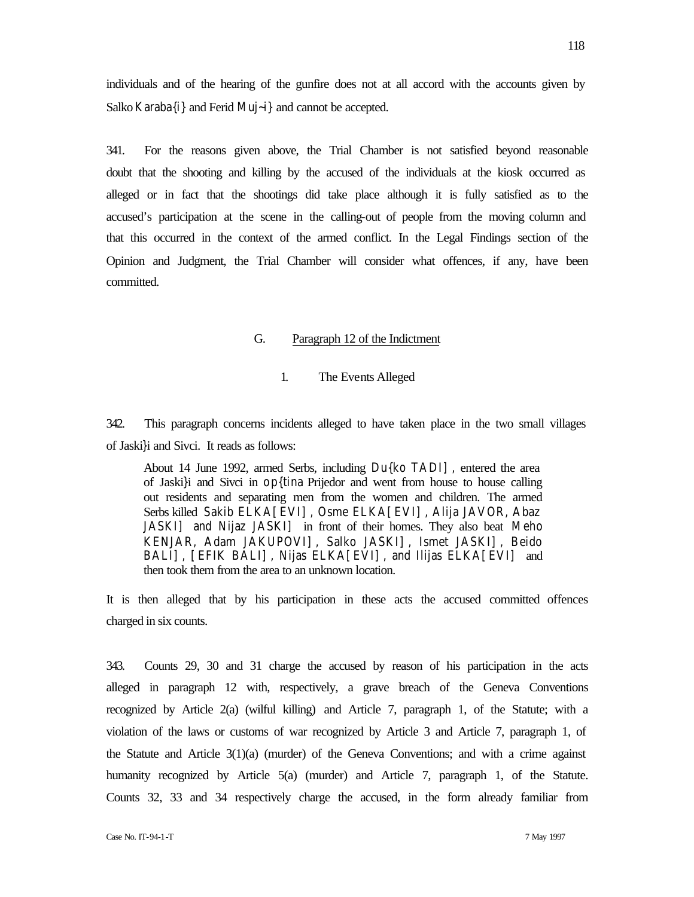individuals and of the hearing of the gunfire does not at all accord with the accounts given by Salko Karaba{i} and Ferid Muj~i} and cannot be accepted.

341. For the reasons given above, the Trial Chamber is not satisfied beyond reasonable doubt that the shooting and killing by the accused of the individuals at the kiosk occurred as alleged or in fact that the shootings did take place although it is fully satisfied as to the accused's participation at the scene in the calling-out of people from the moving column and that this occurred in the context of the armed conflict. In the Legal Findings section of the Opinion and Judgment, the Trial Chamber will consider what offences, if any, have been committed.

### G. Paragraph 12 of the Indictment

### 1. The Events Alleged

342. This paragraph concerns incidents alleged to have taken place in the two small villages of Jaski}i and Sivci. It reads as follows:

About 14 June 1992, armed Serbs, including Du{ko TADI], entered the area of Jaski}i and Sivci in op{tina Prijedor and went from house to house calling out residents and separating men from the women and children. The armed Serbs killed Sakib ELKA[EVI], Osme ELKA[EVI], Alija JAVOR, Abaz JASKI] and Nijaz JASKI] in front of their homes. They also beat Meho KENJAR, Adam JAKUPOVI], Salko JASKI], Ismet JASKI], Beido BALI], [EFIK BALI], Nijas ELKA[EVI], and Ilijas ELKA[EVI] and then took them from the area to an unknown location.

It is then alleged that by his participation in these acts the accused committed offences charged in six counts.

343. Counts 29, 30 and 31 charge the accused by reason of his participation in the acts alleged in paragraph 12 with, respectively, a grave breach of the Geneva Conventions recognized by Article 2(a) (wilful killing) and Article 7, paragraph 1, of the Statute; with a violation of the laws or customs of war recognized by Article 3 and Article 7, paragraph 1, of the Statute and Article 3(1)(a) (murder) of the Geneva Conventions; and with a crime against humanity recognized by Article 5(a) (murder) and Article 7, paragraph 1, of the Statute. Counts 32, 33 and 34 respectively charge the accused, in the form already familiar from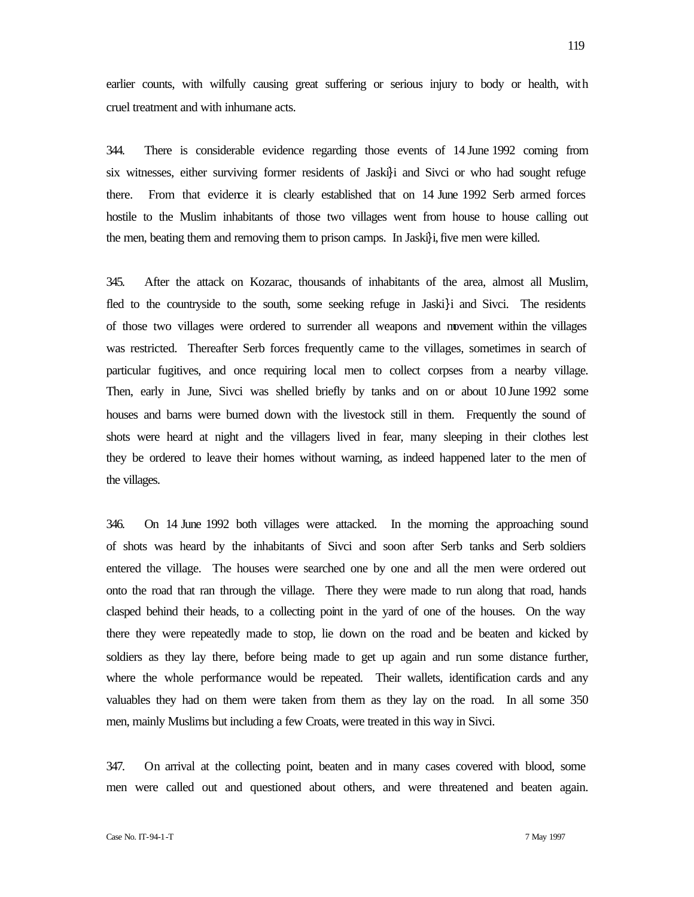earlier counts, with wilfully causing great suffering or serious injury to body or health, with cruel treatment and with inhumane acts.

344. There is considerable evidence regarding those events of 14 June 1992 coming from six witnesses, either surviving former residents of Jaski}i and Sivci or who had sought refuge there. From that evidence it is clearly established that on 14 June 1992 Serb armed forces hostile to the Muslim inhabitants of those two villages went from house to house calling out the men, beating them and removing them to prison camps. In Jaski}i,five men were killed.

345. After the attack on Kozarac, thousands of inhabitants of the area, almost all Muslim, fled to the countryside to the south, some seeking refuge in Jaski}i and Sivci. The residents of those two villages were ordered to surrender all weapons and movement within the villages was restricted. Thereafter Serb forces frequently came to the villages, sometimes in search of particular fugitives, and once requiring local men to collect corpses from a nearby village. Then, early in June, Sivci was shelled briefly by tanks and on or about 10 June 1992 some houses and barns were burned down with the livestock still in them. Frequently the sound of shots were heard at night and the villagers lived in fear, many sleeping in their clothes lest they be ordered to leave their homes without warning, as indeed happened later to the men of the villages.

346. On 14 June 1992 both villages were attacked. In the morning the approaching sound of shots was heard by the inhabitants of Sivci and soon after Serb tanks and Serb soldiers entered the village. The houses were searched one by one and all the men were ordered out onto the road that ran through the village. There they were made to run along that road, hands clasped behind their heads, to a collecting point in the yard of one of the houses. On the way there they were repeatedly made to stop, lie down on the road and be beaten and kicked by soldiers as they lay there, before being made to get up again and run some distance further, where the whole performance would be repeated. Their wallets, identification cards and any valuables they had on them were taken from them as they lay on the road. In all some 350 men, mainly Muslims but including a few Croats, were treated in this way in Sivci.

347. On arrival at the collecting point, beaten and in many cases covered with blood, some men were called out and questioned about others, and were threatened and beaten again.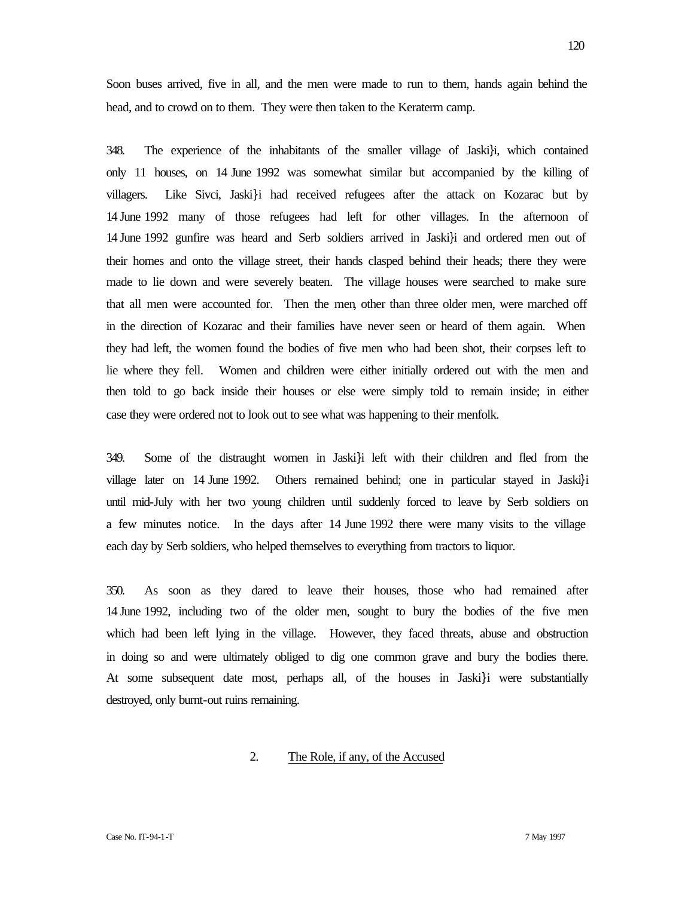Soon buses arrived, five in all, and the men were made to run to them, hands again behind the head, and to crowd on to them. They were then taken to the Keraterm camp.

348. The experience of the inhabitants of the smaller village of Jaski}i, which contained only 11 houses, on 14 June 1992 was somewhat similar but accompanied by the killing of villagers. Like Sivci, Jaski}i had received refugees after the attack on Kozarac but by 14 June 1992 many of those refugees had left for other villages. In the afternoon of 14 June 1992 gunfire was heard and Serb soldiers arrived in Jaski}i and ordered men out of their homes and onto the village street, their hands clasped behind their heads; there they were made to lie down and were severely beaten. The village houses were searched to make sure that all men were accounted for. Then the men, other than three older men, were marched off in the direction of Kozarac and their families have never seen or heard of them again. When they had left, the women found the bodies of five men who had been shot, their corpses left to lie where they fell. Women and children were either initially ordered out with the men and then told to go back inside their houses or else were simply told to remain inside; in either case they were ordered not to look out to see what was happening to their menfolk.

349. Some of the distraught women in Jaski}i left with their children and fled from the village later on 14 June 1992. Others remained behind; one in particular stayed in Jaski}i until mid-July with her two young children until suddenly forced to leave by Serb soldiers on a few minutes notice. In the days after 14 June 1992 there were many visits to the village each day by Serb soldiers, who helped themselves to everything from tractors to liquor.

350. As soon as they dared to leave their houses, those who had remained after 14 June 1992, including two of the older men, sought to bury the bodies of the five men which had been left lying in the village. However, they faced threats, abuse and obstruction in doing so and were ultimately obliged to dig one common grave and bury the bodies there. At some subsequent date most, perhaps all, of the houses in Jaski}i were substantially destroyed, only burnt-out ruins remaining.

### 2. The Role, if any, of the Accused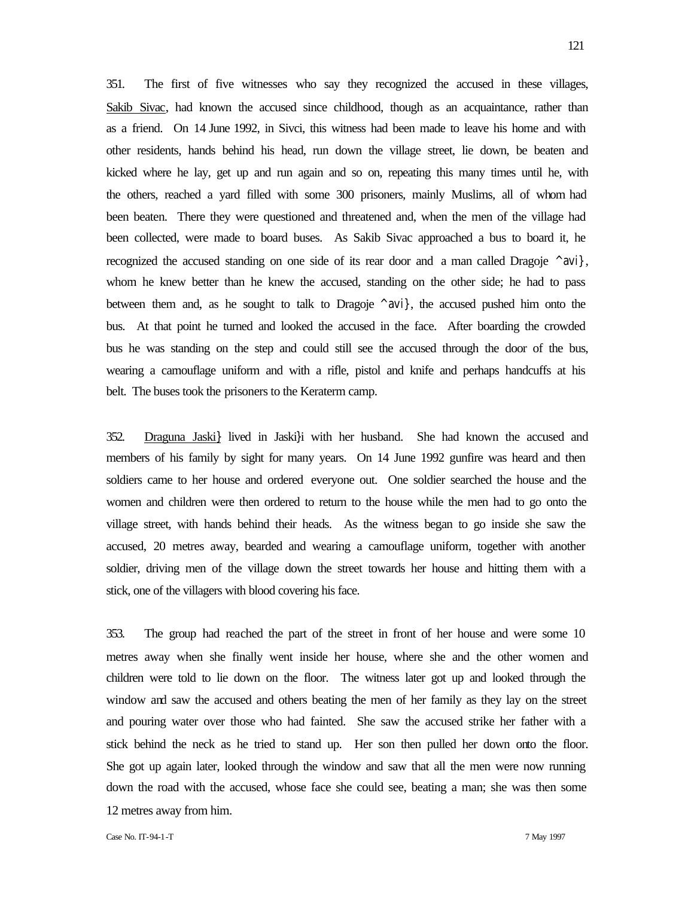351. The first of five witnesses who say they recognized the accused in these villages, Sakib Sivac, had known the accused since childhood, though as an acquaintance, rather than as a friend. On 14 June 1992, in Sivci, this witness had been made to leave his home and with other residents, hands behind his head, run down the village street, lie down, be beaten and kicked where he lay, get up and run again and so on, repeating this many times until he, with the others, reached a yard filled with some 300 prisoners, mainly Muslims, all of whom had been beaten. There they were questioned and threatened and, when the men of the village had been collected, were made to board buses. As Sakib Sivac approached a bus to board it, he recognized the accused standing on one side of its rear door and a man called Dragoje  $\land$ avi}, whom he knew better than he knew the accused, standing on the other side; he had to pass between them and, as he sought to talk to Dragoje  $\wedge$  avi}, the accused pushed him onto the bus. At that point he turned and looked the accused in the face. After boarding the crowded bus he was standing on the step and could still see the accused through the door of the bus, wearing a camouflage uniform and with a rifle, pistol and knife and perhaps handcuffs at his belt. The buses took the prisoners to the Keraterm camp.

352. Draguna Jaski} lived in Jaski}i with her husband. She had known the accused and members of his family by sight for many years. On 14 June 1992 gunfire was heard and then soldiers came to her house and ordered everyone out. One soldier searched the house and the women and children were then ordered to return to the house while the men had to go onto the village street, with hands behind their heads. As the witness began to go inside she saw the accused, 20 metres away, bearded and wearing a camouflage uniform, together with another soldier, driving men of the village down the street towards her house and hitting them with a stick, one of the villagers with blood covering his face.

353. The group had reached the part of the street in front of her house and were some 10 metres away when she finally went inside her house, where she and the other women and children were told to lie down on the floor. The witness later got up and looked through the window and saw the accused and others beating the men of her family as they lay on the street and pouring water over those who had fainted. She saw the accused strike her father with a stick behind the neck as he tried to stand up. Her son then pulled her down onto the floor. She got up again later, looked through the window and saw that all the men were now running down the road with the accused, whose face she could see, beating a man; she was then some 12 metres away from him.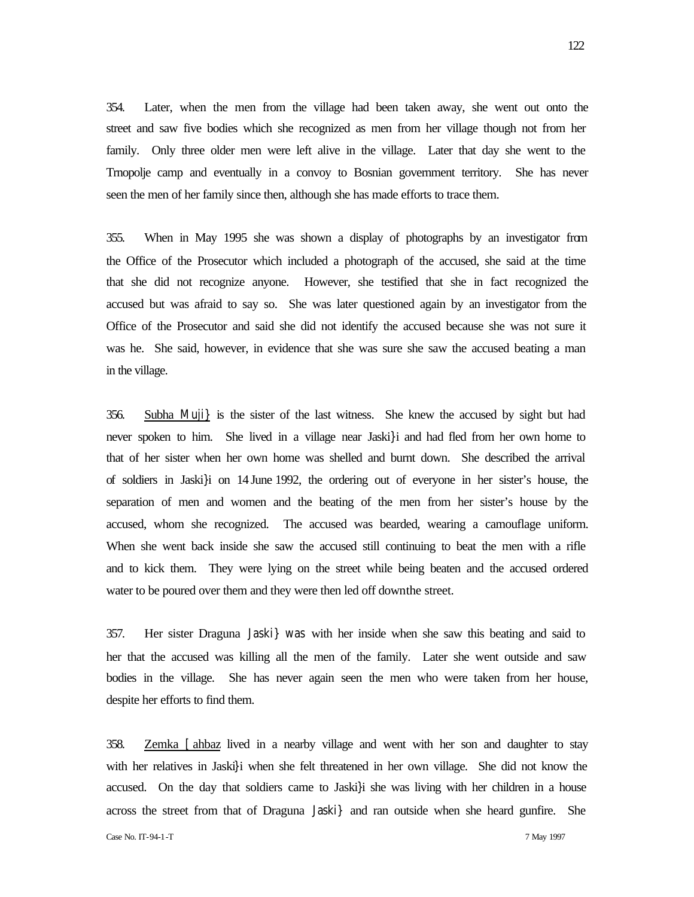354. Later, when the men from the village had been taken away, she went out onto the street and saw five bodies which she recognized as men from her village though not from her family. Only three older men were left alive in the village. Later that day she went to the Trnopolje camp and eventually in a convoy to Bosnian government territory. She has never seen the men of her family since then, although she has made efforts to trace them.

355. When in May 1995 she was shown a display of photographs by an investigator from the Office of the Prosecutor which included a photograph of the accused, she said at the time that she did not recognize anyone. However, she testified that she in fact recognized the accused but was afraid to say so. She was later questioned again by an investigator from the Office of the Prosecutor and said she did not identify the accused because she was not sure it was he. She said, however, in evidence that she was sure she saw the accused beating a man in the village.

356. Subha Muji} is the sister of the last witness. She knew the accused by sight but had never spoken to him. She lived in a village near Jaski}i and had fled from her own home to that of her sister when her own home was shelled and burnt down. She described the arrival of soldiers in Jaski}i on 14 June 1992, the ordering out of everyone in her sister's house, the separation of men and women and the beating of the men from her sister's house by the accused, whom she recognized. The accused was bearded, wearing a camouflage uniform. When she went back inside she saw the accused still continuing to beat the men with a rifle and to kick them. They were lying on the street while being beaten and the accused ordered water to be poured over them and they were then led off down the street.

357. Her sister Draguna Jaski} was with her inside when she saw this beating and said to her that the accused was killing all the men of the family. Later she went outside and saw bodies in the village. She has never again seen the men who were taken from her house, despite her efforts to find them.

358. Zemka [ahbaz lived in a nearby village and went with her son and daughter to stay with her relatives in Jaski}i when she felt threatened in her own village. She did not know the accused. On the day that soldiers came to Jaski}i she was living with her children in a house across the street from that of Draguna Jaski} and ran outside when she heard gunfire. She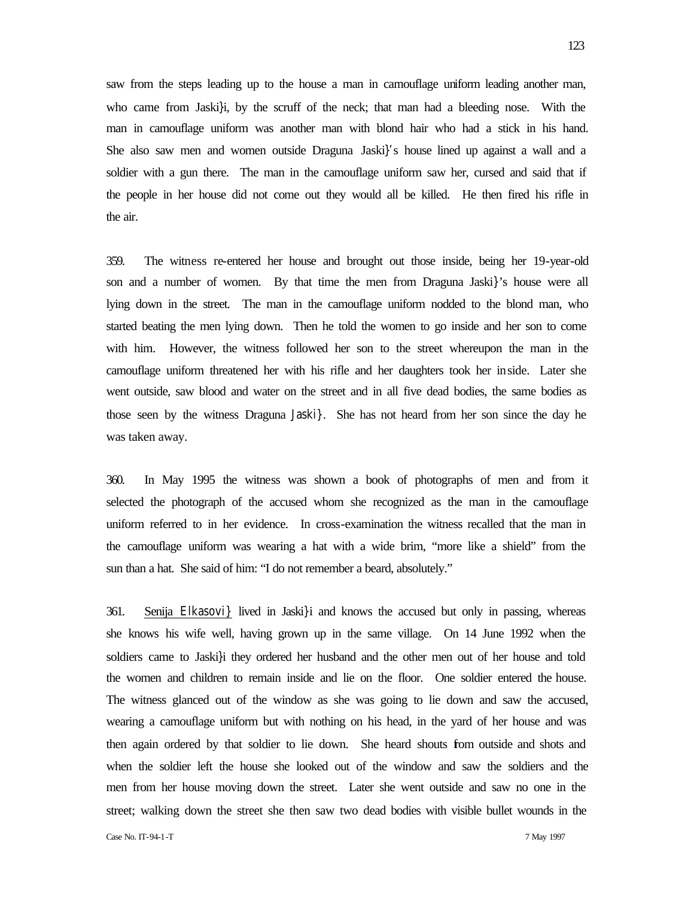saw from the steps leading up to the house a man in camouflage uniform leading another man, who came from Jaski}i, by the scruff of the neck; that man had a bleeding nose. With the man in camouflage uniform was another man with blond hair who had a stick in his hand. She also saw men and women outside Draguna Jaski}'s house lined up against a wall and a soldier with a gun there. The man in the camouflage uniform saw her, cursed and said that if the people in her house did not come out they would all be killed. He then fired his rifle in the air.

359. The witness re-entered her house and brought out those inside, being her 19-year-old son and a number of women. By that time the men from Draguna Jaski}'s house were all lying down in the street. The man in the camouflage uniform nodded to the blond man, who started beating the men lying down. Then he told the women to go inside and her son to come with him. However, the witness followed her son to the street whereupon the man in the camouflage uniform threatened her with his rifle and her daughters took her inside. Later she went outside, saw blood and water on the street and in all five dead bodies, the same bodies as those seen by the witness Draguna Jaski}. She has not heard from her son since the day he was taken away.

360. In May 1995 the witness was shown a book of photographs of men and from it selected the photograph of the accused whom she recognized as the man in the camouflage uniform referred to in her evidence. In cross-examination the witness recalled that the man in the camouflage uniform was wearing a hat with a wide brim, "more like a shield" from the sun than a hat. She said of him: "I do not remember a beard, absolutely."

361. Senija Elkasovi} lived in Jaski}i and knows the accused but only in passing, whereas she knows his wife well, having grown up in the same village. On 14 June 1992 when the soldiers came to Jaski}i they ordered her husband and the other men out of her house and told the women and children to remain inside and lie on the floor. One soldier entered the house. The witness glanced out of the window as she was going to lie down and saw the accused, wearing a camouflage uniform but with nothing on his head, in the yard of her house and was then again ordered by that soldier to lie down. She heard shouts from outside and shots and when the soldier left the house she looked out of the window and saw the soldiers and the men from her house moving down the street. Later she went outside and saw no one in the street; walking down the street she then saw two dead bodies with visible bullet wounds in the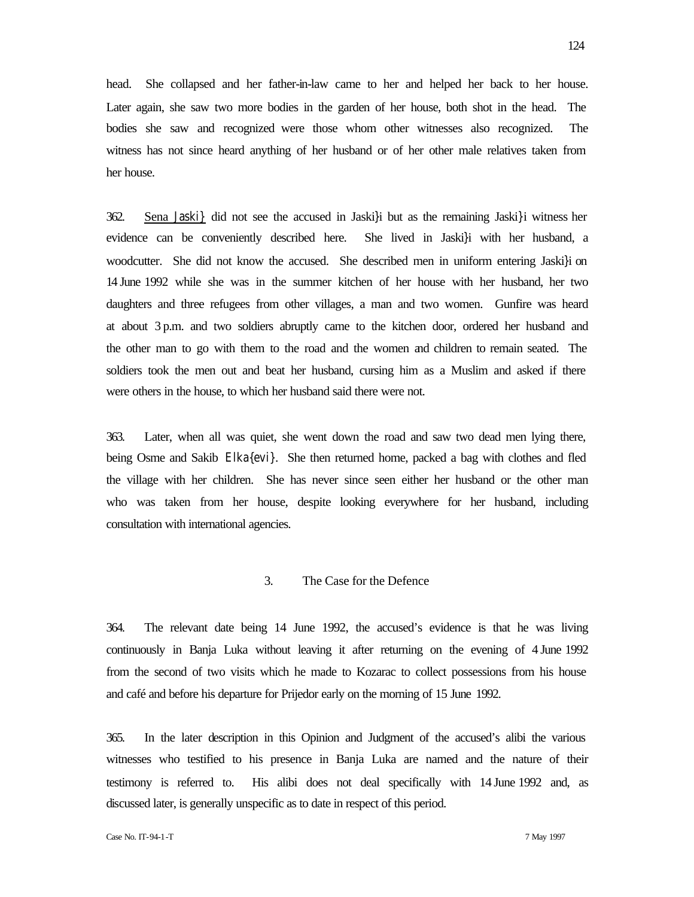head. She collapsed and her father-in-law came to her and helped her back to her house. Later again, she saw two more bodies in the garden of her house, both shot in the head. The bodies she saw and recognized were those whom other witnesses also recognized. The witness has not since heard anything of her husband or of her other male relatives taken from her house.

362. Sena Jaski} did not see the accused in Jaski}i but as the remaining Jaski}i witness her evidence can be conveniently described here. She lived in Jaski}i with her husband, a woodcutter. She did not know the accused. She described men in uniform entering Jaski}i on 14 June 1992 while she was in the summer kitchen of her house with her husband, her two daughters and three refugees from other villages, a man and two women. Gunfire was heard at about 3 p.m. and two soldiers abruptly came to the kitchen door, ordered her husband and the other man to go with them to the road and the women and children to remain seated. The soldiers took the men out and beat her husband, cursing him as a Muslim and asked if there were others in the house, to which her husband said there were not.

363. Later, when all was quiet, she went down the road and saw two dead men lying there, being Osme and Sakib Elka{evi}. She then returned home, packed a bag with clothes and fled the village with her children. She has never since seen either her husband or the other man who was taken from her house, despite looking everywhere for her husband, including consultation with international agencies.

#### 3. The Case for the Defence

364. The relevant date being 14 June 1992, the accused's evidence is that he was living continuously in Banja Luka without leaving it after returning on the evening of 4 June 1992 from the second of two visits which he made to Kozarac to collect possessions from his house and café and before his departure for Prijedor early on the morning of 15 June 1992.

365. In the later description in this Opinion and Judgment of the accused's alibi the various witnesses who testified to his presence in Banja Luka are named and the nature of their testimony is referred to. His alibi does not deal specifically with 14 June 1992 and, as discussed later, is generally unspecific as to date in respect of this period.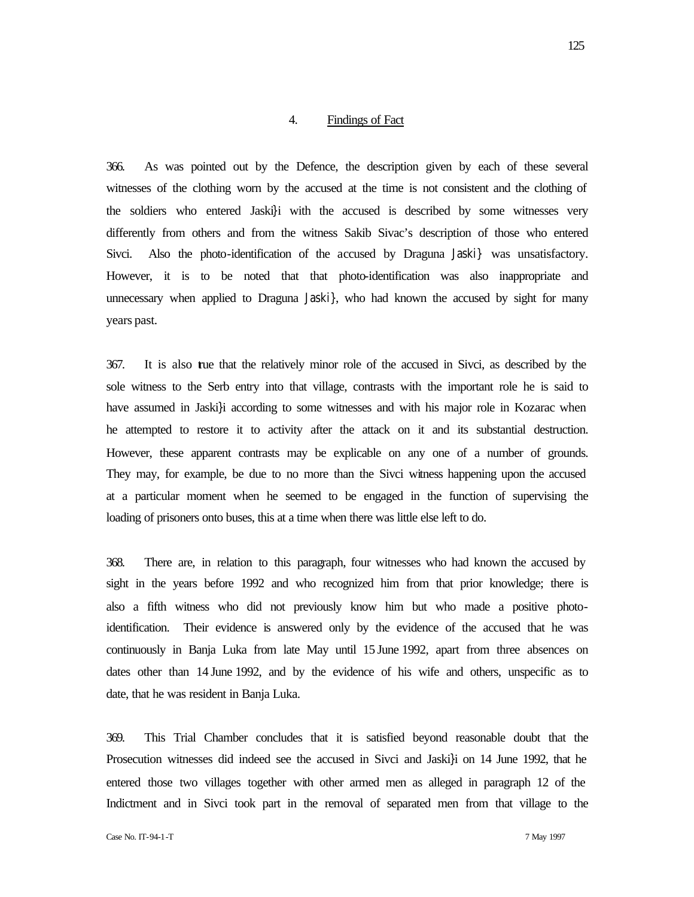#### 4. Findings of Fact

366. As was pointed out by the Defence, the description given by each of these several witnesses of the clothing worn by the accused at the time is not consistent and the clothing of the soldiers who entered Jaski}i with the accused is described by some witnesses very differently from others and from the witness Sakib Sivac's description of those who entered Sivci. Also the photo-identification of the accused by Draguna Jaski} was unsatisfactory. However, it is to be noted that that photo-identification was also inappropriate and unnecessary when applied to Draguna Jaski}, who had known the accused by sight for many years past.

367. It is also true that the relatively minor role of the accused in Sivci, as described by the sole witness to the Serb entry into that village, contrasts with the important role he is said to have assumed in Jaski $\chi$  according to some witnesses and with his major role in Kozarac when he attempted to restore it to activity after the attack on it and its substantial destruction. However, these apparent contrasts may be explicable on any one of a number of grounds. They may, for example, be due to no more than the Sivci witness happening upon the accused at a particular moment when he seemed to be engaged in the function of supervising the loading of prisoners onto buses, this at a time when there was little else left to do.

368. There are, in relation to this paragraph, four witnesses who had known the accused by sight in the years before 1992 and who recognized him from that prior knowledge; there is also a fifth witness who did not previously know him but who made a positive photoidentification. Their evidence is answered only by the evidence of the accused that he was continuously in Banja Luka from late May until 15 June 1992, apart from three absences on dates other than 14 June 1992, and by the evidence of his wife and others, unspecific as to date, that he was resident in Banja Luka.

369. This Trial Chamber concludes that it is satisfied beyond reasonable doubt that the Prosecution witnesses did indeed see the accused in Sivci and Jaski}i on 14 June 1992, that he entered those two villages together with other armed men as alleged in paragraph 12 of the Indictment and in Sivci took part in the removal of separated men from that village to the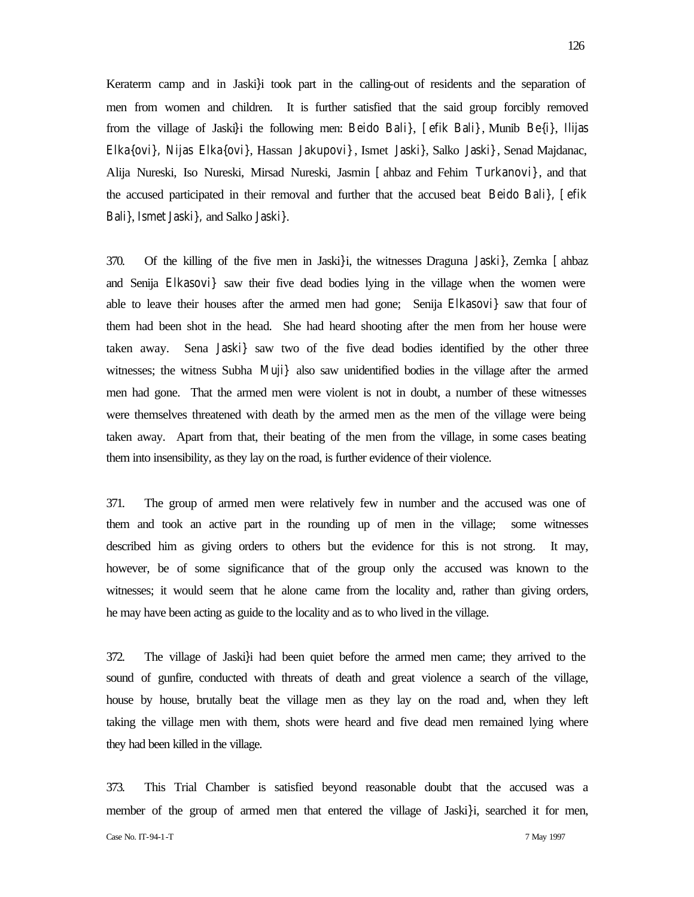Keraterm camp and in Jaski}i took part in the calling-out of residents and the separation of men from women and children. It is further satisfied that the said group forcibly removed from the village of Jaski}i the following men: Beido Bali}, [efik Bali} , Munib Be{i}, Ilijas Elka{ovi}, Nijas Elka{ovi}, Hassan Jakupovi} , Ismet Jaski}, Salko Jaski} , Senad Majdanac, Alija Nureski, Iso Nureski, Mirsad Nureski, Jasmin [ahbaz and Fehim Turkanovi}, and that the accused participated in their removal and further that the accused beat Beido Bali}, [efik Bali}, Ismet Jaski}, and Salko Jaski}.

370. Of the killing of the five men in Jaski}i, the witnesses Draguna Jaski}, Zemka [ahbaz and Senija Elkasovi} saw their five dead bodies lying in the village when the women were able to leave their houses after the armed men had gone; Senija Elkasovi} saw that four of them had been shot in the head. She had heard shooting after the men from her house were taken away. Sena Jaski} saw two of the five dead bodies identified by the other three witnesses; the witness Subha Muji} also saw unidentified bodies in the village after the armed men had gone. That the armed men were violent is not in doubt, a number of these witnesses were themselves threatened with death by the armed men as the men of the village were being taken away. Apart from that, their beating of the men from the village, in some cases beating them into insensibility, as they lay on the road, is further evidence of their violence.

371. The group of armed men were relatively few in number and the accused was one of them and took an active part in the rounding up of men in the village; some witnesses described him as giving orders to others but the evidence for this is not strong. It may, however, be of some significance that of the group only the accused was known to the witnesses; it would seem that he alone came from the locality and, rather than giving orders, he may have been acting as guide to the locality and as to who lived in the village.

372. The village of Jaski}i had been quiet before the armed men came; they arrived to the sound of gunfire, conducted with threats of death and great violence a search of the village, house by house, brutally beat the village men as they lay on the road and, when they left taking the village men with them, shots were heard and five dead men remained lying where they had been killed in the village.

373. This Trial Chamber is satisfied beyond reasonable doubt that the accused was a member of the group of armed men that entered the village of Jaski}i, searched it for men,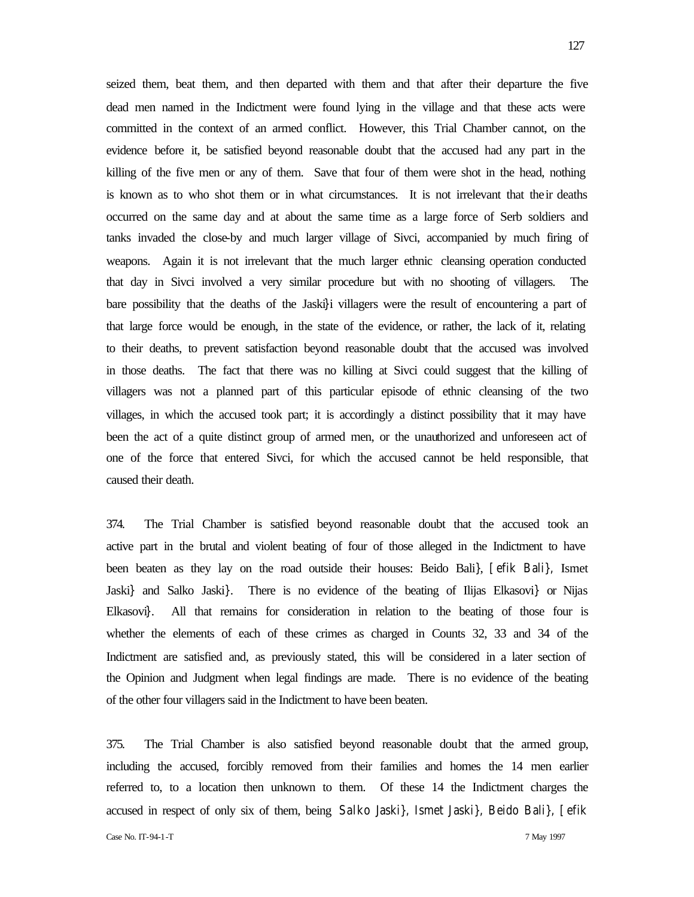seized them, beat them, and then departed with them and that after their departure the five dead men named in the Indictment were found lying in the village and that these acts were committed in the context of an armed conflict. However, this Trial Chamber cannot, on the evidence before it, be satisfied beyond reasonable doubt that the accused had any part in the killing of the five men or any of them. Save that four of them were shot in the head, nothing is known as to who shot them or in what circumstances. It is not irrelevant that their deaths occurred on the same day and at about the same time as a large force of Serb soldiers and tanks invaded the close-by and much larger village of Sivci, accompanied by much firing of weapons. Again it is not irrelevant that the much larger ethnic cleansing operation conducted that day in Sivci involved a very similar procedure but with no shooting of villagers. The bare possibility that the deaths of the Jaski}i villagers were the result of encountering a part of that large force would be enough, in the state of the evidence, or rather, the lack of it, relating to their deaths, to prevent satisfaction beyond reasonable doubt that the accused was involved in those deaths. The fact that there was no killing at Sivci could suggest that the killing of villagers was not a planned part of this particular episode of ethnic cleansing of the two villages, in which the accused took part; it is accordingly a distinct possibility that it may have been the act of a quite distinct group of armed men, or the unauthorized and unforeseen act of one of the force that entered Sivci, for which the accused cannot be held responsible, that caused their death.

374. The Trial Chamber is satisfied beyond reasonable doubt that the accused took an active part in the brutal and violent beating of four of those alleged in the Indictment to have been beaten as they lay on the road outside their houses: Beido Bali}, [efik Bali}, Ismet Jaski} and Salko Jaski}. There is no evidence of the beating of Ilijas Elkasovi} or Nijas Elkasovi}. All that remains for consideration in relation to the beating of those four is whether the elements of each of these crimes as charged in Counts 32, 33 and 34 of the Indictment are satisfied and, as previously stated, this will be considered in a later section of the Opinion and Judgment when legal findings are made. There is no evidence of the beating of the other four villagers said in the Indictment to have been beaten.

375. The Trial Chamber is also satisfied beyond reasonable doubt that the armed group, including the accused, forcibly removed from their families and homes the 14 men earlier referred to, to a location then unknown to them. Of these 14 the Indictment charges the accused in respect of only six of them, being Salko Jaski}, Ismet Jaski}, Beido Bali}, [efik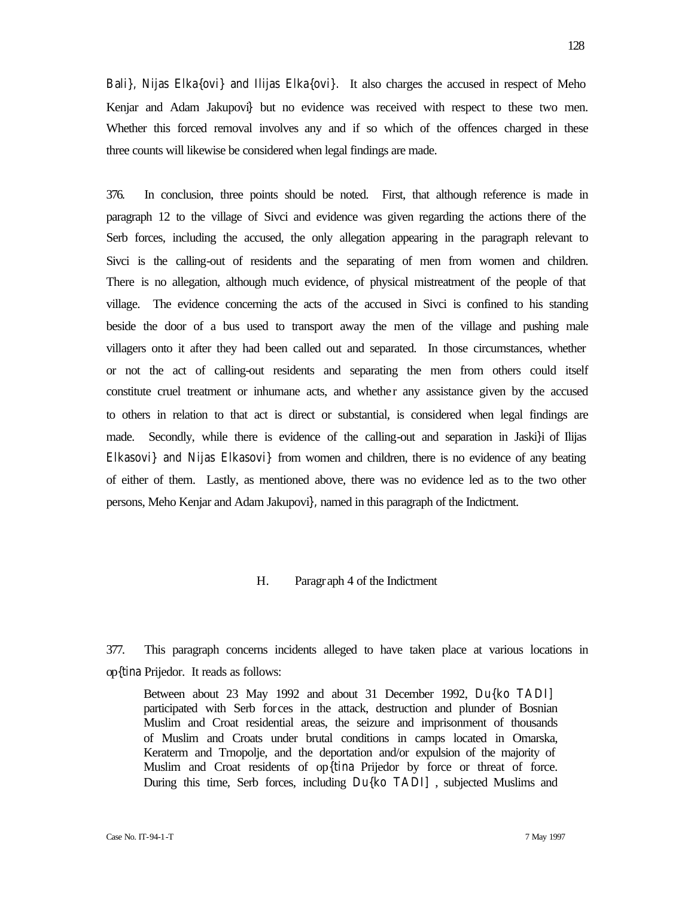Bali}, Nijas Elka{ovi} and Ilijas Elka{ovi}. It also charges the accused in respect of Meho Kenjar and Adam Jakupovi} but no evidence was received with respect to these two men. Whether this forced removal involves any and if so which of the offences charged in these three counts will likewise be considered when legal findings are made.

376. In conclusion, three points should be noted. First, that although reference is made in paragraph 12 to the village of Sivci and evidence was given regarding the actions there of the Serb forces, including the accused, the only allegation appearing in the paragraph relevant to Sivci is the calling-out of residents and the separating of men from women and children. There is no allegation, although much evidence, of physical mistreatment of the people of that village. The evidence concerning the acts of the accused in Sivci is confined to his standing beside the door of a bus used to transport away the men of the village and pushing male villagers onto it after they had been called out and separated. In those circumstances, whether or not the act of calling-out residents and separating the men from others could itself constitute cruel treatment or inhumane acts, and whether any assistance given by the accused to others in relation to that act is direct or substantial, is considered when legal findings are made. Secondly, while there is evidence of the calling-out and separation in Jaski}i of Ilijas Elkasovi} and Nijas Elkasovi} from women and children, there is no evidence of any beating of either of them. Lastly, as mentioned above, there was no evidence led as to the two other persons, Meho Kenjar and Adam Jakupovi}, named in this paragraph of the Indictment.

#### H. Paragraph 4 of the Indictment

377. This paragraph concerns incidents alleged to have taken place at various locations in op{tina Prijedor. It reads as follows:

Between about 23 May 1992 and about 31 December 1992, Du{ko TADI] participated with Serb forces in the attack, destruction and plunder of Bosnian Muslim and Croat residential areas, the seizure and imprisonment of thousands of Muslim and Croats under brutal conditions in camps located in Omarska, Keraterm and Trnopolje, and the deportation and/or expulsion of the majority of Muslim and Croat residents of op{tina Prijedor by force or threat of force. During this time, Serb forces, including Du{ko TADI], subjected Muslims and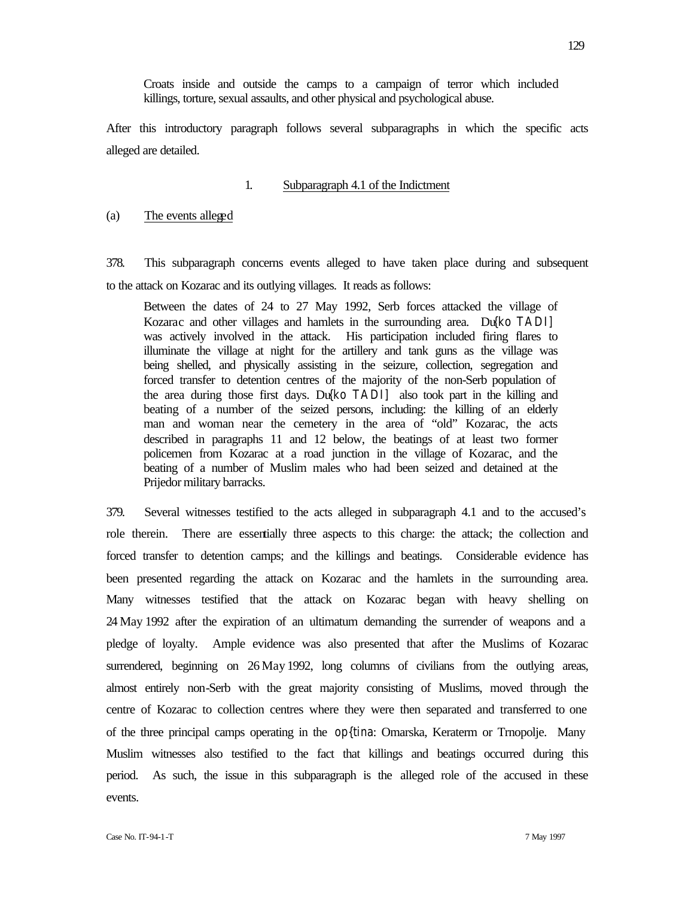Croats inside and outside the camps to a campaign of terror which included killings, torture, sexual assaults, and other physical and psychological abuse.

After this introductory paragraph follows several subparagraphs in which the specific acts alleged are detailed.

### 1. Subparagraph 4.1 of the Indictment

(a) The events alleged

378. This subparagraph concerns events alleged to have taken place during and subsequent to the attack on Kozarac and its outlying villages. It reads as follows:

Between the dates of 24 to 27 May 1992, Serb forces attacked the village of Kozarac and other villages and hamlets in the surrounding area. Du{ko TADI] was actively involved in the attack. His participation included firing flares to illuminate the village at night for the artillery and tank guns as the village was being shelled, and physically assisting in the seizure, collection, segregation and forced transfer to detention centres of the majority of the non-Serb population of the area during those first days. Du{ko TADI] also took part in the killing and beating of a number of the seized persons, including: the killing of an elderly man and woman near the cemetery in the area of "old" Kozarac, the acts described in paragraphs 11 and 12 below, the beatings of at least two former policemen from Kozarac at a road junction in the village of Kozarac, and the beating of a number of Muslim males who had been seized and detained at the Prijedor military barracks.

379. Several witnesses testified to the acts alleged in subparagraph 4.1 and to the accused's role therein. There are essentially three aspects to this charge: the attack; the collection and forced transfer to detention camps; and the killings and beatings. Considerable evidence has been presented regarding the attack on Kozarac and the hamlets in the surrounding area. Many witnesses testified that the attack on Kozarac began with heavy shelling on 24 May 1992 after the expiration of an ultimatum demanding the surrender of weapons and a pledge of loyalty. Ample evidence was also presented that after the Muslims of Kozarac surrendered, beginning on 26 May 1992, long columns of civilians from the outlying areas, almost entirely non-Serb with the great majority consisting of Muslims, moved through the centre of Kozarac to collection centres where they were then separated and transferred to one of the three principal camps operating in the op{tina: Omarska, Keraterm or Trnopolje. Many Muslim witnesses also testified to the fact that killings and beatings occurred during this period. As such, the issue in this subparagraph is the alleged role of the accused in these events.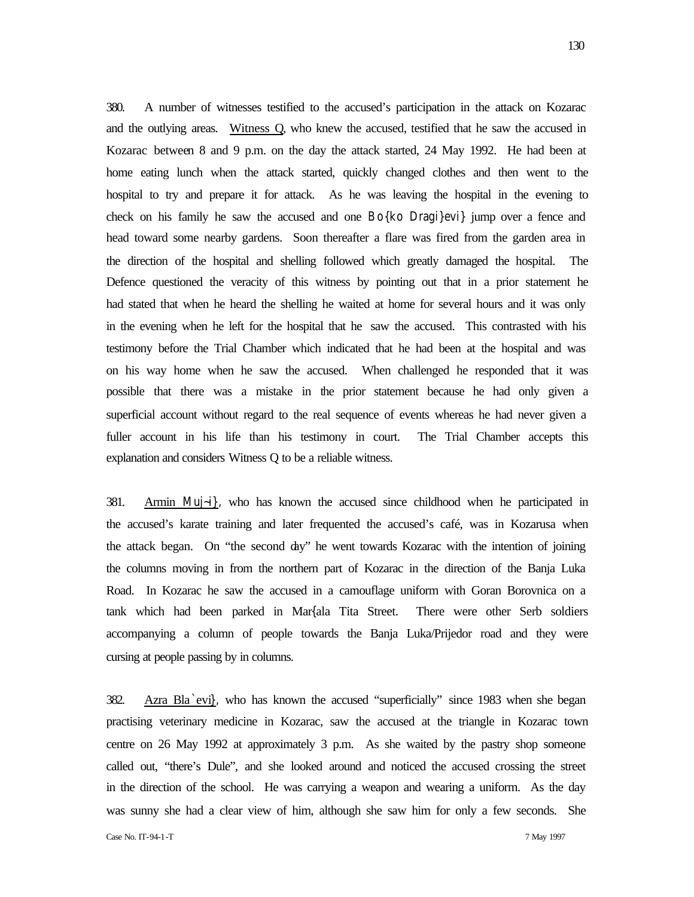380. A number of witnesses testified to the accused's participation in the attack on Kozarac and the outlying areas. Witness Q, who knew the accused, testified that he saw the accused in Kozarac between 8 and 9 p.m. on the day the attack started, 24 May 1992. He had been at home eating lunch when the attack started, quickly changed clothes and then went to the hospital to try and prepare it for attack. As he was leaving the hospital in the evening to check on his family he saw the accused and one Bo{ko Dragi}evi} jump over a fence and head toward some nearby gardens. Soon thereafter a flare was fired from the garden area in the direction of the hospital and shelling followed which greatly damaged the hospital. The Defence questioned the veracity of this witness by pointing out that in a prior statement he had stated that when he heard the shelling he waited at home for several hours and it was only in the evening when he left for the hospital that he saw the accused. This contrasted with his testimony before the Trial Chamber which indicated that he had been at the hospital and was on his way home when he saw the accused. When challenged he responded that it was possible that there was a mistake in the prior statement because he had only given a superficial account without regard to the real sequence of events whereas he had never given a fuller account in his life than his testimony in court. The Trial Chamber accepts this explanation and considers Witness Q to be a reliable witness.

381. Armin Muj~i}, who has known the accused since childhood when he participated in the accused's karate training and later frequented the accused's café, was in Kozarusa when the attack began. On "the second day" he went towards Kozarac with the intention of joining the columns moving in from the northern part of Kozarac in the direction of the Banja Luka Road. In Kozarac he saw the accused in a camouflage uniform with Goran Borovnica on a tank which had been parked in Mar{ala Tita Street. There were other Serb soldiers accompanying a column of people towards the Banja Luka/Prijedor road and they were cursing at people passing by in columns.

382. Azra Bla`evi}, who has known the accused "superficially" since 1983 when she began practising veterinary medicine in Kozarac, saw the accused at the triangle in Kozarac town centre on 26 May 1992 at approximately 3 p.m. As she waited by the pastry shop someone called out, "there's Dule", and she looked around and noticed the accused crossing the street in the direction of the school. He was carrying a weapon and wearing a uniform. As the day was sunny she had a clear view of him, although she saw him for only a few seconds. She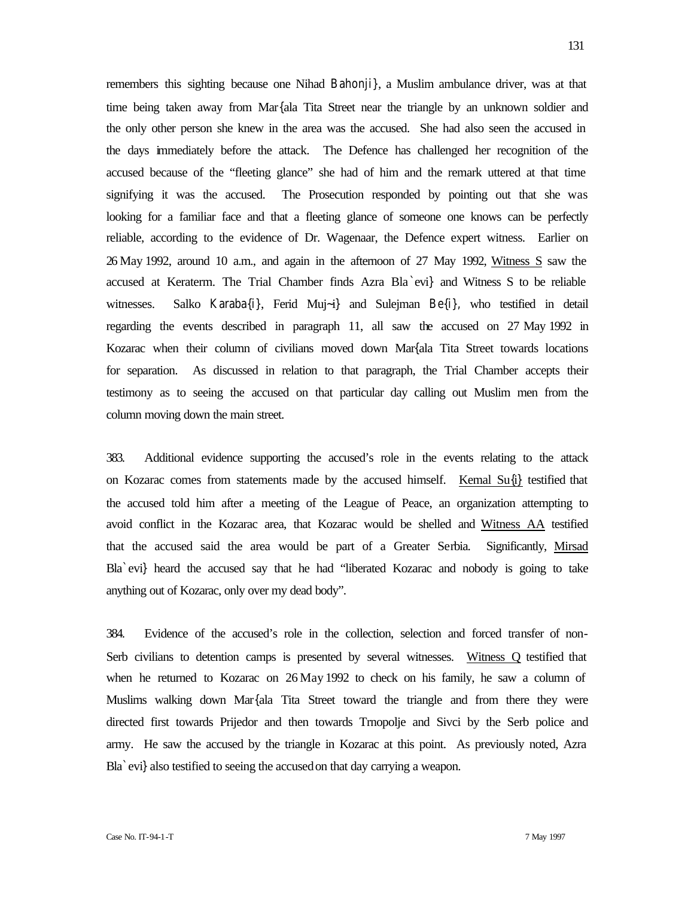remembers this sighting because one Nihad Bahonji}, a Muslim ambulance driver, was at that time being taken away from Mar{ala Tita Street near the triangle by an unknown soldier and the only other person she knew in the area was the accused. She had also seen the accused in the days immediately before the attack. The Defence has challenged her recognition of the accused because of the "fleeting glance" she had of him and the remark uttered at that time signifying it was the accused. The Prosecution responded by pointing out that she was looking for a familiar face and that a fleeting glance of someone one knows can be perfectly reliable, according to the evidence of Dr. Wagenaar, the Defence expert witness. Earlier on 26 May 1992, around 10 a.m., and again in the afternoon of 27 May 1992, Witness S saw the accused at Keraterm. The Trial Chamber finds Azra Bla`evi} and Witness S to be reliable witnesses. Salko Karaba{i}, Ferid Muj~i} and Sulejman Be{i}, who testified in detail regarding the events described in paragraph 11, all saw the accused on 27 May 1992 in

Kozarac when their column of civilians moved down Mar{ala Tita Street towards locations for separation. As discussed in relation to that paragraph, the Trial Chamber accepts their testimony as to seeing the accused on that particular day calling out Muslim men from the column moving down the main street.

383. Additional evidence supporting the accused's role in the events relating to the attack on Kozarac comes from statements made by the accused himself. Kemal Su{i} testified that the accused told him after a meeting of the League of Peace, an organization attempting to avoid conflict in the Kozarac area, that Kozarac would be shelled and Witness AA testified that the accused said the area would be part of a Greater Serbia. Significantly, Mirsad Bla`evi} heard the accused say that he had "liberated Kozarac and nobody is going to take anything out of Kozarac, only over my dead body".

384. Evidence of the accused's role in the collection, selection and forced transfer of non-Serb civilians to detention camps is presented by several witnesses. Witness Q testified that when he returned to Kozarac on 26 May 1992 to check on his family, he saw a column of Muslims walking down Mar{ala Tita Street toward the triangle and from there they were directed first towards Prijedor and then towards Trnopolje and Sivci by the Serb police and army. He saw the accused by the triangle in Kozarac at this point. As previously noted, Azra Bla`evi} also testified to seeing the accused on that day carrying a weapon.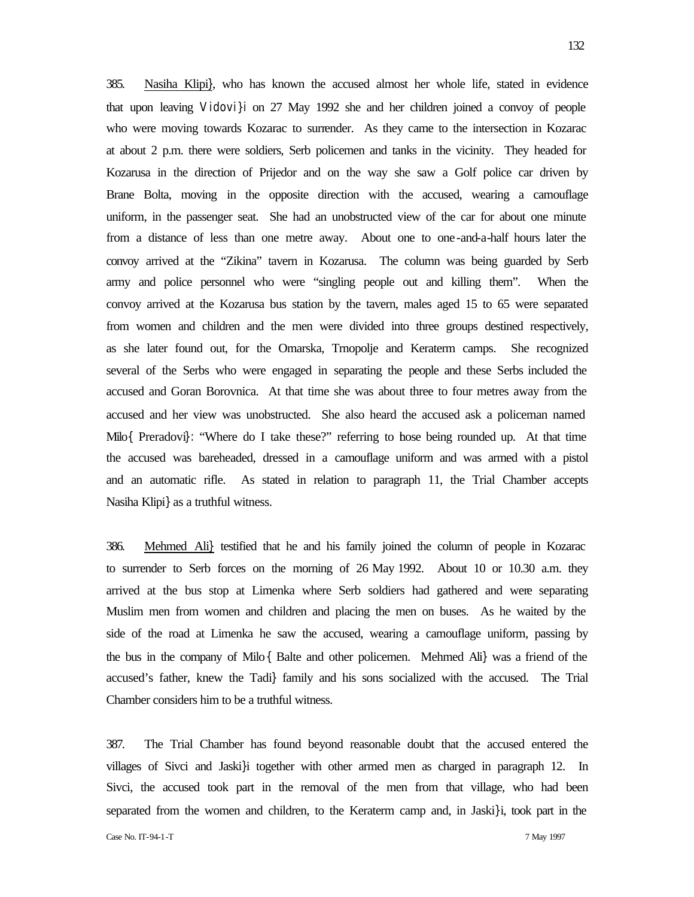385. Nasiha Klipi}, who has known the accused almost her whole life, stated in evidence that upon leaving Vidovi}i on 27 May 1992 she and her children joined a convoy of people who were moving towards Kozarac to surrender. As they came to the intersection in Kozarac at about 2 p.m. there were soldiers, Serb policemen and tanks in the vicinity. They headed for Kozarusa in the direction of Prijedor and on the way she saw a Golf police car driven by Brane Bolta, moving in the opposite direction with the accused, wearing a camouflage uniform, in the passenger seat. She had an unobstructed view of the car for about one minute from a distance of less than one metre away. About one to one-and-a-half hours later the convoy arrived at the "Zikina" tavern in Kozarusa. The column was being guarded by Serb army and police personnel who were "singling people out and killing them". When the convoy arrived at the Kozarusa bus station by the tavern, males aged 15 to 65 were separated from women and children and the men were divided into three groups destined respectively, as she later found out, for the Omarska, Trnopolje and Keraterm camps. She recognized several of the Serbs who were engaged in separating the people and these Serbs included the accused and Goran Borovnica. At that time she was about three to four metres away from the accused and her view was unobstructed. She also heard the accused ask a policeman named Milo{ Preradovi}: "Where do I take these?" referring to hose being rounded up. At that time the accused was bareheaded, dressed in a camouflage uniform and was armed with a pistol and an automatic rifle. As stated in relation to paragraph 11, the Trial Chamber accepts Nasiha Klipi} as a truthful witness.

386. Mehmed Ali} testified that he and his family joined the column of people in Kozarac to surrender to Serb forces on the morning of 26 May 1992. About 10 or 10.30 a.m. they arrived at the bus stop at Limenka where Serb soldiers had gathered and were separating Muslim men from women and children and placing the men on buses. As he waited by the side of the road at Limenka he saw the accused, wearing a camouflage uniform, passing by the bus in the company of Milo{ Balte and other policemen. Mehmed Ali} was a friend of the accused's father, knew the Tadi} family and his sons socialized with the accused. The Trial Chamber considers him to be a truthful witness.

387. The Trial Chamber has found beyond reasonable doubt that the accused entered the villages of Sivci and Jaski}i together with other armed men as charged in paragraph 12. In Sivci, the accused took part in the removal of the men from that village, who had been separated from the women and children, to the Keraterm camp and, in Jaski}i, took part in the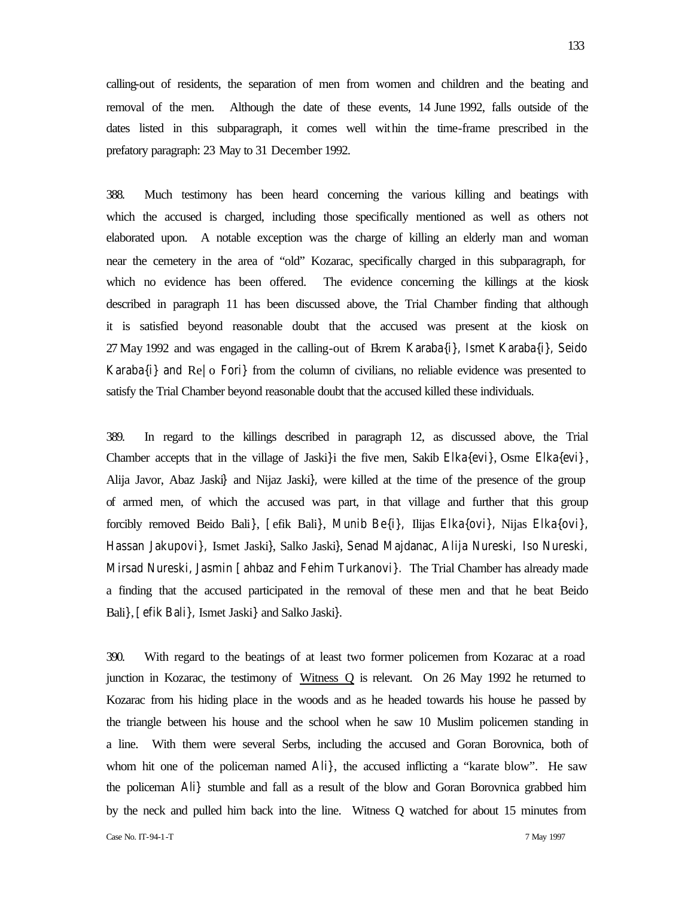calling-out of residents, the separation of men from women and children and the beating and removal of the men. Although the date of these events, 14 June 1992, falls outside of the dates listed in this subparagraph, it comes well within the time-frame prescribed in the prefatory paragraph: 23 May to 31 December 1992.

388. Much testimony has been heard concerning the various killing and beatings with which the accused is charged, including those specifically mentioned as well as others not elaborated upon. A notable exception was the charge of killing an elderly man and woman near the cemetery in the area of "old" Kozarac, specifically charged in this subparagraph, for which no evidence has been offered. The evidence concerning the killings at the kiosk described in paragraph 11 has been discussed above, the Trial Chamber finding that although it is satisfied beyond reasonable doubt that the accused was present at the kiosk on 27 May 1992 and was engaged in the calling-out of Ekrem Karaba{i}, Ismet Karaba{i}, Seido Karaba $\{i\}$  and Re | o Fori from the column of civilians, no reliable evidence was presented to satisfy the Trial Chamber beyond reasonable doubt that the accused killed these individuals.

389. In regard to the killings described in paragraph 12, as discussed above, the Trial Chamber accepts that in the village of Jaski $\}$  the five men, Sakib Elka $\{ev\}$ , Osme Elka $\{ev\}$ , Alija Javor, Abaz Jaski} and Nijaz Jaski}, were killed at the time of the presence of the group of armed men, of which the accused was part, in that village and further that this group forcibly removed Beido Bali}, [efik Bali}, Munib Be{i}, Ilijas Elka{ovi}, Nijas Elka{ovi}, Hassan Jakupovi}, Ismet Jaski}, Salko Jaski}, Senad Majdanac, Alija Nureski, Iso Nureski, Mirsad Nureski, Jasmin [ahbaz and Fehim Turkanovi}. The Trial Chamber has already made a finding that the accused participated in the removal of these men and that he beat Beido Bali}, [efik Bali}, Ismet Jaski} and Salko Jaski}.

390. With regard to the beatings of at least two former policemen from Kozarac at a road junction in Kozarac, the testimony of Witness Q is relevant. On 26 May 1992 he returned to Kozarac from his hiding place in the woods and as he headed towards his house he passed by the triangle between his house and the school when he saw 10 Muslim policemen standing in a line. With them were several Serbs, including the accused and Goran Borovnica, both of whom hit one of the policeman named Ali}, the accused inflicting a "karate blow". He saw the policeman Ali} stumble and fall as a result of the blow and Goran Borovnica grabbed him by the neck and pulled him back into the line. Witness Q watched for about 15 minutes from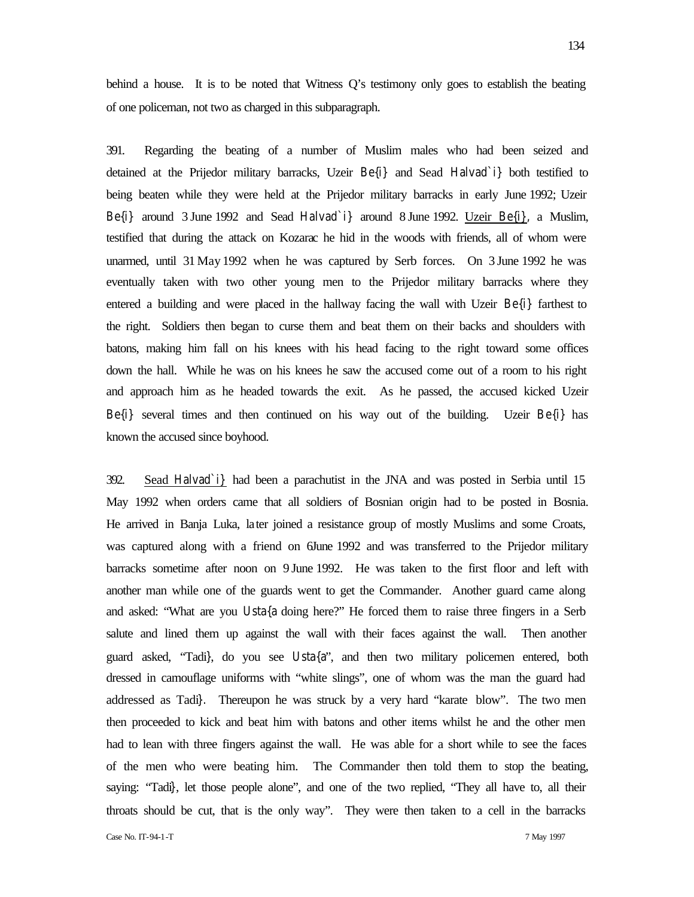behind a house. It is to be noted that Witness Q's testimony only goes to establish the beating of one policeman, not two as charged in this subparagraph.

391. Regarding the beating of a number of Muslim males who had been seized and detained at the Prijedor military barracks, Uzeir Be{i} and Sead Halvad`i} both testified to being beaten while they were held at the Prijedor military barracks in early June 1992; Uzeir Be{i} around 3 June 1992 and Sead Halvad`i} around 8 June 1992. Uzeir Be{i}, a Muslim, testified that during the attack on Kozarac he hid in the woods with friends, all of whom were unarmed, until 31May 1992 when he was captured by Serb forces. On 3 June 1992 he was eventually taken with two other young men to the Prijedor military barracks where they entered a building and were placed in the hallway facing the wall with Uzeir  $\text{Be}(\mathbf{i})$  farthest to the right. Soldiers then began to curse them and beat them on their backs and shoulders with batons, making him fall on his knees with his head facing to the right toward some offices down the hall. While he was on his knees he saw the accused come out of a room to his right and approach him as he headed towards the exit. As he passed, the accused kicked Uzeir  $\text{Be}\{\text{i}\}$  several times and then continued on his way out of the building. Uzeir  $\text{Be}\{\text{i}\}$  has known the accused since boyhood.

392. Sead Halvad`i} had been a parachutist in the JNA and was posted in Serbia until 15 May 1992 when orders came that all soldiers of Bosnian origin had to be posted in Bosnia. He arrived in Banja Luka, later joined a resistance group of mostly Muslims and some Croats, was captured along with a friend on 6June 1992 and was transferred to the Prijedor military barracks sometime after noon on 9 June 1992. He was taken to the first floor and left with another man while one of the guards went to get the Commander. Another guard came along and asked: "What are you Usta{a doing here?" He forced them to raise three fingers in a Serb salute and lined them up against the wall with their faces against the wall. Then another guard asked, "Tadi}, do you see Usta{a", and then two military policemen entered, both dressed in camouflage uniforms with "white slings", one of whom was the man the guard had addressed as Tadi}. Thereupon he was struck by a very hard "karate blow". The two men then proceeded to kick and beat him with batons and other items whilst he and the other men had to lean with three fingers against the wall. He was able for a short while to see the faces of the men who were beating him. The Commander then told them to stop the beating, saying: "Tadi}, let those people alone", and one of the two replied, "They all have to, all their throats should be cut, that is the only way". They were then taken to a cell in the barracks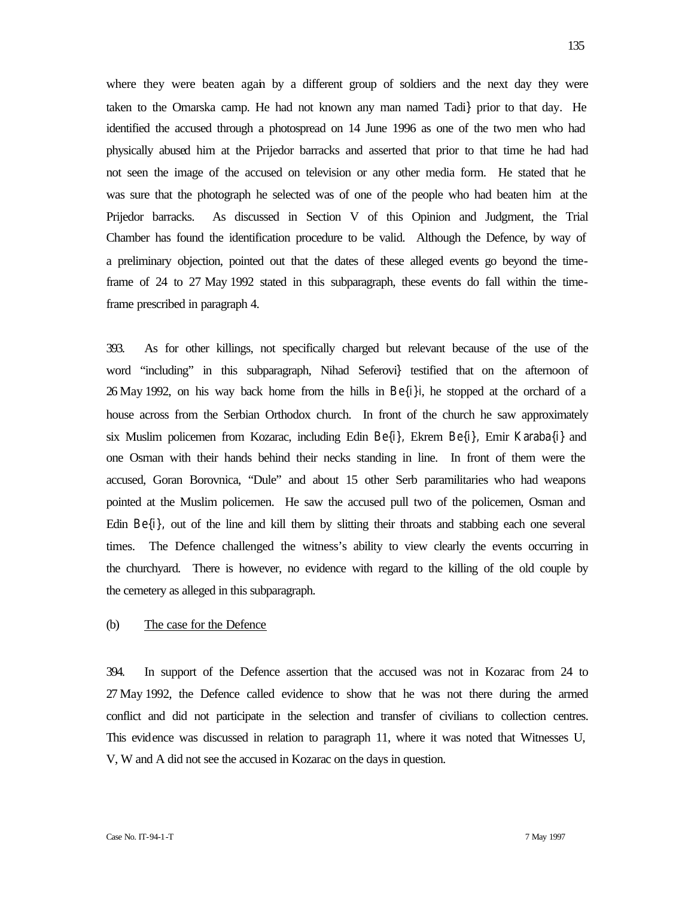where they were beaten again by a different group of soldiers and the next day they were taken to the Omarska camp. He had not known any man named Tadi} prior to that day. He identified the accused through a photospread on 14 June 1996 as one of the two men who had physically abused him at the Prijedor barracks and asserted that prior to that time he had had not seen the image of the accused on television or any other media form. He stated that he was sure that the photograph he selected was of one of the people who had beaten him at the Prijedor barracks. As discussed in Section V of this Opinion and Judgment, the Trial Chamber has found the identification procedure to be valid. Although the Defence, by way of a preliminary objection, pointed out that the dates of these alleged events go beyond the timeframe of 24 to 27 May 1992 stated in this subparagraph, these events do fall within the timeframe prescribed in paragraph 4.

393. As for other killings, not specifically charged but relevant because of the use of the word "including" in this subparagraph, Nihad Seferovi} testified that on the afternoon of 26 May 1992, on his way back home from the hills in  $Be(i)$ , he stopped at the orchard of a house across from the Serbian Orthodox church. In front of the church he saw approximately six Muslim policemen from Kozarac, including Edin Be{i}, Ekrem Be{i}, Emir Karaba{i} and one Osman with their hands behind their necks standing in line. In front of them were the accused, Goran Borovnica, "Dule" and about 15 other Serb paramilitaries who had weapons pointed at the Muslim policemen. He saw the accused pull two of the policemen, Osman and Edin Be{i}, out of the line and kill them by slitting their throats and stabbing each one several times. The Defence challenged the witness's ability to view clearly the events occurring in the churchyard. There is however, no evidence with regard to the killing of the old couple by the cemetery as alleged in this subparagraph.

## (b) The case for the Defence

394. In support of the Defence assertion that the accused was not in Kozarac from 24 to 27 May 1992, the Defence called evidence to show that he was not there during the armed conflict and did not participate in the selection and transfer of civilians to collection centres. This evidence was discussed in relation to paragraph 11, where it was noted that Witnesses U, V, W and A did not see the accused in Kozarac on the days in question.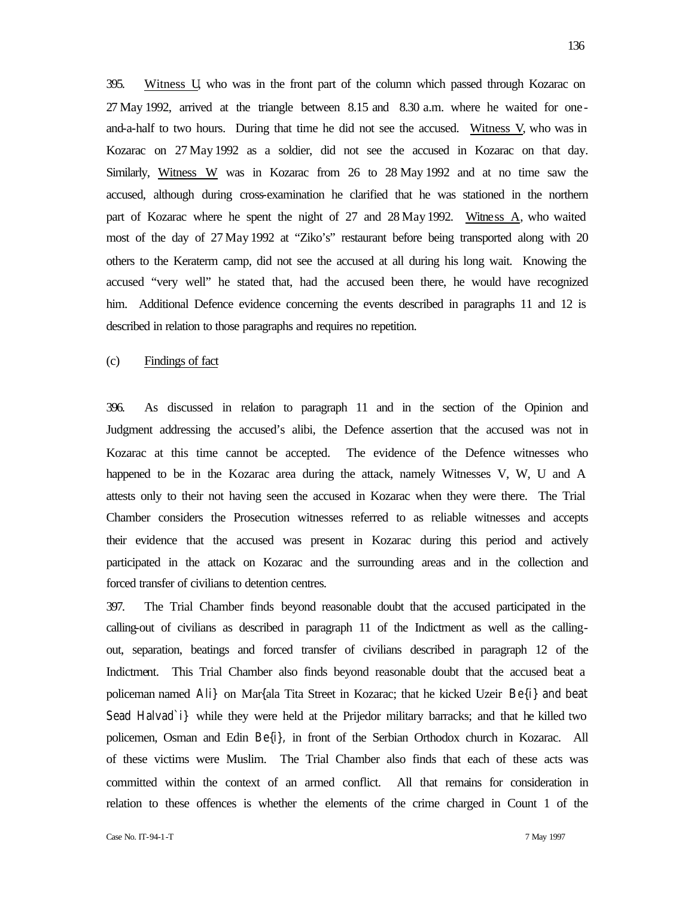395. Witness U, who was in the front part of the column which passed through Kozarac on 27 May 1992, arrived at the triangle between 8.15 and 8.30 a.m. where he waited for oneand-a-half to two hours. During that time he did not see the accused. Witness V, who was in Kozarac on 27 May 1992 as a soldier, did not see the accused in Kozarac on that day. Similarly, Witness W was in Kozarac from 26 to 28 May 1992 and at no time saw the accused, although during cross-examination he clarified that he was stationed in the northern part of Kozarac where he spent the night of 27 and 28 May 1992. Witness A, who waited most of the day of 27 May 1992 at "Ziko's" restaurant before being transported along with 20 others to the Keraterm camp, did not see the accused at all during his long wait. Knowing the accused "very well" he stated that, had the accused been there, he would have recognized him. Additional Defence evidence concerning the events described in paragraphs 11 and 12 is described in relation to those paragraphs and requires no repetition.

### (c) Findings of fact

396. As discussed in relation to paragraph 11 and in the section of the Opinion and Judgment addressing the accused's alibi, the Defence assertion that the accused was not in Kozarac at this time cannot be accepted. The evidence of the Defence witnesses who happened to be in the Kozarac area during the attack, namely Witnesses V, W, U and A attests only to their not having seen the accused in Kozarac when they were there. The Trial Chamber considers the Prosecution witnesses referred to as reliable witnesses and accepts their evidence that the accused was present in Kozarac during this period and actively participated in the attack on Kozarac and the surrounding areas and in the collection and forced transfer of civilians to detention centres.

397. The Trial Chamber finds beyond reasonable doubt that the accused participated in the calling-out of civilians as described in paragraph 11 of the Indictment as well as the callingout, separation, beatings and forced transfer of civilians described in paragraph 12 of the Indictment. This Trial Chamber also finds beyond reasonable doubt that the accused beat a policeman named Ali} on Mar{ala Tita Street in Kozarac; that he kicked Uzeir Be{i} and beat Sead Halvad`i} while they were held at the Prijedor military barracks; and that he killed two policemen, Osman and Edin Be{i}, in front of the Serbian Orthodox church in Kozarac. All of these victims were Muslim. The Trial Chamber also finds that each of these acts was committed within the context of an armed conflict. All that remains for consideration in relation to these offences is whether the elements of the crime charged in Count 1 of the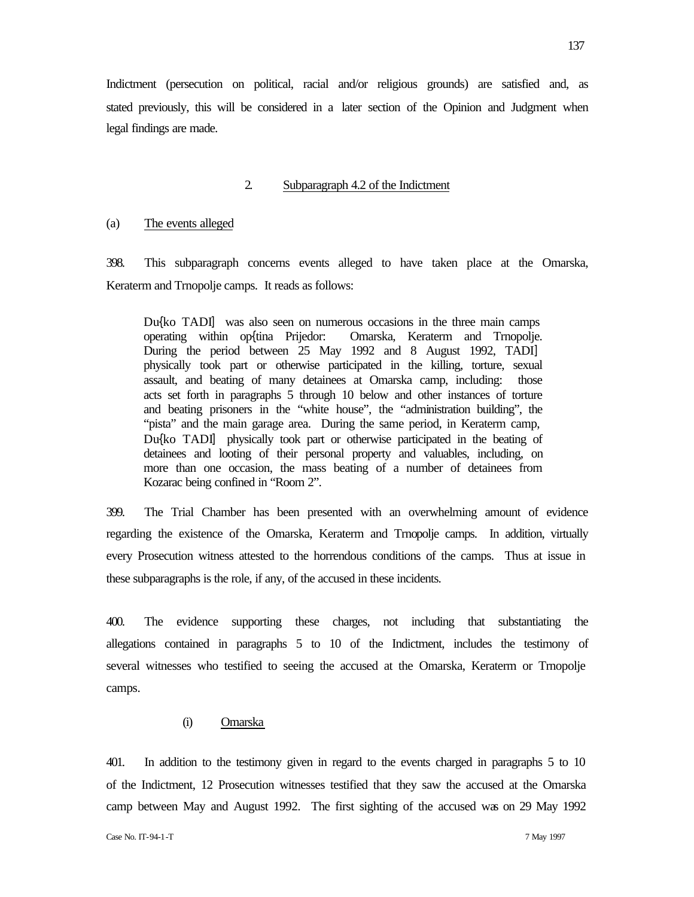Indictment (persecution on political, racial and/or religious grounds) are satisfied and, as stated previously, this will be considered in a later section of the Opinion and Judgment when legal findings are made.

#### 2. Subparagraph 4.2 of the Indictment

## (a) The events alleged

398. This subparagraph concerns events alleged to have taken place at the Omarska, Keraterm and Trnopolje camps. It reads as follows:

Du{ko TADI] was also seen on numerous occasions in the three main camps operating within op{tina Prijedor: Omarska, Keraterm and Trnopolje. During the period between 25 May 1992 and 8 August 1992, TADI] physically took part or otherwise participated in the killing, torture, sexual assault, and beating of many detainees at Omarska camp, including: those acts set forth in paragraphs 5 through 10 below and other instances of torture and beating prisoners in the "white house", the "administration building", the "pista" and the main garage area. During the same period, in Keraterm camp, Du{ko TADI] physically took part or otherwise participated in the beating of detainees and looting of their personal property and valuables, including, on more than one occasion, the mass beating of a number of detainees from Kozarac being confined in "Room 2".

399. The Trial Chamber has been presented with an overwhelming amount of evidence regarding the existence of the Omarska, Keraterm and Trnopolje camps. In addition, virtually every Prosecution witness attested to the horrendous conditions of the camps. Thus at issue in these subparagraphs is the role, if any, of the accused in these incidents.

400. The evidence supporting these charges, not including that substantiating the allegations contained in paragraphs 5 to 10 of the Indictment, includes the testimony of several witnesses who testified to seeing the accused at the Omarska, Keraterm or Trnopolje camps.

# (i) Omarska

401. In addition to the testimony given in regard to the events charged in paragraphs 5 to 10 of the Indictment, 12 Prosecution witnesses testified that they saw the accused at the Omarska camp between May and August 1992. The first sighting of the accused was on 29 May 1992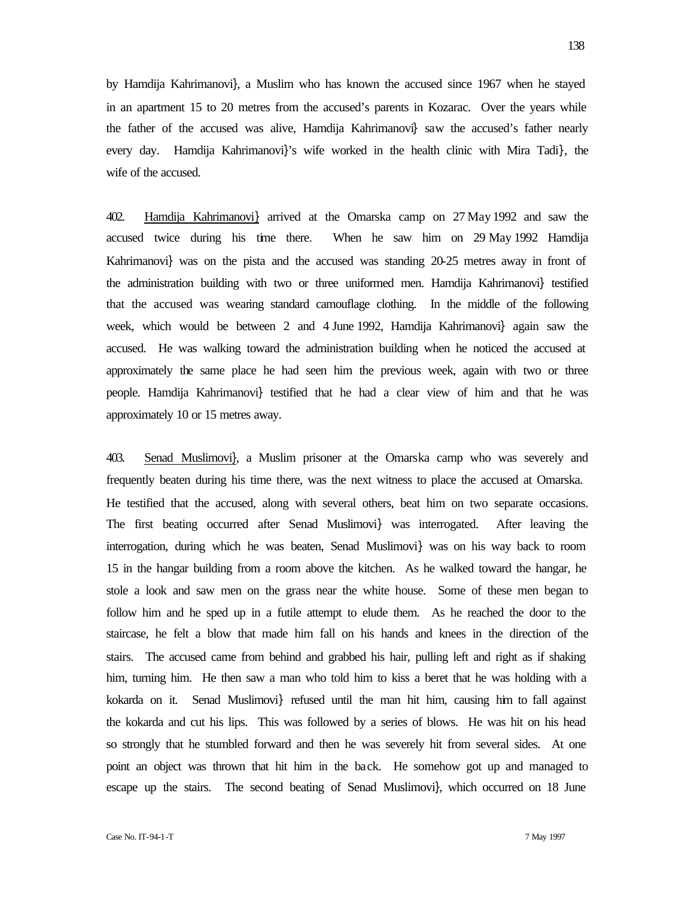by Hamdija Kahrimanovi}, a Muslim who has known the accused since 1967 when he stayed in an apartment 15 to 20 metres from the accused's parents in Kozarac. Over the years while the father of the accused was alive, Hamdija Kahrimanovi} saw the accused's father nearly every day. Hamdija Kahrimanovi}'s wife worked in the health clinic with Mira Tadi}, the wife of the accused.

402. Hamdija Kahrimanovi} arrived at the Omarska camp on 27 May 1992 and saw the accused twice during his time there. When he saw him on 29 May 1992 Hamdija Kahrimanovi} was on the pista and the accused was standing 20-25 metres away in front of the administration building with two or three uniformed men. Hamdija Kahrimanovi} testified that the accused was wearing standard camouflage clothing. In the middle of the following week, which would be between 2 and 4 June 1992, Hamdija Kahrimanovi} again saw the accused. He was walking toward the administration building when he noticed the accused at approximately the same place he had seen him the previous week, again with two or three people. Hamdija Kahrimanovi} testified that he had a clear view of him and that he was approximately 10 or 15 metres away.

403. Senad Muslimovi}, a Muslim prisoner at the Omarska camp who was severely and frequently beaten during his time there, was the next witness to place the accused at Omarska. He testified that the accused, along with several others, beat him on two separate occasions. The first beating occurred after Senad Muslimovi} was interrogated. After leaving the interrogation, during which he was beaten, Senad Muslimovi} was on his way back to room 15 in the hangar building from a room above the kitchen. As he walked toward the hangar, he stole a look and saw men on the grass near the white house. Some of these men began to follow him and he sped up in a futile attempt to elude them. As he reached the door to the staircase, he felt a blow that made him fall on his hands and knees in the direction of the stairs. The accused came from behind and grabbed his hair, pulling left and right as if shaking him, turning him. He then saw a man who told him to kiss a beret that he was holding with a kokarda on it. Senad Muslimovi} refused until the man hit him, causing him to fall against the kokarda and cut his lips. This was followed by a series of blows. He was hit on his head so strongly that he stumbled forward and then he was severely hit from several sides. At one point an object was thrown that hit him in the back. He somehow got up and managed to escape up the stairs. The second beating of Senad Muslimovi}, which occurred on 18 June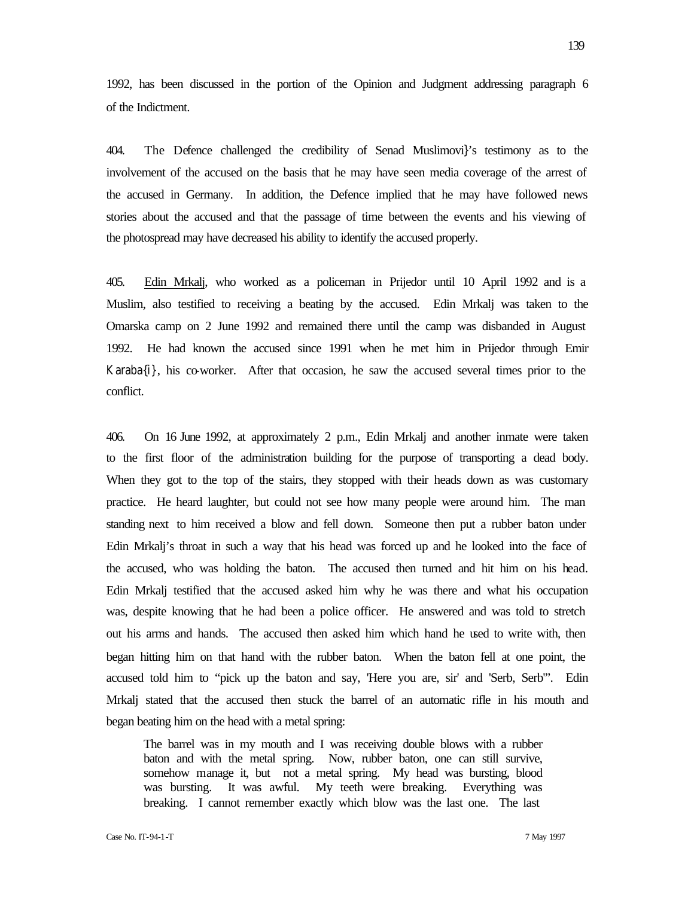1992, has been discussed in the portion of the Opinion and Judgment addressing paragraph 6 of the Indictment.

404. The Defence challenged the credibility of Senad Muslimovi}'s testimony as to the involvement of the accused on the basis that he may have seen media coverage of the arrest of the accused in Germany. In addition, the Defence implied that he may have followed news stories about the accused and that the passage of time between the events and his viewing of the photospread may have decreased his ability to identify the accused properly.

405. Edin Mrkalj, who worked as a policeman in Prijedor until 10 April 1992 and is a Muslim, also testified to receiving a beating by the accused. Edin Mrkalj was taken to the Omarska camp on 2 June 1992 and remained there until the camp was disbanded in August 1992. He had known the accused since 1991 when he met him in Prijedor through Emir  $Karabafi$ , his co-worker. After that occasion, he saw the accused several times prior to the conflict.

406. On 16 June 1992, at approximately 2 p.m., Edin Mrkalj and another inmate were taken to the first floor of the administration building for the purpose of transporting a dead body. When they got to the top of the stairs, they stopped with their heads down as was customary practice. He heard laughter, but could not see how many people were around him. The man standing next to him received a blow and fell down. Someone then put a rubber baton under Edin Mrkalj's throat in such a way that his head was forced up and he looked into the face of the accused, who was holding the baton. The accused then turned and hit him on his head. Edin Mrkalj testified that the accused asked him why he was there and what his occupation was, despite knowing that he had been a police officer. He answered and was told to stretch out his arms and hands. The accused then asked him which hand he used to write with, then began hitting him on that hand with the rubber baton. When the baton fell at one point, the accused told him to "pick up the baton and say, 'Here you are, sir' and 'Serb, Serb'". Edin Mrkalj stated that the accused then stuck the barrel of an automatic rifle in his mouth and began beating him on the head with a metal spring:

The barrel was in my mouth and I was receiving double blows with a rubber baton and with the metal spring. Now, rubber baton, one can still survive, somehow manage it, but not a metal spring. My head was bursting, blood was bursting. It was awful. My teeth were breaking. Everything was breaking. I cannot remember exactly which blow was the last one. The last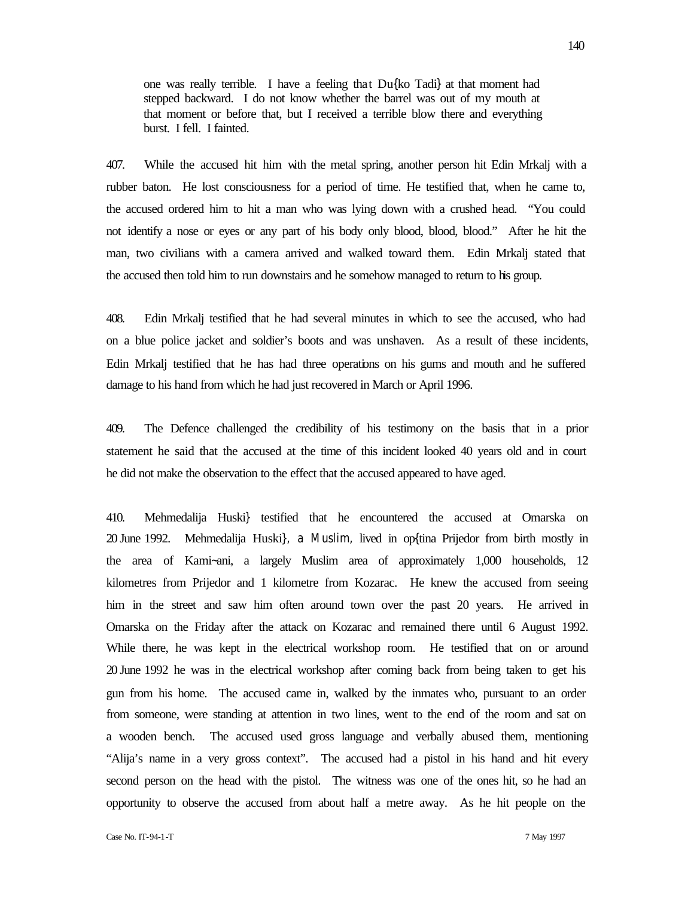one was really terrible. I have a feeling that Du{ko Tadi} at that moment had stepped backward. I do not know whether the barrel was out of my mouth at that moment or before that, but I received a terrible blow there and everything burst. I fell. I fainted.

407. While the accused hit him with the metal spring, another person hit Edin Mrkalj with a rubber baton. He lost consciousness for a period of time. He testified that, when he came to, the accused ordered him to hit a man who was lying down with a crushed head. "You could not identify a nose or eyes or any part of his body only blood, blood, blood." After he hit the man, two civilians with a camera arrived and walked toward them. Edin Mrkalj stated that the accused then told him to run downstairs and he somehow managed to return to his group.

408. Edin Mrkalj testified that he had several minutes in which to see the accused, who had on a blue police jacket and soldier's boots and was unshaven. As a result of these incidents, Edin Mrkalj testified that he has had three operations on his gums and mouth and he suffered damage to his hand from which he had just recovered in March or April 1996.

409. The Defence challenged the credibility of his testimony on the basis that in a prior statement he said that the accused at the time of this incident looked 40 years old and in court he did not make the observation to the effect that the accused appeared to have aged.

410. Mehmedalija Huski} testified that he encountered the accused at Omarska on 20 June 1992. Mehmedalija Huski}, a Muslim, lived in op{tina Prijedor from birth mostly in the area of Kami~ani, a largely Muslim area of approximately 1,000 households, 12 kilometres from Prijedor and 1 kilometre from Kozarac. He knew the accused from seeing him in the street and saw him often around town over the past 20 years. He arrived in Omarska on the Friday after the attack on Kozarac and remained there until 6 August 1992. While there, he was kept in the electrical workshop room. He testified that on or around 20 June 1992 he was in the electrical workshop after coming back from being taken to get his gun from his home. The accused came in, walked by the inmates who, pursuant to an order from someone, were standing at attention in two lines, went to the end of the room and sat on a wooden bench. The accused used gross language and verbally abused them, mentioning "Alija's name in a very gross context". The accused had a pistol in his hand and hit every second person on the head with the pistol. The witness was one of the ones hit, so he had an opportunity to observe the accused from about half a metre away. As he hit people on the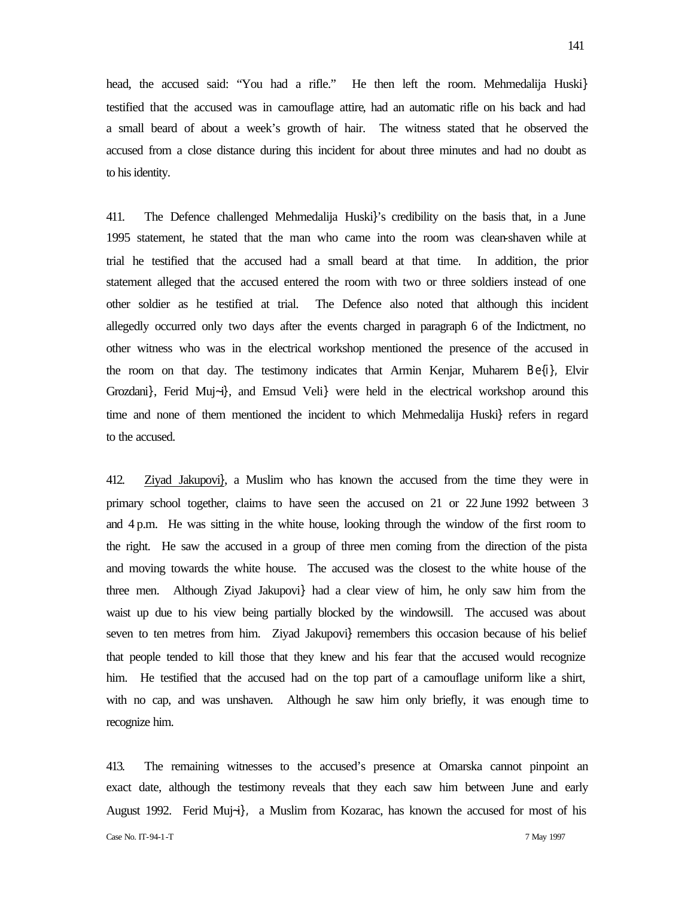head, the accused said: "You had a rifle." He then left the room. Mehmedalija Huski} testified that the accused was in camouflage attire, had an automatic rifle on his back and had a small beard of about a week's growth of hair. The witness stated that he observed the accused from a close distance during this incident for about three minutes and had no doubt as to his identity.

411. The Defence challenged Mehmedalija Huski}'s credibility on the basis that, in a June 1995 statement, he stated that the man who came into the room was clean-shaven while at trial he testified that the accused had a small beard at that time. In addition, the prior statement alleged that the accused entered the room with two or three soldiers instead of one other soldier as he testified at trial. The Defence also noted that although this incident allegedly occurred only two days after the events charged in paragraph 6 of the Indictment, no other witness who was in the electrical workshop mentioned the presence of the accused in the room on that day. The testimony indicates that Armin Kenjar, Muharem Be{i}, Elvir Grozdani}, Ferid Muj~i}, and Emsud Veli} were held in the electrical workshop around this time and none of them mentioned the incident to which Mehmedalija Huski} refers in regard to the accused.

412. Ziyad Jakupovi}, a Muslim who has known the accused from the time they were in primary school together, claims to have seen the accused on 21 or 22 June 1992 between 3 and 4 p.m. He was sitting in the white house, looking through the window of the first room to the right. He saw the accused in a group of three men coming from the direction of the pista and moving towards the white house. The accused was the closest to the white house of the three men. Although Ziyad Jakupovi} had a clear view of him, he only saw him from the waist up due to his view being partially blocked by the windowsill. The accused was about seven to ten metres from him. Ziyad Jakupovi} remembers this occasion because of his belief that people tended to kill those that they knew and his fear that the accused would recognize him. He testified that the accused had on the top part of a camouflage uniform like a shirt, with no cap, and was unshaven. Although he saw him only briefly, it was enough time to recognize him.

413. The remaining witnesses to the accused's presence at Omarska cannot pinpoint an exact date, although the testimony reveals that they each saw him between June and early August 1992. Ferid Muj-i $\}$ , a Muslim from Kozarac, has known the accused for most of his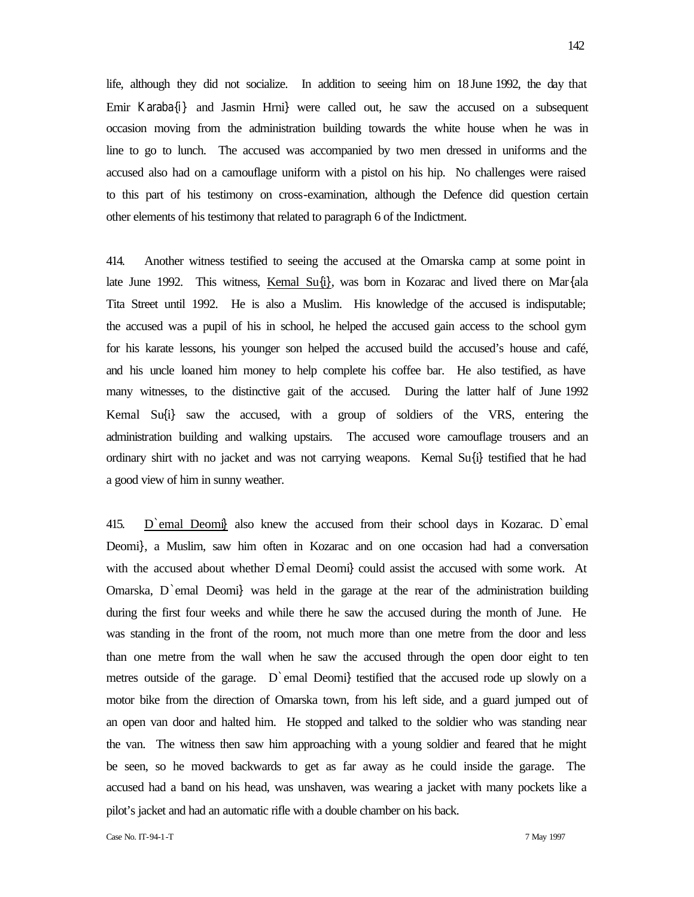life, although they did not socialize. In addition to seeing him on 18 June 1992, the day that Emir Karaba{i} and Jasmin Hrni} were called out, he saw the accused on a subsequent occasion moving from the administration building towards the white house when he was in line to go to lunch. The accused was accompanied by two men dressed in uniforms and the accused also had on a camouflage uniform with a pistol on his hip. No challenges were raised to this part of his testimony on cross-examination, although the Defence did question certain other elements of his testimony that related to paragraph 6 of the Indictment.

414. Another witness testified to seeing the accused at the Omarska camp at some point in late June 1992. This witness, Kemal Su{i}, was born in Kozarac and lived there on Mar{ala Tita Street until 1992. He is also a Muslim. His knowledge of the accused is indisputable; the accused was a pupil of his in school, he helped the accused gain access to the school gym for his karate lessons, his younger son helped the accused build the accused's house and café, and his uncle loaned him money to help complete his coffee bar. He also testified, as have many witnesses, to the distinctive gait of the accused. During the latter half of June 1992 Kemal Su{i} saw the accused, with a group of soldiers of the VRS, entering the administration building and walking upstairs. The accused wore camouflage trousers and an ordinary shirt with no jacket and was not carrying weapons. Kemal Su{i} testified that he had a good view of him in sunny weather.

415. D`emal Deomi} also knew the accused from their school days in Kozarac. D`emal Deomi}, a Muslim, saw him often in Kozarac and on one occasion had had a conversation with the accused about whether D emal Deomi} could assist the accused with some work. At Omarska, D`emal Deomi} was held in the garage at the rear of the administration building during the first four weeks and while there he saw the accused during the month of June. He was standing in the front of the room, not much more than one metre from the door and less than one metre from the wall when he saw the accused through the open door eight to ten metres outside of the garage. D`emal Deomi} testified that the accused rode up slowly on a motor bike from the direction of Omarska town, from his left side, and a guard jumped out of an open van door and halted him. He stopped and talked to the soldier who was standing near the van. The witness then saw him approaching with a young soldier and feared that he might be seen, so he moved backwards to get as far away as he could inside the garage. The accused had a band on his head, was unshaven, was wearing a jacket with many pockets like a pilot's jacket and had an automatic rifle with a double chamber on his back.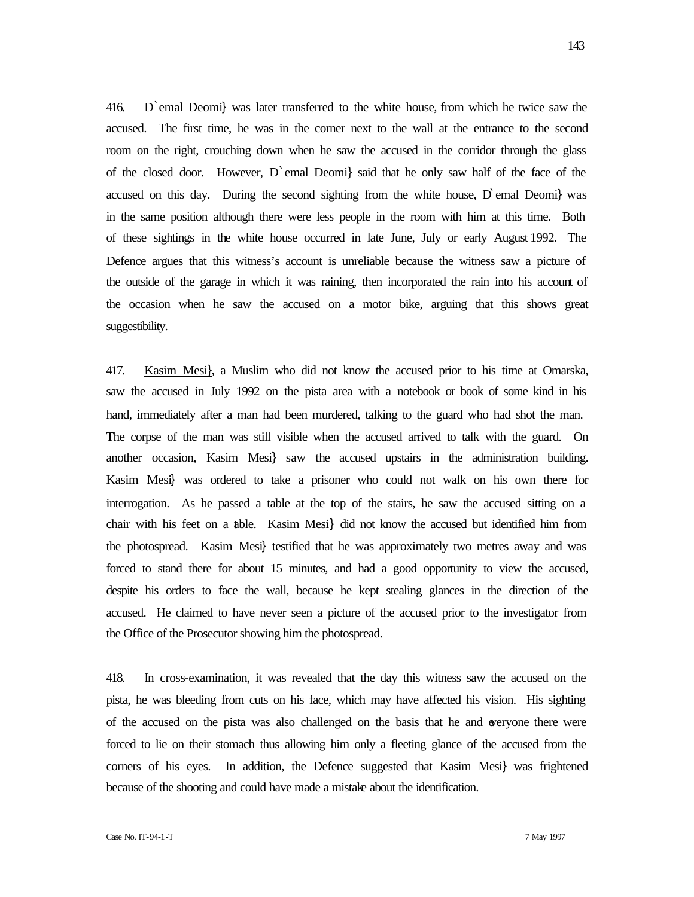416. D`emal Deomi} was later transferred to the white house, from which he twice saw the accused. The first time, he was in the corner next to the wall at the entrance to the second room on the right, crouching down when he saw the accused in the corridor through the glass of the closed door. However, D`emal Deomi} said that he only saw half of the face of the accused on this day. During the second sighting from the white house, D`emal Deomi} was in the same position although there were less people in the room with him at this time. Both of these sightings in the white house occurred in late June, July or early August 1992. The Defence argues that this witness's account is unreliable because the witness saw a picture of the outside of the garage in which it was raining, then incorporated the rain into his account of the occasion when he saw the accused on a motor bike, arguing that this shows great suggestibility.

417. Kasim Mesi}, a Muslim who did not know the accused prior to his time at Omarska, saw the accused in July 1992 on the pista area with a notebook or book of some kind in his hand, immediately after a man had been murdered, talking to the guard who had shot the man. The corpse of the man was still visible when the accused arrived to talk with the guard. On another occasion, Kasim Mesi} saw the accused upstairs in the administration building. Kasim Mesi} was ordered to take a prisoner who could not walk on his own there for interrogation. As he passed a table at the top of the stairs, he saw the accused sitting on a chair with his feet on a table. Kasim Mesi} did not know the accused but identified him from the photospread. Kasim Mesi} testified that he was approximately two metres away and was forced to stand there for about 15 minutes, and had a good opportunity to view the accused, despite his orders to face the wall, because he kept stealing glances in the direction of the accused. He claimed to have never seen a picture of the accused prior to the investigator from the Office of the Prosecutor showing him the photospread.

418. In cross-examination, it was revealed that the day this witness saw the accused on the pista, he was bleeding from cuts on his face, which may have affected his vision. His sighting of the accused on the pista was also challenged on the basis that he and everyone there were forced to lie on their stomach thus allowing him only a fleeting glance of the accused from the corners of his eyes. In addition, the Defence suggested that Kasim Mesi} was frightened because of the shooting and could have made a mistake about the identification.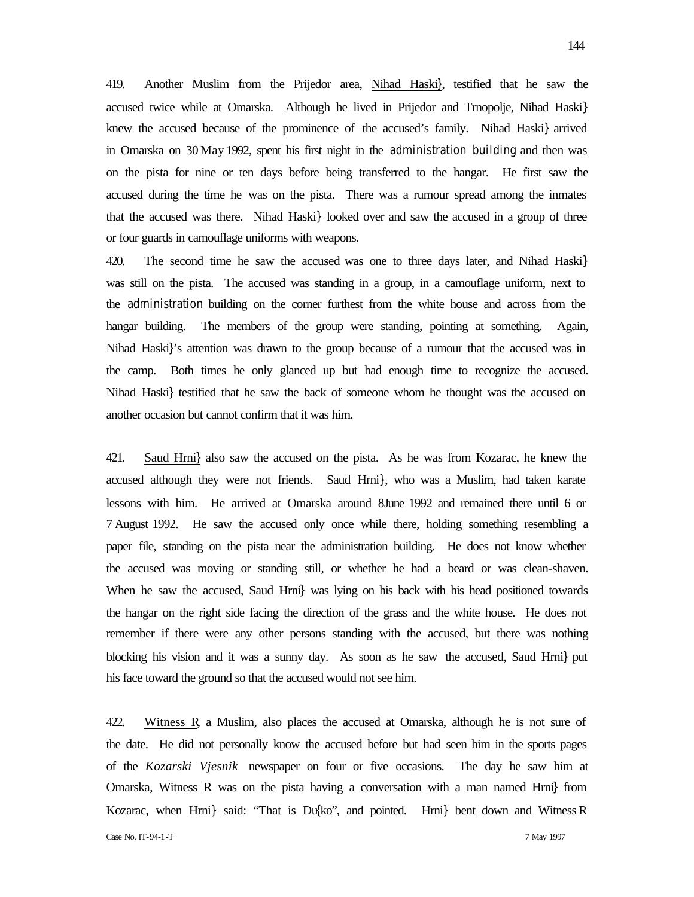419. Another Muslim from the Prijedor area, Nihad Haski}, testified that he saw the accused twice while at Omarska. Although he lived in Prijedor and Trnopolje, Nihad Haski} knew the accused because of the prominence of the accused's family. Nihad Haski} arrived in Omarska on 30 May 1992, spent his first night in the administration building and then was on the pista for nine or ten days before being transferred to the hangar. He first saw the accused during the time he was on the pista. There was a rumour spread among the inmates that the accused was there. Nihad Haski} looked over and saw the accused in a group of three or four guards in camouflage uniforms with weapons.

420. The second time he saw the accused was one to three days later, and Nihad Haski} was still on the pista. The accused was standing in a group, in a camouflage uniform, next to the administration building on the corner furthest from the white house and across from the hangar building. The members of the group were standing, pointing at something. Again, Nihad Haski}'s attention was drawn to the group because of a rumour that the accused was in the camp. Both times he only glanced up but had enough time to recognize the accused. Nihad Haski} testified that he saw the back of someone whom he thought was the accused on another occasion but cannot confirm that it was him.

421. Saud Hrni} also saw the accused on the pista. As he was from Kozarac, he knew the accused although they were not friends. Saud Hrni}, who was a Muslim, had taken karate lessons with him. He arrived at Omarska around 8June 1992 and remained there until 6 or 7 August 1992. He saw the accused only once while there, holding something resembling a paper file, standing on the pista near the administration building. He does not know whether the accused was moving or standing still, or whether he had a beard or was clean-shaven. When he saw the accused, Saud Hrni} was lying on his back with his head positioned towards the hangar on the right side facing the direction of the grass and the white house. He does not remember if there were any other persons standing with the accused, but there was nothing blocking his vision and it was a sunny day. As soon as he saw the accused, Saud Hrni} put his face toward the ground so that the accused would not see him.

422. Witness R, a Muslim, also places the accused at Omarska, although he is not sure of the date. He did not personally know the accused before but had seen him in the sports pages of the *Kozarski Vjesnik* newspaper on four or five occasions. The day he saw him at Omarska, Witness R was on the pista having a conversation with a man named Hrni} from Kozarac, when Hrni} said: "That is Du{ko", and pointed. Hrni} bent down and WitnessR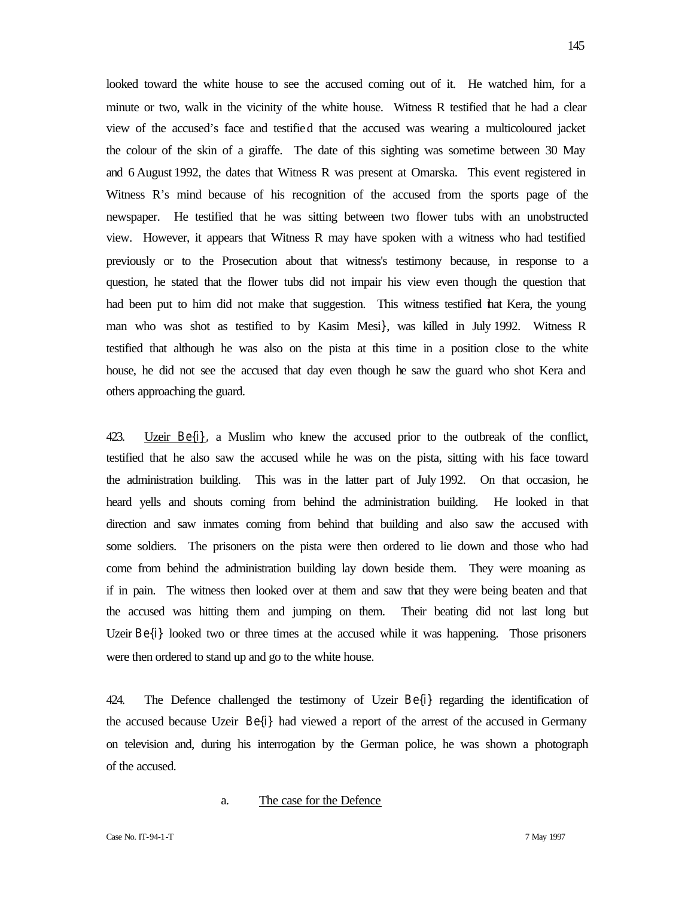looked toward the white house to see the accused coming out of it. He watched him, for a minute or two, walk in the vicinity of the white house. Witness R testified that he had a clear view of the accused's face and testified that the accused was wearing a multicoloured jacket the colour of the skin of a giraffe. The date of this sighting was sometime between 30 May and 6 August 1992, the dates that Witness R was present at Omarska. This event registered in Witness R's mind because of his recognition of the accused from the sports page of the newspaper. He testified that he was sitting between two flower tubs with an unobstructed view. However, it appears that Witness R may have spoken with a witness who had testified previously or to the Prosecution about that witness's testimony because, in response to a question, he stated that the flower tubs did not impair his view even though the question that had been put to him did not make that suggestion. This witness testified that Kera, the young man who was shot as testified to by Kasim Mesi}, was killed in July 1992. Witness R testified that although he was also on the pista at this time in a position close to the white house, he did not see the accused that day even though he saw the guard who shot Kera and others approaching the guard.

423. Uzeir Be{i}, a Muslim who knew the accused prior to the outbreak of the conflict, testified that he also saw the accused while he was on the pista, sitting with his face toward the administration building. This was in the latter part of July 1992. On that occasion, he heard yells and shouts coming from behind the administration building. He looked in that direction and saw inmates coming from behind that building and also saw the accused with some soldiers. The prisoners on the pista were then ordered to lie down and those who had come from behind the administration building lay down beside them. They were moaning as if in pain. The witness then looked over at them and saw that they were being beaten and that the accused was hitting them and jumping on them. Their beating did not last long but Uzeir Be{i} looked two or three times at the accused while it was happening. Those prisoners were then ordered to stand up and go to the white house.

424. The Defence challenged the testimony of Uzeir Be{i} regarding the identification of the accused because Uzeir Be{i} had viewed a report of the arrest of the accused in Germany on television and, during his interrogation by the German police, he was shown a photograph of the accused.

#### a. The case for the Defence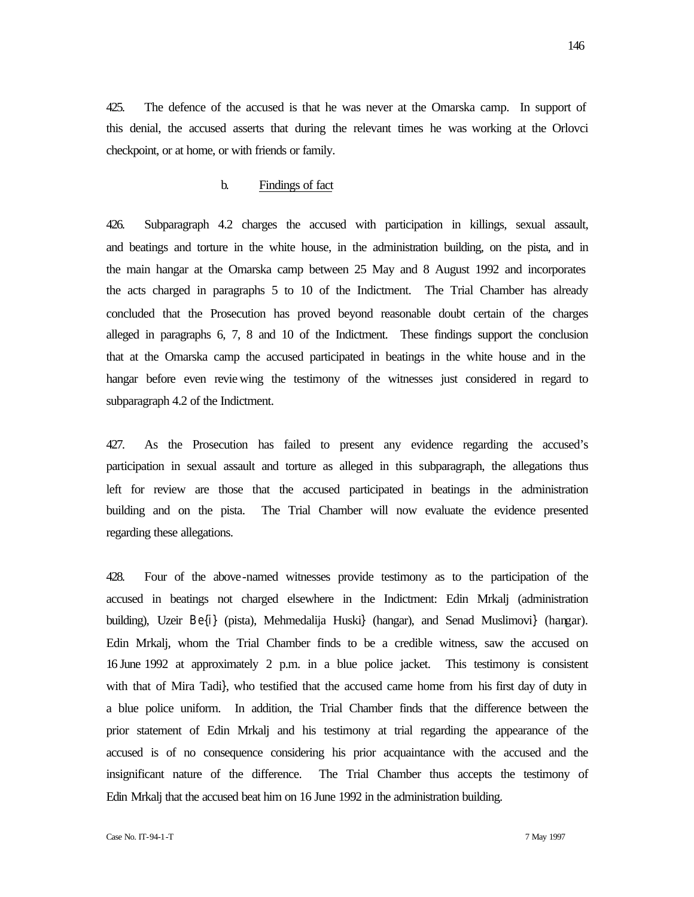425. The defence of the accused is that he was never at the Omarska camp. In support of this denial, the accused asserts that during the relevant times he was working at the Orlovci checkpoint, or at home, or with friends or family.

### b. Findings of fact

426. Subparagraph 4.2 charges the accused with participation in killings, sexual assault, and beatings and torture in the white house, in the administration building, on the pista, and in the main hangar at the Omarska camp between 25 May and 8 August 1992 and incorporates the acts charged in paragraphs 5 to 10 of the Indictment. The Trial Chamber has already concluded that the Prosecution has proved beyond reasonable doubt certain of the charges alleged in paragraphs 6, 7, 8 and 10 of the Indictment. These findings support the conclusion that at the Omarska camp the accused participated in beatings in the white house and in the hangar before even revie wing the testimony of the witnesses just considered in regard to subparagraph 4.2 of the Indictment.

427. As the Prosecution has failed to present any evidence regarding the accused's participation in sexual assault and torture as alleged in this subparagraph, the allegations thus left for review are those that the accused participated in beatings in the administration building and on the pista. The Trial Chamber will now evaluate the evidence presented regarding these allegations.

428. Four of the above-named witnesses provide testimony as to the participation of the accused in beatings not charged elsewhere in the Indictment: Edin Mrkalj (administration building), Uzeir Be{i} (pista), Mehmedalija Huski} (hangar), and Senad Muslimovi} (hangar). Edin Mrkalj, whom the Trial Chamber finds to be a credible witness, saw the accused on 16 June 1992 at approximately 2 p.m. in a blue police jacket. This testimony is consistent with that of Mira Tadi}, who testified that the accused came home from his first day of duty in a blue police uniform. In addition, the Trial Chamber finds that the difference between the prior statement of Edin Mrkalj and his testimony at trial regarding the appearance of the accused is of no consequence considering his prior acquaintance with the accused and the insignificant nature of the difference. The Trial Chamber thus accepts the testimony of Edin Mrkalj that the accused beat him on 16 June 1992 in the administration building.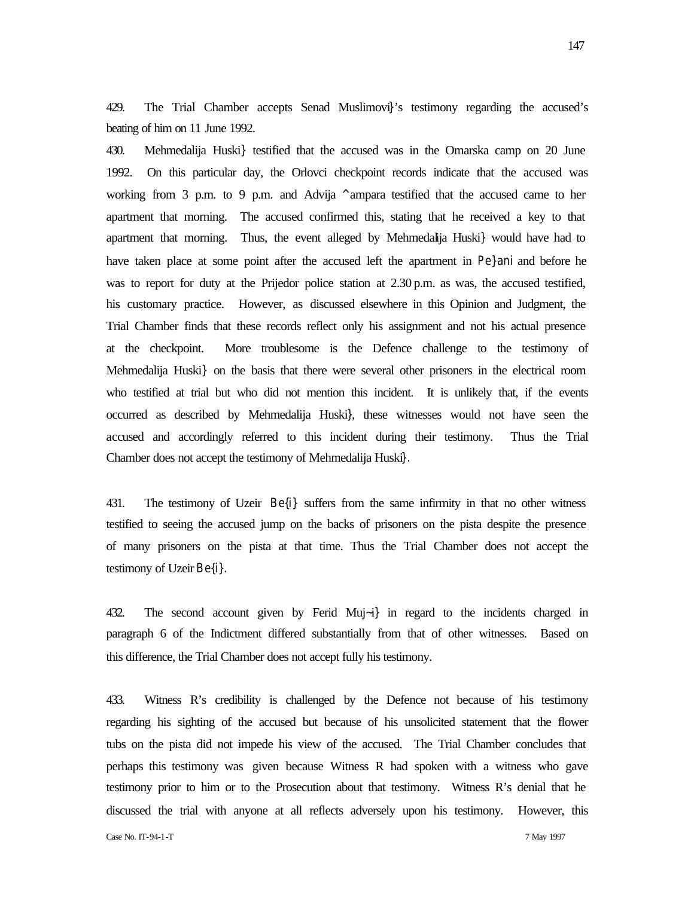429. The Trial Chamber accepts Senad Muslimovi}'s testimony regarding the accused's beating of him on 11 June 1992.

430. Mehmedalija Huski} testified that the accused was in the Omarska camp on 20 June 1992. On this particular day, the Orlovci checkpoint records indicate that the accused was working from 3 p.m. to 9 p.m. and Advija  $\land$  ampara testified that the accused came to her apartment that morning. The accused confirmed this, stating that he received a key to that apartment that morning. Thus, the event alleged by Mehmedalija Huski} would have had to have taken place at some point after the accused left the apartment in Pe ani and before he was to report for duty at the Prijedor police station at 2.30 p.m. as was, the accused testified, his customary practice. However, as discussed elsewhere in this Opinion and Judgment, the Trial Chamber finds that these records reflect only his assignment and not his actual presence at the checkpoint. More troublesome is the Defence challenge to the testimony of Mehmedalija Huski} on the basis that there were several other prisoners in the electrical room who testified at trial but who did not mention this incident. It is unlikely that, if the events occurred as described by Mehmedalija Huski}, these witnesses would not have seen the accused and accordingly referred to this incident during their testimony. Thus the Trial Chamber does not accept the testimony of Mehmedalija Huski}.

431. The testimony of Uzeir Be{i} suffers from the same infirmity in that no other witness testified to seeing the accused jump on the backs of prisoners on the pista despite the presence of many prisoners on the pista at that time. Thus the Trial Chamber does not accept the testimony of Uzeir Be{i}.

432. The second account given by Ferid Muj~i} in regard to the incidents charged in paragraph 6 of the Indictment differed substantially from that of other witnesses. Based on this difference, the Trial Chamber does not accept fully his testimony.

433. Witness R's credibility is challenged by the Defence not because of his testimony regarding his sighting of the accused but because of his unsolicited statement that the flower tubs on the pista did not impede his view of the accused. The Trial Chamber concludes that perhaps this testimony was given because Witness R had spoken with a witness who gave testimony prior to him or to the Prosecution about that testimony. Witness R's denial that he discussed the trial with anyone at all reflects adversely upon his testimony. However, this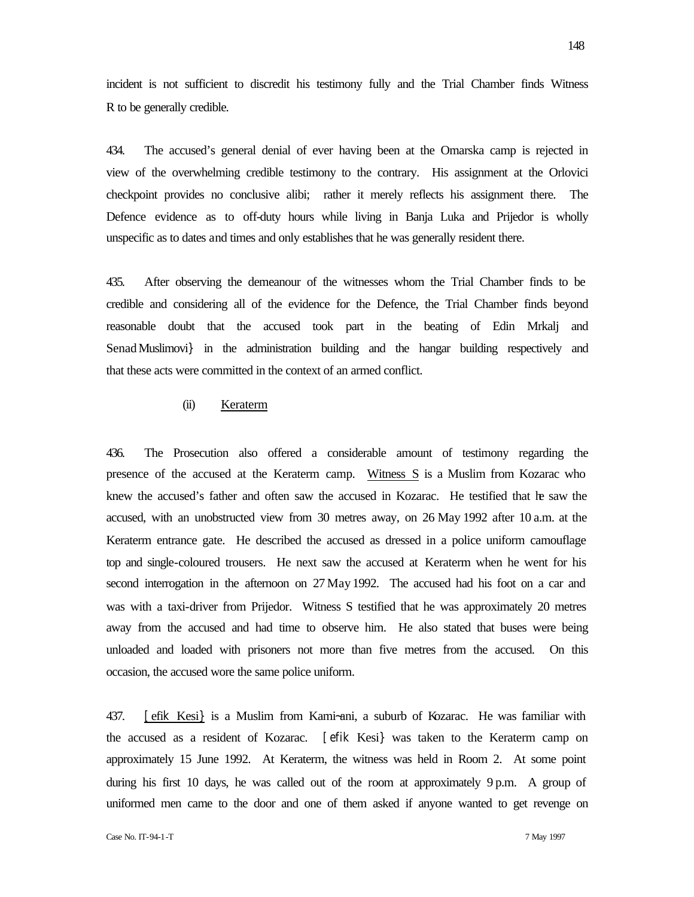incident is not sufficient to discredit his testimony fully and the Trial Chamber finds Witness R to be generally credible.

434. The accused's general denial of ever having been at the Omarska camp is rejected in view of the overwhelming credible testimony to the contrary. His assignment at the Orlovici checkpoint provides no conclusive alibi; rather it merely reflects his assignment there. The Defence evidence as to off-duty hours while living in Banja Luka and Prijedor is wholly unspecific as to dates and times and only establishes that he was generally resident there.

435. After observing the demeanour of the witnesses whom the Trial Chamber finds to be credible and considering all of the evidence for the Defence, the Trial Chamber finds beyond reasonable doubt that the accused took part in the beating of Edin Mrkalj and SenadMuslimovi} in the administration building and the hangar building respectively and that these acts were committed in the context of an armed conflict.

# (ii) Keraterm

436. The Prosecution also offered a considerable amount of testimony regarding the presence of the accused at the Keraterm camp. Witness S is a Muslim from Kozarac who knew the accused's father and often saw the accused in Kozarac. He testified that he saw the accused, with an unobstructed view from 30 metres away, on 26 May 1992 after 10 a.m. at the Keraterm entrance gate. He described the accused as dressed in a police uniform camouflage top and single-coloured trousers. He next saw the accused at Keraterm when he went for his second interrogation in the afternoon on 27 May 1992. The accused had his foot on a car and was with a taxi-driver from Prijedor. Witness S testified that he was approximately 20 metres away from the accused and had time to observe him. He also stated that buses were being unloaded and loaded with prisoners not more than five metres from the accused. On this occasion, the accused wore the same police uniform.

437. [efik Kesi} is a Muslim from Kami~ani, a suburb of Kozarac. He was familiar with the accused as a resident of Kozarac. [efik Kesi} was taken to the Keraterm camp on approximately 15 June 1992. At Keraterm, the witness was held in Room 2. At some point during his first 10 days, he was called out of the room at approximately 9 p.m. A group of uniformed men came to the door and one of them asked if anyone wanted to get revenge on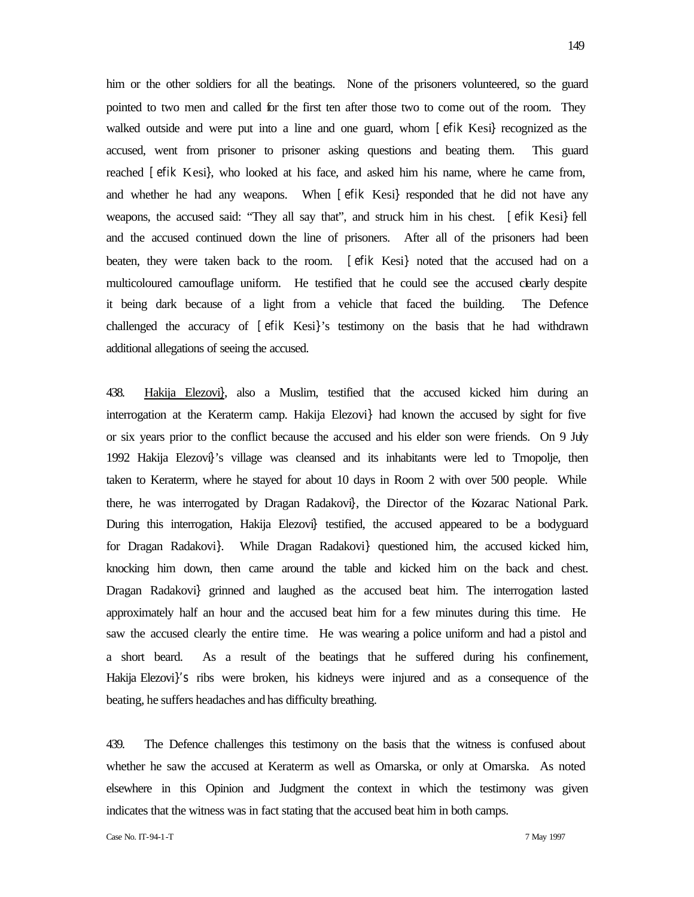him or the other soldiers for all the beatings. None of the prisoners volunteered, so the guard pointed to two men and called for the first ten after those two to come out of the room. They walked outside and were put into a line and one guard, whom [efik Kesi} recognized as the accused, went from prisoner to prisoner asking questions and beating them. This guard reached [efik Kesi}, who looked at his face, and asked him his name, where he came from, and whether he had any weapons. When [efik Kesi} responded that he did not have any weapons, the accused said: "They all say that", and struck him in his chest. [efik Kesi} fell and the accused continued down the line of prisoners. After all of the prisoners had been beaten, they were taken back to the room. [efik Kesi} noted that the accused had on a multicoloured camouflage uniform. He testified that he could see the accused clearly despite it being dark because of a light from a vehicle that faced the building. The Defence challenged the accuracy of [efik Kesi}'s testimony on the basis that he had withdrawn additional allegations of seeing the accused.

438. Hakija Elezovi}, also a Muslim, testified that the accused kicked him during an interrogation at the Keraterm camp. Hakija Elezovi} had known the accused by sight for five or six years prior to the conflict because the accused and his elder son were friends. On 9 July 1992 Hakija Elezovi}'s village was cleansed and its inhabitants were led to Trnopolje, then taken to Keraterm, where he stayed for about 10 days in Room 2 with over 500 people. While there, he was interrogated by Dragan Radakovi}, the Director of the Kozarac National Park. During this interrogation, Hakija Elezovi} testified, the accused appeared to be a bodyguard for Dragan Radakovi}. While Dragan Radakovi} questioned him, the accused kicked him, knocking him down, then came around the table and kicked him on the back and chest. Dragan Radakovi} grinned and laughed as the accused beat him. The interrogation lasted approximately half an hour and the accused beat him for a few minutes during this time. He saw the accused clearly the entire time. He was wearing a police uniform and had a pistol and a short beard. As a result of the beatings that he suffered during his confinement, Hakija Elezovi}'s ribs were broken, his kidneys were injured and as a consequence of the beating, he suffers headaches and has difficulty breathing.

439. The Defence challenges this testimony on the basis that the witness is confused about whether he saw the accused at Keraterm as well as Omarska, or only at Omarska. As noted elsewhere in this Opinion and Judgment the context in which the testimony was given indicates that the witness was in fact stating that the accused beat him in both camps.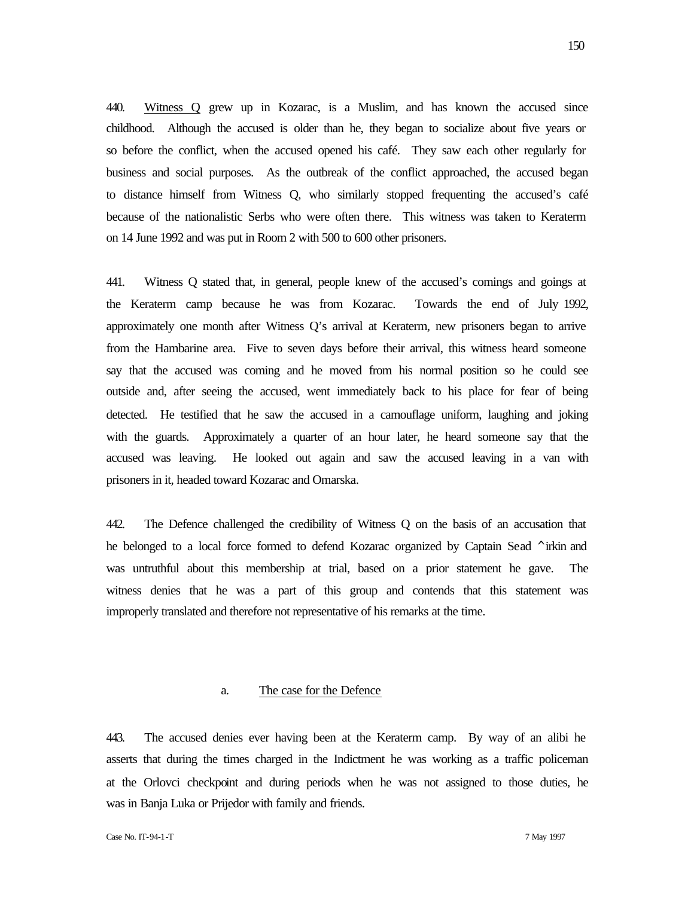440. Witness Q grew up in Kozarac, is a Muslim, and has known the accused since childhood. Although the accused is older than he, they began to socialize about five years or so before the conflict, when the accused opened his café. They saw each other regularly for business and social purposes. As the outbreak of the conflict approached, the accused began to distance himself from Witness Q, who similarly stopped frequenting the accused's café because of the nationalistic Serbs who were often there. This witness was taken to Keraterm on 14 June 1992 and was put in Room 2 with 500 to 600 other prisoners.

441. Witness Q stated that, in general, people knew of the accused's comings and goings at the Keraterm camp because he was from Kozarac. Towards the end of July 1992, approximately one month after Witness Q's arrival at Keraterm, new prisoners began to arrive from the Hambarine area. Five to seven days before their arrival, this witness heard someone say that the accused was coming and he moved from his normal position so he could see outside and, after seeing the accused, went immediately back to his place for fear of being detected. He testified that he saw the accused in a camouflage uniform, laughing and joking with the guards. Approximately a quarter of an hour later, he heard someone say that the accused was leaving. He looked out again and saw the accused leaving in a van with prisoners in it, headed toward Kozarac and Omarska.

442. The Defence challenged the credibility of Witness Q on the basis of an accusation that he belonged to a local force formed to defend Kozarac organized by Captain Sead  $\wedge$ irkin and was untruthful about this membership at trial, based on a prior statement he gave. The witness denies that he was a part of this group and contends that this statement was improperly translated and therefore not representative of his remarks at the time.

### a. The case for the Defence

443. The accused denies ever having been at the Keraterm camp. By way of an alibi he asserts that during the times charged in the Indictment he was working as a traffic policeman at the Orlovci checkpoint and during periods when he was not assigned to those duties, he was in Banja Luka or Prijedor with family and friends.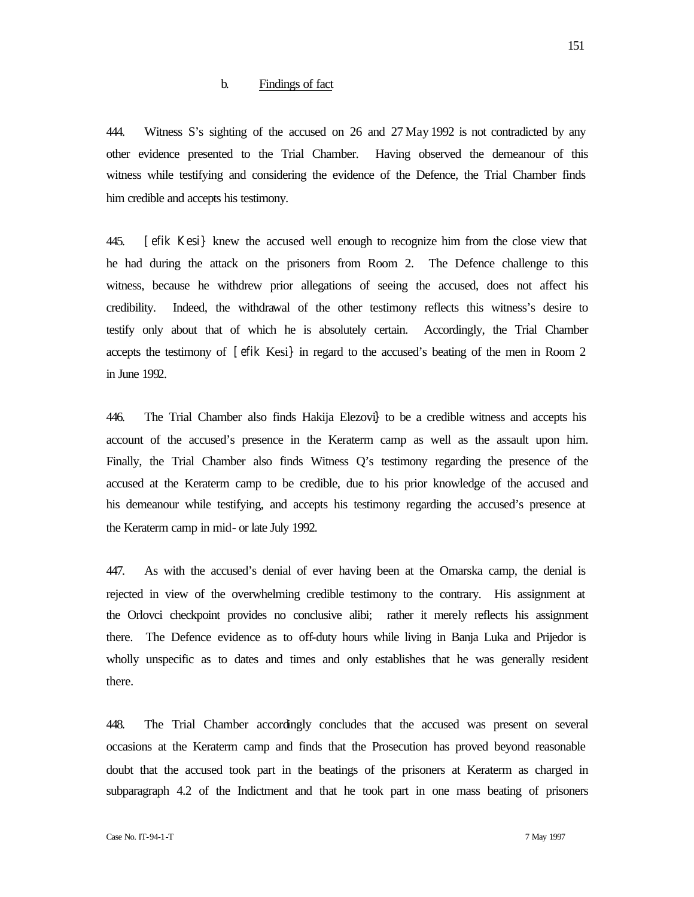### b. Findings of fact

444. Witness S's sighting of the accused on 26 and 27 May 1992 is not contradicted by any other evidence presented to the Trial Chamber. Having observed the demeanour of this witness while testifying and considering the evidence of the Defence, the Trial Chamber finds him credible and accepts his testimony.

445. [efik Kesi} knew the accused well enough to recognize him from the close view that he had during the attack on the prisoners from Room 2. The Defence challenge to this witness, because he withdrew prior allegations of seeing the accused, does not affect his credibility. Indeed, the withdrawal of the other testimony reflects this witness's desire to testify only about that of which he is absolutely certain. Accordingly, the Trial Chamber accepts the testimony of [efik Kesi} in regard to the accused's beating of the men in Room 2 in June 1992.

446. The Trial Chamber also finds Hakija Elezovi} to be a credible witness and accepts his account of the accused's presence in the Keraterm camp as well as the assault upon him. Finally, the Trial Chamber also finds Witness Q's testimony regarding the presence of the accused at the Keraterm camp to be credible, due to his prior knowledge of the accused and his demeanour while testifying, and accepts his testimony regarding the accused's presence at the Keraterm camp in mid- or late July 1992.

447. As with the accused's denial of ever having been at the Omarska camp, the denial is rejected in view of the overwhelming credible testimony to the contrary. His assignment at the Orlovci checkpoint provides no conclusive alibi; rather it merely reflects his assignment there. The Defence evidence as to off-duty hours while living in Banja Luka and Prijedor is wholly unspecific as to dates and times and only establishes that he was generally resident there.

448. The Trial Chamber accordingly concludes that the accused was present on several occasions at the Keraterm camp and finds that the Prosecution has proved beyond reasonable doubt that the accused took part in the beatings of the prisoners at Keraterm as charged in subparagraph 4.2 of the Indictment and that he took part in one mass beating of prisoners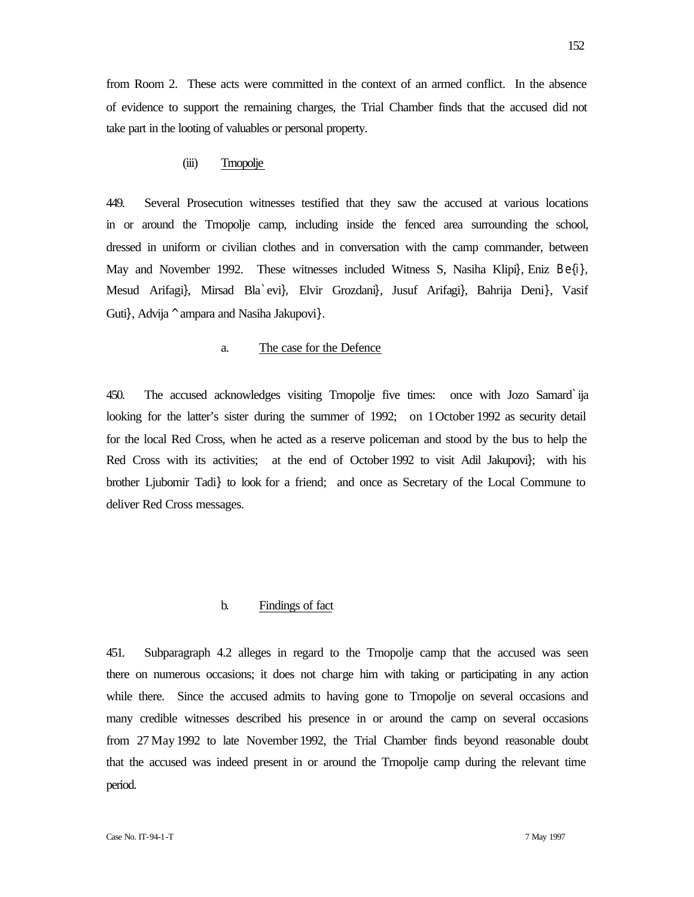from Room 2. These acts were committed in the context of an armed conflict. In the absence of evidence to support the remaining charges, the Trial Chamber finds that the accused did not take part in the looting of valuables or personal property.

### (iii) Trnopolje

449. Several Prosecution witnesses testified that they saw the accused at various locations in or around the Trnopolje camp, including inside the fenced area surrounding the school, dressed in uniform or civilian clothes and in conversation with the camp commander, between May and November 1992. These witnesses included Witness S, Nasiha Klipi}, Eniz Be{i}, Mesud Arifagi}, Mirsad Bla`evi}, Elvir Grozdani}, Jusuf Arifagi}, Bahrija Deni}, Vasif Guti}, Advija  $\land$  ampara and Nasiha Jakupovi}.

### a. The case for the Defence

450. The accused acknowledges visiting Trnopolje five times: once with Jozo Samard`ija looking for the latter's sister during the summer of 1992; on 1October 1992 as security detail for the local Red Cross, when he acted as a reserve policeman and stood by the bus to help the Red Cross with its activities; at the end of October 1992 to visit Adil Jakupovi}; with his brother Ljubomir Tadi} to look for a friend; and once as Secretary of the Local Commune to deliver Red Cross messages.

### b. Findings of fact

451. Subparagraph 4.2 alleges in regard to the Trnopolje camp that the accused was seen there on numerous occasions; it does not charge him with taking or participating in any action while there. Since the accused admits to having gone to Trnopolje on several occasions and many credible witnesses described his presence in or around the camp on several occasions from 27 May 1992 to late November 1992, the Trial Chamber finds beyond reasonable doubt that the accused was indeed present in or around the Trnopolje camp during the relevant time period.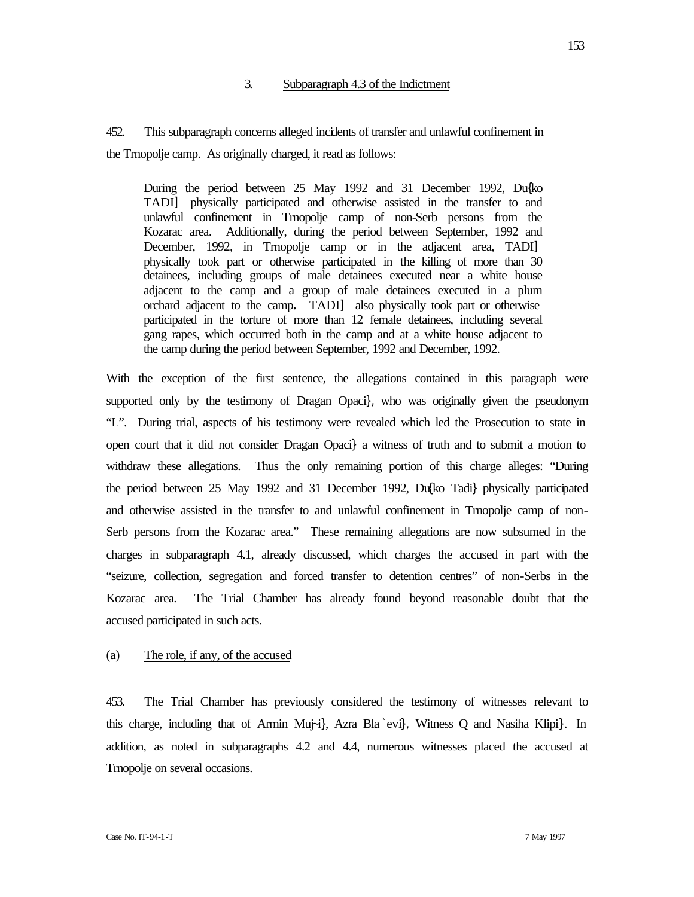### 3. Subparagraph 4.3 of the Indictment

452. This subparagraph concerns alleged incidents of transfer and unlawful confinement in the Trnopolje camp. As originally charged, it read as follows:

During the period between 25 May 1992 and 31 December 1992, Du{ko TADI] physically participated and otherwise assisted in the transfer to and unlawful confinement in Trnopolje camp of non-Serb persons from the Kozarac area. Additionally, during the period between September, 1992 and December, 1992, in Trnopolje camp or in the adjacent area, TADI] physically took part or otherwise participated in the killing of more than 30 detainees, including groups of male detainees executed near a white house adjacent to the camp and a group of male detainees executed in a plum orchard adjacent to the camp**.** TADI] also physically took part or otherwise participated in the torture of more than 12 female detainees, including several gang rapes, which occurred both in the camp and at a white house adjacent to the camp during the period between September, 1992 and December, 1992.

With the exception of the first sentence, the allegations contained in this paragraph were supported only by the testimony of Dragan Opaci}, who was originally given the pseudonym "L". During trial, aspects of his testimony were revealed which led the Prosecution to state in open court that it did not consider Dragan Opaci} a witness of truth and to submit a motion to withdraw these allegations. Thus the only remaining portion of this charge alleges: "During the period between 25 May 1992 and 31 December 1992, Du{ko Tadi} physically participated and otherwise assisted in the transfer to and unlawful confinement in Trnopolje camp of non-Serb persons from the Kozarac area." These remaining allegations are now subsumed in the charges in subparagraph 4.1, already discussed, which charges the accused in part with the "seizure, collection, segregation and forced transfer to detention centres" of non-Serbs in the Kozarac area. The Trial Chamber has already found beyond reasonable doubt that the accused participated in such acts.

#### (a) The role, if any, of the accused

453. The Trial Chamber has previously considered the testimony of witnesses relevant to this charge, including that of Armin Mu<sub>lt</sub>i}, Azra Bla evi}, Witness Q and Nasiha Klipi}. In addition, as noted in subparagraphs 4.2 and 4.4, numerous witnesses placed the accused at Trnopolje on several occasions.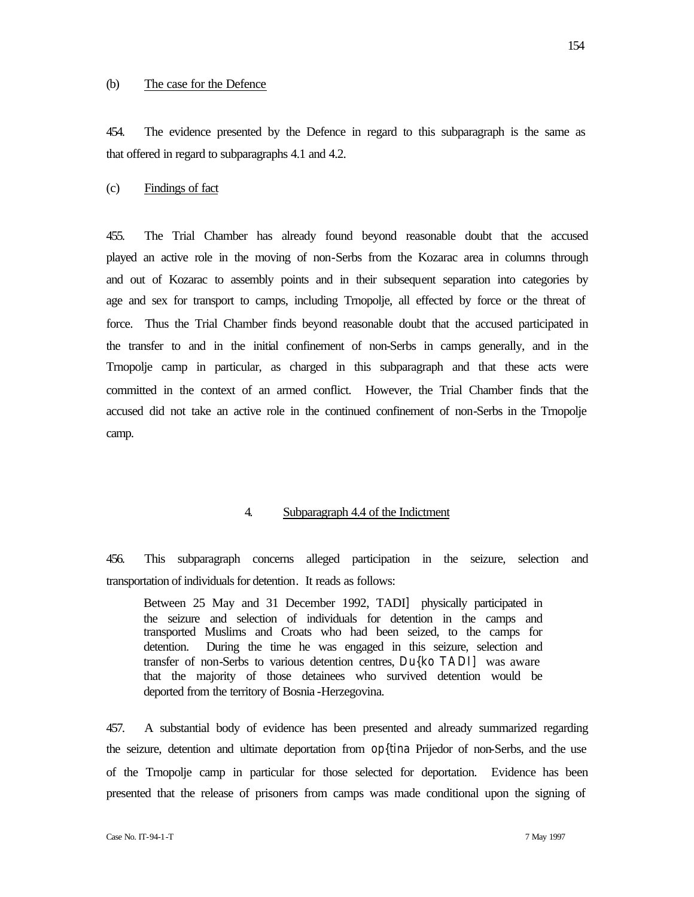### (b) The case for the Defence

454. The evidence presented by the Defence in regard to this subparagraph is the same as that offered in regard to subparagraphs 4.1 and 4.2.

### (c) Findings of fact

455. The Trial Chamber has already found beyond reasonable doubt that the accused played an active role in the moving of non-Serbs from the Kozarac area in columns through and out of Kozarac to assembly points and in their subsequent separation into categories by age and sex for transport to camps, including Trnopolje, all effected by force or the threat of force. Thus the Trial Chamber finds beyond reasonable doubt that the accused participated in the transfer to and in the initial confinement of non-Serbs in camps generally, and in the Trnopolje camp in particular, as charged in this subparagraph and that these acts were committed in the context of an armed conflict. However, the Trial Chamber finds that the accused did not take an active role in the continued confinement of non-Serbs in the Trnopolje camp.

#### 4. Subparagraph 4.4 of the Indictment

456. This subparagraph concerns alleged participation in the seizure, selection and transportation of individuals for detention. It reads as follows:

Between 25 May and 31 December 1992, TADI] physically participated in the seizure and selection of individuals for detention in the camps and transported Muslims and Croats who had been seized, to the camps for detention. During the time he was engaged in this seizure, selection and transfer of non-Serbs to various detention centres, Du{ko TADI] was aware that the majority of those detainees who survived detention would be deported from the territory of Bosnia -Herzegovina.

457. A substantial body of evidence has been presented and already summarized regarding the seizure, detention and ultimate deportation from op{tina Prijedor of non-Serbs, and the use of the Trnopolje camp in particular for those selected for deportation. Evidence has been presented that the release of prisoners from camps was made conditional upon the signing of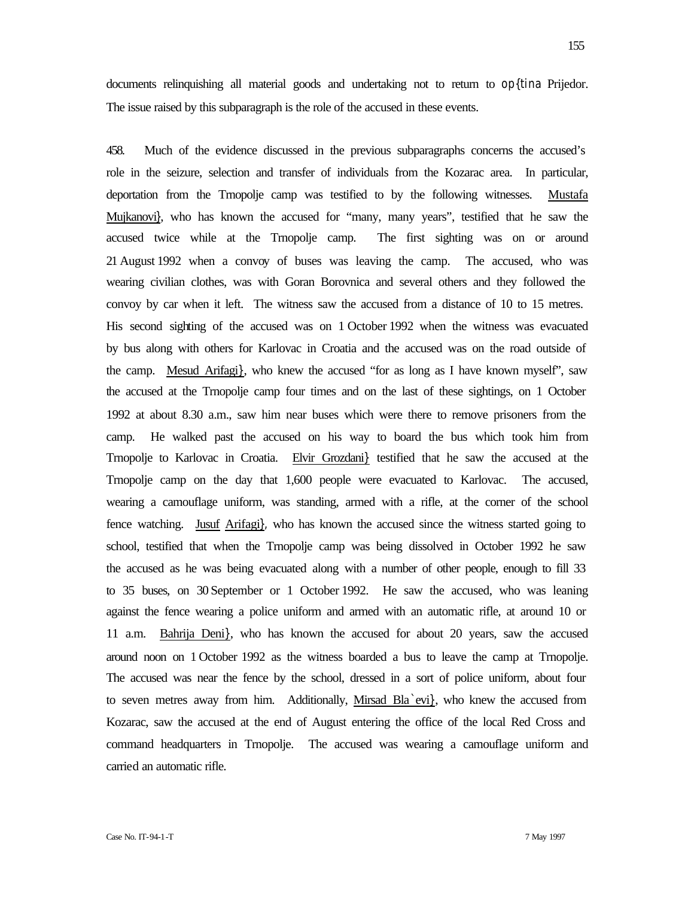documents relinquishing all material goods and undertaking not to return to op{tina Prijedor. The issue raised by this subparagraph is the role of the accused in these events.

458. Much of the evidence discussed in the previous subparagraphs concerns the accused's role in the seizure, selection and transfer of individuals from the Kozarac area. In particular, deportation from the Trnopolje camp was testified to by the following witnesses. Mustafa Mujkanovi}, who has known the accused for "many, many years", testified that he saw the accused twice while at the Trnopolje camp. The first sighting was on or around 21 August 1992 when a convoy of buses was leaving the camp. The accused, who was wearing civilian clothes, was with Goran Borovnica and several others and they followed the convoy by car when it left. The witness saw the accused from a distance of 10 to 15 metres. His second sighting of the accused was on 1 October 1992 when the witness was evacuated by bus along with others for Karlovac in Croatia and the accused was on the road outside of the camp. Mesud Arifagi}, who knew the accused "for as long as I have known myself", saw the accused at the Trnopolje camp four times and on the last of these sightings, on 1 October 1992 at about 8.30 a.m., saw him near buses which were there to remove prisoners from the camp. He walked past the accused on his way to board the bus which took him from Trnopolje to Karlovac in Croatia. Elvir Grozdani} testified that he saw the accused at the Trnopolje camp on the day that 1,600 people were evacuated to Karlovac. The accused, wearing a camouflage uniform, was standing, armed with a rifle, at the corner of the school fence watching. Jusuf Arifagi}, who has known the accused since the witness started going to school, testified that when the Trnopolje camp was being dissolved in October 1992 he saw the accused as he was being evacuated along with a number of other people, enough to fill 33 to 35 buses, on 30 September or 1 October 1992. He saw the accused, who was leaning against the fence wearing a police uniform and armed with an automatic rifle, at around 10 or 11 a.m. Bahrija Deni}, who has known the accused for about 20 years, saw the accused around noon on 1 October 1992 as the witness boarded a bus to leave the camp at Trnopolje. The accused was near the fence by the school, dressed in a sort of police uniform, about four to seven metres away from him. Additionally, Mirsad Bla`evi}, who knew the accused from Kozarac, saw the accused at the end of August entering the office of the local Red Cross and command headquarters in Trnopolje. The accused was wearing a camouflage uniform and carried an automatic rifle.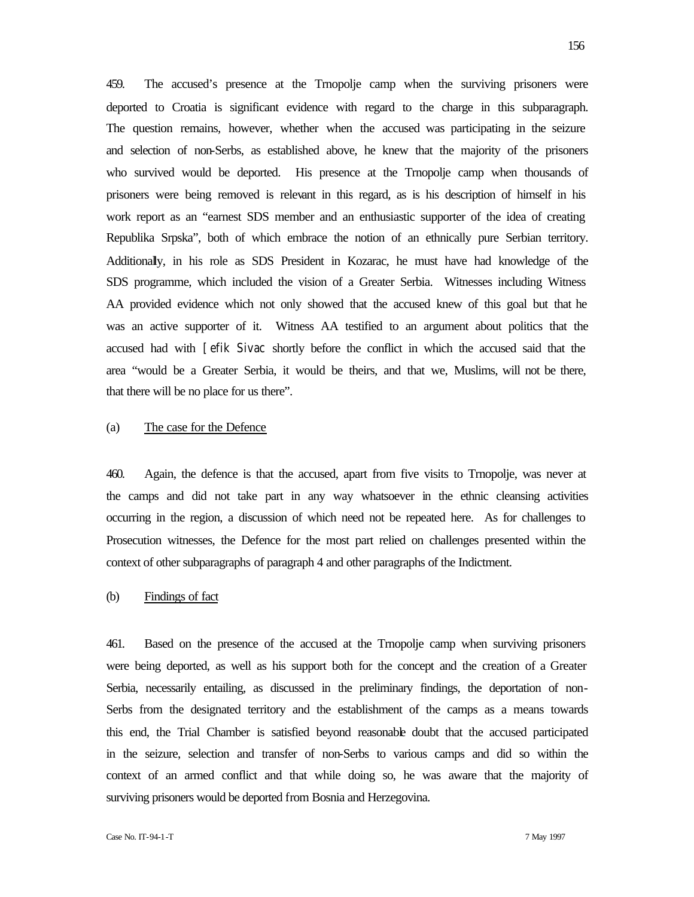459. The accused's presence at the Trnopolje camp when the surviving prisoners were deported to Croatia is significant evidence with regard to the charge in this subparagraph. The question remains, however, whether when the accused was participating in the seizure and selection of non-Serbs, as established above, he knew that the majority of the prisoners who survived would be deported. His presence at the Trnopolje camp when thousands of prisoners were being removed is relevant in this regard, as is his description of himself in his work report as an "earnest SDS member and an enthusiastic supporter of the idea of creating Republika Srpska", both of which embrace the notion of an ethnically pure Serbian territory. Additionally, in his role as SDS President in Kozarac, he must have had knowledge of the SDS programme, which included the vision of a Greater Serbia. Witnesses including Witness AA provided evidence which not only showed that the accused knew of this goal but that he was an active supporter of it. Witness AA testified to an argument about politics that the accused had with [efik Sivac shortly before the conflict in which the accused said that the area "would be a Greater Serbia, it would be theirs, and that we, Muslims, will not be there, that there will be no place for us there".

#### (a) The case for the Defence

460. Again, the defence is that the accused, apart from five visits to Trnopolje, was never at the camps and did not take part in any way whatsoever in the ethnic cleansing activities occurring in the region, a discussion of which need not be repeated here. As for challenges to Prosecution witnesses, the Defence for the most part relied on challenges presented within the context of other subparagraphs of paragraph 4 and other paragraphs of the Indictment.

### (b) Findings of fact

461. Based on the presence of the accused at the Trnopolje camp when surviving prisoners were being deported, as well as his support both for the concept and the creation of a Greater Serbia, necessarily entailing, as discussed in the preliminary findings, the deportation of non-Serbs from the designated territory and the establishment of the camps as a means towards this end, the Trial Chamber is satisfied beyond reasonable doubt that the accused participated in the seizure, selection and transfer of non-Serbs to various camps and did so within the context of an armed conflict and that while doing so, he was aware that the majority of surviving prisoners would be deported from Bosnia and Herzegovina.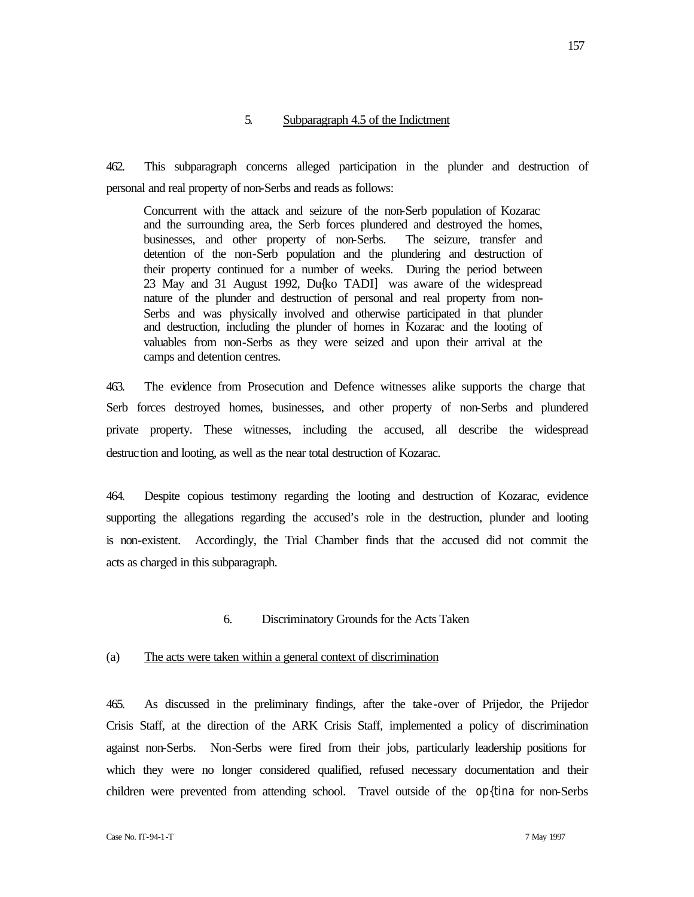### 5. Subparagraph 4.5 of the Indictment

462. This subparagraph concerns alleged participation in the plunder and destruction of personal and real property of non-Serbs and reads as follows:

Concurrent with the attack and seizure of the non-Serb population of Kozarac and the surrounding area, the Serb forces plundered and destroyed the homes, businesses, and other property of non-Serbs. The seizure, transfer and detention of the non-Serb population and the plundering and destruction of their property continued for a number of weeks. During the period between 23 May and 31 August 1992, Du{ko TADI] was aware of the widespread nature of the plunder and destruction of personal and real property from non-Serbs and was physically involved and otherwise participated in that plunder and destruction, including the plunder of homes in Kozarac and the looting of valuables from non-Serbs as they were seized and upon their arrival at the camps and detention centres.

463. The evidence from Prosecution and Defence witnesses alike supports the charge that Serb forces destroyed homes, businesses, and other property of non-Serbs and plundered private property. These witnesses, including the accused, all describe the widespread destruction and looting, as well as the near total destruction of Kozarac.

464. Despite copious testimony regarding the looting and destruction of Kozarac, evidence supporting the allegations regarding the accused's role in the destruction, plunder and looting is non-existent. Accordingly, the Trial Chamber finds that the accused did not commit the acts as charged in this subparagraph.

# 6. Discriminatory Grounds for the Acts Taken

### (a) The acts were taken within a general context of discrimination

465. As discussed in the preliminary findings, after the take-over of Prijedor, the Prijedor Crisis Staff, at the direction of the ARK Crisis Staff, implemented a policy of discrimination against non-Serbs. Non-Serbs were fired from their jobs, particularly leadership positions for which they were no longer considered qualified, refused necessary documentation and their children were prevented from attending school. Travel outside of the op{tina for non-Serbs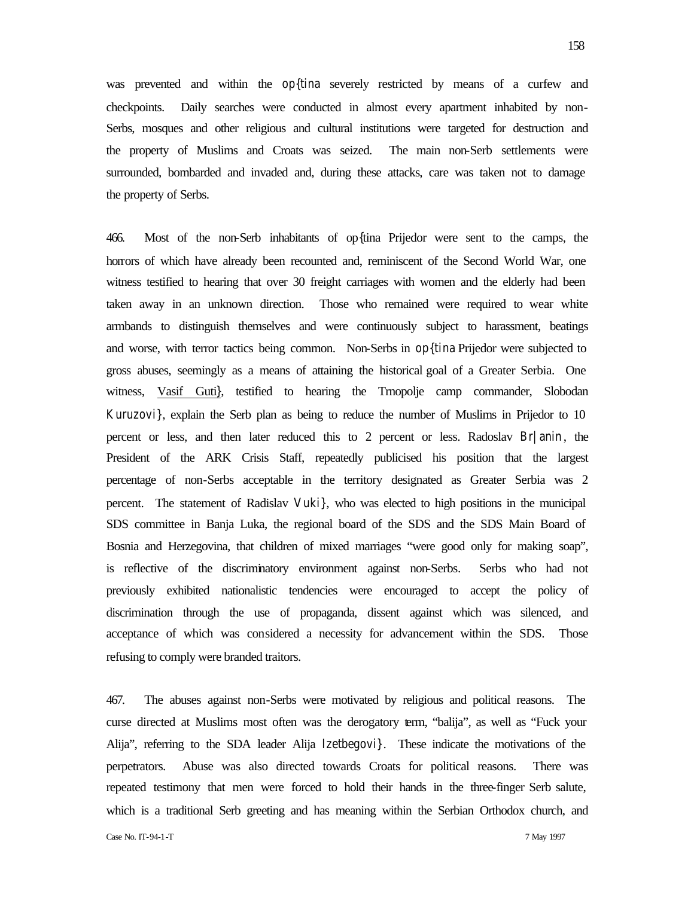was prevented and within the op{tina severely restricted by means of a curfew and checkpoints. Daily searches were conducted in almost every apartment inhabited by non-Serbs, mosques and other religious and cultural institutions were targeted for destruction and the property of Muslims and Croats was seized. The main non-Serb settlements were surrounded, bombarded and invaded and, during these attacks, care was taken not to damage the property of Serbs.

466. Most of the non-Serb inhabitants of op{tina Prijedor were sent to the camps, the horrors of which have already been recounted and, reminiscent of the Second World War, one witness testified to hearing that over 30 freight carriages with women and the elderly had been taken away in an unknown direction. Those who remained were required to wear white armbands to distinguish themselves and were continuously subject to harassment, beatings and worse, with terror tactics being common. Non-Serbs in op{tina Prijedor were subjected to gross abuses, seemingly as a means of attaining the historical goal of a Greater Serbia. One witness, Vasif Guti}, testified to hearing the Trnopolje camp commander, Slobodan Kuruzovi}, explain the Serb plan as being to reduce the number of Muslims in Prijedor to 10 percent or less, and then later reduced this to 2 percent or less. Radoslav Br|anin , the President of the ARK Crisis Staff, repeatedly publicised his position that the largest percentage of non-Serbs acceptable in the territory designated as Greater Serbia was 2 percent. The statement of Radislav Vuki}, who was elected to high positions in the municipal SDS committee in Banja Luka, the regional board of the SDS and the SDS Main Board of Bosnia and Herzegovina, that children of mixed marriages "were good only for making soap", is reflective of the discriminatory environment against non-Serbs. Serbs who had not previously exhibited nationalistic tendencies were encouraged to accept the policy of discrimination through the use of propaganda, dissent against which was silenced, and acceptance of which was considered a necessity for advancement within the SDS. Those refusing to comply were branded traitors.

467. The abuses against non-Serbs were motivated by religious and political reasons. The curse directed at Muslims most often was the derogatory term, "balija", as well as "Fuck your Alija", referring to the SDA leader Alija Izetbegovi}. These indicate the motivations of the perpetrators. Abuse was also directed towards Croats for political reasons. There was repeated testimony that men were forced to hold their hands in the three-finger Serb salute, which is a traditional Serb greeting and has meaning within the Serbian Orthodox church, and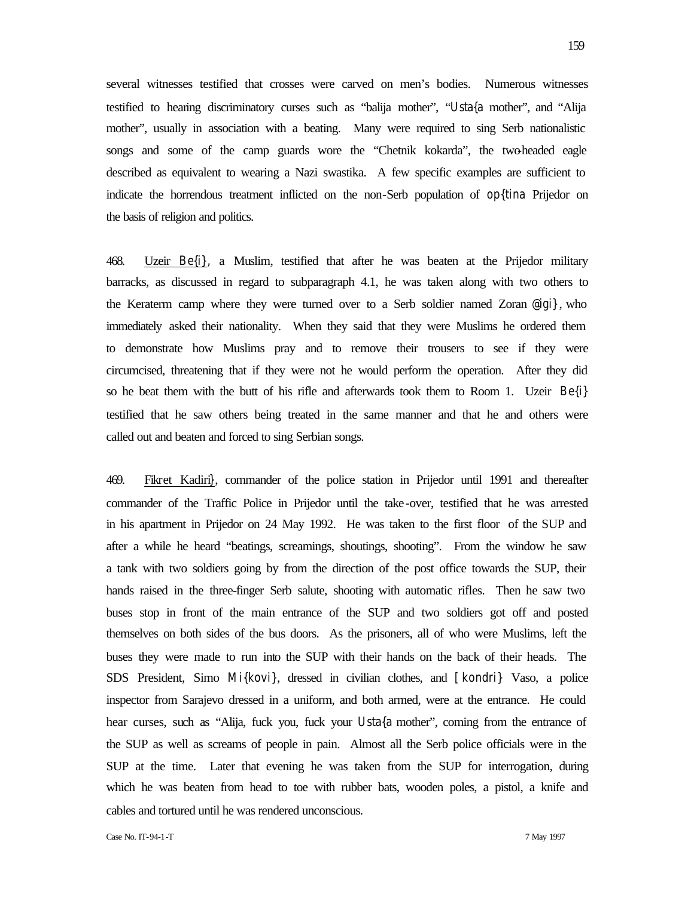several witnesses testified that crosses were carved on men's bodies. Numerous witnesses testified to hearing discriminatory curses such as "balija mother", "Usta{a mother", and "Alija mother", usually in association with a beating. Many were required to sing Serb nationalistic songs and some of the camp guards wore the "Chetnik kokarda", the two-headed eagle described as equivalent to wearing a Nazi swastika. A few specific examples are sufficient to indicate the horrendous treatment inflicted on the non-Serb population of op{tina Prijedor on the basis of religion and politics.

468. Uzeir Be{i}, a Muslim, testified that after he was beaten at the Prijedor military barracks, as discussed in regard to subparagraph 4.1, he was taken along with two others to the Keraterm camp where they were turned over to a Serb soldier named Zoran @igi} , who immediately asked their nationality. When they said that they were Muslims he ordered them to demonstrate how Muslims pray and to remove their trousers to see if they were circumcised, threatening that if they were not he would perform the operation. After they did so he beat them with the butt of his rifle and afterwards took them to Room 1. Uzeir  $\text{Be} \{i\}$ testified that he saw others being treated in the same manner and that he and others were called out and beaten and forced to sing Serbian songs.

469. Fikret Kadiri}, commander of the police station in Prijedor until 1991 and thereafter commander of the Traffic Police in Prijedor until the take-over, testified that he was arrested in his apartment in Prijedor on 24 May 1992. He was taken to the first floor of the SUP and after a while he heard "beatings, screamings, shoutings, shooting". From the window he saw a tank with two soldiers going by from the direction of the post office towards the SUP, their hands raised in the three-finger Serb salute, shooting with automatic rifles. Then he saw two buses stop in front of the main entrance of the SUP and two soldiers got off and posted themselves on both sides of the bus doors. As the prisoners, all of who were Muslims, left the buses they were made to run into the SUP with their hands on the back of their heads. The SDS President, Simo Mi{kovi}, dressed in civilian clothes, and [kondri} Vaso, a police inspector from Sarajevo dressed in a uniform, and both armed, were at the entrance. He could hear curses, such as "Alija, fuck you, fuck your Usta{a mother", coming from the entrance of the SUP as well as screams of people in pain. Almost all the Serb police officials were in the SUP at the time. Later that evening he was taken from the SUP for interrogation, during which he was beaten from head to toe with rubber bats, wooden poles, a pistol, a knife and cables and tortured until he was rendered unconscious.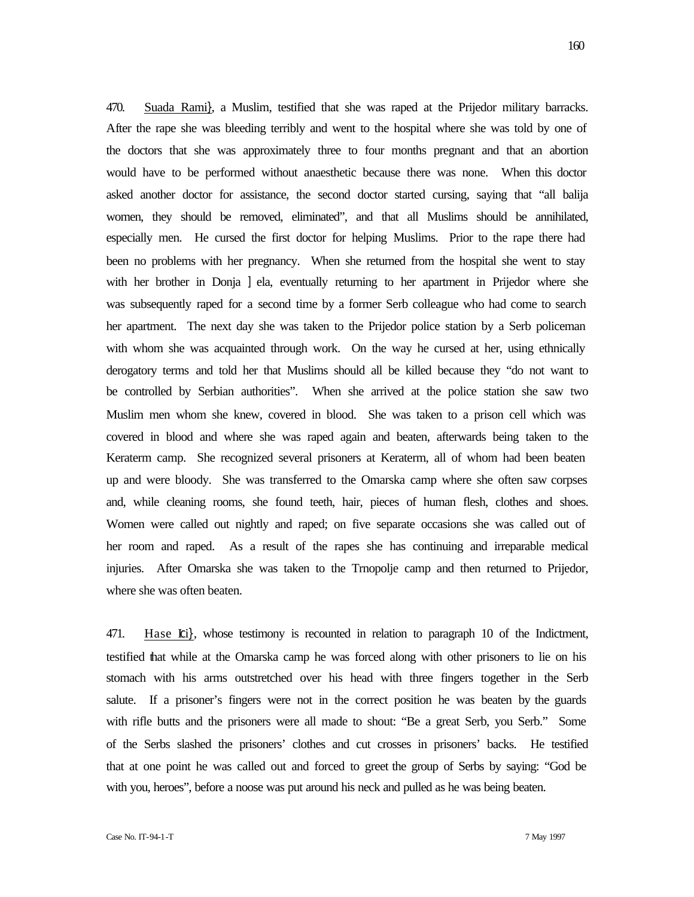470. Suada Rami}, a Muslim, testified that she was raped at the Prijedor military barracks. After the rape she was bleeding terribly and went to the hospital where she was told by one of the doctors that she was approximately three to four months pregnant and that an abortion would have to be performed without anaesthetic because there was none. When this doctor asked another doctor for assistance, the second doctor started cursing, saying that "all balija women, they should be removed, eliminated", and that all Muslims should be annihilated, especially men. He cursed the first doctor for helping Muslims. Prior to the rape there had been no problems with her pregnancy. When she returned from the hospital she went to stay with her brother in Donja ] ela, eventually returning to her apartment in Prijedor where she was subsequently raped for a second time by a former Serb colleague who had come to search her apartment. The next day she was taken to the Prijedor police station by a Serb policeman with whom she was acquainted through work. On the way he cursed at her, using ethnically derogatory terms and told her that Muslims should all be killed because they "do not want to be controlled by Serbian authorities". When she arrived at the police station she saw two Muslim men whom she knew, covered in blood. She was taken to a prison cell which was covered in blood and where she was raped again and beaten, afterwards being taken to the Keraterm camp. She recognized several prisoners at Keraterm, all of whom had been beaten

up and were bloody. She was transferred to the Omarska camp where she often saw corpses and, while cleaning rooms, she found teeth, hair, pieces of human flesh, clothes and shoes. Women were called out nightly and raped; on five separate occasions she was called out of her room and raped. As a result of the rapes she has continuing and irreparable medical injuries. After Omarska she was taken to the Trnopolje camp and then returned to Prijedor, where she was often beaten.

471. Hase Ici}, whose testimony is recounted in relation to paragraph 10 of the Indictment, testified that while at the Omarska camp he was forced along with other prisoners to lie on his stomach with his arms outstretched over his head with three fingers together in the Serb salute. If a prisoner's fingers were not in the correct position he was beaten by the guards with rifle butts and the prisoners were all made to shout: "Be a great Serb, you Serb." Some of the Serbs slashed the prisoners' clothes and cut crosses in prisoners' backs. He testified that at one point he was called out and forced to greet the group of Serbs by saying: "God be with you, heroes", before a noose was put around his neck and pulled as he was being beaten.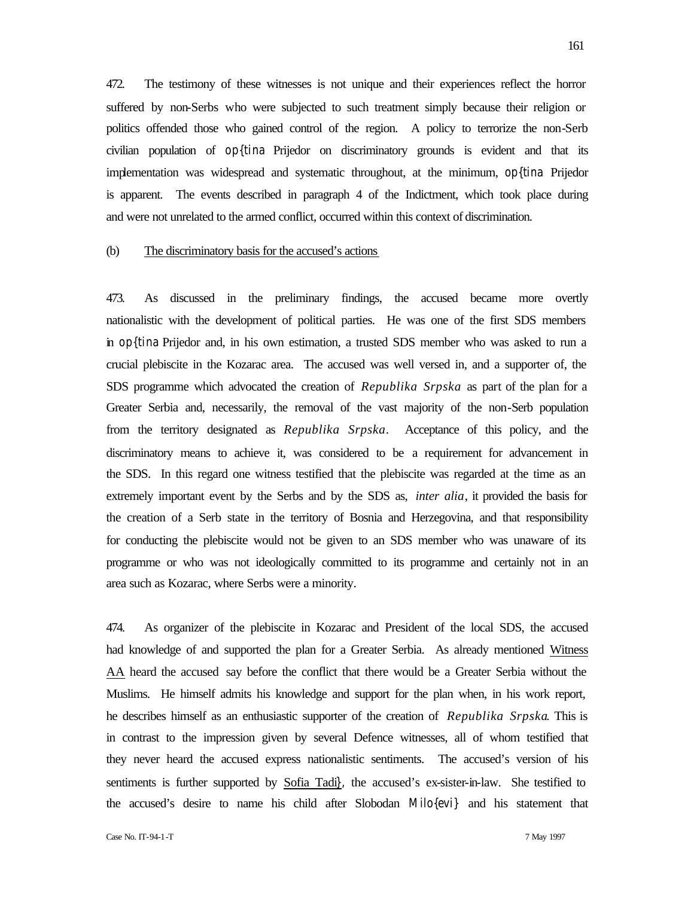472. The testimony of these witnesses is not unique and their experiences reflect the horror suffered by non-Serbs who were subjected to such treatment simply because their religion or politics offended those who gained control of the region. A policy to terrorize the non-Serb civilian population of op{tina Prijedor on discriminatory grounds is evident and that its implementation was widespread and systematic throughout, at the minimum, op{tina Prijedor is apparent. The events described in paragraph 4 of the Indictment, which took place during and were not unrelated to the armed conflict, occurred within this context of discrimination.

#### (b) The discriminatory basis for the accused's actions

473. As discussed in the preliminary findings, the accused became more overtly nationalistic with the development of political parties. He was one of the first SDS members in op{tina Prijedor and, in his own estimation, a trusted SDS member who was asked to run a crucial plebiscite in the Kozarac area. The accused was well versed in, and a supporter of, the SDS programme which advocated the creation of *Republika Srpska* as part of the plan for a Greater Serbia and, necessarily, the removal of the vast majority of the non-Serb population from the territory designated as *Republika Srpska*. Acceptance of this policy, and the discriminatory means to achieve it, was considered to be a requirement for advancement in the SDS. In this regard one witness testified that the plebiscite was regarded at the time as an extremely important event by the Serbs and by the SDS as, *inter alia*, it provided the basis for the creation of a Serb state in the territory of Bosnia and Herzegovina, and that responsibility for conducting the plebiscite would not be given to an SDS member who was unaware of its programme or who was not ideologically committed to its programme and certainly not in an area such as Kozarac, where Serbs were a minority.

474. As organizer of the plebiscite in Kozarac and President of the local SDS, the accused had knowledge of and supported the plan for a Greater Serbia. As already mentioned Witness AA heard the accused say before the conflict that there would be a Greater Serbia without the Muslims. He himself admits his knowledge and support for the plan when, in his work report, he describes himself as an enthusiastic supporter of the creation of *Republika Srpska*. This is in contrast to the impression given by several Defence witnesses, all of whom testified that they never heard the accused express nationalistic sentiments. The accused's version of his sentiments is further supported by Sofia Tadi}, the accused's ex-sister-in-law. She testified to the accused's desire to name his child after Slobodan Milo{evi} and his statement that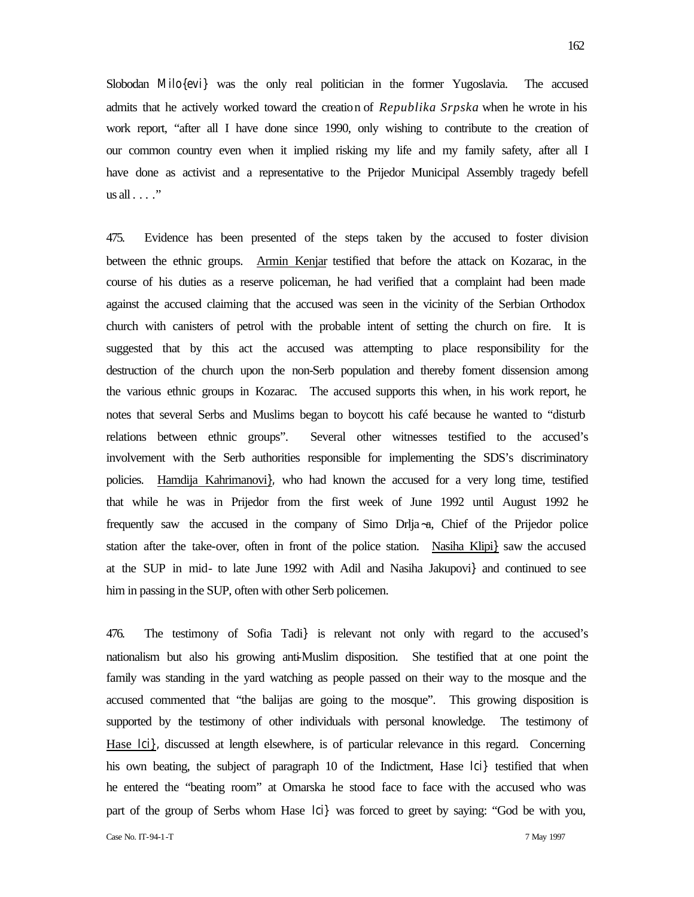Slobodan Milo{evi} was the only real politician in the former Yugoslavia. The accused admits that he actively worked toward the creation of *Republika Srpska* when he wrote in his work report, "after all I have done since 1990, only wishing to contribute to the creation of our common country even when it implied risking my life and my family safety, after all I have done as activist and a representative to the Prijedor Municipal Assembly tragedy befell us all  $\ldots$  ."

475. Evidence has been presented of the steps taken by the accused to foster division between the ethnic groups. Armin Kenjar testified that before the attack on Kozarac, in the course of his duties as a reserve policeman, he had verified that a complaint had been made against the accused claiming that the accused was seen in the vicinity of the Serbian Orthodox church with canisters of petrol with the probable intent of setting the church on fire. It is suggested that by this act the accused was attempting to place responsibility for the destruction of the church upon the non-Serb population and thereby foment dissension among the various ethnic groups in Kozarac. The accused supports this when, in his work report, he notes that several Serbs and Muslims began to boycott his café because he wanted to "disturb relations between ethnic groups". Several other witnesses testified to the accused's involvement with the Serb authorities responsible for implementing the SDS's discriminatory policies. Hamdija Kahrimanovi}, who had known the accused for a very long time, testified that while he was in Prijedor from the first week of June 1992 until August 1992 he frequently saw the accused in the company of Simo Drlja~a, Chief of the Prijedor police station after the take-over, often in front of the police station. Nasiha Klipi} saw the accused at the SUP in mid- to late June 1992 with Adil and Nasiha Jakupovi} and continued to see him in passing in the SUP, often with other Serb policemen.

476. The testimony of Sofia Tadi} is relevant not only with regard to the accused's nationalism but also his growing anti-Muslim disposition. She testified that at one point the family was standing in the yard watching as people passed on their way to the mosque and the accused commented that "the balijas are going to the mosque". This growing disposition is supported by the testimony of other individuals with personal knowledge. The testimony of Hase Ici}, discussed at length elsewhere, is of particular relevance in this regard. Concerning his own beating, the subject of paragraph 10 of the Indictment, Hase Ici} testified that when he entered the "beating room" at Omarska he stood face to face with the accused who was part of the group of Serbs whom Hase Ici} was forced to greet by saying: "God be with you,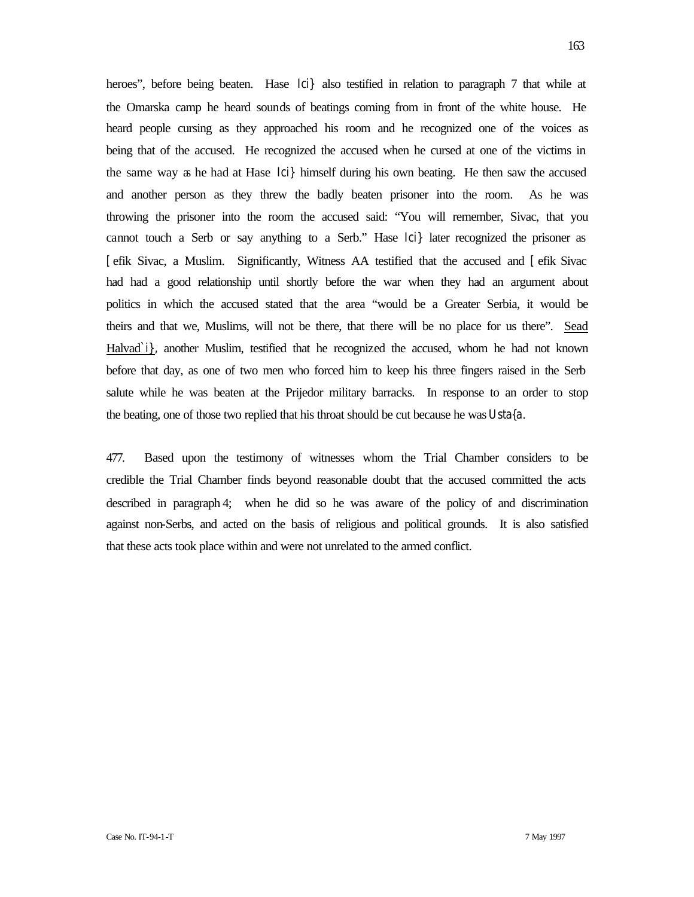heroes", before being beaten. Hase Ici} also testified in relation to paragraph 7 that while at the Omarska camp he heard sounds of beatings coming from in front of the white house. He heard people cursing as they approached his room and he recognized one of the voices as being that of the accused. He recognized the accused when he cursed at one of the victims in the same way as he had at Hase Ici} himself during his own beating. He then saw the accused and another person as they threw the badly beaten prisoner into the room. As he was throwing the prisoner into the room the accused said: "You will remember, Sivac, that you cannot touch a Serb or say anything to a Serb." Hase Ici} later recognized the prisoner as [efik Sivac, a Muslim. Significantly, Witness AA testified that the accused and [efik Sivac had had a good relationship until shortly before the war when they had an argument about politics in which the accused stated that the area "would be a Greater Serbia, it would be theirs and that we, Muslims, will not be there, that there will be no place for us there". Sead Halvad`i}, another Muslim, testified that he recognized the accused, whom he had not known before that day, as one of two men who forced him to keep his three fingers raised in the Serb salute while he was beaten at the Prijedor military barracks. In response to an order to stop the beating, one of those two replied that his throat should be cut because he was Usta{a.

477. Based upon the testimony of witnesses whom the Trial Chamber considers to be credible the Trial Chamber finds beyond reasonable doubt that the accused committed the acts described in paragraph 4; when he did so he was aware of the policy of and discrimination against non-Serbs, and acted on the basis of religious and political grounds. It is also satisfied that these acts took place within and were not unrelated to the armed conflict.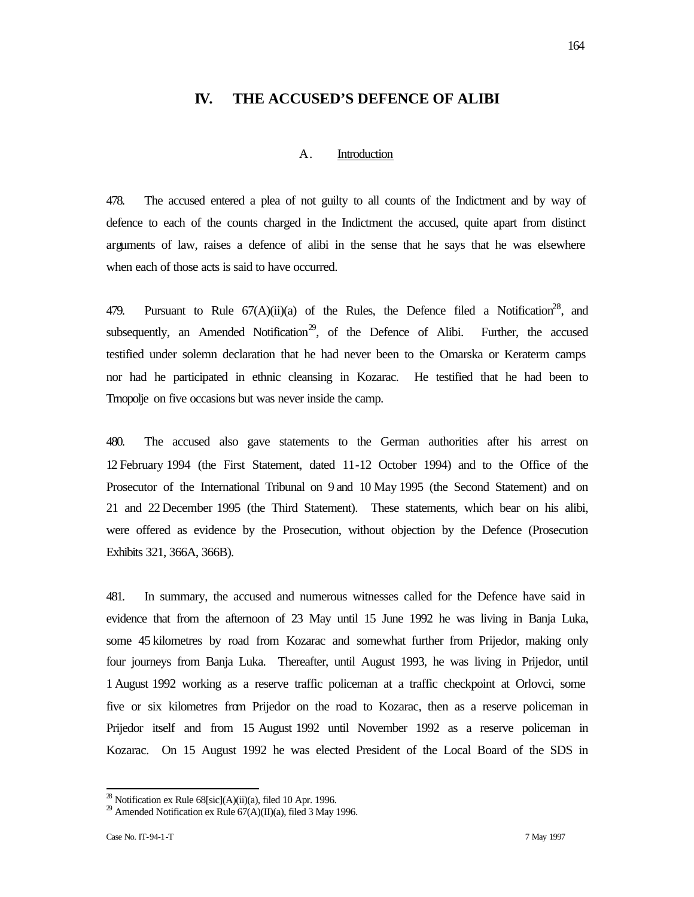# **IV. THE ACCUSED'S DEFENCE OF ALIBI**

#### A. Introduction

478. The accused entered a plea of not guilty to all counts of the Indictment and by way of defence to each of the counts charged in the Indictment the accused, quite apart from distinct arguments of law, raises a defence of alibi in the sense that he says that he was elsewhere when each of those acts is said to have occurred.

479. Pursuant to Rule  $67(A)(ii)(a)$  of the Rules, the Defence filed a Notification<sup>28</sup>, and subsequently, an Amended Notification<sup>29</sup>, of the Defence of Alibi. Further, the accused testified under solemn declaration that he had never been to the Omarska or Keraterm camps nor had he participated in ethnic cleansing in Kozarac. He testified that he had been to Trnopolje on five occasions but was never inside the camp.

480. The accused also gave statements to the German authorities after his arrest on 12 February 1994 (the First Statement, dated 11-12 October 1994) and to the Office of the Prosecutor of the International Tribunal on 9 and 10 May 1995 (the Second Statement) and on 21 and 22 December 1995 (the Third Statement). These statements, which bear on his alibi, were offered as evidence by the Prosecution, without objection by the Defence (Prosecution Exhibits 321, 366A, 366B).

481. In summary, the accused and numerous witnesses called for the Defence have said in evidence that from the afternoon of 23 May until 15 June 1992 he was living in Banja Luka, some 45 kilometres by road from Kozarac and somewhat further from Prijedor, making only four journeys from Banja Luka. Thereafter, until August 1993, he was living in Prijedor, until 1 August 1992 working as a reserve traffic policeman at a traffic checkpoint at Orlovci, some five or six kilometres from Prijedor on the road to Kozarac, then as a reserve policeman in Prijedor itself and from 15 August 1992 until November 1992 as a reserve policeman in Kozarac. On 15 August 1992 he was elected President of the Local Board of the SDS in

 $\overline{a}$ 

 $^{28}$  Notification ex Rule 68[sic](A)(ii)(a), filed 10 Apr. 1996.

 $^{29}$  Amended Notification ex Rule 67(A)(II)(a), filed 3 May 1996.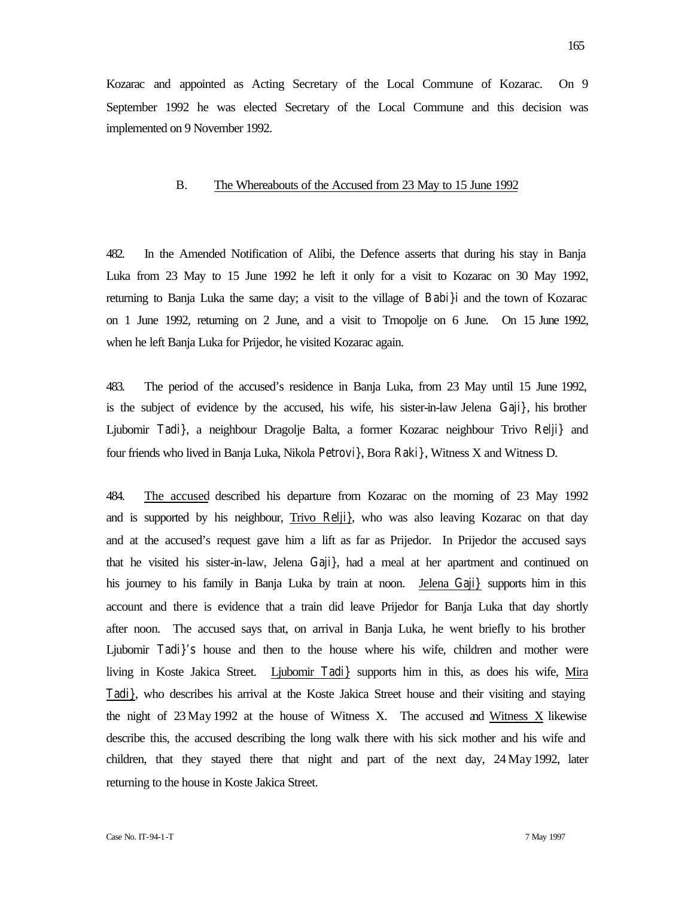Kozarac and appointed as Acting Secretary of the Local Commune of Kozarac. On 9 September 1992 he was elected Secretary of the Local Commune and this decision was implemented on 9 November 1992.

#### B. The Whereabouts of the Accused from 23 May to 15 June 1992

482. In the Amended Notification of Alibi, the Defence asserts that during his stay in Banja Luka from 23 May to 15 June 1992 he left it only for a visit to Kozarac on 30 May 1992, returning to Banja Luka the same day; a visit to the village of Babi}i and the town of Kozarac on 1 June 1992, returning on 2 June, and a visit to Trnopolje on 6 June. On 15 June 1992, when he left Banja Luka for Prijedor, he visited Kozarac again.

483. The period of the accused's residence in Banja Luka, from 23 May until 15 June 1992, is the subject of evidence by the accused, his wife, his sister-in-law Jelena Gaji}, his brother Ljubomir Tadi}, a neighbour Dragolje Balta, a former Kozarac neighbour Trivo Relji} and four friends who lived in Banja Luka, Nikola Petrovi}, Bora Raki}, Witness X and Witness D.

484. The accused described his departure from Kozarac on the morning of 23 May 1992 and is supported by his neighbour, Trivo Relji}, who was also leaving Kozarac on that day and at the accused's request gave him a lift as far as Prijedor. In Prijedor the accused says that he visited his sister-in-law, Jelena Gaji}, had a meal at her apartment and continued on his journey to his family in Banja Luka by train at noon. Jelena Gaji supports him in this account and there is evidence that a train did leave Prijedor for Banja Luka that day shortly after noon. The accused says that, on arrival in Banja Luka, he went briefly to his brother Ljubomir Tadi}'s house and then to the house where his wife, children and mother were living in Koste Jakica Street. Ljubomir Tadi supports him in this, as does his wife, Mira Tadi}, who describes his arrival at the Koste Jakica Street house and their visiting and staying the night of 23May 1992 at the house of Witness X. The accused and Witness X likewise describe this, the accused describing the long walk there with his sick mother and his wife and children, that they stayed there that night and part of the next day, 24 May 1992, later returning to the house in Koste Jakica Street.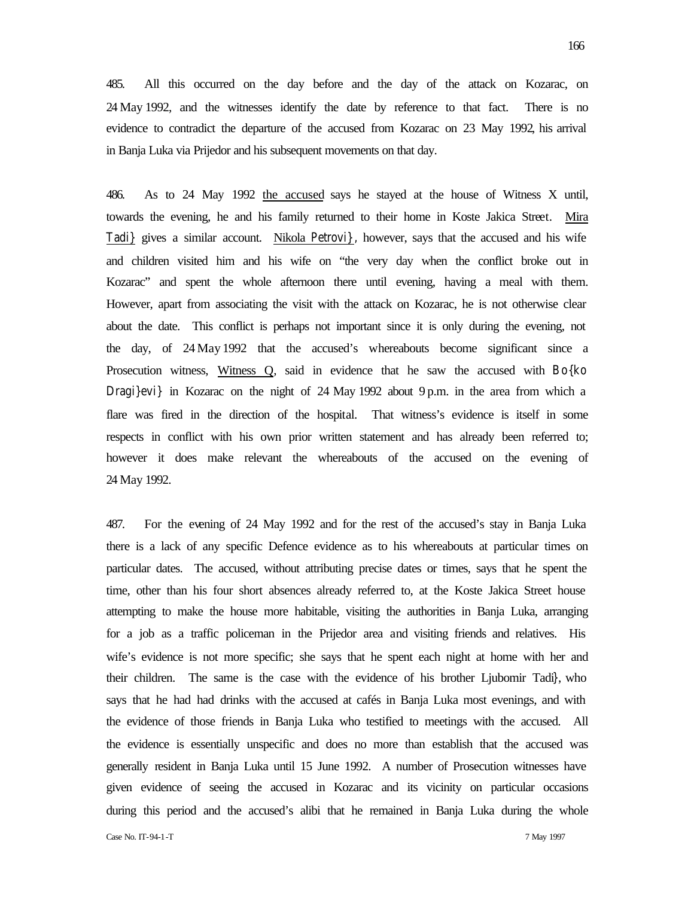485. All this occurred on the day before and the day of the attack on Kozarac, on 24 May 1992, and the witnesses identify the date by reference to that fact. There is no evidence to contradict the departure of the accused from Kozarac on 23 May 1992, his arrival in Banja Luka via Prijedor and his subsequent movements on that day.

486. As to 24 May 1992 the accused says he stayed at the house of Witness X until, towards the evening, he and his family returned to their home in Koste Jakica Street. Mira Tadi} gives a similar account. Nikola Petrovi} , however, says that the accused and his wife and children visited him and his wife on "the very day when the conflict broke out in Kozarac" and spent the whole afternoon there until evening, having a meal with them. However, apart from associating the visit with the attack on Kozarac, he is not otherwise clear about the date. This conflict is perhaps not important since it is only during the evening, not the day, of 24 May 1992 that the accused's whereabouts become significant since a Prosecution witness, Witness Q, said in evidence that he saw the accused with Bo{ko Dragi}evi} in Kozarac on the night of 24 May 1992 about 9 p.m. in the area from which a flare was fired in the direction of the hospital. That witness's evidence is itself in some respects in conflict with his own prior written statement and has already been referred to; however it does make relevant the whereabouts of the accused on the evening of 24 May 1992.

487. For the evening of 24 May 1992 and for the rest of the accused's stay in Banja Luka there is a lack of any specific Defence evidence as to his whereabouts at particular times on particular dates. The accused, without attributing precise dates or times, says that he spent the time, other than his four short absences already referred to, at the Koste Jakica Street house attempting to make the house more habitable, visiting the authorities in Banja Luka, arranging for a job as a traffic policeman in the Prijedor area and visiting friends and relatives. His wife's evidence is not more specific; she says that he spent each night at home with her and their children. The same is the case with the evidence of his brother Ljubomir Tadi}, who says that he had had drinks with the accused at cafés in Banja Luka most evenings, and with the evidence of those friends in Banja Luka who testified to meetings with the accused. All the evidence is essentially unspecific and does no more than establish that the accused was generally resident in Banja Luka until 15 June 1992. A number of Prosecution witnesses have given evidence of seeing the accused in Kozarac and its vicinity on particular occasions during this period and the accused's alibi that he remained in Banja Luka during the whole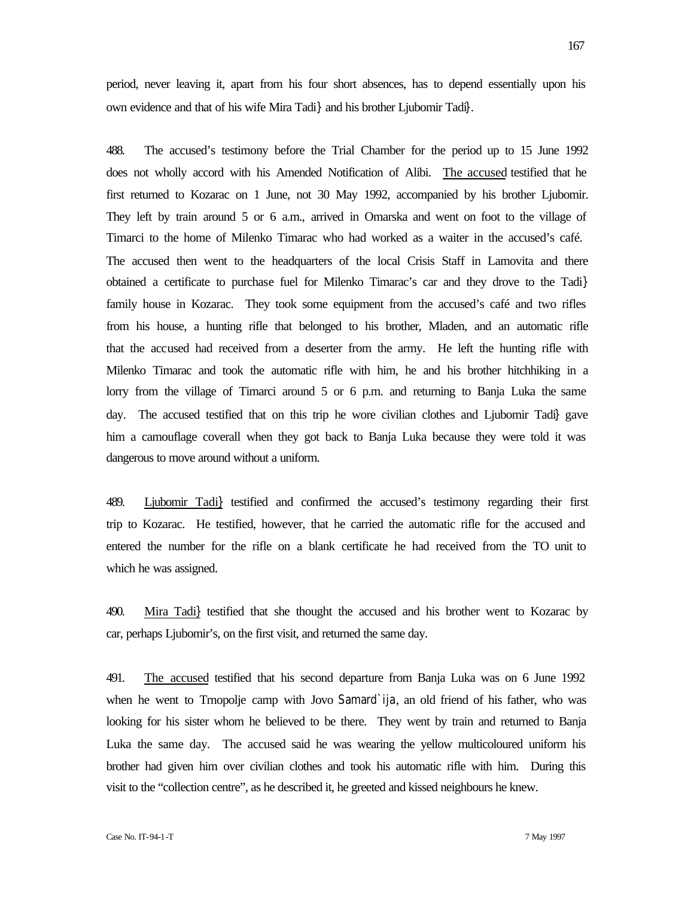period, never leaving it, apart from his four short absences, has to depend essentially upon his own evidence and that of his wife Mira Tadi} and his brother Ljubomir Tadi}.

488. The accused's testimony before the Trial Chamber for the period up to 15 June 1992 does not wholly accord with his Amended Notification of Alibi. The accused testified that he first returned to Kozarac on 1 June, not 30 May 1992, accompanied by his brother Ljubomir. They left by train around 5 or 6 a.m., arrived in Omarska and went on foot to the village of Timarci to the home of Milenko Timarac who had worked as a waiter in the accused's café. The accused then went to the headquarters of the local Crisis Staff in Lamovita and there obtained a certificate to purchase fuel for Milenko Timarac's car and they drove to the Tadi} family house in Kozarac. They took some equipment from the accused's café and two rifles from his house, a hunting rifle that belonged to his brother, Mladen, and an automatic rifle that the accused had received from a deserter from the army. He left the hunting rifle with Milenko Timarac and took the automatic rifle with him, he and his brother hitchhiking in a lorry from the village of Timarci around 5 or 6 p.m. and returning to Banja Luka the same day. The accused testified that on this trip he wore civilian clothes and Ljubomir Tadi} gave him a camouflage coverall when they got back to Banja Luka because they were told it was dangerous to move around without a uniform.

489. Ljubomir Tadi} testified and confirmed the accused's testimony regarding their first trip to Kozarac. He testified, however, that he carried the automatic rifle for the accused and entered the number for the rifle on a blank certificate he had received from the TO unit to which he was assigned.

490. Mira Tadi} testified that she thought the accused and his brother went to Kozarac by car, perhaps Ljubomir's, on the first visit, and returned the same day.

491. The accused testified that his second departure from Banja Luka was on 6 June 1992 when he went to Trnopolje camp with Jovo Samard`ija, an old friend of his father, who was looking for his sister whom he believed to be there. They went by train and returned to Banja Luka the same day. The accused said he was wearing the yellow multicoloured uniform his brother had given him over civilian clothes and took his automatic rifle with him. During this visit to the "collection centre", as he described it, he greeted and kissed neighbours he knew.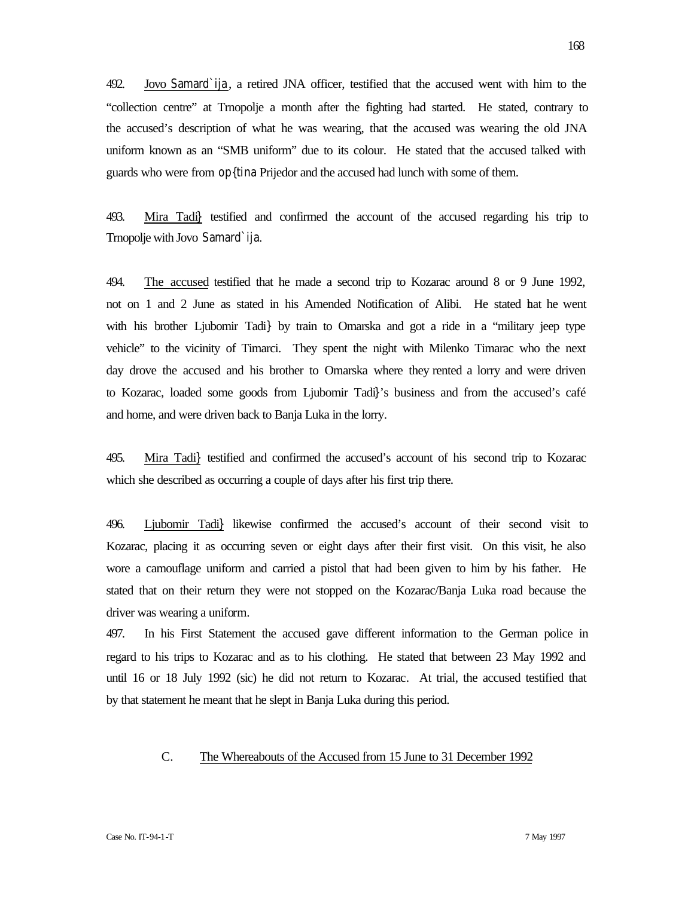492. Jovo Samard`ija , a retired JNA officer, testified that the accused went with him to the "collection centre" at Trnopolje a month after the fighting had started. He stated, contrary to the accused's description of what he was wearing, that the accused was wearing the old JNA uniform known as an "SMB uniform" due to its colour. He stated that the accused talked with guards who were from op{tina Prijedor and the accused had lunch with some of them.

493. Mira Tadi} testified and confirmed the account of the accused regarding his trip to Trnopolje with Jovo Samard`ija.

494. The accused testified that he made a second trip to Kozarac around 8 or 9 June 1992, not on 1 and 2 June as stated in his Amended Notification of Alibi. He stated that he went with his brother Ljubomir Tadi} by train to Omarska and got a ride in a "military jeep type vehicle" to the vicinity of Timarci. They spent the night with Milenko Timarac who the next day drove the accused and his brother to Omarska where they rented a lorry and were driven to Kozarac, loaded some goods from Ljubomir Tadi}'s business and from the accused's café and home, and were driven back to Banja Luka in the lorry.

495. Mira Tadi} testified and confirmed the accused's account of his second trip to Kozarac which she described as occurring a couple of days after his first trip there.

496. Ljubomir Tadi} likewise confirmed the accused's account of their second visit to Kozarac, placing it as occurring seven or eight days after their first visit. On this visit, he also wore a camouflage uniform and carried a pistol that had been given to him by his father. He stated that on their return they were not stopped on the Kozarac/Banja Luka road because the driver was wearing a uniform.

497. In his First Statement the accused gave different information to the German police in regard to his trips to Kozarac and as to his clothing. He stated that between 23 May 1992 and until 16 or 18 July 1992 (sic) he did not return to Kozarac. At trial, the accused testified that by that statement he meant that he slept in Banja Luka during this period.

#### C. The Whereabouts of the Accused from 15 June to 31 December 1992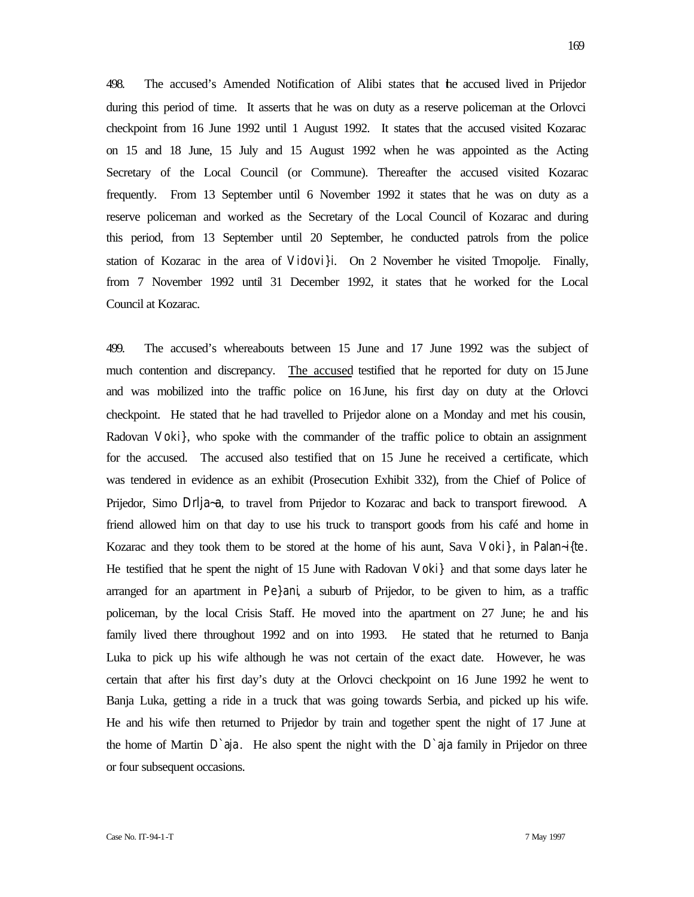498. The accused's Amended Notification of Alibi states that the accused lived in Prijedor during this period of time. It asserts that he was on duty as a reserve policeman at the Orlovci checkpoint from 16 June 1992 until 1 August 1992. It states that the accused visited Kozarac on 15 and 18 June, 15 July and 15 August 1992 when he was appointed as the Acting Secretary of the Local Council (or Commune). Thereafter the accused visited Kozarac frequently. From 13 September until 6 November 1992 it states that he was on duty as a reserve policeman and worked as the Secretary of the Local Council of Kozarac and during this period, from 13 September until 20 September, he conducted patrols from the police station of Kozarac in the area of Vidovi}i. On 2 November he visited Trnopolje. Finally, from 7 November 1992 until 31 December 1992, it states that he worked for the Local Council at Kozarac.

499. The accused's whereabouts between 15 June and 17 June 1992 was the subject of much contention and discrepancy. The accused testified that he reported for duty on 15 June and was mobilized into the traffic police on 16 June, his first day on duty at the Orlovci checkpoint. He stated that he had travelled to Prijedor alone on a Monday and met his cousin, Radovan Voki}, who spoke with the commander of the traffic police to obtain an assignment for the accused. The accused also testified that on 15 June he received a certificate, which was tendered in evidence as an exhibit (Prosecution Exhibit 332), from the Chief of Police of Prijedor, Simo Drlja~a, to travel from Prijedor to Kozarac and back to transport firewood. A friend allowed him on that day to use his truck to transport goods from his café and home in Kozarac and they took them to be stored at the home of his aunt, Sava Voki}, in Palan~i{te . He testified that he spent the night of 15 June with Radovan Voki} and that some days later he arranged for an apartment in Pe}ani, a suburb of Prijedor, to be given to him, as a traffic policeman, by the local Crisis Staff. He moved into the apartment on 27 June; he and his family lived there throughout 1992 and on into 1993. He stated that he returned to Banja Luka to pick up his wife although he was not certain of the exact date. However, he was certain that after his first day's duty at the Orlovci checkpoint on 16 June 1992 he went to Banja Luka, getting a ride in a truck that was going towards Serbia, and picked up his wife. He and his wife then returned to Prijedor by train and together spent the night of 17 June at the home of Martin  $D$  aja. He also spent the night with the  $D$  aja family in Prijedor on three or four subsequent occasions.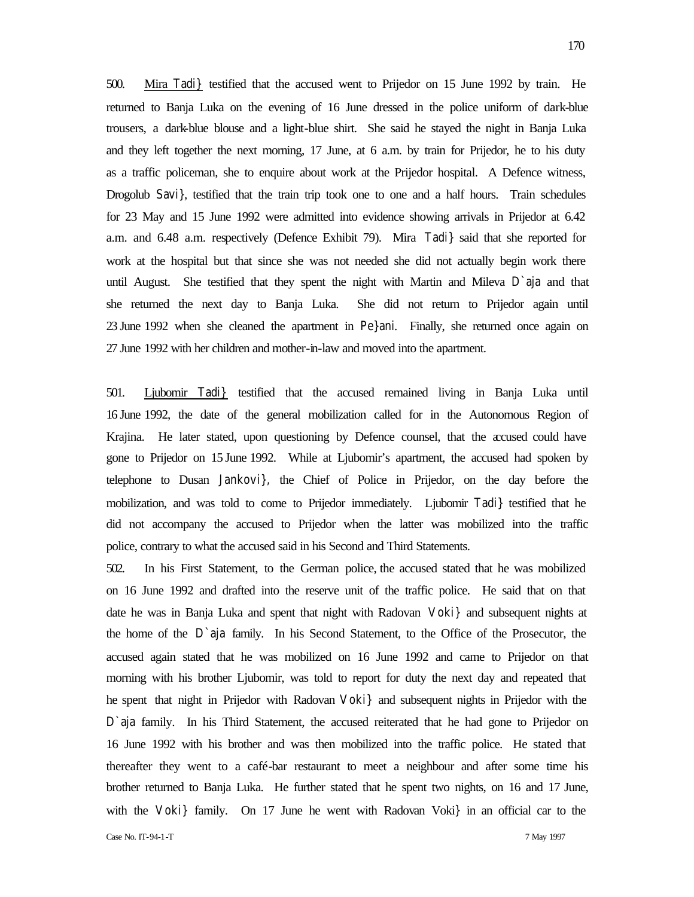500. Mira Tadi} testified that the accused went to Prijedor on 15 June 1992 by train. He returned to Banja Luka on the evening of 16 June dressed in the police uniform of dark-blue trousers, a dark-blue blouse and a light-blue shirt. She said he stayed the night in Banja Luka and they left together the next morning, 17 June, at 6 a.m. by train for Prijedor, he to his duty as a traffic policeman, she to enquire about work at the Prijedor hospital. A Defence witness, Drogolub Savi}, testified that the train trip took one to one and a half hours. Train schedules for 23 May and 15 June 1992 were admitted into evidence showing arrivals in Prijedor at 6.42 a.m. and 6.48 a.m. respectively (Defence Exhibit 79). Mira Tadi} said that she reported for work at the hospital but that since she was not needed she did not actually begin work there until August. She testified that they spent the night with Martin and Mileva D`aja and that she returned the next day to Banja Luka. She did not return to Prijedor again until 23 June 1992 when she cleaned the apartment in Pe}ani. Finally, she returned once again on 27 June 1992 with her children and mother-in-law and moved into the apartment.

501. Ljubomir Tadi} testified that the accused remained living in Banja Luka until 16 June 1992, the date of the general mobilization called for in the Autonomous Region of Krajina. He later stated, upon questioning by Defence counsel, that the accused could have gone to Prijedor on 15 June 1992. While at Ljubomir's apartment, the accused had spoken by telephone to Dusan Jankovi}, the Chief of Police in Prijedor, on the day before the mobilization, and was told to come to Prijedor immediately. Ljubomir Tadi} testified that he did not accompany the accused to Prijedor when the latter was mobilized into the traffic police, contrary to what the accused said in his Second and Third Statements.

502. In his First Statement, to the German police, the accused stated that he was mobilized on 16 June 1992 and drafted into the reserve unit of the traffic police. He said that on that date he was in Banja Luka and spent that night with Radovan Voki} and subsequent nights at the home of the D`aja family. In his Second Statement, to the Office of the Prosecutor, the accused again stated that he was mobilized on 16 June 1992 and came to Prijedor on that morning with his brother Ljubomir, was told to report for duty the next day and repeated that he spent that night in Prijedor with Radovan Voki} and subsequent nights in Prijedor with the D`aja family. In his Third Statement, the accused reiterated that he had gone to Prijedor on 16 June 1992 with his brother and was then mobilized into the traffic police. He stated that thereafter they went to a café-bar restaurant to meet a neighbour and after some time his brother returned to Banja Luka. He further stated that he spent two nights, on 16 and 17 June, with the Voki family. On 17 June he went with Radovan Voki in an official car to the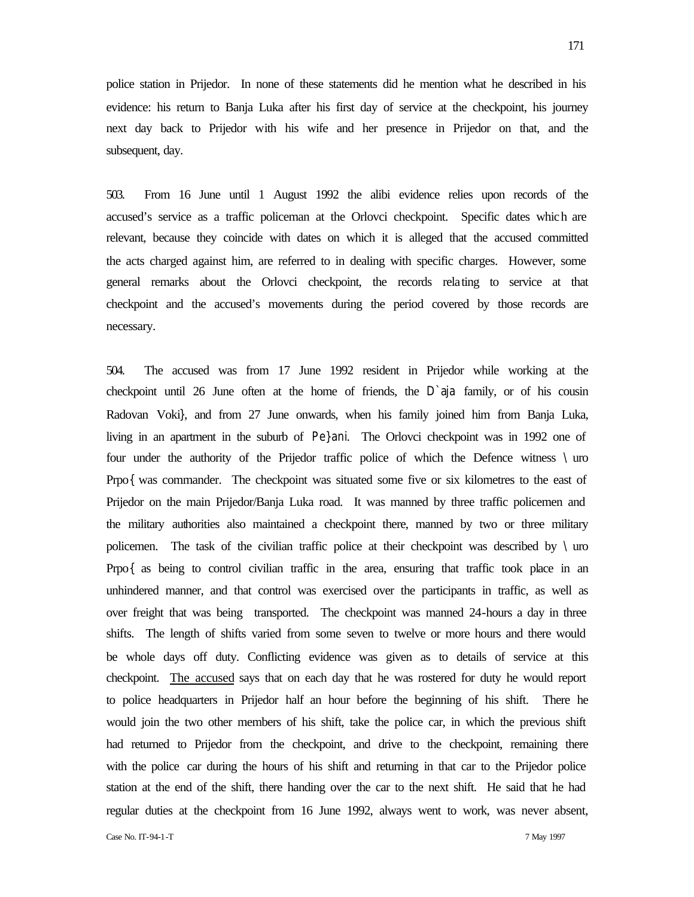police station in Prijedor. In none of these statements did he mention what he described in his evidence: his return to Banja Luka after his first day of service at the checkpoint, his journey next day back to Prijedor with his wife and her presence in Prijedor on that, and the subsequent, day.

503. From 16 June until 1 August 1992 the alibi evidence relies upon records of the accused's service as a traffic policeman at the Orlovci checkpoint. Specific dates which are relevant, because they coincide with dates on which it is alleged that the accused committed the acts charged against him, are referred to in dealing with specific charges. However, some general remarks about the Orlovci checkpoint, the records relating to service at that checkpoint and the accused's movements during the period covered by those records are necessary.

504. The accused was from 17 June 1992 resident in Prijedor while working at the checkpoint until 26 June often at the home of friends, the D`aja family, or of his cousin Radovan Voki}, and from 27 June onwards, when his family joined him from Banja Luka, living in an apartment in the suburb of Pe}ani. The Orlovci checkpoint was in 1992 one of four under the authority of the Prijedor traffic police of which the Defence witness \uro Prpo{ was commander. The checkpoint was situated some five or six kilometres to the east of Prijedor on the main Prijedor/Banja Luka road. It was manned by three traffic policemen and the military authorities also maintained a checkpoint there, manned by two or three military policemen. The task of the civilian traffic police at their checkpoint was described by  $\lambda$ uro Prpo{ as being to control civilian traffic in the area, ensuring that traffic took place in an unhindered manner, and that control was exercised over the participants in traffic, as well as over freight that was being transported. The checkpoint was manned 24-hours a day in three shifts. The length of shifts varied from some seven to twelve or more hours and there would be whole days off duty. Conflicting evidence was given as to details of service at this checkpoint. The accused says that on each day that he was rostered for duty he would report to police headquarters in Prijedor half an hour before the beginning of his shift. There he would join the two other members of his shift, take the police car, in which the previous shift had returned to Prijedor from the checkpoint, and drive to the checkpoint, remaining there with the police car during the hours of his shift and returning in that car to the Prijedor police station at the end of the shift, there handing over the car to the next shift. He said that he had regular duties at the checkpoint from 16 June 1992, always went to work, was never absent,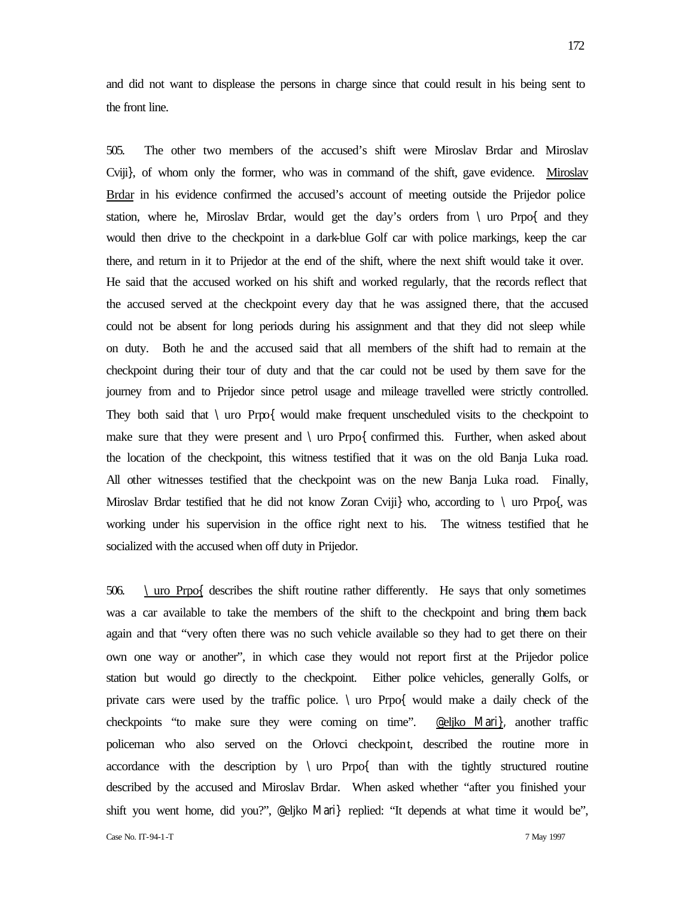and did not want to displease the persons in charge since that could result in his being sent to the front line.

505. The other two members of the accused's shift were Miroslav Brdar and Miroslav Cviji}, of whom only the former, who was in command of the shift, gave evidence. Miroslav Brdar in his evidence confirmed the accused's account of meeting outside the Prijedor police station, where he, Miroslav Brdar, would get the day's orders from \uro Prpo{ and they would then drive to the checkpoint in a dark-blue Golf car with police markings, keep the car there, and return in it to Prijedor at the end of the shift, where the next shift would take it over. He said that the accused worked on his shift and worked regularly, that the records reflect that the accused served at the checkpoint every day that he was assigned there, that the accused could not be absent for long periods during his assignment and that they did not sleep while on duty. Both he and the accused said that all members of the shift had to remain at the checkpoint during their tour of duty and that the car could not be used by them save for the journey from and to Prijedor since petrol usage and mileage travelled were strictly controlled. They both said that \uro Prpo{ would make frequent unscheduled visits to the checkpoint to make sure that they were present and \uro Prpo{ confirmed this. Further, when asked about the location of the checkpoint, this witness testified that it was on the old Banja Luka road. All other witnesses testified that the checkpoint was on the new Banja Luka road. Finally, Miroslav Brdar testified that he did not know Zoran Cviji} who, according to \uro Prpo{, was working under his supervision in the office right next to his. The witness testified that he socialized with the accused when off duty in Prijedor.

506. \uro Prpo{ describes the shift routine rather differently. He says that only sometimes was a car available to take the members of the shift to the checkpoint and bring them back again and that "very often there was no such vehicle available so they had to get there on their own one way or another", in which case they would not report first at the Prijedor police station but would go directly to the checkpoint. Either police vehicles, generally Golfs, or private cars were used by the traffic police. \uro Prpo{ would make a daily check of the checkpoints "to make sure they were coming on time". @eljko Mari}, another traffic policeman who also served on the Orlovci checkpoint, described the routine more in accordance with the description by \uro Prpo{ than with the tightly structured routine described by the accused and Miroslav Brdar. When asked whether "after you finished your shift you went home, did you?", @eljko Mari} replied: "It depends at what time it would be",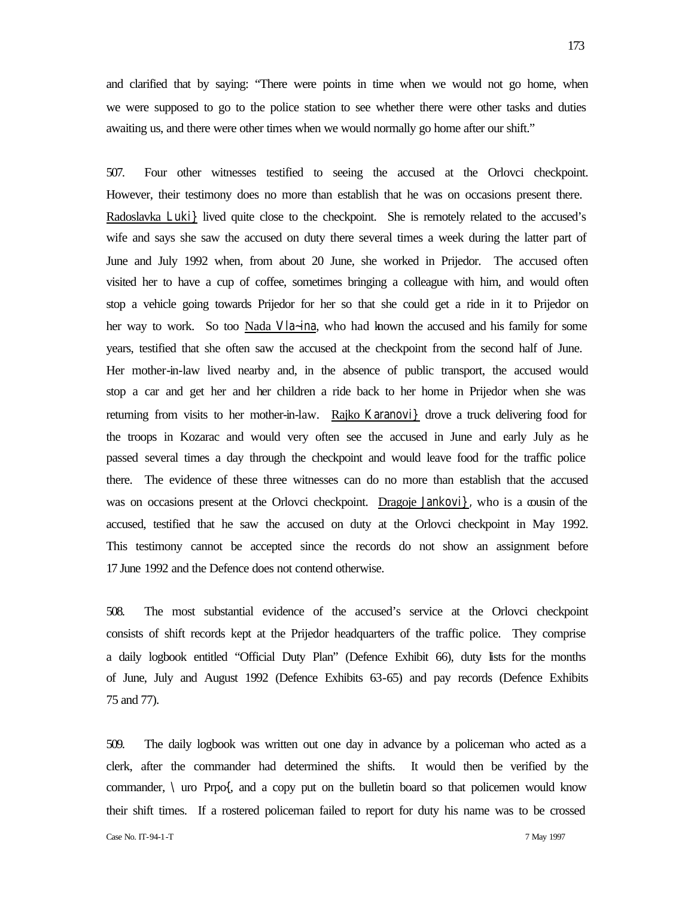and clarified that by saying: "There were points in time when we would not go home, when we were supposed to go to the police station to see whether there were other tasks and duties awaiting us, and there were other times when we would normally go home after our shift."

507. Four other witnesses testified to seeing the accused at the Orlovci checkpoint. However, their testimony does no more than establish that he was on occasions present there. Radoslavka Luki} lived quite close to the checkpoint. She is remotely related to the accused's wife and says she saw the accused on duty there several times a week during the latter part of June and July 1992 when, from about 20 June, she worked in Prijedor. The accused often visited her to have a cup of coffee, sometimes bringing a colleague with him, and would often stop a vehicle going towards Prijedor for her so that she could get a ride in it to Prijedor on her way to work. So too Nada Vla~ina, who had known the accused and his family for some years, testified that she often saw the accused at the checkpoint from the second half of June. Her mother-in-law lived nearby and, in the absence of public transport, the accused would stop a car and get her and her children a ride back to her home in Prijedor when she was returning from visits to her mother-in-law. Rajko Karanovi} drove a truck delivering food for the troops in Kozarac and would very often see the accused in June and early July as he passed several times a day through the checkpoint and would leave food for the traffic police there. The evidence of these three witnesses can do no more than establish that the accused was on occasions present at the Orlovci checkpoint. Dragoje Jankovi}, who is a cousin of the accused, testified that he saw the accused on duty at the Orlovci checkpoint in May 1992. This testimony cannot be accepted since the records do not show an assignment before 17 June 1992 and the Defence does not contend otherwise.

508. The most substantial evidence of the accused's service at the Orlovci checkpoint consists of shift records kept at the Prijedor headquarters of the traffic police. They comprise a daily logbook entitled "Official Duty Plan" (Defence Exhibit 66), duty lists for the months of June, July and August 1992 (Defence Exhibits 63-65) and pay records (Defence Exhibits 75 and 77).

509. The daily logbook was written out one day in advance by a policeman who acted as a clerk, after the commander had determined the shifts. It would then be verified by the commander,  $\cup$  aro Prpo $\{$ , and a copy put on the bulletin board so that policemen would know their shift times. If a rostered policeman failed to report for duty his name was to be crossed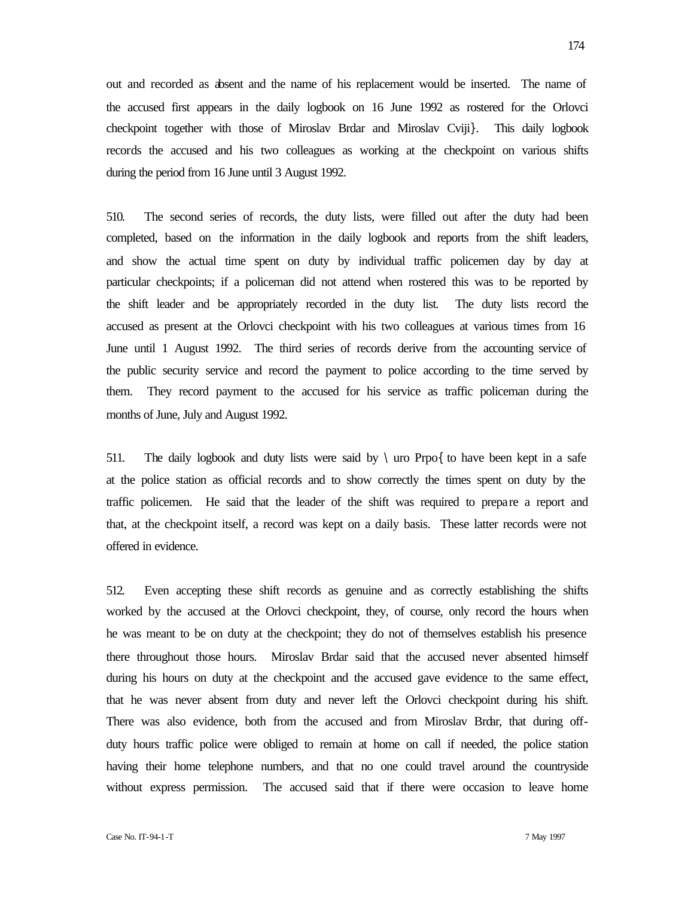out and recorded as absent and the name of his replacement would be inserted. The name of the accused first appears in the daily logbook on 16 June 1992 as rostered for the Orlovci checkpoint together with those of Miroslav Brdar and Miroslav Cviji}. This daily logbook records the accused and his two colleagues as working at the checkpoint on various shifts during the period from 16 June until 3 August 1992.

510. The second series of records, the duty lists, were filled out after the duty had been completed, based on the information in the daily logbook and reports from the shift leaders, and show the actual time spent on duty by individual traffic policemen day by day at particular checkpoints; if a policeman did not attend when rostered this was to be reported by the shift leader and be appropriately recorded in the duty list. The duty lists record the accused as present at the Orlovci checkpoint with his two colleagues at various times from 16 June until 1 August 1992. The third series of records derive from the accounting service of the public security service and record the payment to police according to the time served by them. They record payment to the accused for his service as traffic policeman during the months of June, July and August 1992.

511. The daily logbook and duty lists were said by  $\cup$ uro Prpo{ to have been kept in a safe at the police station as official records and to show correctly the times spent on duty by the traffic policemen. He said that the leader of the shift was required to prepare a report and that, at the checkpoint itself, a record was kept on a daily basis. These latter records were not offered in evidence.

512. Even accepting these shift records as genuine and as correctly establishing the shifts worked by the accused at the Orlovci checkpoint, they, of course, only record the hours when he was meant to be on duty at the checkpoint; they do not of themselves establish his presence there throughout those hours. Miroslav Brdar said that the accused never absented himself during his hours on duty at the checkpoint and the accused gave evidence to the same effect, that he was never absent from duty and never left the Orlovci checkpoint during his shift. There was also evidence, both from the accused and from Miroslav Brdar, that during offduty hours traffic police were obliged to remain at home on call if needed, the police station having their home telephone numbers, and that no one could travel around the countryside without express permission. The accused said that if there were occasion to leave home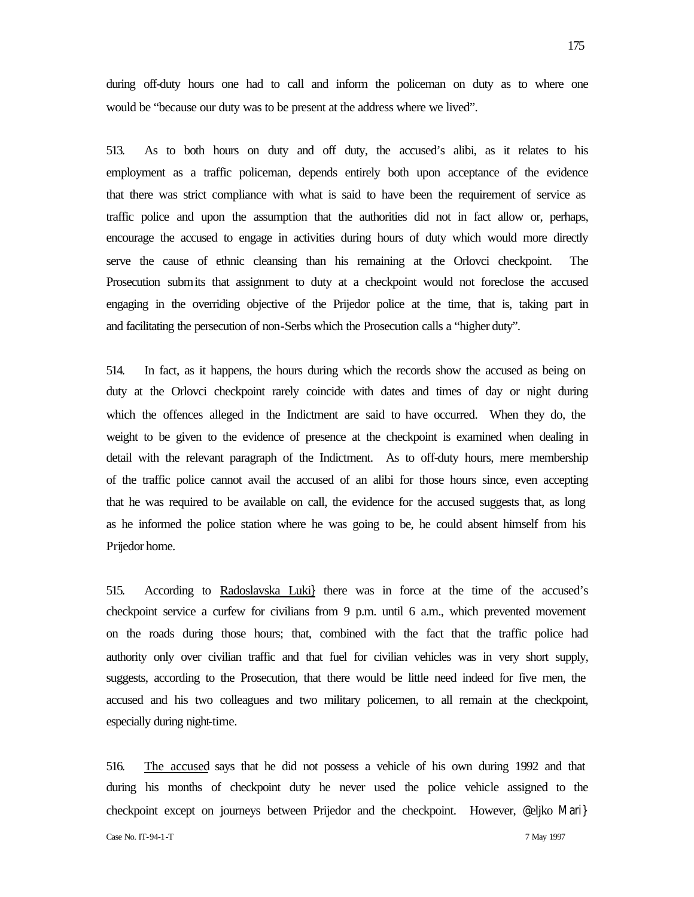during off-duty hours one had to call and inform the policeman on duty as to where one would be "because our duty was to be present at the address where we lived".

513. As to both hours on duty and off duty, the accused's alibi, as it relates to his employment as a traffic policeman, depends entirely both upon acceptance of the evidence that there was strict compliance with what is said to have been the requirement of service as traffic police and upon the assumption that the authorities did not in fact allow or, perhaps, encourage the accused to engage in activities during hours of duty which would more directly serve the cause of ethnic cleansing than his remaining at the Orlovci checkpoint. The Prosecution submits that assignment to duty at a checkpoint would not foreclose the accused engaging in the overriding objective of the Prijedor police at the time, that is, taking part in and facilitating the persecution of non-Serbs which the Prosecution calls a "higher duty".

514. In fact, as it happens, the hours during which the records show the accused as being on duty at the Orlovci checkpoint rarely coincide with dates and times of day or night during which the offences alleged in the Indictment are said to have occurred. When they do, the weight to be given to the evidence of presence at the checkpoint is examined when dealing in detail with the relevant paragraph of the Indictment. As to off-duty hours, mere membership of the traffic police cannot avail the accused of an alibi for those hours since, even accepting that he was required to be available on call, the evidence for the accused suggests that, as long as he informed the police station where he was going to be, he could absent himself from his Prijedor home.

515. According to Radoslavska Luki} there was in force at the time of the accused's checkpoint service a curfew for civilians from 9 p.m. until 6 a.m., which prevented movement on the roads during those hours; that, combined with the fact that the traffic police had authority only over civilian traffic and that fuel for civilian vehicles was in very short supply, suggests, according to the Prosecution, that there would be little need indeed for five men, the accused and his two colleagues and two military policemen, to all remain at the checkpoint, especially during night-time.

516. The accused says that he did not possess a vehicle of his own during 1992 and that during his months of checkpoint duty he never used the police vehicle assigned to the checkpoint except on journeys between Prijedor and the checkpoint. However, @eljko Mari}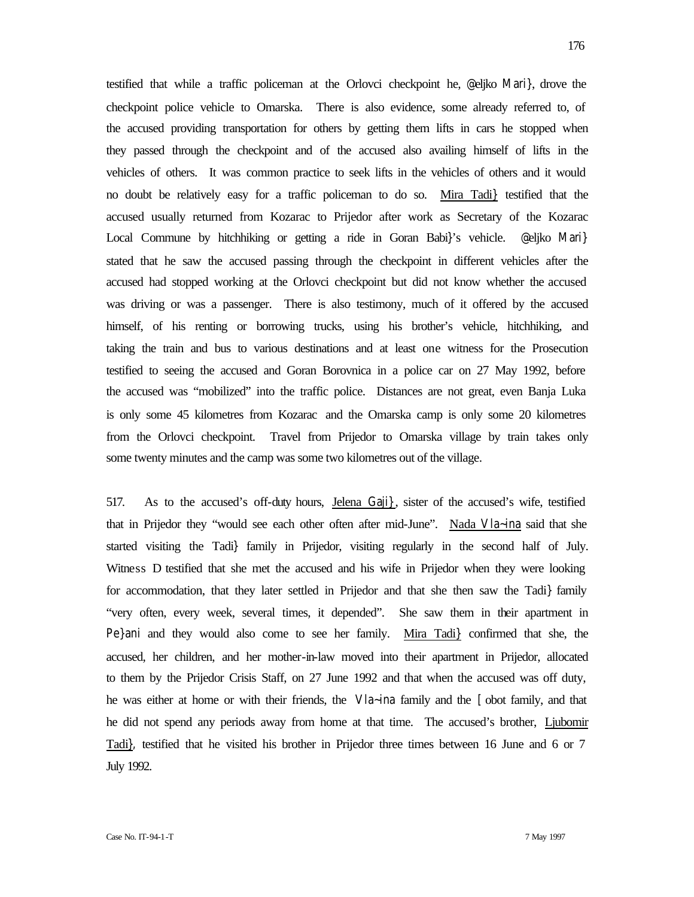testified that while a traffic policeman at the Orlovci checkpoint he, @eljko Mari}, drove the checkpoint police vehicle to Omarska. There is also evidence, some already referred to, of the accused providing transportation for others by getting them lifts in cars he stopped when they passed through the checkpoint and of the accused also availing himself of lifts in the vehicles of others. It was common practice to seek lifts in the vehicles of others and it would no doubt be relatively easy for a traffic policeman to do so. Mira Tadi} testified that the accused usually returned from Kozarac to Prijedor after work as Secretary of the Kozarac Local Commune by hitchhiking or getting a ride in Goran Babi}'s vehicle. @eljko Mari} stated that he saw the accused passing through the checkpoint in different vehicles after the accused had stopped working at the Orlovci checkpoint but did not know whether the accused was driving or was a passenger. There is also testimony, much of it offered by the accused himself, of his renting or borrowing trucks, using his brother's vehicle, hitchhiking, and taking the train and bus to various destinations and at least one witness for the Prosecution testified to seeing the accused and Goran Borovnica in a police car on 27 May 1992, before the accused was "mobilized" into the traffic police. Distances are not great, even Banja Luka is only some 45 kilometres from Kozarac and the Omarska camp is only some 20 kilometres from the Orlovci checkpoint. Travel from Prijedor to Omarska village by train takes only some twenty minutes and the camp was some two kilometres out of the village.

517. As to the accused's off-duty hours, Jelena Gaji}, sister of the accused's wife, testified that in Prijedor they "would see each other often after mid-June". Nada Vla~ina said that she started visiting the Tadi} family in Prijedor, visiting regularly in the second half of July. Witness D testified that she met the accused and his wife in Prijedor when they were looking for accommodation, that they later settled in Prijedor and that she then saw the Tadi} family "very often, every week, several times, it depended". She saw them in their apartment in Pe}ani and they would also come to see her family. Mira Tadi} confirmed that she, the accused, her children, and her mother-in-law moved into their apartment in Prijedor, allocated to them by the Prijedor Crisis Staff, on 27 June 1992 and that when the accused was off duty, he was either at home or with their friends, the Vla~ina family and the [obot family, and that he did not spend any periods away from home at that time. The accused's brother, Ljubomir Tadi}, testified that he visited his brother in Prijedor three times between 16 June and 6 or 7 July 1992.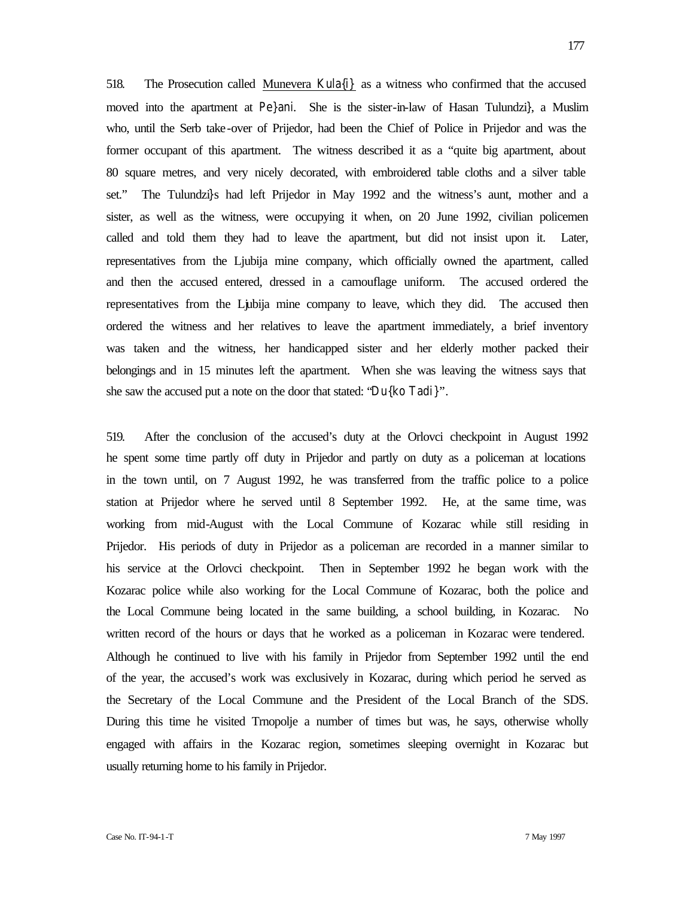518. The Prosecution called Munevera Kula{i} as a witness who confirmed that the accused moved into the apartment at Pe}ani. She is the sister-in-law of Hasan Tulundzi}, a Muslim who, until the Serb take-over of Prijedor, had been the Chief of Police in Prijedor and was the former occupant of this apartment. The witness described it as a "quite big apartment, about 80 square metres, and very nicely decorated, with embroidered table cloths and a silver table set." The Tulundzi}s had left Prijedor in May 1992 and the witness's aunt, mother and a sister, as well as the witness, were occupying it when, on 20 June 1992, civilian policemen called and told them they had to leave the apartment, but did not insist upon it. Later, representatives from the Ljubija mine company, which officially owned the apartment, called and then the accused entered, dressed in a camouflage uniform. The accused ordered the representatives from the Ljubija mine company to leave, which they did. The accused then ordered the witness and her relatives to leave the apartment immediately, a brief inventory was taken and the witness, her handicapped sister and her elderly mother packed their belongings and in 15 minutes left the apartment. When she was leaving the witness says that she saw the accused put a note on the door that stated: "Du{ko Tadi}".

519. After the conclusion of the accused's duty at the Orlovci checkpoint in August 1992 he spent some time partly off duty in Prijedor and partly on duty as a policeman at locations in the town until, on 7 August 1992, he was transferred from the traffic police to a police station at Prijedor where he served until 8 September 1992. He, at the same time, was working from mid-August with the Local Commune of Kozarac while still residing in Prijedor. His periods of duty in Prijedor as a policeman are recorded in a manner similar to his service at the Orlovci checkpoint. Then in September 1992 he began work with the Kozarac police while also working for the Local Commune of Kozarac, both the police and the Local Commune being located in the same building, a school building, in Kozarac. No written record of the hours or days that he worked as a policeman in Kozarac were tendered. Although he continued to live with his family in Prijedor from September 1992 until the end of the year, the accused's work was exclusively in Kozarac, during which period he served as the Secretary of the Local Commune and the President of the Local Branch of the SDS. During this time he visited Trnopolje a number of times but was, he says, otherwise wholly engaged with affairs in the Kozarac region, sometimes sleeping overnight in Kozarac but usually returning home to his family in Prijedor.

177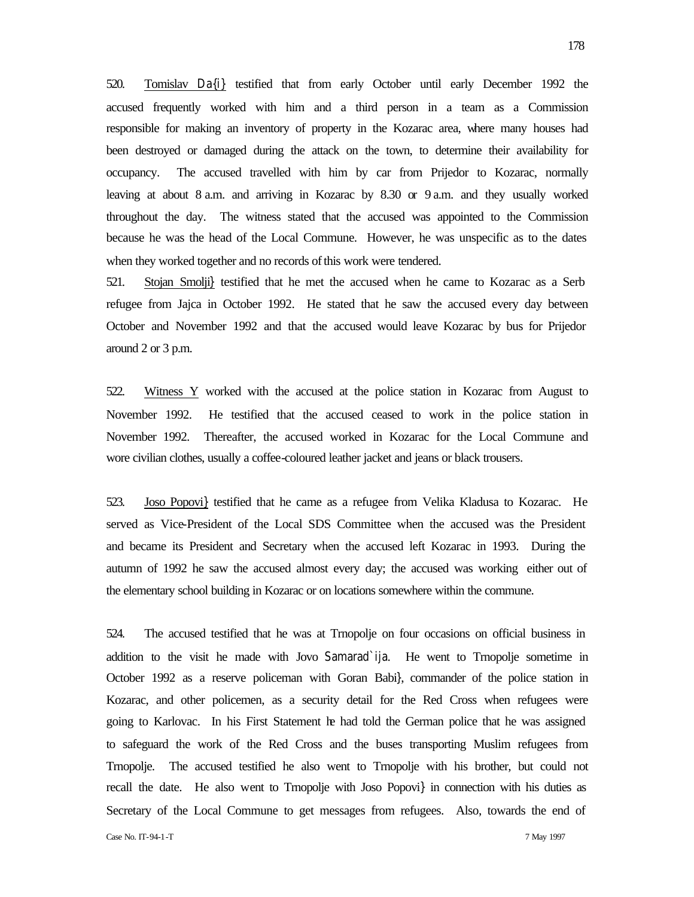520. Tomislav Da{i} testified that from early October until early December 1992 the accused frequently worked with him and a third person in a team as a Commission responsible for making an inventory of property in the Kozarac area, where many houses had been destroyed or damaged during the attack on the town, to determine their availability for occupancy. The accused travelled with him by car from Prijedor to Kozarac, normally leaving at about 8 a.m. and arriving in Kozarac by 8.30 or 9 a.m. and they usually worked throughout the day. The witness stated that the accused was appointed to the Commission because he was the head of the Local Commune. However, he was unspecific as to the dates when they worked together and no records of this work were tendered.

521. Stojan Smolji} testified that he met the accused when he came to Kozarac as a Serb refugee from Jajca in October 1992. He stated that he saw the accused every day between October and November 1992 and that the accused would leave Kozarac by bus for Prijedor around 2 or 3 p.m.

522. Witness Y worked with the accused at the police station in Kozarac from August to November 1992. He testified that the accused ceased to work in the police station in November 1992. Thereafter, the accused worked in Kozarac for the Local Commune and wore civilian clothes, usually a coffee-coloured leather jacket and jeans or black trousers.

523. Joso Popovi} testified that he came as a refugee from Velika Kladusa to Kozarac. He served as Vice-President of the Local SDS Committee when the accused was the President and became its President and Secretary when the accused left Kozarac in 1993. During the autumn of 1992 he saw the accused almost every day; the accused was working either out of the elementary school building in Kozarac or on locations somewhere within the commune.

524. The accused testified that he was at Trnopolje on four occasions on official business in addition to the visit he made with Jovo Samarad`ija. He went to Trnopolje sometime in October 1992 as a reserve policeman with Goran Babi}, commander of the police station in Kozarac, and other policemen, as a security detail for the Red Cross when refugees were going to Karlovac. In his First Statement he had told the German police that he was assigned to safeguard the work of the Red Cross and the buses transporting Muslim refugees from Trnopolje. The accused testified he also went to Trnopolje with his brother, but could not recall the date. He also went to Trnopolje with Joso Popovi} in connection with his duties as Secretary of the Local Commune to get messages from refugees. Also, towards the end of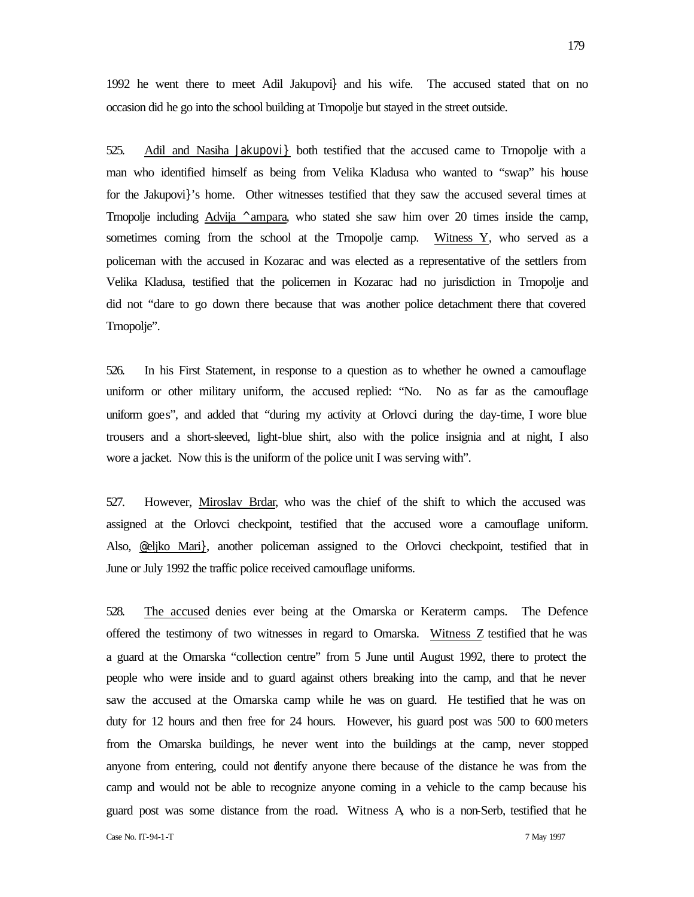1992 he went there to meet Adil Jakupovi} and his wife. The accused stated that on no occasion did he go into the school building at Trnopolje but stayed in the street outside.

525. Adil and Nasiha Jakupovi} both testified that the accused came to Trnopolje with a man who identified himself as being from Velika Kladusa who wanted to "swap" his house for the Jakupovi}'s home. Other witnesses testified that they saw the accused several times at Trnopolje including Advija  $\land$ ampara, who stated she saw him over 20 times inside the camp, sometimes coming from the school at the Trnopolje camp. Witness Y, who served as a policeman with the accused in Kozarac and was elected as a representative of the settlers from Velika Kladusa, testified that the policemen in Kozarac had no jurisdiction in Trnopolje and did not "dare to go down there because that was another police detachment there that covered Trnopolje".

526. In his First Statement, in response to a question as to whether he owned a camouflage uniform or other military uniform, the accused replied: "No. No as far as the camouflage uniform goes", and added that "during my activity at Orlovci during the day-time, I wore blue trousers and a short-sleeved, light-blue shirt, also with the police insignia and at night, I also wore a jacket. Now this is the uniform of the police unit I was serving with".

527. However, Miroslav Brdar, who was the chief of the shift to which the accused was assigned at the Orlovci checkpoint, testified that the accused wore a camouflage uniform. Also, @eljko Mari}, another policeman assigned to the Orlovci checkpoint, testified that in June or July 1992 the traffic police received camouflage uniforms.

528. The accused denies ever being at the Omarska or Keraterm camps. The Defence offered the testimony of two witnesses in regard to Omarska. Witness Z testified that he was a guard at the Omarska "collection centre" from 5 June until August 1992, there to protect the people who were inside and to guard against others breaking into the camp, and that he never saw the accused at the Omarska camp while he was on guard. He testified that he was on duty for 12 hours and then free for 24 hours. However, his guard post was 500 to 600 meters from the Omarska buildings, he never went into the buildings at the camp, never stopped anyone from entering, could not identify anyone there because of the distance he was from the camp and would not be able to recognize anyone coming in a vehicle to the camp because his guard post was some distance from the road. Witness A, who is a non-Serb, testified that he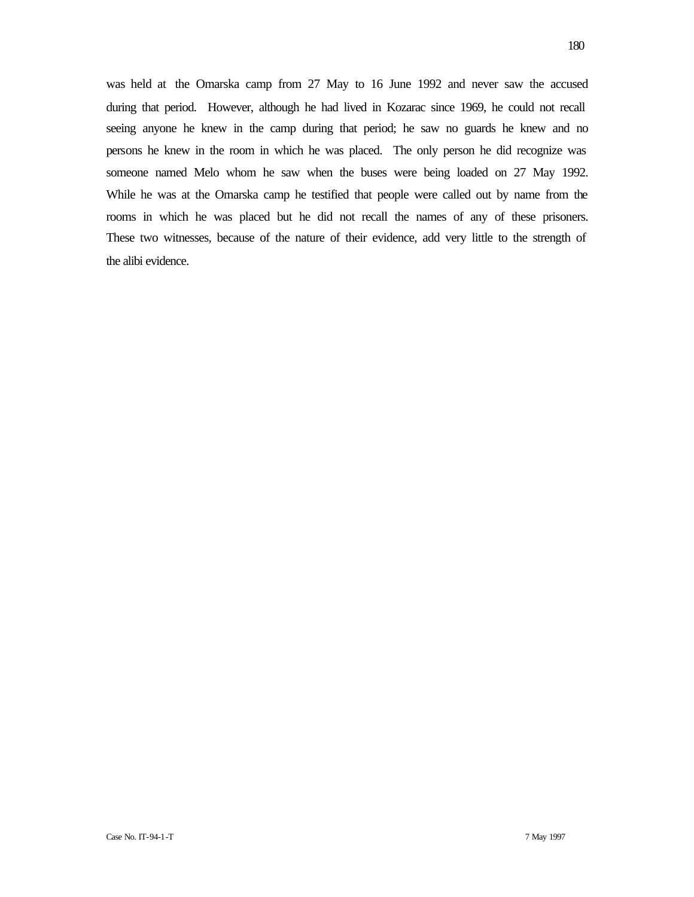was held at the Omarska camp from 27 May to 16 June 1992 and never saw the accused during that period. However, although he had lived in Kozarac since 1969, he could not recall seeing anyone he knew in the camp during that period; he saw no guards he knew and no persons he knew in the room in which he was placed. The only person he did recognize was someone named Melo whom he saw when the buses were being loaded on 27 May 1992. While he was at the Omarska camp he testified that people were called out by name from the rooms in which he was placed but he did not recall the names of any of these prisoners. These two witnesses, because of the nature of their evidence, add very little to the strength of the alibi evidence.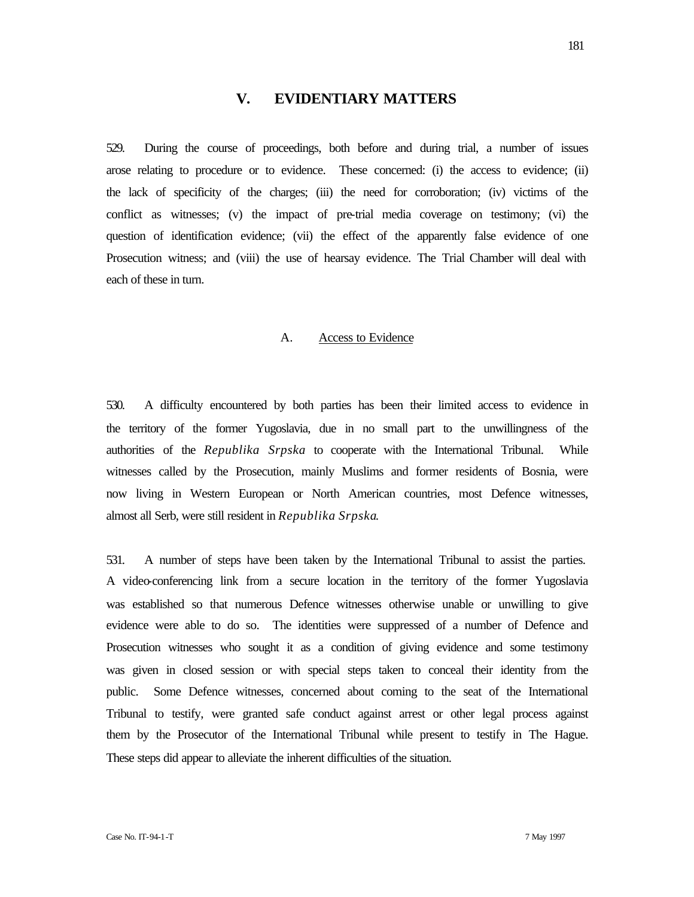# **V. EVIDENTIARY MATTERS**

529. During the course of proceedings, both before and during trial, a number of issues arose relating to procedure or to evidence. These concerned: (i) the access to evidence; (ii) the lack of specificity of the charges; (iii) the need for corroboration; (iv) victims of the conflict as witnesses; (v) the impact of pre-trial media coverage on testimony; (vi) the question of identification evidence; (vii) the effect of the apparently false evidence of one Prosecution witness; and (viii) the use of hearsay evidence. The Trial Chamber will deal with each of these in turn.

## A. Access to Evidence

530. A difficulty encountered by both parties has been their limited access to evidence in the territory of the former Yugoslavia, due in no small part to the unwillingness of the authorities of the *Republika Srpska* to cooperate with the International Tribunal. While witnesses called by the Prosecution, mainly Muslims and former residents of Bosnia, were now living in Western European or North American countries, most Defence witnesses, almost all Serb, were still resident in *Republika Srpska*.

531. A number of steps have been taken by the International Tribunal to assist the parties. A video-conferencing link from a secure location in the territory of the former Yugoslavia was established so that numerous Defence witnesses otherwise unable or unwilling to give evidence were able to do so. The identities were suppressed of a number of Defence and Prosecution witnesses who sought it as a condition of giving evidence and some testimony was given in closed session or with special steps taken to conceal their identity from the public. Some Defence witnesses, concerned about coming to the seat of the International Tribunal to testify, were granted safe conduct against arrest or other legal process against them by the Prosecutor of the International Tribunal while present to testify in The Hague. These steps did appear to alleviate the inherent difficulties of the situation.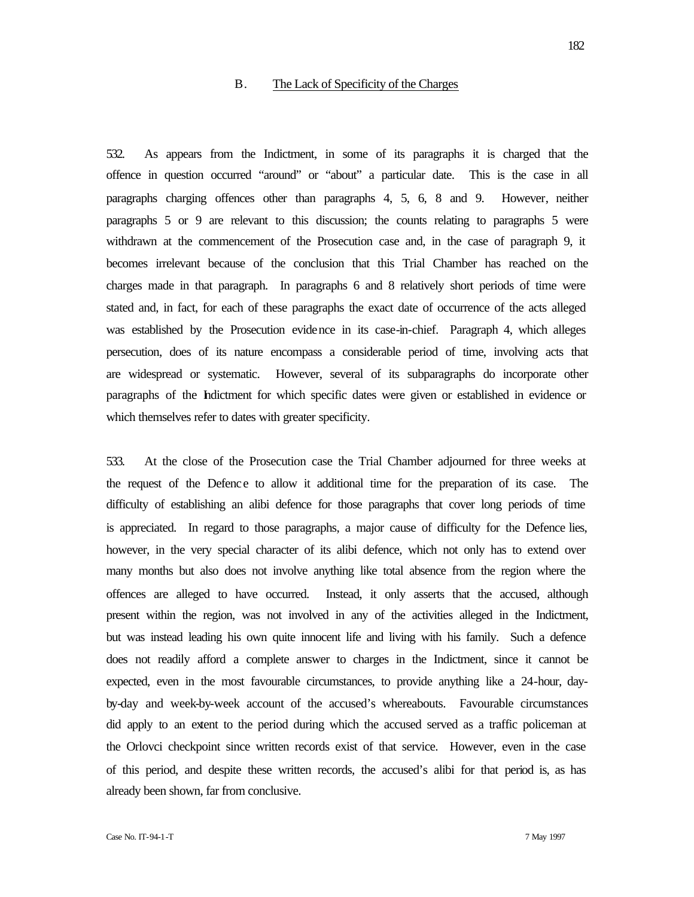## B. The Lack of Specificity of the Charges

532. As appears from the Indictment, in some of its paragraphs it is charged that the offence in question occurred "around" or "about" a particular date. This is the case in all paragraphs charging offences other than paragraphs 4, 5, 6, 8 and 9. However, neither paragraphs 5 or 9 are relevant to this discussion; the counts relating to paragraphs 5 were withdrawn at the commencement of the Prosecution case and, in the case of paragraph 9, it becomes irrelevant because of the conclusion that this Trial Chamber has reached on the charges made in that paragraph. In paragraphs 6 and 8 relatively short periods of time were stated and, in fact, for each of these paragraphs the exact date of occurrence of the acts alleged was established by the Prosecution evidence in its case-in-chief. Paragraph 4, which alleges persecution, does of its nature encompass a considerable period of time, involving acts that are widespread or systematic. However, several of its subparagraphs do incorporate other paragraphs of the Indictment for which specific dates were given or established in evidence or which themselves refer to dates with greater specificity.

533. At the close of the Prosecution case the Trial Chamber adjourned for three weeks at the request of the Defence to allow it additional time for the preparation of its case. The difficulty of establishing an alibi defence for those paragraphs that cover long periods of time is appreciated. In regard to those paragraphs, a major cause of difficulty for the Defence lies, however, in the very special character of its alibi defence, which not only has to extend over many months but also does not involve anything like total absence from the region where the offences are alleged to have occurred. Instead, it only asserts that the accused, although present within the region, was not involved in any of the activities alleged in the Indictment, but was instead leading his own quite innocent life and living with his family. Such a defence does not readily afford a complete answer to charges in the Indictment, since it cannot be expected, even in the most favourable circumstances, to provide anything like a 24-hour, dayby-day and week-by-week account of the accused's whereabouts. Favourable circumstances did apply to an extent to the period during which the accused served as a traffic policeman at the Orlovci checkpoint since written records exist of that service. However, even in the case of this period, and despite these written records, the accused's alibi for that period is, as has already been shown, far from conclusive.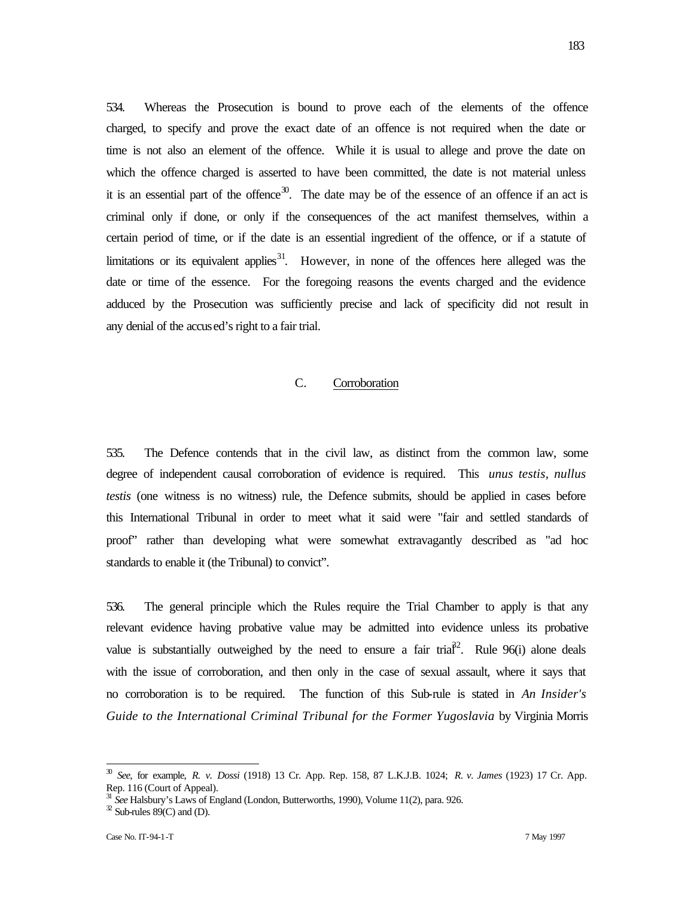534. Whereas the Prosecution is bound to prove each of the elements of the offence charged, to specify and prove the exact date of an offence is not required when the date or time is not also an element of the offence. While it is usual to allege and prove the date on which the offence charged is asserted to have been committed, the date is not material unless it is an essential part of the offence<sup>30</sup>. The date may be of the essence of an offence if an act is criminal only if done, or only if the consequences of the act manifest themselves, within a certain period of time, or if the date is an essential ingredient of the offence, or if a statute of limitations or its equivalent applies<sup>31</sup>. However, in none of the offences here alleged was the date or time of the essence. For the foregoing reasons the events charged and the evidence adduced by the Prosecution was sufficiently precise and lack of specificity did not result in any denial of the accused's right to a fair trial.

# C. Corroboration

535. The Defence contends that in the civil law, as distinct from the common law, some degree of independent causal corroboration of evidence is required. This *unus testis, nullus testis* (one witness is no witness) rule, the Defence submits, should be applied in cases before this International Tribunal in order to meet what it said were "fair and settled standards of proof" rather than developing what were somewhat extravagantly described as "ad hoc standards to enable it (the Tribunal) to convict".

536. The general principle which the Rules require the Trial Chamber to apply is that any relevant evidence having probative value may be admitted into evidence unless its probative value is substantially outweighed by the need to ensure a fair trial<sup>22</sup>. Rule 96(i) alone deals with the issue of corroboration, and then only in the case of sexual assault, where it says that no corroboration is to be required. The function of this Sub-rule is stated in *An Insider's Guide to the International Criminal Tribunal for the Former Yugoslavia* by Virginia Morris

<sup>30</sup> *See*, for example, *R. v. Dossi* (1918) 13 Cr. App. Rep. 158, 87 L.K.J.B. 1024; *R. v. James* (1923) 17 Cr. App. Rep. 116 (Court of Appeal).

<sup>31</sup> *See* Halsbury's Laws of England (London, Butterworths, 1990), Volume 11(2), para. 926.

 $\infty$  Sub-rules 89(C) and (D).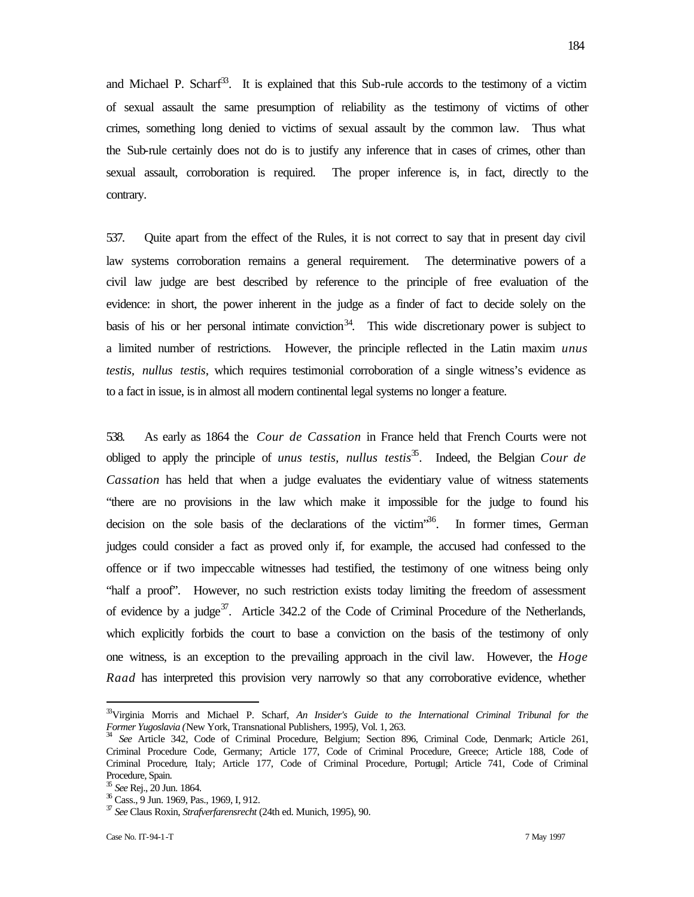and Michael P. Scharf<sup>33</sup>. It is explained that this Sub-rule accords to the testimony of a victim of sexual assault the same presumption of reliability as the testimony of victims of other crimes, something long denied to victims of sexual assault by the common law. Thus what the Sub-rule certainly does not do is to justify any inference that in cases of crimes, other than sexual assault, corroboration is required. The proper inference is, in fact, directly to the contrary.

537. Quite apart from the effect of the Rules, it is not correct to say that in present day civil law systems corroboration remains a general requirement. The determinative powers of a civil law judge are best described by reference to the principle of free evaluation of the evidence: in short, the power inherent in the judge as a finder of fact to decide solely on the basis of his or her personal intimate conviction<sup>34</sup>. This wide discretionary power is subject to a limited number of restrictions. However, the principle reflected in the Latin maxim *unus testis, nullus testis*, which requires testimonial corroboration of a single witness's evidence as to a fact in issue, is in almost all modern continental legal systems no longer a feature.

538. As early as 1864 the *Cour de Cassation* in France held that French Courts were not obliged to apply the principle of *unus testis*, *nullus testis*<sup>35</sup>. Indeed, the Belgian *Cour de Cassation* has held that when a judge evaluates the evidentiary value of witness statements "there are no provisions in the law which make it impossible for the judge to found his decision on the sole basis of the declarations of the victim<sup>36</sup>. In former times, German judges could consider a fact as proved only if, for example, the accused had confessed to the offence or if two impeccable witnesses had testified, the testimony of one witness being only "half a proof". However, no such restriction exists today limiting the freedom of assessment of evidence by a judge<sup>37</sup>. Article 342.2 of the Code of Criminal Procedure of the Netherlands, which explicitly forbids the court to base a conviction on the basis of the testimony of only one witness, is an exception to the prevailing approach in the civil law. However, the *Hoge Raad* has interpreted this provision very narrowly so that any corroborative evidence, whether

 $\overline{\phantom{a}}$ 

<sup>33</sup>Virginia Morris and Michael P. Scharf, *An Insider's Guide to the International Criminal Tribunal for the Former Yugoslavia (*New York, Transnational Publishers, 1995*),* Vol. 1, 263.

<sup>&</sup>lt;sup>3</sup> See Article 342, Code of Criminal Procedure, Belgium; Section 896, Criminal Code, Denmark; Article 261, Criminal Procedure Code, Germany; Article 177, Code of Criminal Procedure, Greece; Article 188, Code of Criminal Procedure*,* Italy; Article 177, Code of Criminal Procedure, Portugal; Article 741, Code of Criminal Procedure*,* Spain.

<sup>35</sup> *See* Rej., 20 Jun. 1864.

 $36$  Cass., 9 Jun. 1969, Pas., 1969, I, 912.

<sup>37</sup> *See* Claus Roxin, *Strafverfarensrecht* (24th ed. Munich, 1995), 90.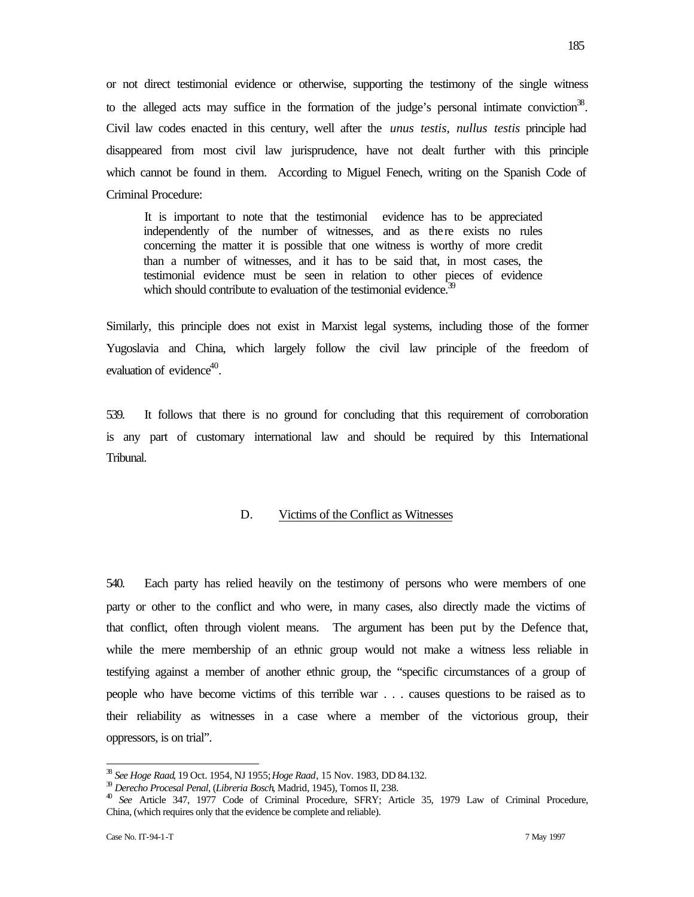or not direct testimonial evidence or otherwise, supporting the testimony of the single witness to the alleged acts may suffice in the formation of the judge's personal intimate conviction<sup>38</sup>. Civil law codes enacted in this century, well after the *unus testis, nullus testis* principle had disappeared from most civil law jurisprudence, have not dealt further with this principle which cannot be found in them. According to Miguel Fenech, writing on the Spanish Code of Criminal Procedure:

It is important to note that the testimonial evidence has to be appreciated independently of the number of witnesses, and as there exists no rules concerning the matter it is possible that one witness is worthy of more credit than a number of witnesses, and it has to be said that, in most cases, the testimonial evidence must be seen in relation to other pieces of evidence which should contribute to evaluation of the testimonial evidence.<sup>39</sup>

Similarly, this principle does not exist in Marxist legal systems, including those of the former Yugoslavia and China, which largely follow the civil law principle of the freedom of evaluation of evidence<sup>40</sup>.

539. It follows that there is no ground for concluding that this requirement of corroboration is any part of customary international law and should be required by this International Tribunal.

#### D. Victims of the Conflict as Witnesses

540. Each party has relied heavily on the testimony of persons who were members of one party or other to the conflict and who were, in many cases, also directly made the victims of that conflict, often through violent means. The argument has been put by the Defence that, while the mere membership of an ethnic group would not make a witness less reliable in testifying against a member of another ethnic group, the "specific circumstances of a group of people who have become victims of this terrible war . . . causes questions to be raised as to their reliability as witnesses in a case where a member of the victorious group, their oppressors, is on trial".

<sup>38</sup> *See Hoge Raad*, 19 Oct. 1954, NJ 1955; *Hoge Raad*, 15 Nov. 1983, DD 84.132.

<sup>39</sup> *Derecho Procesal Penal*, (*Libreria Bosch*, Madrid, 1945), Tomos II, 238.

<sup>40</sup> *See* Article 347, 1977 Code of Criminal Procedure, SFRY; Article 35, 1979 Law of Criminal Procedure, China, (which requires only that the evidence be complete and reliable).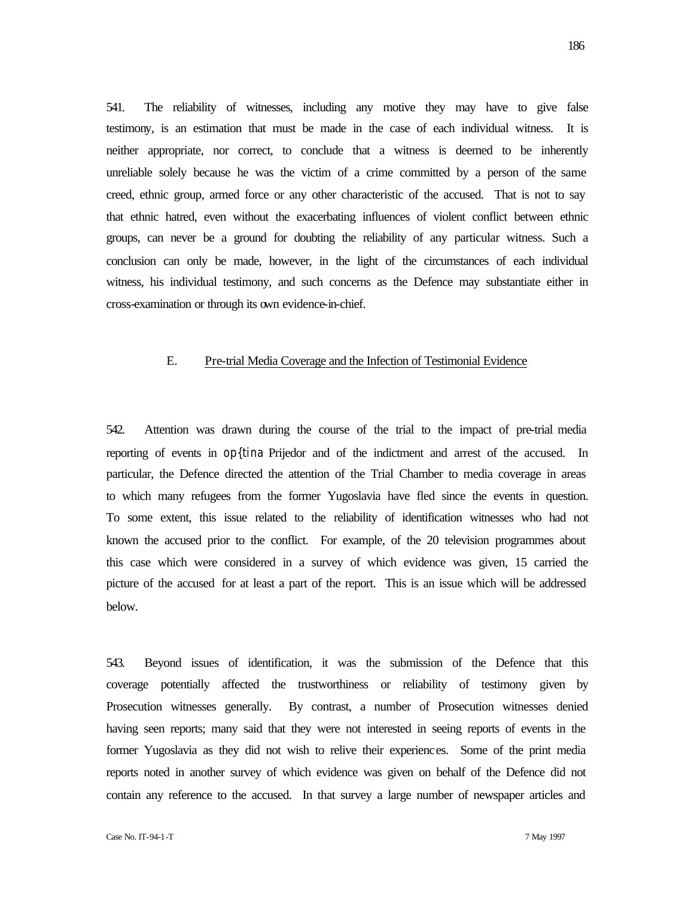541. The reliability of witnesses, including any motive they may have to give false testimony, is an estimation that must be made in the case of each individual witness. It is neither appropriate, nor correct, to conclude that a witness is deemed to be inherently unreliable solely because he was the victim of a crime committed by a person of the same creed, ethnic group, armed force or any other characteristic of the accused. That is not to say that ethnic hatred, even without the exacerbating influences of violent conflict between ethnic groups, can never be a ground for doubting the reliability of any particular witness. Such a conclusion can only be made, however, in the light of the circumstances of each individual witness, his individual testimony, and such concerns as the Defence may substantiate either in cross-examination or through its own evidence-in-chief.

## E. Pre-trial Media Coverage and the Infection of Testimonial Evidence

542. Attention was drawn during the course of the trial to the impact of pre-trial media reporting of events in op{tina Prijedor and of the indictment and arrest of the accused. In particular, the Defence directed the attention of the Trial Chamber to media coverage in areas to which many refugees from the former Yugoslavia have fled since the events in question. To some extent, this issue related to the reliability of identification witnesses who had not known the accused prior to the conflict. For example, of the 20 television programmes about this case which were considered in a survey of which evidence was given, 15 carried the picture of the accused for at least a part of the report. This is an issue which will be addressed below.

543. Beyond issues of identification, it was the submission of the Defence that this coverage potentially affected the trustworthiness or reliability of testimony given by Prosecution witnesses generally. By contrast, a number of Prosecution witnesses denied having seen reports; many said that they were not interested in seeing reports of events in the former Yugoslavia as they did not wish to relive their experiences. Some of the print media reports noted in another survey of which evidence was given on behalf of the Defence did not contain any reference to the accused. In that survey a large number of newspaper articles and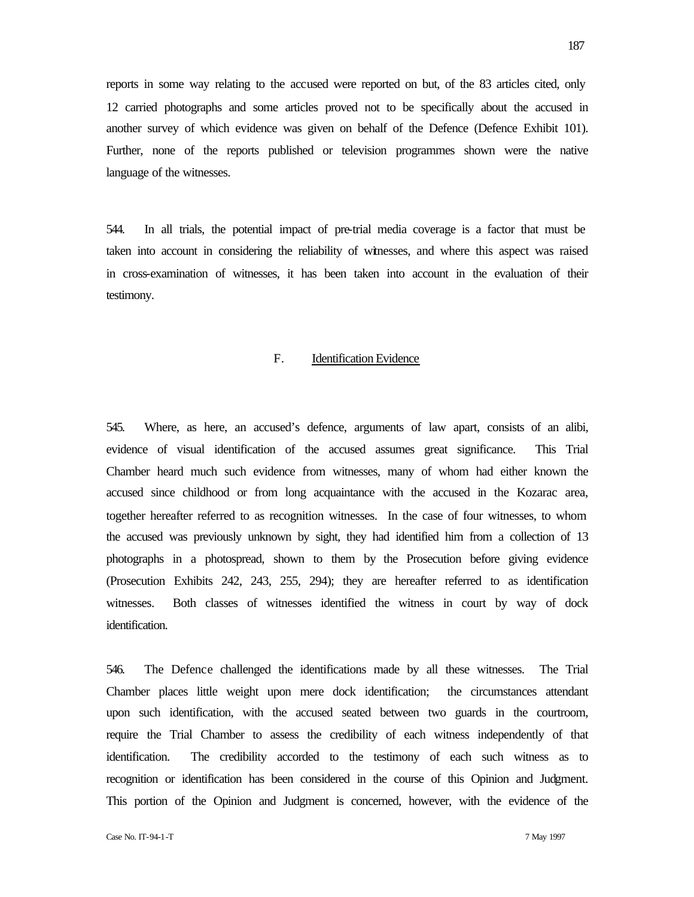reports in some way relating to the accused were reported on but, of the 83 articles cited, only 12 carried photographs and some articles proved not to be specifically about the accused in another survey of which evidence was given on behalf of the Defence (Defence Exhibit 101). Further, none of the reports published or television programmes shown were the native language of the witnesses.

544. In all trials, the potential impact of pre-trial media coverage is a factor that must be taken into account in considering the reliability of witnesses, and where this aspect was raised in cross-examination of witnesses, it has been taken into account in the evaluation of their testimony.

## F. Identification Evidence

545. Where, as here, an accused's defence, arguments of law apart, consists of an alibi, evidence of visual identification of the accused assumes great significance. This Trial Chamber heard much such evidence from witnesses, many of whom had either known the accused since childhood or from long acquaintance with the accused in the Kozarac area, together hereafter referred to as recognition witnesses. In the case of four witnesses, to whom the accused was previously unknown by sight, they had identified him from a collection of 13 photographs in a photospread, shown to them by the Prosecution before giving evidence (Prosecution Exhibits 242, 243, 255, 294); they are hereafter referred to as identification witnesses. Both classes of witnesses identified the witness in court by way of dock identification.

546. The Defence challenged the identifications made by all these witnesses. The Trial Chamber places little weight upon mere dock identification; the circumstances attendant upon such identification, with the accused seated between two guards in the courtroom, require the Trial Chamber to assess the credibility of each witness independently of that identification. The credibility accorded to the testimony of each such witness as to recognition or identification has been considered in the course of this Opinion and Judgment. This portion of the Opinion and Judgment is concerned, however, with the evidence of the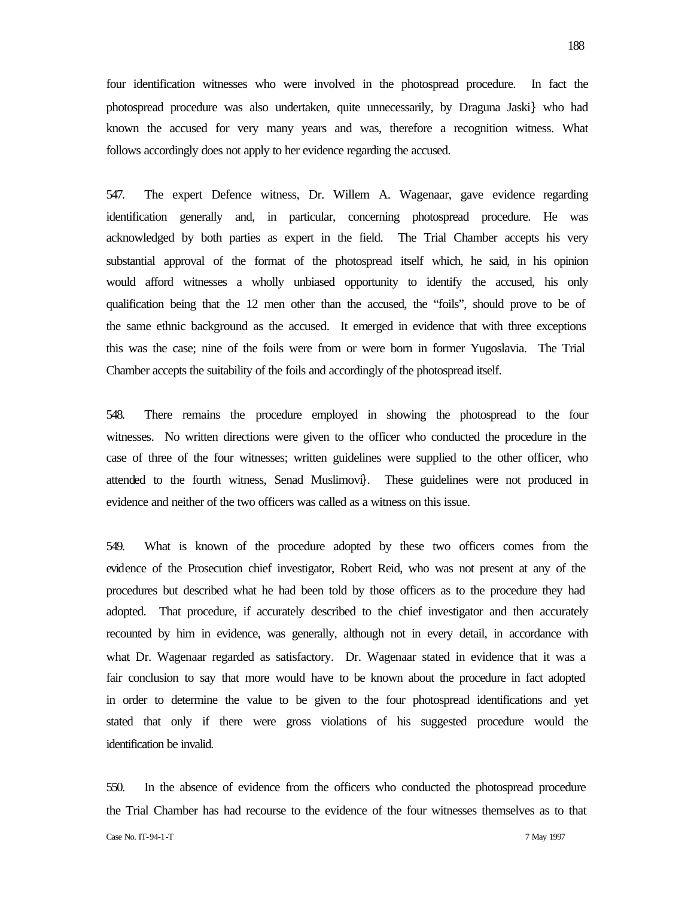four identification witnesses who were involved in the photospread procedure. In fact the photospread procedure was also undertaken, quite unnecessarily, by Draguna Jaski} who had known the accused for very many years and was, therefore a recognition witness. What follows accordingly does not apply to her evidence regarding the accused.

547. The expert Defence witness, Dr. Willem A. Wagenaar, gave evidence regarding identification generally and, in particular, concerning photospread procedure. He was acknowledged by both parties as expert in the field. The Trial Chamber accepts his very substantial approval of the format of the photospread itself which, he said, in his opinion would afford witnesses a wholly unbiased opportunity to identify the accused, his only qualification being that the 12 men other than the accused, the "foils", should prove to be of the same ethnic background as the accused. It emerged in evidence that with three exceptions this was the case; nine of the foils were from or were born in former Yugoslavia. The Trial Chamber accepts the suitability of the foils and accordingly of the photospread itself.

548. There remains the procedure employed in showing the photospread to the four witnesses. No written directions were given to the officer who conducted the procedure in the case of three of the four witnesses; written guidelines were supplied to the other officer, who attended to the fourth witness, Senad Muslimovi}. These guidelines were not produced in evidence and neither of the two officers was called as a witness on this issue.

549. What is known of the procedure adopted by these two officers comes from the evidence of the Prosecution chief investigator, Robert Reid, who was not present at any of the procedures but described what he had been told by those officers as to the procedure they had adopted. That procedure, if accurately described to the chief investigator and then accurately recounted by him in evidence, was generally, although not in every detail, in accordance with what Dr. Wagenaar regarded as satisfactory. Dr. Wagenaar stated in evidence that it was a fair conclusion to say that more would have to be known about the procedure in fact adopted in order to determine the value to be given to the four photospread identifications and yet stated that only if there were gross violations of his suggested procedure would the identification be invalid.

550. In the absence of evidence from the officers who conducted the photospread procedure the Trial Chamber has had recourse to the evidence of the four witnesses themselves as to that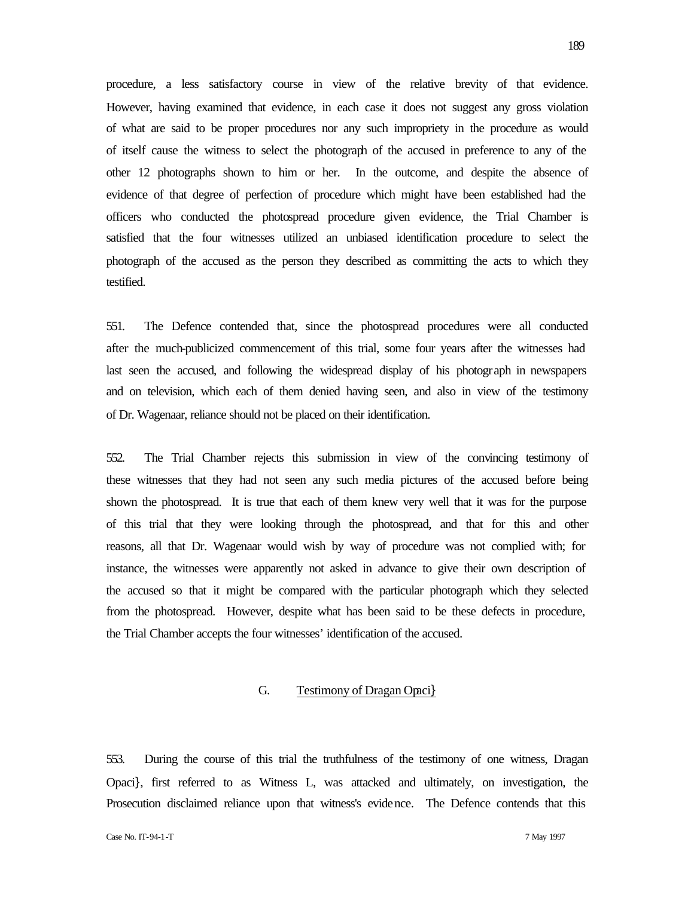procedure, a less satisfactory course in view of the relative brevity of that evidence. However, having examined that evidence, in each case it does not suggest any gross violation of what are said to be proper procedures nor any such impropriety in the procedure as would of itself cause the witness to select the photograph of the accused in preference to any of the other 12 photographs shown to him or her. In the outcome, and despite the absence of evidence of that degree of perfection of procedure which might have been established had the officers who conducted the photospread procedure given evidence, the Trial Chamber is satisfied that the four witnesses utilized an unbiased identification procedure to select the photograph of the accused as the person they described as committing the acts to which they testified.

551. The Defence contended that, since the photospread procedures were all conducted after the much-publicized commencement of this trial, some four years after the witnesses had last seen the accused, and following the widespread display of his photograph in newspapers and on television, which each of them denied having seen, and also in view of the testimony of Dr. Wagenaar, reliance should not be placed on their identification.

552. The Trial Chamber rejects this submission in view of the convincing testimony of these witnesses that they had not seen any such media pictures of the accused before being shown the photospread. It is true that each of them knew very well that it was for the purpose of this trial that they were looking through the photospread, and that for this and other reasons, all that Dr. Wagenaar would wish by way of procedure was not complied with; for instance, the witnesses were apparently not asked in advance to give their own description of the accused so that it might be compared with the particular photograph which they selected from the photospread. However, despite what has been said to be these defects in procedure, the Trial Chamber accepts the four witnesses' identification of the accused.

#### G. Testimony of Dragan Opaci}

553. During the course of this trial the truthfulness of the testimony of one witness, Dragan Opaci}, first referred to as Witness L, was attacked and ultimately, on investigation, the Prosecution disclaimed reliance upon that witness's evidence. The Defence contends that this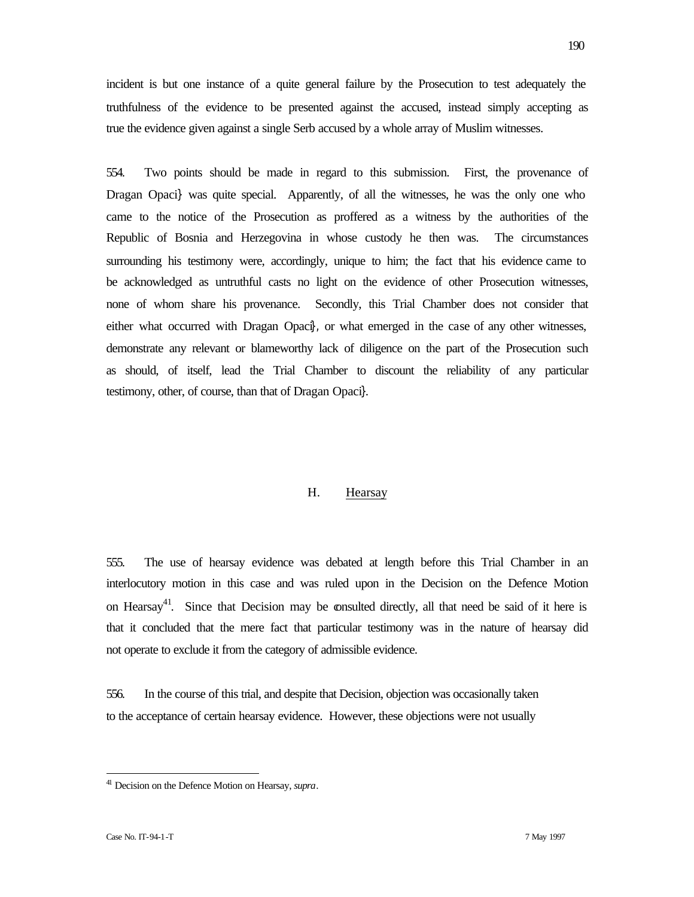incident is but one instance of a quite general failure by the Prosecution to test adequately the truthfulness of the evidence to be presented against the accused, instead simply accepting as true the evidence given against a single Serb accused by a whole array of Muslim witnesses.

554. Two points should be made in regard to this submission. First, the provenance of Dragan Opaci} was quite special. Apparently, of all the witnesses, he was the only one who came to the notice of the Prosecution as proffered as a witness by the authorities of the Republic of Bosnia and Herzegovina in whose custody he then was. The circumstances surrounding his testimony were, accordingly, unique to him; the fact that his evidence came to be acknowledged as untruthful casts no light on the evidence of other Prosecution witnesses, none of whom share his provenance. Secondly, this Trial Chamber does not consider that either what occurred with Dragan Opaci}, or what emerged in the case of any other witnesses, demonstrate any relevant or blameworthy lack of diligence on the part of the Prosecution such as should, of itself, lead the Trial Chamber to discount the reliability of any particular testimony, other, of course, than that of Dragan Opaci}.

## H. Hearsay

555. The use of hearsay evidence was debated at length before this Trial Chamber in an interlocutory motion in this case and was ruled upon in the Decision on the Defence Motion on Hearsay<sup>41</sup>. Since that Decision may be consulted directly, all that need be said of it here is that it concluded that the mere fact that particular testimony was in the nature of hearsay did not operate to exclude it from the category of admissible evidence.

556. In the course of this trial, and despite that Decision, objection was occasionally taken to the acceptance of certain hearsay evidence. However, these objections were not usually

 $\overline{\phantom{a}}$ 

190

<sup>41</sup> Decision on the Defence Motion on Hearsay, *supra*.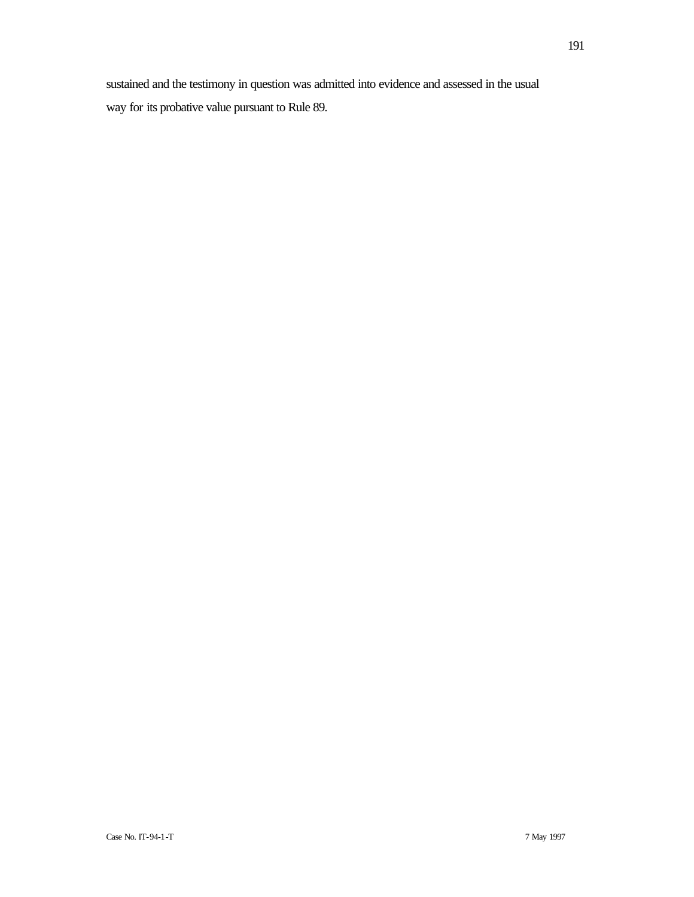sustained and the testimony in question was admitted into evidence and assessed in the usual way for its probative value pursuant to Rule 89.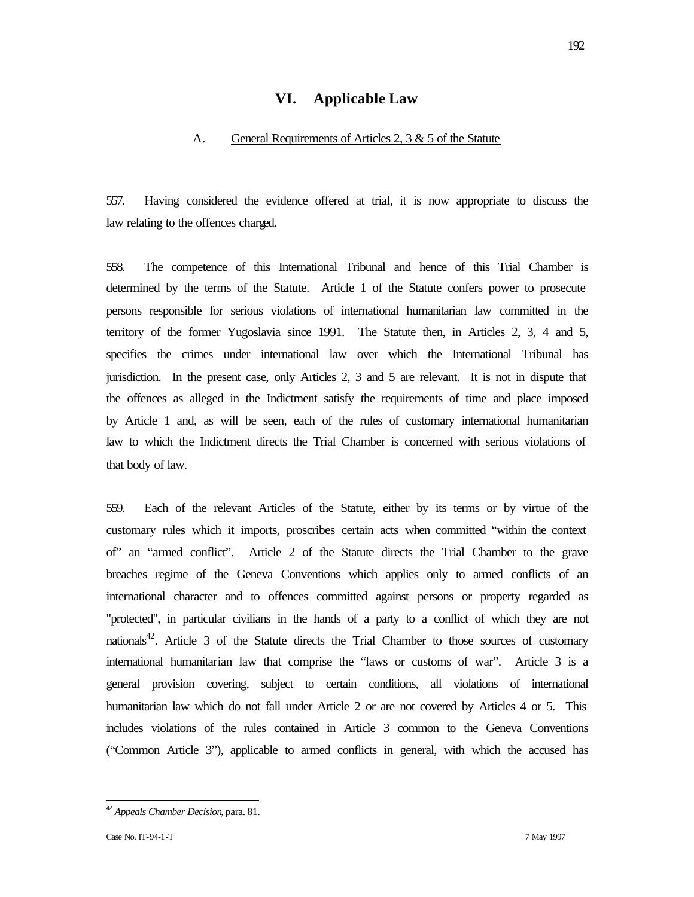# **VI. Applicable Law**

#### A. General Requirements of Articles 2, 3 & 5 of the Statute

557. Having considered the evidence offered at trial, it is now appropriate to discuss the law relating to the offences charged.

558. The competence of this International Tribunal and hence of this Trial Chamber is determined by the terms of the Statute. Article 1 of the Statute confers power to prosecute persons responsible for serious violations of international humanitarian law committed in the territory of the former Yugoslavia since 1991. The Statute then, in Articles 2, 3, 4 and 5, specifies the crimes under international law over which the International Tribunal has jurisdiction. In the present case, only Articles 2, 3 and 5 are relevant. It is not in dispute that the offences as alleged in the Indictment satisfy the requirements of time and place imposed by Article 1 and, as will be seen, each of the rules of customary international humanitarian law to which the Indictment directs the Trial Chamber is concerned with serious violations of that body of law.

559. Each of the relevant Articles of the Statute, either by its terms or by virtue of the customary rules which it imports, proscribes certain acts when committed "within the context of" an "armed conflict". Article 2 of the Statute directs the Trial Chamber to the grave breaches regime of the Geneva Conventions which applies only to armed conflicts of an international character and to offences committed against persons or property regarded as "protected", in particular civilians in the hands of a party to a conflict of which they are not nationals<sup>42</sup>. Article 3 of the Statute directs the Trial Chamber to those sources of customary international humanitarian law that comprise the "laws or customs of war". Article 3 is a general provision covering, subject to certain conditions, all violations of international humanitarian law which do not fall under Article 2 or are not covered by Articles 4 or 5. This includes violations of the rules contained in Article 3 common to the Geneva Conventions ("Common Article 3"), applicable to armed conflicts in general, with which the accused has

<sup>42</sup> *Appeals Chamber Decision*, para. 81.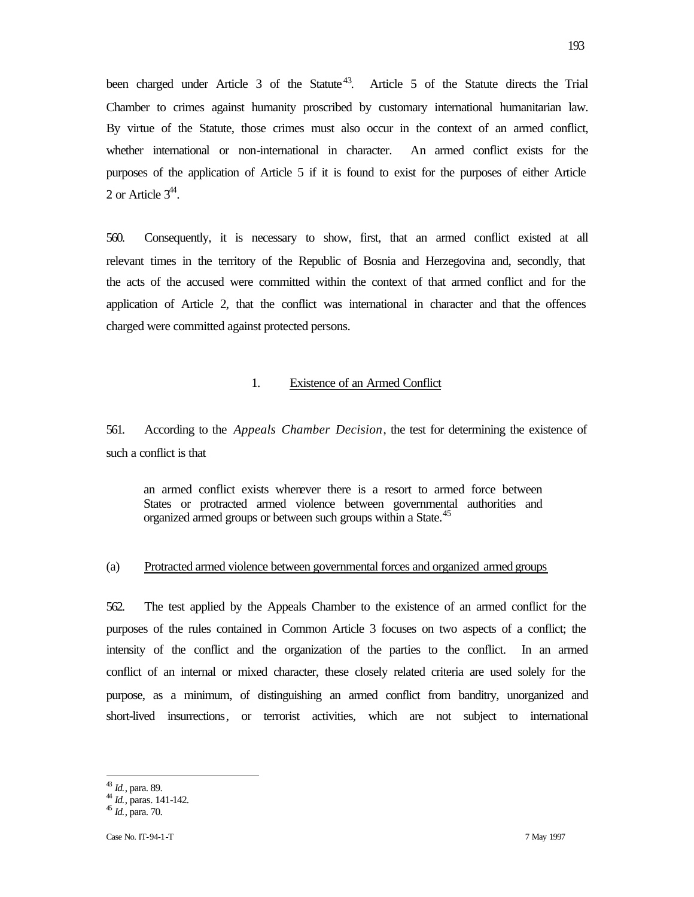been charged under Article  $3$  of the Statute<sup>43</sup>. Article  $5$  of the Statute directs the Trial Chamber to crimes against humanity proscribed by customary international humanitarian law. By virtue of the Statute, those crimes must also occur in the context of an armed conflict, whether international or non-international in character. An armed conflict exists for the purposes of the application of Article 5 if it is found to exist for the purposes of either Article 2 or Article  $3^{44}$ .

560. Consequently, it is necessary to show, first, that an armed conflict existed at all relevant times in the territory of the Republic of Bosnia and Herzegovina and, secondly, that the acts of the accused were committed within the context of that armed conflict and for the application of Article 2, that the conflict was international in character and that the offences charged were committed against protected persons.

# 1. Existence of an Armed Conflict

561. According to the *Appeals Chamber Decision*, the test for determining the existence of such a conflict is that

an armed conflict exists whenever there is a resort to armed force between States or protracted armed violence between governmental authorities and organized armed groups or between such groups within a State.<sup>45</sup>

## (a) Protracted armed violence between governmental forces and organized armed groups

562. The test applied by the Appeals Chamber to the existence of an armed conflict for the purposes of the rules contained in Common Article 3 focuses on two aspects of a conflict; the intensity of the conflict and the organization of the parties to the conflict. In an armed conflict of an internal or mixed character, these closely related criteria are used solely for the purpose, as a minimum, of distinguishing an armed conflict from banditry, unorganized and short-lived insurrections, or terrorist activities, which are not subject to international

<sup>43</sup> *Id.*, para. 89.

<sup>44</sup> *Id.*, paras. 141-142.

<sup>45</sup> *Id.*, para. 70.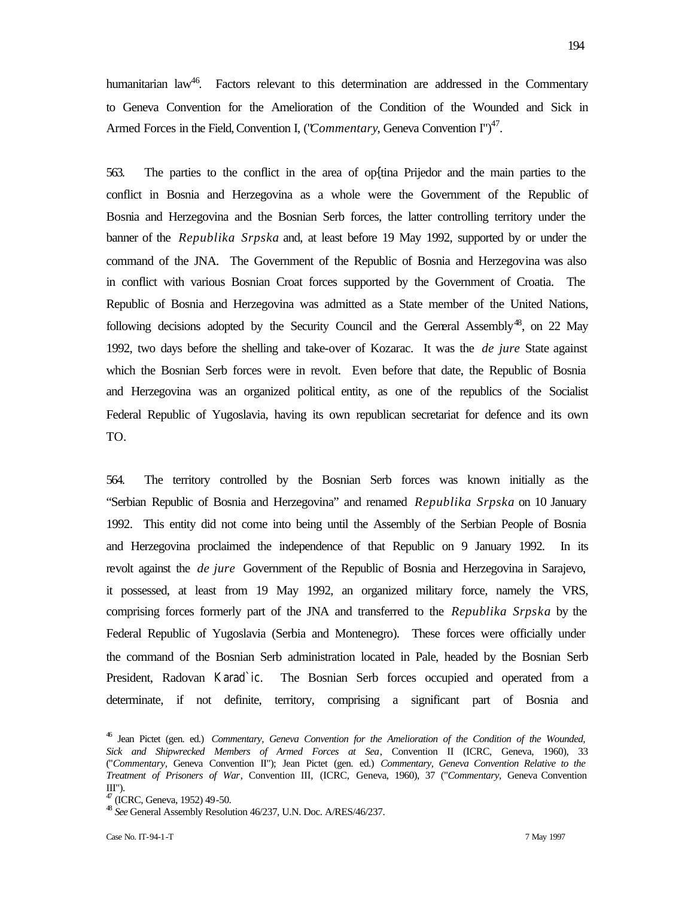humanitarian law<sup>46</sup>. Factors relevant to this determination are addressed in the Commentary to Geneva Convention for the Amelioration of the Condition of the Wounded and Sick in Armed Forces in the Field, Convention I, ('Commentary, Geneva Convention I'')<sup>47</sup>.

563. The parties to the conflict in the area of op{tina Prijedor and the main parties to the conflict in Bosnia and Herzegovina as a whole were the Government of the Republic of Bosnia and Herzegovina and the Bosnian Serb forces, the latter controlling territory under the banner of the *Republika Srpska* and, at least before 19 May 1992, supported by or under the command of the JNA. The Government of the Republic of Bosnia and Herzegovina was also in conflict with various Bosnian Croat forces supported by the Government of Croatia. The Republic of Bosnia and Herzegovina was admitted as a State member of the United Nations, following decisions adopted by the Security Council and the General Assembly<sup>48</sup>, on 22 May 1992, two days before the shelling and take-over of Kozarac. It was the *de jure* State against which the Bosnian Serb forces were in revolt. Even before that date, the Republic of Bosnia and Herzegovina was an organized political entity, as one of the republics of the Socialist Federal Republic of Yugoslavia, having its own republican secretariat for defence and its own TO.

564. The territory controlled by the Bosnian Serb forces was known initially as the "Serbian Republic of Bosnia and Herzegovina" and renamed *Republika Srpska* on 10 January 1992. This entity did not come into being until the Assembly of the Serbian People of Bosnia and Herzegovina proclaimed the independence of that Republic on 9 January 1992. In its revolt against the *de jure* Government of the Republic of Bosnia and Herzegovina in Sarajevo, it possessed, at least from 19 May 1992, an organized military force, namely the VRS, comprising forces formerly part of the JNA and transferred to the *Republika Srpska* by the Federal Republic of Yugoslavia (Serbia and Montenegro). These forces were officially under the command of the Bosnian Serb administration located in Pale, headed by the Bosnian Serb President, Radovan Karad`ic. The Bosnian Serb forces occupied and operated from a determinate, if not definite, territory, comprising a significant part of Bosnia and

<sup>46</sup> Jean Pictet (gen. ed.) *Commentary, Geneva Convention for the Amelioration of the Condition of the Wounded, Sick and Shipwrecked Members of Armed Forces at Sea*, Convention II (ICRC, Geneva, 1960), 33 ("*Commentary,* Geneva Convention II"); Jean Pictet (gen. ed.) *Commentary, Geneva Convention Relative to the Treatment of Prisoners of War*, Convention III, (ICRC, Geneva, 1960), 37 ("*Commentary,* Geneva Convention III").

<sup>47</sup> (ICRC, Geneva, 1952) 49-50.

<sup>48</sup> *See* General Assembly Resolution 46/237, U.N. Doc. A/RES/46/237.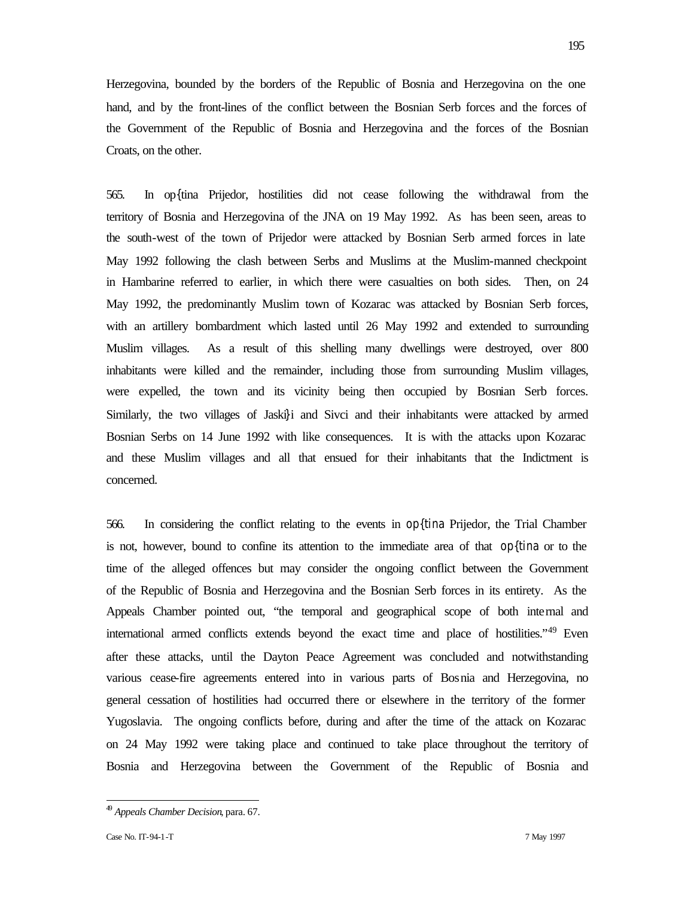Herzegovina, bounded by the borders of the Republic of Bosnia and Herzegovina on the one hand, and by the front-lines of the conflict between the Bosnian Serb forces and the forces of the Government of the Republic of Bosnia and Herzegovina and the forces of the Bosnian Croats, on the other.

565. In op{tina Prijedor, hostilities did not cease following the withdrawal from the territory of Bosnia and Herzegovina of the JNA on 19 May 1992. As has been seen, areas to the south-west of the town of Prijedor were attacked by Bosnian Serb armed forces in late May 1992 following the clash between Serbs and Muslims at the Muslim-manned checkpoint in Hambarine referred to earlier, in which there were casualties on both sides. Then, on 24 May 1992, the predominantly Muslim town of Kozarac was attacked by Bosnian Serb forces, with an artillery bombardment which lasted until 26 May 1992 and extended to surrounding Muslim villages. As a result of this shelling many dwellings were destroyed, over 800 inhabitants were killed and the remainder, including those from surrounding Muslim villages, were expelled, the town and its vicinity being then occupied by Bosnian Serb forces. Similarly, the two villages of Jaski}i and Sivci and their inhabitants were attacked by armed Bosnian Serbs on 14 June 1992 with like consequences. It is with the attacks upon Kozarac and these Muslim villages and all that ensued for their inhabitants that the Indictment is concerned.

566. In considering the conflict relating to the events in op{tina Prijedor, the Trial Chamber is not, however, bound to confine its attention to the immediate area of that op{tina or to the time of the alleged offences but may consider the ongoing conflict between the Government of the Republic of Bosnia and Herzegovina and the Bosnian Serb forces in its entirety. As the Appeals Chamber pointed out, "the temporal and geographical scope of both internal and international armed conflicts extends beyond the exact time and place of hostilities."<sup>49</sup> Even after these attacks, until the Dayton Peace Agreement was concluded and notwithstanding various cease-fire agreements entered into in various parts of Bosnia and Herzegovina, no general cessation of hostilities had occurred there or elsewhere in the territory of the former Yugoslavia. The ongoing conflicts before, during and after the time of the attack on Kozarac on 24 May 1992 were taking place and continued to take place throughout the territory of Bosnia and Herzegovina between the Government of the Republic of Bosnia and

<sup>49</sup> *Appeals Chamber Decision*, para. 67.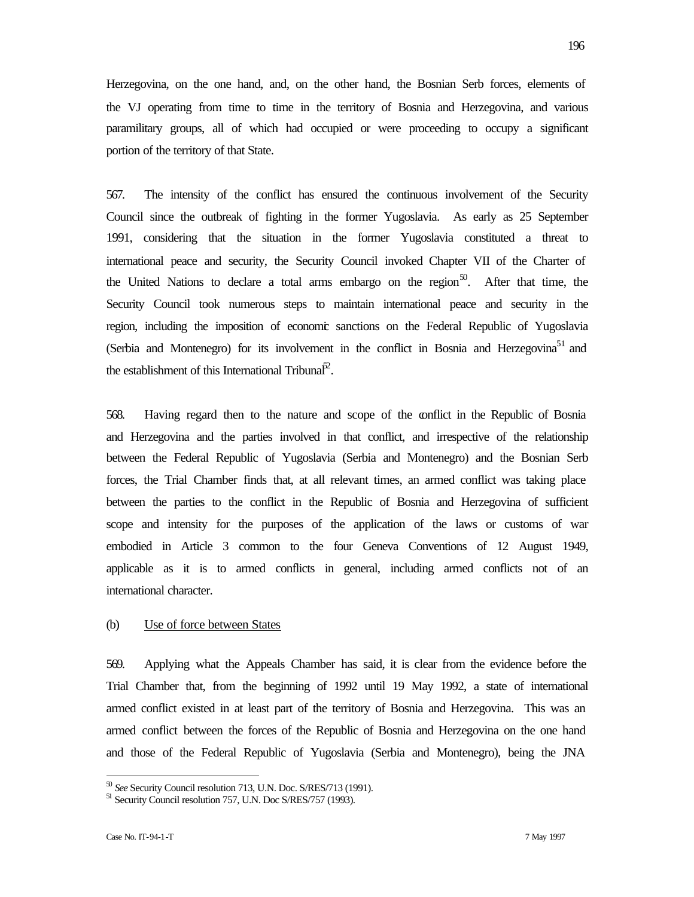Herzegovina, on the one hand, and, on the other hand, the Bosnian Serb forces, elements of the VJ operating from time to time in the territory of Bosnia and Herzegovina, and various paramilitary groups, all of which had occupied or were proceeding to occupy a significant portion of the territory of that State.

567. The intensity of the conflict has ensured the continuous involvement of the Security Council since the outbreak of fighting in the former Yugoslavia. As early as 25 September 1991, considering that the situation in the former Yugoslavia constituted a threat to international peace and security, the Security Council invoked Chapter VII of the Charter of the United Nations to declare a total arms embargo on the region $50$ . After that time, the Security Council took numerous steps to maintain international peace and security in the region, including the imposition of economic sanctions on the Federal Republic of Yugoslavia (Serbia and Montenegro) for its involvement in the conflict in Bosnia and Herzegovina<sup>51</sup> and the establishment of this International Tribunal $\tilde{P}^2$ .

568. Having regard then to the nature and scope of the conflict in the Republic of Bosnia and Herzegovina and the parties involved in that conflict, and irrespective of the relationship between the Federal Republic of Yugoslavia (Serbia and Montenegro) and the Bosnian Serb forces, the Trial Chamber finds that, at all relevant times, an armed conflict was taking place between the parties to the conflict in the Republic of Bosnia and Herzegovina of sufficient scope and intensity for the purposes of the application of the laws or customs of war embodied in Article 3 common to the four Geneva Conventions of 12 August 1949, applicable as it is to armed conflicts in general, including armed conflicts not of an international character.

#### (b) Use of force between States

569. Applying what the Appeals Chamber has said, it is clear from the evidence before the Trial Chamber that, from the beginning of 1992 until 19 May 1992, a state of international armed conflict existed in at least part of the territory of Bosnia and Herzegovina. This was an armed conflict between the forces of the Republic of Bosnia and Herzegovina on the one hand and those of the Federal Republic of Yugoslavia (Serbia and Montenegro), being the JNA

<sup>50</sup> *See* Security Council resolution 713, U.N. Doc. S/RES/713 (1991).

<sup>&</sup>lt;sup>51</sup> Security Council resolution 757, U.N. Doc S/RES/757 (1993).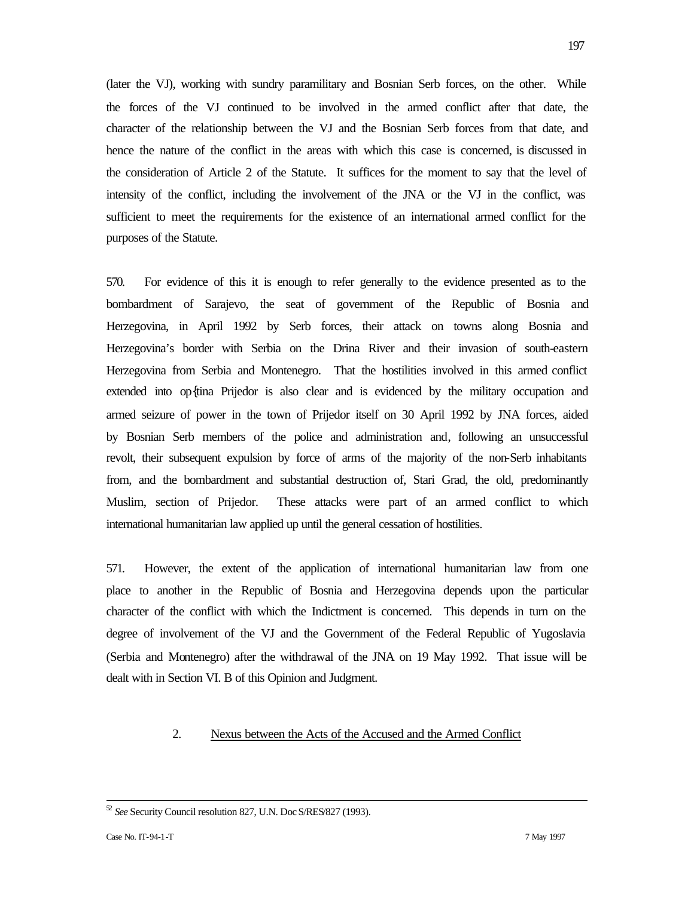(later the VJ), working with sundry paramilitary and Bosnian Serb forces, on the other. While the forces of the VJ continued to be involved in the armed conflict after that date, the character of the relationship between the VJ and the Bosnian Serb forces from that date, and hence the nature of the conflict in the areas with which this case is concerned, is discussed in the consideration of Article 2 of the Statute. It suffices for the moment to say that the level of intensity of the conflict, including the involvement of the JNA or the VJ in the conflict, was sufficient to meet the requirements for the existence of an international armed conflict for the purposes of the Statute.

570. For evidence of this it is enough to refer generally to the evidence presented as to the bombardment of Sarajevo, the seat of government of the Republic of Bosnia and Herzegovina, in April 1992 by Serb forces, their attack on towns along Bosnia and Herzegovina's border with Serbia on the Drina River and their invasion of south-eastern Herzegovina from Serbia and Montenegro. That the hostilities involved in this armed conflict extended into op{tina Prijedor is also clear and is evidenced by the military occupation and armed seizure of power in the town of Prijedor itself on 30 April 1992 by JNA forces, aided by Bosnian Serb members of the police and administration and, following an unsuccessful revolt, their subsequent expulsion by force of arms of the majority of the non-Serb inhabitants from, and the bombardment and substantial destruction of, Stari Grad, the old, predominantly Muslim, section of Prijedor. These attacks were part of an armed conflict to which international humanitarian law applied up until the general cessation of hostilities.

571. However, the extent of the application of international humanitarian law from one place to another in the Republic of Bosnia and Herzegovina depends upon the particular character of the conflict with which the Indictment is concerned. This depends in turn on the degree of involvement of the VJ and the Government of the Federal Republic of Yugoslavia (Serbia and Montenegro) after the withdrawal of the JNA on 19 May 1992. That issue will be dealt with in Section VI. B of this Opinion and Judgment.

#### 2. Nexus between the Acts of the Accused and the Armed Conflict

<sup>52</sup> *See* Security Council resolution 827, U.N. Doc S/RES/827 (1993).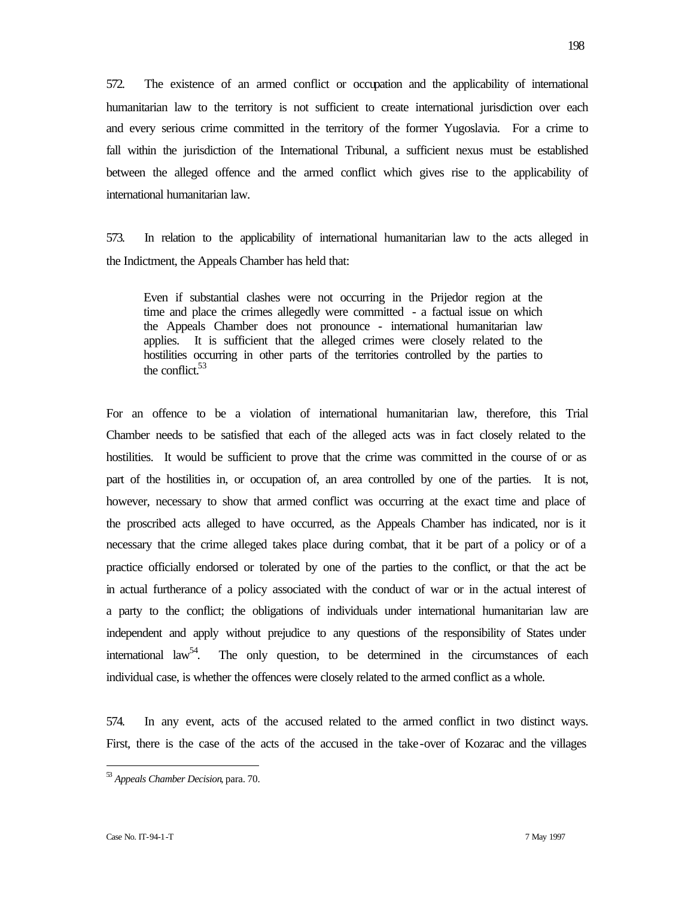572. The existence of an armed conflict or occupation and the applicability of international humanitarian law to the territory is not sufficient to create international jurisdiction over each and every serious crime committed in the territory of the former Yugoslavia. For a crime to fall within the jurisdiction of the International Tribunal, a sufficient nexus must be established between the alleged offence and the armed conflict which gives rise to the applicability of international humanitarian law.

573. In relation to the applicability of international humanitarian law to the acts alleged in the Indictment, the Appeals Chamber has held that:

Even if substantial clashes were not occurring in the Prijedor region at the time and place the crimes allegedly were committed - a factual issue on which the Appeals Chamber does not pronounce - international humanitarian law applies. It is sufficient that the alleged crimes were closely related to the hostilities occurring in other parts of the territories controlled by the parties to the conflict. $53$ 

For an offence to be a violation of international humanitarian law, therefore, this Trial Chamber needs to be satisfied that each of the alleged acts was in fact closely related to the hostilities. It would be sufficient to prove that the crime was committed in the course of or as part of the hostilities in, or occupation of, an area controlled by one of the parties. It is not, however, necessary to show that armed conflict was occurring at the exact time and place of the proscribed acts alleged to have occurred, as the Appeals Chamber has indicated, nor is it necessary that the crime alleged takes place during combat, that it be part of a policy or of a practice officially endorsed or tolerated by one of the parties to the conflict, or that the act be in actual furtherance of a policy associated with the conduct of war or in the actual interest of a party to the conflict; the obligations of individuals under international humanitarian law are independent and apply without prejudice to any questions of the responsibility of States under international law<sup>54</sup>. The only question, to be determined in the circumstances of each individual case, is whether the offences were closely related to the armed conflict as a whole.

574. In any event, acts of the accused related to the armed conflict in two distinct ways. First, there is the case of the acts of the accused in the take-over of Kozarac and the villages

<sup>53</sup> *Appeals Chamber Decision*, para. 70.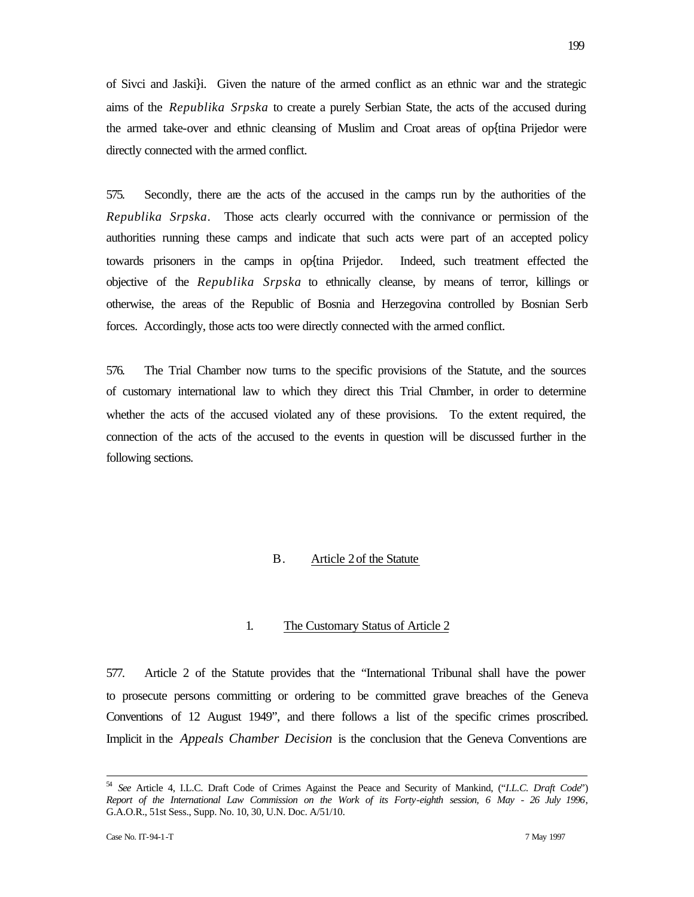of Sivci and Jaski}i. Given the nature of the armed conflict as an ethnic war and the strategic aims of the *Republika Srpska* to create a purely Serbian State, the acts of the accused during the armed take-over and ethnic cleansing of Muslim and Croat areas of op{tina Prijedor were directly connected with the armed conflict.

575. Secondly, there are the acts of the accused in the camps run by the authorities of the *Republika Srpska*. Those acts clearly occurred with the connivance or permission of the authorities running these camps and indicate that such acts were part of an accepted policy towards prisoners in the camps in op{tina Prijedor. Indeed, such treatment effected the objective of the *Republika Srpska* to ethnically cleanse, by means of terror, killings or otherwise, the areas of the Republic of Bosnia and Herzegovina controlled by Bosnian Serb forces. Accordingly, those acts too were directly connected with the armed conflict.

576. The Trial Chamber now turns to the specific provisions of the Statute, and the sources of customary international law to which they direct this Trial Chamber, in order to determine whether the acts of the accused violated any of these provisions. To the extent required, the connection of the acts of the accused to the events in question will be discussed further in the following sections.

## B. Article 2 of the Statute

#### 1. The Customary Status of Article 2

577. Article 2 of the Statute provides that the "International Tribunal shall have the power to prosecute persons committing or ordering to be committed grave breaches of the Geneva Conventions of 12 August 1949", and there follows a list of the specific crimes proscribed. Implicit in the *Appeals Chamber Decision* is the conclusion that the Geneva Conventions are

<sup>54</sup> *See* Article 4, I.L.C. Draft Code of Crimes Against the Peace and Security of Mankind, ("*I.L.C. Draft Code*") *Report of the International Law Commission on the Work of its Forty-eighth session, 6 May - 26 July 1996*, G.A.O.R., 51st Sess., Supp. No. 10, 30, U.N. Doc. A/51/10.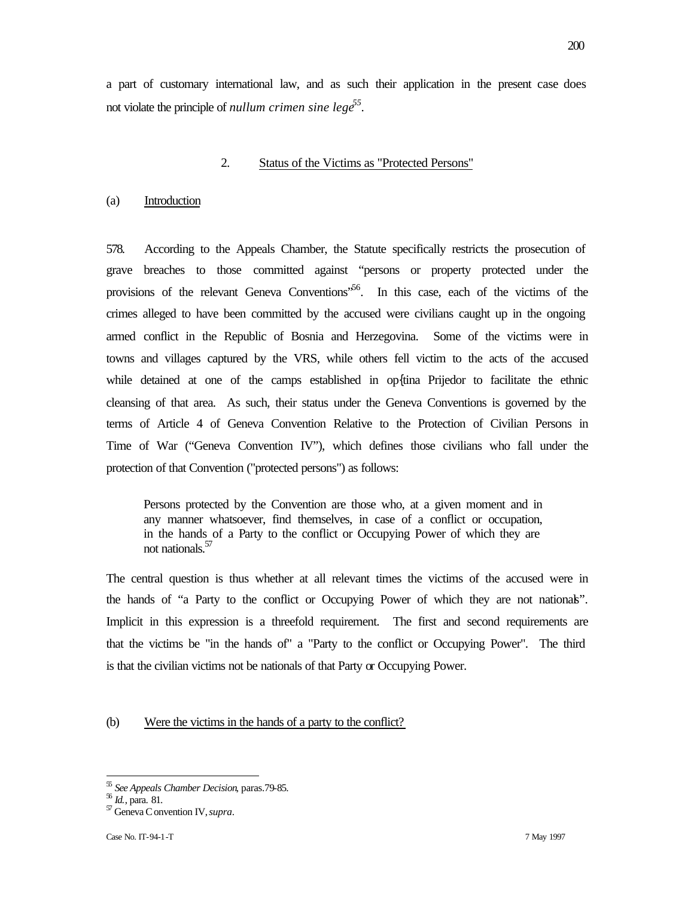a part of customary international law, and as such their application in the present case does not violate the principle of *nullum crimen sine lege<sup>55</sup>* .

## 2. Status of the Victims as "Protected Persons"

#### (a) Introduction

578. According to the Appeals Chamber, the Statute specifically restricts the prosecution of grave breaches to those committed against "persons or property protected under the provisions of the relevant Geneva Conventions<sup> $55$ </sup>. In this case, each of the victims of the crimes alleged to have been committed by the accused were civilians caught up in the ongoing armed conflict in the Republic of Bosnia and Herzegovina. Some of the victims were in towns and villages captured by the VRS, while others fell victim to the acts of the accused while detained at one of the camps established in op{tina Prijedor to facilitate the ethnic cleansing of that area. As such, their status under the Geneva Conventions is governed by the terms of Article 4 of Geneva Convention Relative to the Protection of Civilian Persons in Time of War ("Geneva Convention IV"), which defines those civilians who fall under the protection of that Convention ("protected persons") as follows:

Persons protected by the Convention are those who, at a given moment and in any manner whatsoever, find themselves, in case of a conflict or occupation, in the hands of a Party to the conflict or Occupying Power of which they are not nationals.<sup>57</sup>

The central question is thus whether at all relevant times the victims of the accused were in the hands of "a Party to the conflict or Occupying Power of which they are not nationals". Implicit in this expression is a threefold requirement. The first and second requirements are that the victims be "in the hands of" a "Party to the conflict or Occupying Power". The third is that the civilian victims not be nationals of that Party or Occupying Power.

# (b) Were the victims in the hands of a party to the conflict?

<sup>55</sup> *See Appeals Chamber Decision*, paras.79-85.

<sup>56</sup> *Id.*, para. 81.

<sup>57</sup> Geneva Convention IV, *supra*.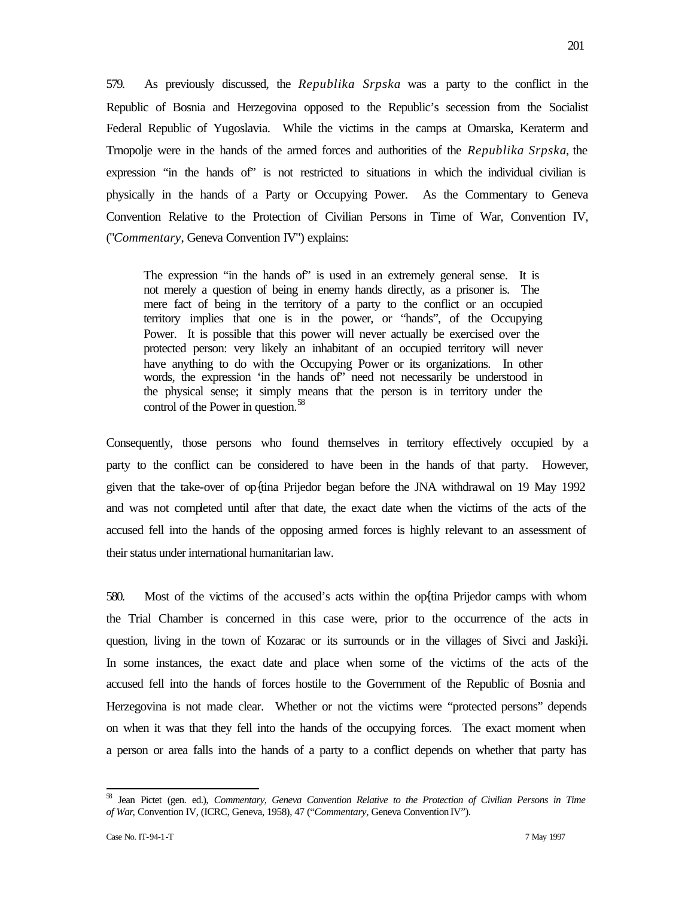579. As previously discussed, the *Republika Srpska* was a party to the conflict in the Republic of Bosnia and Herzegovina opposed to the Republic's secession from the Socialist Federal Republic of Yugoslavia. While the victims in the camps at Omarska, Keraterm and Trnopolje were in the hands of the armed forces and authorities of the *Republika Srpska*, the expression "in the hands of" is not restricted to situations in which the individual civilian is physically in the hands of a Party or Occupying Power. As the Commentary to Geneva Convention Relative to the Protection of Civilian Persons in Time of War, Convention IV, ("*Commentary*, Geneva Convention IV") explains:

The expression "in the hands of" is used in an extremely general sense. It is not merely a question of being in enemy hands directly, as a prisoner is. The mere fact of being in the territory of a party to the conflict or an occupied territory implies that one is in the power, or "hands", of the Occupying Power. It is possible that this power will never actually be exercised over the protected person: very likely an inhabitant of an occupied territory will never have anything to do with the Occupying Power or its organizations. In other words, the expression 'in the hands of' need not necessarily be understood in the physical sense; it simply means that the person is in territory under the control of the Power in question.<sup>58</sup>

Consequently, those persons who found themselves in territory effectively occupied by a party to the conflict can be considered to have been in the hands of that party. However, given that the take-over of op{tina Prijedor began before the JNA withdrawal on 19 May 1992 and was not completed until after that date, the exact date when the victims of the acts of the accused fell into the hands of the opposing armed forces is highly relevant to an assessment of their status under international humanitarian law.

580. Most of the victims of the accused's acts within the op{tina Prijedor camps with whom the Trial Chamber is concerned in this case were, prior to the occurrence of the acts in question, living in the town of Kozarac or its surrounds or in the villages of Sivci and Jaski}i. In some instances, the exact date and place when some of the victims of the acts of the accused fell into the hands of forces hostile to the Government of the Republic of Bosnia and Herzegovina is not made clear. Whether or not the victims were "protected persons" depends on when it was that they fell into the hands of the occupying forces. The exact moment when a person or area falls into the hands of a party to a conflict depends on whether that party has

<sup>58</sup> Jean Pictet (gen. ed.), *Commentary, Geneva Convention Relative to the Protection of Civilian Persons in Time of War*, Convention IV, (ICRC, Geneva, 1958), 47 ("*Commentary,* Geneva Convention IV").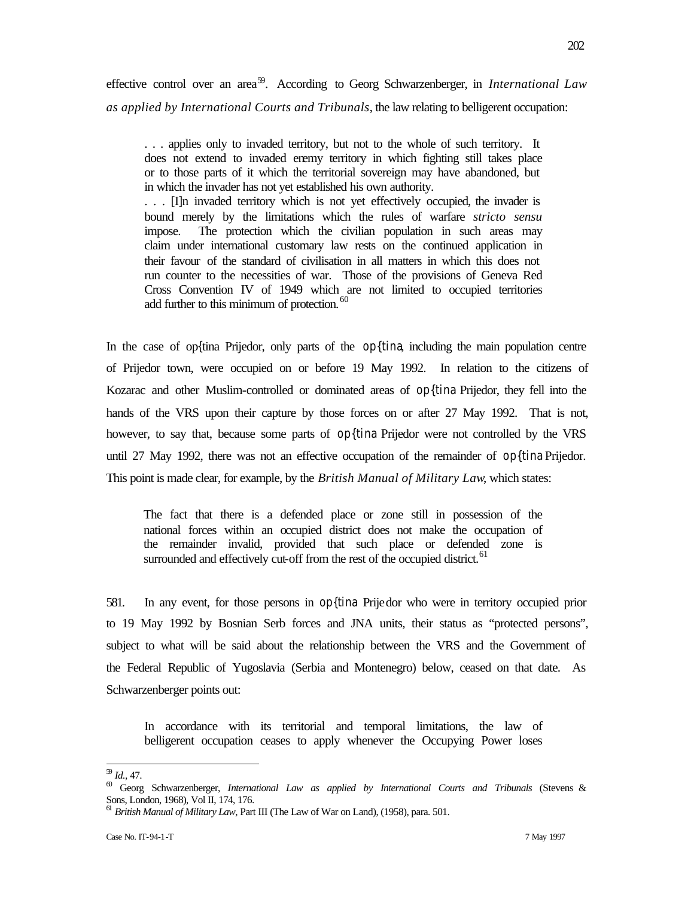effective control over an area<sup>59</sup>. According to Georg Schwarzenberger, in *International Law as applied by International Courts and Tribunals*, the law relating to belligerent occupation:

. . . applies only to invaded territory, but not to the whole of such territory. It does not extend to invaded enemy territory in which fighting still takes place or to those parts of it which the territorial sovereign may have abandoned, but in which the invader has not yet established his own authority.

. . . [I]n invaded territory which is not yet effectively occupied, the invader is bound merely by the limitations which the rules of warfare *stricto sensu* impose. The protection which the civilian population in such areas may claim under international customary law rests on the continued application in their favour of the standard of civilisation in all matters in which this does not run counter to the necessities of war. Those of the provisions of Geneva Red Cross Convention IV of 1949 which are not limited to occupied territories add further to this minimum of protection.<sup>60</sup>

In the case of op{tina Prijedor, only parts of the op{tina, including the main population centre of Prijedor town, were occupied on or before 19 May 1992. In relation to the citizens of Kozarac and other Muslim-controlled or dominated areas of op{tina Prijedor, they fell into the hands of the VRS upon their capture by those forces on or after 27 May 1992. That is not, however, to say that, because some parts of op{tina Prijedor were not controlled by the VRS until 27 May 1992, there was not an effective occupation of the remainder of op{tina Prijedor. This point is made clear, for example, by the *British Manual of Military Law*, which states:

The fact that there is a defended place or zone still in possession of the national forces within an occupied district does not make the occupation of the remainder invalid, provided that such place or defended zone is surrounded and effectively cut-off from the rest of the occupied district.<sup>61</sup>

581. In any event, for those persons in op{tina Prijedor who were in territory occupied prior to 19 May 1992 by Bosnian Serb forces and JNA units, their status as "protected persons", subject to what will be said about the relationship between the VRS and the Government of the Federal Republic of Yugoslavia (Serbia and Montenegro) below, ceased on that date. As Schwarzenberger points out:

In accordance with its territorial and temporal limitations, the law of belligerent occupation ceases to apply whenever the Occupying Power loses

<sup>59</sup> *Id.,* 47.

<sup>60</sup> Georg Schwarzenberger, *International Law as applied by International Courts and Tribunals* (Stevens & Sons, London, 1968), Vol II, 174, 176.

<sup>61</sup> *British Manual of Military Law*, Part III (The Law of War on Land), (1958), para. 501.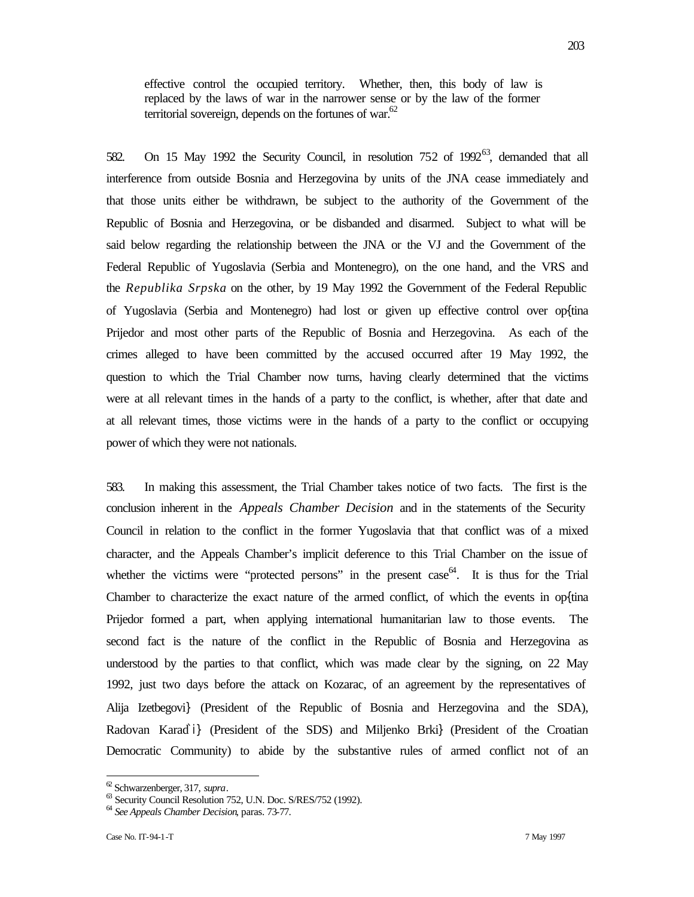effective control the occupied territory. Whether, then, this body of law is replaced by the laws of war in the narrower sense or by the law of the former territorial sovereign, depends on the fortunes of war.<sup>62</sup>

582. On 15 May 1992 the Security Council, in resolution 752 of  $1992^{63}$ , demanded that all interference from outside Bosnia and Herzegovina by units of the JNA cease immediately and that those units either be withdrawn, be subject to the authority of the Government of the Republic of Bosnia and Herzegovina, or be disbanded and disarmed. Subject to what will be said below regarding the relationship between the JNA or the VJ and the Government of the Federal Republic of Yugoslavia (Serbia and Montenegro), on the one hand, and the VRS and the *Republika Srpska* on the other, by 19 May 1992 the Government of the Federal Republic of Yugoslavia (Serbia and Montenegro) had lost or given up effective control over op{tina Prijedor and most other parts of the Republic of Bosnia and Herzegovina. As each of the crimes alleged to have been committed by the accused occurred after 19 May 1992, the question to which the Trial Chamber now turns, having clearly determined that the victims were at all relevant times in the hands of a party to the conflict, is whether, after that date and at all relevant times, those victims were in the hands of a party to the conflict or occupying power of which they were not nationals.

583. In making this assessment, the Trial Chamber takes notice of two facts. The first is the conclusion inherent in the *Appeals Chamber Decision* and in the statements of the Security Council in relation to the conflict in the former Yugoslavia that that conflict was of a mixed character, and the Appeals Chamber's implicit deference to this Trial Chamber on the issue of whether the victims were "protected persons" in the present case  $\alpha$ <sup>64</sup>. It is thus for the Trial Chamber to characterize the exact nature of the armed conflict, of which the events in op{tina Prijedor formed a part, when applying international humanitarian law to those events. The second fact is the nature of the conflict in the Republic of Bosnia and Herzegovina as understood by the parties to that conflict, which was made clear by the signing, on 22 May 1992, just two days before the attack on Kozarac, of an agreement by the representatives of Alija Izetbegovi} (President of the Republic of Bosnia and Herzegovina and the SDA), Radovan Karad`i} (President of the SDS) and Miljenko Brki} (President of the Croatian Democratic Community) to abide by the substantive rules of armed conflict not of an

<sup>62</sup> Schwarzenberger, 317, *supra*.

 $^{63}$  Security Council Resolution 752, U.N. Doc. S/RES/752 (1992).

<sup>64</sup> *See Appeals Chamber Decision*, paras. 73-77.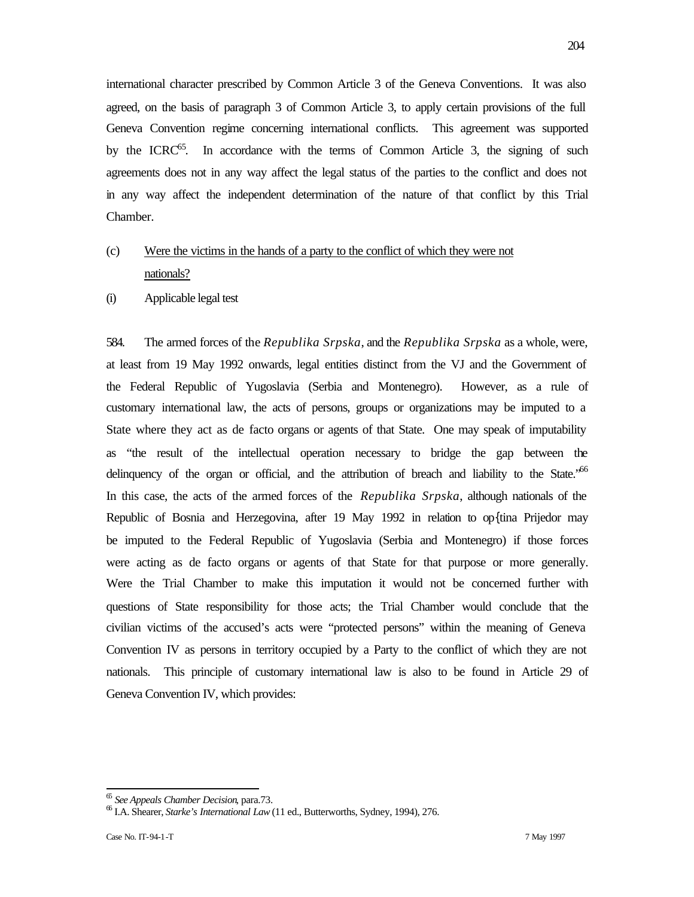international character prescribed by Common Article 3 of the Geneva Conventions. It was also agreed, on the basis of paragraph 3 of Common Article 3, to apply certain provisions of the full Geneva Convention regime concerning international conflicts. This agreement was supported by the ICRC<sup>65</sup>. In accordance with the terms of Common Article 3, the signing of such agreements does not in any way affect the legal status of the parties to the conflict and does not in any way affect the independent determination of the nature of that conflict by this Trial Chamber.

# (c) Were the victims in the hands of a party to the conflict of which they were not nationals?

## (i) Applicable legal test

584. The armed forces of the *Republika Srpska*, and the *Republika Srpska* as a whole, were, at least from 19 May 1992 onwards, legal entities distinct from the VJ and the Government of the Federal Republic of Yugoslavia (Serbia and Montenegro). However, as a rule of customary international law, the acts of persons, groups or organizations may be imputed to a State where they act as de facto organs or agents of that State. One may speak of imputability as "the result of the intellectual operation necessary to bridge the gap between the delinquency of the organ or official, and the attribution of breach and liability to the State.<sup>566</sup> In this case, the acts of the armed forces of the *Republika Srpska*, although nationals of the Republic of Bosnia and Herzegovina, after 19 May 1992 in relation to op{tina Prijedor may be imputed to the Federal Republic of Yugoslavia (Serbia and Montenegro) if those forces were acting as de facto organs or agents of that State for that purpose or more generally. Were the Trial Chamber to make this imputation it would not be concerned further with questions of State responsibility for those acts; the Trial Chamber would conclude that the civilian victims of the accused's acts were "protected persons" within the meaning of Geneva Convention IV as persons in territory occupied by a Party to the conflict of which they are not nationals. This principle of customary international law is also to be found in Article 29 of Geneva Convention IV, which provides:

<sup>65</sup> *See Appeals Chamber Decision*, para.73.

<sup>66</sup> I.A. Shearer, *Starke's International Law* (11 ed., Butterworths, Sydney, 1994), 276.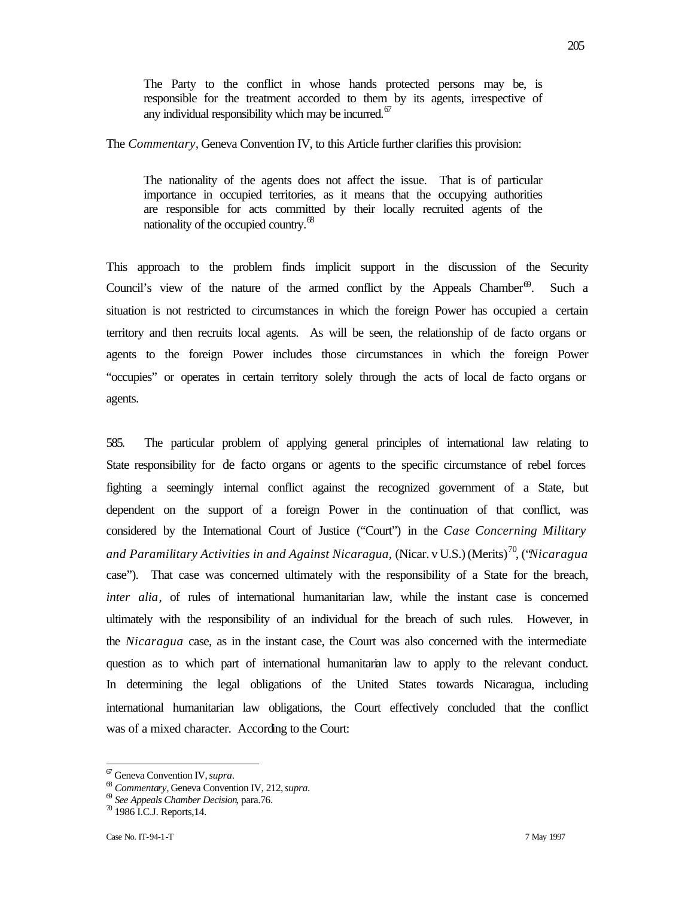The Party to the conflict in whose hands protected persons may be, is responsible for the treatment accorded to them by its agents, irrespective of any individual responsibility which may be incurred. $67$ 

The *Commentary,* Geneva Convention IV, to this Article further clarifies this provision:

The nationality of the agents does not affect the issue. That is of particular importance in occupied territories, as it means that the occupying authorities are responsible for acts committed by their locally recruited agents of the nationality of the occupied country. $^{68}$ 

This approach to the problem finds implicit support in the discussion of the Security Council's view of the nature of the armed conflict by the Appeals Chamber<sup>69</sup>. Such a situation is not restricted to circumstances in which the foreign Power has occupied a certain territory and then recruits local agents. As will be seen, the relationship of de facto organs or agents to the foreign Power includes those circumstances in which the foreign Power "occupies" or operates in certain territory solely through the acts of local de facto organs or agents.

585. The particular problem of applying general principles of international law relating to State responsibility for de facto organs or agents to the specific circumstance of rebel forces fighting a seemingly internal conflict against the recognized government of a State, but dependent on the support of a foreign Power in the continuation of that conflict, was considered by the International Court of Justice ("Court") in the *Case Concerning Military*  and Paramilitary Activities in and Against Nicaragua, (Nicar. v U.S.) (Merits)<sup>70</sup>, (''Nicaragua case"). That case was concerned ultimately with the responsibility of a State for the breach, *inter alia*, of rules of international humanitarian law, while the instant case is concerned ultimately with the responsibility of an individual for the breach of such rules. However, in the *Nicaragua* case, as in the instant case, the Court was also concerned with the intermediate question as to which part of international humanitarian law to apply to the relevant conduct. In determining the legal obligations of the United States towards Nicaragua, including international humanitarian law obligations, the Court effectively concluded that the conflict was of a mixed character. According to the Court:

<sup>67</sup> Geneva Convention IV, *supra*.

<sup>68</sup> *Commentary,* Geneva Convention IV, 212, *supra*.

<sup>69</sup> *See Appeals Chamber Decision*, para.76.

 $\frac{10}{1986}$  I.C.J. Reports, 14.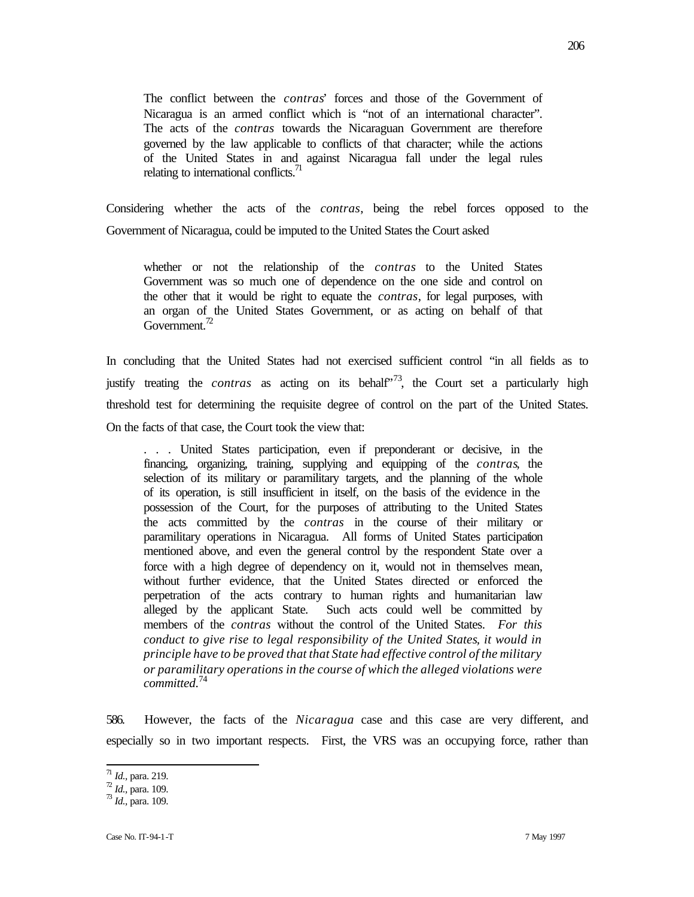The conflict between the *contras*' forces and those of the Government of Nicaragua is an armed conflict which is "not of an international character". The acts of the *contras* towards the Nicaraguan Government are therefore governed by the law applicable to conflicts of that character; while the actions of the United States in and against Nicaragua fall under the legal rules relating to international conflicts. $^{71}$ 

Considering whether the acts of the *contras*, being the rebel forces opposed to the Government of Nicaragua, could be imputed to the United States the Court asked

whether or not the relationship of the *contras* to the United States Government was so much one of dependence on the one side and control on the other that it would be right to equate the *contras*, for legal purposes, with an organ of the United States Government, or as acting on behalf of that Government.<sup>72</sup>

In concluding that the United States had not exercised sufficient control "in all fields as to justify treating the *contras* as acting on its behalf<sup>73</sup>, the Court set a particularly high threshold test for determining the requisite degree of control on the part of the United States. On the facts of that case, the Court took the view that:

. . . United States participation, even if preponderant or decisive, in the financing, organizing, training, supplying and equipping of the *contras*, the selection of its military or paramilitary targets, and the planning of the whole of its operation, is still insufficient in itself, on the basis of the evidence in the possession of the Court, for the purposes of attributing to the United States the acts committed by the *contras* in the course of their military or paramilitary operations in Nicaragua. All forms of United States participation mentioned above, and even the general control by the respondent State over a force with a high degree of dependency on it, would not in themselves mean, without further evidence, that the United States directed or enforced the perpetration of the acts contrary to human rights and humanitarian law alleged by the applicant State. Such acts could well be committed by members of the *contras* without the control of the United States. *For this conduct to give rise to legal responsibility of the United States, it would in principle have to be proved that that State had effective control of the military or paramilitary operations in the course of which the alleged violations were committed*. 74

586. However, the facts of the *Nicaragua* case and this case are very different, and especially so in two important respects. First, the VRS was an occupying force, rather than

<sup>71</sup> *Id.,* para. 219.

 $\frac{72 \text{ H}}{1d}$ , para. 109.

<sup>73</sup> *Id.,* para. 109.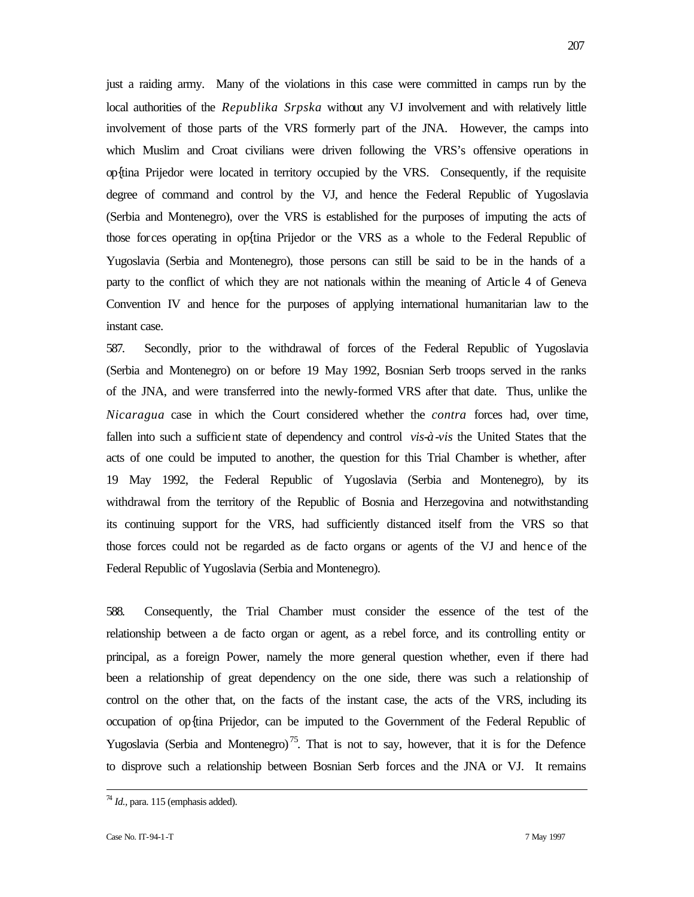just a raiding army. Many of the violations in this case were committed in camps run by the local authorities of the *Republika Srpska* without any VJ involvement and with relatively little involvement of those parts of the VRS formerly part of the JNA. However, the camps into which Muslim and Croat civilians were driven following the VRS's offensive operations in op{tina Prijedor were located in territory occupied by the VRS. Consequently, if the requisite degree of command and control by the VJ, and hence the Federal Republic of Yugoslavia (Serbia and Montenegro), over the VRS is established for the purposes of imputing the acts of those forces operating in op{tina Prijedor or the VRS as a whole to the Federal Republic of Yugoslavia (Serbia and Montenegro), those persons can still be said to be in the hands of a party to the conflict of which they are not nationals within the meaning of Article 4 of Geneva Convention IV and hence for the purposes of applying international humanitarian law to the instant case.

587. Secondly, prior to the withdrawal of forces of the Federal Republic of Yugoslavia (Serbia and Montenegro) on or before 19 May 1992, Bosnian Serb troops served in the ranks of the JNA, and were transferred into the newly-formed VRS after that date. Thus, unlike the *Nicaragua* case in which the Court considered whether the *contra* forces had, over time, fallen into such a sufficient state of dependency and control *vis-à-vis* the United States that the acts of one could be imputed to another, the question for this Trial Chamber is whether, after 19 May 1992, the Federal Republic of Yugoslavia (Serbia and Montenegro), by its withdrawal from the territory of the Republic of Bosnia and Herzegovina and notwithstanding its continuing support for the VRS, had sufficiently distanced itself from the VRS so that those forces could not be regarded as de facto organs or agents of the VJ and hence of the Federal Republic of Yugoslavia (Serbia and Montenegro).

588. Consequently, the Trial Chamber must consider the essence of the test of the relationship between a de facto organ or agent, as a rebel force, and its controlling entity or principal, as a foreign Power, namely the more general question whether, even if there had been a relationship of great dependency on the one side, there was such a relationship of control on the other that, on the facts of the instant case, the acts of the VRS, including its occupation of op{tina Prijedor, can be imputed to the Government of the Federal Republic of Yugoslavia (Serbia and Montenegro)<sup>75</sup>. That is not to say, however, that it is for the Defence to disprove such a relationship between Bosnian Serb forces and the JNA or VJ. It remains

 $74$  *Id.*, para. 115 (emphasis added).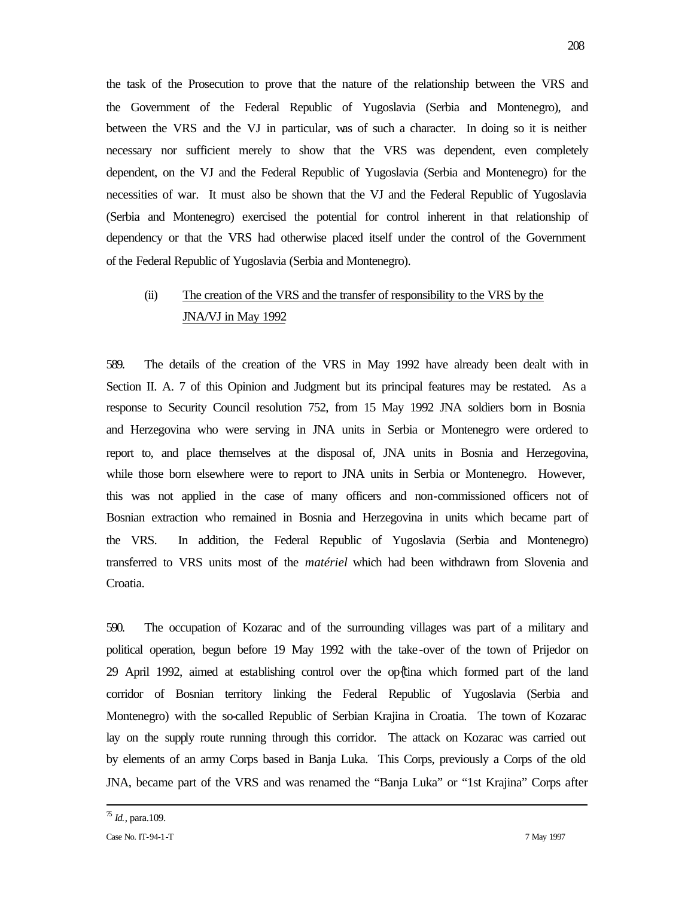the task of the Prosecution to prove that the nature of the relationship between the VRS and the Government of the Federal Republic of Yugoslavia (Serbia and Montenegro), and between the VRS and the VJ in particular, was of such a character. In doing so it is neither necessary nor sufficient merely to show that the VRS was dependent, even completely dependent, on the VJ and the Federal Republic of Yugoslavia (Serbia and Montenegro) for the necessities of war. It must also be shown that the VJ and the Federal Republic of Yugoslavia (Serbia and Montenegro) exercised the potential for control inherent in that relationship of dependency or that the VRS had otherwise placed itself under the control of the Government of the Federal Republic of Yugoslavia (Serbia and Montenegro).

# (ii) The creation of the VRS and the transfer of responsibility to the VRS by the JNA/VJ in May 1992

589. The details of the creation of the VRS in May 1992 have already been dealt with in Section II. A. 7 of this Opinion and Judgment but its principal features may be restated. As a response to Security Council resolution 752, from 15 May 1992 JNA soldiers born in Bosnia and Herzegovina who were serving in JNA units in Serbia or Montenegro were ordered to report to, and place themselves at the disposal of, JNA units in Bosnia and Herzegovina, while those born elsewhere were to report to JNA units in Serbia or Montenegro. However, this was not applied in the case of many officers and non-commissioned officers not of Bosnian extraction who remained in Bosnia and Herzegovina in units which became part of the VRS. In addition, the Federal Republic of Yugoslavia (Serbia and Montenegro) transferred to VRS units most of the *matériel* which had been withdrawn from Slovenia and Croatia.

590. The occupation of Kozarac and of the surrounding villages was part of a military and political operation, begun before 19 May 1992 with the take-over of the town of Prijedor on 29 April 1992, aimed at establishing control over the op{tina which formed part of the land corridor of Bosnian territory linking the Federal Republic of Yugoslavia (Serbia and Montenegro) with the so-called Republic of Serbian Krajina in Croatia. The town of Kozarac lay on the supply route running through this corridor. The attack on Kozarac was carried out by elements of an army Corps based in Banja Luka. This Corps, previously a Corps of the old JNA, became part of the VRS and was renamed the "Banja Luka" or "1st Krajina" Corps after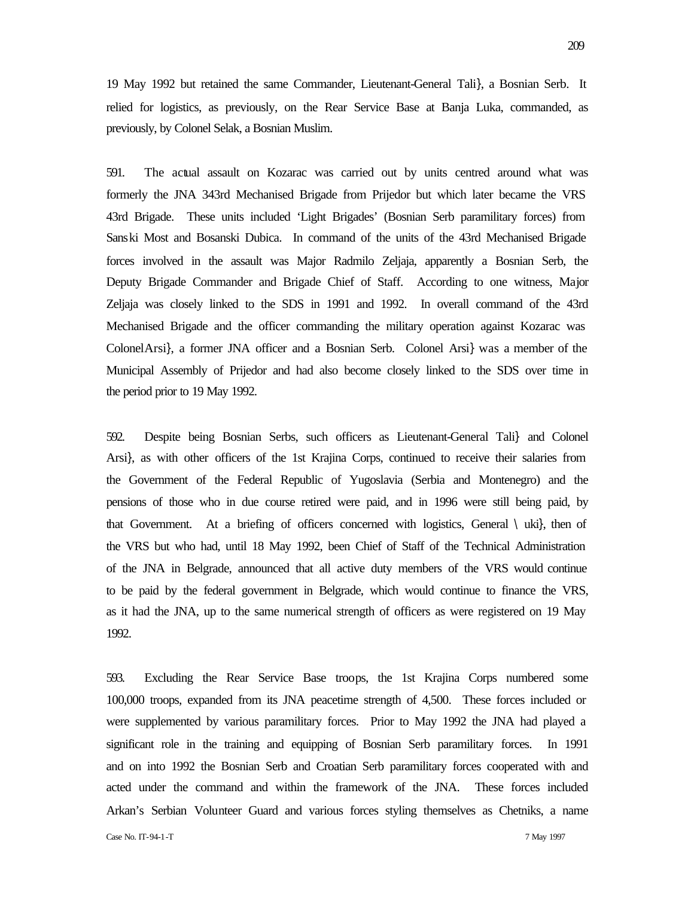19 May 1992 but retained the same Commander, Lieutenant-General Tali}, a Bosnian Serb. It relied for logistics, as previously, on the Rear Service Base at Banja Luka, commanded, as previously, by Colonel Selak, a Bosnian Muslim.

591. The actual assault on Kozarac was carried out by units centred around what was formerly the JNA 343rd Mechanised Brigade from Prijedor but which later became the VRS 43rd Brigade. These units included 'Light Brigades' (Bosnian Serb paramilitary forces) from Sanski Most and Bosanski Dubica. In command of the units of the 43rd Mechanised Brigade forces involved in the assault was Major Radmilo Zeljaja, apparently a Bosnian Serb, the Deputy Brigade Commander and Brigade Chief of Staff. According to one witness, Major Zeljaja was closely linked to the SDS in 1991 and 1992. In overall command of the 43rd Mechanised Brigade and the officer commanding the military operation against Kozarac was ColonelArsi}, a former JNA officer and a Bosnian Serb. Colonel Arsi} was a member of the Municipal Assembly of Prijedor and had also become closely linked to the SDS over time in the period prior to 19 May 1992.

592. Despite being Bosnian Serbs, such officers as Lieutenant-General Tali} and Colonel Arsi}, as with other officers of the 1st Krajina Corps, continued to receive their salaries from the Government of the Federal Republic of Yugoslavia (Serbia and Montenegro) and the pensions of those who in due course retired were paid, and in 1996 were still being paid, by that Government. At a briefing of officers concerned with logistics, General  $\lambda$ uki}, then of the VRS but who had, until 18 May 1992, been Chief of Staff of the Technical Administration of the JNA in Belgrade, announced that all active duty members of the VRS would continue to be paid by the federal government in Belgrade, which would continue to finance the VRS, as it had the JNA, up to the same numerical strength of officers as were registered on 19 May 1992.

593. Excluding the Rear Service Base troops, the 1st Krajina Corps numbered some 100,000 troops, expanded from its JNA peacetime strength of 4,500. These forces included or were supplemented by various paramilitary forces. Prior to May 1992 the JNA had played a significant role in the training and equipping of Bosnian Serb paramilitary forces. In 1991 and on into 1992 the Bosnian Serb and Croatian Serb paramilitary forces cooperated with and acted under the command and within the framework of the JNA. These forces included Arkan's Serbian Volunteer Guard and various forces styling themselves as Chetniks, a name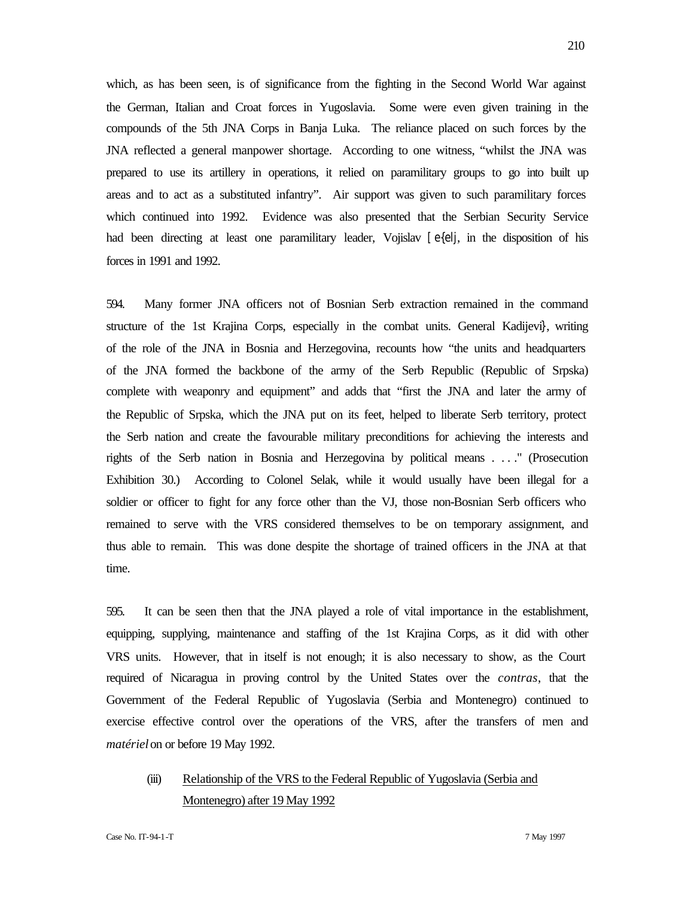which, as has been seen, is of significance from the fighting in the Second World War against the German, Italian and Croat forces in Yugoslavia. Some were even given training in the compounds of the 5th JNA Corps in Banja Luka. The reliance placed on such forces by the JNA reflected a general manpower shortage. According to one witness, "whilst the JNA was prepared to use its artillery in operations, it relied on paramilitary groups to go into built up areas and to act as a substituted infantry". Air support was given to such paramilitary forces which continued into 1992. Evidence was also presented that the Serbian Security Service had been directing at least one paramilitary leader, Vojislav [e{el], in the disposition of his forces in 1991 and 1992.

594. Many former JNA officers not of Bosnian Serb extraction remained in the command structure of the 1st Krajina Corps, especially in the combat units. General Kadijevi}, writing of the role of the JNA in Bosnia and Herzegovina, recounts how "the units and headquarters of the JNA formed the backbone of the army of the Serb Republic (Republic of Srpska) complete with weaponry and equipment" and adds that "first the JNA and later the army of the Republic of Srpska, which the JNA put on its feet, helped to liberate Serb territory, protect the Serb nation and create the favourable military preconditions for achieving the interests and rights of the Serb nation in Bosnia and Herzegovina by political means . . . ." (Prosecution Exhibition 30.) According to Colonel Selak, while it would usually have been illegal for a soldier or officer to fight for any force other than the VJ, those non-Bosnian Serb officers who remained to serve with the VRS considered themselves to be on temporary assignment, and thus able to remain. This was done despite the shortage of trained officers in the JNA at that time.

595. It can be seen then that the JNA played a role of vital importance in the establishment, equipping, supplying, maintenance and staffing of the 1st Krajina Corps, as it did with other VRS units. However, that in itself is not enough; it is also necessary to show, as the Court required of Nicaragua in proving control by the United States over the *contras*, that the Government of the Federal Republic of Yugoslavia (Serbia and Montenegro) continued to exercise effective control over the operations of the VRS, after the transfers of men and *matériel* on or before 19 May 1992.

 (iii) Relationship of the VRS to the Federal Republic of Yugoslavia (Serbia and Montenegro) after 19 May 1992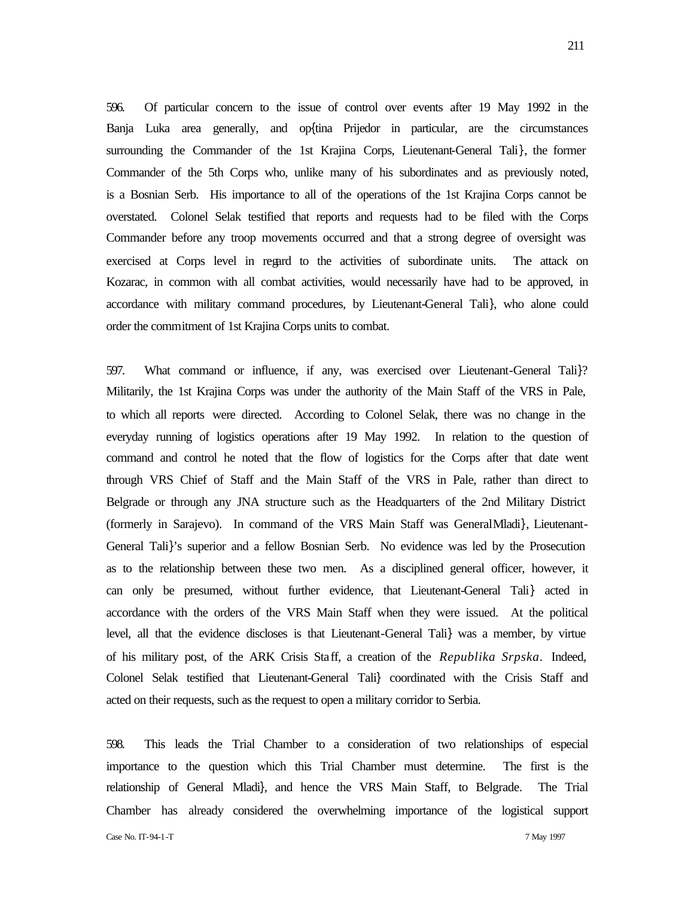596. Of particular concern to the issue of control over events after 19 May 1992 in the Banja Luka area generally, and op{tina Prijedor in particular, are the circumstances surrounding the Commander of the 1st Krajina Corps, Lieutenant-General Tali}, the former Commander of the 5th Corps who, unlike many of his subordinates and as previously noted, is a Bosnian Serb. His importance to all of the operations of the 1st Krajina Corps cannot be overstated. Colonel Selak testified that reports and requests had to be filed with the Corps Commander before any troop movements occurred and that a strong degree of oversight was exercised at Corps level in regard to the activities of subordinate units. The attack on Kozarac, in common with all combat activities, would necessarily have had to be approved, in accordance with military command procedures, by Lieutenant-General Tali}, who alone could order the commitment of 1st Krajina Corps units to combat.

597. What command or influence, if any, was exercised over Lieutenant-General Tali}? Militarily, the 1st Krajina Corps was under the authority of the Main Staff of the VRS in Pale, to which all reports were directed. According to Colonel Selak, there was no change in the everyday running of logistics operations after 19 May 1992. In relation to the question of command and control he noted that the flow of logistics for the Corps after that date went through VRS Chief of Staff and the Main Staff of the VRS in Pale, rather than direct to Belgrade or through any JNA structure such as the Headquarters of the 2nd Military District (formerly in Sarajevo). In command of the VRS Main Staff was GeneralMladi}, Lieutenant-General Tali}'s superior and a fellow Bosnian Serb. No evidence was led by the Prosecution as to the relationship between these two men. As a disciplined general officer, however, it can only be presumed, without further evidence, that Lieutenant-General Tali} acted in accordance with the orders of the VRS Main Staff when they were issued. At the political level, all that the evidence discloses is that Lieutenant-General Tali} was a member, by virtue of his military post, of the ARK Crisis Staff, a creation of the *Republika Srpska*. Indeed, Colonel Selak testified that Lieutenant-General Tali} coordinated with the Crisis Staff and acted on their requests, such as the request to open a military corridor to Serbia.

598. This leads the Trial Chamber to a consideration of two relationships of especial importance to the question which this Trial Chamber must determine. The first is the relationship of General Mladi}, and hence the VRS Main Staff, to Belgrade. The Trial Chamber has already considered the overwhelming importance of the logistical support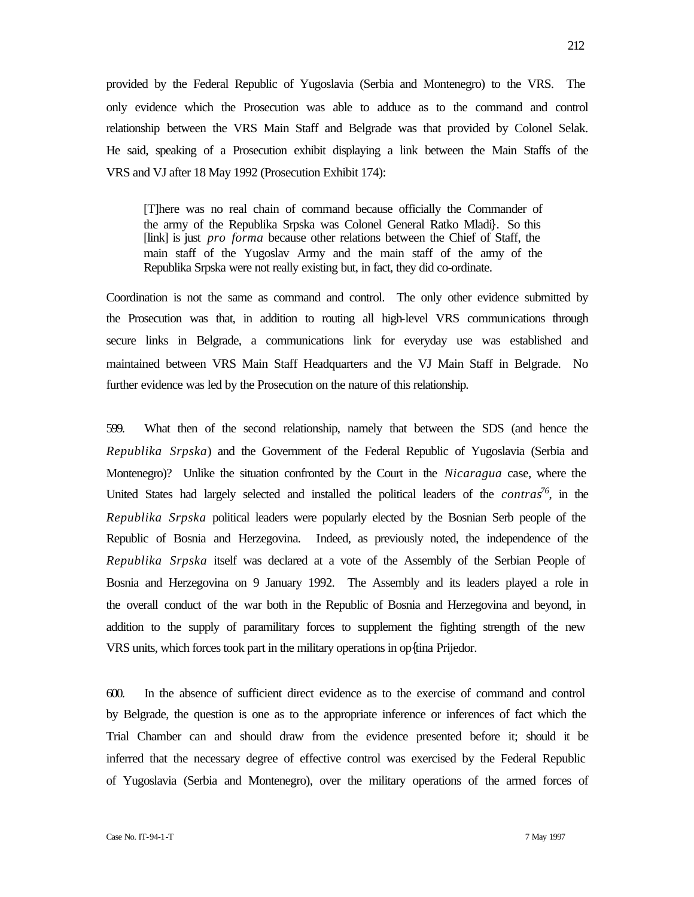provided by the Federal Republic of Yugoslavia (Serbia and Montenegro) to the VRS. The only evidence which the Prosecution was able to adduce as to the command and control relationship between the VRS Main Staff and Belgrade was that provided by Colonel Selak. He said, speaking of a Prosecution exhibit displaying a link between the Main Staffs of the VRS and VJ after 18 May 1992 (Prosecution Exhibit 174):

[T]here was no real chain of command because officially the Commander of the army of the Republika Srpska was Colonel General Ratko Mladi}. So this [link] is just *pro forma* because other relations between the Chief of Staff, the main staff of the Yugoslav Army and the main staff of the army of the Republika Srpska were not really existing but, in fact, they did co-ordinate.

Coordination is not the same as command and control. The only other evidence submitted by the Prosecution was that, in addition to routing all high-level VRS communications through secure links in Belgrade, a communications link for everyday use was established and maintained between VRS Main Staff Headquarters and the VJ Main Staff in Belgrade. No further evidence was led by the Prosecution on the nature of this relationship.

599. What then of the second relationship, namely that between the SDS (and hence the *Republika Srpska*) and the Government of the Federal Republic of Yugoslavia (Serbia and Montenegro)? Unlike the situation confronted by the Court in the *Nicaragua* case, where the United States had largely selected and installed the political leaders of the *contras<sup>76</sup>*, in the *Republika Srpska* political leaders were popularly elected by the Bosnian Serb people of the Republic of Bosnia and Herzegovina. Indeed, as previously noted, the independence of the *Republika Srpska* itself was declared at a vote of the Assembly of the Serbian People of Bosnia and Herzegovina on 9 January 1992. The Assembly and its leaders played a role in the overall conduct of the war both in the Republic of Bosnia and Herzegovina and beyond, in addition to the supply of paramilitary forces to supplement the fighting strength of the new VRS units, which forces took part in the military operations in op{tina Prijedor.

600. In the absence of sufficient direct evidence as to the exercise of command and control by Belgrade, the question is one as to the appropriate inference or inferences of fact which the Trial Chamber can and should draw from the evidence presented before it; should it be inferred that the necessary degree of effective control was exercised by the Federal Republic of Yugoslavia (Serbia and Montenegro), over the military operations of the armed forces of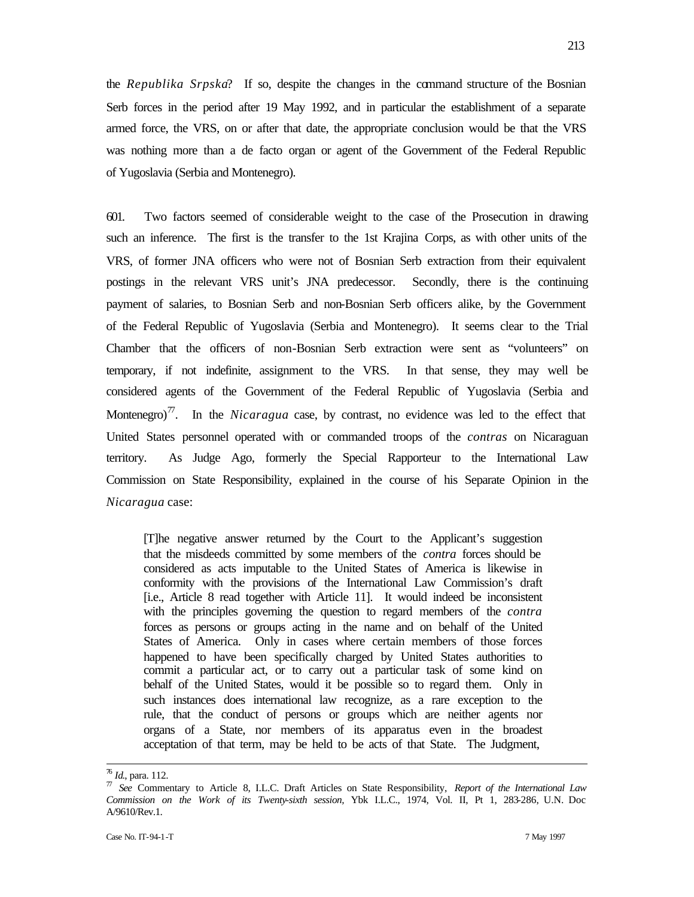the *Republika Srpska*? If so, despite the changes in the command structure of the Bosnian Serb forces in the period after 19 May 1992, and in particular the establishment of a separate armed force, the VRS, on or after that date, the appropriate conclusion would be that the VRS was nothing more than a de facto organ or agent of the Government of the Federal Republic of Yugoslavia (Serbia and Montenegro).

601. Two factors seemed of considerable weight to the case of the Prosecution in drawing such an inference. The first is the transfer to the 1st Krajina Corps, as with other units of the VRS, of former JNA officers who were not of Bosnian Serb extraction from their equivalent postings in the relevant VRS unit's JNA predecessor. Secondly, there is the continuing payment of salaries, to Bosnian Serb and non-Bosnian Serb officers alike, by the Government of the Federal Republic of Yugoslavia (Serbia and Montenegro). It seems clear to the Trial Chamber that the officers of non-Bosnian Serb extraction were sent as "volunteers" on temporary, if not indefinite, assignment to the VRS. In that sense, they may well be considered agents of the Government of the Federal Republic of Yugoslavia (Serbia and Montenegro)<sup>77</sup>. In the *Nicaragua* case, by contrast, no evidence was led to the effect that United States personnel operated with or commanded troops of the *contras* on Nicaraguan territory. As Judge Ago, formerly the Special Rapporteur to the International Law Commission on State Responsibility, explained in the course of his Separate Opinion in the *Nicaragua* case:

[T]he negative answer returned by the Court to the Applicant's suggestion that the misdeeds committed by some members of the *contra* forces should be considered as acts imputable to the United States of America is likewise in conformity with the provisions of the International Law Commission's draft [i.e., Article 8 read together with Article 11]. It would indeed be inconsistent with the principles governing the question to regard members of the *contra* forces as persons or groups acting in the name and on behalf of the United States of America. Only in cases where certain members of those forces happened to have been specifically charged by United States authorities to commit a particular act, or to carry out a particular task of some kind on behalf of the United States, would it be possible so to regard them. Only in such instances does international law recognize, as a rare exception to the rule, that the conduct of persons or groups which are neither agents nor organs of a State, nor members of its apparatus even in the broadest acceptation of that term, may be held to be acts of that State. The Judgment,

<sup>76</sup> *Id*., para. 112.

<sup>77</sup> *See* Commentary to Article 8, I.L.C. Draft Articles on State Responsibility, *Report of the International Law Commission on the Work of its Twenty-sixth session,* Ybk I.L.C., 1974, Vol. II, Pt 1, 283-286, U.N. Doc A/9610/Rev.1.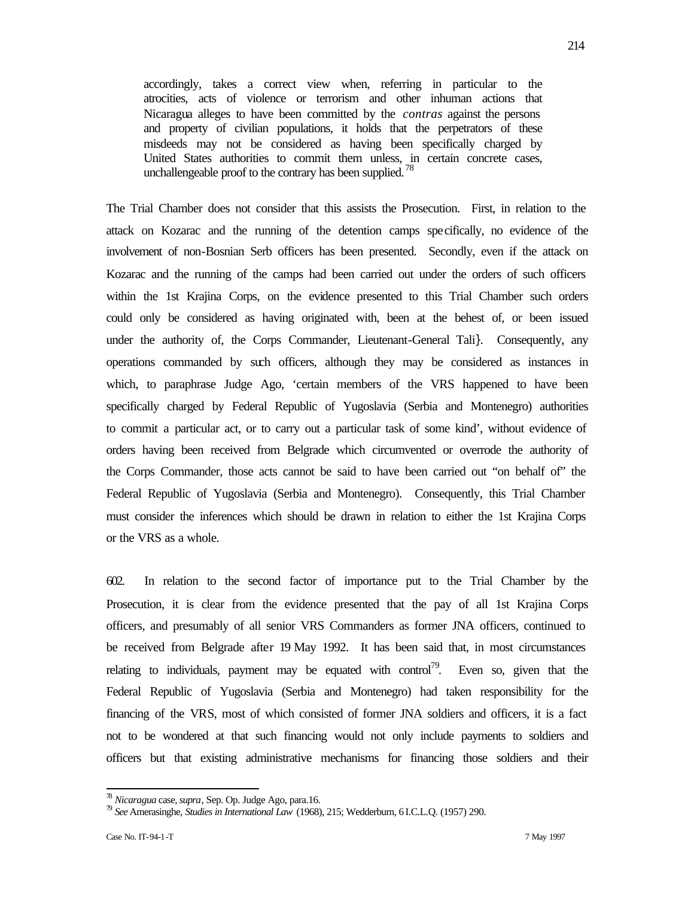accordingly, takes a correct view when, referring in particular to the atrocities, acts of violence or terrorism and other inhuman actions that Nicaragua alleges to have been committed by the *contras* against the persons and property of civilian populations, it holds that the perpetrators of these misdeeds may not be considered as having been specifically charged by United States authorities to commit them unless, in certain concrete cases, unchallengeable proof to the contrary has been supplied.<sup>78</sup>

The Trial Chamber does not consider that this assists the Prosecution. First, in relation to the attack on Kozarac and the running of the detention camps specifically, no evidence of the involvement of non-Bosnian Serb officers has been presented. Secondly, even if the attack on Kozarac and the running of the camps had been carried out under the orders of such officers within the 1st Krajina Corps, on the evidence presented to this Trial Chamber such orders could only be considered as having originated with, been at the behest of, or been issued under the authority of, the Corps Commander, Lieutenant-General Tali}. Consequently, any operations commanded by such officers, although they may be considered as instances in which, to paraphrase Judge Ago, 'certain members of the VRS happened to have been specifically charged by Federal Republic of Yugoslavia (Serbia and Montenegro) authorities to commit a particular act, or to carry out a particular task of some kind', without evidence of orders having been received from Belgrade which circumvented or overrode the authority of the Corps Commander, those acts cannot be said to have been carried out "on behalf of" the Federal Republic of Yugoslavia (Serbia and Montenegro). Consequently, this Trial Chamber must consider the inferences which should be drawn in relation to either the 1st Krajina Corps or the VRS as a whole.

602. In relation to the second factor of importance put to the Trial Chamber by the Prosecution, it is clear from the evidence presented that the pay of all 1st Krajina Corps officers, and presumably of all senior VRS Commanders as former JNA officers, continued to be received from Belgrade after 19 May 1992. It has been said that, in most circumstances relating to individuals, payment may be equated with control<sup>79</sup>. Even so, given that the Federal Republic of Yugoslavia (Serbia and Montenegro) had taken responsibility for the financing of the VRS, most of which consisted of former JNA soldiers and officers, it is a fact not to be wondered at that such financing would not only include payments to soldiers and officers but that existing administrative mechanisms for financing those soldiers and their

<sup>78</sup> *Nicaragua* case, *supra*, Sep. Op. Judge Ago, para.16.

<sup>79</sup> *See* Amerasinghe, *Studies in International Law* (1968), 215; Wedderburn, 6 I.C.L.Q. (1957) 290.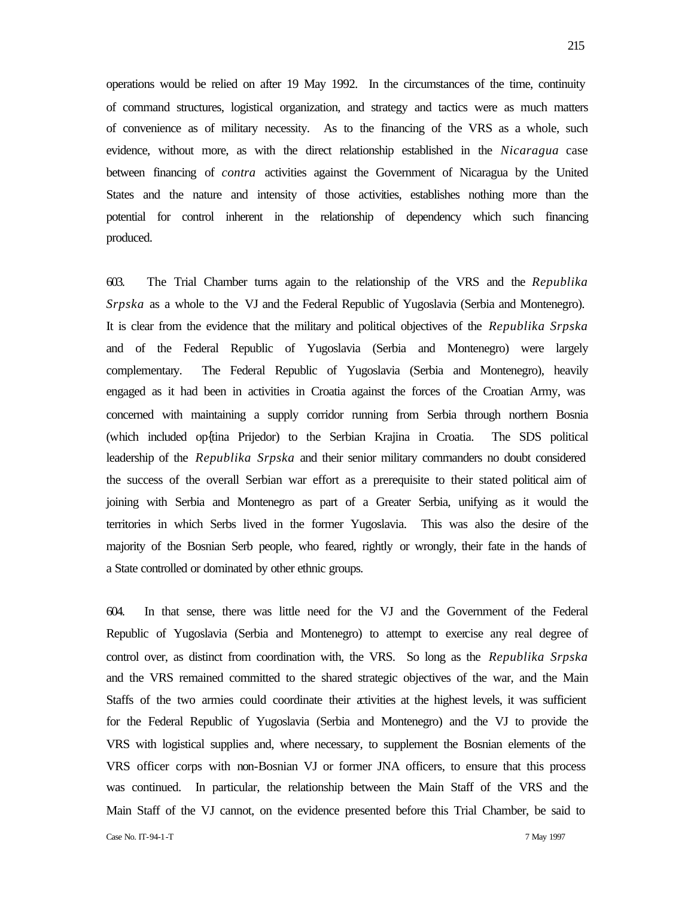operations would be relied on after 19 May 1992. In the circumstances of the time, continuity of command structures, logistical organization, and strategy and tactics were as much matters of convenience as of military necessity. As to the financing of the VRS as a whole, such evidence, without more, as with the direct relationship established in the *Nicaragua* case between financing of *contra* activities against the Government of Nicaragua by the United States and the nature and intensity of those activities, establishes nothing more than the potential for control inherent in the relationship of dependency which such financing produced.

603. The Trial Chamber turns again to the relationship of the VRS and the *Republika Srpska* as a whole to the VJ and the Federal Republic of Yugoslavia (Serbia and Montenegro). It is clear from the evidence that the military and political objectives of the *Republika Srpska* and of the Federal Republic of Yugoslavia (Serbia and Montenegro) were largely complementary. The Federal Republic of Yugoslavia (Serbia and Montenegro), heavily engaged as it had been in activities in Croatia against the forces of the Croatian Army, was concerned with maintaining a supply corridor running from Serbia through northern Bosnia (which included op{tina Prijedor) to the Serbian Krajina in Croatia. The SDS political leadership of the *Republika Srpska* and their senior military commanders no doubt considered the success of the overall Serbian war effort as a prerequisite to their stated political aim of joining with Serbia and Montenegro as part of a Greater Serbia, unifying as it would the territories in which Serbs lived in the former Yugoslavia. This was also the desire of the majority of the Bosnian Serb people, who feared, rightly or wrongly, their fate in the hands of a State controlled or dominated by other ethnic groups.

604. In that sense, there was little need for the VJ and the Government of the Federal Republic of Yugoslavia (Serbia and Montenegro) to attempt to exercise any real degree of control over, as distinct from coordination with, the VRS. So long as the *Republika Srpska* and the VRS remained committed to the shared strategic objectives of the war, and the Main Staffs of the two armies could coordinate their activities at the highest levels, it was sufficient for the Federal Republic of Yugoslavia (Serbia and Montenegro) and the VJ to provide the VRS with logistical supplies and, where necessary, to supplement the Bosnian elements of the VRS officer corps with non-Bosnian VJ or former JNA officers, to ensure that this process was continued. In particular, the relationship between the Main Staff of the VRS and the Main Staff of the VJ cannot, on the evidence presented before this Trial Chamber, be said to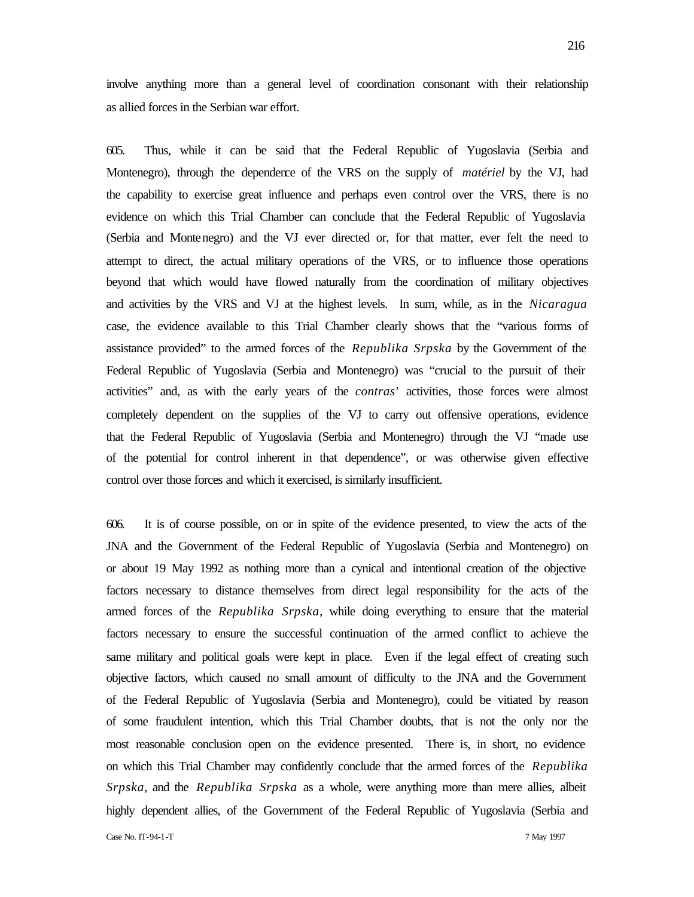involve anything more than a general level of coordination consonant with their relationship as allied forces in the Serbian war effort.

605. Thus, while it can be said that the Federal Republic of Yugoslavia (Serbia and Montenegro), through the dependence of the VRS on the supply of *matériel* by the VJ, had the capability to exercise great influence and perhaps even control over the VRS, there is no evidence on which this Trial Chamber can conclude that the Federal Republic of Yugoslavia (Serbia and Montenegro) and the VJ ever directed or, for that matter, ever felt the need to attempt to direct, the actual military operations of the VRS, or to influence those operations beyond that which would have flowed naturally from the coordination of military objectives and activities by the VRS and VJ at the highest levels. In sum, while, as in the *Nicaragua* case, the evidence available to this Trial Chamber clearly shows that the "various forms of assistance provided" to the armed forces of the *Republika Srpska* by the Government of the Federal Republic of Yugoslavia (Serbia and Montenegro) was "crucial to the pursuit of their activities" and, as with the early years of the *contras*' activities, those forces were almost completely dependent on the supplies of the VJ to carry out offensive operations, evidence that the Federal Republic of Yugoslavia (Serbia and Montenegro) through the VJ "made use of the potential for control inherent in that dependence", or was otherwise given effective control over those forces and which it exercised, is similarly insufficient.

606. It is of course possible, on or in spite of the evidence presented, to view the acts of the JNA and the Government of the Federal Republic of Yugoslavia (Serbia and Montenegro) on or about 19 May 1992 as nothing more than a cynical and intentional creation of the objective factors necessary to distance themselves from direct legal responsibility for the acts of the armed forces of the *Republika Srpska*, while doing everything to ensure that the material factors necessary to ensure the successful continuation of the armed conflict to achieve the same military and political goals were kept in place. Even if the legal effect of creating such objective factors, which caused no small amount of difficulty to the JNA and the Government of the Federal Republic of Yugoslavia (Serbia and Montenegro), could be vitiated by reason of some fraudulent intention, which this Trial Chamber doubts, that is not the only nor the most reasonable conclusion open on the evidence presented. There is, in short, no evidence on which this Trial Chamber may confidently conclude that the armed forces of the *Republika Srpska*, and the *Republika Srpska* as a whole, were anything more than mere allies, albeit highly dependent allies, of the Government of the Federal Republic of Yugoslavia (Serbia and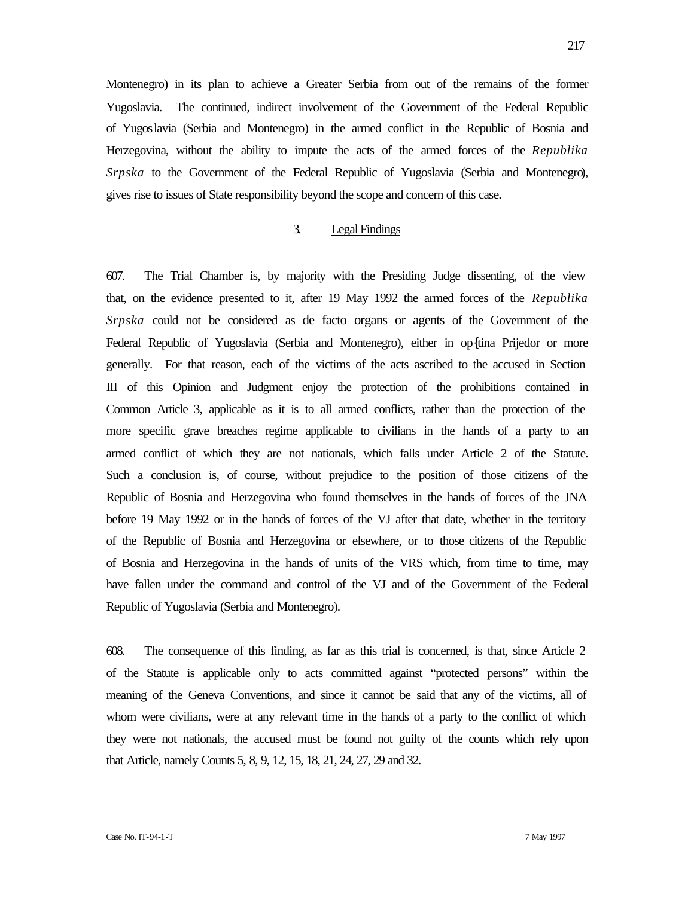Montenegro) in its plan to achieve a Greater Serbia from out of the remains of the former Yugoslavia. The continued, indirect involvement of the Government of the Federal Republic of Yugoslavia (Serbia and Montenegro) in the armed conflict in the Republic of Bosnia and Herzegovina, without the ability to impute the acts of the armed forces of the *Republika Srpska* to the Government of the Federal Republic of Yugoslavia (Serbia and Montenegro), gives rise to issues of State responsibility beyond the scope and concern of this case.

## 3. Legal Findings

607. The Trial Chamber is, by majority with the Presiding Judge dissenting, of the view that, on the evidence presented to it, after 19 May 1992 the armed forces of the *Republika Srpska* could not be considered as de facto organs or agents of the Government of the Federal Republic of Yugoslavia (Serbia and Montenegro), either in op{tina Prijedor or more generally. For that reason, each of the victims of the acts ascribed to the accused in Section III of this Opinion and Judgment enjoy the protection of the prohibitions contained in Common Article 3, applicable as it is to all armed conflicts, rather than the protection of the more specific grave breaches regime applicable to civilians in the hands of a party to an armed conflict of which they are not nationals, which falls under Article 2 of the Statute. Such a conclusion is, of course, without prejudice to the position of those citizens of the Republic of Bosnia and Herzegovina who found themselves in the hands of forces of the JNA before 19 May 1992 or in the hands of forces of the VJ after that date, whether in the territory of the Republic of Bosnia and Herzegovina or elsewhere, or to those citizens of the Republic of Bosnia and Herzegovina in the hands of units of the VRS which, from time to time, may have fallen under the command and control of the VJ and of the Government of the Federal Republic of Yugoslavia (Serbia and Montenegro).

608. The consequence of this finding, as far as this trial is concerned, is that, since Article 2 of the Statute is applicable only to acts committed against "protected persons" within the meaning of the Geneva Conventions, and since it cannot be said that any of the victims, all of whom were civilians, were at any relevant time in the hands of a party to the conflict of which they were not nationals, the accused must be found not guilty of the counts which rely upon that Article, namely Counts 5, 8, 9, 12, 15, 18, 21, 24, 27, 29 and 32.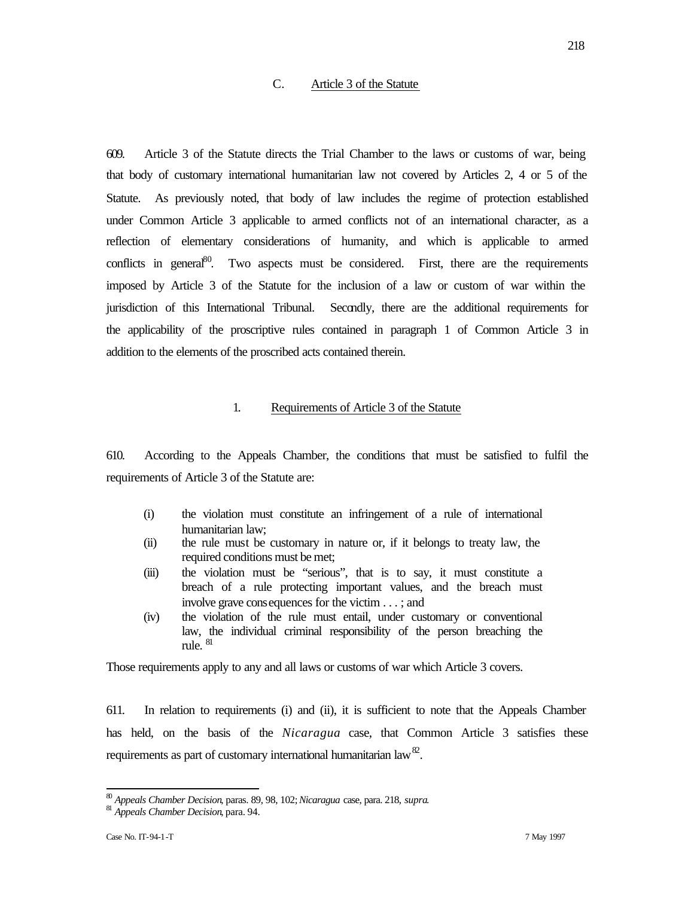## C. Article 3 of the Statute

609. Article 3 of the Statute directs the Trial Chamber to the laws or customs of war, being that body of customary international humanitarian law not covered by Articles 2, 4 or 5 of the Statute. As previously noted, that body of law includes the regime of protection established under Common Article 3 applicable to armed conflicts not of an international character, as a reflection of elementary considerations of humanity, and which is applicable to armed conflicts in general<sup>80</sup>. Two aspects must be considered. First, there are the requirements imposed by Article 3 of the Statute for the inclusion of a law or custom of war within the jurisdiction of this International Tribunal. Secondly, there are the additional requirements for the applicability of the proscriptive rules contained in paragraph 1 of Common Article 3 in addition to the elements of the proscribed acts contained therein.

## 1. Requirements of Article 3 of the Statute

610. According to the Appeals Chamber, the conditions that must be satisfied to fulfil the requirements of Article 3 of the Statute are:

- (i) the violation must constitute an infringement of a rule of international humanitarian law;
- (ii) the rule must be customary in nature or, if it belongs to treaty law, the required conditions must be met;
- (iii) the violation must be "serious", that is to say, it must constitute a breach of a rule protecting important values, and the breach must involve grave consequences for the victim . . . ; and
- (iv) the violation of the rule must entail, under customary or conventional law, the individual criminal responsibility of the person breaching the rule. <sup>81</sup>

Those requirements apply to any and all laws or customs of war which Article 3 covers.

611. In relation to requirements (i) and (ii), it is sufficient to note that the Appeals Chamber has held, on the basis of the *Nicaragua* case, that Common Article 3 satisfies these requirements as part of customary international humanitarian law  $^{\text{82}}$ .

<sup>80</sup> *Appeals Chamber Decision*, paras. 89, 98, 102; *Nicaragua* case, para. 218, *supra*.

<sup>81</sup> *Appeals Chamber Decision*, para. 94.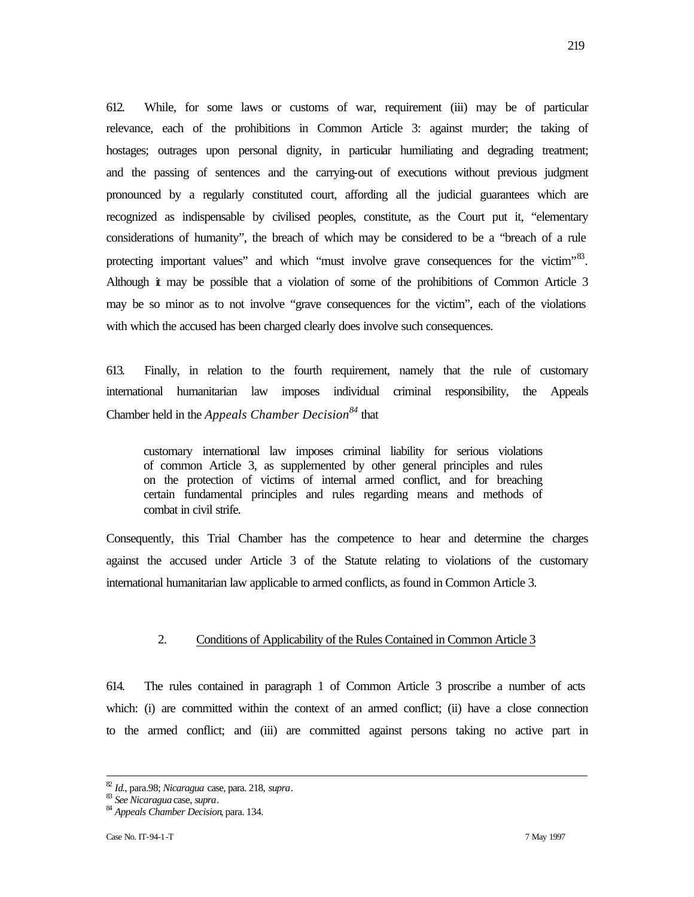612. While, for some laws or customs of war, requirement (iii) may be of particular relevance, each of the prohibitions in Common Article 3: against murder; the taking of hostages; outrages upon personal dignity, in particular humiliating and degrading treatment; and the passing of sentences and the carrying-out of executions without previous judgment pronounced by a regularly constituted court, affording all the judicial guarantees which are recognized as indispensable by civilised peoples, constitute, as the Court put it, "elementary considerations of humanity", the breach of which may be considered to be a "breach of a rule protecting important values" and which "must involve grave consequences for the victim"<sup>83</sup>. Although it may be possible that a violation of some of the prohibitions of Common Article 3 may be so minor as to not involve "grave consequences for the victim", each of the violations with which the accused has been charged clearly does involve such consequences.

613. Finally, in relation to the fourth requirement, namely that the rule of customary international humanitarian law imposes individual criminal responsibility, the Appeals Chamber held in the *Appeals Chamber Decision<sup>84</sup>* that

customary international law imposes criminal liability for serious violations of common Article 3, as supplemented by other general principles and rules on the protection of victims of internal armed conflict, and for breaching certain fundamental principles and rules regarding means and methods of combat in civil strife.

Consequently, this Trial Chamber has the competence to hear and determine the charges against the accused under Article 3 of the Statute relating to violations of the customary international humanitarian law applicable to armed conflicts, as found in Common Article 3.

# 2. Conditions of Applicability of the Rules Contained in Common Article 3

614. The rules contained in paragraph 1 of Common Article 3 proscribe a number of acts which: (i) are committed within the context of an armed conflict; (ii) have a close connection to the armed conflict; and (iii) are committed against persons taking no active part in

<sup>82</sup> *Id*., para.98; *Nicaragua* case, para. 218, *supra*.

<sup>83</sup> *See Nicaragua* case, *supra*.

<sup>84</sup> *Appeals Chamber Decision*, para. 134.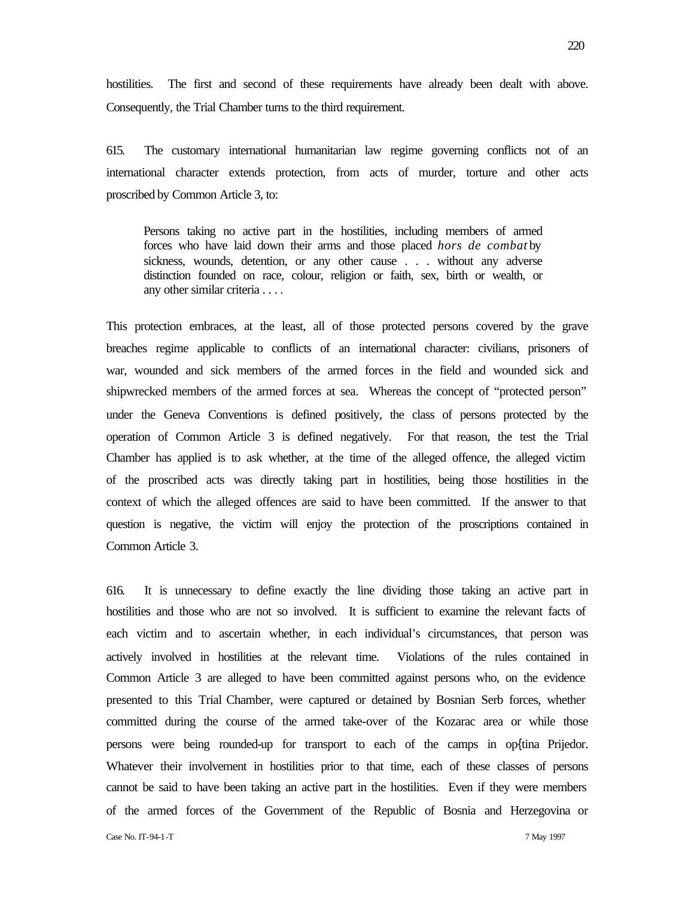hostilities. The first and second of these requirements have already been dealt with above. Consequently, the Trial Chamber turns to the third requirement.

615. The customary international humanitarian law regime governing conflicts not of an international character extends protection, from acts of murder, torture and other acts proscribed by Common Article 3, to:

Persons taking no active part in the hostilities, including members of armed forces who have laid down their arms and those placed *hors de combat* by sickness, wounds, detention, or any other cause . . . without any adverse distinction founded on race, colour, religion or faith, sex, birth or wealth, or any other similar criteria . . . .

This protection embraces, at the least, all of those protected persons covered by the grave breaches regime applicable to conflicts of an international character: civilians, prisoners of war, wounded and sick members of the armed forces in the field and wounded sick and shipwrecked members of the armed forces at sea. Whereas the concept of "protected person" under the Geneva Conventions is defined positively, the class of persons protected by the operation of Common Article 3 is defined negatively. For that reason, the test the Trial Chamber has applied is to ask whether, at the time of the alleged offence, the alleged victim of the proscribed acts was directly taking part in hostilities, being those hostilities in the context of which the alleged offences are said to have been committed. If the answer to that question is negative, the victim will enjoy the protection of the proscriptions contained in Common Article 3.

616. It is unnecessary to define exactly the line dividing those taking an active part in hostilities and those who are not so involved. It is sufficient to examine the relevant facts of each victim and to ascertain whether, in each individual's circumstances, that person was actively involved in hostilities at the relevant time. Violations of the rules contained in Common Article 3 are alleged to have been committed against persons who, on the evidence presented to this Trial Chamber, were captured or detained by Bosnian Serb forces, whether committed during the course of the armed take-over of the Kozarac area or while those persons were being rounded-up for transport to each of the camps in op{tina Prijedor. Whatever their involvement in hostilities prior to that time, each of these classes of persons cannot be said to have been taking an active part in the hostilities. Even if they were members of the armed forces of the Government of the Republic of Bosnia and Herzegovina or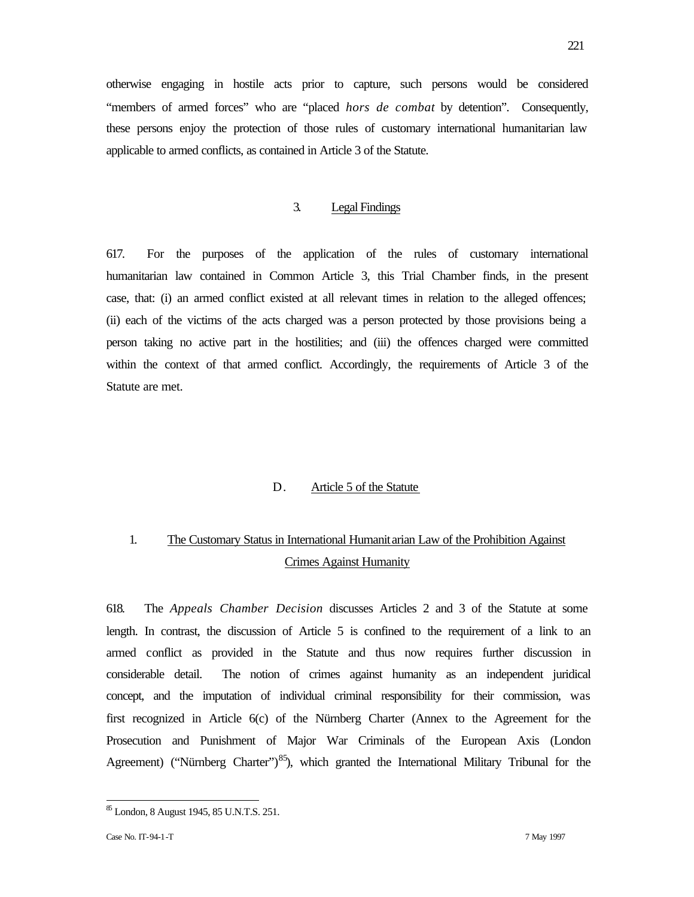otherwise engaging in hostile acts prior to capture, such persons would be considered "members of armed forces" who are "placed *hors de combat* by detention". Consequently, these persons enjoy the protection of those rules of customary international humanitarian law applicable to armed conflicts, as contained in Article 3 of the Statute.

## 3. Legal Findings

617. For the purposes of the application of the rules of customary international humanitarian law contained in Common Article 3, this Trial Chamber finds, in the present case, that: (i) an armed conflict existed at all relevant times in relation to the alleged offences; (ii) each of the victims of the acts charged was a person protected by those provisions being a person taking no active part in the hostilities; and (iii) the offences charged were committed within the context of that armed conflict. Accordingly, the requirements of Article 3 of the Statute are met.

# D. Article 5 of the Statute

# 1. The Customary Status in International Humanitarian Law of the Prohibition Against Crimes Against Humanity

618. The *Appeals Chamber Decision* discusses Articles 2 and 3 of the Statute at some length. In contrast, the discussion of Article 5 is confined to the requirement of a link to an armed conflict as provided in the Statute and thus now requires further discussion in considerable detail. The notion of crimes against humanity as an independent juridical concept, and the imputation of individual criminal responsibility for their commission, was first recognized in Article 6(c) of the Nürnberg Charter (Annex to the Agreement for the Prosecution and Punishment of Major War Criminals of the European Axis (London Agreement) ("Nürnberg Charter")<sup>85</sup>), which granted the International Military Tribunal for the

 $^{\circ}$  London, 8 August 1945, 85 U.N.T.S. 251.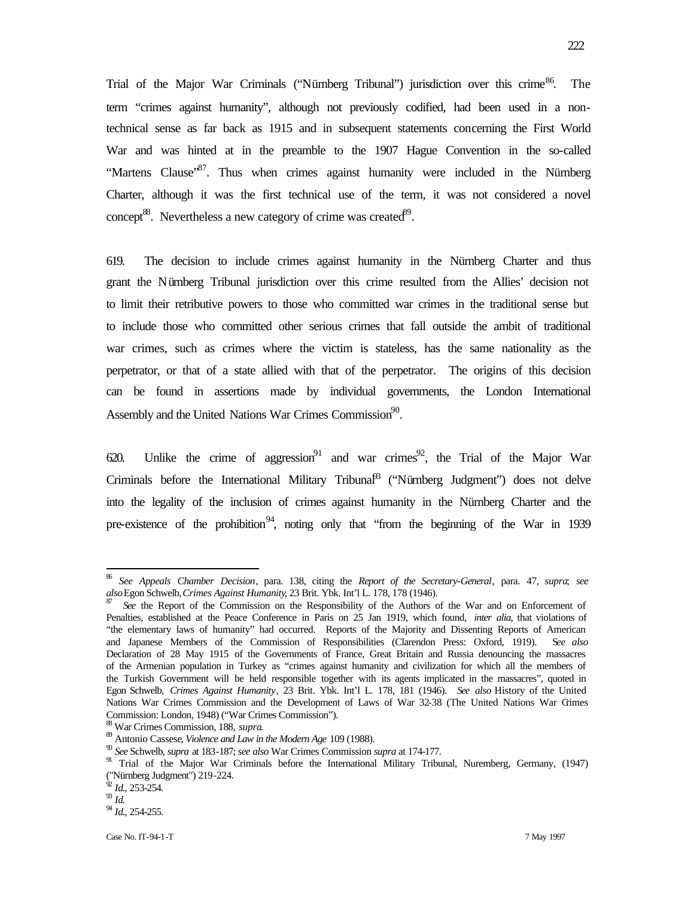Trial of the Major War Criminals ("Nürnberg Tribunal") jurisdiction over this crime<sup>86</sup>. The term "crimes against humanity", although not previously codified, had been used in a nontechnical sense as far back as 1915 and in subsequent statements concerning the First World War and was hinted at in the preamble to the 1907 Hague Convention in the so-called "Martens Clause"<sup>87</sup>. Thus when crimes against humanity were included in the Nürnberg Charter, although it was the first technical use of the term, it was not considered a novel concept<sup>88</sup>. Nevertheless a new category of crime was created  $8^9$ .

619. The decision to include crimes against humanity in the Nürnberg Charter and thus grant the Nürnberg Tribunal jurisdiction over this crime resulted from the Allies' decision not to limit their retributive powers to those who committed war crimes in the traditional sense but to include those who committed other serious crimes that fall outside the ambit of traditional war crimes, such as crimes where the victim is stateless, has the same nationality as the perpetrator, or that of a state allied with that of the perpetrator. The origins of this decision can be found in assertions made by individual governments, the London International Assembly and the United Nations War Crimes Commission<sup>90</sup>.

620. Unlike the crime of aggression<sup>91</sup> and war crimes<sup>92</sup>, the Trial of the Major War Criminals before the International Military Tribunal<sup> $\beta$ </sup> ("Nürnberg Judgment") does not delve into the legality of the inclusion of crimes against humanity in the Nürnberg Charter and the pre-existence of the prohibition<sup>94</sup>, noting only that "from the beginning of the War in 1939

 $\overline{\phantom{a}}$ 

<sup>86</sup> *See Appeals Chamber Decision*, para. 138, citing the *Report of the Secretary-General*, para. 47, *supra*; *see also* Egon Schwelb, *Crimes Against Humanity*, 23 Brit. Ybk. Int'l L. 178, 178 (1946).

<sup>87</sup> *See* the Report of the Commission on the Responsibility of the Authors of the War and on Enforcement of Penalties, established at the Peace Conference in Paris on 25 Jan 1919, which found, *inter alia*, that violations of "the elementary laws of humanity" had occurred. Reports of the Majority and Dissenting Reports of American and Japanese Members of the Commission of Responsibilities (Clarendon Press: Oxford, 1919). S*ee also* Declaration of 28 May 1915 of the Governments of France, Great Britain and Russia denouncing the massacres of the Armenian population in Turkey as "crimes against humanity and civilization for which all the members of the Turkish Government will be held responsible together with its agents implicated in the massacres", quoted in Egon Schwelb, *Crimes Against Humanity*, 23 Brit. Ybk. Int'l L. 178, 181 (1946). *See also* History of the United Nations War Crimes Commission and the Development of Laws of War 32-38 (The United Nations War Crimes Commission: London, 1948) ("War Crimes Commission").

<sup>88</sup> War Crimes Commission, 188, *supra*.

<sup>89</sup> Antonio Cassese*, Violence and Law in the Modern Age* 109 (1988).

<sup>90</sup> *See* Schwelb, *supra* at 183-187; *see also* War Crimes Commission *supra* at 174-177.

<sup>91</sup> Trial of the Major War Criminals before the International Military Tribunal, Nuremberg, Germany, (1947) ("Nürnberg Judgment") 219-224.

<sup>92</sup> *Id*., 253-254.

 $\overline{\mathcal{B}}$  *Id.* 

<sup>94</sup> *Id*., 254-255.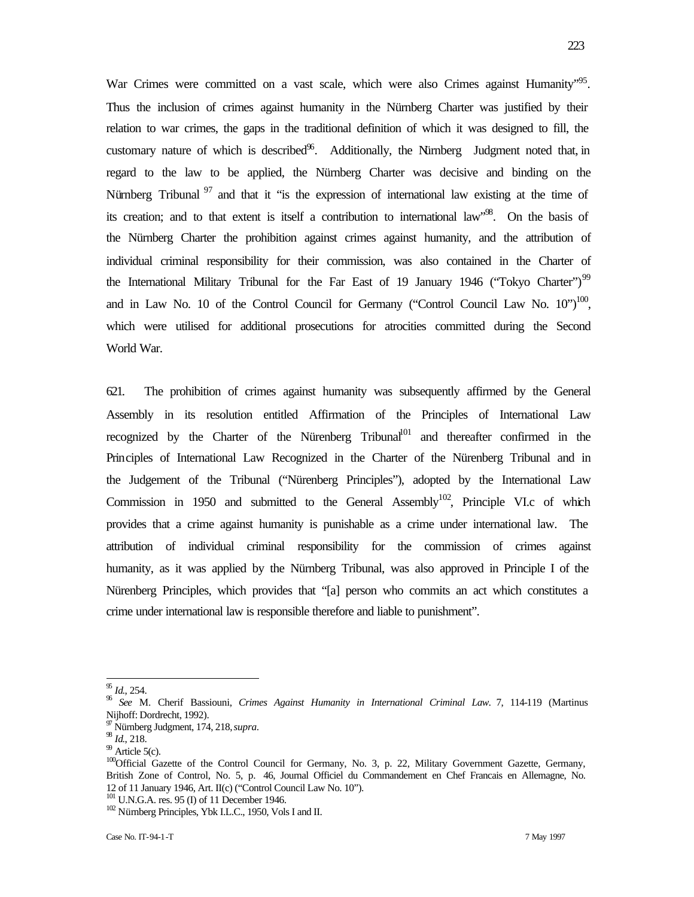War Crimes were committed on a vast scale, which were also Crimes against Humanity"<sup>95</sup>. Thus the inclusion of crimes against humanity in the Nürnberg Charter was justified by their relation to war crimes, the gaps in the traditional definition of which it was designed to fill, the customary nature of which is described<sup>96</sup>. Additionally, the Nirnberg Judgment noted that, in regard to the law to be applied, the Nürnberg Charter was decisive and binding on the Nürnberg Tribunal  $\frac{97}{7}$  and that it "is the expression of international law existing at the time of its creation; and to that extent is itself a contribution to international law<sup>398</sup>. On the basis of the Nürnberg Charter the prohibition against crimes against humanity, and the attribution of individual criminal responsibility for their commission, was also contained in the Charter of the International Military Tribunal for the Far East of 19 January 1946 ("Tokyo Charter")<sup>99</sup> and in Law No. 10 of the Control Council for Germany ("Control Council Law No.  $10$ ")<sup>100</sup>, which were utilised for additional prosecutions for atrocities committed during the Second World War.

621. The prohibition of crimes against humanity was subsequently affirmed by the General Assembly in its resolution entitled Affirmation of the Principles of International Law recognized by the Charter of the Nürenberg Tribunal<sup>101</sup> and thereafter confirmed in the Principles of International Law Recognized in the Charter of the Nürenberg Tribunal and in the Judgement of the Tribunal ("Nürenberg Principles"), adopted by the International Law Commission in 1950 and submitted to the General Assembly<sup>102</sup>, Principle VI.c of which provides that a crime against humanity is punishable as a crime under international law. The attribution of individual criminal responsibility for the commission of crimes against humanity, as it was applied by the Nürnberg Tribunal, was also approved in Principle I of the Nürenberg Principles, which provides that "[a] person who commits an act which constitutes a crime under international law is responsible therefore and liable to punishment".

<sup>95</sup> *Id*., 254.

<sup>96</sup> *See* M. Cherif Bassiouni, *Crimes Against Humanity in International Criminal Law.* 7, 114-119 (Martinus Nijhoff: Dordrecht, 1992).

<sup>97</sup> Nürnberg Judgment, 174, 218, *supra*.

<sup>98</sup> *Id*., 218.

 $99$  Article 5(c).

<sup>&</sup>lt;sup>100</sup>Official Gazette of the Control Council for Germany, No. 3, p. 22, Military Government Gazette, Germany, British Zone of Control, No. 5, p. 46, Journal Officiel du Commandement en Chef Francais en Allemagne, No. 12 of 11 January 1946, Art. II(c) ("Control Council Law No. 10").

 $101$  U.N.G.A. res. 95 (I) of 11 December 1946.

<sup>102</sup> Nürnberg Principles, Ybk I.L.C., 1950, Vols I and II.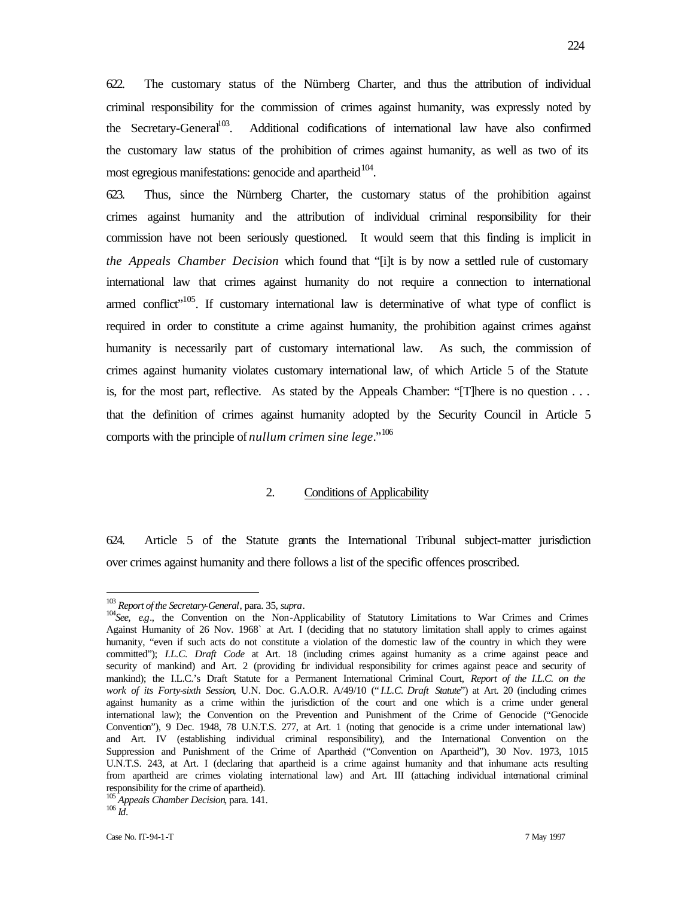622. The customary status of the Nürnberg Charter, and thus the attribution of individual criminal responsibility for the commission of crimes against humanity, was expressly noted by the Secretary-General<sup>103</sup>. Additional codifications of international law have also confirmed the customary law status of the prohibition of crimes against humanity, as well as two of its most egregious manifestations: genocide and apartheid  $104$ .

623. Thus, since the Nürnberg Charter, the customary status of the prohibition against crimes against humanity and the attribution of individual criminal responsibility for their commission have not been seriously questioned. It would seem that this finding is implicit in *the Appeals Chamber Decision* which found that "[i]t is by now a settled rule of customary international law that crimes against humanity do not require a connection to international armed conflict<sup>',105</sup>. If customary international law is determinative of what type of conflict is required in order to constitute a crime against humanity, the prohibition against crimes against humanity is necessarily part of customary international law. As such, the commission of crimes against humanity violates customary international law, of which Article 5 of the Statute is, for the most part, reflective. As stated by the Appeals Chamber: "[T]here is no question . . . that the definition of crimes against humanity adopted by the Security Council in Article 5 comports with the principle of *nullum crimen sine lege*."<sup>106</sup>

## 2. Conditions of Applicability

624. Article 5 of the Statute grants the International Tribunal subject-matter jurisdiction over crimes against humanity and there follows a list of the specific offences proscribed.

<sup>103</sup> *Report of the Secretary-General*, para. 35, *supra*.

<sup>&</sup>lt;sup>104</sup>See, e.g., the Convention on the Non-Applicability of Statutory Limitations to War Crimes and Crimes Against Humanity of 26 Nov. 1968` at Art. I (deciding that no statutory limitation shall apply to crimes against humanity, "even if such acts do not constitute a violation of the domestic law of the country in which they were committed"); *I.L.C. Draft Code* at Art. 18 (including crimes against humanity as a crime against peace and security of mankind) and Art. 2 (providing for individual responsibility for crimes against peace and security of mankind); the I.L.C.'s Draft Statute for a Permanent International Criminal Court, *Report of the I.L.C. on the work of its Forty-sixth Session*, U.N. Doc. G.A.O.R. A/49/10 (" *I.L.C. Draft Statute*") at Art. 20 (including crimes against humanity as a crime within the jurisdiction of the court and one which is a crime under general international law); the Convention on the Prevention and Punishment of the Crime of Genocide ("Genocide Convention"), 9 Dec. 1948, 78 U.N.T.S. 277, at Art. 1 (noting that genocide is a crime under international law) and Art. IV (establishing individual criminal responsibility), and the International Convention on the Suppression and Punishment of the Crime of Apartheid ("Convention on Apartheid"), 30 Nov. 1973, 1015 U.N.T.S. 243, at Art. I (declaring that apartheid is a crime against humanity and that inhumane acts resulting from apartheid are crimes violating international law) and Art. III (attaching individual international criminal responsibility for the crime of apartheid).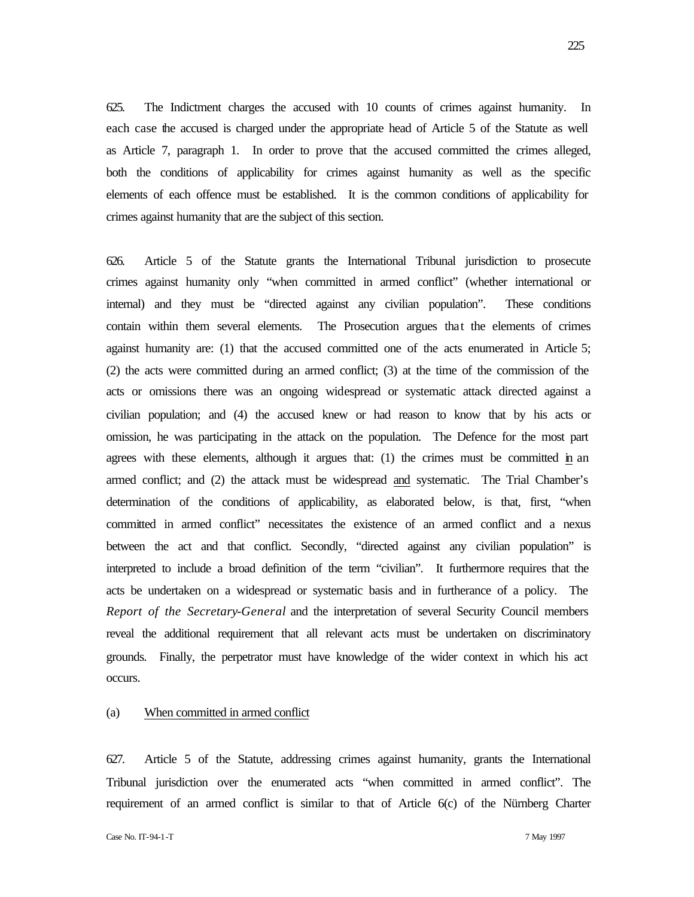625. The Indictment charges the accused with 10 counts of crimes against humanity. In each case the accused is charged under the appropriate head of Article 5 of the Statute as well as Article 7, paragraph 1. In order to prove that the accused committed the crimes alleged, both the conditions of applicability for crimes against humanity as well as the specific elements of each offence must be established. It is the common conditions of applicability for crimes against humanity that are the subject of this section.

626. Article 5 of the Statute grants the International Tribunal jurisdiction to prosecute crimes against humanity only "when committed in armed conflict" (whether international or internal) and they must be "directed against any civilian population". These conditions contain within them several elements. The Prosecution argues that the elements of crimes against humanity are: (1) that the accused committed one of the acts enumerated in Article 5; (2) the acts were committed during an armed conflict; (3) at the time of the commission of the acts or omissions there was an ongoing widespread or systematic attack directed against a civilian population; and (4) the accused knew or had reason to know that by his acts or omission, he was participating in the attack on the population. The Defence for the most part agrees with these elements, although it argues that: (1) the crimes must be committed in an armed conflict; and (2) the attack must be widespread and systematic. The Trial Chamber's determination of the conditions of applicability, as elaborated below, is that, first, "when committed in armed conflict" necessitates the existence of an armed conflict and a nexus between the act and that conflict. Secondly, "directed against any civilian population" is interpreted to include a broad definition of the term "civilian". It furthermore requires that the acts be undertaken on a widespread or systematic basis and in furtherance of a policy. The *Report of the Secretary-General* and the interpretation of several Security Council members reveal the additional requirement that all relevant acts must be undertaken on discriminatory grounds. Finally, the perpetrator must have knowledge of the wider context in which his act occurs.

#### (a) When committed in armed conflict

627. Article 5 of the Statute, addressing crimes against humanity, grants the International Tribunal jurisdiction over the enumerated acts "when committed in armed conflict". The requirement of an armed conflict is similar to that of Article 6(c) of the Nürnberg Charter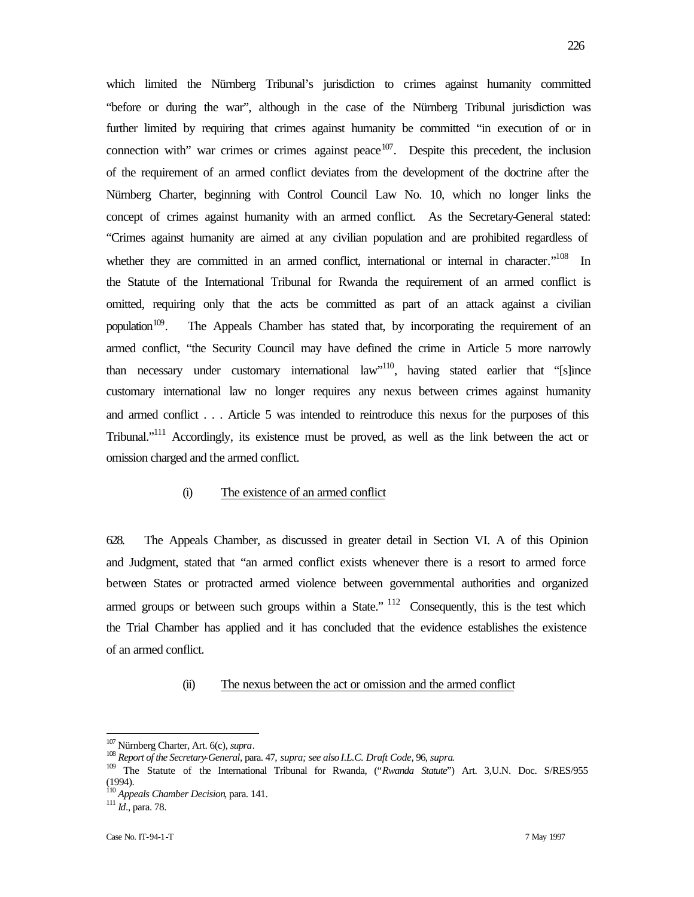which limited the Nürnberg Tribunal's jurisdiction to crimes against humanity committed "before or during the war", although in the case of the Nürnberg Tribunal jurisdiction was further limited by requiring that crimes against humanity be committed "in execution of or in connection with" war crimes or crimes against peace  $107$ . Despite this precedent, the inclusion of the requirement of an armed conflict deviates from the development of the doctrine after the Nürnberg Charter, beginning with Control Council Law No. 10, which no longer links the concept of crimes against humanity with an armed conflict. As the Secretary-General stated: "Crimes against humanity are aimed at any civilian population and are prohibited regardless of whether they are committed in an armed conflict, international or internal in character."<sup>108</sup> In the Statute of the International Tribunal for Rwanda the requirement of an armed conflict is omitted, requiring only that the acts be committed as part of an attack against a civilian population<sup>109</sup>. The Appeals Chamber has stated that, by incorporating the requirement of an armed conflict, "the Security Council may have defined the crime in Article 5 more narrowly than necessary under customary international  $law''^{10}$ , having stated earlier that "[s]ince customary international law no longer requires any nexus between crimes against humanity and armed conflict . . . Article 5 was intended to reintroduce this nexus for the purposes of this Tribunal."<sup>111</sup> Accordingly, its existence must be proved, as well as the link between the act or omission charged and the armed conflict.

# (i) The existence of an armed conflict

628. The Appeals Chamber, as discussed in greater detail in Section VI. A of this Opinion and Judgment, stated that "an armed conflict exists whenever there is a resort to armed force between States or protracted armed violence between governmental authorities and organized armed groups or between such groups within a State."  $^{112}$  Consequently, this is the test which the Trial Chamber has applied and it has concluded that the evidence establishes the existence of an armed conflict.

# (ii) The nexus between the act or omission and the armed conflict

<sup>107</sup> Nürnberg Charter, Art. 6(c), *supra*.

<sup>108</sup> *Report of the Secretary-General,* para. 47, *supra; see also I.L.C. Draft Code*, 96, *supra*.

<sup>109</sup> The Statute of the International Tribunal for Rwanda, ("*Rwanda Statute*") Art. 3,U.N. Doc. S/RES/955 (1994).

<sup>110</sup> *Appeals Chamber Decision*, para. 141.

<sup>111</sup> *Id*., para. 78.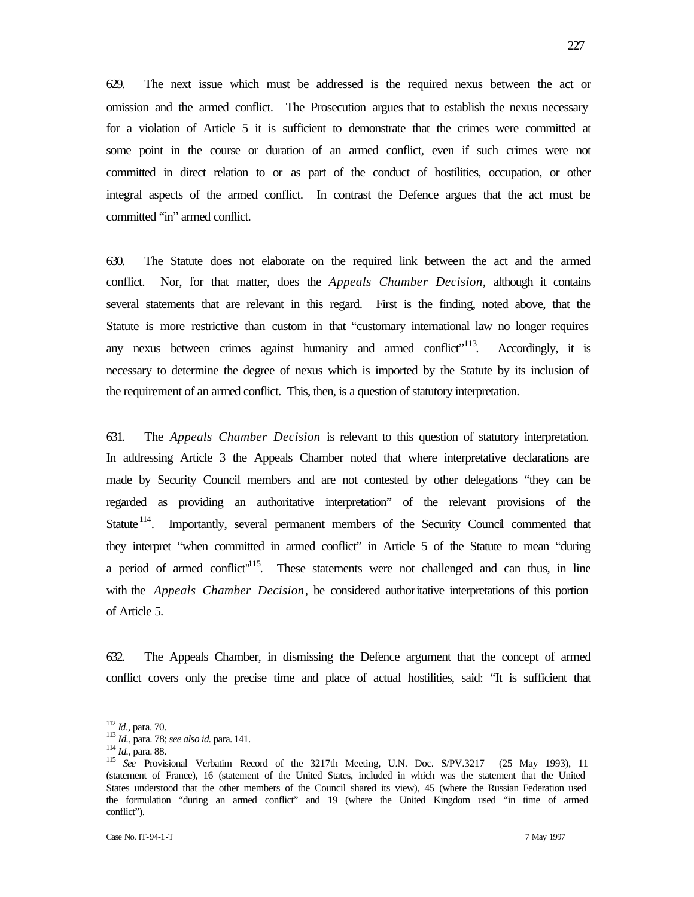629. The next issue which must be addressed is the required nexus between the act or omission and the armed conflict. The Prosecution argues that to establish the nexus necessary for a violation of Article 5 it is sufficient to demonstrate that the crimes were committed at some point in the course or duration of an armed conflict, even if such crimes were not committed in direct relation to or as part of the conduct of hostilities, occupation, or other integral aspects of the armed conflict. In contrast the Defence argues that the act must be committed "in" armed conflict.

630. The Statute does not elaborate on the required link between the act and the armed conflict. Nor, for that matter, does the *Appeals Chamber Decision,* although it contains several statements that are relevant in this regard. First is the finding, noted above, that the Statute is more restrictive than custom in that "customary international law no longer requires any nexus between crimes against humanity and armed conflict<sup>"113</sup>. Accordingly, it is necessary to determine the degree of nexus which is imported by the Statute by its inclusion of the requirement of an armed conflict. This, then, is a question of statutory interpretation.

631. The *Appeals Chamber Decision* is relevant to this question of statutory interpretation. In addressing Article 3 the Appeals Chamber noted that where interpretative declarations are made by Security Council members and are not contested by other delegations "they can be regarded as providing an authoritative interpretation" of the relevant provisions of the Statute<sup>114</sup>. Importantly, several permanent members of the Security Council commented that they interpret "when committed in armed conflict" in Article 5 of the Statute to mean "during a period of armed conflict<sup>"115</sup>. These statements were not challenged and can thus, in line with the *Appeals Chamber Decision*, be considered authoritative interpretations of this portion of Article 5.

632. The Appeals Chamber, in dismissing the Defence argument that the concept of armed conflict covers only the precise time and place of actual hostilities, said: "It is sufficient that

<sup>112</sup> *Id*., para. 70.

<sup>113</sup> *Id.,* para. 78; *see also id.* para. 141.

<sup>114</sup> *Id.,* para. 88.

<sup>115</sup> *See* Provisional Verbatim Record of the 3217th Meeting, U.N. Doc. S/PV.3217 (25 May 1993), 11 (statement of France), 16 (statement of the United States, included in which was the statement that the United States understood that the other members of the Council shared its view), 45 (where the Russian Federation used the formulation "during an armed conflict" and 19 (where the United Kingdom used "in time of armed conflict").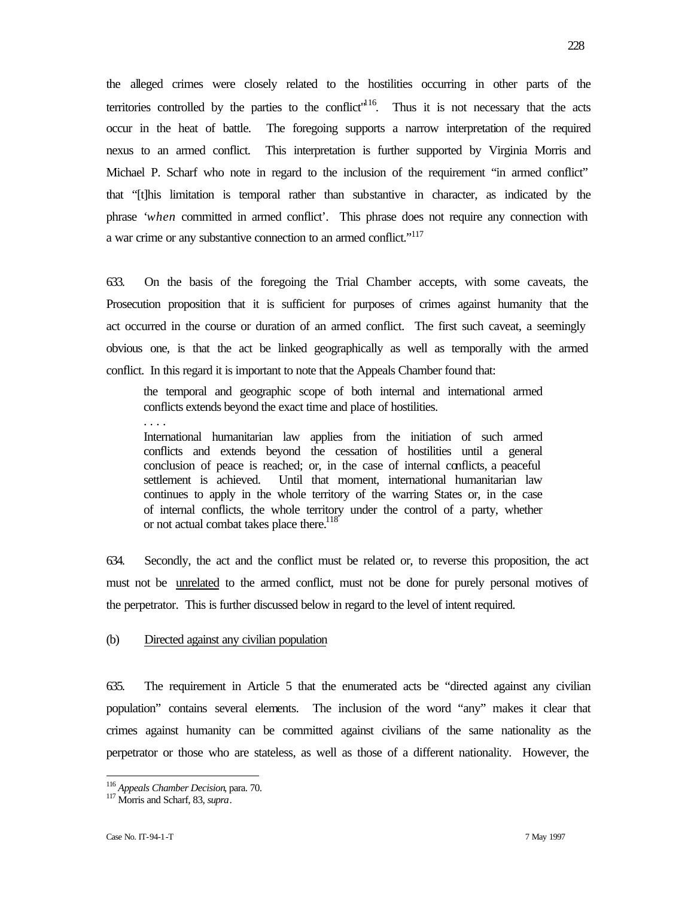the alleged crimes were closely related to the hostilities occurring in other parts of the territories controlled by the parties to the conflict<sup> $n<sup>116</sup>$ </sup>. Thus it is not necessary that the acts occur in the heat of battle. The foregoing supports a narrow interpretation of the required nexus to an armed conflict. This interpretation is further supported by Virginia Morris and Michael P. Scharf who note in regard to the inclusion of the requirement "in armed conflict" that "[t]his limitation is temporal rather than substantive in character, as indicated by the phrase '*when* committed in armed conflict'. This phrase does not require any connection with a war crime or any substantive connection to an armed conflict."<sup>117</sup>

633. On the basis of the foregoing the Trial Chamber accepts, with some caveats, the Prosecution proposition that it is sufficient for purposes of crimes against humanity that the act occurred in the course or duration of an armed conflict. The first such caveat, a seemingly obvious one, is that the act be linked geographically as well as temporally with the armed conflict. In this regard it is important to note that the Appeals Chamber found that:

the temporal and geographic scope of both internal and international armed conflicts extends beyond the exact time and place of hostilities.

International humanitarian law applies from the initiation of such armed conflicts and extends beyond the cessation of hostilities until a general conclusion of peace is reached; or, in the case of internal conflicts, a peaceful settlement is achieved. Until that moment, international humanitarian law continues to apply in the whole territory of the warring States or, in the case of internal conflicts, the whole territory under the control of a party, whether or not actual combat takes place there.<sup>118</sup>

634. Secondly, the act and the conflict must be related or, to reverse this proposition, the act must not be unrelated to the armed conflict, must not be done for purely personal motives of the perpetrator. This is further discussed below in regard to the level of intent required.

# (b) Directed against any civilian population

635. The requirement in Article 5 that the enumerated acts be "directed against any civilian population" contains several elements. The inclusion of the word "any" makes it clear that crimes against humanity can be committed against civilians of the same nationality as the perpetrator or those who are stateless, as well as those of a different nationality. However, the

. . . .

<sup>116</sup> *Appeals Chamber Decision*, para. 70.

<sup>117</sup> Morris and Scharf, 83, *supra*.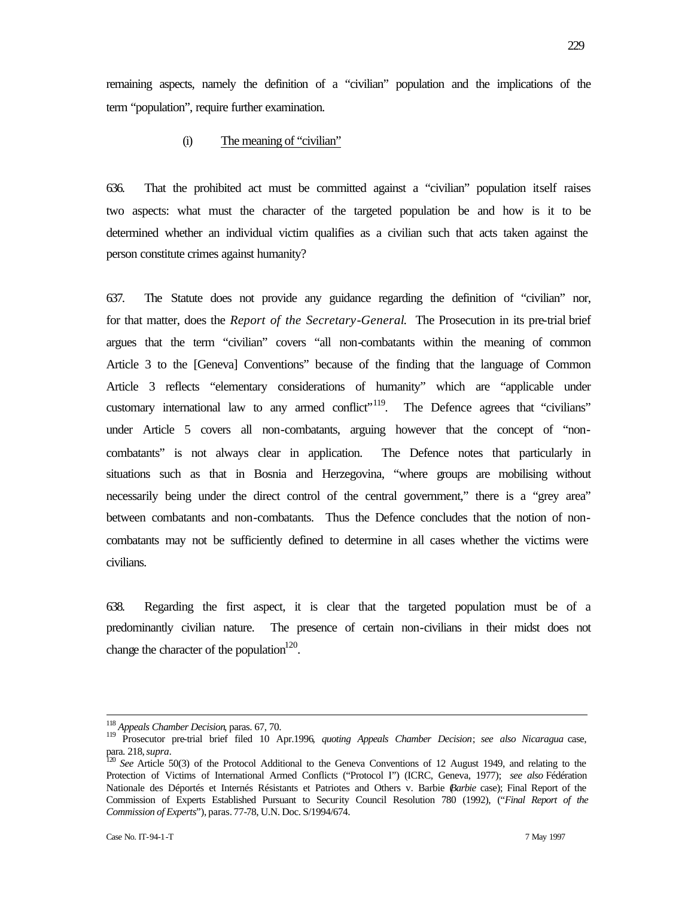remaining aspects, namely the definition of a "civilian" population and the implications of the term "population", require further examination.

# (i) The meaning of "civilian"

636. That the prohibited act must be committed against a "civilian" population itself raises two aspects: what must the character of the targeted population be and how is it to be determined whether an individual victim qualifies as a civilian such that acts taken against the person constitute crimes against humanity?

637. The Statute does not provide any guidance regarding the definition of "civilian" nor, for that matter, does the *Report of the Secretary-General*. The Prosecution in its pre-trial brief argues that the term "civilian" covers "all non-combatants within the meaning of common Article 3 to the [Geneva] Conventions" because of the finding that the language of Common Article 3 reflects "elementary considerations of humanity" which are "applicable under customary international law to any armed conflict<sup>",119</sup>. The Defence agrees that "civilians" under Article 5 covers all non-combatants, arguing however that the concept of "noncombatants" is not always clear in application. The Defence notes that particularly in situations such as that in Bosnia and Herzegovina, "where groups are mobilising without necessarily being under the direct control of the central government," there is a "grey area" between combatants and non-combatants. Thus the Defence concludes that the notion of noncombatants may not be sufficiently defined to determine in all cases whether the victims were civilians.

638. Regarding the first aspect, it is clear that the targeted population must be of a predominantly civilian nature. The presence of certain non-civilians in their midst does not change the character of the population<sup>120</sup>.

<sup>118</sup> *Appeals Chamber Decision*, paras. 67, 70.

<sup>119</sup> Prosecutor pre-trial brief filed 10 Apr.1996*, quoting Appeals Chamber Decision*; *see also Nicaragua* case, para. 218, *supra*.

<sup>&</sup>lt;sup>120</sup> *See* Article 50(3) of the Protocol Additional to the Geneva Conventions of 12 August 1949, and relating to the Protection of Victims of International Armed Conflicts ("Protocol I") (ICRC, Geneva, 1977); *see also* Fédération Nationale des Déportés et Internés Résistants et Patriotes and Others v. Barbie (*Barbie* case); Final Report of the Commission of Experts Established Pursuant to Security Council Resolution 780 (1992), ("*Final Report of the Commission of Experts*"), paras. 77-78, U.N. Doc. S/1994/674.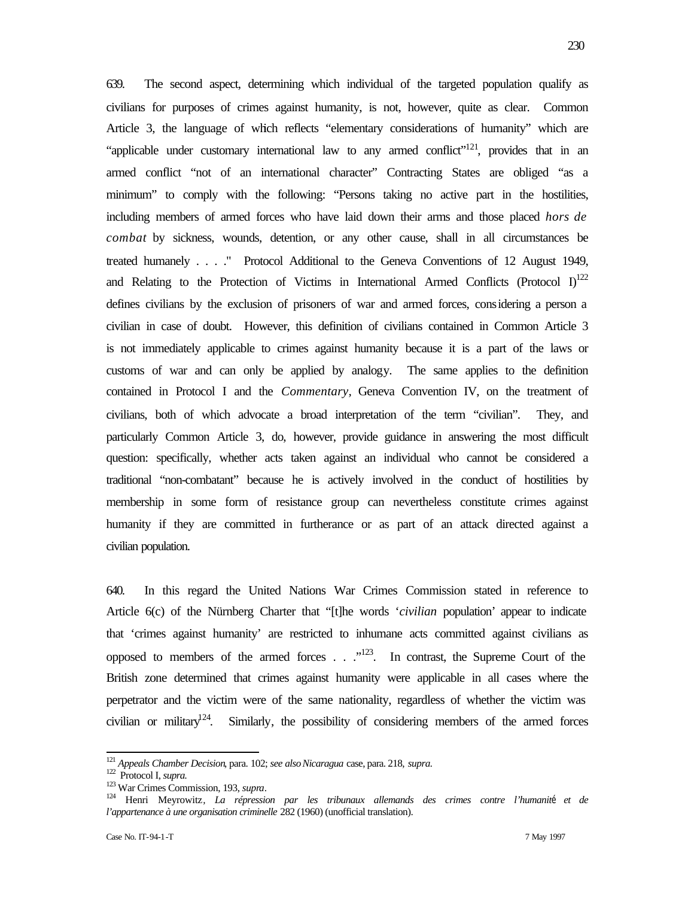639. The second aspect, determining which individual of the targeted population qualify as civilians for purposes of crimes against humanity, is not, however, quite as clear. Common Article 3, the language of which reflects "elementary considerations of humanity" which are "applicable under customary international law to any armed conflict"<sup>121</sup>, provides that in an armed conflict "not of an international character" Contracting States are obliged "as a minimum" to comply with the following: "Persons taking no active part in the hostilities, including members of armed forces who have laid down their arms and those placed *hors de combat* by sickness, wounds, detention, or any other cause, shall in all circumstances be treated humanely . . . ." Protocol Additional to the Geneva Conventions of 12 August 1949, and Relating to the Protection of Victims in International Armed Conflicts (Protocol  $I$ )<sup>122</sup> defines civilians by the exclusion of prisoners of war and armed forces, considering a person a civilian in case of doubt. However, this definition of civilians contained in Common Article 3 is not immediately applicable to crimes against humanity because it is a part of the laws or customs of war and can only be applied by analogy. The same applies to the definition contained in Protocol I and the *Commentary,* Geneva Convention IV, on the treatment of civilians, both of which advocate a broad interpretation of the term "civilian". They, and particularly Common Article 3, do, however, provide guidance in answering the most difficult question: specifically, whether acts taken against an individual who cannot be considered a traditional "non-combatant" because he is actively involved in the conduct of hostilities by membership in some form of resistance group can nevertheless constitute crimes against humanity if they are committed in furtherance or as part of an attack directed against a civilian population.

640. In this regard the United Nations War Crimes Commission stated in reference to Article 6(c) of the Nürnberg Charter that "[t]he words '*civilian* population' appear to indicate that 'crimes against humanity' are restricted to inhumane acts committed against civilians as opposed to members of the armed forces  $\ldots$   $\ldots$ <sup>123</sup>. In contrast, the Supreme Court of the British zone determined that crimes against humanity were applicable in all cases where the perpetrator and the victim were of the same nationality, regardless of whether the victim was civilian or military<sup>124</sup>. Similarly, the possibility of considering members of the armed forces

<sup>121</sup> *Appeals Chamber Decision*, para. 102; *see alsoNicaragua* case, para. 218, *supra.*

<sup>122</sup> Protocol I, *supra.*

<sup>123</sup> War Crimes Commission, 193, *supra*.

<sup>124</sup> Henri Meyrowitz*, La répression par les tribunaux allemands des crimes contre l'humanité et de l'appartenance à une organisation criminelle* 282 (1960) (unofficial translation).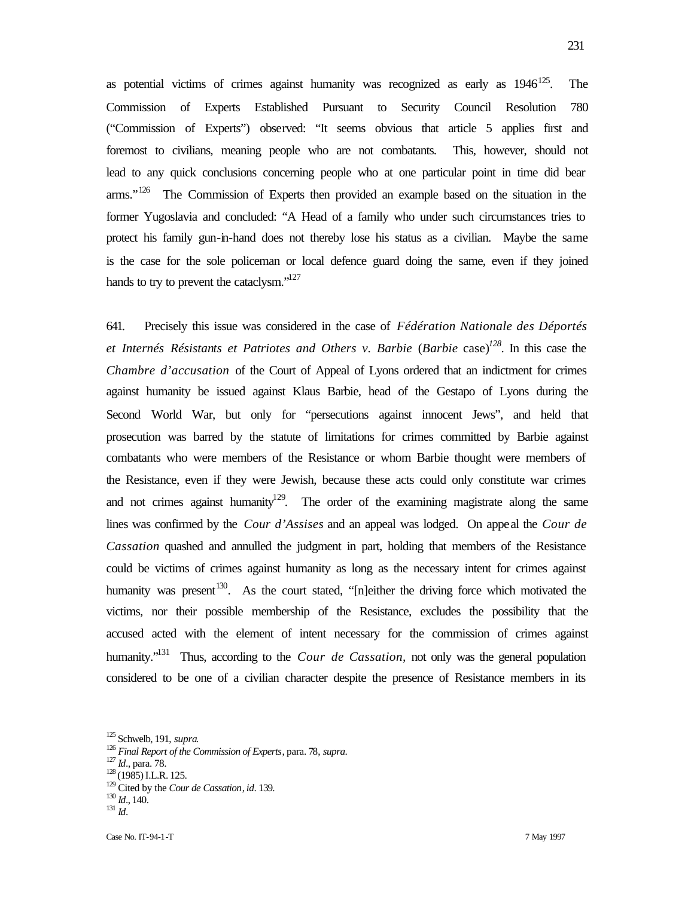as potential victims of crimes against humanity was recognized as early as  $1946^{125}$ . The Commission of Experts Established Pursuant to Security Council Resolution 780 ("Commission of Experts") observed: "It seems obvious that article 5 applies first and foremost to civilians, meaning people who are not combatants. This, however, should not lead to any quick conclusions concerning people who at one particular point in time did bear arms."<sup>126</sup> The Commission of Experts then provided an example based on the situation in the former Yugoslavia and concluded: "A Head of a family who under such circumstances tries to protect his family gun-in-hand does not thereby lose his status as a civilian. Maybe the same is the case for the sole policeman or local defence guard doing the same, even if they joined hands to try to prevent the cataclysm."<sup>127</sup>

641. Precisely this issue was considered in the case of *Fédération Nationale des Déportés et Internés Résistants et Patriotes and Others v. Barbie* (*Barbie* case)*<sup>128</sup> .* In this case the *Chambre d'accusation* of the Court of Appeal of Lyons ordered that an indictment for crimes against humanity be issued against Klaus Barbie, head of the Gestapo of Lyons during the Second World War, but only for "persecutions against innocent Jews", and held that prosecution was barred by the statute of limitations for crimes committed by Barbie against combatants who were members of the Resistance or whom Barbie thought were members of the Resistance, even if they were Jewish, because these acts could only constitute war crimes and not crimes against humanity<sup>129</sup>. The order of the examining magistrate along the same lines was confirmed by the *Cour d'Assises* and an appeal was lodged. On appeal the *Cour de Cassation* quashed and annulled the judgment in part, holding that members of the Resistance could be victims of crimes against humanity as long as the necessary intent for crimes against humanity was present<sup>130</sup>. As the court stated, "[n]either the driving force which motivated the victims, nor their possible membership of the Resistance, excludes the possibility that the accused acted with the element of intent necessary for the commission of crimes against humanity."<sup>131</sup> Thus, according to the *Cour de Cassation*, not only was the general population considered to be one of a civilian character despite the presence of Resistance members in its

 Schwelb, 191, *supra*. *Final Report of the Commission of Experts*, para. 78, *supra*. *Id*., para. 78. (1985) I.L.R. 125. Cited by the *Cour de Cassation*, *id*. 139. *Id*., 140. <sup>131</sup> *Id*.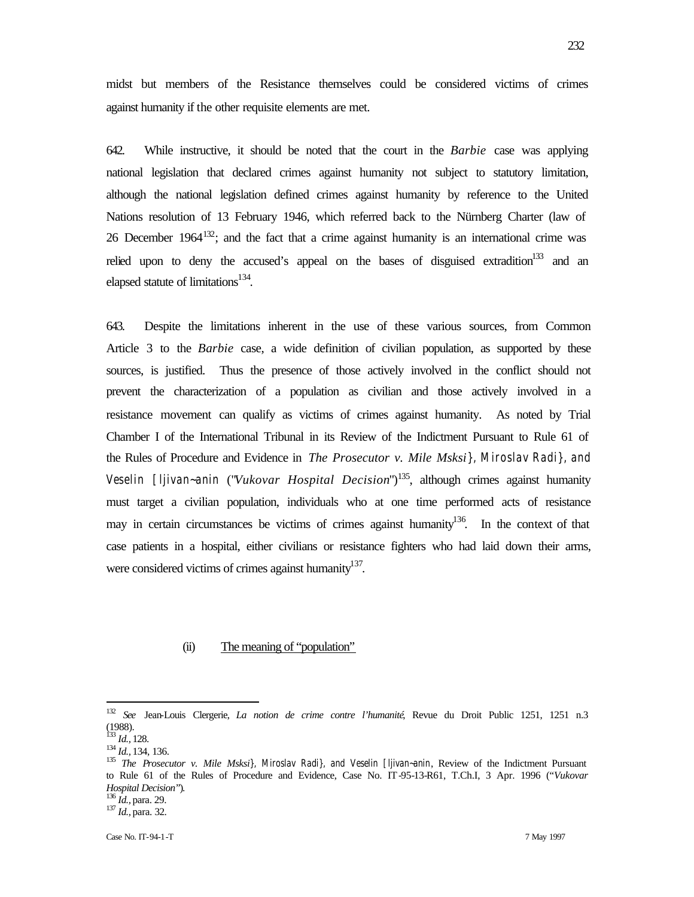midst but members of the Resistance themselves could be considered victims of crimes against humanity if the other requisite elements are met.

642. While instructive, it should be noted that the court in the *Barbie* case was applying national legislation that declared crimes against humanity not subject to statutory limitation, although the national legislation defined crimes against humanity by reference to the United Nations resolution of 13 February 1946, which referred back to the Nürnberg Charter (law of 26 December 1964<sup>132</sup>; and the fact that a crime against humanity is an international crime was relied upon to deny the accused's appeal on the bases of disguised extradition<sup>133</sup> and an elapsed statute of limitations<sup>134</sup>.

643. Despite the limitations inherent in the use of these various sources, from Common Article 3 to the *Barbie* case, a wide definition of civilian population, as supported by these sources, is justified. Thus the presence of those actively involved in the conflict should not prevent the characterization of a population as civilian and those actively involved in a resistance movement can qualify as victims of crimes against humanity. As noted by Trial Chamber I of the International Tribunal in its Review of the Indictment Pursuant to Rule 61 of the Rules of Procedure and Evidence in *The Prosecutor v. Mile Msksi}, Miroslav Radi}, and Veselin [ljivan~anin* ("*Vukovar Hospital Decision*")<sup>135</sup>, although crimes against humanity must target a civilian population, individuals who at one time performed acts of resistance may in certain circumstances be victims of crimes against humanity<sup>136</sup>. In the context of that case patients in a hospital, either civilians or resistance fighters who had laid down their arms, were considered victims of crimes against humanity $137$ .

## (ii) The meaning of "population"

<sup>132</sup> *See* Jean-Louis Clergerie, *La notion de crime contre l'humanité*, Revue du Droit Public 1251, 1251 n.3 (1988).

<sup>133</sup> *Id.,* 128. <sup>134</sup> *Id.,* 134, 136.

<sup>135</sup> *The Prosecutor v. Mile Msksi}, Miroslav Radi}, and Veselin [ljivan~anin*, Review of the Indictment Pursuant to Rule 61 of the Rules of Procedure and Evidence, Case No. IT-95-13-R61, T.Ch.I, 3 Apr. 1996 ("*Vukovar Hospital Decision*"). <sup>136</sup> *Id.,* para. 29.

<sup>137</sup> *Id.,* para. 32.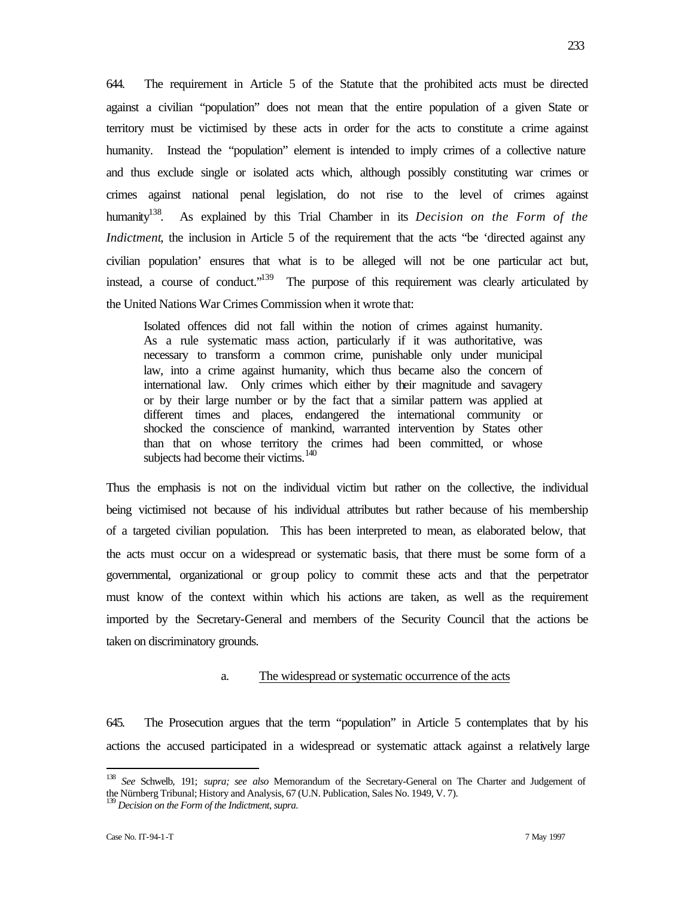644. The requirement in Article 5 of the Statute that the prohibited acts must be directed against a civilian "population" does not mean that the entire population of a given State or territory must be victimised by these acts in order for the acts to constitute a crime against humanity. Instead the "population" element is intended to imply crimes of a collective nature and thus exclude single or isolated acts which, although possibly constituting war crimes or crimes against national penal legislation, do not rise to the level of crimes against humanity<sup>138</sup>. As explained by this Trial Chamber in its *Decision on the Form of the Indictment*, the inclusion in Article 5 of the requirement that the acts "be 'directed against any civilian population' ensures that what is to be alleged will not be one particular act but, instead, a course of conduct." $139$  The purpose of this requirement was clearly articulated by the United Nations War Crimes Commission when it wrote that:

Isolated offences did not fall within the notion of crimes against humanity. As a rule systematic mass action, particularly if it was authoritative, was necessary to transform a common crime, punishable only under municipal law, into a crime against humanity, which thus became also the concern of international law. Only crimes which either by their magnitude and savagery or by their large number or by the fact that a similar pattern was applied at different times and places, endangered the international community or shocked the conscience of mankind, warranted intervention by States other than that on whose territory the crimes had been committed, or whose subjects had become their victims.<sup>140</sup>

Thus the emphasis is not on the individual victim but rather on the collective, the individual being victimised not because of his individual attributes but rather because of his membership of a targeted civilian population. This has been interpreted to mean, as elaborated below, that the acts must occur on a widespread or systematic basis, that there must be some form of a governmental, organizational or group policy to commit these acts and that the perpetrator must know of the context within which his actions are taken, as well as the requirement imported by the Secretary-General and members of the Security Council that the actions be taken on discriminatory grounds.

## a. The widespread or systematic occurrence of the acts

645. The Prosecution argues that the term "population" in Article 5 contemplates that by his actions the accused participated in a widespread or systematic attack against a relatively large

<sup>138</sup> *See* Schwelb, 191; *supra; see also* Memorandum of the Secretary-General on The Charter and Judgement of the Nürnberg Tribunal; History and Analysis, 67 (U.N. Publication, Sales No. 1949, V. 7).

<sup>139</sup> *Decision on the Form of the Indictment, supra*.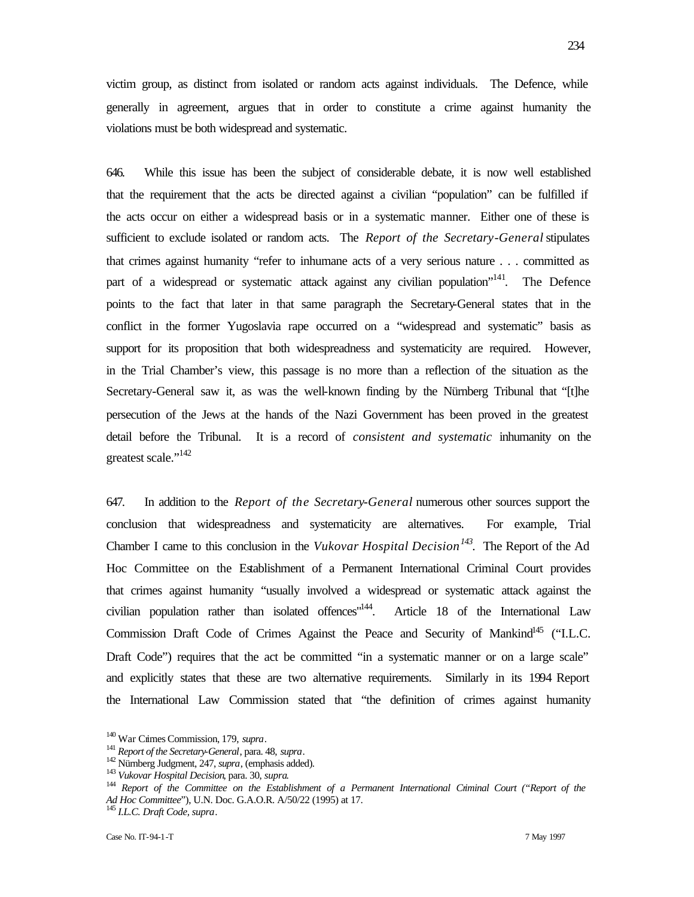victim group, as distinct from isolated or random acts against individuals. The Defence, while generally in agreement, argues that in order to constitute a crime against humanity the violations must be both widespread and systematic.

646. While this issue has been the subject of considerable debate, it is now well established that the requirement that the acts be directed against a civilian "population" can be fulfilled if the acts occur on either a widespread basis or in a systematic manner. Either one of these is sufficient to exclude isolated or random acts. The *Report of the Secretary-General* stipulates that crimes against humanity "refer to inhumane acts of a very serious nature . . . committed as part of a widespread or systematic attack against any civilian population<sup>"141</sup>. The Defence points to the fact that later in that same paragraph the Secretary-General states that in the conflict in the former Yugoslavia rape occurred on a "widespread and systematic" basis as support for its proposition that both widespreadness and systematicity are required. However, in the Trial Chamber's view, this passage is no more than a reflection of the situation as the Secretary-General saw it, as was the well-known finding by the Nürnberg Tribunal that "[t]he persecution of the Jews at the hands of the Nazi Government has been proved in the greatest detail before the Tribunal. It is a record of *consistent and systematic* inhumanity on the greatest scale."<sup>142</sup>

647. In addition to the *Report of the Secretary-General* numerous other sources support the conclusion that widespreadness and systematicity are alternatives. For example, Trial Chamber I came to this conclusion in the *Vukovar Hospital Decision<sup>143</sup> .* The Report of the Ad Hoc Committee on the Establishment of a Permanent International Criminal Court provides that crimes against humanity "usually involved a widespread or systematic attack against the civilian population rather than isolated offences<sup>"144</sup>. Article 18 of the International Law Commission Draft Code of Crimes Against the Peace and Security of Mankind<sup>145</sup> ("I.L.C. Draft Code") requires that the act be committed "in a systematic manner or on a large scale" and explicitly states that these are two alternative requirements. Similarly in its 1994 Report the International Law Commission stated that "the definition of crimes against humanity

<sup>140</sup> War Crimes Commission, 179, *supra*.

<sup>141</sup> *Report of the Secretary-General*, para. 48, *supra*.

<sup>142</sup> Nürnberg Judgment, 247, *supra*, (emphasis added).

<sup>143</sup> *Vukovar Hospital Decision*, para. 30, *supra*.

<sup>&</sup>lt;sup>144</sup> Report of the Committee on the Establishment of a Permanent International Ciminal Court ("Report of the *Ad Hoc Committee*"), U.N. Doc. G.A.O.R. A/50/22 (1995) at 17.

<sup>145</sup> *I.L.C. Draft Code, supra*.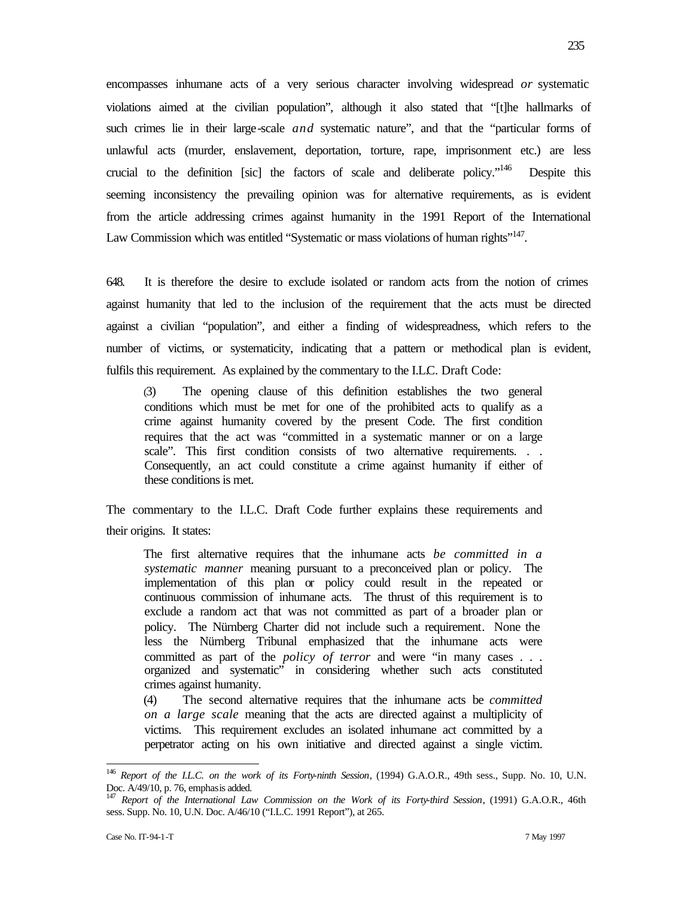encompasses inhumane acts of a very serious character involving widespread *or* systematic violations aimed at the civilian population", although it also stated that "[t]he hallmarks of such crimes lie in their large-scale *and* systematic nature", and that the "particular forms of unlawful acts (murder, enslavement, deportation, torture, rape, imprisonment etc.) are less crucial to the definition [sic] the factors of scale and deliberate policy."<sup>146</sup> Despite this seeming inconsistency the prevailing opinion was for alternative requirements, as is evident from the article addressing crimes against humanity in the 1991 Report of the International Law Commission which was entitled "Systematic or mass violations of human rights"<sup>147</sup>.

648. It is therefore the desire to exclude isolated or random acts from the notion of crimes against humanity that led to the inclusion of the requirement that the acts must be directed against a civilian "population", and either a finding of widespreadness, which refers to the number of victims, or systematicity, indicating that a pattern or methodical plan is evident, fulfils this requirement. As explained by the commentary to the I.L.C. Draft Code:

(3) The opening clause of this definition establishes the two general conditions which must be met for one of the prohibited acts to qualify as a crime against humanity covered by the present Code. The first condition requires that the act was "committed in a systematic manner or on a large scale". This first condition consists of two alternative requirements. . . Consequently, an act could constitute a crime against humanity if either of these conditions is met.

The commentary to the I.L.C. Draft Code further explains these requirements and their origins. It states:

The first alternative requires that the inhumane acts *be committed in a systematic manner* meaning pursuant to a preconceived plan or policy. The implementation of this plan or policy could result in the repeated or continuous commission of inhumane acts. The thrust of this requirement is to exclude a random act that was not committed as part of a broader plan or policy. The Nürnberg Charter did not include such a requirement. None the less the Nürnberg Tribunal emphasized that the inhumane acts were committed as part of the *policy of terror* and were "in many cases . . . organized and systematic" in considering whether such acts constituted crimes against humanity.

(4) The second alternative requires that the inhumane acts be *committed on a large scale* meaning that the acts are directed against a multiplicity of victims. This requirement excludes an isolated inhumane act committed by a perpetrator acting on his own initiative and directed against a single victim.

<sup>146</sup> *Report of the I.L.C. on the work of its Forty-ninth Session*, (1994) G.A.O.R., 49th sess., Supp. No. 10, U.N. Doc. A/49/10, p. 76, emphasis added.

<sup>147</sup> *Report of the International Law Commission on the Work of its Forty-third Session*, (1991) G.A.O.R., 46th sess. Supp. No. 10, U.N. Doc. A/46/10 ("I.L.C. 1991 Report"), at 265.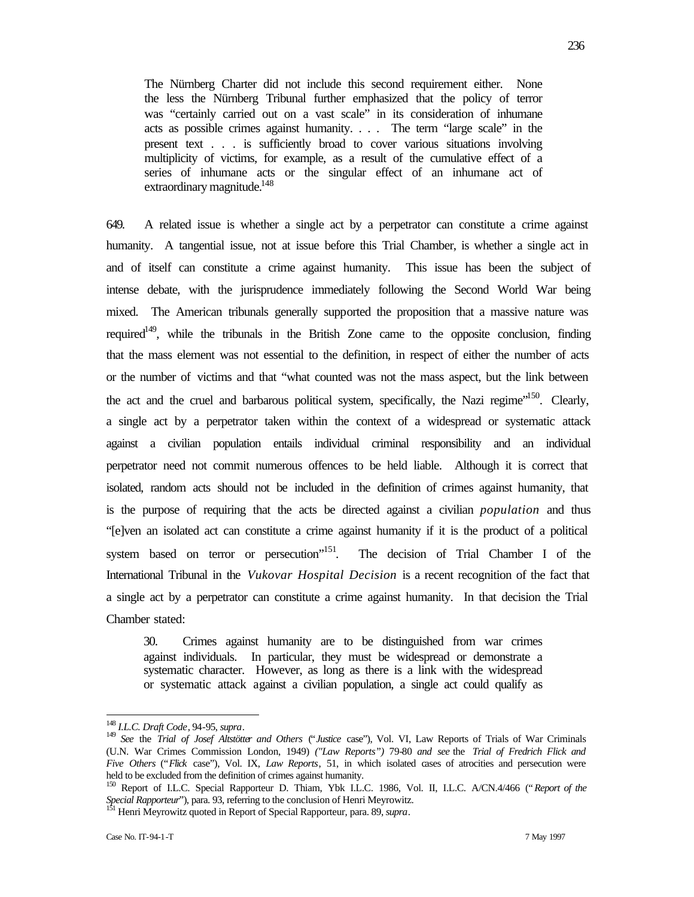The Nürnberg Charter did not include this second requirement either. None the less the Nürnberg Tribunal further emphasized that the policy of terror was "certainly carried out on a vast scale" in its consideration of inhumane acts as possible crimes against humanity. . . . The term "large scale" in the present text . . . is sufficiently broad to cover various situations involving multiplicity of victims, for example, as a result of the cumulative effect of a series of inhumane acts or the singular effect of an inhumane act of extraordinary magnitude.<sup>148</sup>

649. A related issue is whether a single act by a perpetrator can constitute a crime against humanity. A tangential issue, not at issue before this Trial Chamber, is whether a single act in and of itself can constitute a crime against humanity. This issue has been the subject of intense debate, with the jurisprudence immediately following the Second World War being mixed. The American tribunals generally supported the proposition that a massive nature was required<sup>149</sup>, while the tribunals in the British Zone came to the opposite conclusion, finding that the mass element was not essential to the definition, in respect of either the number of acts or the number of victims and that "what counted was not the mass aspect, but the link between the act and the cruel and barbarous political system, specifically, the Nazi regime<sup>"150</sup>. Clearly, a single act by a perpetrator taken within the context of a widespread or systematic attack against a civilian population entails individual criminal responsibility and an individual perpetrator need not commit numerous offences to be held liable. Although it is correct that isolated, random acts should not be included in the definition of crimes against humanity, that is the purpose of requiring that the acts be directed against a civilian *population* and thus "[e]ven an isolated act can constitute a crime against humanity if it is the product of a political system based on terror or persecution"<sup>151</sup>. The decision of Trial Chamber I of the International Tribunal in the *Vukovar Hospital Decision* is a recent recognition of the fact that a single act by a perpetrator can constitute a crime against humanity. In that decision the Trial Chamber stated:

30. Crimes against humanity are to be distinguished from war crimes against individuals. In particular, they must be widespread or demonstrate a systematic character. However, as long as there is a link with the widespread or systematic attack against a civilian population, a single act could qualify as

<sup>148</sup> *I.L.C. Draft Code*, 94-95, *supra*.

<sup>149</sup> *See* the *Trial of Josef Altstötter and Others* ("*Justice* case"), Vol. VI, Law Reports of Trials of War Criminals (U.N. War Crimes Commission London, 1949) *("Law Reports")* 79-80 *and see* the *Trial of Fredrich Flick and Five Others* ("*Flick* case"), Vol. IX, *Law Reports*, 51, in which isolated cases of atrocities and persecution were held to be excluded from the definition of crimes against humanity.

<sup>150</sup> Report of I.L.C. Special Rapporteur D. Thiam, Ybk I.L.C. 1986, Vol. II, I.L.C. A/CN.4/466 ("*Report of the Special Rapporteur*"), para. 93, referring to the conclusion of Henri Meyrowitz.<br><sup>151</sup> Henri Meyrowitz.

<sup>151</sup> Henri Meyrowitz quoted in Report of Special Rapporteur*,* para. 89, *supra*.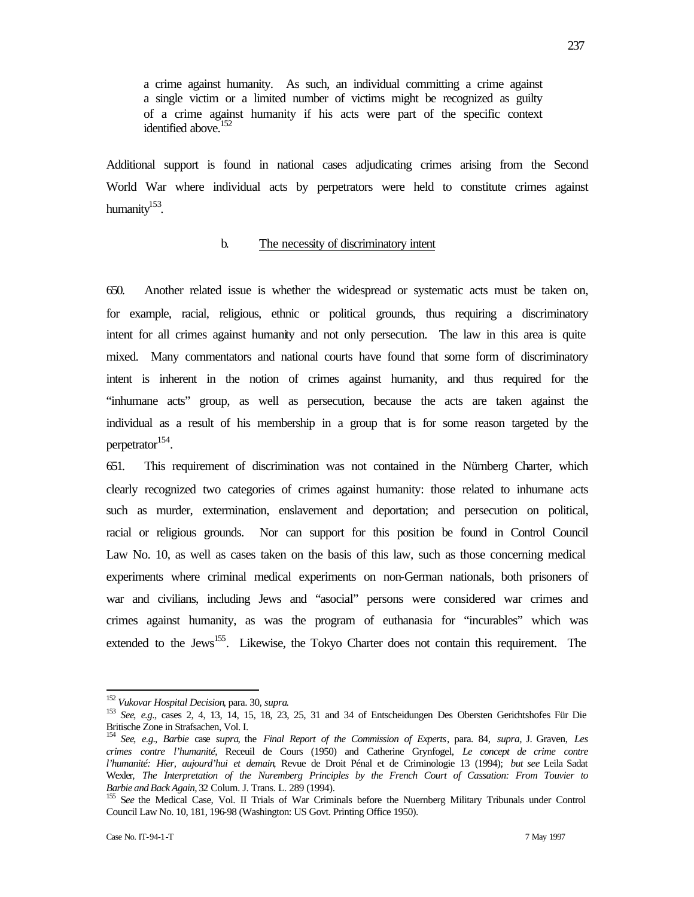a crime against humanity. As such, an individual committing a crime against a single victim or a limited number of victims might be recognized as guilty of a crime against humanity if his acts were part of the specific context identified above.<sup>152</sup>

Additional support is found in national cases adjudicating crimes arising from the Second World War where individual acts by perpetrators were held to constitute crimes against humanity<sup>153</sup>.

## b. The necessity of discriminatory intent

650. Another related issue is whether the widespread or systematic acts must be taken on, for example, racial, religious, ethnic or political grounds, thus requiring a discriminatory intent for all crimes against humanity and not only persecution. The law in this area is quite mixed. Many commentators and national courts have found that some form of discriminatory intent is inherent in the notion of crimes against humanity, and thus required for the "inhumane acts" group, as well as persecution, because the acts are taken against the individual as a result of his membership in a group that is for some reason targeted by the perpetrator<sup>154</sup>.

651. This requirement of discrimination was not contained in the Nürnberg Charter, which clearly recognized two categories of crimes against humanity: those related to inhumane acts such as murder, extermination, enslavement and deportation; and persecution on political, racial or religious grounds. Nor can support for this position be found in Control Council Law No. 10, as well as cases taken on the basis of this law, such as those concerning medical experiments where criminal medical experiments on non-German nationals, both prisoners of war and civilians, including Jews and "asocial" persons were considered war crimes and crimes against humanity, as was the program of euthanasia for "incurables" which was extended to the Jews<sup>155</sup>. Likewise, the Tokyo Charter does not contain this requirement. The

<sup>152</sup> *Vukovar Hospital Decision*, para. 30, *supra*.

<sup>153</sup> *See*, *e.g*., cases 2, 4, 13, 14, 15, 18, 23, 25, 31 and 34 of Entscheidungen Des Obersten Gerichtshofes Für Die Britische Zone in Strafsachen, Vol. I.

<sup>154</sup> *See*, *e.g*., *Barbie* case *supra*, the *Final Report of the Commission of Experts*, para. 84, *supra,* J. Graven, *Les crimes contre l'humanité*, Receuil de Cours (1950) and Catherine Grynfogel, *Le concept de crime contre l'humanité: Hier, aujourd'hui et demain*, Revue de Droit Pénal et de Criminologie 13 (1994); *but see* Leila Sadat Wexler, *The Interpretation of the Nuremberg Principles by the French Court of Cassation: From Touvier to Barbie and Back Again*, 32 Colum. J. Trans. L. 289 (1994).

<sup>&</sup>lt;sup>155</sup> See the Medical Case, Vol. II Trials of War Criminals before the Nuernberg Military Tribunals under Control Council Law No. 10, 181, 196-98 (Washington: US Govt. Printing Office 1950).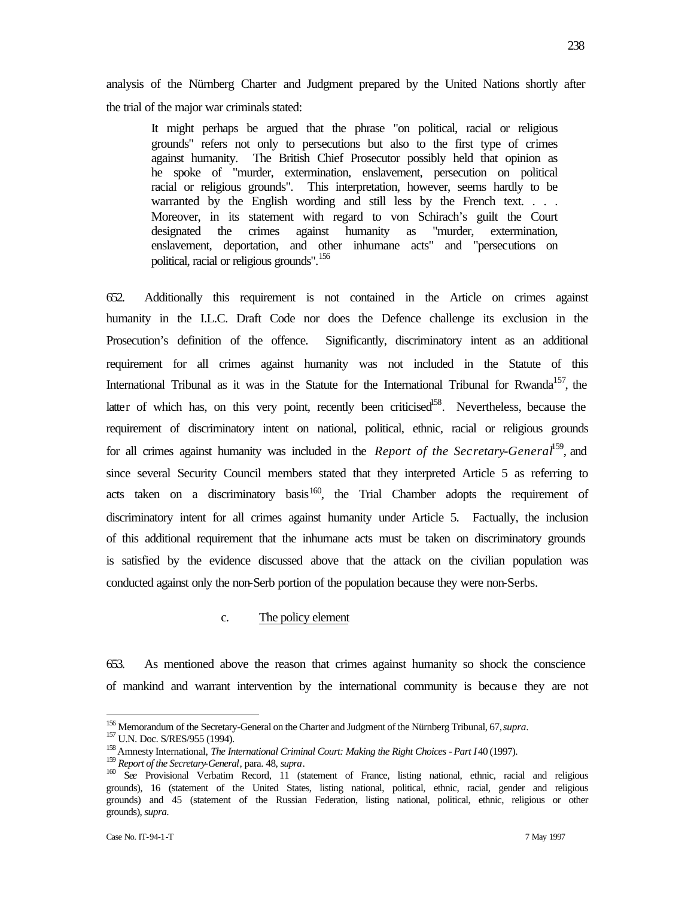analysis of the Nürnberg Charter and Judgment prepared by the United Nations shortly after the trial of the major war criminals stated:

It might perhaps be argued that the phrase "on political, racial or religious grounds" refers not only to persecutions but also to the first type of crimes against humanity. The British Chief Prosecutor possibly held that opinion as he spoke of "murder, extermination, enslavement, persecution on political racial or religious grounds". This interpretation, however, seems hardly to be warranted by the English wording and still less by the French text. . . . Moreover, in its statement with regard to von Schirach's guilt the Court designated the crimes against humanity as "murder, extermination, enslavement, deportation, and other inhumane acts" and "persecutions on political, racial or religious grounds".<sup>156</sup>

652. Additionally this requirement is not contained in the Article on crimes against humanity in the I.L.C. Draft Code nor does the Defence challenge its exclusion in the Prosecution's definition of the offence. Significantly, discriminatory intent as an additional requirement for all crimes against humanity was not included in the Statute of this International Tribunal as it was in the Statute for the International Tribunal for Rwanda<sup>157</sup>, the latter of which has, on this very point, recently been criticised<sup>158</sup>. Nevertheless, because the requirement of discriminatory intent on national, political, ethnic, racial or religious grounds for all crimes against humanity was included in the *Report of the Secretary-General*<sup>159</sup>, and since several Security Council members stated that they interpreted Article 5 as referring to acts taken on a discriminatory basis<sup>160</sup>, the Trial Chamber adopts the requirement of discriminatory intent for all crimes against humanity under Article 5. Factually, the inclusion of this additional requirement that the inhumane acts must be taken on discriminatory grounds is satisfied by the evidence discussed above that the attack on the civilian population was conducted against only the non-Serb portion of the population because they were non-Serbs.

# c. The policy element

653. As mentioned above the reason that crimes against humanity so shock the conscience of mankind and warrant intervention by the international community is because they are not

<sup>156</sup> Memorandum of the Secretary-General on the Charter and Judgment of the Nürnberg Tribunal, 67, *supra*. <sup>157</sup> U.N. Doc. S/RES/955 (1994).

<sup>158</sup> Amnesty International, *The International Criminal Court: Making the Right Choices - Part I* 40 (1997).

<sup>159</sup> *Report of the Secretary-General*, para. 48, *supra*.

<sup>160</sup> S*ee* Provisional Verbatim Record, 11 (statement of France, listing national, ethnic, racial and religious grounds), 16 (statement of the United States, listing national, political, ethnic, racial, gender and religious grounds) and 45 (statement of the Russian Federation, listing national, political, ethnic, religious or other grounds), *supra*.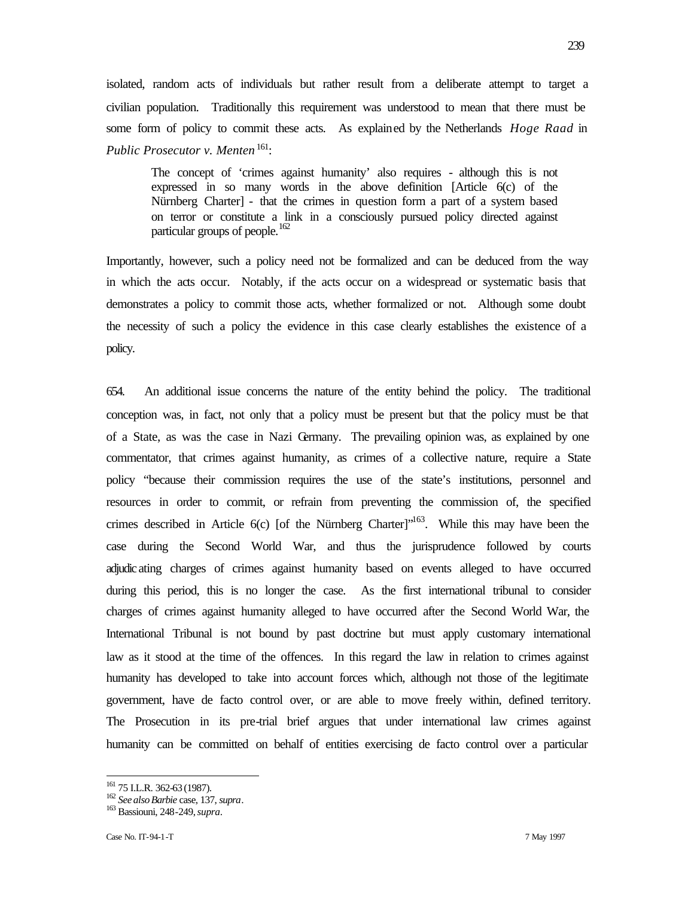isolated, random acts of individuals but rather result from a deliberate attempt to target a civilian population. Traditionally this requirement was understood to mean that there must be some form of policy to commit these acts. As explained by the Netherlands *Hoge Raad* in *Public Prosecutor v. Menten* <sup>161</sup>:

The concept of 'crimes against humanity' also requires - although this is not expressed in so many words in the above definition [Article 6(c) of the Nürnberg Charter] - that the crimes in question form a part of a system based on terror or constitute a link in a consciously pursued policy directed against particular groups of people. $^{162}$ 

Importantly, however, such a policy need not be formalized and can be deduced from the way in which the acts occur. Notably, if the acts occur on a widespread or systematic basis that demonstrates a policy to commit those acts, whether formalized or not. Although some doubt the necessity of such a policy the evidence in this case clearly establishes the existence of a policy.

654. An additional issue concerns the nature of the entity behind the policy. The traditional conception was, in fact, not only that a policy must be present but that the policy must be that of a State, as was the case in Nazi Germany. The prevailing opinion was, as explained by one commentator, that crimes against humanity, as crimes of a collective nature, require a State policy "because their commission requires the use of the state's institutions, personnel and resources in order to commit, or refrain from preventing the commission of, the specified crimes described in Article  $6(c)$  [of the Nürnberg Charter]<sup> $163$ </sup>. While this may have been the case during the Second World War, and thus the jurisprudence followed by courts adjudic ating charges of crimes against humanity based on events alleged to have occurred during this period, this is no longer the case. As the first international tribunal to consider charges of crimes against humanity alleged to have occurred after the Second World War, the International Tribunal is not bound by past doctrine but must apply customary international law as it stood at the time of the offences. In this regard the law in relation to crimes against humanity has developed to take into account forces which, although not those of the legitimate government, have de facto control over, or are able to move freely within, defined territory. The Prosecution in its pre-trial brief argues that under international law crimes against humanity can be committed on behalf of entities exercising de facto control over a particular

<sup>&</sup>lt;sup>161</sup> 75 I.L.R. 362-63 (1987).

<sup>162</sup> *See alsoBarbie* case, 137, *supra*.

<sup>163</sup> Bassiouni, 248-249, *supra*.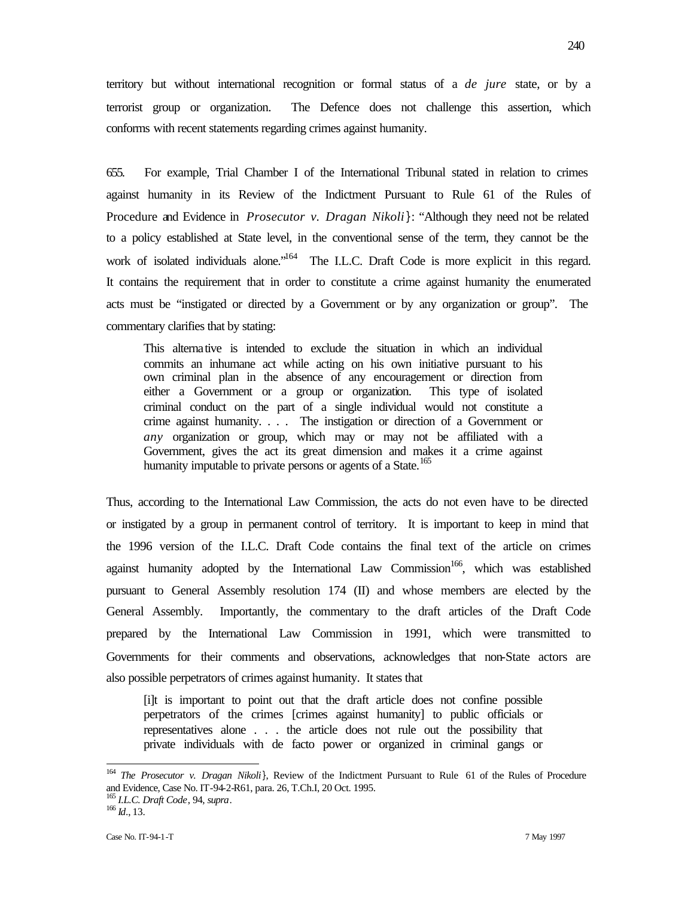territory but without international recognition or formal status of a *de jure* state, or by a terrorist group or organization. The Defence does not challenge this assertion, which conforms with recent statements regarding crimes against humanity.

655. For example, Trial Chamber I of the International Tribunal stated in relation to crimes against humanity in its Review of the Indictment Pursuant to Rule 61 of the Rules of Procedure and Evidence in *Prosecutor v. Dragan Nikoli}*: "Although they need not be related to a policy established at State level, in the conventional sense of the term, they cannot be the work of isolated individuals alone."<sup>164</sup> The I.L.C. Draft Code is more explicit in this regard. It contains the requirement that in order to constitute a crime against humanity the enumerated acts must be "instigated or directed by a Government or by any organization or group". The commentary clarifies that by stating:

This alternative is intended to exclude the situation in which an individual commits an inhumane act while acting on his own initiative pursuant to his own criminal plan in the absence of any encouragement or direction from either a Government or a group or organization. This type of isolated criminal conduct on the part of a single individual would not constitute a crime against humanity. . . . The instigation or direction of a Government or *any* organization or group, which may or may not be affiliated with a Government, gives the act its great dimension and makes it a crime against humanity imputable to private persons or agents of a State.<sup>165</sup>

Thus, according to the International Law Commission, the acts do not even have to be directed or instigated by a group in permanent control of territory. It is important to keep in mind that the 1996 version of the I.L.C. Draft Code contains the final text of the article on crimes against humanity adopted by the International Law Commission<sup>166</sup>, which was established pursuant to General Assembly resolution 174 (II) and whose members are elected by the General Assembly. Importantly, the commentary to the draft articles of the Draft Code prepared by the International Law Commission in 1991, which were transmitted to Governments for their comments and observations, acknowledges that non-State actors are also possible perpetrators of crimes against humanity. It states that

[i]t is important to point out that the draft article does not confine possible perpetrators of the crimes [crimes against humanity] to public officials or representatives alone . . . the article does not rule out the possibility that private individuals with de facto power or organized in criminal gangs or

<sup>164</sup> *The Prosecutor v. Dragan Nikoli}*, Review of the Indictment Pursuant to Rule 61 of the Rules of Procedure and Evidence, Case No. IT-94-2-R61, para. 26, T.Ch.I, 20 Oct. 1995.

<sup>165</sup> *I.L.C. Draft Code*, 94, *supra*.

<sup>166</sup> *Id*., 13.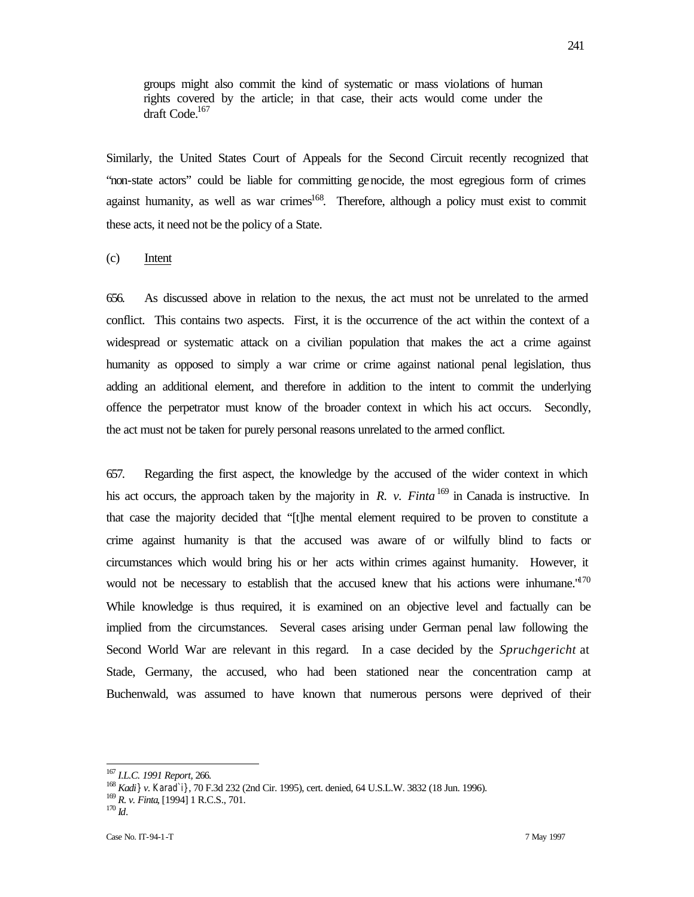groups might also commit the kind of systematic or mass violations of human rights covered by the article; in that case, their acts would come under the draft Code.<sup>167</sup>

Similarly, the United States Court of Appeals for the Second Circuit recently recognized that "non-state actors" could be liable for committing genocide, the most egregious form of crimes against humanity, as well as war crimes<sup>168</sup>. Therefore, although a policy must exist to commit these acts, it need not be the policy of a State.

(c) Intent

656. As discussed above in relation to the nexus, the act must not be unrelated to the armed conflict. This contains two aspects. First, it is the occurrence of the act within the context of a widespread or systematic attack on a civilian population that makes the act a crime against humanity as opposed to simply a war crime or crime against national penal legislation, thus adding an additional element, and therefore in addition to the intent to commit the underlying offence the perpetrator must know of the broader context in which his act occurs. Secondly, the act must not be taken for purely personal reasons unrelated to the armed conflict.

657. Regarding the first aspect, the knowledge by the accused of the wider context in which his act occurs, the approach taken by the majority in *R. v. Finta*  $^{169}$  in Canada is instructive. In that case the majority decided that "[t]he mental element required to be proven to constitute a crime against humanity is that the accused was aware of or wilfully blind to facts or circumstances which would bring his or her acts within crimes against humanity. However, it would not be necessary to establish that the accused knew that his actions were inhumane."<sup>170</sup> While knowledge is thus required, it is examined on an objective level and factually can be implied from the circumstances. Several cases arising under German penal law following the Second World War are relevant in this regard. In a case decided by the *Spruchgericht* at Stade, Germany, the accused, who had been stationed near the concentration camp at Buchenwald, was assumed to have known that numerous persons were deprived of their

<sup>167</sup> *I.L.C. 1991 Report,* 266.

<sup>168</sup> *Kadi} v. Karad`i}*, 70 F.3d 232 (2nd Cir. 1995), cert. denied, 64 U.S.L.W. 3832 (18 Jun. 1996).

<sup>169</sup> *R. v. Finta*, [1994] 1 R.C.S., 701.

<sup>170</sup> *Id*.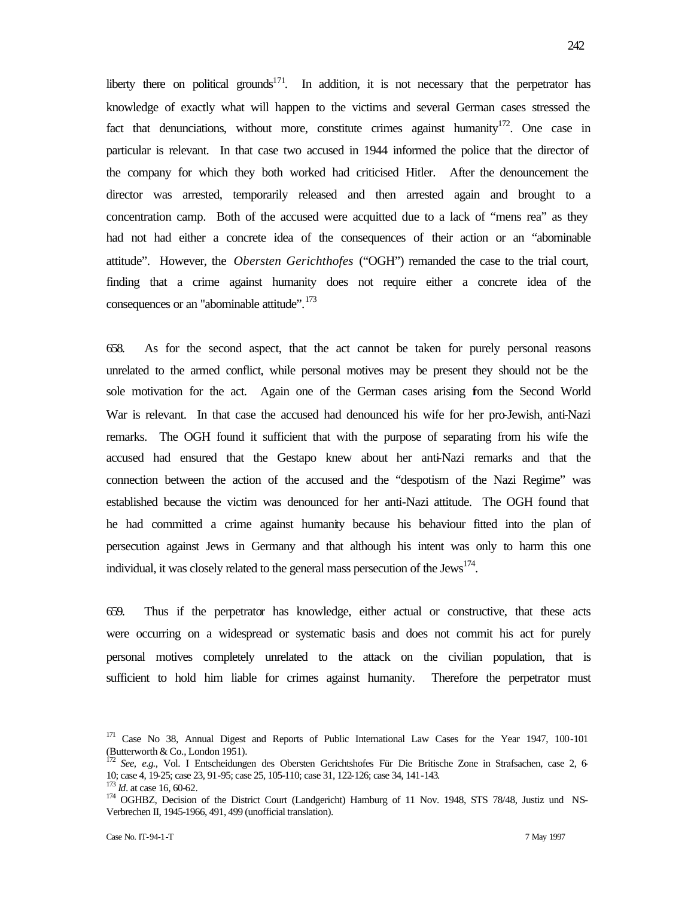liberty there on political grounds<sup>171</sup>. In addition, it is not necessary that the perpetrator has knowledge of exactly what will happen to the victims and several German cases stressed the fact that denunciations, without more, constitute crimes against humanity<sup>172</sup>. One case in particular is relevant. In that case two accused in 1944 informed the police that the director of the company for which they both worked had criticised Hitler. After the denouncement the director was arrested, temporarily released and then arrested again and brought to a concentration camp. Both of the accused were acquitted due to a lack of "mens rea" as they had not had either a concrete idea of the consequences of their action or an "abominable attitude". However, the *Obersten Gerichthofes* ("OGH") remanded the case to the trial court, finding that a crime against humanity does not require either a concrete idea of the consequences or an "abominable attitude".<sup>173</sup>

658. As for the second aspect, that the act cannot be taken for purely personal reasons unrelated to the armed conflict, while personal motives may be present they should not be the sole motivation for the act. Again one of the German cases arising from the Second World War is relevant. In that case the accused had denounced his wife for her pro-Jewish, anti-Nazi remarks. The OGH found it sufficient that with the purpose of separating from his wife the accused had ensured that the Gestapo knew about her anti-Nazi remarks and that the connection between the action of the accused and the "despotism of the Nazi Regime" was established because the victim was denounced for her anti-Nazi attitude. The OGH found that he had committed a crime against humanity because his behaviour fitted into the plan of persecution against Jews in Germany and that although his intent was only to harm this one individual, it was closely related to the general mass persecution of the Jews<sup>174</sup>.

659. Thus if the perpetrator has knowledge, either actual or constructive, that these acts were occurring on a widespread or systematic basis and does not commit his act for purely personal motives completely unrelated to the attack on the civilian population, that is sufficient to hold him liable for crimes against humanity. Therefore the perpetrator must

<sup>&</sup>lt;sup>171</sup> Case No 38, Annual Digest and Reports of Public International Law Cases for the Year 1947, 100-101 (Butterworth & Co., London 1951).

<sup>172</sup> *See, e.g.*, Vol. I Entscheidungen des Obersten Gerichtshofes Für Die Britische Zone in Strafsachen, case 2, 6- 10; case 4, 19-25; case 23, 91-95; case 25, 105-110; case 31, 122-126; case 34, 141-143.

<sup>173</sup> *Id*. at case 16, 60-62.

 $\frac{174}{174}$  OGHBZ, Decision of the District Court (Landgericht) Hamburg of 11 Nov. 1948, STS 78/48, Justiz und NS-Verbrechen II, 1945-1966, 491, 499 (unofficial translation).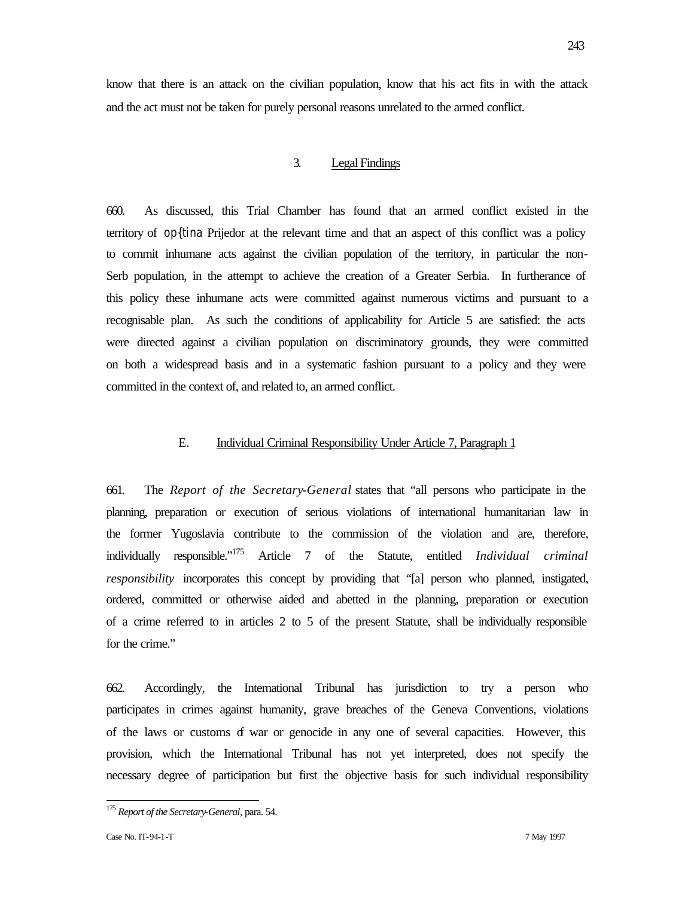know that there is an attack on the civilian population, know that his act fits in with the attack and the act must not be taken for purely personal reasons unrelated to the armed conflict.

## 3. Legal Findings

660. As discussed, this Trial Chamber has found that an armed conflict existed in the territory of op{tina Prijedor at the relevant time and that an aspect of this conflict was a policy to commit inhumane acts against the civilian population of the territory, in particular the non-Serb population, in the attempt to achieve the creation of a Greater Serbia. In furtherance of this policy these inhumane acts were committed against numerous victims and pursuant to a recognisable plan. As such the conditions of applicability for Article 5 are satisfied: the acts were directed against a civilian population on discriminatory grounds, they were committed on both a widespread basis and in a systematic fashion pursuant to a policy and they were committed in the context of, and related to, an armed conflict.

# E. Individual Criminal Responsibility Under Article 7, Paragraph 1

661. The *Report of the Secretary-General* states that "all persons who participate in the planning, preparation or execution of serious violations of international humanitarian law in the former Yugoslavia contribute to the commission of the violation and are, therefore, individually responsible."<sup>175</sup> Article 7 of the Statute, entitled *Individual criminal responsibility* incorporates this concept by providing that "[a] person who planned, instigated, ordered, committed or otherwise aided and abetted in the planning, preparation or execution of a crime referred to in articles 2 to 5 of the present Statute, shall be individually responsible for the crime."

662. Accordingly, the International Tribunal has jurisdiction to try a person who participates in crimes against humanity, grave breaches of the Geneva Conventions, violations of the laws or customs of war or genocide in any one of several capacities. However, this provision, which the International Tribunal has not yet interpreted, does not specify the necessary degree of participation but first the objective basis for such individual responsibility

<sup>175</sup> *Report of the Secretary-General,* para. 54.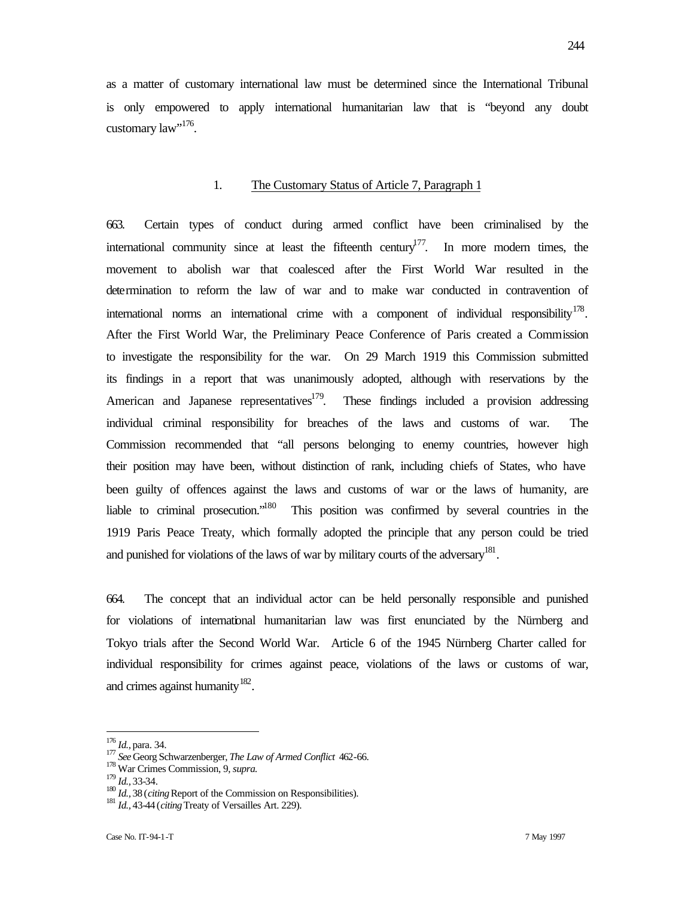as a matter of customary international law must be determined since the International Tribunal is only empowered to apply international humanitarian law that is "beyond any doubt customary law".<sup>176</sup>.

## 1. The Customary Status of Article 7, Paragraph 1

663. Certain types of conduct during armed conflict have been criminalised by the international community since at least the fifteenth century<sup>177</sup>. In more modern times, the movement to abolish war that coalesced after the First World War resulted in the determination to reform the law of war and to make war conducted in contravention of international norms an international crime with a component of individual responsibility  $178$ . After the First World War, the Preliminary Peace Conference of Paris created a Commission to investigate the responsibility for the war. On 29 March 1919 this Commission submitted its findings in a report that was unanimously adopted, although with reservations by the American and Japanese representatives<sup>179</sup>. These findings included a provision addressing individual criminal responsibility for breaches of the laws and customs of war. The Commission recommended that "all persons belonging to enemy countries, however high their position may have been, without distinction of rank, including chiefs of States, who have been guilty of offences against the laws and customs of war or the laws of humanity, are liable to criminal prosecution."<sup>180</sup> This position was confirmed by several countries in the 1919 Paris Peace Treaty, which formally adopted the principle that any person could be tried and punished for violations of the laws of war by military courts of the adversary  $<sup>181</sup>$ .</sup>

664. The concept that an individual actor can be held personally responsible and punished for violations of international humanitarian law was first enunciated by the Nürnberg and Tokyo trials after the Second World War. Article 6 of the 1945 Nürnberg Charter called for individual responsibility for crimes against peace, violations of the laws or customs of war, and crimes against humanity  $182$ .

<sup>176</sup> *Id.,* para. 34.

<sup>177</sup> *See* Georg Schwarzenberger, *The Law of Armed Conflict* 462-66.

<sup>178</sup> War Crimes Commission, 9, *supra.*

<sup>179</sup> *Id.,* 33-34.

<sup>&</sup>lt;sup>180</sup> *Id.*, 38 (*citing* Report of the Commission on Responsibilities).

<sup>181</sup> *Id.,* 43-44 (*citing* Treaty of Versailles Art. 229).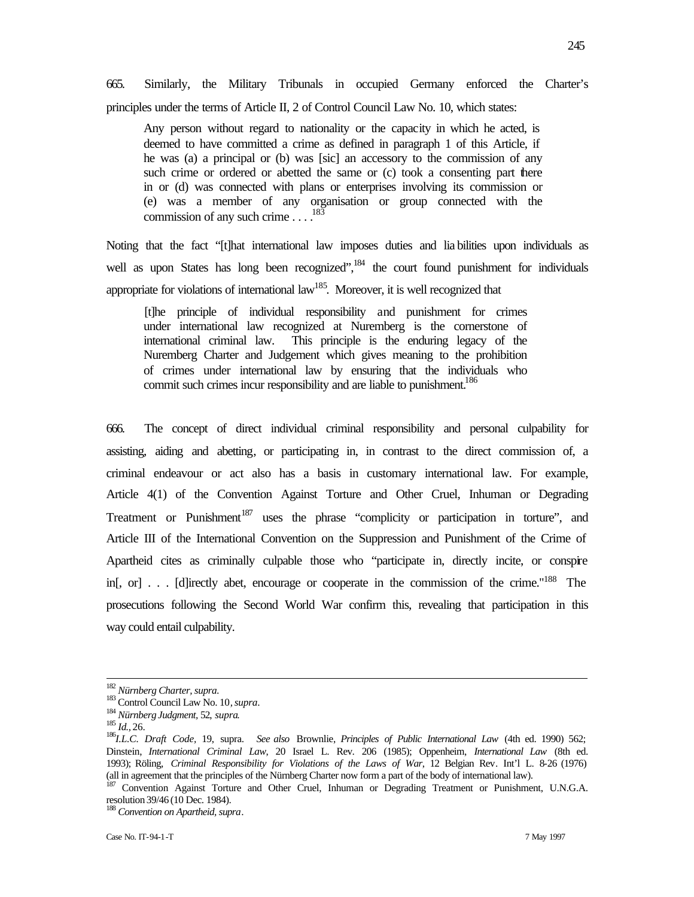665. Similarly, the Military Tribunals in occupied Germany enforced the Charter's principles under the terms of Article II, 2 of Control Council Law No. 10, which states:

Any person without regard to nationality or the capacity in which he acted, is deemed to have committed a crime as defined in paragraph 1 of this Article, if he was (a) a principal or (b) was [sic] an accessory to the commission of any such crime or ordered or abetted the same or (c) took a consenting part there in or (d) was connected with plans or enterprises involving its commission or (e) was a member of any organisation or group connected with the commission of any such crime . . . .<sup>183</sup>

Noting that the fact "[t]hat international law imposes duties and lia bilities upon individuals as well as upon States has long been recognized", $184$  the court found punishment for individuals appropriate for violations of international  $law^{185}$ . Moreover, it is well recognized that

[t]he principle of individual responsibility and punishment for crimes under international law recognized at Nuremberg is the cornerstone of international criminal law. This principle is the enduring legacy of the Nuremberg Charter and Judgement which gives meaning to the prohibition of crimes under international law by ensuring that the individuals who commit such crimes incur responsibility and are liable to punishment.<sup>186</sup>

666. The concept of direct individual criminal responsibility and personal culpability for assisting, aiding and abetting, or participating in, in contrast to the direct commission of, a criminal endeavour or act also has a basis in customary international law. For example, Article 4(1) of the Convention Against Torture and Other Cruel, Inhuman or Degrading Treatment or Punishment<sup>187</sup> uses the phrase "complicity or participation in torture", and Article III of the International Convention on the Suppression and Punishment of the Crime of Apartheid cites as criminally culpable those who "participate in, directly incite, or conspire inf, or  $\cdot$ . If desirectly abet, encourage or cooperate in the commission of the crime."<sup>188</sup> The prosecutions following the Second World War confirm this, revealing that participation in this way could entail culpability.

<sup>182</sup> *Nürnberg Charter, supra.*

<sup>183</sup> Control Council Law No. 10*, supra*.

<sup>184</sup> *Nürnberg Judgment,* 52, *supra*.

<sup>185</sup> *Id.,* 26.

<sup>186</sup>*I.L.C. Draft Code,* 19, supra. *See also* Brownlie, *Principles of Public International Law* (4th ed. 1990) 562; Dinstein, *International Criminal Law*, 20 Israel L. Rev. 206 (1985); Oppenheim, *International Law* (8th ed. 1993); Röling, *Criminal Responsibility for Violations of the Laws of War*, 12 Belgian Rev. Int'l L. 8-26 (1976) (all in agreement that the principles of the Nürnberg Charter now form a part of the body of international law).

<sup>187</sup> Convention Against Torture and Other Cruel, Inhuman or Degrading Treatment or Punishment, U.N.G.A. resolution 39/46 (10 Dec. 1984).

<sup>188</sup> *Convention on Apartheid, supra*.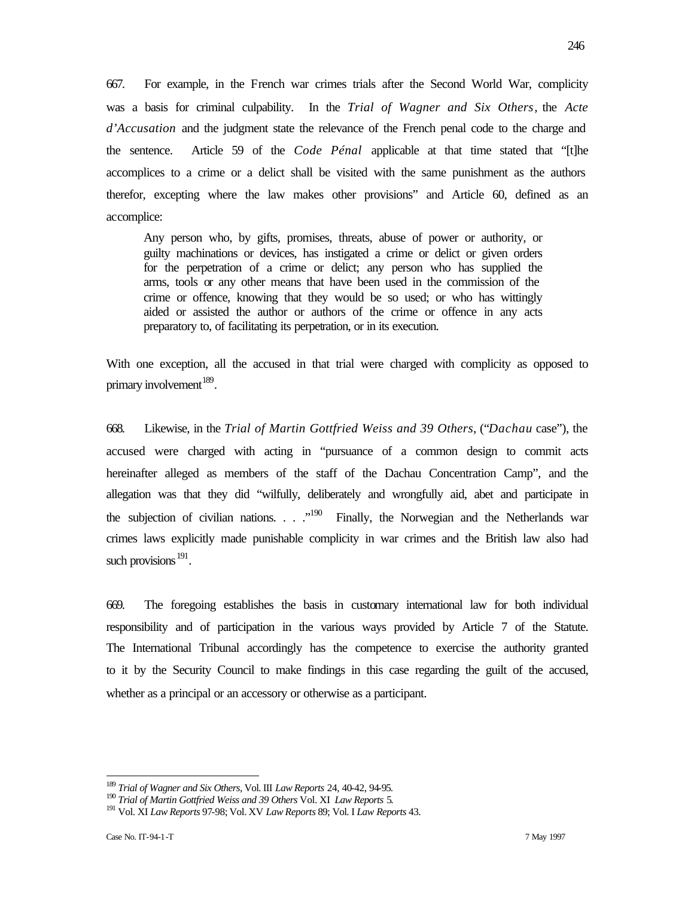667. For example, in the French war crimes trials after the Second World War, complicity was a basis for criminal culpability. In the *Trial of Wagner and Six Others*, the *Acte d'Accusation* and the judgment state the relevance of the French penal code to the charge and the sentence. Article 59 of the *Code Pénal* applicable at that time stated that "[t]he accomplices to a crime or a delict shall be visited with the same punishment as the authors therefor, excepting where the law makes other provisions" and Article 60, defined as an accomplice:

Any person who, by gifts, promises, threats, abuse of power or authority, or guilty machinations or devices, has instigated a crime or delict or given orders for the perpetration of a crime or delict; any person who has supplied the arms, tools or any other means that have been used in the commission of the crime or offence, knowing that they would be so used; or who has wittingly aided or assisted the author or authors of the crime or offence in any acts preparatory to, of facilitating its perpetration, or in its execution.

With one exception, all the accused in that trial were charged with complicity as opposed to primary involvement<sup>189</sup>.

668. Likewise, in the *Trial of Martin Gottfried Weiss and 39 Others*, ("*Dachau* case"), the accused were charged with acting in "pursuance of a common design to commit acts hereinafter alleged as members of the staff of the Dachau Concentration Camp", and the allegation was that they did "wilfully, deliberately and wrongfully aid, abet and participate in the subjection of civilian nations.  $\ldots$   $\cdot$ <sup>190</sup> Finally, the Norwegian and the Netherlands war crimes laws explicitly made punishable complicity in war crimes and the British law also had such provisions  $191$ .

669. The foregoing establishes the basis in customary international law for both individual responsibility and of participation in the various ways provided by Article 7 of the Statute. The International Tribunal accordingly has the competence to exercise the authority granted to it by the Security Council to make findings in this case regarding the guilt of the accused, whether as a principal or an accessory or otherwise as a participant.

<sup>189</sup> *Trial of Wagner and Six Others,* Vol. III *Law Reports* 24, 40-42, 94-95.

<sup>190</sup> *Trial of Martin Gottfried Weiss and 39 Others* Vol. XI *Law Reports* 5.

<sup>191</sup> Vol. XI *Law Reports* 97-98; Vol. XV *Law Reports* 89; Vol. I *Law Reports* 43.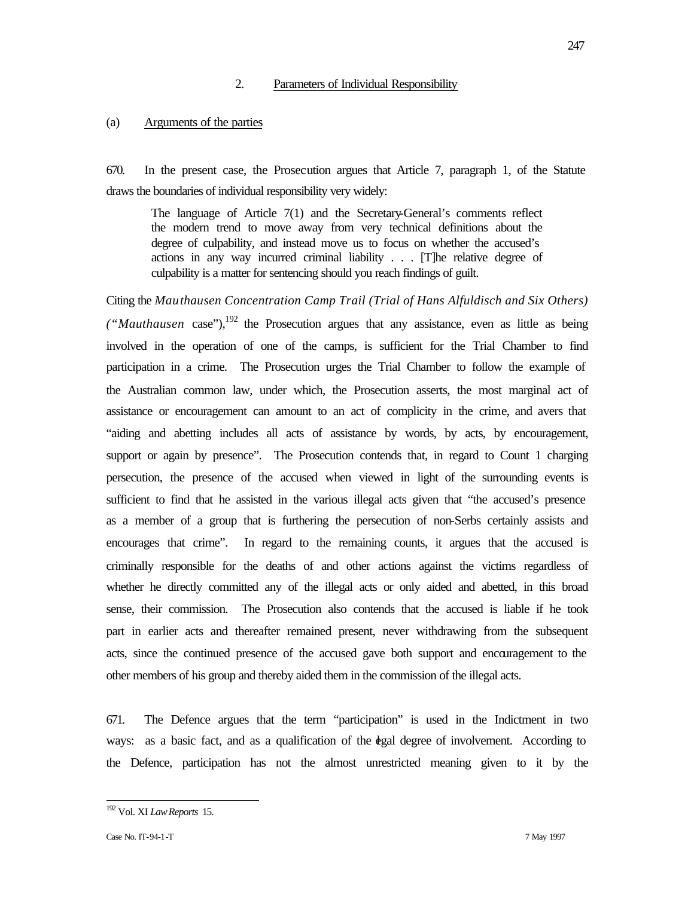# 2. Parameters of Individual Responsibility

#### (a) Arguments of the parties

670. In the present case, the Prosecution argues that Article 7, paragraph 1, of the Statute draws the boundaries of individual responsibility very widely:

The language of Article 7(1) and the Secretary-General's comments reflect the modern trend to move away from very technical definitions about the degree of culpability, and instead move us to focus on whether the accused's actions in any way incurred criminal liability . . . [T]he relative degree of culpability is a matter for sentencing should you reach findings of guilt.

Citing the *Mauthausen Concentration Camp Trail (Trial of Hans Alfuldisch and Six Others)*   $('Mauthausen case'')$ ,<sup>192</sup> the Prosecution argues that any assistance, even as little as being involved in the operation of one of the camps, is sufficient for the Trial Chamber to find participation in a crime. The Prosecution urges the Trial Chamber to follow the example of the Australian common law, under which, the Prosecution asserts, the most marginal act of assistance or encouragement can amount to an act of complicity in the crime, and avers that "aiding and abetting includes all acts of assistance by words, by acts, by encouragement, support or again by presence". The Prosecution contends that, in regard to Count 1 charging persecution, the presence of the accused when viewed in light of the surrounding events is sufficient to find that he assisted in the various illegal acts given that "the accused's presence as a member of a group that is furthering the persecution of non-Serbs certainly assists and encourages that crime". In regard to the remaining counts, it argues that the accused is criminally responsible for the deaths of and other actions against the victims regardless of whether he directly committed any of the illegal acts or only aided and abetted, in this broad sense, their commission. The Prosecution also contends that the accused is liable if he took part in earlier acts and thereafter remained present, never withdrawing from the subsequent acts, since the continued presence of the accused gave both support and encouragement to the other members of his group and thereby aided them in the commission of the illegal acts.

671. The Defence argues that the term "participation" is used in the Indictment in two ways: as a basic fact, and as a qualification of the egal degree of involvement. According to the Defence, participation has not the almost unrestricted meaning given to it by the

<sup>192</sup> Vol. XI *Law Reports* 15.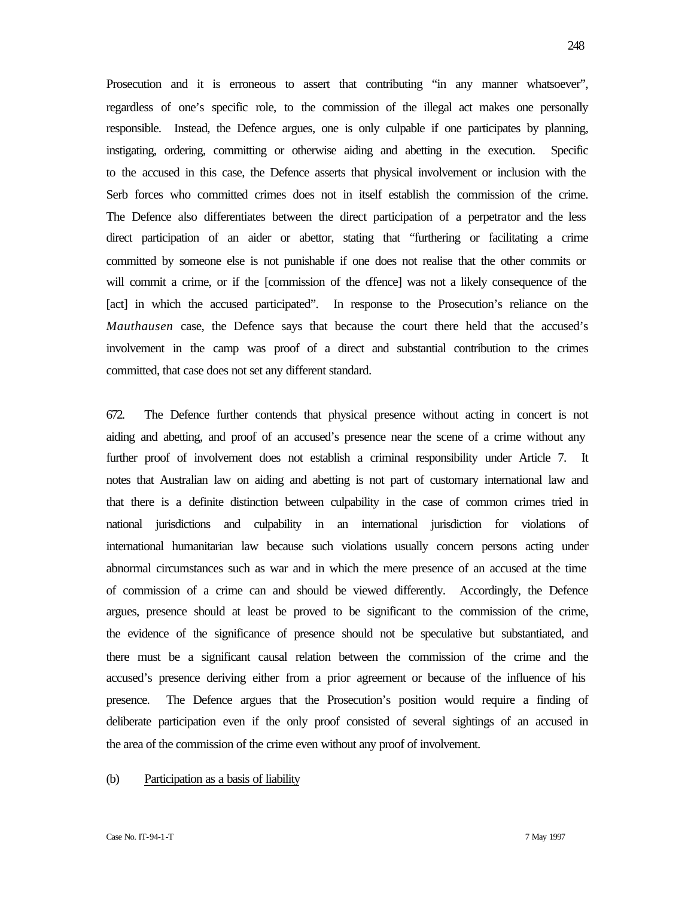Prosecution and it is erroneous to assert that contributing "in any manner whatsoever", regardless of one's specific role, to the commission of the illegal act makes one personally responsible. Instead, the Defence argues, one is only culpable if one participates by planning, instigating, ordering, committing or otherwise aiding and abetting in the execution. Specific to the accused in this case, the Defence asserts that physical involvement or inclusion with the Serb forces who committed crimes does not in itself establish the commission of the crime. The Defence also differentiates between the direct participation of a perpetrator and the less direct participation of an aider or abettor, stating that "furthering or facilitating a crime committed by someone else is not punishable if one does not realise that the other commits or will commit a crime, or if the [commission of the offence] was not a likely consequence of the [act] in which the accused participated". In response to the Prosecution's reliance on the *Mauthausen* case, the Defence says that because the court there held that the accused's involvement in the camp was proof of a direct and substantial contribution to the crimes committed, that case does not set any different standard.

672. The Defence further contends that physical presence without acting in concert is not aiding and abetting, and proof of an accused's presence near the scene of a crime without any further proof of involvement does not establish a criminal responsibility under Article 7. It notes that Australian law on aiding and abetting is not part of customary international law and that there is a definite distinction between culpability in the case of common crimes tried in national jurisdictions and culpability in an international jurisdiction for violations of international humanitarian law because such violations usually concern persons acting under abnormal circumstances such as war and in which the mere presence of an accused at the time of commission of a crime can and should be viewed differently. Accordingly, the Defence argues, presence should at least be proved to be significant to the commission of the crime, the evidence of the significance of presence should not be speculative but substantiated, and there must be a significant causal relation between the commission of the crime and the accused's presence deriving either from a prior agreement or because of the influence of his presence. The Defence argues that the Prosecution's position would require a finding of deliberate participation even if the only proof consisted of several sightings of an accused in the area of the commission of the crime even without any proof of involvement.

(b) Participation as a basis of liability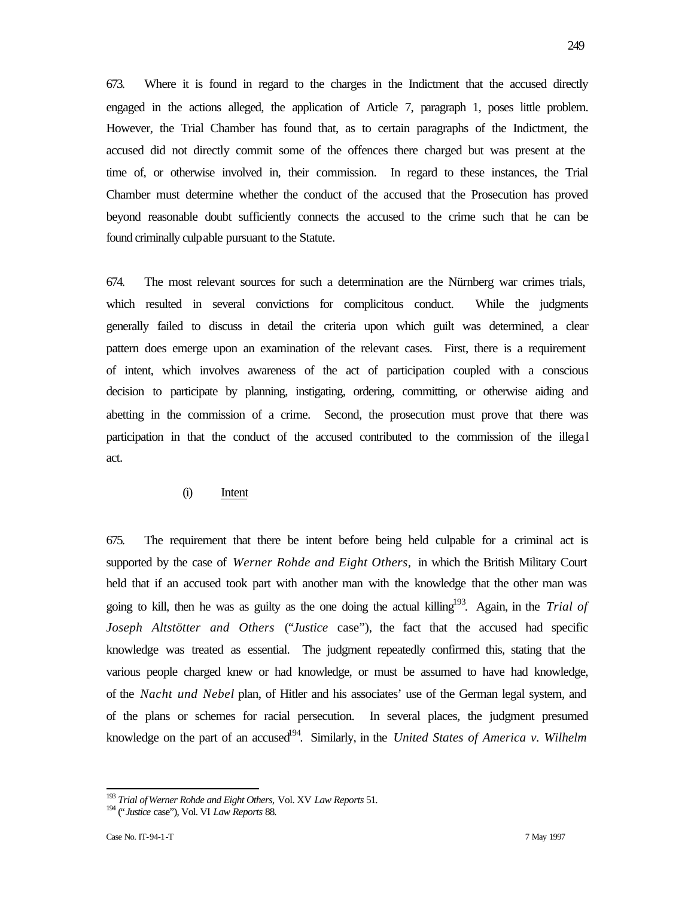673. Where it is found in regard to the charges in the Indictment that the accused directly engaged in the actions alleged, the application of Article 7, paragraph 1, poses little problem. However, the Trial Chamber has found that, as to certain paragraphs of the Indictment, the accused did not directly commit some of the offences there charged but was present at the time of, or otherwise involved in, their commission. In regard to these instances, the Trial Chamber must determine whether the conduct of the accused that the Prosecution has proved beyond reasonable doubt sufficiently connects the accused to the crime such that he can be found criminally culpable pursuant to the Statute.

674. The most relevant sources for such a determination are the Nürnberg war crimes trials, which resulted in several convictions for complicitous conduct. While the judgments generally failed to discuss in detail the criteria upon which guilt was determined, a clear pattern does emerge upon an examination of the relevant cases. First, there is a requirement of intent, which involves awareness of the act of participation coupled with a conscious decision to participate by planning, instigating, ordering, committing, or otherwise aiding and abetting in the commission of a crime. Second, the prosecution must prove that there was participation in that the conduct of the accused contributed to the commission of the illegal act.

## (i) Intent

675. The requirement that there be intent before being held culpable for a criminal act is supported by the case of *Werner Rohde and Eight Others,* in which the British Military Court held that if an accused took part with another man with the knowledge that the other man was going to kill, then he was as guilty as the one doing the actual killing<sup>193</sup>. Again, in the *Trial of Joseph Altstötter and Others* ("*Justice* case"), the fact that the accused had specific knowledge was treated as essential. The judgment repeatedly confirmed this, stating that the various people charged knew or had knowledge, or must be assumed to have had knowledge, of the *Nacht und Nebel* plan, of Hitler and his associates' use of the German legal system, and of the plans or schemes for racial persecution. In several places, the judgment presumed knowledge on the part of an accused<sup>194</sup>. Similarly, in the *United States of America v. Wilhelm* 

<sup>193</sup> *Trial ofWerner Rohde and Eight Others,* Vol. XV *Law Reports* 51.

<sup>194</sup> ("*Justice* case"), Vol. VI *Law Reports* 88.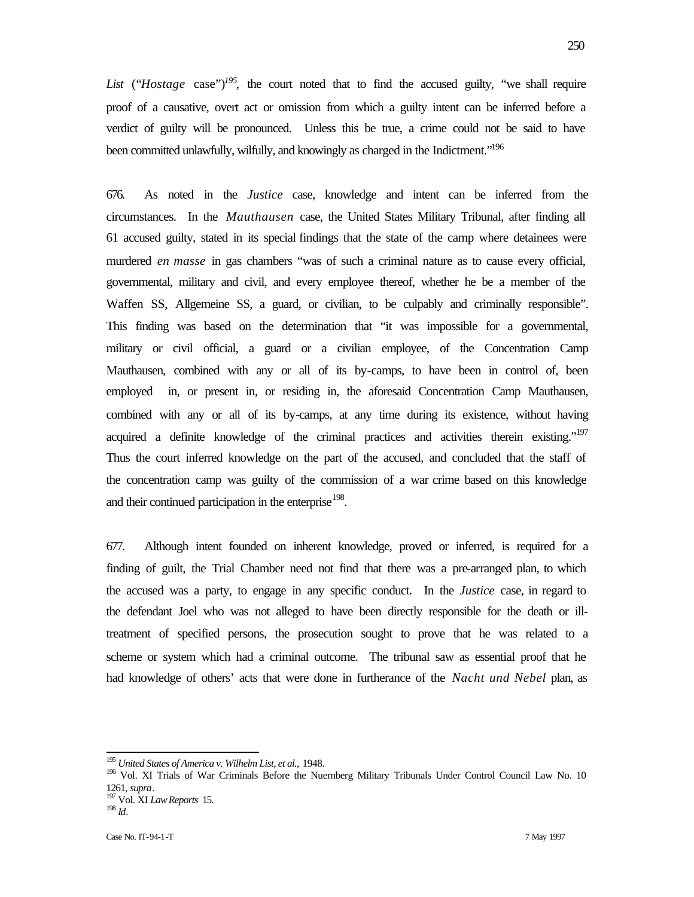List ("Hostage case")<sup>195</sup>, the court noted that to find the accused guilty, "we shall require proof of a causative, overt act or omission from which a guilty intent can be inferred before a verdict of guilty will be pronounced. Unless this be true, a crime could not be said to have been committed unlawfully, wilfully, and knowingly as charged in the Indictment."<sup>196</sup>

676. As noted in the *Justice* case, knowledge and intent can be inferred from the circumstances. In the *Mauthausen* case, the United States Military Tribunal, after finding all 61 accused guilty, stated in its special findings that the state of the camp where detainees were murdered *en masse* in gas chambers "was of such a criminal nature as to cause every official, governmental, military and civil, and every employee thereof, whether he be a member of the Waffen SS, Allgemeine SS, a guard, or civilian, to be culpably and criminally responsible". This finding was based on the determination that "it was impossible for a governmental, military or civil official, a guard or a civilian employee, of the Concentration Camp Mauthausen, combined with any or all of its by-camps, to have been in control of, been employed in, or present in, or residing in, the aforesaid Concentration Camp Mauthausen, combined with any or all of its by-camps, at any time during its existence, without having acquired a definite knowledge of the criminal practices and activities therein existing."<sup>197</sup> Thus the court inferred knowledge on the part of the accused, and concluded that the staff of the concentration camp was guilty of the commission of a war crime based on this knowledge and their continued participation in the enterprise<sup>198</sup>.

677. Although intent founded on inherent knowledge, proved or inferred, is required for a finding of guilt, the Trial Chamber need not find that there was a pre-arranged plan, to which the accused was a party, to engage in any specific conduct. In the *Justice* case, in regard to the defendant Joel who was not alleged to have been directly responsible for the death or illtreatment of specified persons, the prosecution sought to prove that he was related to a scheme or system which had a criminal outcome. The tribunal saw as essential proof that he had knowledge of others' acts that were done in furtherance of the *Nacht und Nebel* plan, as

<sup>195</sup> *United States of America v. Wilhelm List, et al.,* 1948.

<sup>&</sup>lt;sup>196</sup> Vol. XI Trials of War Criminals Before the Nuernberg Military Tribunals Under Control Council Law No. 10 1261, *supra*.

<sup>197</sup> Vol. XI *Law Reports* 15. <sup>198</sup> *Id*.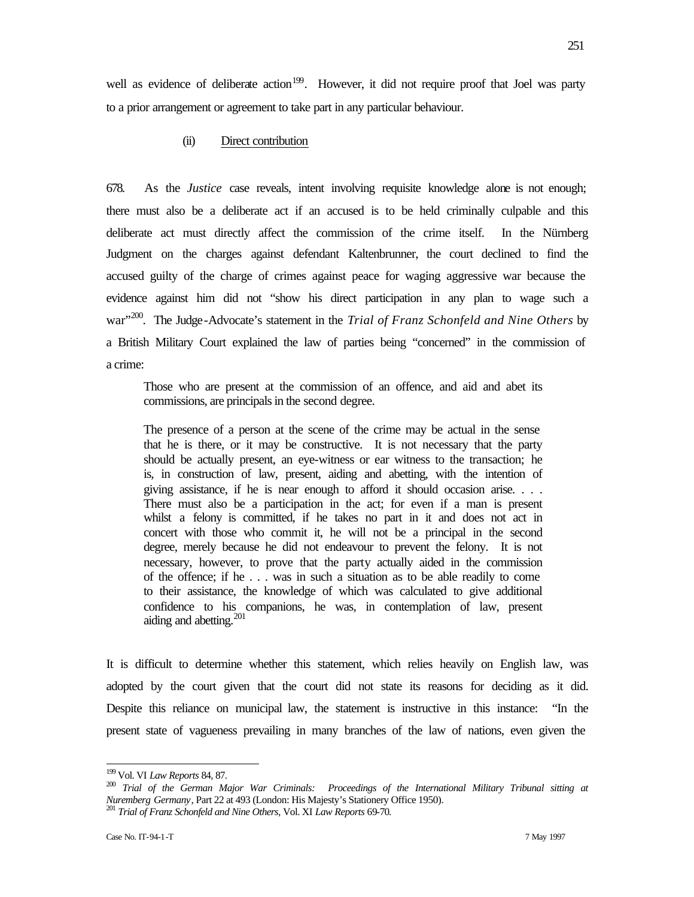well as evidence of deliberate action<sup>199</sup>. However, it did not require proof that Joel was party to a prior arrangement or agreement to take part in any particular behaviour.

# (ii) Direct contribution

678. As the *Justice* case reveals, intent involving requisite knowledge alone is not enough; there must also be a deliberate act if an accused is to be held criminally culpable and this deliberate act must directly affect the commission of the crime itself. In the Nürnberg Judgment on the charges against defendant Kaltenbrunner, the court declined to find the accused guilty of the charge of crimes against peace for waging aggressive war because the evidence against him did not "show his direct participation in any plan to wage such a war"<sup>200</sup>. The Judge-Advocate's statement in the *Trial of Franz Schonfeld and Nine Others* by a British Military Court explained the law of parties being "concerned" in the commission of a crime:

Those who are present at the commission of an offence, and aid and abet its commissions, are principals in the second degree.

The presence of a person at the scene of the crime may be actual in the sense that he is there, or it may be constructive. It is not necessary that the party should be actually present, an eye-witness or ear witness to the transaction; he is, in construction of law, present, aiding and abetting, with the intention of giving assistance, if he is near enough to afford it should occasion arise. . . . There must also be a participation in the act; for even if a man is present whilst a felony is committed, if he takes no part in it and does not act in concert with those who commit it, he will not be a principal in the second degree, merely because he did not endeavour to prevent the felony. It is not necessary, however, to prove that the party actually aided in the commission of the offence; if he . . . was in such a situation as to be able readily to come to their assistance, the knowledge of which was calculated to give additional confidence to his companions, he was, in contemplation of law, present aiding and abetting.<sup>201</sup>

It is difficult to determine whether this statement, which relies heavily on English law, was adopted by the court given that the court did not state its reasons for deciding as it did. Despite this reliance on municipal law, the statement is instructive in this instance: "In the present state of vagueness prevailing in many branches of the law of nations, even given the

<sup>199</sup> Vol. VI *Law Reports* 84, 87.

<sup>200</sup> *Trial of the German Major War Criminals: Proceedings of the International Military Tribunal sitting at Nuremberg Germany,* Part 22 at 493 (London: His Majesty's Stationery Office 1950).

<sup>201</sup> *Trial of Franz Schonfeld and Nine Others,* Vol. XI *Law Reports* 69-70.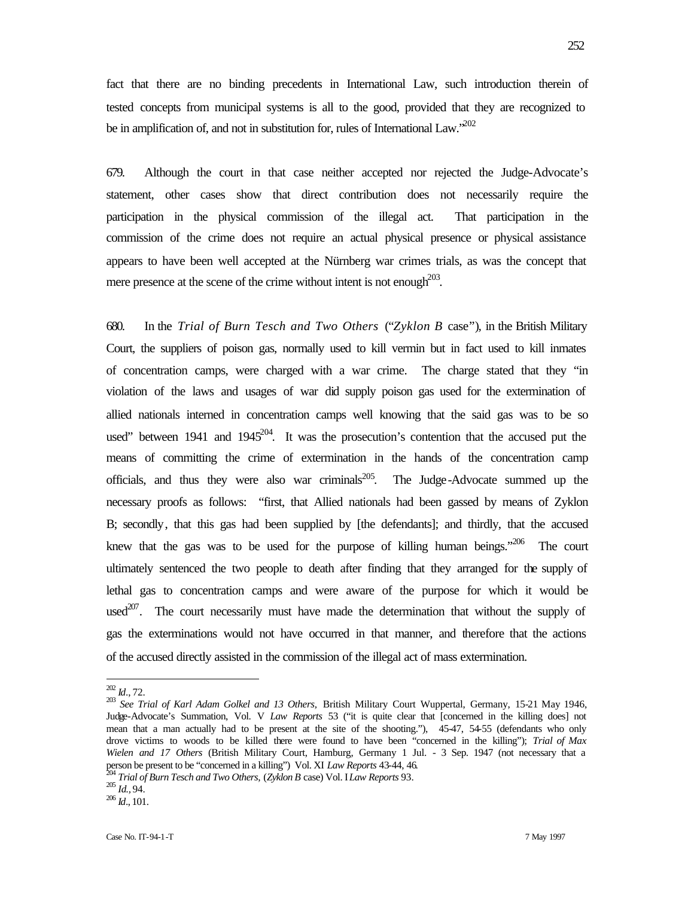fact that there are no binding precedents in International Law, such introduction therein of tested concepts from municipal systems is all to the good, provided that they are recognized to be in amplification of, and not in substitution for, rules of International Law.<sup>202</sup>

679. Although the court in that case neither accepted nor rejected the Judge-Advocate's statement, other cases show that direct contribution does not necessarily require the participation in the physical commission of the illegal act. That participation in the commission of the crime does not require an actual physical presence or physical assistance appears to have been well accepted at the Nürnberg war crimes trials, as was the concept that mere presence at the scene of the crime without intent is not enough $^{203}$ .

680. In the *Trial of Burn Tesch and Two Others* ("*Zyklon B* case")*,* in the British Military Court, the suppliers of poison gas, normally used to kill vermin but in fact used to kill inmates of concentration camps, were charged with a war crime. The charge stated that they "in violation of the laws and usages of war did supply poison gas used for the extermination of allied nationals interned in concentration camps well knowing that the said gas was to be so used" between 1941 and  $1945^{204}$ . It was the prosecution's contention that the accused put the means of committing the crime of extermination in the hands of the concentration camp officials, and thus they were also war criminals $^{205}$ . The Judge-Advocate summed up the necessary proofs as follows: "first, that Allied nationals had been gassed by means of Zyklon B; secondly, that this gas had been supplied by [the defendants]; and thirdly, that the accused knew that the gas was to be used for the purpose of killing human beings."<sup>206</sup> The court ultimately sentenced the two people to death after finding that they arranged for the supply of lethal gas to concentration camps and were aware of the purpose for which it would be used $207$ . The court necessarily must have made the determination that without the supply of gas the exterminations would not have occurred in that manner, and therefore that the actions of the accused directly assisted in the commission of the illegal act of mass extermination.

 $\overline{\phantom{a}}$ 

<sup>204</sup> *Trial of Burn Tesch and Two Others,* (*Zyklon B* case) Vol. I *Law Reports* 93.  $^{205}$  *Id.*, 94.

<sup>202</sup> *Id*., 72.

<sup>203</sup> *See Trial of Karl Adam Golkel and 13 Others, British Military Court Wuppertal, Germany, 15-21 May 1946,* Judge-Advocate's Summation, Vol. V *Law Reports* 53 ("it is quite clear that [concerned in the killing does] not mean that a man actually had to be present at the site of the shooting."), 45-47, 54-55 (defendants who only drove victims to woods to be killed there were found to have been "concerned in the killing"); *Trial of Max Wielen and 17 Others* (British Military Court, Hamburg, Germany 1 Jul. - 3 Sep. 1947 (not necessary that a person be present to be "concerned in a killing") Vol. XI *Law Reports* 43-44, 46.

<sup>206</sup> *Id*., 101.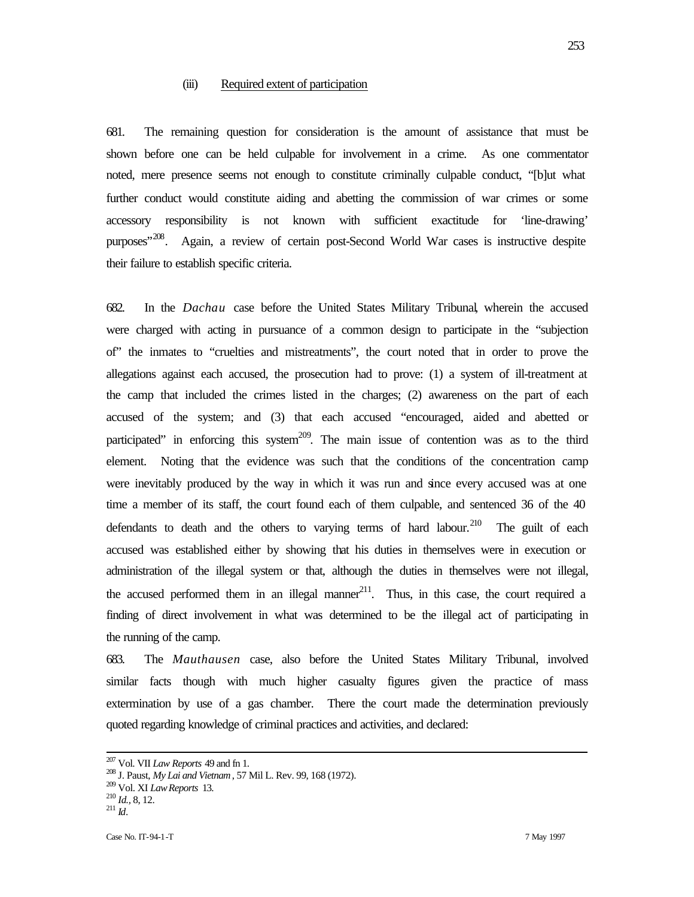681. The remaining question for consideration is the amount of assistance that must be shown before one can be held culpable for involvement in a crime. As one commentator noted, mere presence seems not enough to constitute criminally culpable conduct, "[b]ut what further conduct would constitute aiding and abetting the commission of war crimes or some accessory responsibility is not known with sufficient exactitude for 'line-drawing' purposes"<sup>208</sup>. Again, a review of certain post-Second World War cases is instructive despite their failure to establish specific criteria.

682. In the *Dachau* case before the United States Military Tribunal*,* wherein the accused were charged with acting in pursuance of a common design to participate in the "subjection of" the inmates to "cruelties and mistreatments", the court noted that in order to prove the allegations against each accused, the prosecution had to prove: (1) a system of ill-treatment at the camp that included the crimes listed in the charges; (2) awareness on the part of each accused of the system; and (3) that each accused "encouraged, aided and abetted or participated" in enforcing this system<sup>209</sup>. The main issue of contention was as to the third element. Noting that the evidence was such that the conditions of the concentration camp were inevitably produced by the way in which it was run and since every accused was at one time a member of its staff, the court found each of them culpable, and sentenced 36 of the 40 defendants to death and the others to varying terms of hard labour.<sup>210</sup> The guilt of each accused was established either by showing that his duties in themselves were in execution or administration of the illegal system or that, although the duties in themselves were not illegal, the accused performed them in an illegal manner<sup>211</sup>. Thus, in this case, the court required a finding of direct involvement in what was determined to be the illegal act of participating in the running of the camp.

683. The *Mauthausen* case, also before the United States Military Tribunal, involved similar facts though with much higher casualty figures given the practice of mass extermination by use of a gas chamber. There the court made the determination previously quoted regarding knowledge of criminal practices and activities, and declared:

<sup>207</sup> Vol. VII *Law Reports* 49 and fn 1.

<sup>208</sup> J. Paust, *My Lai and Vietnam*, 57 Mil L. Rev. 99, 168 (1972).

<sup>209</sup> Vol. XI *Law Reports* 13.

<sup>210</sup> *Id.,* 8, 12.

 $^{211}$  *Id*.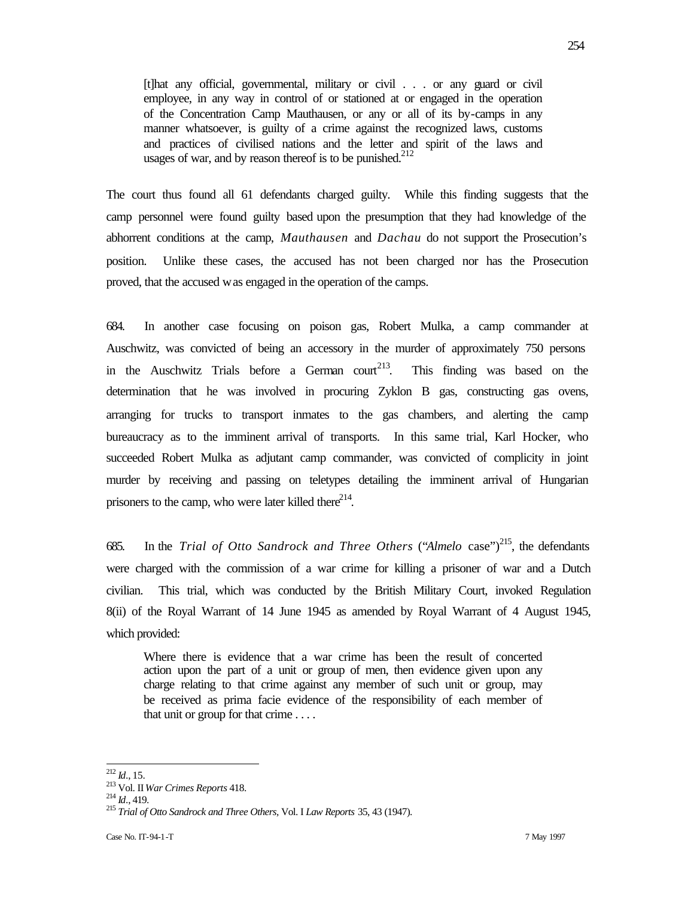[t]hat any official, governmental, military or civil . . . or any guard or civil employee, in any way in control of or stationed at or engaged in the operation of the Concentration Camp Mauthausen, or any or all of its by-camps in any manner whatsoever, is guilty of a crime against the recognized laws, customs and practices of civilised nations and the letter and spirit of the laws and usages of war, and by reason thereof is to be punished. $212$ 

The court thus found all 61 defendants charged guilty. While this finding suggests that the camp personnel were found guilty based upon the presumption that they had knowledge of the abhorrent conditions at the camp, *Mauthausen* and *Dachau* do not support the Prosecution's position. Unlike these cases, the accused has not been charged nor has the Prosecution proved, that the accused was engaged in the operation of the camps.

684. In another case focusing on poison gas, Robert Mulka, a camp commander at Auschwitz, was convicted of being an accessory in the murder of approximately 750 persons in the Auschwitz Trials before a German court<sup>213</sup>. This finding was based on the determination that he was involved in procuring Zyklon B gas, constructing gas ovens, arranging for trucks to transport inmates to the gas chambers, and alerting the camp bureaucracy as to the imminent arrival of transports. In this same trial, Karl Hocker, who succeeded Robert Mulka as adjutant camp commander, was convicted of complicity in joint murder by receiving and passing on teletypes detailing the imminent arrival of Hungarian prisoners to the camp, who were later killed there $2^{14}$ .

685. In the *Trial of Otto Sandrock and Three Others* ("*Almelo* case")<sup>215</sup>, the defendants were charged with the commission of a war crime for killing a prisoner of war and a Dutch civilian. This trial, which was conducted by the British Military Court, invoked Regulation 8(ii) of the Royal Warrant of 14 June 1945 as amended by Royal Warrant of 4 August 1945, which provided:

Where there is evidence that a war crime has been the result of concerted action upon the part of a unit or group of men, then evidence given upon any charge relating to that crime against any member of such unit or group, may be received as prima facie evidence of the responsibility of each member of that unit or group for that crime . . . .

<sup>212</sup> *Id*., 15.

<sup>213</sup> Vol. II *War Crimes Reports* 418.

<sup>214</sup> *Id*., 419.

<sup>215</sup> *Trial of Otto Sandrock and Three Others,* Vol. I *Law Reports* 35, 43 (1947).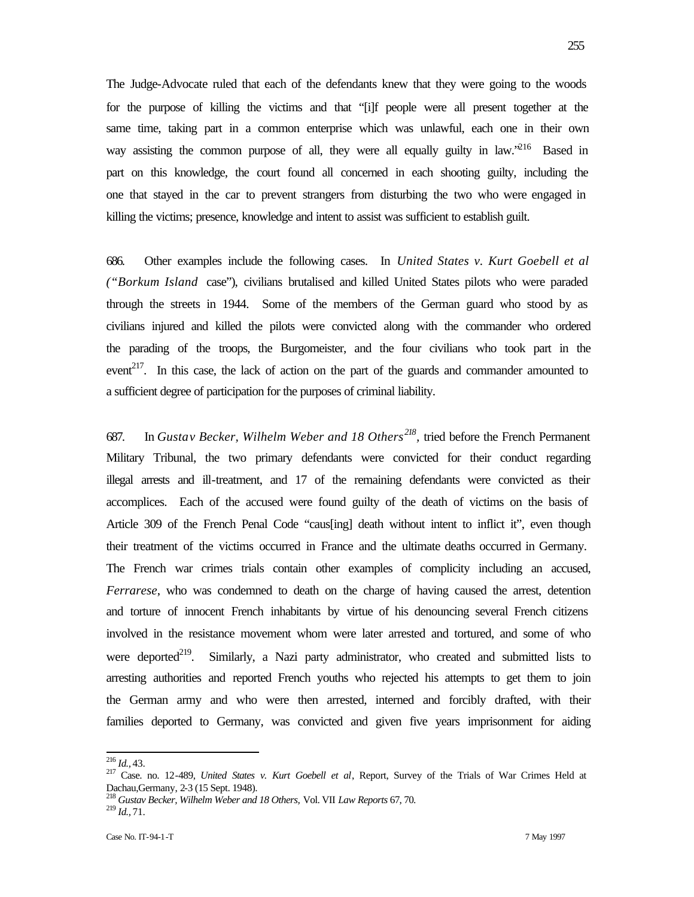The Judge-Advocate ruled that each of the defendants knew that they were going to the woods for the purpose of killing the victims and that "[i]f people were all present together at the same time, taking part in a common enterprise which was unlawful, each one in their own way assisting the common purpose of all, they were all equally guilty in law.<sup>216</sup> Based in part on this knowledge, the court found all concerned in each shooting guilty, including the one that stayed in the car to prevent strangers from disturbing the two who were engaged in killing the victims; presence, knowledge and intent to assist was sufficient to establish guilt.

686. Other examples include the following cases. In *United States v. Kurt Goebell et al ("Borkum Island* case"), civilians brutalised and killed United States pilots who were paraded through the streets in 1944. Some of the members of the German guard who stood by as civilians injured and killed the pilots were convicted along with the commander who ordered the parading of the troops, the Burgomeister, and the four civilians who took part in the event<sup>217</sup>. In this case, the lack of action on the part of the guards and commander amounted to a sufficient degree of participation for the purposes of criminal liability.

687. In *Gustav Becker, Wilhelm Weber and 18 Others*<sup>218</sup>, tried before the French Permanent Military Tribunal, the two primary defendants were convicted for their conduct regarding illegal arrests and ill-treatment, and 17 of the remaining defendants were convicted as their accomplices. Each of the accused were found guilty of the death of victims on the basis of Article 309 of the French Penal Code "caus[ing] death without intent to inflict it", even though their treatment of the victims occurred in France and the ultimate deaths occurred in Germany. The French war crimes trials contain other examples of complicity including an accused, *Ferrarese*, who was condemned to death on the charge of having caused the arrest, detention and torture of innocent French inhabitants by virtue of his denouncing several French citizens involved in the resistance movement whom were later arrested and tortured, and some of who were deported<sup>219</sup>. Similarly, a Nazi party administrator, who created and submitted lists to arresting authorities and reported French youths who rejected his attempts to get them to join the German army and who were then arrested, interned and forcibly drafted, with their families deported to Germany, was convicted and given five years imprisonment for aiding

<sup>216</sup> *Id.,* 43.

<sup>217</sup> Case. no. 12-489, *United States v. Kurt Goebell et al*, Report, Survey of the Trials of War Crimes Held at Dachau,Germany, 2-3 (15 Sept. 1948).

<sup>218</sup> *Gustav Becker, Wilhelm Weber and 18 Others,* Vol. VII *Law Reports* 67, 70. <sup>219</sup> *Id.,* 71.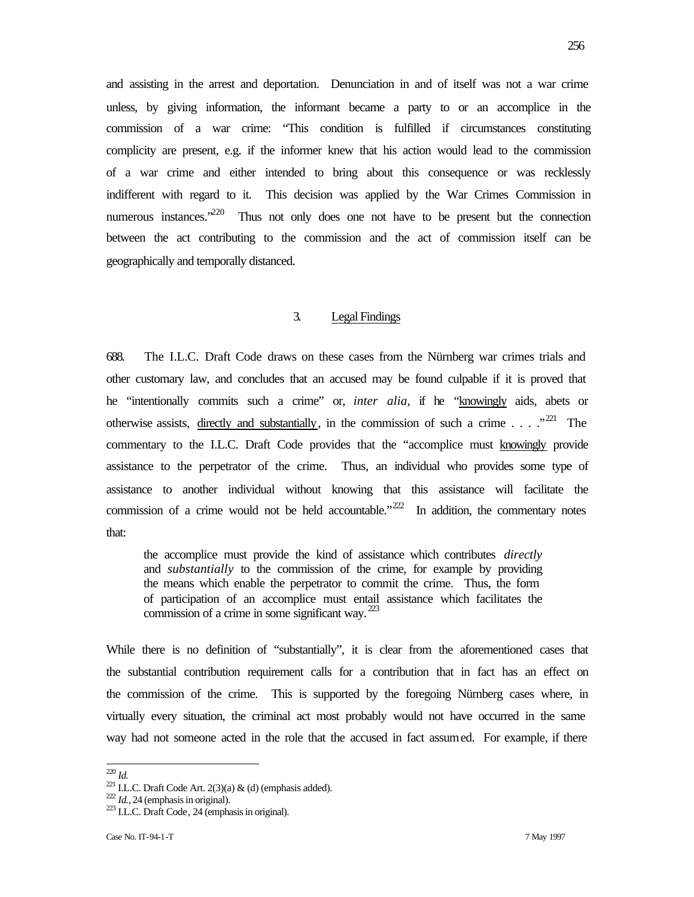and assisting in the arrest and deportation. Denunciation in and of itself was not a war crime unless, by giving information, the informant became a party to or an accomplice in the commission of a war crime: "This condition is fulfilled if circumstances constituting complicity are present, e.g. if the informer knew that his action would lead to the commission of a war crime and either intended to bring about this consequence or was recklessly indifferent with regard to it. This decision was applied by the War Crimes Commission in numerous instances. $^{220}$  Thus not only does one not have to be present but the connection between the act contributing to the commission and the act of commission itself can be geographically and temporally distanced.

### 3. Legal Findings

688. The I.L.C. Draft Code draws on these cases from the Nürnberg war crimes trials and other customary law, and concludes that an accused may be found culpable if it is proved that he "intentionally commits such a crime" or, *inter alia,* if he "knowingly aids, abets or otherwise assists, directly and substantially, in the commission of such a crime  $\ldots$  ... <sup>221</sup> The commentary to the I.L.C. Draft Code provides that the "accomplice must knowingly provide assistance to the perpetrator of the crime. Thus, an individual who provides some type of assistance to another individual without knowing that this assistance will facilitate the commission of a crime would not be held accountable."<sup>222</sup> In addition, the commentary notes that:

the accomplice must provide the kind of assistance which contributes *directly*  and *substantially* to the commission of the crime, for example by providing the means which enable the perpetrator to commit the crime. Thus, the form of participation of an accomplice must entail assistance which facilitates the commission of a crime in some significant way. <sup>223</sup>

While there is no definition of "substantially", it is clear from the aforementioned cases that the substantial contribution requirement calls for a contribution that in fact has an effect on the commission of the crime. This is supported by the foregoing Nürnberg cases where, in virtually every situation, the criminal act most probably would not have occurred in the same way had not someone acted in the role that the accused in fact assumed. For example, if there

<sup>220</sup> *Id.*

<sup>&</sup>lt;sup>221</sup> I.L.C. Draft Code Art. 2(3)(a) & (d) (emphasis added).

<sup>222</sup> *Id.,* 24 (emphasis in original).

<sup>223</sup> I.L.C. Draft Code*,* 24 (emphasis in original).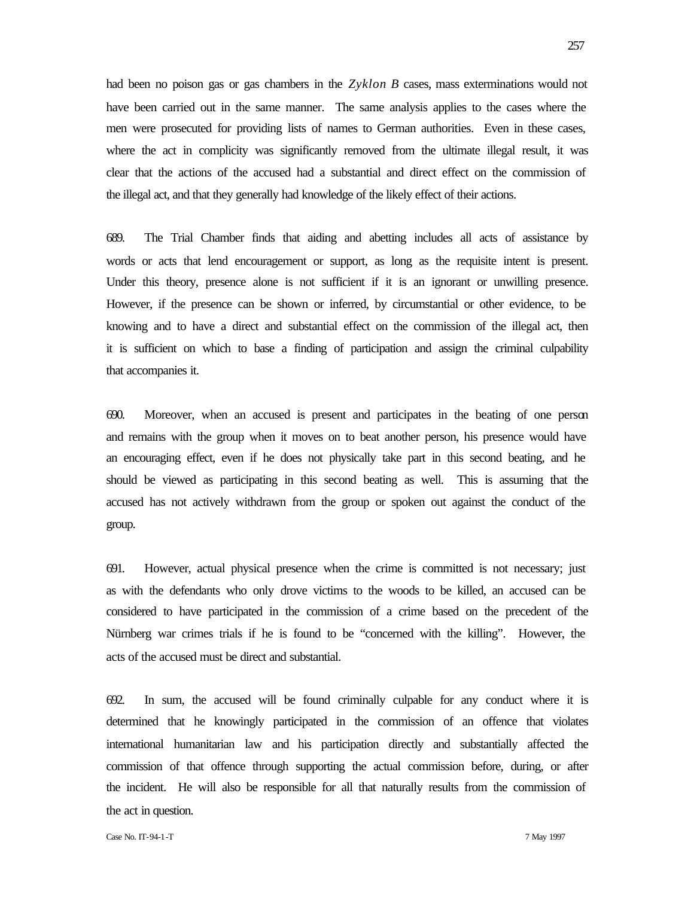had been no poison gas or gas chambers in the *Zyklon B* cases, mass exterminations would not have been carried out in the same manner. The same analysis applies to the cases where the men were prosecuted for providing lists of names to German authorities. Even in these cases, where the act in complicity was significantly removed from the ultimate illegal result, it was clear that the actions of the accused had a substantial and direct effect on the commission of the illegal act, and that they generally had knowledge of the likely effect of their actions.

689. The Trial Chamber finds that aiding and abetting includes all acts of assistance by words or acts that lend encouragement or support, as long as the requisite intent is present. Under this theory, presence alone is not sufficient if it is an ignorant or unwilling presence. However, if the presence can be shown or inferred, by circumstantial or other evidence, to be knowing and to have a direct and substantial effect on the commission of the illegal act, then it is sufficient on which to base a finding of participation and assign the criminal culpability that accompanies it.

690. Moreover, when an accused is present and participates in the beating of one person and remains with the group when it moves on to beat another person, his presence would have an encouraging effect, even if he does not physically take part in this second beating, and he should be viewed as participating in this second beating as well. This is assuming that the accused has not actively withdrawn from the group or spoken out against the conduct of the group.

691. However, actual physical presence when the crime is committed is not necessary; just as with the defendants who only drove victims to the woods to be killed, an accused can be considered to have participated in the commission of a crime based on the precedent of the Nürnberg war crimes trials if he is found to be "concerned with the killing". However, the acts of the accused must be direct and substantial.

692. In sum, the accused will be found criminally culpable for any conduct where it is determined that he knowingly participated in the commission of an offence that violates international humanitarian law and his participation directly and substantially affected the commission of that offence through supporting the actual commission before, during, or after the incident. He will also be responsible for all that naturally results from the commission of the act in question.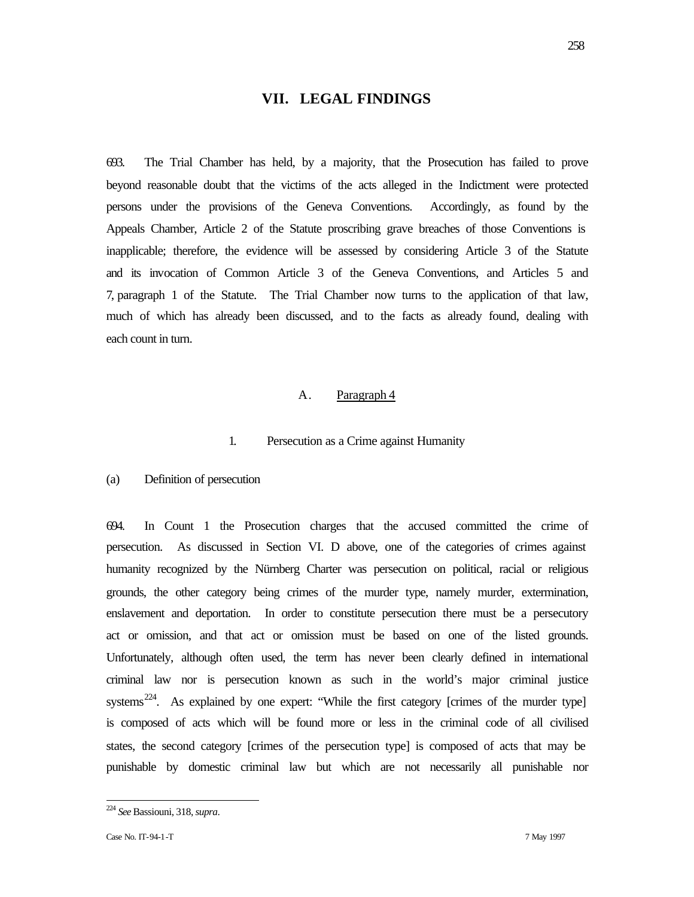# **VII. LEGAL FINDINGS**

693. The Trial Chamber has held, by a majority, that the Prosecution has failed to prove beyond reasonable doubt that the victims of the acts alleged in the Indictment were protected persons under the provisions of the Geneva Conventions. Accordingly, as found by the Appeals Chamber, Article 2 of the Statute proscribing grave breaches of those Conventions is inapplicable; therefore, the evidence will be assessed by considering Article 3 of the Statute and its invocation of Common Article 3 of the Geneva Conventions, and Articles 5 and 7, paragraph 1 of the Statute. The Trial Chamber now turns to the application of that law, much of which has already been discussed, and to the facts as already found, dealing with each count in turn.

## A. Paragraph 4

### 1. Persecution as a Crime against Humanity

#### (a) Definition of persecution

694. In Count 1 the Prosecution charges that the accused committed the crime of persecution. As discussed in Section VI. D above, one of the categories of crimes against humanity recognized by the Nürnberg Charter was persecution on political, racial or religious grounds, the other category being crimes of the murder type, namely murder, extermination, enslavement and deportation. In order to constitute persecution there must be a persecutory act or omission, and that act or omission must be based on one of the listed grounds. Unfortunately, although often used, the term has never been clearly defined in international criminal law nor is persecution known as such in the world's major criminal justice systems<sup>224</sup>. As explained by one expert: "While the first category [crimes of the murder type] is composed of acts which will be found more or less in the criminal code of all civilised states, the second category [crimes of the persecution type] is composed of acts that may be punishable by domestic criminal law but which are not necessarily all punishable nor

<sup>224</sup> *See* Bassiouni, 318, *supra*.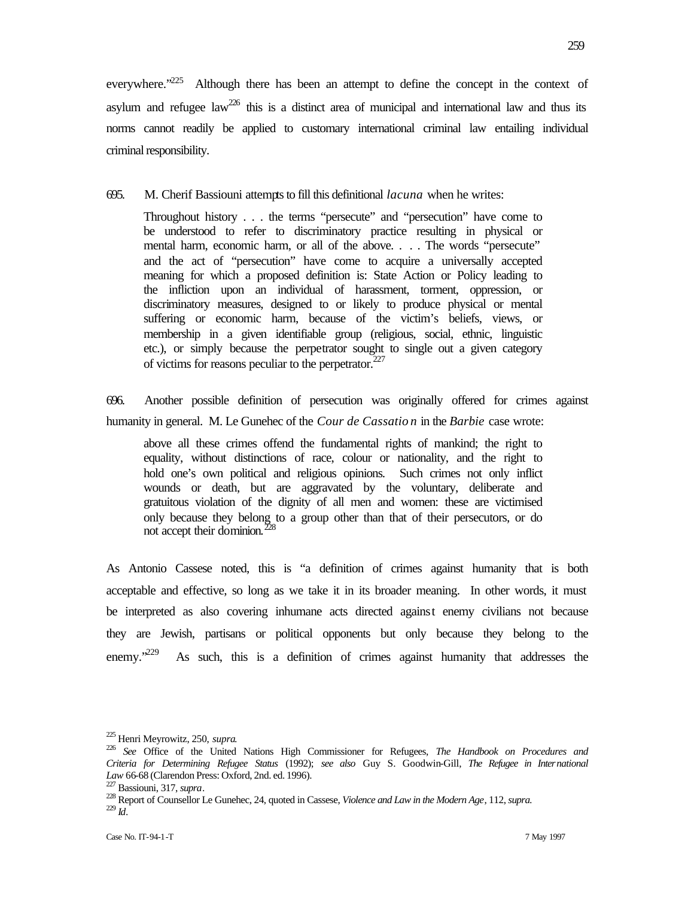everywhere. $225$  Although there has been an attempt to define the concept in the context of asylum and refugee law<sup>226</sup> this is a distinct area of municipal and international law and thus its norms cannot readily be applied to customary international criminal law entailing individual criminal responsibility.

695. M. Cherif Bassiouni attempts to fill this definitional *lacuna* when he writes:

Throughout history . . . the terms "persecute" and "persecution" have come to be understood to refer to discriminatory practice resulting in physical or mental harm, economic harm, or all of the above. . . . The words "persecute" and the act of "persecution" have come to acquire a universally accepted meaning for which a proposed definition is: State Action or Policy leading to the infliction upon an individual of harassment, torment, oppression, or discriminatory measures, designed to or likely to produce physical or mental suffering or economic harm, because of the victim's beliefs, views, or membership in a given identifiable group (religious, social, ethnic, linguistic etc.), or simply because the perpetrator sought to single out a given category of victims for reasons peculiar to the perpetrator. $227$ 

696. Another possible definition of persecution was originally offered for crimes against humanity in general. M. Le Gunehec of the *Cour de Cassatio n* in the *Barbie* case wrote:

above all these crimes offend the fundamental rights of mankind; the right to equality, without distinctions of race, colour or nationality, and the right to hold one's own political and religious opinions. Such crimes not only inflict wounds or death, but are aggravated by the voluntary, deliberate and gratuitous violation of the dignity of all men and women: these are victimised only because they belong to a group other than that of their persecutors, or do not accept their dominion.<sup>228</sup>

As Antonio Cassese noted, this is "a definition of crimes against humanity that is both acceptable and effective, so long as we take it in its broader meaning. In other words, it must be interpreted as also covering inhumane acts directed against enemy civilians not because they are Jewish, partisans or political opponents but only because they belong to the enemy.<sup>229</sup> As such, this is a definition of crimes against humanity that addresses the

<sup>225</sup> Henri Meyrowitz, 250, *supra*.

<sup>226</sup> *See* Office of the United Nations High Commissioner for Refugees, *The Handbook on Procedures and Criteria for Determining Refugee Status* (1992); *see also* Guy S. Goodwin-Gill, *The Refugee in International Law* 66-68 (Clarendon Press: Oxford, 2nd. ed. 1996).

<sup>227</sup> Bassiouni, 317, *supra*.

<sup>228</sup> Report of Counsellor Le Gunehec, 24, quoted in Cassese, *Violence and Law in the Modern Age*, 112, *supra.*  $^{229}$  *Id.*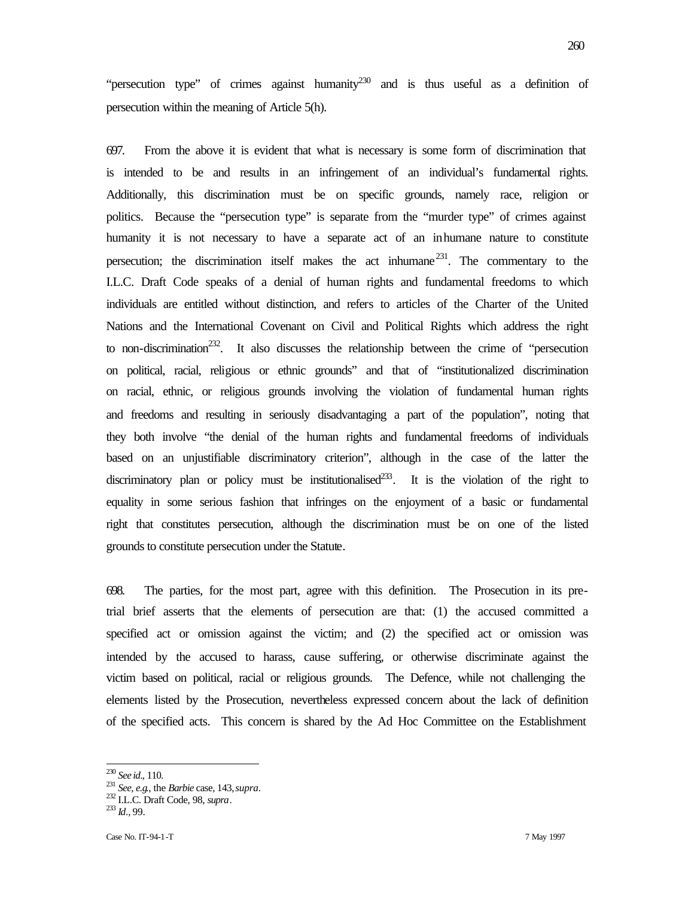"persecution type" of crimes against humanity<sup>230</sup> and is thus useful as a definition of persecution within the meaning of Article 5(h).

697. From the above it is evident that what is necessary is some form of discrimination that is intended to be and results in an infringement of an individual's fundamental rights. Additionally, this discrimination must be on specific grounds, namely race, religion or politics. Because the "persecution type" is separate from the "murder type" of crimes against humanity it is not necessary to have a separate act of an inhumane nature to constitute persecution; the discrimination itself makes the act inhumane<sup>231</sup>. The commentary to the I.L.C. Draft Code speaks of a denial of human rights and fundamental freedoms to which individuals are entitled without distinction, and refers to articles of the Charter of the United Nations and the International Covenant on Civil and Political Rights which address the right to non-discrimination<sup>232</sup>. It also discusses the relationship between the crime of "persecution" on political, racial, religious or ethnic grounds" and that of "institutionalized discrimination on racial, ethnic, or religious grounds involving the violation of fundamental human rights and freedoms and resulting in seriously disadvantaging a part of the population", noting that they both involve "the denial of the human rights and fundamental freedoms of individuals based on an unjustifiable discriminatory criterion", although in the case of the latter the discriminatory plan or policy must be institutionalised<sup>233</sup>. It is the violation of the right to equality in some serious fashion that infringes on the enjoyment of a basic or fundamental right that constitutes persecution, although the discrimination must be on one of the listed grounds to constitute persecution under the Statute.

698. The parties, for the most part, agree with this definition. The Prosecution in its pretrial brief asserts that the elements of persecution are that: (1) the accused committed a specified act or omission against the victim; and (2) the specified act or omission was intended by the accused to harass, cause suffering, or otherwise discriminate against the victim based on political, racial or religious grounds. The Defence, while not challenging the elements listed by the Prosecution, nevertheless expressed concern about the lack of definition of the specified acts. This concern is shared by the Ad Hoc Committee on the Establishment

<sup>230</sup> *See id*., 110.

<sup>231</sup> *See, e.g*., the *Barbie* case, 143, *supra*.

<sup>232</sup> I.L.C. Draft Code, 98, *supra*.

<sup>233</sup> *Id*., 99.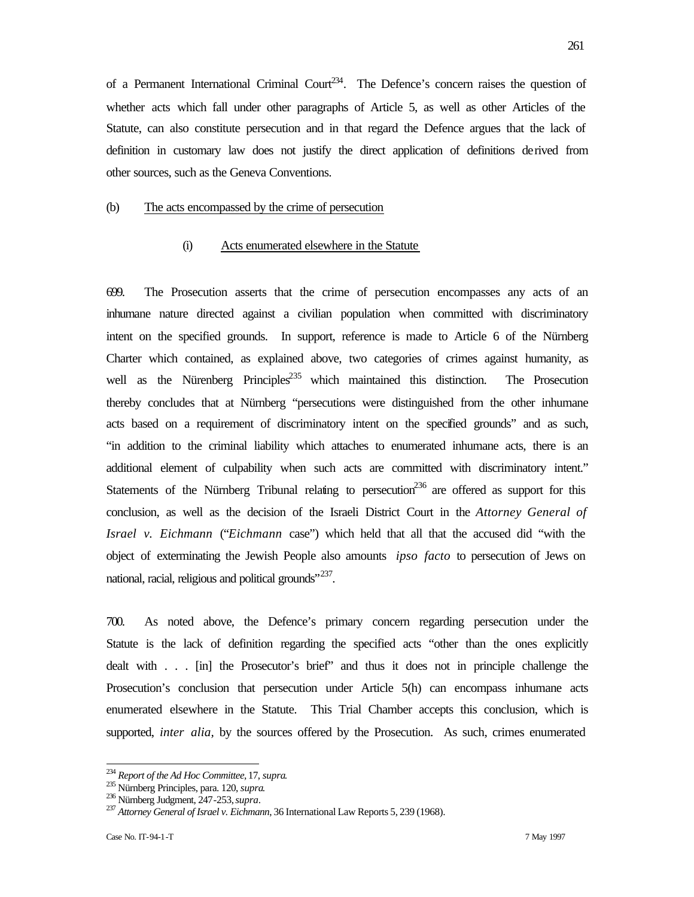of a Permanent International Criminal Court<sup>234</sup>. The Defence's concern raises the question of whether acts which fall under other paragraphs of Article 5, as well as other Articles of the Statute, can also constitute persecution and in that regard the Defence argues that the lack of definition in customary law does not justify the direct application of definitions derived from other sources, such as the Geneva Conventions.

### (b) The acts encompassed by the crime of persecution

#### (i) Acts enumerated elsewhere in the Statute

699. The Prosecution asserts that the crime of persecution encompasses any acts of an inhumane nature directed against a civilian population when committed with discriminatory intent on the specified grounds. In support, reference is made to Article 6 of the Nürnberg Charter which contained, as explained above, two categories of crimes against humanity, as well as the Nürenberg Principles<sup>235</sup> which maintained this distinction. The Prosecution thereby concludes that at Nürnberg "persecutions were distinguished from the other inhumane acts based on a requirement of discriminatory intent on the specified grounds" and as such, "in addition to the criminal liability which attaches to enumerated inhumane acts, there is an additional element of culpability when such acts are committed with discriminatory intent." Statements of the Nürnberg Tribunal relating to persecution<sup>236</sup> are offered as support for this conclusion, as well as the decision of the Israeli District Court in the *Attorney General of Israel v. Eichmann* ("*Eichmann* case") which held that all that the accused did "with the object of exterminating the Jewish People also amounts *ipso facto* to persecution of Jews on national, racial, religious and political grounds"<sup>237</sup>.

700. As noted above, the Defence's primary concern regarding persecution under the Statute is the lack of definition regarding the specified acts "other than the ones explicitly dealt with . . . [in] the Prosecutor's brief" and thus it does not in principle challenge the Prosecution's conclusion that persecution under Article 5(h) can encompass inhumane acts enumerated elsewhere in the Statute. This Trial Chamber accepts this conclusion, which is supported, *inter alia,* by the sources offered by the Prosecution. As such, crimes enumerated

<sup>234</sup> *Report of the Ad Hoc Committee,* 17, *supra*.

<sup>235</sup> Nürnberg Principles, para. 120, *supra*.

<sup>236</sup> Nürnberg Judgment, 247-253, *supra*.

<sup>237</sup> *Attorney General of Israel v. Eichmann*, 36 International Law Reports 5, 239 (1968).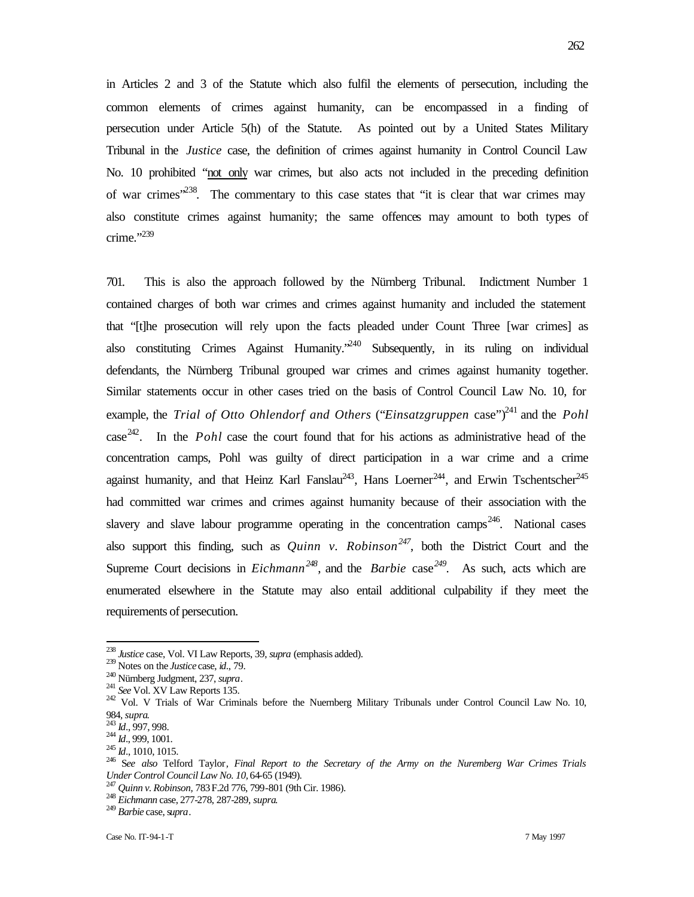in Articles 2 and 3 of the Statute which also fulfil the elements of persecution, including the common elements of crimes against humanity, can be encompassed in a finding of persecution under Article 5(h) of the Statute. As pointed out by a United States Military Tribunal in the *Justice* case, the definition of crimes against humanity in Control Council Law No. 10 prohibited "not only war crimes, but also acts not included in the preceding definition of war crimes<sup> $238$ </sup>. The commentary to this case states that "it is clear that war crimes may also constitute crimes against humanity; the same offences may amount to both types of crime."<sup>239</sup>

701. This is also the approach followed by the Nürnberg Tribunal. Indictment Number 1 contained charges of both war crimes and crimes against humanity and included the statement that "[t]he prosecution will rely upon the facts pleaded under Count Three [war crimes] as also constituting Crimes Against Humanity.<sup>240</sup> Subsequently, in its ruling on individual defendants, the Nürnberg Tribunal grouped war crimes and crimes against humanity together. Similar statements occur in other cases tried on the basis of Control Council Law No. 10, for example, the *Trial of Otto Ohlendorf and Others* ("*Einsatzgruppen* case")<sup>241</sup> and the *Pohl* case <sup>242</sup>. In the *Pohl* case the court found that for his actions as administrative head of the concentration camps, Pohl was guilty of direct participation in a war crime and a crime against humanity, and that Heinz Karl Fanslau<sup>243</sup>, Hans Loerner<sup>244</sup>, and Erwin Tschentscher<sup>245</sup> had committed war crimes and crimes against humanity because of their association with the slavery and slave labour programme operating in the concentration camps<sup>246</sup>. National cases also support this finding, such as *Quinn v. Robinson<sup>247</sup>*, both the District Court and the Supreme Court decisions in *Eichmann*<sup>248</sup>, and the *Barbie* case<sup>249</sup>. As such, acts which are enumerated elsewhere in the Statute may also entail additional culpability if they meet the requirements of persecution.

 $\overline{\phantom{a}}$ 

<sup>238</sup> *Justice* case, Vol. VI Law Reports, 39, *supra* (emphasis added).

<sup>239</sup> Notes on the *Justice* case, *id*., 79.

<sup>240</sup> Nürnberg Judgment, 237, *supra*.

<sup>&</sup>lt;sup>241</sup> See Vol. XV Law Reports 135.

 $242$  Vol. V Trials of War Criminals before the Nuernberg Military Tribunals under Control Council Law No. 10, 984, *supra*.

<sup>243</sup> *Id*., 997, 998.

<sup>244</sup> *Id*., 999, 1001.

<sup>245</sup> *Id*., 1010, 1015.

<sup>246</sup> S*ee also* Telford Taylor*, Final Report to the Secretary of the Army on the Nuremberg War Crimes Trials Under Control Council Law No. 10,* 64-65 (1949).

<sup>247</sup> *Quinn v. Robinson,* 783 F.2d 776, 799-801 (9th Cir. 1986).

<sup>248</sup> *Eichmann* case, 277-278, 287-289, *supra*.

<sup>249</sup> *Barbie* case, s*upra*.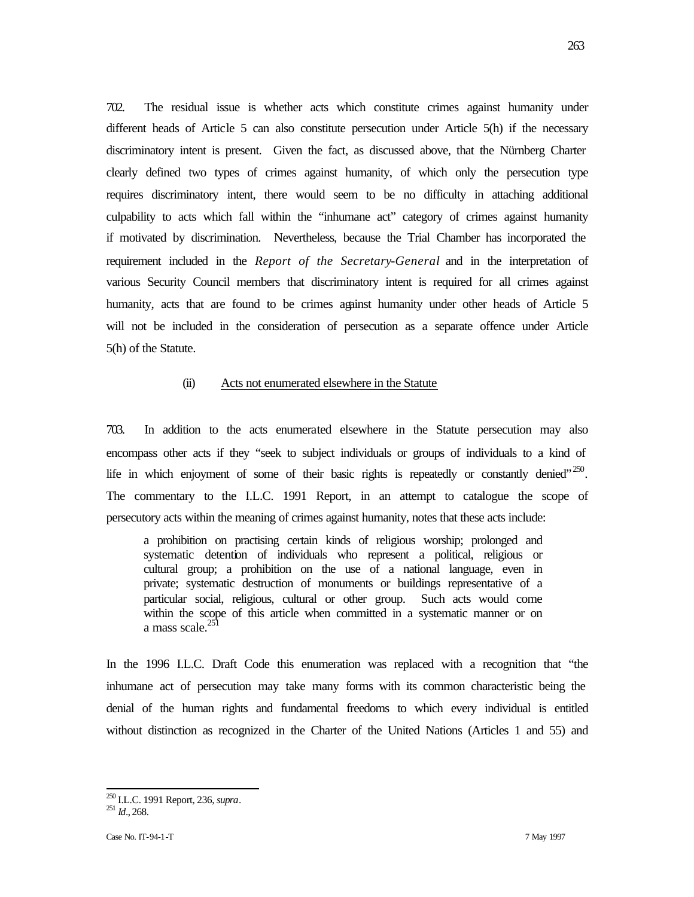702. The residual issue is whether acts which constitute crimes against humanity under different heads of Article 5 can also constitute persecution under Article 5(h) if the necessary discriminatory intent is present. Given the fact, as discussed above, that the Nürnberg Charter clearly defined two types of crimes against humanity, of which only the persecution type requires discriminatory intent, there would seem to be no difficulty in attaching additional culpability to acts which fall within the "inhumane act" category of crimes against humanity if motivated by discrimination. Nevertheless, because the Trial Chamber has incorporated the requirement included in the *Report of the Secretary-General* and in the interpretation of various Security Council members that discriminatory intent is required for all crimes against humanity, acts that are found to be crimes against humanity under other heads of Article 5 will not be included in the consideration of persecution as a separate offence under Article 5(h) of the Statute.

#### (ii) Acts not enumerated elsewhere in the Statute

703. In addition to the acts enumerated elsewhere in the Statute persecution may also encompass other acts if they "seek to subject individuals or groups of individuals to a kind of life in which enjoyment of some of their basic rights is repeatedly or constantly denied".<sup>250</sup>. The commentary to the I.L.C. 1991 Report, in an attempt to catalogue the scope of persecutory acts within the meaning of crimes against humanity, notes that these acts include:

a prohibition on practising certain kinds of religious worship; prolonged and systematic detention of individuals who represent a political, religious or cultural group; a prohibition on the use of a national language, even in private; systematic destruction of monuments or buildings representative of a particular social, religious, cultural or other group. Such acts would come within the scope of this article when committed in a systematic manner or on a mass scale.<sup>251</sup>

In the 1996 I.L.C. Draft Code this enumeration was replaced with a recognition that "the inhumane act of persecution may take many forms with its common characteristic being the denial of the human rights and fundamental freedoms to which every individual is entitled without distinction as recognized in the Charter of the United Nations (Articles 1 and 55) and

<sup>250</sup> I.L.C. 1991 Report, 236, *supra*. <sup>251</sup> *Id*., 268.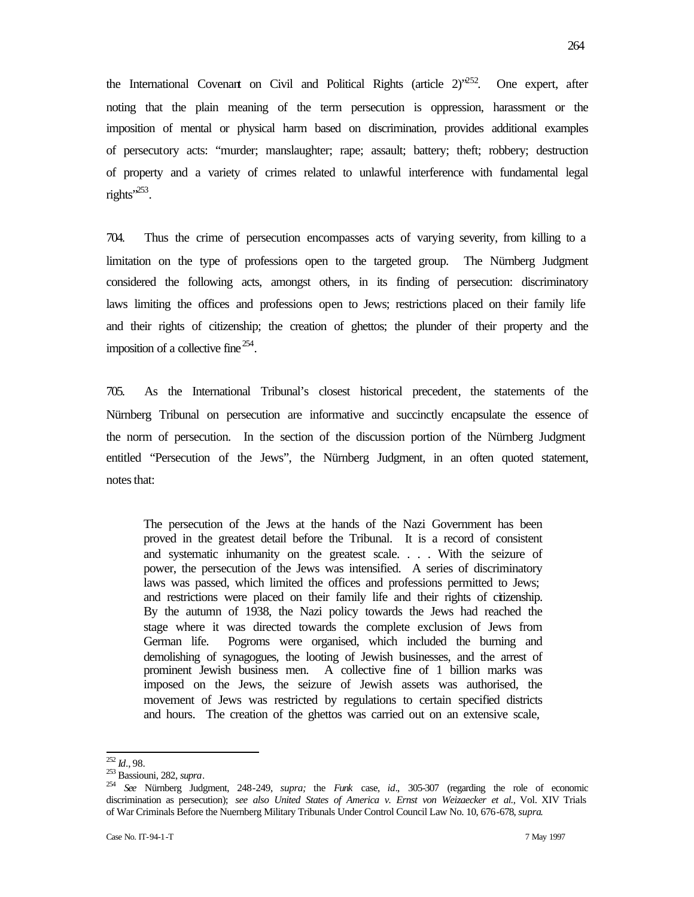the International Covenant on Civil and Political Rights (article  $2y^{252}$ . One expert, after noting that the plain meaning of the term persecution is oppression, harassment or the imposition of mental or physical harm based on discrimination, provides additional examples of persecutory acts: "murder; manslaughter; rape; assault; battery; theft; robbery; destruction of property and a variety of crimes related to unlawful interference with fundamental legal rights<sup>, $253$ </sup>.

704. Thus the crime of persecution encompasses acts of varying severity, from killing to a limitation on the type of professions open to the targeted group. The Nürnberg Judgment considered the following acts, amongst others, in its finding of persecution: discriminatory laws limiting the offices and professions open to Jews; restrictions placed on their family life and their rights of citizenship; the creation of ghettos; the plunder of their property and the imposition of a collective fine  $254$ .

705. As the International Tribunal's closest historical precedent, the statements of the Nürnberg Tribunal on persecution are informative and succinctly encapsulate the essence of the norm of persecution. In the section of the discussion portion of the Nürnberg Judgment entitled "Persecution of the Jews", the Nürnberg Judgment, in an often quoted statement, notes that:

The persecution of the Jews at the hands of the Nazi Government has been proved in the greatest detail before the Tribunal. It is a record of consistent and systematic inhumanity on the greatest scale. . . . With the seizure of power, the persecution of the Jews was intensified. A series of discriminatory laws was passed, which limited the offices and professions permitted to Jews; and restrictions were placed on their family life and their rights of citizenship. By the autumn of 1938, the Nazi policy towards the Jews had reached the stage where it was directed towards the complete exclusion of Jews from German life. Pogroms were organised, which included the burning and demolishing of synagogues, the looting of Jewish businesses, and the arrest of prominent Jewish business men. A collective fine of 1 billion marks was imposed on the Jews, the seizure of Jewish assets was authorised, the movement of Jews was restricted by regulations to certain specified districts and hours. The creation of the ghettos was carried out on an extensive scale,

<sup>252</sup> *Id*., 98.

<sup>253</sup> Bassiouni, 282, *supra*.

<sup>254</sup> *See* Nürnberg Judgment, 248-249, *supra;* the *Funk* case, *id*., 305-307 (regarding the role of economic discrimination as persecution); *see also United States of America v. Ernst von Weizaecker et al.*, Vol. XIV Trials of War Criminals Before the Nuernberg Military Tribunals Under Control Council Law No. 10, 676-678, *supra*.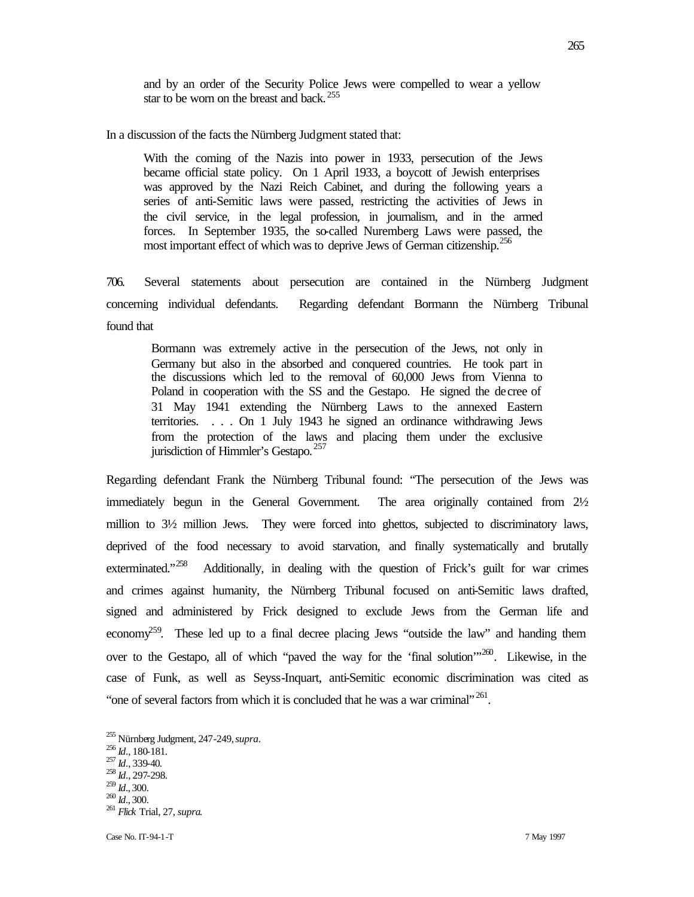and by an order of the Security Police Jews were compelled to wear a yellow star to be worn on the breast and back. <sup>255</sup>

#### In a discussion of the facts the Nürnberg Judgment stated that:

With the coming of the Nazis into power in 1933, persecution of the Jews became official state policy. On 1 April 1933, a boycott of Jewish enterprises was approved by the Nazi Reich Cabinet, and during the following years a series of anti-Semitic laws were passed, restricting the activities of Jews in the civil service, in the legal profession, in journalism, and in the armed forces. In September 1935, the so-called Nuremberg Laws were passed, the most important effect of which was to deprive Jews of German citizenship.<sup>256</sup>

706. Several statements about persecution are contained in the Nürnberg Judgment concerning individual defendants. Regarding defendant Bormann the Nürnberg Tribunal found that

Bormann was extremely active in the persecution of the Jews, not only in Germany but also in the absorbed and conquered countries. He took part in the discussions which led to the removal of 60,000 Jews from Vienna to Poland in cooperation with the SS and the Gestapo. He signed the decree of 31 May 1941 extending the Nürnberg Laws to the annexed Eastern territories. . . . On 1 July 1943 he signed an ordinance withdrawing Jews from the protection of the laws and placing them under the exclusive jurisdiction of Himmler's Gestapo.<sup>257</sup>

Regarding defendant Frank the Nürnberg Tribunal found: "The persecution of the Jews was immediately begun in the General Government. The area originally contained from 2½ million to 3½ million Jews. They were forced into ghettos, subjected to discriminatory laws, deprived of the food necessary to avoid starvation, and finally systematically and brutally exterminated."<sup>258</sup> Additionally, in dealing with the question of Frick's guilt for war crimes and crimes against humanity, the Nürnberg Tribunal focused on anti-Semitic laws drafted, signed and administered by Frick designed to exclude Jews from the German life and economy<sup>259</sup>. These led up to a final decree placing Jews "outside the law" and handing them over to the Gestapo, all of which "paved the way for the 'final solution"<sup>260</sup>. Likewise, in the case of Funk, as well as Seyss-Inquart, anti-Semitic economic discrimination was cited as "one of several factors from which it is concluded that he was a war criminal"<sup>261</sup>.

 Nürnberg Judgment, 247-249, *supra*. *Id*., 180-181. *Id*., 339-40. *Id*., 297-298. *Id*., 300. *Id*., 300. *Flick* Trial, 27, *supra*.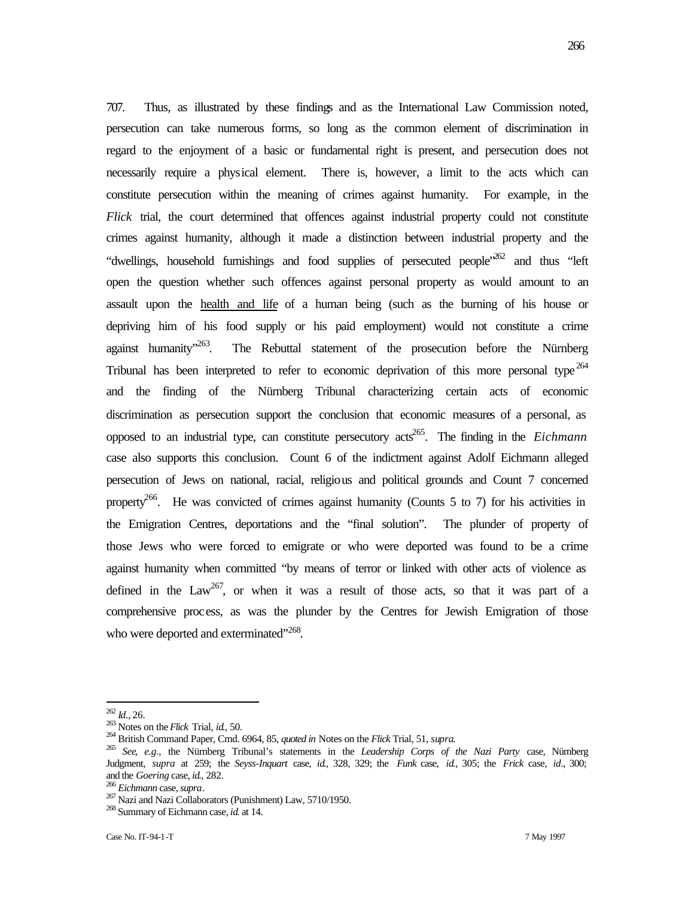707. Thus, as illustrated by these findings and as the International Law Commission noted, persecution can take numerous forms, so long as the common element of discrimination in regard to the enjoyment of a basic or fundamental right is present, and persecution does not necessarily require a physical element. There is, however, a limit to the acts which can constitute persecution within the meaning of crimes against humanity. For example, in the *Flick* trial, the court determined that offences against industrial property could not constitute crimes against humanity, although it made a distinction between industrial property and the "dwellings, household furnishings and food supplies of persecuted people<sup> $262$ </sup> and thus "left" open the question whether such offences against personal property as would amount to an assault upon the health and life of a human being (such as the burning of his house or depriving him of his food supply or his paid employment) would not constitute a crime against humanity<sup>3263</sup>. The Rebuttal statement of the prosecution before the Nürnberg Tribunal has been interpreted to refer to economic deprivation of this more personal type  $264$ and the finding of the Nürnberg Tribunal characterizing certain acts of economic discrimination as persecution support the conclusion that economic measures of a personal, as opposed to an industrial type, can constitute persecutory  $\arccos 265$ . The finding in the *Eichmann* case also supports this conclusion. Count 6 of the indictment against Adolf Eichmann alleged persecution of Jews on national, racial, religious and political grounds and Count 7 concerned property<sup>266</sup>. He was convicted of crimes against humanity (Counts 5 to 7) for his activities in the Emigration Centres, deportations and the "final solution". The plunder of property of those Jews who were forced to emigrate or who were deported was found to be a crime against humanity when committed "by means of terror or linked with other acts of violence as defined in the  $Law^{267}$ , or when it was a result of those acts, so that it was part of a comprehensive process, as was the plunder by the Centres for Jewish Emigration of those who were deported and exterminated"<sup>268</sup>.

 $\overline{\phantom{a}}$ 

<sup>262</sup> *Id*., 26.

<sup>263</sup> Notes on the *Flick* Trial, *id*., 50.

<sup>264</sup> British Command Paper, Cmd. 6964, 85, *quoted in* Notes on the *Flick* Trial, 51, *supra*.

<sup>265</sup> *See*, *e.g*., the Nürnberg Tribunal's statements in the *Leadership Corps of the Nazi Party* case, Nürnberg Judgment, *supra* at 259; the *Seyss-Inquart* case, *id*., 328, 329; the *Funk* case, *id*., 305; the *Frick* case, *id*., 300; and the *Goering* case, *id*., 282.

<sup>266</sup> *Eichmann* case, *supra*.

<sup>267</sup> Nazi and Nazi Collaborators (Punishment) Law, 5710/1950.

<sup>268</sup> Summary of Eichmann case, *id*. at 14.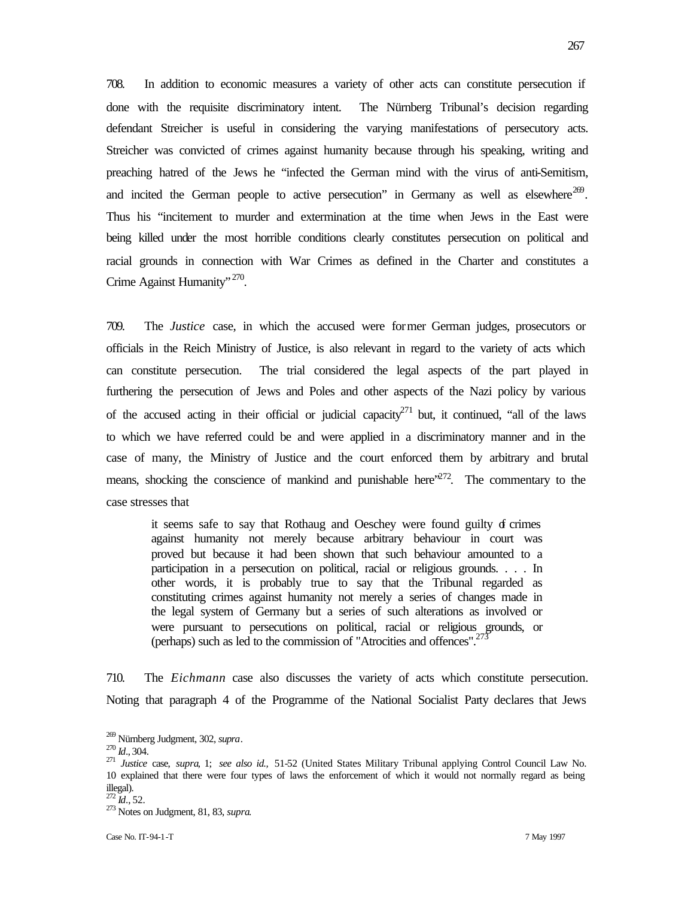708. In addition to economic measures a variety of other acts can constitute persecution if done with the requisite discriminatory intent. The Nürnberg Tribunal's decision regarding defendant Streicher is useful in considering the varying manifestations of persecutory acts. Streicher was convicted of crimes against humanity because through his speaking, writing and preaching hatred of the Jews he "infected the German mind with the virus of anti-Semitism, and incited the German people to active persecution" in Germany as well as elsewhere<sup>269</sup>. Thus his "incitement to murder and extermination at the time when Jews in the East were being killed under the most horrible conditions clearly constitutes persecution on political and racial grounds in connection with War Crimes as defined in the Charter and constitutes a Crime Against Humanity"<sup>270</sup>.

709. The *Justice* case, in which the accused were former German judges, prosecutors or officials in the Reich Ministry of Justice, is also relevant in regard to the variety of acts which can constitute persecution. The trial considered the legal aspects of the part played in furthering the persecution of Jews and Poles and other aspects of the Nazi policy by various of the accused acting in their official or judicial capacity<sup>271</sup> but, it continued, "all of the laws to which we have referred could be and were applied in a discriminatory manner and in the case of many, the Ministry of Justice and the court enforced them by arbitrary and brutal means, shocking the conscience of mankind and punishable here $272$ . The commentary to the case stresses that

it seems safe to say that Rothaug and Oeschey were found guilty of crimes against humanity not merely because arbitrary behaviour in court was proved but because it had been shown that such behaviour amounted to a participation in a persecution on political, racial or religious grounds. . . . In other words, it is probably true to say that the Tribunal regarded as constituting crimes against humanity not merely a series of changes made in the legal system of Germany but a series of such alterations as involved or were pursuant to persecutions on political, racial or religious grounds, or (perhaps) such as led to the commission of "Atrocities and offences".<sup>273</sup>

710. The *Eichmann* case also discusses the variety of acts which constitute persecution. Noting that paragraph 4 of the Programme of the National Socialist Party declares that Jews

<sup>269</sup> Nürnberg Judgment, 302, *supra*.

<sup>270</sup> *Id*., 304.

<sup>271</sup> *Justice* case, *supra*, 1; *see also id.,* 51-52 (United States Military Tribunal applying Control Council Law No. 10 explained that there were four types of laws the enforcement of which it would not normally regard as being illegal).

<sup>272</sup> *Id*., 52.

<sup>273</sup> Notes on Judgment, 81, 83, *supra*.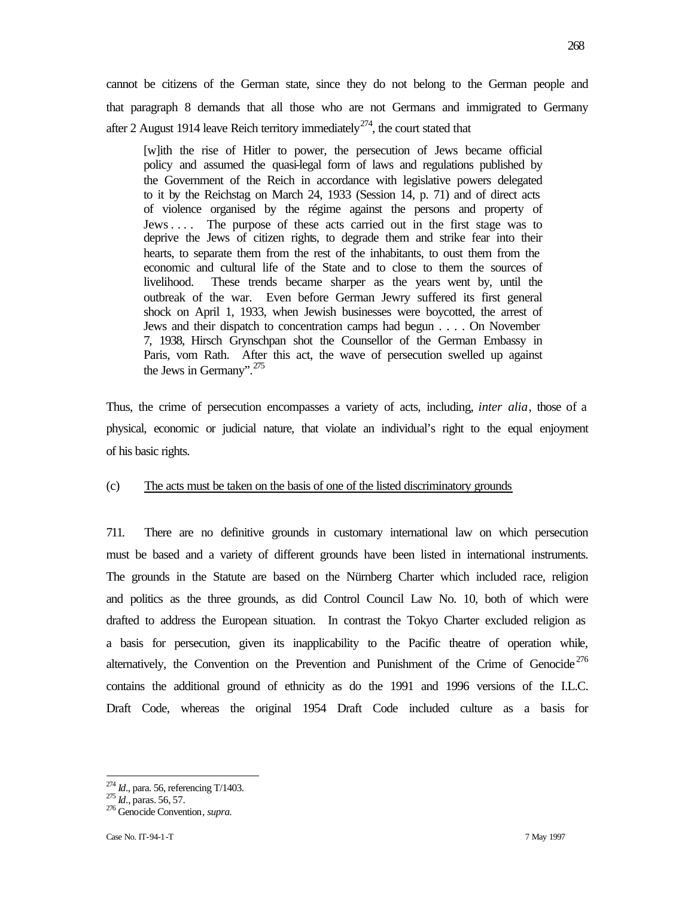cannot be citizens of the German state, since they do not belong to the German people and that paragraph 8 demands that all those who are not Germans and immigrated to Germany after 2 August 1914 leave Reich territory immediately<sup>274</sup>, the court stated that

[w]ith the rise of Hitler to power, the persecution of Jews became official policy and assumed the quasi-legal form of laws and regulations published by the Government of the Reich in accordance with legislative powers delegated to it by the Reichstag on March 24, 1933 (Session 14, p. 71) and of direct acts of violence organised by the régime against the persons and property of Jews . . . . The purpose of these acts carried out in the first stage was to deprive the Jews of citizen rights, to degrade them and strike fear into their hearts, to separate them from the rest of the inhabitants, to oust them from the economic and cultural life of the State and to close to them the sources of livelihood. These trends became sharper as the years went by, until the outbreak of the war. Even before German Jewry suffered its first general shock on April 1, 1933, when Jewish businesses were boycotted, the arrest of Jews and their dispatch to concentration camps had begun . . . . On November 7, 1938, Hirsch Grynschpan shot the Counsellor of the German Embassy in Paris, vom Rath. After this act, the wave of persecution swelled up against the Jews in Germany".<sup>275</sup>

Thus, the crime of persecution encompasses a variety of acts, including, *inter alia*, those of a physical, economic or judicial nature, that violate an individual's right to the equal enjoyment of his basic rights.

## (c) The acts must be taken on the basis of one of the listed discriminatory grounds

711. There are no definitive grounds in customary international law on which persecution must be based and a variety of different grounds have been listed in international instruments. The grounds in the Statute are based on the Nürnberg Charter which included race, religion and politics as the three grounds, as did Control Council Law No. 10, both of which were drafted to address the European situation. In contrast the Tokyo Charter excluded religion as a basis for persecution, given its inapplicability to the Pacific theatre of operation while, alternatively, the Convention on the Prevention and Punishment of the Crime of Genocide<sup> $276$ </sup> contains the additional ground of ethnicity as do the 1991 and 1996 versions of the I.L.C. Draft Code, whereas the original 1954 Draft Code included culture as a basis for

<sup>274</sup> *Id*., para. 56, referencing T/1403.

<sup>&</sup>lt;sup>275</sup> *Id.*, paras. 56, 57.

<sup>276</sup> Genocide Convention*, supra.*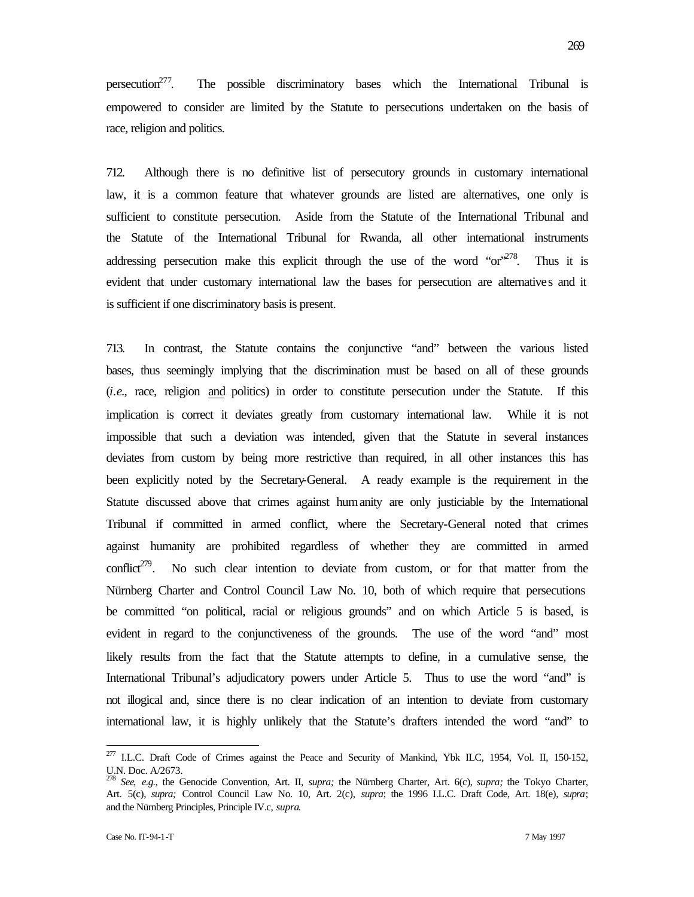persecution<sup>277</sup>. The possible discriminatory bases which the International Tribunal is empowered to consider are limited by the Statute to persecutions undertaken on the basis of race, religion and politics.

712. Although there is no definitive list of persecutory grounds in customary international law, it is a common feature that whatever grounds are listed are alternatives, one only is sufficient to constitute persecution. Aside from the Statute of the International Tribunal and the Statute of the International Tribunal for Rwanda, all other international instruments addressing persecution make this explicit through the use of the word " $or^{278}$ . Thus it is evident that under customary international law the bases for persecution are alternatives and it is sufficient if one discriminatory basis is present.

713. In contrast, the Statute contains the conjunctive "and" between the various listed bases, thus seemingly implying that the discrimination must be based on all of these grounds (*i.e*., race, religion and politics) in order to constitute persecution under the Statute. If this implication is correct it deviates greatly from customary international law. While it is not impossible that such a deviation was intended, given that the Statute in several instances deviates from custom by being more restrictive than required, in all other instances this has been explicitly noted by the Secretary-General. A ready example is the requirement in the Statute discussed above that crimes against humanity are only justiciable by the International Tribunal if committed in armed conflict, where the Secretary-General noted that crimes against humanity are prohibited regardless of whether they are committed in armed conflict<sup>279</sup>. No such clear intention to deviate from custom, or for that matter from the Nürnberg Charter and Control Council Law No. 10, both of which require that persecutions be committed "on political, racial or religious grounds" and on which Article 5 is based, is evident in regard to the conjunctiveness of the grounds. The use of the word "and" most likely results from the fact that the Statute attempts to define, in a cumulative sense, the International Tribunal's adjudicatory powers under Article 5. Thus to use the word "and" is not illogical and, since there is no clear indication of an intention to deviate from customary international law, it is highly unlikely that the Statute's drafters intended the word "and" to

 $\overline{\phantom{a}}$ 

 $^{277}$  I.L.C. Draft Code of Crimes against the Peace and Security of Mankind, Ybk ILC, 1954, Vol. II, 150-152, U.N. Doc. A/2673.

<sup>278</sup> *See*, *e.g*., the Genocide Convention, Art. II, *supra;* the Nürnberg Charter, Art. 6(c), *supra;* the Tokyo Charter, Art. 5(c), *supra;* Control Council Law No. 10, Art. 2(c), *supra*; the 1996 I.L.C. Draft Code, Art. 18(e), *supra*; and the Nürnberg Principles, Principle IV.c, *supra*.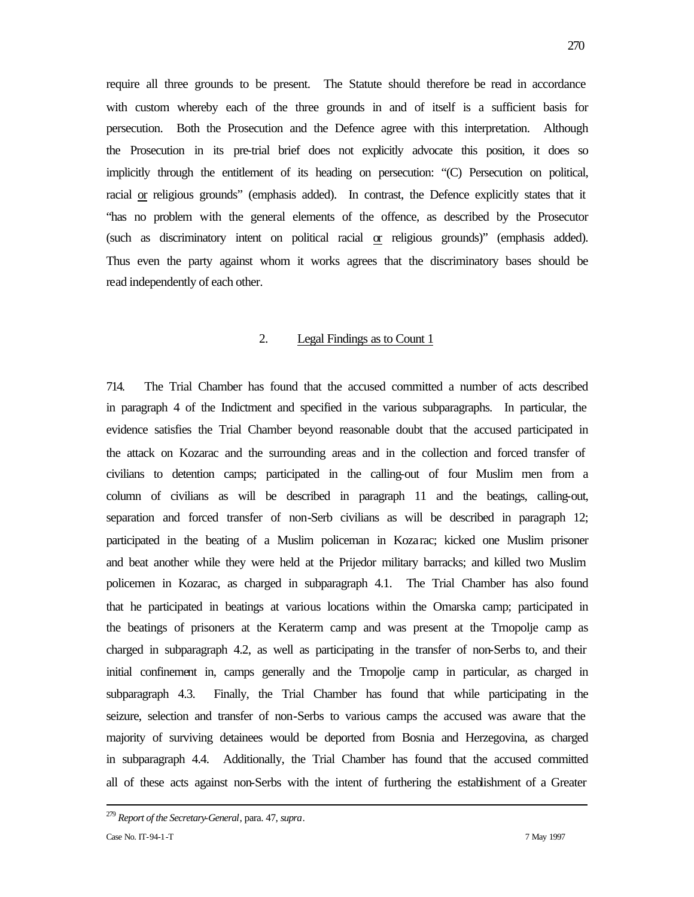require all three grounds to be present. The Statute should therefore be read in accordance with custom whereby each of the three grounds in and of itself is a sufficient basis for persecution. Both the Prosecution and the Defence agree with this interpretation. Although the Prosecution in its pre-trial brief does not explicitly advocate this position, it does so implicitly through the entitlement of its heading on persecution: "(C) Persecution on political, racial or religious grounds" (emphasis added). In contrast, the Defence explicitly states that it "has no problem with the general elements of the offence, as described by the Prosecutor (such as discriminatory intent on political racial or religious grounds)" (emphasis added). Thus even the party against whom it works agrees that the discriminatory bases should be read independently of each other.

## 2. Legal Findings as to Count 1

714. The Trial Chamber has found that the accused committed a number of acts described in paragraph 4 of the Indictment and specified in the various subparagraphs. In particular, the evidence satisfies the Trial Chamber beyond reasonable doubt that the accused participated in the attack on Kozarac and the surrounding areas and in the collection and forced transfer of civilians to detention camps; participated in the calling-out of four Muslim men from a column of civilians as will be described in paragraph 11 and the beatings, calling-out, separation and forced transfer of non-Serb civilians as will be described in paragraph 12; participated in the beating of a Muslim policeman in Kozarac; kicked one Muslim prisoner and beat another while they were held at the Prijedor military barracks; and killed two Muslim policemen in Kozarac, as charged in subparagraph 4.1. The Trial Chamber has also found that he participated in beatings at various locations within the Omarska camp; participated in the beatings of prisoners at the Keraterm camp and was present at the Trnopolje camp as charged in subparagraph 4.2, as well as participating in the transfer of non-Serbs to, and their initial confinement in, camps generally and the Trnopolje camp in particular, as charged in subparagraph 4.3. Finally, the Trial Chamber has found that while participating in the seizure, selection and transfer of non-Serbs to various camps the accused was aware that the majority of surviving detainees would be deported from Bosnia and Herzegovina, as charged in subparagraph 4.4. Additionally, the Trial Chamber has found that the accused committed all of these acts against non-Serbs with the intent of furthering the establishment of a Greater

 $\overline{\phantom{a}}$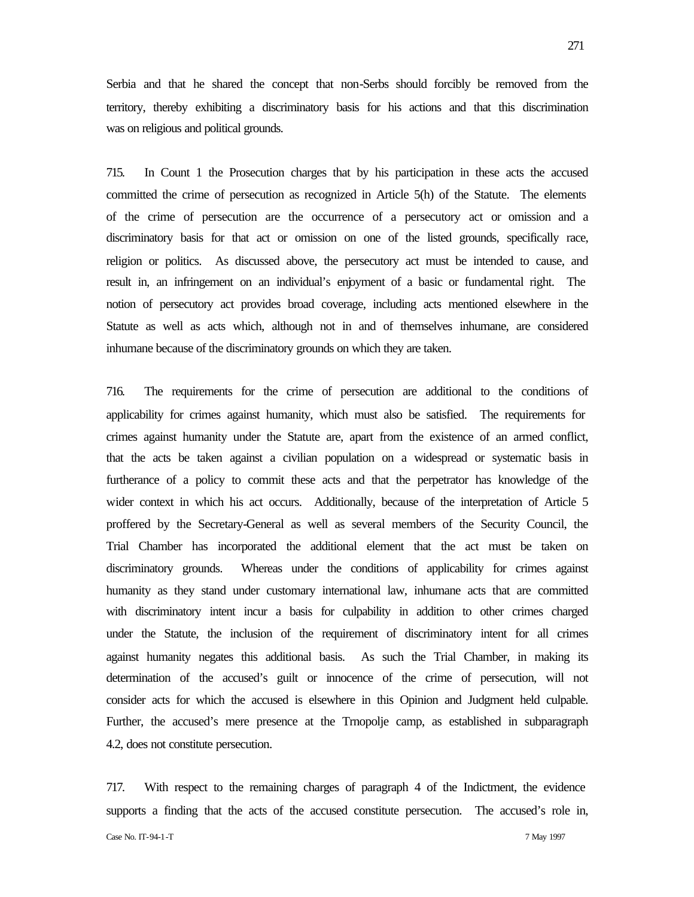Serbia and that he shared the concept that non-Serbs should forcibly be removed from the territory, thereby exhibiting a discriminatory basis for his actions and that this discrimination was on religious and political grounds.

715. In Count 1 the Prosecution charges that by his participation in these acts the accused committed the crime of persecution as recognized in Article 5(h) of the Statute. The elements of the crime of persecution are the occurrence of a persecutory act or omission and a discriminatory basis for that act or omission on one of the listed grounds, specifically race, religion or politics. As discussed above, the persecutory act must be intended to cause, and result in, an infringement on an individual's enjoyment of a basic or fundamental right. The notion of persecutory act provides broad coverage, including acts mentioned elsewhere in the Statute as well as acts which, although not in and of themselves inhumane, are considered inhumane because of the discriminatory grounds on which they are taken.

716. The requirements for the crime of persecution are additional to the conditions of applicability for crimes against humanity, which must also be satisfied. The requirements for crimes against humanity under the Statute are, apart from the existence of an armed conflict, that the acts be taken against a civilian population on a widespread or systematic basis in furtherance of a policy to commit these acts and that the perpetrator has knowledge of the wider context in which his act occurs. Additionally, because of the interpretation of Article 5 proffered by the Secretary-General as well as several members of the Security Council, the Trial Chamber has incorporated the additional element that the act must be taken on discriminatory grounds. Whereas under the conditions of applicability for crimes against humanity as they stand under customary international law, inhumane acts that are committed with discriminatory intent incur a basis for culpability in addition to other crimes charged under the Statute, the inclusion of the requirement of discriminatory intent for all crimes against humanity negates this additional basis. As such the Trial Chamber, in making its determination of the accused's guilt or innocence of the crime of persecution, will not consider acts for which the accused is elsewhere in this Opinion and Judgment held culpable. Further, the accused's mere presence at the Trnopolje camp, as established in subparagraph 4.2, does not constitute persecution.

717. With respect to the remaining charges of paragraph 4 of the Indictment, the evidence supports a finding that the acts of the accused constitute persecution. The accused's role in,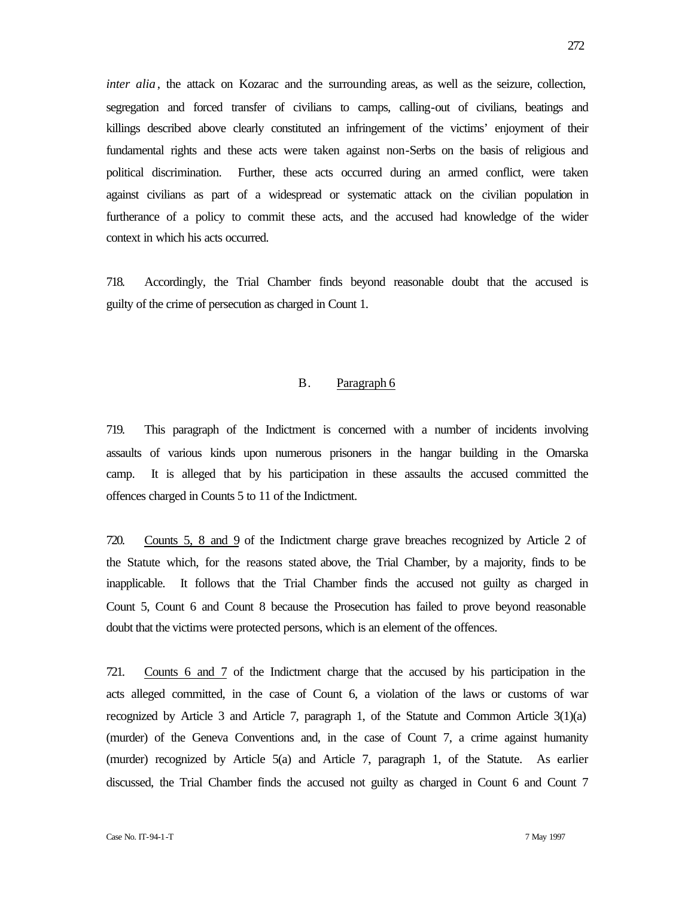*inter alia*, the attack on Kozarac and the surrounding areas, as well as the seizure, collection, segregation and forced transfer of civilians to camps, calling-out of civilians, beatings and killings described above clearly constituted an infringement of the victims' enjoyment of their fundamental rights and these acts were taken against non-Serbs on the basis of religious and political discrimination. Further, these acts occurred during an armed conflict, were taken against civilians as part of a widespread or systematic attack on the civilian population in furtherance of a policy to commit these acts, and the accused had knowledge of the wider context in which his acts occurred.

718. Accordingly, the Trial Chamber finds beyond reasonable doubt that the accused is guilty of the crime of persecution as charged in Count 1.

## B. Paragraph 6

719. This paragraph of the Indictment is concerned with a number of incidents involving assaults of various kinds upon numerous prisoners in the hangar building in the Omarska camp. It is alleged that by his participation in these assaults the accused committed the offences charged in Counts 5 to 11 of the Indictment.

720. Counts 5, 8 and 9 of the Indictment charge grave breaches recognized by Article 2 of the Statute which, for the reasons stated above, the Trial Chamber, by a majority, finds to be inapplicable. It follows that the Trial Chamber finds the accused not guilty as charged in Count 5, Count 6 and Count 8 because the Prosecution has failed to prove beyond reasonable doubt that the victims were protected persons, which is an element of the offences.

721. Counts 6 and 7 of the Indictment charge that the accused by his participation in the acts alleged committed, in the case of Count 6, a violation of the laws or customs of war recognized by Article 3 and Article 7, paragraph 1, of the Statute and Common Article 3(1)(a) (murder) of the Geneva Conventions and, in the case of Count 7, a crime against humanity (murder) recognized by Article 5(a) and Article 7, paragraph 1, of the Statute. As earlier discussed, the Trial Chamber finds the accused not guilty as charged in Count 6 and Count 7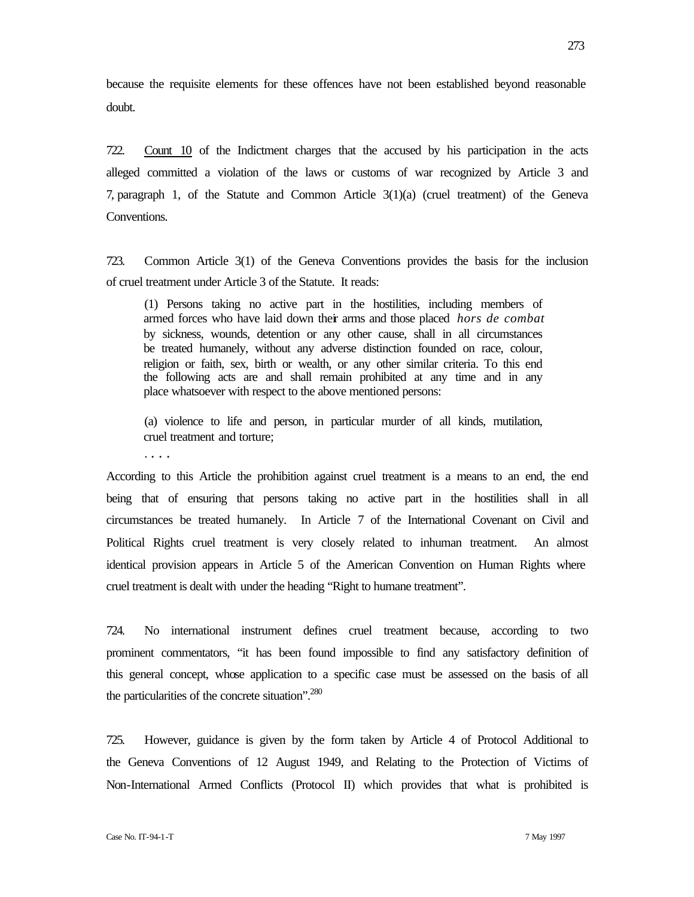because the requisite elements for these offences have not been established beyond reasonable doubt.

722. Count 10 of the Indictment charges that the accused by his participation in the acts alleged committed a violation of the laws or customs of war recognized by Article 3 and 7, paragraph 1, of the Statute and Common Article 3(1)(a) (cruel treatment) of the Geneva Conventions.

723. Common Article 3(1) of the Geneva Conventions provides the basis for the inclusion of cruel treatment under Article 3 of the Statute. It reads:

(1) Persons taking no active part in the hostilities, including members of armed forces who have laid down their arms and those placed *hors de combat* by sickness, wounds, detention or any other cause, shall in all circumstances be treated humanely, without any adverse distinction founded on race, colour, religion or faith, sex, birth or wealth, or any other similar criteria. To this end the following acts are and shall remain prohibited at any time and in any place whatsoever with respect to the above mentioned persons:

(a) violence to life and person, in particular murder of all kinds, mutilation, cruel treatment and torture;

According to this Article the prohibition against cruel treatment is a means to an end, the end being that of ensuring that persons taking no active part in the hostilities shall in all circumstances be treated humanely. In Article 7 of the International Covenant on Civil and Political Rights cruel treatment is very closely related to inhuman treatment. An almost identical provision appears in Article 5 of the American Convention on Human Rights where cruel treatment is dealt with under the heading "Right to humane treatment".

724. No international instrument defines cruel treatment because, according to two prominent commentators, "it has been found impossible to find any satisfactory definition of this general concept, whose application to a specific case must be assessed on the basis of all the particularities of the concrete situation".<sup>280</sup>

725. However, guidance is given by the form taken by Article 4 of Protocol Additional to the Geneva Conventions of 12 August 1949, and Relating to the Protection of Victims of Non-International Armed Conflicts (Protocol II) which provides that what is prohibited is

. . . .

273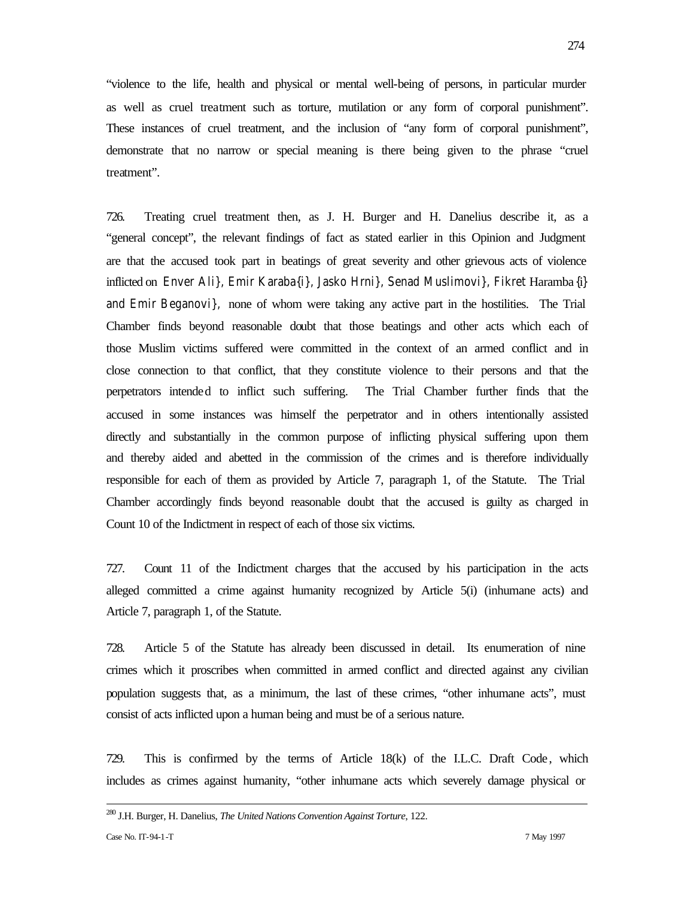"violence to the life, health and physical or mental well-being of persons, in particular murder as well as cruel treatment such as torture, mutilation or any form of corporal punishment". These instances of cruel treatment, and the inclusion of "any form of corporal punishment", demonstrate that no narrow or special meaning is there being given to the phrase "cruel treatment".

726. Treating cruel treatment then, as J. H. Burger and H. Danelius describe it, as a "general concept", the relevant findings of fact as stated earlier in this Opinion and Judgment are that the accused took part in beatings of great severity and other grievous acts of violence inflicted on Enver Ali}, Emir Karaba{i}, Jasko Hrni}, Senad Muslimovi}, Fikret Haramba{i} and Emir Beganovi}, none of whom were taking any active part in the hostilities. The Trial Chamber finds beyond reasonable doubt that those beatings and other acts which each of those Muslim victims suffered were committed in the context of an armed conflict and in close connection to that conflict, that they constitute violence to their persons and that the perpetrators intended to inflict such suffering. The Trial Chamber further finds that the accused in some instances was himself the perpetrator and in others intentionally assisted directly and substantially in the common purpose of inflicting physical suffering upon them and thereby aided and abetted in the commission of the crimes and is therefore individually responsible for each of them as provided by Article 7, paragraph 1, of the Statute. The Trial Chamber accordingly finds beyond reasonable doubt that the accused is guilty as charged in Count 10 of the Indictment in respect of each of those six victims.

727. Count 11 of the Indictment charges that the accused by his participation in the acts alleged committed a crime against humanity recognized by Article 5(i) (inhumane acts) and Article 7, paragraph 1, of the Statute.

728. Article 5 of the Statute has already been discussed in detail. Its enumeration of nine crimes which it proscribes when committed in armed conflict and directed against any civilian population suggests that, as a minimum, the last of these crimes, "other inhumane acts", must consist of acts inflicted upon a human being and must be of a serious nature.

729. This is confirmed by the terms of Article 18(k) of the I.L.C. Draft Code, which includes as crimes against humanity, "other inhumane acts which severely damage physical or

<sup>280</sup> J.H. Burger, H. Danelius, *The United Nations Convention Against Torture*, 122.

 $\overline{\phantom{a}}$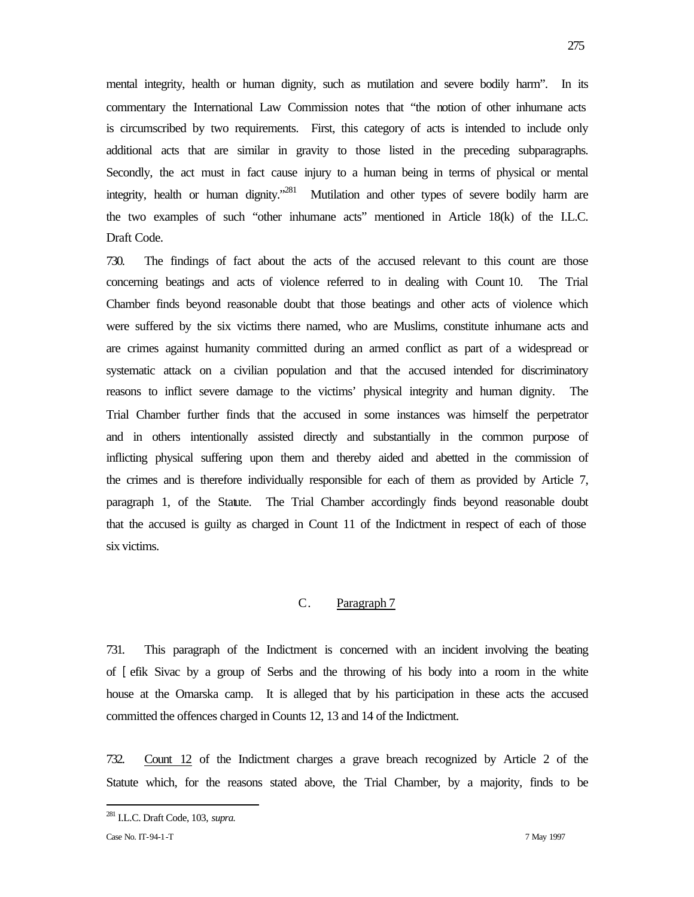mental integrity, health or human dignity, such as mutilation and severe bodily harm". In its commentary the International Law Commission notes that "the notion of other inhumane acts is circumscribed by two requirements. First, this category of acts is intended to include only additional acts that are similar in gravity to those listed in the preceding subparagraphs. Secondly, the act must in fact cause injury to a human being in terms of physical or mental integrity, health or human dignity."<sup>281</sup> Mutilation and other types of severe bodily harm are the two examples of such "other inhumane acts" mentioned in Article 18(k) of the I.L.C. Draft Code.

730. The findings of fact about the acts of the accused relevant to this count are those concerning beatings and acts of violence referred to in dealing with Count 10. The Trial Chamber finds beyond reasonable doubt that those beatings and other acts of violence which were suffered by the six victims there named, who are Muslims, constitute inhumane acts and are crimes against humanity committed during an armed conflict as part of a widespread or systematic attack on a civilian population and that the accused intended for discriminatory reasons to inflict severe damage to the victims' physical integrity and human dignity. The Trial Chamber further finds that the accused in some instances was himself the perpetrator and in others intentionally assisted directly and substantially in the common purpose of inflicting physical suffering upon them and thereby aided and abetted in the commission of the crimes and is therefore individually responsible for each of them as provided by Article 7, paragraph 1, of the Statute. The Trial Chamber accordingly finds beyond reasonable doubt that the accused is guilty as charged in Count 11 of the Indictment in respect of each of those six victims.

# C. Paragraph 7

731. This paragraph of the Indictment is concerned with an incident involving the beating of [efik Sivac by a group of Serbs and the throwing of his body into a room in the white house at the Omarska camp. It is alleged that by his participation in these acts the accused committed the offences charged in Counts 12, 13 and 14 of the Indictment.

732. Count 12 of the Indictment charges a grave breach recognized by Article 2 of the Statute which, for the reasons stated above, the Trial Chamber, by a majority, finds to be

 $\overline{\phantom{a}}$ 

<sup>281</sup> I.L.C. Draft Code, 103, *supra.*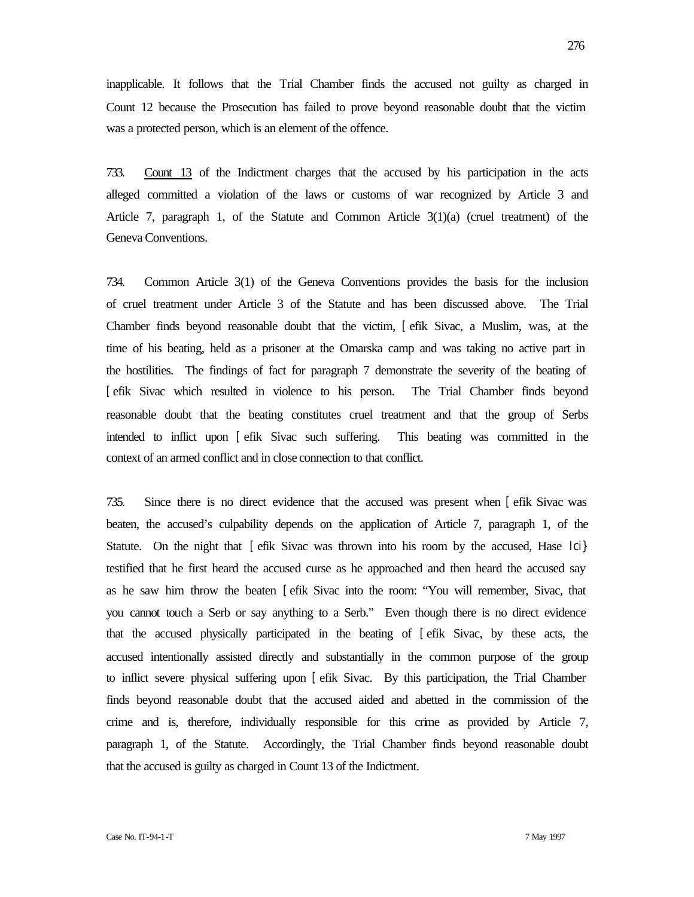inapplicable. It follows that the Trial Chamber finds the accused not guilty as charged in Count 12 because the Prosecution has failed to prove beyond reasonable doubt that the victim was a protected person, which is an element of the offence.

733. Count 13 of the Indictment charges that the accused by his participation in the acts alleged committed a violation of the laws or customs of war recognized by Article 3 and Article 7, paragraph 1, of the Statute and Common Article 3(1)(a) (cruel treatment) of the Geneva Conventions.

734. Common Article 3(1) of the Geneva Conventions provides the basis for the inclusion of cruel treatment under Article 3 of the Statute and has been discussed above. The Trial Chamber finds beyond reasonable doubt that the victim, [efik Sivac, a Muslim, was, at the time of his beating, held as a prisoner at the Omarska camp and was taking no active part in the hostilities. The findings of fact for paragraph 7 demonstrate the severity of the beating of [efik Sivac which resulted in violence to his person. The Trial Chamber finds beyond reasonable doubt that the beating constitutes cruel treatment and that the group of Serbs intended to inflict upon [efik Sivac such suffering. This beating was committed in the context of an armed conflict and in close connection to that conflict.

735. Since there is no direct evidence that the accused was present when [efik Sivac was beaten, the accused's culpability depends on the application of Article 7, paragraph 1, of the Statute. On the night that [efik Sivac was thrown into his room by the accused, Hase Ici} testified that he first heard the accused curse as he approached and then heard the accused say as he saw him throw the beaten [efik Sivac into the room: "You will remember, Sivac, that you cannot touch a Serb or say anything to a Serb." Even though there is no direct evidence that the accused physically participated in the beating of [efik Sivac, by these acts, the accused intentionally assisted directly and substantially in the common purpose of the group to inflict severe physical suffering upon [efik Sivac. By this participation, the Trial Chamber finds beyond reasonable doubt that the accused aided and abetted in the commission of the crime and is, therefore, individually responsible for this crime as provided by Article 7, paragraph 1, of the Statute. Accordingly, the Trial Chamber finds beyond reasonable doubt that the accused is guilty as charged in Count 13 of the Indictment.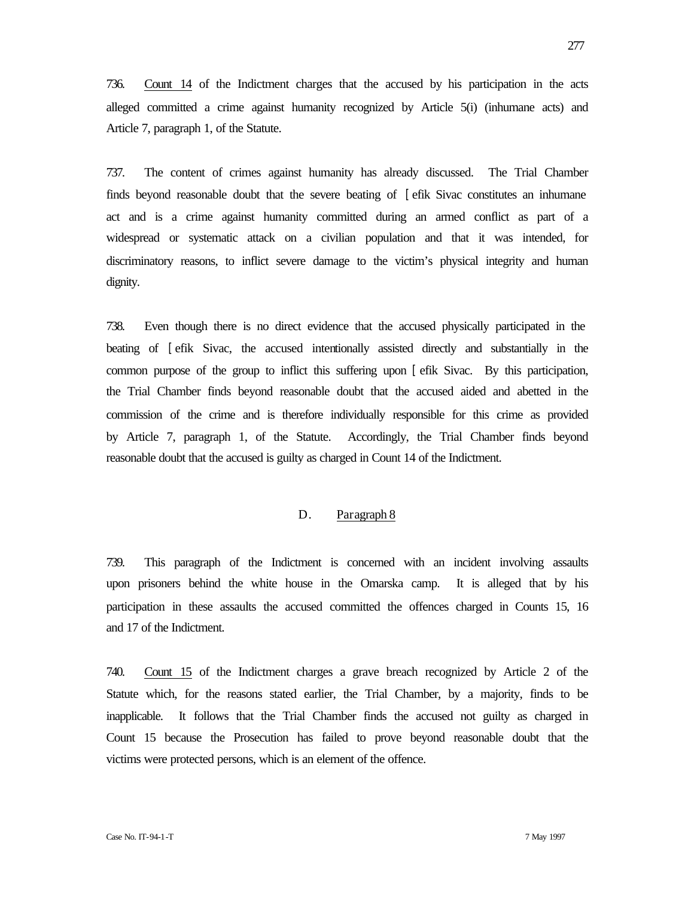736. Count 14 of the Indictment charges that the accused by his participation in the acts alleged committed a crime against humanity recognized by Article 5(i) (inhumane acts) and Article 7, paragraph 1, of the Statute.

737. The content of crimes against humanity has already discussed. The Trial Chamber finds beyond reasonable doubt that the severe beating of [efik Sivac constitutes an inhumane act and is a crime against humanity committed during an armed conflict as part of a widespread or systematic attack on a civilian population and that it was intended, for discriminatory reasons, to inflict severe damage to the victim's physical integrity and human dignity.

738. Even though there is no direct evidence that the accused physically participated in the beating of [efik Sivac, the accused intentionally assisted directly and substantially in the common purpose of the group to inflict this suffering upon [efik Sivac. By this participation, the Trial Chamber finds beyond reasonable doubt that the accused aided and abetted in the commission of the crime and is therefore individually responsible for this crime as provided by Article 7, paragraph 1, of the Statute. Accordingly, the Trial Chamber finds beyond reasonable doubt that the accused is guilty as charged in Count 14 of the Indictment.

# D. Paragraph 8

739. This paragraph of the Indictment is concerned with an incident involving assaults upon prisoners behind the white house in the Omarska camp. It is alleged that by his participation in these assaults the accused committed the offences charged in Counts 15, 16 and 17 of the Indictment.

740. Count 15 of the Indictment charges a grave breach recognized by Article 2 of the Statute which, for the reasons stated earlier, the Trial Chamber, by a majority, finds to be inapplicable. It follows that the Trial Chamber finds the accused not guilty as charged in Count 15 because the Prosecution has failed to prove beyond reasonable doubt that the victims were protected persons, which is an element of the offence.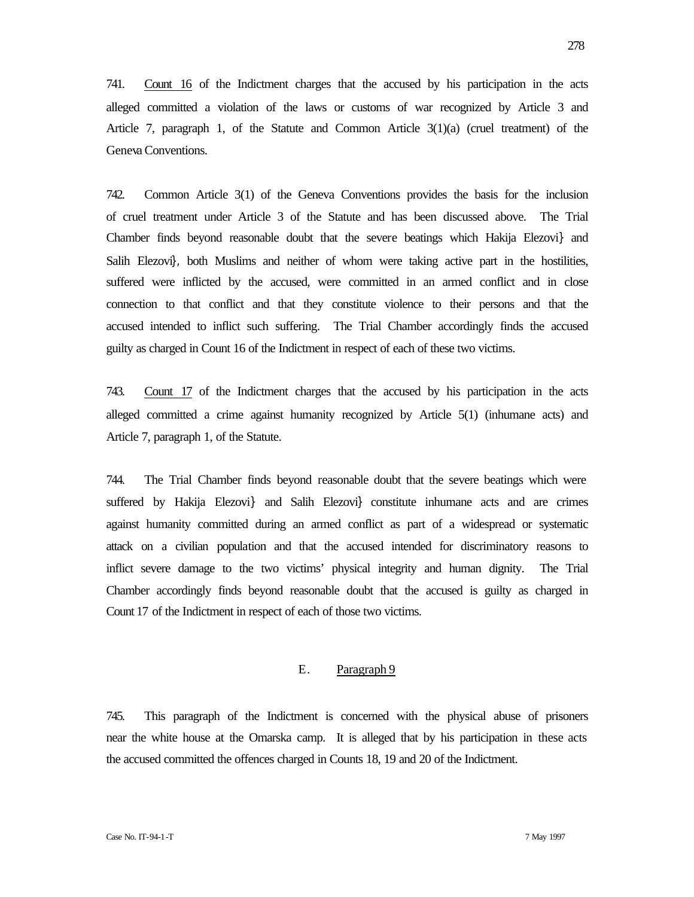741. Count 16 of the Indictment charges that the accused by his participation in the acts alleged committed a violation of the laws or customs of war recognized by Article 3 and Article 7, paragraph 1, of the Statute and Common Article 3(1)(a) (cruel treatment) of the Geneva Conventions.

742. Common Article 3(1) of the Geneva Conventions provides the basis for the inclusion of cruel treatment under Article 3 of the Statute and has been discussed above. The Trial Chamber finds beyond reasonable doubt that the severe beatings which Hakija Elezovi} and Salih Elezovi}, both Muslims and neither of whom were taking active part in the hostilities, suffered were inflicted by the accused, were committed in an armed conflict and in close connection to that conflict and that they constitute violence to their persons and that the accused intended to inflict such suffering. The Trial Chamber accordingly finds the accused guilty as charged in Count 16 of the Indictment in respect of each of these two victims.

743. Count 17 of the Indictment charges that the accused by his participation in the acts alleged committed a crime against humanity recognized by Article 5(1) (inhumane acts) and Article 7, paragraph 1, of the Statute.

744. The Trial Chamber finds beyond reasonable doubt that the severe beatings which were suffered by Hakija Elezovi} and Salih Elezovi} constitute inhumane acts and are crimes against humanity committed during an armed conflict as part of a widespread or systematic attack on a civilian population and that the accused intended for discriminatory reasons to inflict severe damage to the two victims' physical integrity and human dignity. The Trial Chamber accordingly finds beyond reasonable doubt that the accused is guilty as charged in Count 17 of the Indictment in respect of each of those two victims.

#### E. Paragraph 9

745. This paragraph of the Indictment is concerned with the physical abuse of prisoners near the white house at the Omarska camp. It is alleged that by his participation in these acts the accused committed the offences charged in Counts 18, 19 and 20 of the Indictment.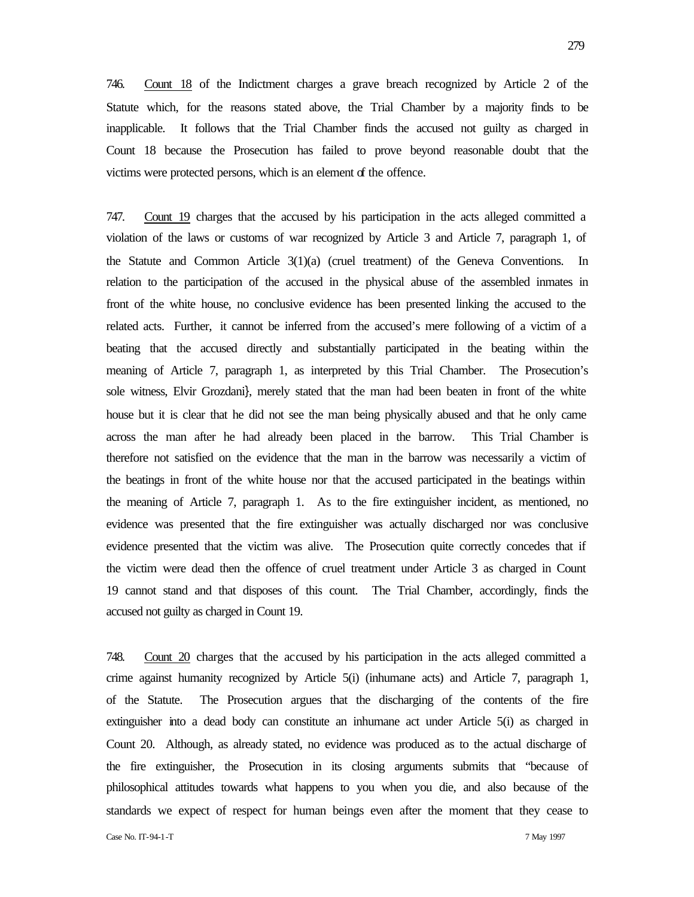747. Count 19 charges that the accused by his participation in the acts alleged committed a violation of the laws or customs of war recognized by Article 3 and Article 7, paragraph 1, of the Statute and Common Article 3(1)(a) (cruel treatment) of the Geneva Conventions. In relation to the participation of the accused in the physical abuse of the assembled inmates in front of the white house, no conclusive evidence has been presented linking the accused to the related acts. Further, it cannot be inferred from the accused's mere following of a victim of a beating that the accused directly and substantially participated in the beating within the meaning of Article 7, paragraph 1, as interpreted by this Trial Chamber. The Prosecution's sole witness, Elvir Grozdani}, merely stated that the man had been beaten in front of the white house but it is clear that he did not see the man being physically abused and that he only came across the man after he had already been placed in the barrow. This Trial Chamber is therefore not satisfied on the evidence that the man in the barrow was necessarily a victim of the beatings in front of the white house nor that the accused participated in the beatings within the meaning of Article 7, paragraph 1. As to the fire extinguisher incident, as mentioned, no evidence was presented that the fire extinguisher was actually discharged nor was conclusive evidence presented that the victim was alive. The Prosecution quite correctly concedes that if the victim were dead then the offence of cruel treatment under Article 3 as charged in Count 19 cannot stand and that disposes of this count. The Trial Chamber, accordingly, finds the accused not guilty as charged in Count 19.

748. Count 20 charges that the accused by his participation in the acts alleged committed a crime against humanity recognized by Article 5(i) (inhumane acts) and Article 7, paragraph 1, of the Statute. The Prosecution argues that the discharging of the contents of the fire extinguisher into a dead body can constitute an inhumane act under Article 5(i) as charged in Count 20. Although, as already stated, no evidence was produced as to the actual discharge of the fire extinguisher, the Prosecution in its closing arguments submits that "because of philosophical attitudes towards what happens to you when you die, and also because of the standards we expect of respect for human beings even after the moment that they cease to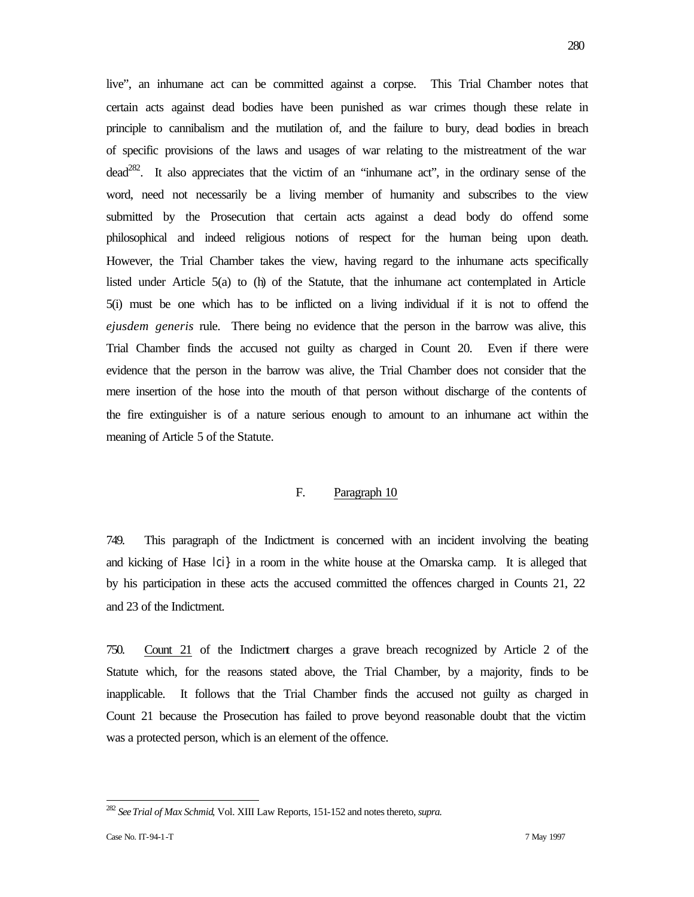280

live", an inhumane act can be committed against a corpse. This Trial Chamber notes that certain acts against dead bodies have been punished as war crimes though these relate in principle to cannibalism and the mutilation of, and the failure to bury, dead bodies in breach of specific provisions of the laws and usages of war relating to the mistreatment of the war  $dead^{282}$ . It also appreciates that the victim of an "inhumane act", in the ordinary sense of the word, need not necessarily be a living member of humanity and subscribes to the view submitted by the Prosecution that certain acts against a dead body do offend some philosophical and indeed religious notions of respect for the human being upon death. However, the Trial Chamber takes the view, having regard to the inhumane acts specifically listed under Article 5(a) to (h) of the Statute, that the inhumane act contemplated in Article 5(i) must be one which has to be inflicted on a living individual if it is not to offend the *ejusdem generis* rule. There being no evidence that the person in the barrow was alive, this Trial Chamber finds the accused not guilty as charged in Count 20. Even if there were evidence that the person in the barrow was alive, the Trial Chamber does not consider that the mere insertion of the hose into the mouth of that person without discharge of the contents of the fire extinguisher is of a nature serious enough to amount to an inhumane act within the meaning of Article 5 of the Statute.

# F. Paragraph 10

749. This paragraph of the Indictment is concerned with an incident involving the beating and kicking of Hase Ici} in a room in the white house at the Omarska camp. It is alleged that by his participation in these acts the accused committed the offences charged in Counts 21, 22 and 23 of the Indictment.

750. Count 21 of the Indictment charges a grave breach recognized by Article 2 of the Statute which, for the reasons stated above, the Trial Chamber, by a majority, finds to be inapplicable. It follows that the Trial Chamber finds the accused not guilty as charged in Count 21 because the Prosecution has failed to prove beyond reasonable doubt that the victim was a protected person, which is an element of the offence.

<sup>282</sup> *SeeTrial of Max Schmid*, Vol. XIII Law Reports, 151-152 and notes thereto, *supra.*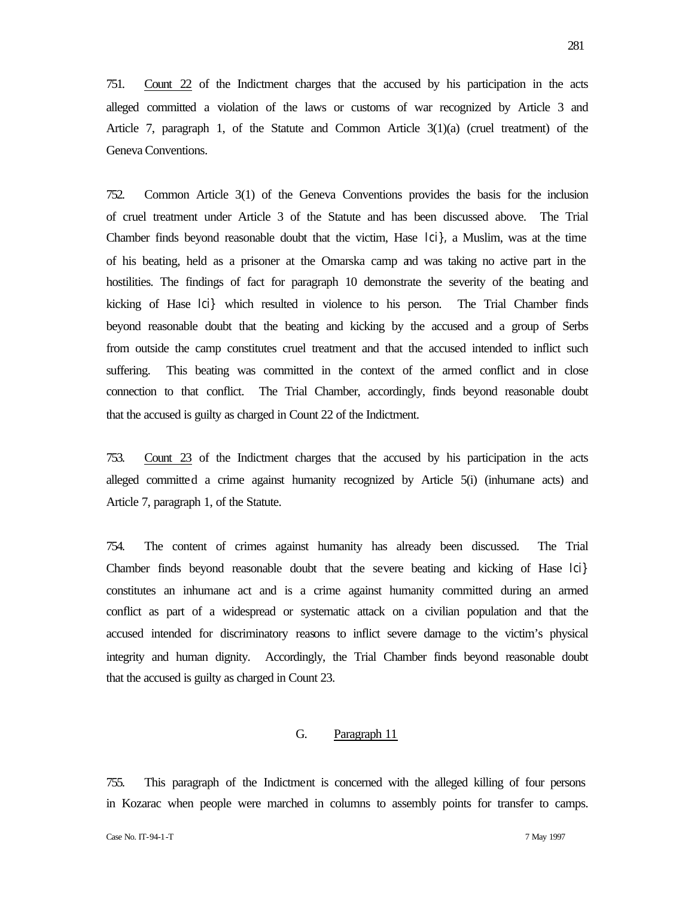751. Count 22 of the Indictment charges that the accused by his participation in the acts alleged committed a violation of the laws or customs of war recognized by Article 3 and Article 7, paragraph 1, of the Statute and Common Article 3(1)(a) (cruel treatment) of the Geneva Conventions.

752. Common Article 3(1) of the Geneva Conventions provides the basis for the inclusion of cruel treatment under Article 3 of the Statute and has been discussed above. The Trial Chamber finds beyond reasonable doubt that the victim, Hase Ici}, a Muslim, was at the time of his beating, held as a prisoner at the Omarska camp and was taking no active part in the hostilities. The findings of fact for paragraph 10 demonstrate the severity of the beating and kicking of Hase Ici} which resulted in violence to his person. The Trial Chamber finds beyond reasonable doubt that the beating and kicking by the accused and a group of Serbs from outside the camp constitutes cruel treatment and that the accused intended to inflict such suffering. This beating was committed in the context of the armed conflict and in close connection to that conflict. The Trial Chamber, accordingly, finds beyond reasonable doubt that the accused is guilty as charged in Count 22 of the Indictment.

753. Count 23 of the Indictment charges that the accused by his participation in the acts alleged committed a crime against humanity recognized by Article 5(i) (inhumane acts) and Article 7, paragraph 1, of the Statute.

754. The content of crimes against humanity has already been discussed. The Trial Chamber finds beyond reasonable doubt that the severe beating and kicking of Hase Ici} constitutes an inhumane act and is a crime against humanity committed during an armed conflict as part of a widespread or systematic attack on a civilian population and that the accused intended for discriminatory reasons to inflict severe damage to the victim's physical integrity and human dignity. Accordingly, the Trial Chamber finds beyond reasonable doubt that the accused is guilty as charged in Count 23.

## G. Paragraph 11

755. This paragraph of the Indictment is concerned with the alleged killing of four persons in Kozarac when people were marched in columns to assembly points for transfer to camps.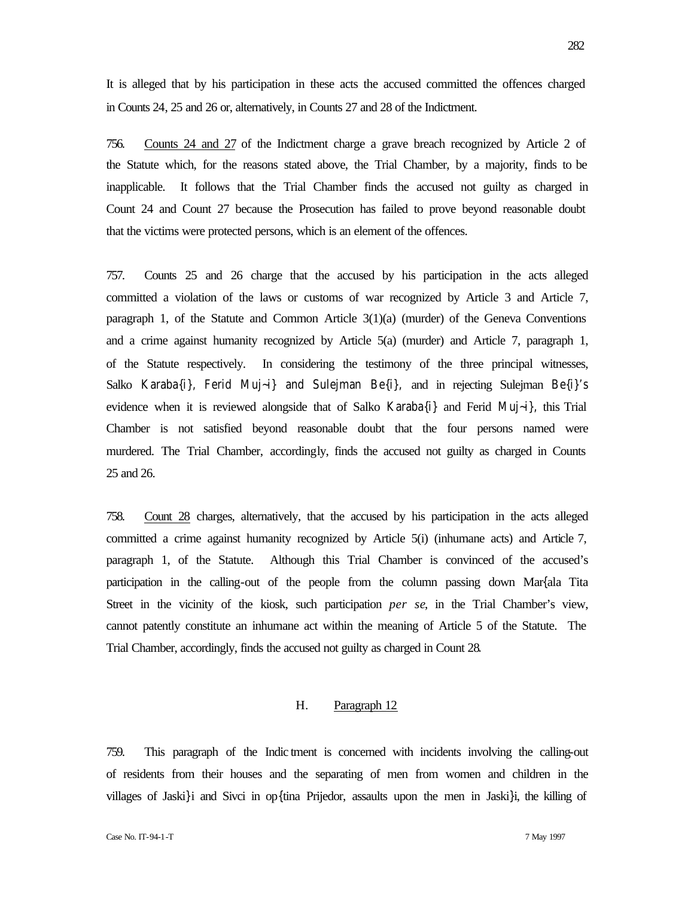It is alleged that by his participation in these acts the accused committed the offences charged in Counts 24, 25 and 26 or, alternatively, in Counts 27 and 28 of the Indictment.

756. Counts 24 and 27 of the Indictment charge a grave breach recognized by Article 2 of the Statute which, for the reasons stated above, the Trial Chamber, by a majority, finds to be inapplicable. It follows that the Trial Chamber finds the accused not guilty as charged in Count 24 and Count 27 because the Prosecution has failed to prove beyond reasonable doubt that the victims were protected persons, which is an element of the offences.

757. Counts 25 and 26 charge that the accused by his participation in the acts alleged committed a violation of the laws or customs of war recognized by Article 3 and Article 7, paragraph 1, of the Statute and Common Article  $3(1)(a)$  (murder) of the Geneva Conventions and a crime against humanity recognized by Article 5(a) (murder) and Article 7, paragraph 1, of the Statute respectively. In considering the testimony of the three principal witnesses, Salko Karaba $\{i\}$ , Ferid Muj~i} and Sulejman Be $\{i\}$ , and in rejecting Sulejman Be $\{i\}'$ s evidence when it is reviewed alongside that of Salko Karaba{i} and Ferid Muj~i}, this Trial Chamber is not satisfied beyond reasonable doubt that the four persons named were murdered. The Trial Chamber, accordingly, finds the accused not guilty as charged in Counts 25 and 26.

758. Count 28 charges, alternatively, that the accused by his participation in the acts alleged committed a crime against humanity recognized by Article 5(i) (inhumane acts) and Article 7, paragraph 1, of the Statute. Although this Trial Chamber is convinced of the accused's participation in the calling-out of the people from the column passing down Mar{ala Tita Street in the vicinity of the kiosk, such participation *per se*, in the Trial Chamber's view, cannot patently constitute an inhumane act within the meaning of Article 5 of the Statute. The Trial Chamber, accordingly, finds the accused not guilty as charged in Count 28.

## H. Paragraph 12

759. This paragraph of the Indic tment is concerned with incidents involving the calling-out of residents from their houses and the separating of men from women and children in the villages of Jaski}i and Sivci in op{tina Prijedor, assaults upon the men in Jaski}i, the killing of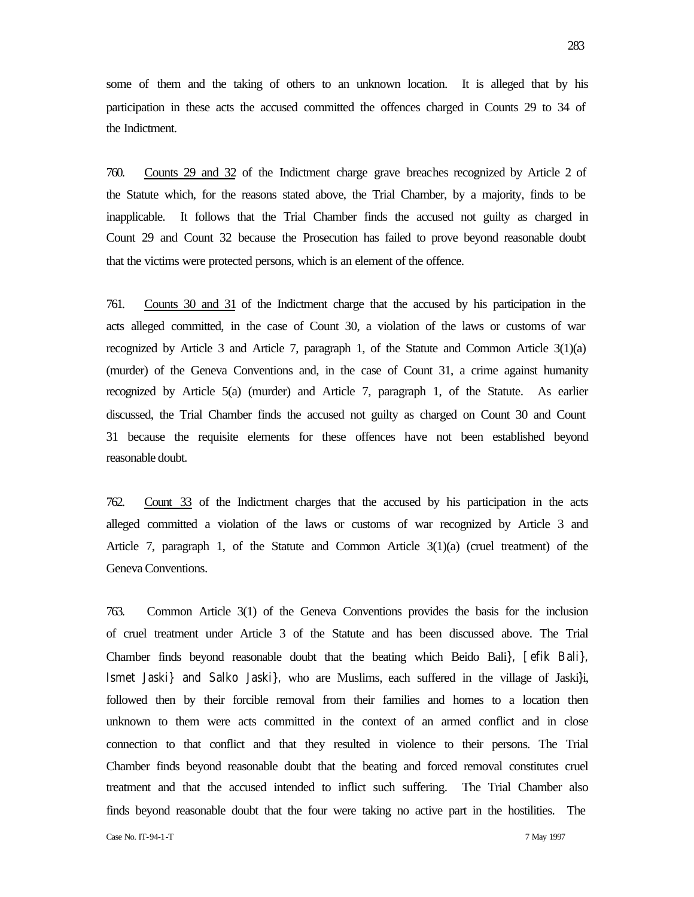some of them and the taking of others to an unknown location. It is alleged that by his participation in these acts the accused committed the offences charged in Counts 29 to 34 of the Indictment.

760. Counts 29 and 32 of the Indictment charge grave breaches recognized by Article 2 of the Statute which, for the reasons stated above, the Trial Chamber, by a majority, finds to be inapplicable. It follows that the Trial Chamber finds the accused not guilty as charged in Count 29 and Count 32 because the Prosecution has failed to prove beyond reasonable doubt that the victims were protected persons, which is an element of the offence.

761. Counts 30 and 31 of the Indictment charge that the accused by his participation in the acts alleged committed, in the case of Count 30, a violation of the laws or customs of war recognized by Article 3 and Article 7, paragraph 1, of the Statute and Common Article 3(1)(a) (murder) of the Geneva Conventions and, in the case of Count 31, a crime against humanity recognized by Article 5(a) (murder) and Article 7, paragraph 1, of the Statute. As earlier discussed, the Trial Chamber finds the accused not guilty as charged on Count 30 and Count 31 because the requisite elements for these offences have not been established beyond reasonable doubt.

762. Count 33 of the Indictment charges that the accused by his participation in the acts alleged committed a violation of the laws or customs of war recognized by Article 3 and Article 7, paragraph 1, of the Statute and Common Article 3(1)(a) (cruel treatment) of the Geneva Conventions.

763. Common Article 3(1) of the Geneva Conventions provides the basis for the inclusion of cruel treatment under Article 3 of the Statute and has been discussed above. The Trial Chamber finds beyond reasonable doubt that the beating which Beido Bali}, [efik Bali}, Ismet Jaski} and Salko Jaski}, who are Muslims, each suffered in the village of Jaski}i, followed then by their forcible removal from their families and homes to a location then unknown to them were acts committed in the context of an armed conflict and in close connection to that conflict and that they resulted in violence to their persons. The Trial Chamber finds beyond reasonable doubt that the beating and forced removal constitutes cruel treatment and that the accused intended to inflict such suffering. The Trial Chamber also finds beyond reasonable doubt that the four were taking no active part in the hostilities. The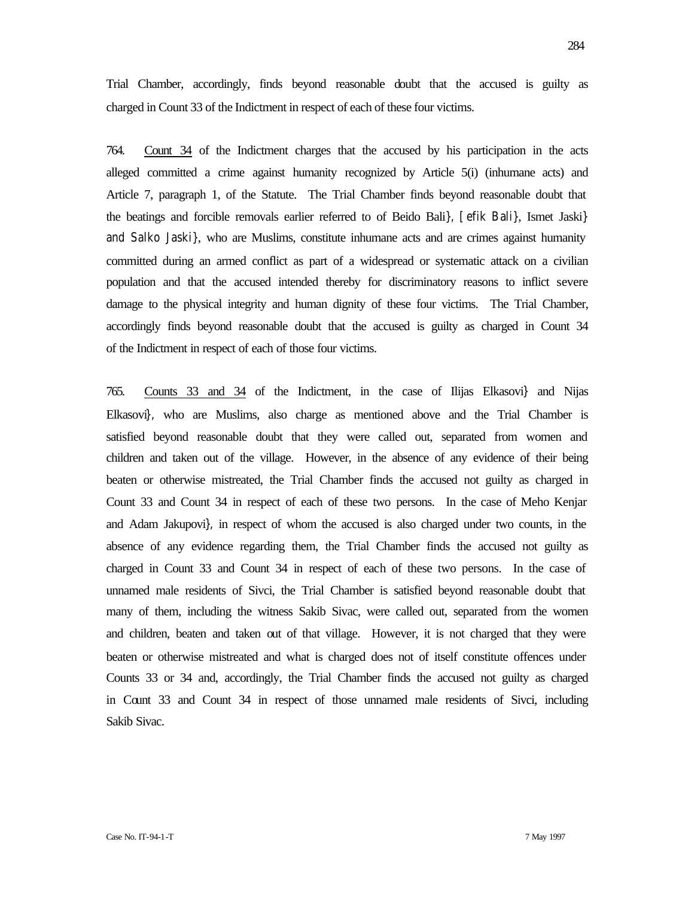Trial Chamber, accordingly, finds beyond reasonable doubt that the accused is guilty as charged in Count 33 of the Indictment in respect of each of these four victims.

764. Count 34 of the Indictment charges that the accused by his participation in the acts alleged committed a crime against humanity recognized by Article 5(i) (inhumane acts) and Article 7, paragraph 1, of the Statute. The Trial Chamber finds beyond reasonable doubt that the beatings and forcible removals earlier referred to of Beido Bali}, [efik Bali}, Ismet Jaski} and Salko Jaski}, who are Muslims, constitute inhumane acts and are crimes against humanity committed during an armed conflict as part of a widespread or systematic attack on a civilian population and that the accused intended thereby for discriminatory reasons to inflict severe damage to the physical integrity and human dignity of these four victims. The Trial Chamber, accordingly finds beyond reasonable doubt that the accused is guilty as charged in Count 34 of the Indictment in respect of each of those four victims.

765. Counts 33 and 34 of the Indictment, in the case of Ilijas Elkasovi} and Nijas Elkasovi}, who are Muslims, also charge as mentioned above and the Trial Chamber is satisfied beyond reasonable doubt that they were called out, separated from women and children and taken out of the village. However, in the absence of any evidence of their being beaten or otherwise mistreated, the Trial Chamber finds the accused not guilty as charged in Count 33 and Count 34 in respect of each of these two persons. In the case of Meho Kenjar and Adam Jakupovi}, in respect of whom the accused is also charged under two counts, in the absence of any evidence regarding them, the Trial Chamber finds the accused not guilty as charged in Count 33 and Count 34 in respect of each of these two persons. In the case of unnamed male residents of Sivci, the Trial Chamber is satisfied beyond reasonable doubt that many of them, including the witness Sakib Sivac, were called out, separated from the women and children, beaten and taken out of that village. However, it is not charged that they were beaten or otherwise mistreated and what is charged does not of itself constitute offences under Counts 33 or 34 and, accordingly, the Trial Chamber finds the accused not guilty as charged in Count 33 and Count 34 in respect of those unnamed male residents of Sivci, including Sakib Sivac.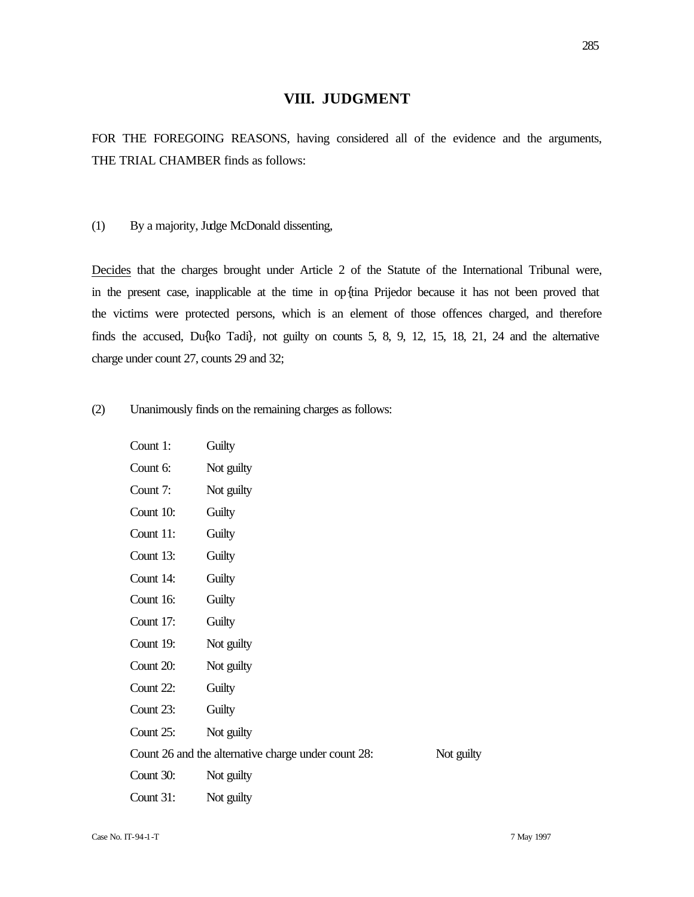## **VIII. JUDGMENT**

FOR THE FOREGOING REASONS, having considered all of the evidence and the arguments, THE TRIAL CHAMBER finds as follows:

## (1) By a majority, Judge McDonald dissenting,

Decides that the charges brought under Article 2 of the Statute of the International Tribunal were, in the present case, inapplicable at the time in op{tina Prijedor because it has not been proved that the victims were protected persons, which is an element of those offences charged, and therefore finds the accused, Du{ko Tadi}, not guilty on counts 5, 8, 9, 12, 15, 18, 21, 24 and the alternative charge under count 27, counts 29 and 32;

## (2) Unanimously finds on the remaining charges as follows:

| Count 1:                                                          | Guilty     |  |
|-------------------------------------------------------------------|------------|--|
| Count 6:                                                          | Not guilty |  |
| Count 7:                                                          | Not guilty |  |
| Count 10:                                                         | Guilty     |  |
| Count 11:                                                         | Guilty     |  |
| Count 13:                                                         | Guilty     |  |
| Count 14:                                                         | Guilty     |  |
| Count 16:                                                         | Guilty     |  |
| Count 17:                                                         | Guilty     |  |
| Count 19:                                                         | Not guilty |  |
| Count 20:                                                         | Not guilty |  |
| Count 22:                                                         | Guilty     |  |
| Count 23:                                                         | Guilty     |  |
| Count 25:                                                         | Not guilty |  |
| Count 26 and the alternative charge under count 28:<br>Not guilty |            |  |
| Count 30:                                                         | Not guilty |  |
| Count 31:                                                         | Not guilty |  |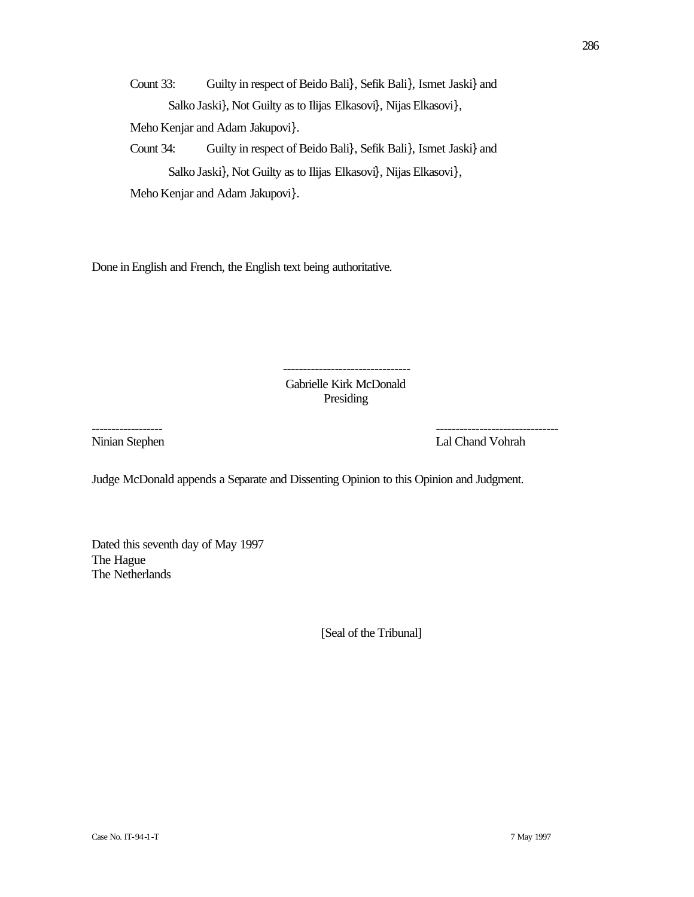Count 33: Guilty in respect of Beido Bali}, Sefik Bali}, Ismet Jaski} and Salko Jaski}, Not Guilty as to Ilijas Elkasovi}, Nijas Elkasovi},

Meho Kenjar and Adam Jakupovi}.

Count 34: Guilty in respect of Beido Bali}, Sefik Bali}, Ismet Jaski} and Salko Jaski}, Not Guilty as to Ilijas Elkasovi}, Nijas Elkasovi}, Meho Kenjar and Adam Jakupovi}.

Done in English and French, the English text being authoritative.

-------------------------------- Gabrielle Kirk McDonald Presiding

------------------ -------------------------------

Ninian Stephen Lal Chand Vohrah

Judge McDonald appends a Separate and Dissenting Opinion to this Opinion and Judgment.

Dated this seventh day of May 1997 The Hague The Netherlands

[Seal of the Tribunal]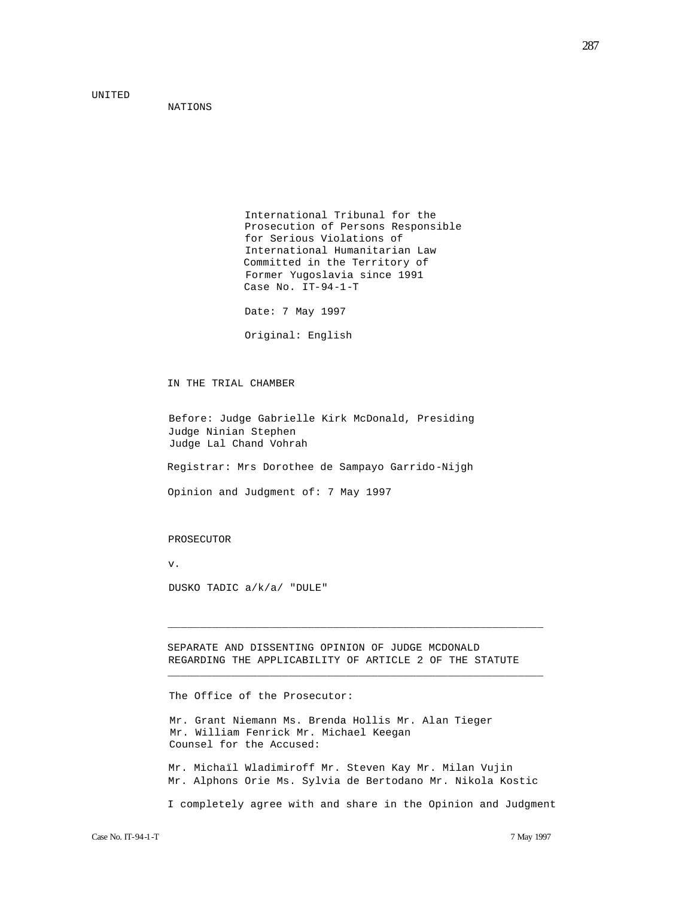UNITED

NATIONS

 International Tribunal for the Prosecution of Persons Responsible for Serious Violations of International Humanitarian Law Committed in the Territory of Former Yugoslavia since 1991 Case No. IT-94-1-T Date: 7 May 1997

Original: English

IN THE TRIAL CHAMBER

 Before: Judge Gabrielle Kirk McDonald, Presiding Judge Ninian Stephen Judge Lal Chand Vohrah

Registrar: Mrs Dorothee de Sampayo Garrido-Nijgh

Opinion and Judgment of: 7 May 1997

PROSECUTOR

v.

DUSKO TADIC a/k/a/ "DULE"

 SEPARATE AND DISSENTING OPINION OF JUDGE MCDONALD REGARDING THE APPLICABILITY OF ARTICLE 2 OF THE STATUTE

\_\_\_\_\_\_\_\_\_\_\_\_\_\_\_\_\_\_\_\_\_\_\_\_\_\_\_\_\_\_\_\_\_\_\_\_\_\_\_\_\_\_\_\_\_\_\_\_\_\_\_\_\_\_\_\_\_\_\_

\_\_\_\_\_\_\_\_\_\_\_\_\_\_\_\_\_\_\_\_\_\_\_\_\_\_\_\_\_\_\_\_\_\_\_\_\_\_\_\_\_\_\_\_\_\_\_\_\_\_\_\_\_\_\_\_\_\_\_

The Office of the Prosecutor:

 Mr. Grant Niemann Ms. Brenda Hollis Mr. Alan Tieger Mr. William Fenrick Mr. Michael Keegan Counsel for the Accused:

 Mr. Michaïl Wladimiroff Mr. Steven Kay Mr. Milan Vujin Mr. Alphons Orie Ms. Sylvia de Bertodano Mr. Nikola Kostic

I completely agree with and share in the Opinion and Judgment

287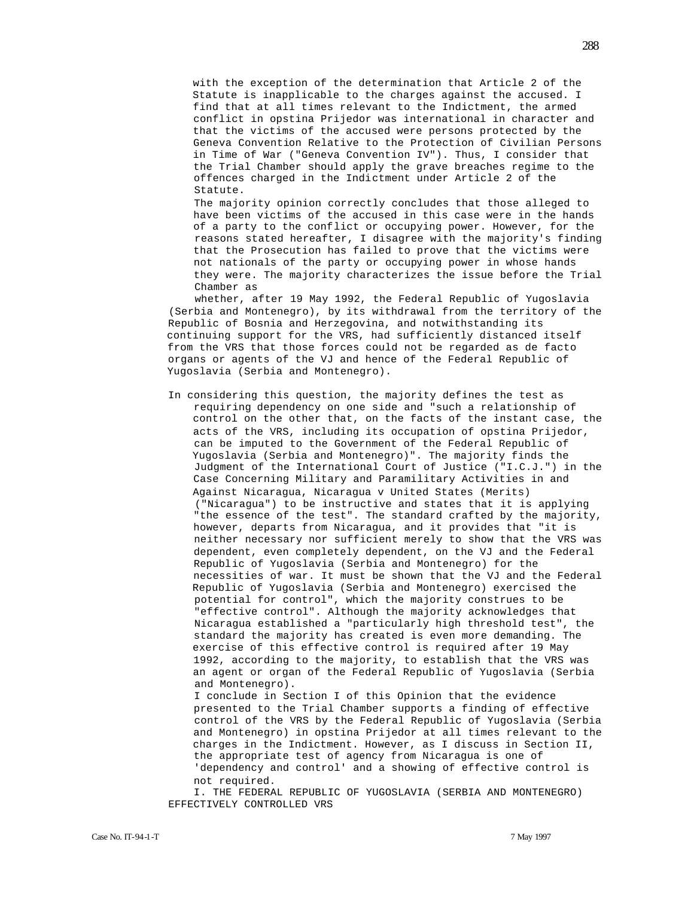with the exception of the determination that Article 2 of the Statute is inapplicable to the charges against the accused. I find that at all times relevant to the Indictment, the armed conflict in opstina Prijedor was international in character and that the victims of the accused were persons protected by the Geneva Convention Relative to the Protection of Civilian Persons in Time of War ("Geneva Convention IV"). Thus, I consider that the Trial Chamber should apply the grave breaches regime to the offences charged in the Indictment under Article 2 of the Statute.

 The majority opinion correctly concludes that those alleged to have been victims of the accused in this case were in the hands of a party to the conflict or occupying power. However, for the reasons stated hereafter, I disagree with the majority's finding that the Prosecution has failed to prove that the victims were not nationals of the party or occupying power in whose hands they were. The majority characterizes the issue before the Trial Chamber as

 whether, after 19 May 1992, the Federal Republic of Yugoslavia (Serbia and Montenegro), by its withdrawal from the territory of the Republic of Bosnia and Herzegovina, and notwithstanding its continuing support for the VRS, had sufficiently distanced itself from the VRS that those forces could not be regarded as de facto organs or agents of the VJ and hence of the Federal Republic of Yugoslavia (Serbia and Montenegro).

 In considering this question, the majority defines the test as requiring dependency on one side and "such a relationship of control on the other that, on the facts of the instant case, the acts of the VRS, including its occupation of opstina Prijedor, can be imputed to the Government of the Federal Republic of Yugoslavia (Serbia and Montenegro)". The majority finds the Judgment of the International Court of Justice ("I.C.J.") in the Case Concerning Military and Paramilitary Activities in and Against Nicaragua, Nicaragua v United States (Merits) ("Nicaragua") to be instructive and states that it is applying "the essence of the test". The standard crafted by the majority, however, departs from Nicaragua, and it provides that "it is neither necessary nor sufficient merely to show that the VRS was dependent, even completely dependent, on the VJ and the Federal Republic of Yugoslavia (Serbia and Montenegro) for the necessities of war. It must be shown that the VJ and the Federal Republic of Yugoslavia (Serbia and Montenegro) exercised the potential for control", which the majority construes to be "effective control". Although the majority acknowledges that Nicaragua established a "particularly high threshold test", the standard the majority has created is even more demanding. The exercise of this effective control is required after 19 May 1992, according to the majority, to establish that the VRS was an agent or organ of the Federal Republic of Yugoslavia (Serbia and Montenegro).

 I conclude in Section I of this Opinion that the evidence presented to the Trial Chamber supports a finding of effective control of the VRS by the Federal Republic of Yugoslavia (Serbia and Montenegro) in opstina Prijedor at all times relevant to the charges in the Indictment. However, as I discuss in Section II, the appropriate test of agency from Nicaragua is one of 'dependency and control' and a showing of effective control is not required.

 I. THE FEDERAL REPUBLIC OF YUGOSLAVIA (SERBIA AND MONTENEGRO) EFFECTIVELY CONTROLLED VRS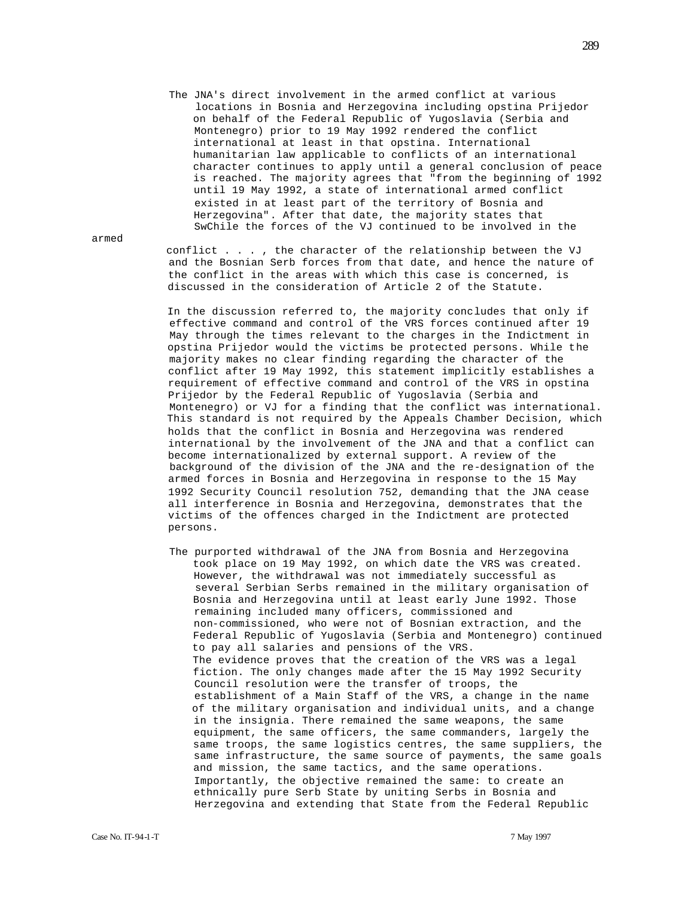The JNA's direct involvement in the armed conflict at various locations in Bosnia and Herzegovina including opstina Prijedor on behalf of the Federal Republic of Yugoslavia (Serbia and Montenegro) prior to 19 May 1992 rendered the conflict international at least in that opstina. International humanitarian law applicable to conflicts of an international character continues to apply until a general conclusion of peace is reached. The majority agrees that "from the beginning of 1992 until 19 May 1992, a state of international armed conflict existed in at least part of the territory of Bosnia and Herzegovina". After that date, the majority states that SwChile the forces of the VJ continued to be involved in the

armed

 conflict . . . , the character of the relationship between the VJ and the Bosnian Serb forces from that date, and hence the nature of the conflict in the areas with which this case is concerned, is discussed in the consideration of Article 2 of the Statute.

 In the discussion referred to, the majority concludes that only if effective command and control of the VRS forces continued after 19 May through the times relevant to the charges in the Indictment in opstina Prijedor would the victims be protected persons. While the majority makes no clear finding regarding the character of the conflict after 19 May 1992, this statement implicitly establishes a requirement of effective command and control of the VRS in opstina Prijedor by the Federal Republic of Yugoslavia (Serbia and Montenegro) or VJ for a finding that the conflict was international. This standard is not required by the Appeals Chamber Decision, which holds that the conflict in Bosnia and Herzegovina was rendered international by the involvement of the JNA and that a conflict can become internationalized by external support. A review of the background of the division of the JNA and the re-designation of the armed forces in Bosnia and Herzegovina in response to the 15 May 1992 Security Council resolution 752, demanding that the JNA cease all interference in Bosnia and Herzegovina, demonstrates that the victims of the offences charged in the Indictment are protected persons.

 The purported withdrawal of the JNA from Bosnia and Herzegovina took place on 19 May 1992, on which date the VRS was created. However, the withdrawal was not immediately successful as several Serbian Serbs remained in the military organisation of Bosnia and Herzegovina until at least early June 1992. Those remaining included many officers, commissioned and non-commissioned, who were not of Bosnian extraction, and the Federal Republic of Yugoslavia (Serbia and Montenegro) continued to pay all salaries and pensions of the VRS. The evidence proves that the creation of the VRS was a legal fiction. The only changes made after the 15 May 1992 Security Council resolution were the transfer of troops, the establishment of a Main Staff of the VRS, a change in the name of the military organisation and individual units, and a change in the insignia. There remained the same weapons, the same equipment, the same officers, the same commanders, largely the same troops, the same logistics centres, the same suppliers, the same infrastructure, the same source of payments, the same goals and mission, the same tactics, and the same operations. Importantly, the objective remained the same: to create an ethnically pure Serb State by uniting Serbs in Bosnia and Herzegovina and extending that State from the Federal Republic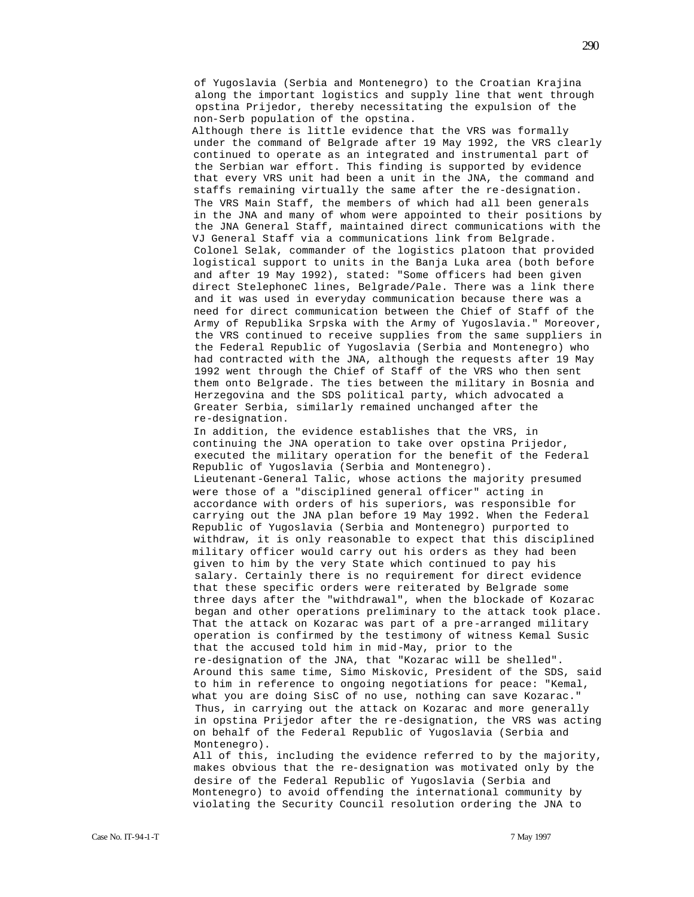of Yugoslavia (Serbia and Montenegro) to the Croatian Krajina along the important logistics and supply line that went through opstina Prijedor, thereby necessitating the expulsion of the non-Serb population of the opstina.

 Although there is little evidence that the VRS was formally under the command of Belgrade after 19 May 1992, the VRS clearly continued to operate as an integrated and instrumental part of the Serbian war effort. This finding is supported by evidence that every VRS unit had been a unit in the JNA, the command and staffs remaining virtually the same after the re-designation. The VRS Main Staff, the members of which had all been generals in the JNA and many of whom were appointed to their positions by the JNA General Staff, maintained direct communications with the VJ General Staff via a communications link from Belgrade. Colonel Selak, commander of the logistics platoon that provided logistical support to units in the Banja Luka area (both before and after 19 May 1992), stated: "Some officers had been given direct StelephoneC lines, Belgrade/Pale. There was a link there and it was used in everyday communication because there was a need for direct communication between the Chief of Staff of the Army of Republika Srpska with the Army of Yugoslavia." Moreover, the VRS continued to receive supplies from the same suppliers in the Federal Republic of Yugoslavia (Serbia and Montenegro) who had contracted with the JNA, although the requests after 19 May 1992 went through the Chief of Staff of the VRS who then sent them onto Belgrade. The ties between the military in Bosnia and Herzegovina and the SDS political party, which advocated a Greater Serbia, similarly remained unchanged after the re-designation.

 In addition, the evidence establishes that the VRS, in continuing the JNA operation to take over opstina Prijedor, executed the military operation for the benefit of the Federal Republic of Yugoslavia (Serbia and Montenegro). Lieutenant-General Talic, whose actions the majority presumed were those of a "disciplined general officer" acting in accordance with orders of his superiors, was responsible for carrying out the JNA plan before 19 May 1992. When the Federal Republic of Yugoslavia (Serbia and Montenegro) purported to withdraw, it is only reasonable to expect that this disciplined military officer would carry out his orders as they had been given to him by the very State which continued to pay his salary. Certainly there is no requirement for direct evidence that these specific orders were reiterated by Belgrade some three days after the "withdrawal", when the blockade of Kozarac began and other operations preliminary to the attack took place. That the attack on Kozarac was part of a pre-arranged military operation is confirmed by the testimony of witness Kemal Susic that the accused told him in mid-May, prior to the re-designation of the JNA, that "Kozarac will be shelled". Around this same time, Simo Miskovic, President of the SDS, said to him in reference to ongoing negotiations for peace: "Kemal, what you are doing SisC of no use, nothing can save Kozarac." Thus, in carrying out the attack on Kozarac and more generally in opstina Prijedor after the re-designation, the VRS was acting on behalf of the Federal Republic of Yugoslavia (Serbia and Montenegro).

 All of this, including the evidence referred to by the majority, makes obvious that the re-designation was motivated only by the desire of the Federal Republic of Yugoslavia (Serbia and Montenegro) to avoid offending the international community by violating the Security Council resolution ordering the JNA to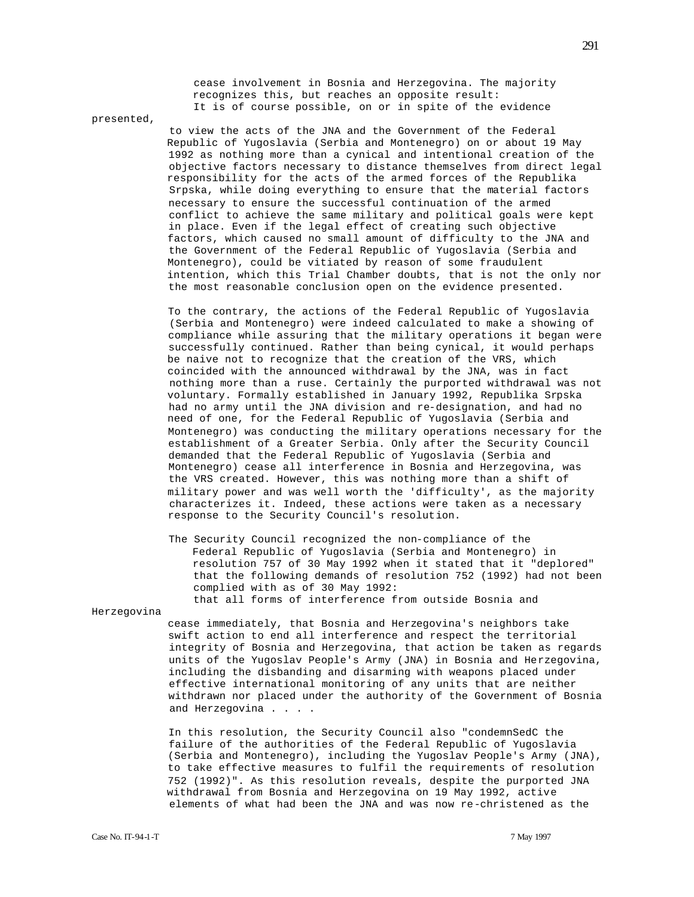cease involvement in Bosnia and Herzegovina. The majority recognizes this, but reaches an opposite result: It is of course possible, on or in spite of the evidence

presented,

 to view the acts of the JNA and the Government of the Federal Republic of Yugoslavia (Serbia and Montenegro) on or about 19 May 1992 as nothing more than a cynical and intentional creation of the objective factors necessary to distance themselves from direct legal responsibility for the acts of the armed forces of the Republika Srpska, while doing everything to ensure that the material factors necessary to ensure the successful continuation of the armed conflict to achieve the same military and political goals were kept in place. Even if the legal effect of creating such objective factors, which caused no small amount of difficulty to the JNA and the Government of the Federal Republic of Yugoslavia (Serbia and Montenegro), could be vitiated by reason of some fraudulent intention, which this Trial Chamber doubts, that is not the only nor the most reasonable conclusion open on the evidence presented.

 To the contrary, the actions of the Federal Republic of Yugoslavia (Serbia and Montenegro) were indeed calculated to make a showing of compliance while assuring that the military operations it began were successfully continued. Rather than being cynical, it would perhaps be naive not to recognize that the creation of the VRS, which coincided with the announced withdrawal by the JNA, was in fact nothing more than a ruse. Certainly the purported withdrawal was not voluntary. Formally established in January 1992, Republika Srpska had no army until the JNA division and re-designation, and had no need of one, for the Federal Republic of Yugoslavia (Serbia and Montenegro) was conducting the military operations necessary for the establishment of a Greater Serbia. Only after the Security Council demanded that the Federal Republic of Yugoslavia (Serbia and Montenegro) cease all interference in Bosnia and Herzegovina, was the VRS created. However, this was nothing more than a shift of military power and was well worth the 'difficulty', as the majority characterizes it. Indeed, these actions were taken as a necessary response to the Security Council's resolution.

 The Security Council recognized the non-compliance of the Federal Republic of Yugoslavia (Serbia and Montenegro) in resolution 757 of 30 May 1992 when it stated that it "deplored" that the following demands of resolution 752 (1992) had not been complied with as of 30 May 1992: that all forms of interference from outside Bosnia and

Herzegovina

 cease immediately, that Bosnia and Herzegovina's neighbors take swift action to end all interference and respect the territorial integrity of Bosnia and Herzegovina, that action be taken as regards units of the Yugoslav People's Army (JNA) in Bosnia and Herzegovina, including the disbanding and disarming with weapons placed under effective international monitoring of any units that are neither withdrawn nor placed under the authority of the Government of Bosnia and Herzegovina . . . .

 In this resolution, the Security Council also "condemnSedC the failure of the authorities of the Federal Republic of Yugoslavia (Serbia and Montenegro), including the Yugoslav People's Army (JNA), to take effective measures to fulfil the requirements of resolution 752 (1992)". As this resolution reveals, despite the purported JNA withdrawal from Bosnia and Herzegovina on 19 May 1992, active elements of what had been the JNA and was now re-christened as the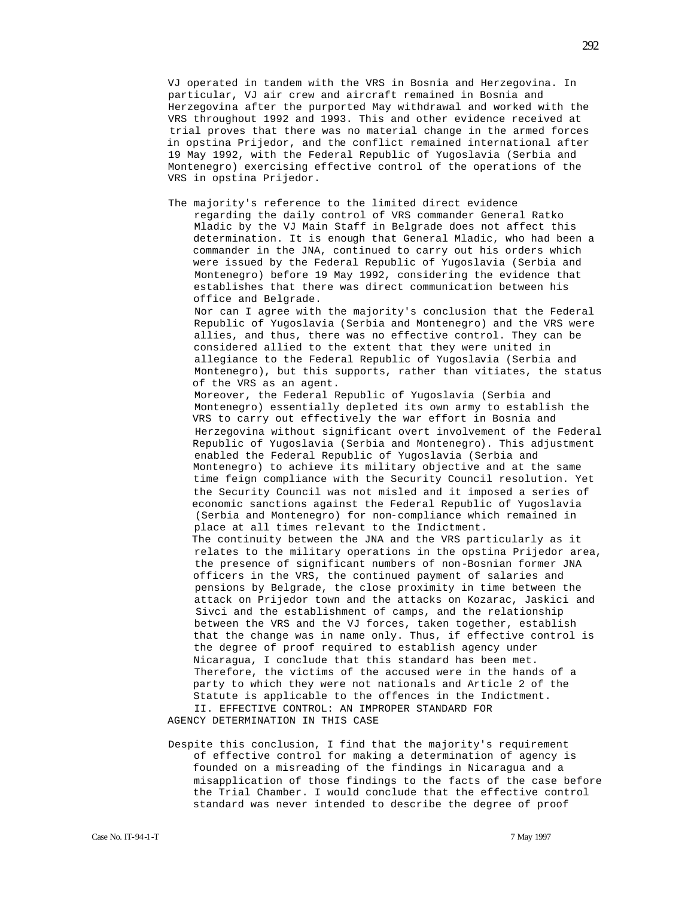VJ operated in tandem with the VRS in Bosnia and Herzegovina. In particular, VJ air crew and aircraft remained in Bosnia and Herzegovina after the purported May withdrawal and worked with the VRS throughout 1992 and 1993. This and other evidence received at trial proves that there was no material change in the armed forces in opstina Prijedor, and the conflict remained international after 19 May 1992, with the Federal Republic of Yugoslavia (Serbia and Montenegro) exercising effective control of the operations of the VRS in opstina Prijedor.

 The majority's reference to the limited direct evidence regarding the daily control of VRS commander General Ratko Mladic by the VJ Main Staff in Belgrade does not affect this determination. It is enough that General Mladic, who had been a commander in the JNA, continued to carry out his orders which were issued by the Federal Republic of Yugoslavia (Serbia and Montenegro) before 19 May 1992, considering the evidence that establishes that there was direct communication between his office and Belgrade.

 Nor can I agree with the majority's conclusion that the Federal Republic of Yugoslavia (Serbia and Montenegro) and the VRS were allies, and thus, there was no effective control. They can be considered allied to the extent that they were united in allegiance to the Federal Republic of Yugoslavia (Serbia and Montenegro), but this supports, rather than vitiates, the status of the VRS as an agent.

 Moreover, the Federal Republic of Yugoslavia (Serbia and Montenegro) essentially depleted its own army to establish the VRS to carry out effectively the war effort in Bosnia and Herzegovina without significant overt involvement of the Federal Republic of Yugoslavia (Serbia and Montenegro). This adjustment enabled the Federal Republic of Yugoslavia (Serbia and Montenegro) to achieve its military objective and at the same time feign compliance with the Security Council resolution. Yet the Security Council was not misled and it imposed a series of economic sanctions against the Federal Republic of Yugoslavia (Serbia and Montenegro) for non-compliance which remained in

 place at all times relevant to the Indictment. The continuity between the JNA and the VRS particularly as it relates to the military operations in the opstina Prijedor area, the presence of significant numbers of non-Bosnian former JNA officers in the VRS, the continued payment of salaries and pensions by Belgrade, the close proximity in time between the attack on Prijedor town and the attacks on Kozarac, Jaskici and Sivci and the establishment of camps, and the relationship between the VRS and the VJ forces, taken together, establish that the change was in name only. Thus, if effective control is the degree of proof required to establish agency under Nicaragua, I conclude that this standard has been met. Therefore, the victims of the accused were in the hands of a party to which they were not nationals and Article 2 of the Statute is applicable to the offences in the Indictment. II. EFFECTIVE CONTROL: AN IMPROPER STANDARD FOR AGENCY DETERMINATION IN THIS CASE

 Despite this conclusion, I find that the majority's requirement of effective control for making a determination of agency is founded on a misreading of the findings in Nicaragua and a misapplication of those findings to the facts of the case before the Trial Chamber. I would conclude that the effective control standard was never intended to describe the degree of proof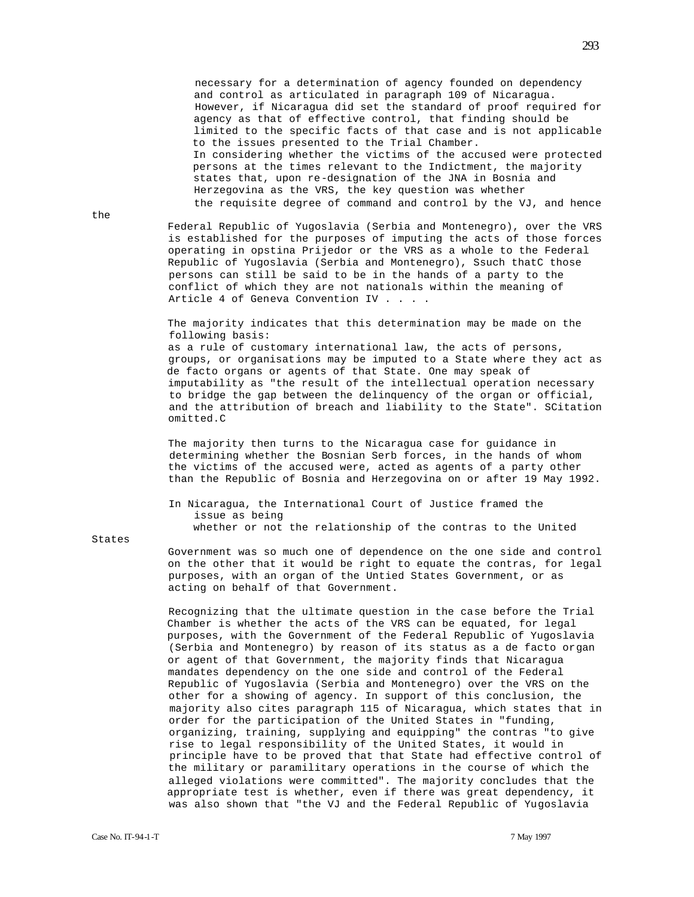necessary for a determination of agency founded on dependency and control as articulated in paragraph 109 of Nicaragua. However, if Nicaragua did set the standard of proof required for agency as that of effective control, that finding should be limited to the specific facts of that case and is not applicable to the issues presented to the Trial Chamber. In considering whether the victims of the accused were protected persons at the times relevant to the Indictment, the majority states that, upon re-designation of the JNA in Bosnia and Herzegovina as the VRS, the key question was whether the requisite degree of command and control by the VJ, and hence

 Federal Republic of Yugoslavia (Serbia and Montenegro), over the VRS is established for the purposes of imputing the acts of those forces operating in opstina Prijedor or the VRS as a whole to the Federal Republic of Yugoslavia (Serbia and Montenegro), Ssuch thatC those persons can still be said to be in the hands of a party to the conflict of which they are not nationals within the meaning of Article 4 of Geneva Convention IV . . . .

 The majority indicates that this determination may be made on the following basis:

 as a rule of customary international law, the acts of persons, groups, or organisations may be imputed to a State where they act as de facto organs or agents of that State. One may speak of imputability as "the result of the intellectual operation necessary to bridge the gap between the delinquency of the organ or official, and the attribution of breach and liability to the State". SCitation omitted.C

 The majority then turns to the Nicaragua case for guidance in determining whether the Bosnian Serb forces, in the hands of whom the victims of the accused were, acted as agents of a party other than the Republic of Bosnia and Herzegovina on or after 19 May 1992.

 In Nicaragua, the International Court of Justice framed the issue as being

whether or not the relationship of the contras to the United

States

 Government was so much one of dependence on the one side and control on the other that it would be right to equate the contras, for legal purposes, with an organ of the Untied States Government, or as acting on behalf of that Government.

 Recognizing that the ultimate question in the case before the Trial Chamber is whether the acts of the VRS can be equated, for legal purposes, with the Government of the Federal Republic of Yugoslavia (Serbia and Montenegro) by reason of its status as a de facto organ or agent of that Government, the majority finds that Nicaragua mandates dependency on the one side and control of the Federal Republic of Yugoslavia (Serbia and Montenegro) over the VRS on the other for a showing of agency. In support of this conclusion, the majority also cites paragraph 115 of Nicaragua, which states that in order for the participation of the United States in "funding, organizing, training, supplying and equipping" the contras "to give rise to legal responsibility of the United States, it would in principle have to be proved that that State had effective control of the military or paramilitary operations in the course of which the alleged violations were committed". The majority concludes that the appropriate test is whether, even if there was great dependency, it was also shown that "the VJ and the Federal Republic of Yugoslavia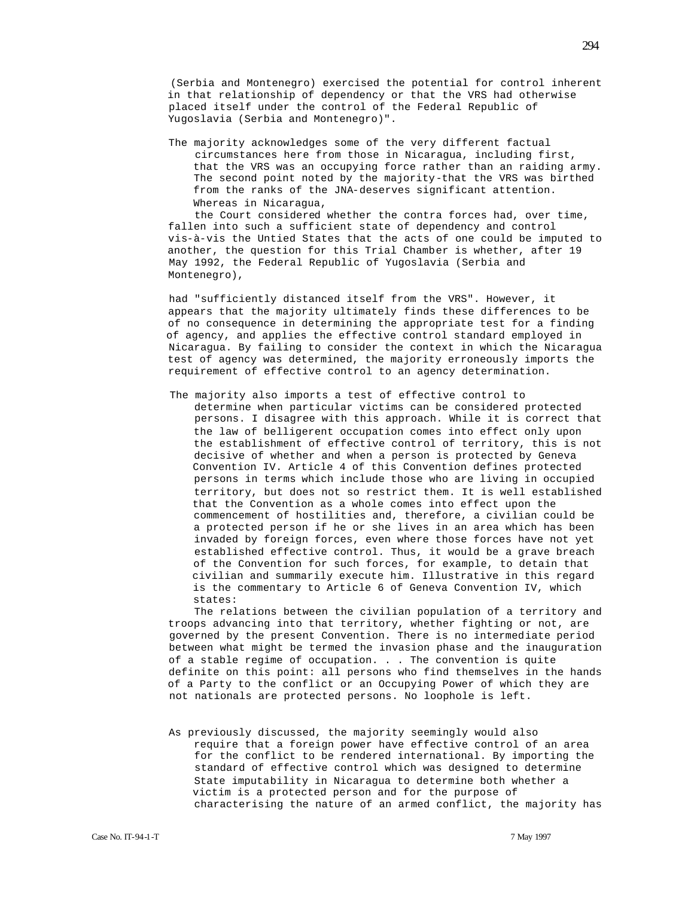(Serbia and Montenegro) exercised the potential for control inherent in that relationship of dependency or that the VRS had otherwise placed itself under the control of the Federal Republic of Yugoslavia (Serbia and Montenegro)".

 The majority acknowledges some of the very different factual circumstances here from those in Nicaragua, including first, that the VRS was an occupying force rather than an raiding army. The second point noted by the majority-that the VRS was birthed from the ranks of the JNA-deserves significant attention. Whereas in Nicaragua,

 the Court considered whether the contra forces had, over time, fallen into such a sufficient state of dependency and control vis-à-vis the Untied States that the acts of one could be imputed to another, the question for this Trial Chamber is whether, after 19 May 1992, the Federal Republic of Yugoslavia (Serbia and Montenegro),

 had "sufficiently distanced itself from the VRS". However, it appears that the majority ultimately finds these differences to be of no consequence in determining the appropriate test for a finding of agency, and applies the effective control standard employed in Nicaragua. By failing to consider the context in which the Nicaragua test of agency was determined, the majority erroneously imports the requirement of effective control to an agency determination.

 The majority also imports a test of effective control to determine when particular victims can be considered protected persons. I disagree with this approach. While it is correct that the law of belligerent occupation comes into effect only upon the establishment of effective control of territory, this is not decisive of whether and when a person is protected by Geneva Convention IV. Article 4 of this Convention defines protected persons in terms which include those who are living in occupied territory, but does not so restrict them. It is well established that the Convention as a whole comes into effect upon the commencement of hostilities and, therefore, a civilian could be a protected person if he or she lives in an area which has been invaded by foreign forces, even where those forces have not yet established effective control. Thus, it would be a grave breach of the Convention for such forces, for example, to detain that civilian and summarily execute him. Illustrative in this regard is the commentary to Article 6 of Geneva Convention IV, which states:

 The relations between the civilian population of a territory and troops advancing into that territory, whether fighting or not, are governed by the present Convention. There is no intermediate period between what might be termed the invasion phase and the inauguration of a stable regime of occupation. . . The convention is quite definite on this point: all persons who find themselves in the hands of a Party to the conflict or an Occupying Power of which they are not nationals are protected persons. No loophole is left.

 As previously discussed, the majority seemingly would also require that a foreign power have effective control of an area for the conflict to be rendered international. By importing the standard of effective control which was designed to determine State imputability in Nicaragua to determine both whether a victim is a protected person and for the purpose of characterising the nature of an armed conflict, the majority has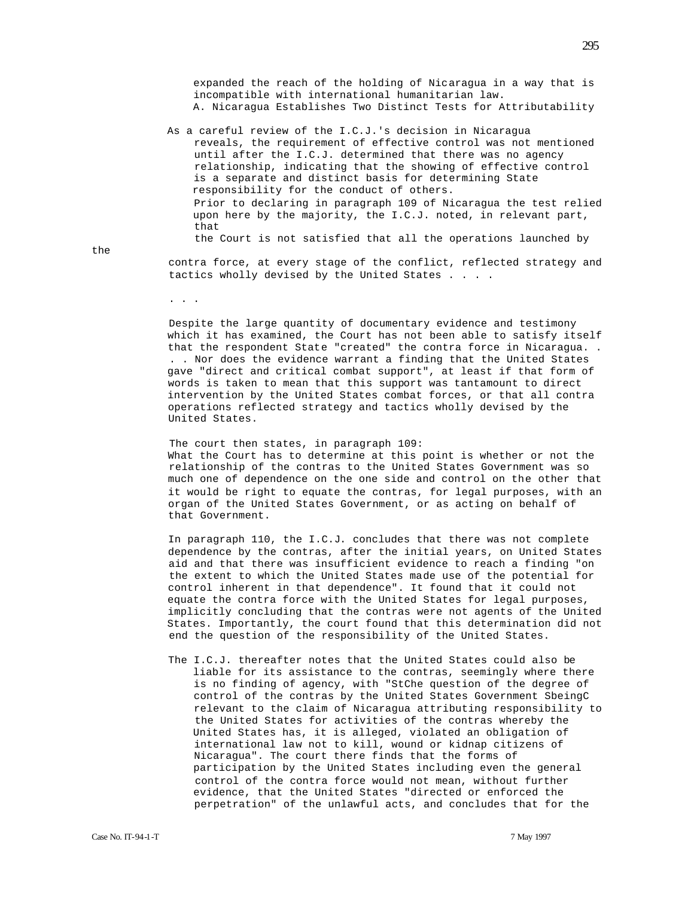expanded the reach of the holding of Nicaragua in a way that is incompatible with international humanitarian law. A. Nicaragua Establishes Two Distinct Tests for Attributability

 As a careful review of the I.C.J.'s decision in Nicaragua reveals, the requirement of effective control was not mentioned until after the I.C.J. determined that there was no agency relationship, indicating that the showing of effective control is a separate and distinct basis for determining State responsibility for the conduct of others. Prior to declaring in paragraph 109 of Nicaragua the test relied upon here by the majority, the I.C.J. noted, in relevant part, that the Court is not satisfied that all the operations launched by

 contra force, at every stage of the conflict, reflected strategy and tactics wholly devised by the United States . . . .

. . .

 Despite the large quantity of documentary evidence and testimony which it has examined, the Court has not been able to satisfy itself that the respondent State "created" the contra force in Nicaragua. . . . Nor does the evidence warrant a finding that the United States gave "direct and critical combat support", at least if that form of words is taken to mean that this support was tantamount to direct intervention by the United States combat forces, or that all contra operations reflected strategy and tactics wholly devised by the United States.

 The court then states, in paragraph 109: What the Court has to determine at this point is whether or not the relationship of the contras to the United States Government was so much one of dependence on the one side and control on the other that it would be right to equate the contras, for legal purposes, with an organ of the United States Government, or as acting on behalf of that Government.

 In paragraph 110, the I.C.J. concludes that there was not complete dependence by the contras, after the initial years, on United States aid and that there was insufficient evidence to reach a finding "on the extent to which the United States made use of the potential for control inherent in that dependence". It found that it could not equate the contra force with the United States for legal purposes, implicitly concluding that the contras were not agents of the United States. Importantly, the court found that this determination did not end the question of the responsibility of the United States.

 The I.C.J. thereafter notes that the United States could also be liable for its assistance to the contras, seemingly where there is no finding of agency, with "StChe question of the degree of control of the contras by the United States Government SbeingC relevant to the claim of Nicaragua attributing responsibility to the United States for activities of the contras whereby the United States has, it is alleged, violated an obligation of international law not to kill, wound or kidnap citizens of Nicaragua". The court there finds that the forms of participation by the United States including even the general control of the contra force would not mean, without further evidence, that the United States "directed or enforced the perpetration" of the unlawful acts, and concludes that for the

the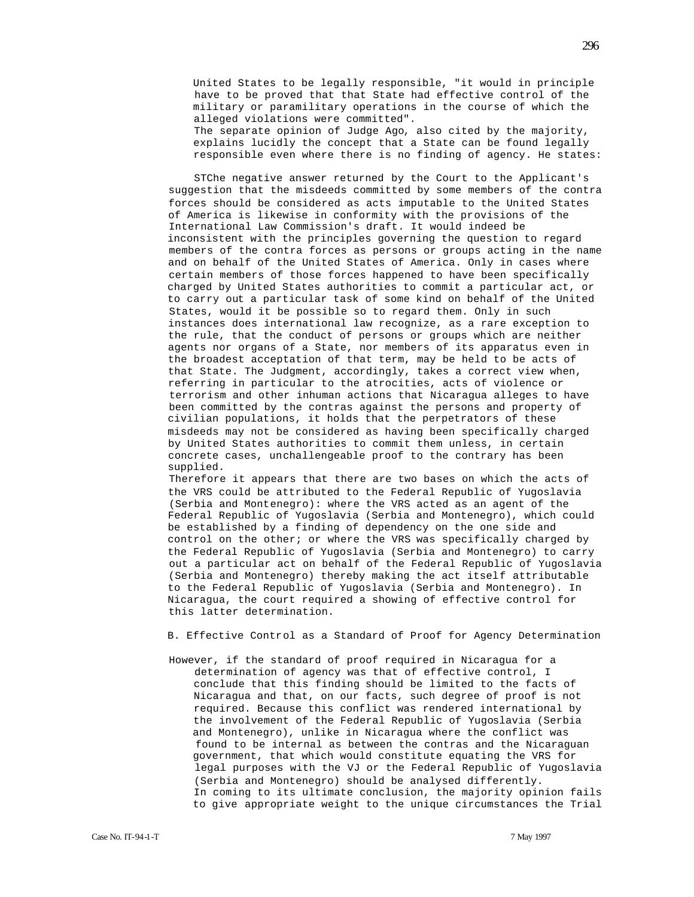United States to be legally responsible, "it would in principle have to be proved that that State had effective control of the military or paramilitary operations in the course of which the alleged violations were committed". The separate opinion of Judge Ago, also cited by the majority, explains lucidly the concept that a State can be found legally responsible even where there is no finding of agency. He states:

 STChe negative answer returned by the Court to the Applicant's suggestion that the misdeeds committed by some members of the contra forces should be considered as acts imputable to the United States of America is likewise in conformity with the provisions of the International Law Commission's draft. It would indeed be inconsistent with the principles governing the question to regard members of the contra forces as persons or groups acting in the name and on behalf of the United States of America. Only in cases where certain members of those forces happened to have been specifically charged by United States authorities to commit a particular act, or to carry out a particular task of some kind on behalf of the United States, would it be possible so to regard them. Only in such instances does international law recognize, as a rare exception to the rule, that the conduct of persons or groups which are neither agents nor organs of a State, nor members of its apparatus even in the broadest acceptation of that term, may be held to be acts of that State. The Judgment, accordingly, takes a correct view when, referring in particular to the atrocities, acts of violence or terrorism and other inhuman actions that Nicaragua alleges to have been committed by the contras against the persons and property of civilian populations, it holds that the perpetrators of these misdeeds may not be considered as having been specifically charged by United States authorities to commit them unless, in certain concrete cases, unchallengeable proof to the contrary has been supplied.

 Therefore it appears that there are two bases on which the acts of the VRS could be attributed to the Federal Republic of Yugoslavia (Serbia and Montenegro): where the VRS acted as an agent of the Federal Republic of Yugoslavia (Serbia and Montenegro), which could be established by a finding of dependency on the one side and control on the other; or where the VRS was specifically charged by the Federal Republic of Yugoslavia (Serbia and Montenegro) to carry out a particular act on behalf of the Federal Republic of Yugoslavia (Serbia and Montenegro) thereby making the act itself attributable to the Federal Republic of Yugoslavia (Serbia and Montenegro). In Nicaragua, the court required a showing of effective control for this latter determination.

B. Effective Control as a Standard of Proof for Agency Determination

 However, if the standard of proof required in Nicaragua for a determination of agency was that of effective control, I conclude that this finding should be limited to the facts of Nicaragua and that, on our facts, such degree of proof is not required. Because this conflict was rendered international by the involvement of the Federal Republic of Yugoslavia (Serbia and Montenegro), unlike in Nicaragua where the conflict was found to be internal as between the contras and the Nicaraguan government, that which would constitute equating the VRS for legal purposes with the VJ or the Federal Republic of Yugoslavia (Serbia and Montenegro) should be analysed differently. In coming to its ultimate conclusion, the majority opinion fails to give appropriate weight to the unique circumstances the Trial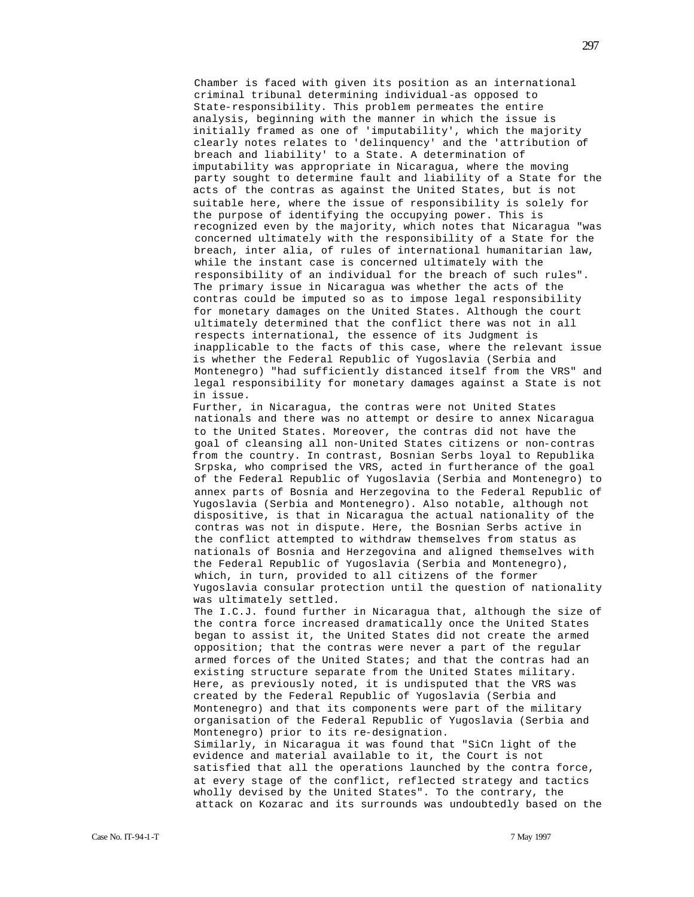Chamber is faced with given its position as an international criminal tribunal determining individual-as opposed to State-responsibility. This problem permeates the entire analysis, beginning with the manner in which the issue is initially framed as one of 'imputability', which the majority clearly notes relates to 'delinquency' and the 'attribution of breach and liability' to a State. A determination of imputability was appropriate in Nicaragua, where the moving party sought to determine fault and liability of a State for the acts of the contras as against the United States, but is not suitable here, where the issue of responsibility is solely for the purpose of identifying the occupying power. This is recognized even by the majority, which notes that Nicaragua "was concerned ultimately with the responsibility of a State for the breach, inter alia, of rules of international humanitarian law, while the instant case is concerned ultimately with the responsibility of an individual for the breach of such rules". The primary issue in Nicaragua was whether the acts of the contras could be imputed so as to impose legal responsibility for monetary damages on the United States. Although the court ultimately determined that the conflict there was not in all respects international, the essence of its Judgment is inapplicable to the facts of this case, where the relevant issue is whether the Federal Republic of Yugoslavia (Serbia and Montenegro) "had sufficiently distanced itself from the VRS" and legal responsibility for monetary damages against a State is not in issue.

 Further, in Nicaragua, the contras were not United States nationals and there was no attempt or desire to annex Nicaragua to the United States. Moreover, the contras did not have the goal of cleansing all non-United States citizens or non-contras from the country. In contrast, Bosnian Serbs loyal to Republika Srpska, who comprised the VRS, acted in furtherance of the goal of the Federal Republic of Yugoslavia (Serbia and Montenegro) to annex parts of Bosnia and Herzegovina to the Federal Republic of Yugoslavia (Serbia and Montenegro). Also notable, although not dispositive, is that in Nicaragua the actual nationality of the contras was not in dispute. Here, the Bosnian Serbs active in the conflict attempted to withdraw themselves from status as nationals of Bosnia and Herzegovina and aligned themselves with the Federal Republic of Yugoslavia (Serbia and Montenegro), which, in turn, provided to all citizens of the former Yugoslavia consular protection until the question of nationality was ultimately settled.

 The I.C.J. found further in Nicaragua that, although the size of the contra force increased dramatically once the United States began to assist it, the United States did not create the armed opposition; that the contras were never a part of the regular armed forces of the United States; and that the contras had an existing structure separate from the United States military. Here, as previously noted, it is undisputed that the VRS was created by the Federal Republic of Yugoslavia (Serbia and Montenegro) and that its components were part of the military organisation of the Federal Republic of Yugoslavia (Serbia and Montenegro) prior to its re-designation.

 Similarly, in Nicaragua it was found that "SiCn light of the evidence and material available to it, the Court is not satisfied that all the operations launched by the contra force, at every stage of the conflict, reflected strategy and tactics wholly devised by the United States". To the contrary, the attack on Kozarac and its surrounds was undoubtedly based on the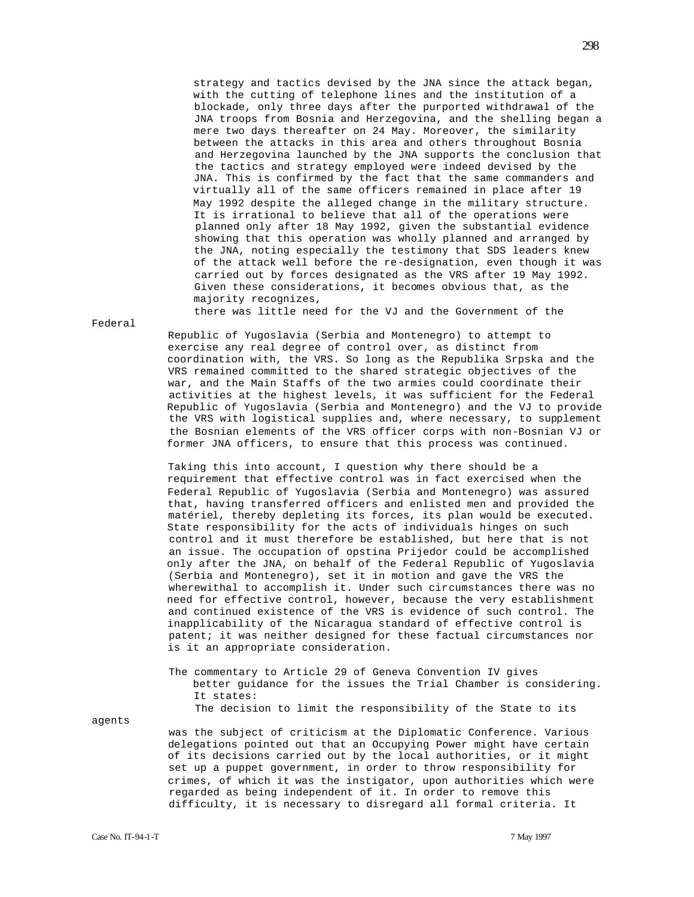strategy and tactics devised by the JNA since the attack began, with the cutting of telephone lines and the institution of a blockade, only three days after the purported withdrawal of the JNA troops from Bosnia and Herzegovina, and the shelling began a mere two days thereafter on 24 May. Moreover, the similarity between the attacks in this area and others throughout Bosnia and Herzegovina launched by the JNA supports the conclusion that the tactics and strategy employed were indeed devised by the JNA. This is confirmed by the fact that the same commanders and virtually all of the same officers remained in place after 19 May 1992 despite the alleged change in the military structure. It is irrational to believe that all of the operations were planned only after 18 May 1992, given the substantial evidence showing that this operation was wholly planned and arranged by the JNA, noting especially the testimony that SDS leaders knew of the attack well before the re-designation, even though it was carried out by forces designated as the VRS after 19 May 1992. Given these considerations, it becomes obvious that, as the majority recognizes, there was little need for the VJ and the Government of the

Federal

 Republic of Yugoslavia (Serbia and Montenegro) to attempt to exercise any real degree of control over, as distinct from coordination with, the VRS. So long as the Republika Srpska and the VRS remained committed to the shared strategic objectives of the war, and the Main Staffs of the two armies could coordinate their activities at the highest levels, it was sufficient for the Federal Republic of Yugoslavia (Serbia and Montenegro) and the VJ to provide the VRS with logistical supplies and, where necessary, to supplement the Bosnian elements of the VRS officer corps with non-Bosnian VJ or former JNA officers, to ensure that this process was continued.

 Taking this into account, I question why there should be a requirement that effective control was in fact exercised when the Federal Republic of Yugoslavia (Serbia and Montenegro) was assured that, having transferred officers and enlisted men and provided the matériel, thereby depleting its forces, its plan would be executed. State responsibility for the acts of individuals hinges on such control and it must therefore be established, but here that is not an issue. The occupation of opstina Prijedor could be accomplished only after the JNA, on behalf of the Federal Republic of Yugoslavia (Serbia and Montenegro), set it in motion and gave the VRS the wherewithal to accomplish it. Under such circumstances there was no need for effective control, however, because the very establishment and continued existence of the VRS is evidence of such control. The inapplicability of the Nicaragua standard of effective control is patent; it was neither designed for these factual circumstances nor is it an appropriate consideration.

 The commentary to Article 29 of Geneva Convention IV gives better guidance for the issues the Trial Chamber is considering. It states: The decision to limit the responsibility of the State to its

agents

 was the subject of criticism at the Diplomatic Conference. Various delegations pointed out that an Occupying Power might have certain of its decisions carried out by the local authorities, or it might set up a puppet government, in order to throw responsibility for crimes, of which it was the instigator, upon authorities which were regarded as being independent of it. In order to remove this difficulty, it is necessary to disregard all formal criteria. It